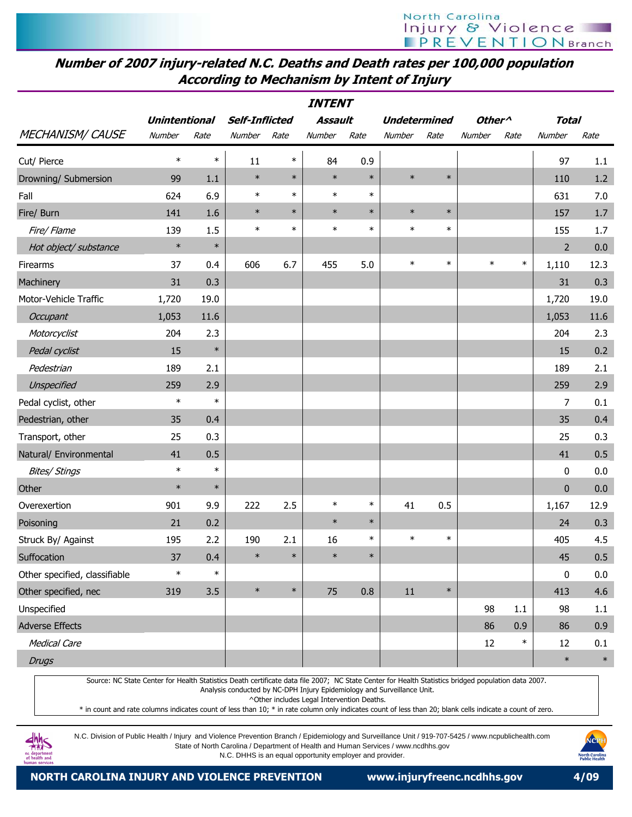| <b>INTENT</b>                 |                      |        |                       |        |                |        |                     |        |                    |        |                |         |
|-------------------------------|----------------------|--------|-----------------------|--------|----------------|--------|---------------------|--------|--------------------|--------|----------------|---------|
|                               | <b>Unintentional</b> |        | <b>Self-Inflicted</b> |        | <b>Assault</b> |        | <b>Undetermined</b> |        | Other <sup>^</sup> |        | <b>Total</b>   |         |
| <b>MECHANISM/ CAUSE</b>       | Number               | Rate   | Number                | Rate   | Number         | Rate   | Number              | Rate   | Number             | Rate   | Number         | Rate    |
| Cut/ Pierce                   | $\ast$               | $\ast$ | 11                    | $\ast$ | 84             | 0.9    |                     |        |                    |        | 97             | 1.1     |
| Drowning/ Submersion          | 99                   | 1.1    | $\ast$                | $\ast$ | $\ast$         | $\ast$ | $\ast$              | $\ast$ |                    |        | 110            | $1.2\,$ |
| Fall                          | 624                  | 6.9    | $\ast$                | $\ast$ | $\ast$         | $\ast$ |                     |        |                    |        | 631            | 7.0     |
| Fire/ Burn                    | 141                  | 1.6    | $\ast$                | $\ast$ | $\ast$         | $\ast$ | $\ast$              | $\ast$ |                    |        | 157            | 1.7     |
| Fire/ Flame                   | 139                  | 1.5    | $\ast$                | $\ast$ | $\ast$         | $\ast$ | $\ast$              | $\ast$ |                    |        | 155            | 1.7     |
| Hot object/ substance         | $\ast$               | $\ast$ |                       |        |                |        |                     |        |                    |        | $\overline{2}$ | 0.0     |
| Firearms                      | 37                   | 0.4    | 606                   | 6.7    | 455            | 5.0    | $\ast$              | $\ast$ | $\ast$             | $\ast$ | 1,110          | 12.3    |
| Machinery                     | 31                   | 0.3    |                       |        |                |        |                     |        |                    |        | 31             | 0.3     |
| Motor-Vehicle Traffic         | 1,720                | 19.0   |                       |        |                |        |                     |        |                    |        | 1,720          | 19.0    |
| Occupant                      | 1,053                | 11.6   |                       |        |                |        |                     |        |                    |        | 1,053          | 11.6    |
| Motorcyclist                  | 204                  | 2.3    |                       |        |                |        |                     |        |                    |        | 204            | 2.3     |
| Pedal cyclist                 | 15                   | $\ast$ |                       |        |                |        |                     |        |                    |        | 15             | 0.2     |
| Pedestrian                    | 189                  | 2.1    |                       |        |                |        |                     |        |                    |        | 189            | 2.1     |
| Unspecified                   | 259                  | 2.9    |                       |        |                |        |                     |        |                    |        | 259            | 2.9     |
| Pedal cyclist, other          | $\ast$               | $\ast$ |                       |        |                |        |                     |        |                    |        | 7              | 0.1     |
| Pedestrian, other             | 35                   | 0.4    |                       |        |                |        |                     |        |                    |        | 35             | 0.4     |
| Transport, other              | 25                   | 0.3    |                       |        |                |        |                     |        |                    |        | 25             | 0.3     |
| Natural/ Environmental        | 41                   | 0.5    |                       |        |                |        |                     |        |                    |        | 41             | 0.5     |
| <b>Bites/ Stings</b>          | $\ast$               | $\ast$ |                       |        |                |        |                     |        |                    |        | 0              | 0.0     |
| Other                         | $\ast$               | $\ast$ |                       |        |                |        |                     |        |                    |        | $\mathbf{0}$   | 0.0     |
| Overexertion                  | 901                  | 9.9    | 222                   | 2.5    | $\ast$         | $\ast$ | 41                  | 0.5    |                    |        | 1,167          | 12.9    |
| Poisoning                     | 21                   | 0.2    |                       |        | $\ast$         | $\ast$ |                     |        |                    |        | 24             | 0.3     |
| Struck By/ Against            | 195                  | 2.2    | 190                   | 2.1    | 16             | $\ast$ | $\ast$              | $\ast$ |                    |        | 405            | 4.5     |
| Suffocation                   | 37                   | 0.4    |                       |        | ∗              | $\ast$ |                     |        |                    |        | 45             | 0.5     |
| Other specified, classifiable | $\ast$               | $\ast$ |                       |        |                |        |                     |        |                    |        | 0              | 0.0     |
| Other specified, nec          | 319                  | 3.5    | $\ast$                | $\ast$ | 75             | 0.8    | 11                  | $\ast$ |                    |        | 413            | 4.6     |
| Unspecified                   |                      |        |                       |        |                |        |                     |        | 98                 | 1.1    | 98             | 1.1     |
| <b>Adverse Effects</b>        |                      |        |                       |        |                |        |                     |        | 86                 | 0.9    | 86             | 0.9     |
| <b>Medical Care</b>           |                      |        |                       |        |                |        |                     |        | 12                 | $\ast$ | 12             | 0.1     |
| <b>Drugs</b>                  |                      |        |                       |        |                |        |                     |        |                    |        | $\ast$         | $\ast$  |

Source: NC State Center for Health Statistics Death certificate data file 2007; NC State Center for Health Statistics bridged population data 2007. Analysis conducted by NC-DPH Injury Epidemiology and Surveillance Unit.

^Other includes Legal Intervention Deaths.

\* in count and rate columns indicates count of less than 10; \* in rate column only indicates count of less than 20; blank cells indicate a count of zero.



N.C. Division of Public Health / Injury and Violence Prevention Branch / Epidemiology and Surveillance Unit / 919-707-5425 / www.ncpublichealth.com State of North Carolina / Department of Health and Human Services / www.ncdhhs.gov

N.C. DHHS is an equal opportunity employer and provider.

NORTH CAROLINA INJURY AND VIOLENCE PREVENTION www.injuryfreenc.ncdhhs.gov 4/09

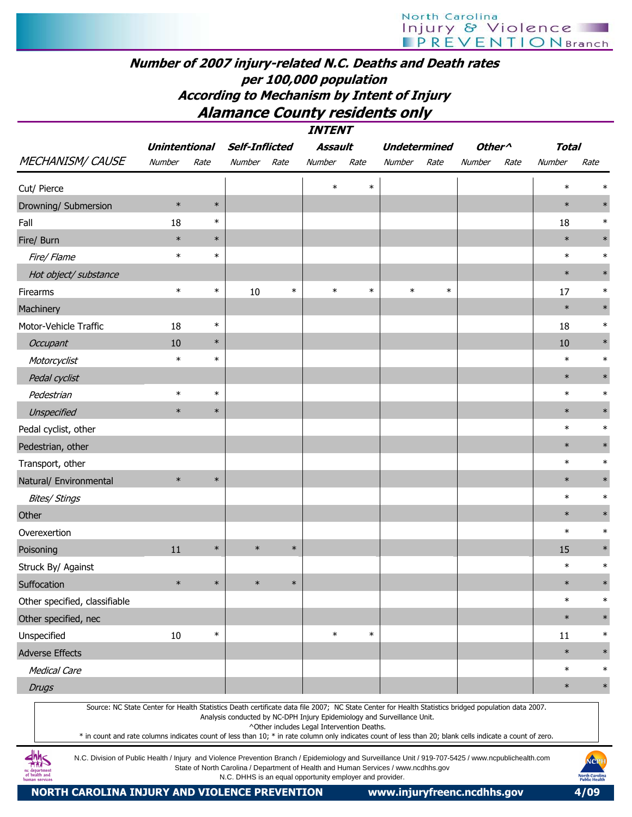#### **TNITENT** Number of 2007 injury-related N.C. Deaths and Death rates per 100,000 population According to Mechanism by Intent of Injury Alamance County residents only

|                                                                                                                                                                                                                                                                                                                                                                                                                                                                         |                      |        |                                                                                                                                                |        | <i>IIVI EIVI</i>                           |        |                                               |        |                    |      |              |        |
|-------------------------------------------------------------------------------------------------------------------------------------------------------------------------------------------------------------------------------------------------------------------------------------------------------------------------------------------------------------------------------------------------------------------------------------------------------------------------|----------------------|--------|------------------------------------------------------------------------------------------------------------------------------------------------|--------|--------------------------------------------|--------|-----------------------------------------------|--------|--------------------|------|--------------|--------|
|                                                                                                                                                                                                                                                                                                                                                                                                                                                                         | <b>Unintentional</b> |        | <b>Self-Inflicted</b>                                                                                                                          |        | Assault                                    |        | <b>Undetermined</b>                           |        | Other <sup>^</sup> |      | <b>Total</b> |        |
| <b>MECHANISM/ CAUSE</b>                                                                                                                                                                                                                                                                                                                                                                                                                                                 | Number               | Rate   | Number                                                                                                                                         | Rate   | Number                                     | Rate   | Number                                        | Rate   | Number             | Rate | Number       | Rate   |
| Cut/ Pierce                                                                                                                                                                                                                                                                                                                                                                                                                                                             |                      |        |                                                                                                                                                |        | $\ast$                                     | $\ast$ |                                               |        |                    |      | $\ast$       |        |
| Drowning/ Submersion                                                                                                                                                                                                                                                                                                                                                                                                                                                    | $\ast$               | $\ast$ |                                                                                                                                                |        |                                            |        |                                               |        |                    |      | $\ast$       | $\ast$ |
| Fall                                                                                                                                                                                                                                                                                                                                                                                                                                                                    | 18                   | $\ast$ |                                                                                                                                                |        |                                            |        |                                               |        |                    |      | 18           | $\ast$ |
| Fire/ Burn                                                                                                                                                                                                                                                                                                                                                                                                                                                              | $\ast$               | $\ast$ |                                                                                                                                                |        |                                            |        |                                               |        |                    |      | $\ast$       |        |
| Fire/ Flame                                                                                                                                                                                                                                                                                                                                                                                                                                                             | $\ast$               | $\ast$ |                                                                                                                                                |        |                                            |        |                                               |        |                    |      | $\ast$       | $\ast$ |
| Hot object/ substance                                                                                                                                                                                                                                                                                                                                                                                                                                                   |                      |        |                                                                                                                                                |        |                                            |        |                                               |        |                    |      | $\ast$       |        |
| Firearms                                                                                                                                                                                                                                                                                                                                                                                                                                                                | $\ast$               | $\ast$ | 10                                                                                                                                             | $\ast$ | $\ast$                                     | $\ast$ | $\ast$                                        | $\ast$ |                    |      | 17           | $\ast$ |
| Machinery                                                                                                                                                                                                                                                                                                                                                                                                                                                               |                      |        |                                                                                                                                                |        |                                            |        |                                               |        |                    |      | $\ast$       |        |
| Motor-Vehicle Traffic                                                                                                                                                                                                                                                                                                                                                                                                                                                   | 18                   | $\ast$ |                                                                                                                                                |        |                                            |        |                                               |        |                    |      | 18           | $\ast$ |
| Occupant                                                                                                                                                                                                                                                                                                                                                                                                                                                                | 10                   | $\ast$ |                                                                                                                                                |        |                                            |        |                                               |        |                    |      | 10           | $\ast$ |
| Motorcyclist                                                                                                                                                                                                                                                                                                                                                                                                                                                            | $\ast$               | $\ast$ |                                                                                                                                                |        |                                            |        |                                               |        |                    |      | $\ast$       | $\ast$ |
| Pedal cyclist                                                                                                                                                                                                                                                                                                                                                                                                                                                           |                      |        |                                                                                                                                                |        |                                            |        |                                               |        |                    |      | $\ast$       | $\ast$ |
| Pedestrian                                                                                                                                                                                                                                                                                                                                                                                                                                                              | $\ast$               | $\ast$ |                                                                                                                                                |        |                                            |        |                                               |        |                    |      | $\ast$       | $\ast$ |
| Unspecified                                                                                                                                                                                                                                                                                                                                                                                                                                                             | $\ast$               | $\ast$ |                                                                                                                                                |        |                                            |        |                                               |        |                    |      | $\ast$       |        |
| Pedal cyclist, other                                                                                                                                                                                                                                                                                                                                                                                                                                                    |                      |        |                                                                                                                                                |        |                                            |        |                                               |        |                    |      | $\ast$       | $\ast$ |
| Pedestrian, other                                                                                                                                                                                                                                                                                                                                                                                                                                                       |                      |        |                                                                                                                                                |        |                                            |        |                                               |        |                    |      | $\ast$       |        |
| Transport, other                                                                                                                                                                                                                                                                                                                                                                                                                                                        |                      |        |                                                                                                                                                |        |                                            |        |                                               |        |                    |      | $\ast$       | $\ast$ |
| Natural/ Environmental                                                                                                                                                                                                                                                                                                                                                                                                                                                  | $\ast$               | $\ast$ |                                                                                                                                                |        |                                            |        |                                               |        |                    |      | $\ast$       | $\ast$ |
| <b>Bites/ Stings</b>                                                                                                                                                                                                                                                                                                                                                                                                                                                    |                      |        |                                                                                                                                                |        |                                            |        |                                               |        |                    |      | $\ast$       | $\ast$ |
| Other                                                                                                                                                                                                                                                                                                                                                                                                                                                                   |                      |        |                                                                                                                                                |        |                                            |        |                                               |        |                    |      | $\ast$       | $\ast$ |
| Overexertion                                                                                                                                                                                                                                                                                                                                                                                                                                                            |                      |        |                                                                                                                                                |        |                                            |        |                                               |        |                    |      | $\ast$       | $\ast$ |
| Poisoning                                                                                                                                                                                                                                                                                                                                                                                                                                                               | 11                   | $\ast$ | $\ast$                                                                                                                                         | $\ast$ |                                            |        |                                               |        |                    |      | 15           |        |
| Struck By/ Against                                                                                                                                                                                                                                                                                                                                                                                                                                                      |                      |        |                                                                                                                                                |        |                                            |        |                                               |        |                    |      | $\ast$       | $\ast$ |
| Suffocation                                                                                                                                                                                                                                                                                                                                                                                                                                                             | $\ast$               | $\ast$ | $\ast$                                                                                                                                         | $\ast$ |                                            |        |                                               |        |                    |      | $\ast$       | $\ast$ |
| Other specified, classifiable                                                                                                                                                                                                                                                                                                                                                                                                                                           |                      |        |                                                                                                                                                |        |                                            |        |                                               |        |                    |      | $\ast$       | ∗      |
| Other specified, nec                                                                                                                                                                                                                                                                                                                                                                                                                                                    |                      |        |                                                                                                                                                |        |                                            |        |                                               |        |                    |      | $\ast$       | $\ast$ |
| Unspecified                                                                                                                                                                                                                                                                                                                                                                                                                                                             | 10                   | $\ast$ |                                                                                                                                                |        | $\ast$                                     | $\ast$ |                                               |        |                    |      | 11           | $\ast$ |
| <b>Adverse Effects</b>                                                                                                                                                                                                                                                                                                                                                                                                                                                  |                      |        |                                                                                                                                                |        |                                            |        |                                               |        |                    |      | $\ast$       | $\ast$ |
| <b>Medical Care</b>                                                                                                                                                                                                                                                                                                                                                                                                                                                     |                      |        |                                                                                                                                                |        |                                            |        |                                               |        |                    |      | $\ast$       | $\ast$ |
| <b>Drugs</b>                                                                                                                                                                                                                                                                                                                                                                                                                                                            |                      |        |                                                                                                                                                |        |                                            |        |                                               |        |                    |      | $\ast$       | $\ast$ |
| Source: NC State Center for Health Statistics Death certificate data file 2007; NC State Center for Health Statistics bridged population data 2007.<br>* in count and rate columns indicates count of less than 10; * in rate column only indicates count of less than 20; blank cells indicate a count of zero.<br>N.C. Division of Public Health / Injury and Violence Prevention Branch / Epidemiology and Surveillance Unit / 919-707-5425 / www.ncpublichealth.com |                      |        | Analysis conducted by NC-DPH Injury Epidemiology and Surveillance Unit.                                                                        |        | ^Other includes Legal Intervention Deaths. |        |                                               |        |                    |      |              | NCPH   |
| uman services                                                                                                                                                                                                                                                                                                                                                                                                                                                           |                      |        | State of North Carolina / Department of Health and Human Services / www.ncdhhs.gov<br>N.C. DHHS is an equal opportunity employer and provider. |        |                                            |        | <b>North Carolina</b><br><b>Public Health</b> |        |                    |      |              |        |

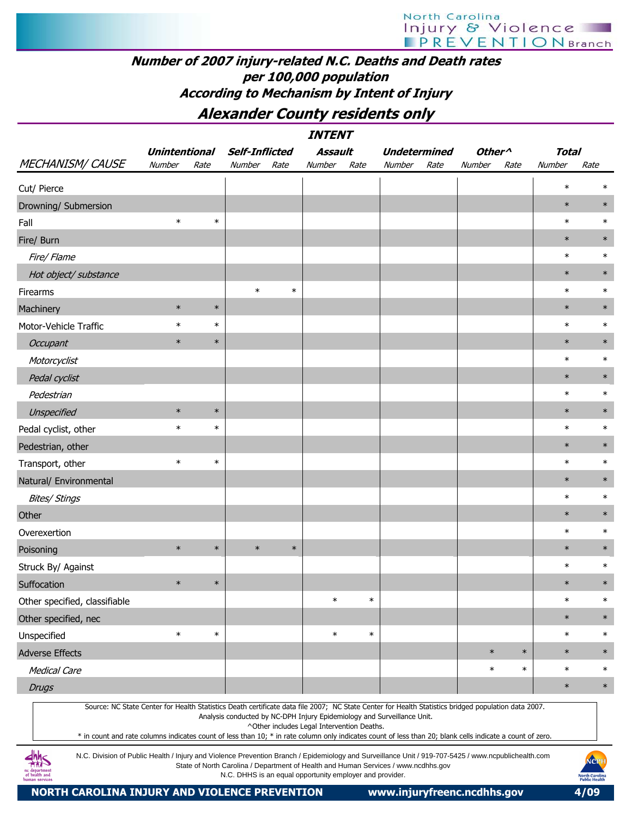### Number of 2007 injury-related N.C. Deaths and Death rates per 100,000 population According to Mechanism by Intent of Injury

Alexander County residents only

|                                                                                                                                                                                                                                                                                                                  |                      |        |                                                                                                                                                |        | <i><b>INTENT</b></i>                       |        |                     |      |                    |        |              |                                                                |
|------------------------------------------------------------------------------------------------------------------------------------------------------------------------------------------------------------------------------------------------------------------------------------------------------------------|----------------------|--------|------------------------------------------------------------------------------------------------------------------------------------------------|--------|--------------------------------------------|--------|---------------------|------|--------------------|--------|--------------|----------------------------------------------------------------|
|                                                                                                                                                                                                                                                                                                                  | <b>Unintentional</b> |        | <b>Self-Inflicted</b>                                                                                                                          |        | Assault                                    |        | <b>Undetermined</b> |      | Other <sup>^</sup> |        | <b>Total</b> |                                                                |
| MECHANISM/ CAUSE                                                                                                                                                                                                                                                                                                 | Number               | Rate   | Number                                                                                                                                         | Rate   | Number                                     | Rate   | Number              | Rate | Number             | Rate   | Number       | Rate                                                           |
| Cut/ Pierce                                                                                                                                                                                                                                                                                                      |                      |        |                                                                                                                                                |        |                                            |        |                     |      |                    |        | $\ast$       | $\ast$                                                         |
| Drowning/ Submersion                                                                                                                                                                                                                                                                                             |                      |        |                                                                                                                                                |        |                                            |        |                     |      |                    |        | $\ast$       | $\ast$                                                         |
| Fall                                                                                                                                                                                                                                                                                                             | $\ast$               | $\ast$ |                                                                                                                                                |        |                                            |        |                     |      |                    |        | $\ast$       | $\ast$                                                         |
| Fire/ Burn                                                                                                                                                                                                                                                                                                       |                      |        |                                                                                                                                                |        |                                            |        |                     |      |                    |        | $\ast$       | $\ast$                                                         |
| Fire/ Flame                                                                                                                                                                                                                                                                                                      |                      |        |                                                                                                                                                |        |                                            |        |                     |      |                    |        | $\ast$       | $\ast$                                                         |
| Hot object/ substance                                                                                                                                                                                                                                                                                            |                      |        |                                                                                                                                                |        |                                            |        |                     |      |                    |        | $\ast$       | $\ast$                                                         |
| Firearms                                                                                                                                                                                                                                                                                                         |                      |        | $\ast$                                                                                                                                         | $\ast$ |                                            |        |                     |      |                    |        | $\ast$       | $\ast$                                                         |
| Machinery                                                                                                                                                                                                                                                                                                        | $\ast$               | $\ast$ |                                                                                                                                                |        |                                            |        |                     |      |                    |        | $\ast$       | $\ast$                                                         |
| Motor-Vehicle Traffic                                                                                                                                                                                                                                                                                            | $\ast$               | $\ast$ |                                                                                                                                                |        |                                            |        |                     |      |                    |        | $\ast$       | $\ast$                                                         |
| Occupant                                                                                                                                                                                                                                                                                                         | $\ast$               | $\ast$ |                                                                                                                                                |        |                                            |        |                     |      |                    |        | $\ast$       | $\ast$                                                         |
| Motorcyclist                                                                                                                                                                                                                                                                                                     |                      |        |                                                                                                                                                |        |                                            |        |                     |      |                    |        | $\ast$       | $\ast$                                                         |
| Pedal cyclist                                                                                                                                                                                                                                                                                                    |                      |        |                                                                                                                                                |        |                                            |        |                     |      |                    |        | $\ast$       | $\ast$                                                         |
| Pedestrian                                                                                                                                                                                                                                                                                                       |                      |        |                                                                                                                                                |        |                                            |        |                     |      |                    |        | $\ast$       | $\ast$                                                         |
| Unspecified                                                                                                                                                                                                                                                                                                      | $\ast$               | $\ast$ |                                                                                                                                                |        |                                            |        |                     |      |                    |        | $\ast$       | $\ast$                                                         |
| Pedal cyclist, other                                                                                                                                                                                                                                                                                             | $\ast$               | $\ast$ |                                                                                                                                                |        |                                            |        |                     |      |                    |        | $\ast$       | $\ast$                                                         |
| Pedestrian, other                                                                                                                                                                                                                                                                                                |                      |        |                                                                                                                                                |        |                                            |        |                     |      |                    |        | $\ast$       | $\ast$                                                         |
| Transport, other                                                                                                                                                                                                                                                                                                 | $\ast$               | $\ast$ |                                                                                                                                                |        |                                            |        |                     |      |                    |        | $\ast$       | $\ast$                                                         |
| Natural/ Environmental                                                                                                                                                                                                                                                                                           |                      |        |                                                                                                                                                |        |                                            |        |                     |      |                    |        | $\ast$       | $\ast$                                                         |
| <b>Bites/ Stings</b>                                                                                                                                                                                                                                                                                             |                      |        |                                                                                                                                                |        |                                            |        |                     |      |                    |        | $\ast$       | $\ast$                                                         |
| Other                                                                                                                                                                                                                                                                                                            |                      |        |                                                                                                                                                |        |                                            |        |                     |      |                    |        | $\ast$       | $\ast$                                                         |
| Overexertion                                                                                                                                                                                                                                                                                                     |                      |        |                                                                                                                                                |        |                                            |        |                     |      |                    |        | $\ast$       | $\ast$                                                         |
| Poisoning                                                                                                                                                                                                                                                                                                        | $\ast$               | $\ast$ | $\ast$                                                                                                                                         | $\ast$ |                                            |        |                     |      |                    |        | $\ast$       | $\ast$                                                         |
| Struck By/ Against                                                                                                                                                                                                                                                                                               |                      |        |                                                                                                                                                |        |                                            |        |                     |      |                    |        | $\ast$       | $\ast$                                                         |
| Suffocation                                                                                                                                                                                                                                                                                                      | $\ast$               | $\ast$ |                                                                                                                                                |        |                                            |        |                     |      |                    |        | $\ast$       | $\ast$                                                         |
| Other specified, classifiable                                                                                                                                                                                                                                                                                    |                      |        |                                                                                                                                                |        | $\ast$                                     | $\ast$ |                     |      |                    |        | $\ast$       | $\ast$                                                         |
| Other specified, nec                                                                                                                                                                                                                                                                                             |                      |        |                                                                                                                                                |        |                                            |        |                     |      |                    |        | $\ast$       | $\ast$                                                         |
| Unspecified                                                                                                                                                                                                                                                                                                      | $\ast$               | $\ast$ |                                                                                                                                                |        | $\ast$                                     | $\ast$ |                     |      |                    |        | $\ast$       | $\ast$                                                         |
| <b>Adverse Effects</b>                                                                                                                                                                                                                                                                                           |                      |        |                                                                                                                                                |        |                                            |        |                     |      | $\ast$             | $\ast$ | $\ast$       | $\ast$                                                         |
| <b>Medical Care</b>                                                                                                                                                                                                                                                                                              |                      |        |                                                                                                                                                |        |                                            |        |                     |      | $\ast$             | $\ast$ | $\ast$       | $\ast$                                                         |
| <b>Drugs</b>                                                                                                                                                                                                                                                                                                     |                      |        |                                                                                                                                                |        |                                            |        |                     |      |                    |        | $\ast$       | $\ast$                                                         |
| Source: NC State Center for Health Statistics Death certificate data file 2007; NC State Center for Health Statistics bridged population data 2007.<br>* in count and rate columns indicates count of less than 10; * in rate column only indicates count of less than 20; blank cells indicate a count of zero. |                      |        | Analysis conducted by NC-DPH Injury Epidemiology and Surveillance Unit.                                                                        |        | ^Other includes Legal Intervention Deaths. |        |                     |      |                    |        |              |                                                                |
| N.C. Division of Public Health / Injury and Violence Prevention Branch / Epidemiology and Surveillance Unit / 919-707-5425 / www.ncpublichealth.com<br>of health and<br>luman service                                                                                                                            |                      |        | State of North Carolina / Department of Health and Human Services / www.ncdhhs.gov<br>N.C. DHHS is an equal opportunity employer and provider. |        |                                            |        |                     |      |                    |        |              | NCP<br><mark>North Carolin</mark><br>Public Heal <del>th</del> |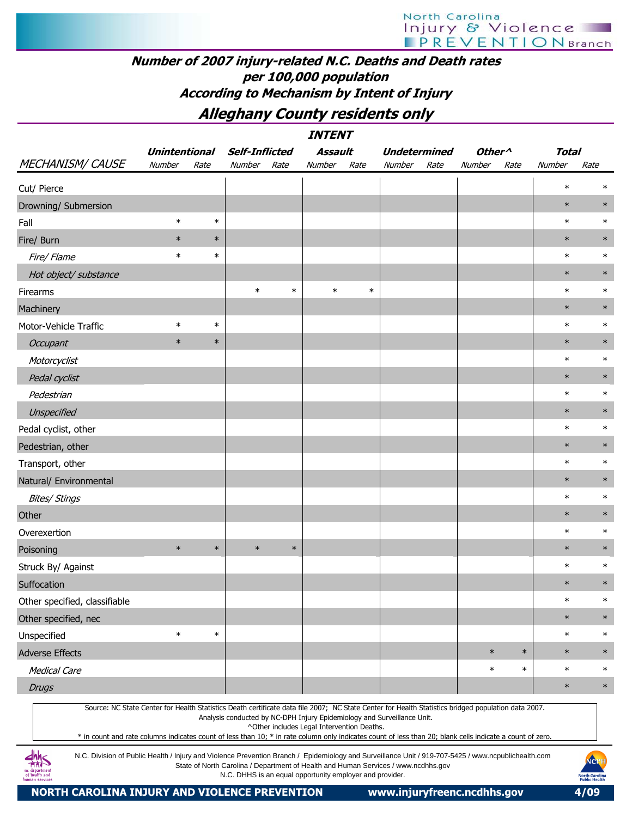## Number of 2007 injury-related N.C. Deaths and Death rates per 100,000 population According to Mechanism by Intent of Injury

Alleghany County residents only

|                               |                      |        |                |        | <b>INTENT</b> |        |        |                     |                    |        |              |        |
|-------------------------------|----------------------|--------|----------------|--------|---------------|--------|--------|---------------------|--------------------|--------|--------------|--------|
|                               | <b>Unintentional</b> |        | Self-Inflicted |        | Assault       |        |        | <b>Undetermined</b> | Other <sup>^</sup> |        | <b>Total</b> |        |
| MECHANISM/CAUSE               | Number               | Rate   | Number         | Rate   | Number        | Rate   | Number | Rate                | Number             | Rate   | Number       | Rate   |
| Cut/ Pierce                   |                      |        |                |        |               |        |        |                     |                    |        | $\ast$       | $\ast$ |
| Drowning/ Submersion          |                      |        |                |        |               |        |        |                     |                    |        | $\ast$       | $\ast$ |
| Fall                          | $\ast$               | $\ast$ |                |        |               |        |        |                     |                    |        | $\ast$       | $\ast$ |
| Fire/ Burn                    | $\ast$               | $\ast$ |                |        |               |        |        |                     |                    |        | $\ast$       | $\ast$ |
| Fire/ Flame                   | $\ast$               | $\ast$ |                |        |               |        |        |                     |                    |        | $\ast$       | $\ast$ |
| Hot object/ substance         |                      |        |                |        |               |        |        |                     |                    |        | $\ast$       | $\ast$ |
| Firearms                      |                      |        | $\ast$         | $\ast$ | $\ast$        | $\ast$ |        |                     |                    |        | $\ast$       | $\ast$ |
| Machinery                     |                      |        |                |        |               |        |        |                     |                    |        | $\ast$       | $\ast$ |
| Motor-Vehicle Traffic         | $\ast$               | $\ast$ |                |        |               |        |        |                     |                    |        | $\ast$       | $\ast$ |
| Occupant                      | $\ast$               | $\ast$ |                |        |               |        |        |                     |                    |        | $\ast$       | $\ast$ |
| Motorcyclist                  |                      |        |                |        |               |        |        |                     |                    |        | $\ast$       | $\ast$ |
| Pedal cyclist                 |                      |        |                |        |               |        |        |                     |                    |        | $\ast$       | $\ast$ |
| Pedestrian                    |                      |        |                |        |               |        |        |                     |                    |        | $\ast$       | $\ast$ |
| Unspecified                   |                      |        |                |        |               |        |        |                     |                    |        | $\ast$       | $\ast$ |
| Pedal cyclist, other          |                      |        |                |        |               |        |        |                     |                    |        | $\ast$       | $\ast$ |
| Pedestrian, other             |                      |        |                |        |               |        |        |                     |                    |        | $\ast$       | $\ast$ |
| Transport, other              |                      |        |                |        |               |        |        |                     |                    |        | $\ast$       | $\ast$ |
| Natural/ Environmental        |                      |        |                |        |               |        |        |                     |                    |        | $\ast$       | $\ast$ |
| <b>Bites/ Stings</b>          |                      |        |                |        |               |        |        |                     |                    |        | $\ast$       | $\ast$ |
| Other                         |                      |        |                |        |               |        |        |                     |                    |        | $\ast$       | $\ast$ |
| Overexertion                  |                      |        |                |        |               |        |        |                     |                    |        | $\ast$       | $\ast$ |
| Poisoning                     | $\ast$               | $\ast$ | $\ast$         | $\ast$ |               |        |        |                     |                    |        | $\ast$       | $\ast$ |
| Struck By/ Against            |                      |        |                |        |               |        |        |                     |                    |        | $\ast$       | $\ast$ |
| Suffocation                   |                      |        |                |        |               |        |        |                     |                    |        | $\ast$       | $\ast$ |
| Other specified, classifiable |                      |        |                |        |               |        |        |                     |                    |        | $\ast$       | $\ast$ |
| Other specified, nec          |                      |        |                |        |               |        |        |                     |                    |        | $\ast$       | $\ast$ |
| Unspecified                   | $\ast$               | $\ast$ |                |        |               |        |        |                     |                    |        | $\ast$       | $\ast$ |
| Adverse Effects               |                      |        |                |        |               |        |        |                     | $\ast$             | $\ast$ | $\ast$       | $\ast$ |
| Medical Care                  |                      |        |                |        |               |        |        |                     | $\ast$             | $\ast$ | $\ast$       | $\ast$ |
| <b>Drugs</b>                  |                      |        |                |        |               |        |        |                     |                    |        | $\ast$       | $\ast$ |
|                               |                      |        |                |        |               |        |        |                     |                    |        |              |        |

Source: NC State Center for Health Statistics Death certificate data file 2007; NC State Center for Health Statistics bridged population data 2007.

Analysis conducted by NC-DPH Injury Epidemiology and Surveillance Unit.

^Other includes Legal Intervention Deaths.

\* in count and rate columns indicates count of less than 10; \* in rate column only indicates count of less than 20; blank cells indicate a count of zero.

N.C. Division of Public Health / Injury and Violence Prevention Branch / Epidemiology and Surveillance Unit / 919-707-5425 / www.ncpublichealth.com State of North Carolina / Department of Health and Human Services / www.ncdhhs.gov N.C. DHHS is an equal opportunity employer and provider.

 $4M<sub>5</sub>$ 1c departmen<br>of health and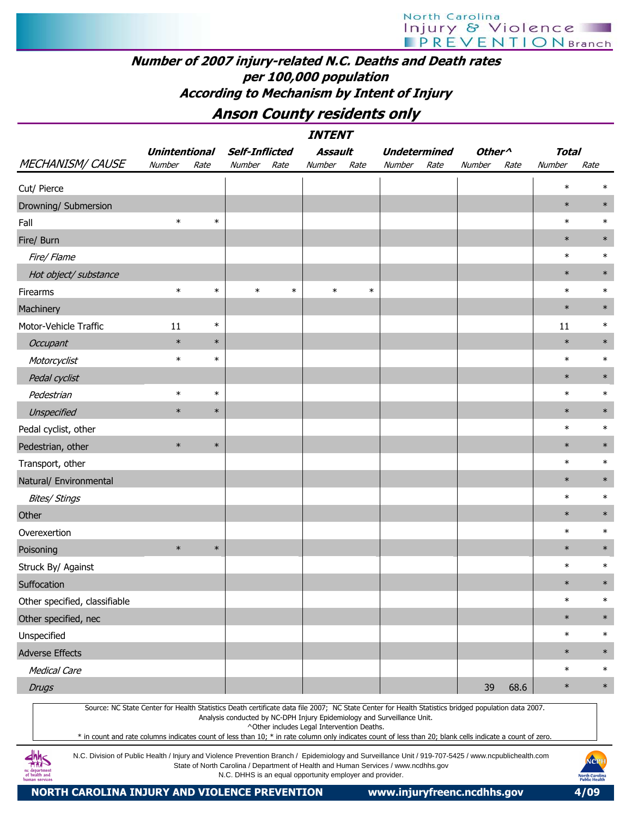## Number of 2007 injury-related N.C. Deaths and Death rates per 100,000 population According to Mechanism by Intent of Injury

Anson County residents only

|                                                                                                                                                                                                                                                                                                                  | <i><b>INTENT</b></i><br>Assault<br>Other <sup>^</sup><br><b>Unintentional</b><br><b>Self-Inflicted</b><br><b>Undetermined</b><br><b>Total</b> |        |        |        |                                            |        |                                                                                    |      |        |      |        |        |  |  |
|------------------------------------------------------------------------------------------------------------------------------------------------------------------------------------------------------------------------------------------------------------------------------------------------------------------|-----------------------------------------------------------------------------------------------------------------------------------------------|--------|--------|--------|--------------------------------------------|--------|------------------------------------------------------------------------------------|------|--------|------|--------|--------|--|--|
|                                                                                                                                                                                                                                                                                                                  |                                                                                                                                               |        |        |        |                                            |        |                                                                                    |      |        |      |        |        |  |  |
| <b>MECHANISM/ CAUSE</b>                                                                                                                                                                                                                                                                                          | Number                                                                                                                                        | Rate   | Number | Rate   | <b>Number</b>                              | Rate   | Number                                                                             | Rate | Number | Rate | Number | Rate   |  |  |
| Cut/ Pierce                                                                                                                                                                                                                                                                                                      |                                                                                                                                               |        |        |        |                                            |        |                                                                                    |      |        |      | $\ast$ | ж      |  |  |
| Drowning/ Submersion                                                                                                                                                                                                                                                                                             |                                                                                                                                               |        |        |        |                                            |        |                                                                                    |      |        |      | $\ast$ | $\ast$ |  |  |
| Fall                                                                                                                                                                                                                                                                                                             | $\ast$                                                                                                                                        | $\ast$ |        |        |                                            |        |                                                                                    |      |        |      | $\ast$ | $\ast$ |  |  |
| Fire/ Burn                                                                                                                                                                                                                                                                                                       |                                                                                                                                               |        |        |        |                                            |        |                                                                                    |      |        |      | $\ast$ |        |  |  |
| Fire/ Flame                                                                                                                                                                                                                                                                                                      |                                                                                                                                               |        |        |        |                                            |        |                                                                                    |      |        |      | $\ast$ | $\ast$ |  |  |
| Hot object/ substance                                                                                                                                                                                                                                                                                            |                                                                                                                                               |        |        |        |                                            |        |                                                                                    |      |        |      | $\ast$ | $\ast$ |  |  |
| Firearms                                                                                                                                                                                                                                                                                                         | $\ast$                                                                                                                                        | $\ast$ | $\ast$ | $\ast$ | $\ast$                                     | $\ast$ |                                                                                    |      |        |      | $\ast$ | $\ast$ |  |  |
| Machinery                                                                                                                                                                                                                                                                                                        |                                                                                                                                               |        |        |        |                                            |        |                                                                                    |      |        |      | $\ast$ | $\ast$ |  |  |
| Motor-Vehicle Traffic                                                                                                                                                                                                                                                                                            | 11                                                                                                                                            | $\ast$ |        |        |                                            |        |                                                                                    |      |        |      | 11     | $\ast$ |  |  |
| Occupant                                                                                                                                                                                                                                                                                                         | $\ast$                                                                                                                                        | $\ast$ |        |        |                                            |        |                                                                                    |      |        |      | $\ast$ | $\ast$ |  |  |
| Motorcyclist                                                                                                                                                                                                                                                                                                     | $\ast$                                                                                                                                        | $\ast$ |        |        |                                            |        |                                                                                    |      |        |      | $\ast$ | $\ast$ |  |  |
| Pedal cyclist                                                                                                                                                                                                                                                                                                    |                                                                                                                                               |        |        |        |                                            |        |                                                                                    |      |        |      | $\ast$ | $\ast$ |  |  |
| Pedestrian                                                                                                                                                                                                                                                                                                       | $\ast$                                                                                                                                        | $\ast$ |        |        |                                            |        |                                                                                    |      |        |      | $\ast$ | $\ast$ |  |  |
| Unspecified                                                                                                                                                                                                                                                                                                      | $\ast$                                                                                                                                        | $\ast$ |        |        |                                            |        |                                                                                    |      |        |      | $\ast$ | $\ast$ |  |  |
| Pedal cyclist, other                                                                                                                                                                                                                                                                                             |                                                                                                                                               |        |        |        |                                            |        |                                                                                    |      |        |      | $\ast$ | $\ast$ |  |  |
| Pedestrian, other                                                                                                                                                                                                                                                                                                | $\ast$                                                                                                                                        | $\ast$ |        |        |                                            |        |                                                                                    |      |        |      | $\ast$ | $\ast$ |  |  |
| Transport, other                                                                                                                                                                                                                                                                                                 |                                                                                                                                               |        |        |        |                                            |        |                                                                                    |      |        |      | $\ast$ | $\ast$ |  |  |
| Natural/ Environmental                                                                                                                                                                                                                                                                                           |                                                                                                                                               |        |        |        |                                            |        |                                                                                    |      |        |      | $\ast$ | $\ast$ |  |  |
| <b>Bites/ Stings</b>                                                                                                                                                                                                                                                                                             |                                                                                                                                               |        |        |        |                                            |        |                                                                                    |      |        |      | $\ast$ | $\ast$ |  |  |
| Other                                                                                                                                                                                                                                                                                                            |                                                                                                                                               |        |        |        |                                            |        |                                                                                    |      |        |      | $\ast$ | $\ast$ |  |  |
| Overexertion                                                                                                                                                                                                                                                                                                     |                                                                                                                                               |        |        |        |                                            |        |                                                                                    |      |        |      | $\ast$ | $\ast$ |  |  |
| Poisoning                                                                                                                                                                                                                                                                                                        | $\ast$                                                                                                                                        | $\ast$ |        |        |                                            |        |                                                                                    |      |        |      | $\ast$ |        |  |  |
| Struck By/ Against                                                                                                                                                                                                                                                                                               |                                                                                                                                               |        |        |        |                                            |        |                                                                                    |      |        |      | $\ast$ | $\ast$ |  |  |
| Suffocation                                                                                                                                                                                                                                                                                                      |                                                                                                                                               |        |        |        |                                            |        |                                                                                    |      |        |      | $\ast$ | $\ast$ |  |  |
| Other specified, classifiable                                                                                                                                                                                                                                                                                    |                                                                                                                                               |        |        |        |                                            |        |                                                                                    |      |        |      | $\ast$ | $\ast$ |  |  |
| Other specified, nec                                                                                                                                                                                                                                                                                             |                                                                                                                                               |        |        |        |                                            |        |                                                                                    |      |        |      | $\ast$ | $\ast$ |  |  |
| Unspecified                                                                                                                                                                                                                                                                                                      |                                                                                                                                               |        |        |        |                                            |        |                                                                                    |      |        |      | $\ast$ | $\ast$ |  |  |
| <b>Adverse Effects</b>                                                                                                                                                                                                                                                                                           |                                                                                                                                               |        |        |        |                                            |        |                                                                                    |      |        |      | $\ast$ | $\ast$ |  |  |
| <b>Medical Care</b>                                                                                                                                                                                                                                                                                              |                                                                                                                                               |        |        |        |                                            |        |                                                                                    |      |        |      | $\ast$ | $\ast$ |  |  |
| <b>Drugs</b>                                                                                                                                                                                                                                                                                                     |                                                                                                                                               |        |        |        |                                            |        |                                                                                    |      | 39     | 68.6 | $\ast$ | $\ast$ |  |  |
| Source: NC State Center for Health Statistics Death certificate data file 2007; NC State Center for Health Statistics bridged population data 2007.<br>* in count and rate columns indicates count of less than 10; * in rate column only indicates count of less than 20; blank cells indicate a count of zero. |                                                                                                                                               |        |        |        | ^Other includes Legal Intervention Deaths. |        | Analysis conducted by NC-DPH Injury Epidemiology and Surveillance Unit.            |      |        |      |        |        |  |  |
| N.C. Division of Public Health / Injury and Violence Prevention Branch / Epidemiology and Surveillance Unit / 919-707-5425 / www.ncpublichealth.com                                                                                                                                                              |                                                                                                                                               |        |        |        |                                            |        | State of North Carolina / Department of Health and Human Services / www.ncdhhs.gov |      |        |      |        | NCPH   |  |  |

N.C. DHHS is an equal opportunity employer and provider.



NORTH CAROLINA INJURY AND VIOLENCE PREVENTION www.injuryfreenc.ncdhhs.gov 4/09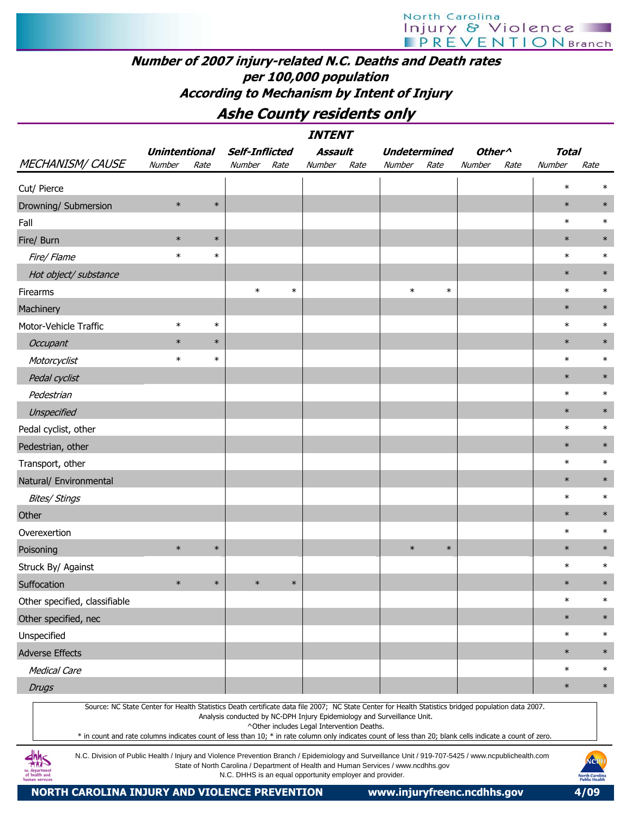# Ashe County residents only

|                                                                                                                                                                                                                                                                                                                  |                      |        |                                                          |        | <i><b>INTENT</b></i>                       |      |                                                                                    |        |                    |      |              |                                       |
|------------------------------------------------------------------------------------------------------------------------------------------------------------------------------------------------------------------------------------------------------------------------------------------------------------------|----------------------|--------|----------------------------------------------------------|--------|--------------------------------------------|------|------------------------------------------------------------------------------------|--------|--------------------|------|--------------|---------------------------------------|
|                                                                                                                                                                                                                                                                                                                  | <b>Unintentional</b> |        | <b>Self-Inflicted</b>                                    |        | <b>Assault</b>                             |      | <b>Undetermined</b>                                                                |        | Other <sup>^</sup> |      | <b>Total</b> |                                       |
| <b>MECHANISM/ CAUSE</b>                                                                                                                                                                                                                                                                                          | Number               | Rate   | Number                                                   | Rate   | Number                                     | Rate | Number                                                                             | Rate   | Number             | Rate | Number       | Rate                                  |
| Cut/ Pierce                                                                                                                                                                                                                                                                                                      |                      |        |                                                          |        |                                            |      |                                                                                    |        |                    |      | $\ast$       | $\ast$                                |
| Drowning/ Submersion                                                                                                                                                                                                                                                                                             | $\ast$               | $\ast$ |                                                          |        |                                            |      |                                                                                    |        |                    |      | $\ast$       | $\ast$                                |
| Fall                                                                                                                                                                                                                                                                                                             |                      |        |                                                          |        |                                            |      |                                                                                    |        |                    |      | $\ast$       | $\ast$                                |
| Fire/ Burn                                                                                                                                                                                                                                                                                                       | $\ast$               | $\ast$ |                                                          |        |                                            |      |                                                                                    |        |                    |      | $\ast$       | $\ast$                                |
| Fire/ Flame                                                                                                                                                                                                                                                                                                      | $\ast$               | $\ast$ |                                                          |        |                                            |      |                                                                                    |        |                    |      | $\ast$       | $\ast$                                |
| Hot object/ substance                                                                                                                                                                                                                                                                                            |                      |        |                                                          |        |                                            |      |                                                                                    |        |                    |      | $\ast$       | $\ast$                                |
| Firearms                                                                                                                                                                                                                                                                                                         |                      |        | $\ast$                                                   | $\ast$ |                                            |      | $\ast$                                                                             | $\ast$ |                    |      | $\ast$       | $\ast$                                |
| Machinery                                                                                                                                                                                                                                                                                                        |                      |        |                                                          |        |                                            |      |                                                                                    |        |                    |      | $\ast$       | $\ast$                                |
| Motor-Vehicle Traffic                                                                                                                                                                                                                                                                                            | $\ast$               | $\ast$ |                                                          |        |                                            |      |                                                                                    |        |                    |      | $\ast$       | $\ast$                                |
| Occupant                                                                                                                                                                                                                                                                                                         | $\ast$               | $\ast$ |                                                          |        |                                            |      |                                                                                    |        |                    |      | $\ast$       | $\ast$                                |
| Motorcyclist                                                                                                                                                                                                                                                                                                     | $\ast$               | $\ast$ |                                                          |        |                                            |      |                                                                                    |        |                    |      | $\ast$       | $\ast$                                |
| Pedal cyclist                                                                                                                                                                                                                                                                                                    |                      |        |                                                          |        |                                            |      |                                                                                    |        |                    |      | $\ast$       | $\ast$                                |
| Pedestrian                                                                                                                                                                                                                                                                                                       |                      |        |                                                          |        |                                            |      |                                                                                    |        |                    |      | $\ast$       | $\ast$                                |
| Unspecified                                                                                                                                                                                                                                                                                                      |                      |        |                                                          |        |                                            |      |                                                                                    |        |                    |      | $\ast$       | $\ast$                                |
| Pedal cyclist, other                                                                                                                                                                                                                                                                                             |                      |        |                                                          |        |                                            |      |                                                                                    |        |                    |      | $\ast$       | $\ast$                                |
| Pedestrian, other                                                                                                                                                                                                                                                                                                |                      |        |                                                          |        |                                            |      |                                                                                    |        |                    |      | $\ast$       | $\ast$                                |
| Transport, other                                                                                                                                                                                                                                                                                                 |                      |        |                                                          |        |                                            |      |                                                                                    |        |                    |      | $\ast$       | $\ast$                                |
| Natural/ Environmental                                                                                                                                                                                                                                                                                           |                      |        |                                                          |        |                                            |      |                                                                                    |        |                    |      | $\ast$       | $\ast$                                |
| <b>Bites/ Stings</b>                                                                                                                                                                                                                                                                                             |                      |        |                                                          |        |                                            |      |                                                                                    |        |                    |      | $\ast$       | $\ast$                                |
| Other                                                                                                                                                                                                                                                                                                            |                      |        |                                                          |        |                                            |      |                                                                                    |        |                    |      | $\ast$       | $\ast$                                |
| Overexertion                                                                                                                                                                                                                                                                                                     |                      |        |                                                          |        |                                            |      |                                                                                    |        |                    |      | $\ast$       | $\ast$                                |
| Poisoning                                                                                                                                                                                                                                                                                                        | $\ast$               | $\ast$ |                                                          |        |                                            |      | $\ast$                                                                             | $\ast$ |                    |      | $\ast$       | $\ast$                                |
| Struck By/ Against                                                                                                                                                                                                                                                                                               |                      |        |                                                          |        |                                            |      |                                                                                    |        |                    |      | $\ast$       | $\ast$                                |
| Suffocation                                                                                                                                                                                                                                                                                                      | $\ast$               | $\ast$ | $\ast$                                                   | $\ast$ |                                            |      |                                                                                    |        |                    |      | $\ast$       | $\ast$                                |
| Other specified, classifiable                                                                                                                                                                                                                                                                                    |                      |        |                                                          |        |                                            |      |                                                                                    |        |                    |      | $\ast$       | $\ast$                                |
| Other specified, nec                                                                                                                                                                                                                                                                                             |                      |        |                                                          |        |                                            |      |                                                                                    |        |                    |      | $\ast$       | $\ast$                                |
| Unspecified                                                                                                                                                                                                                                                                                                      |                      |        |                                                          |        |                                            |      |                                                                                    |        |                    |      | $\ast$       | $\ast$                                |
| <b>Adverse Effects</b>                                                                                                                                                                                                                                                                                           |                      |        |                                                          |        |                                            |      |                                                                                    |        |                    |      | $\ast$       | $\ast$                                |
| <b>Medical Care</b>                                                                                                                                                                                                                                                                                              |                      |        |                                                          |        |                                            |      |                                                                                    |        |                    |      | $\ast$       | $\ast$                                |
| <b>Drugs</b>                                                                                                                                                                                                                                                                                                     |                      |        |                                                          |        |                                            |      |                                                                                    |        |                    |      | $\ast$       | $\ast$                                |
| Source: NC State Center for Health Statistics Death certificate data file 2007; NC State Center for Health Statistics bridged population data 2007.<br>* in count and rate columns indicates count of less than 10; * in rate column only indicates count of less than 20; blank cells indicate a count of zero. |                      |        |                                                          |        | ^Other includes Legal Intervention Deaths. |      | Analysis conducted by NC-DPH Injury Epidemiology and Surveillance Unit.            |        |                    |      |              |                                       |
| N.C. Division of Public Health / Injury and Violence Prevention Branch / Epidemiology and Surveillance Unit / 919-707-5425 / www.ncpublichealth.com<br>. departmen<br>of health and<br>human services                                                                                                            |                      |        | N.C. DHHS is an equal opportunity employer and provider. |        |                                            |      | State of North Carolina / Department of Health and Human Services / www.ncdhhs.gov |        |                    |      |              | NCP<br>North Carolin<br>Public Health |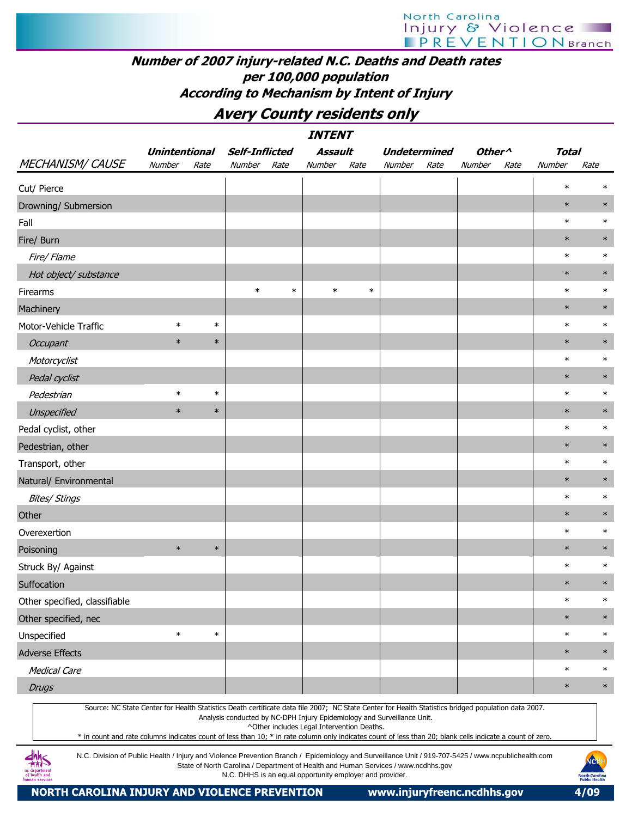Avery County residents only

|                                                                                                                                                                                                                                                                                                                  |                      |        |                                                         |        | <b>INTENT</b>                              |        |                                                                                    |      |                    |      |              |        |
|------------------------------------------------------------------------------------------------------------------------------------------------------------------------------------------------------------------------------------------------------------------------------------------------------------------|----------------------|--------|---------------------------------------------------------|--------|--------------------------------------------|--------|------------------------------------------------------------------------------------|------|--------------------|------|--------------|--------|
|                                                                                                                                                                                                                                                                                                                  | <b>Unintentional</b> |        | <b>Self-Inflicted</b>                                   |        | Assault                                    |        | <b>Undetermined</b>                                                                |      | Other <sup>^</sup> |      | <b>Total</b> |        |
| <b>MECHANISM/ CAUSE</b>                                                                                                                                                                                                                                                                                          | Number               | Rate   | Number                                                  | Rate   | Number                                     | Rate   | Number                                                                             | Rate | Number             | Rate | Number       | Rate   |
| Cut/ Pierce                                                                                                                                                                                                                                                                                                      |                      |        |                                                         |        |                                            |        |                                                                                    |      |                    |      | $\ast$       | $\ast$ |
| Drowning/ Submersion                                                                                                                                                                                                                                                                                             |                      |        |                                                         |        |                                            |        |                                                                                    |      |                    |      | $\ast$       | $\ast$ |
| Fall                                                                                                                                                                                                                                                                                                             |                      |        |                                                         |        |                                            |        |                                                                                    |      |                    |      | $\ast$       | $\ast$ |
| Fire/ Burn                                                                                                                                                                                                                                                                                                       |                      |        |                                                         |        |                                            |        |                                                                                    |      |                    |      | $\ast$       | $\ast$ |
| Fire/ Flame                                                                                                                                                                                                                                                                                                      |                      |        |                                                         |        |                                            |        |                                                                                    |      |                    |      | $\ast$       | $\ast$ |
| Hot object/ substance                                                                                                                                                                                                                                                                                            |                      |        |                                                         |        |                                            |        |                                                                                    |      |                    |      | $\ast$       | $\ast$ |
| Firearms                                                                                                                                                                                                                                                                                                         |                      |        | $\ast$                                                  | $\ast$ | $\ast$                                     | $\ast$ |                                                                                    |      |                    |      | $\ast$       | $\ast$ |
| Machinery                                                                                                                                                                                                                                                                                                        |                      |        |                                                         |        |                                            |        |                                                                                    |      |                    |      | $\ast$       | $\ast$ |
| Motor-Vehicle Traffic                                                                                                                                                                                                                                                                                            | $\ast$               | $\ast$ |                                                         |        |                                            |        |                                                                                    |      |                    |      | $\ast$       | $\ast$ |
| Occupant                                                                                                                                                                                                                                                                                                         | $\ast$               | $\ast$ |                                                         |        |                                            |        |                                                                                    |      |                    |      | $\ast$       | $\ast$ |
| Motorcyclist                                                                                                                                                                                                                                                                                                     |                      |        |                                                         |        |                                            |        |                                                                                    |      |                    |      | $\ast$       | $\ast$ |
| Pedal cyclist                                                                                                                                                                                                                                                                                                    |                      |        |                                                         |        |                                            |        |                                                                                    |      |                    |      | $\ast$       | $\ast$ |
| Pedestrian                                                                                                                                                                                                                                                                                                       | $\ast$               | $\ast$ |                                                         |        |                                            |        |                                                                                    |      |                    |      | $\ast$       | $\ast$ |
| Unspecified                                                                                                                                                                                                                                                                                                      | $\ast$               | $\ast$ |                                                         |        |                                            |        |                                                                                    |      |                    |      | $\ast$       | $\ast$ |
| Pedal cyclist, other                                                                                                                                                                                                                                                                                             |                      |        |                                                         |        |                                            |        |                                                                                    |      |                    |      | $\ast$       | $\ast$ |
| Pedestrian, other                                                                                                                                                                                                                                                                                                |                      |        |                                                         |        |                                            |        |                                                                                    |      |                    |      | $\ast$       | $\ast$ |
| Transport, other                                                                                                                                                                                                                                                                                                 |                      |        |                                                         |        |                                            |        |                                                                                    |      |                    |      | $\ast$       | $\ast$ |
| Natural/ Environmental                                                                                                                                                                                                                                                                                           |                      |        |                                                         |        |                                            |        |                                                                                    |      |                    |      | $\ast$       | $\ast$ |
| <b>Bites/ Stings</b>                                                                                                                                                                                                                                                                                             |                      |        |                                                         |        |                                            |        |                                                                                    |      |                    |      | $\ast$       | $\ast$ |
| Other                                                                                                                                                                                                                                                                                                            |                      |        |                                                         |        |                                            |        |                                                                                    |      |                    |      | $\ast$       | $\ast$ |
| Overexertion                                                                                                                                                                                                                                                                                                     |                      |        |                                                         |        |                                            |        |                                                                                    |      |                    |      | $\ast$       | $\ast$ |
| Poisoning                                                                                                                                                                                                                                                                                                        | $\ast$               | $\ast$ |                                                         |        |                                            |        |                                                                                    |      |                    |      | $\ast$       | $\ast$ |
| Struck By/ Against                                                                                                                                                                                                                                                                                               |                      |        |                                                         |        |                                            |        |                                                                                    |      |                    |      | $\ast$       | $\ast$ |
| Suffocation                                                                                                                                                                                                                                                                                                      |                      |        |                                                         |        |                                            |        |                                                                                    |      |                    |      | $\ast$       | $\ast$ |
| Other specified, classifiable                                                                                                                                                                                                                                                                                    |                      |        |                                                         |        |                                            |        |                                                                                    |      |                    |      | $\ast$       | $\ast$ |
| Other specified, nec                                                                                                                                                                                                                                                                                             |                      |        |                                                         |        |                                            |        |                                                                                    |      |                    |      | $\ast$       | $\ast$ |
| Unspecified                                                                                                                                                                                                                                                                                                      | $\ast$               | $\ast$ |                                                         |        |                                            |        |                                                                                    |      |                    |      | $\ast$       | $\ast$ |
| <b>Adverse Effects</b>                                                                                                                                                                                                                                                                                           |                      |        |                                                         |        |                                            |        |                                                                                    |      |                    |      | $\ast$       | $\ast$ |
| <b>Medical Care</b>                                                                                                                                                                                                                                                                                              |                      |        |                                                         |        |                                            |        |                                                                                    |      |                    |      | $\ast$       | $\ast$ |
| <b>Drugs</b>                                                                                                                                                                                                                                                                                                     |                      |        |                                                         |        |                                            |        |                                                                                    |      |                    |      | $\ast$       | $\ast$ |
| Source: NC State Center for Health Statistics Death certificate data file 2007; NC State Center for Health Statistics bridged population data 2007.<br>* in count and rate columns indicates count of less than 10; * in rate column only indicates count of less than 20; blank cells indicate a count of zero. |                      |        |                                                         |        | ^Other includes Legal Intervention Deaths. |        | Analysis conducted by NC-DPH Injury Epidemiology and Surveillance Unit.            |      |                    |      |              |        |
| N.C. Division of Public Health / Injury and Violence Prevention Branch / Epidemiology and Surveillance Unit / 919-707-5425 / www.ncpublichealth.com<br>. departmer                                                                                                                                               |                      |        | N.C. DHHS is an equal opportunity employer and provider |        |                                            |        | State of North Carolina / Department of Health and Human Services / www.ncdhhs.gov |      |                    |      |              | NOPI   |

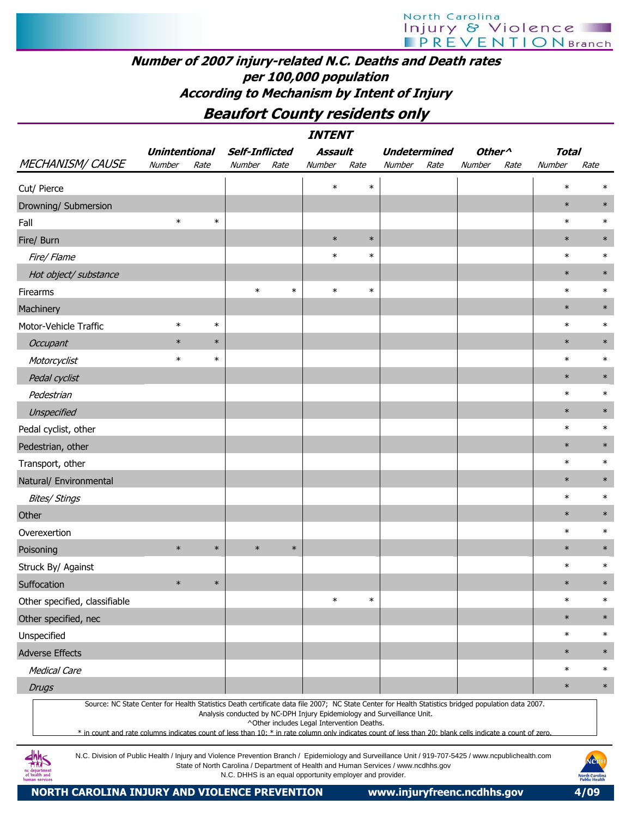# Beaufort County residents only

|                                                                                                                                                                                                                                                                                                                  |                      |        |                                                                                                                                                |        | <i><b>INTENT</b></i>                       |        |                     |      |                    |      |              |                       |
|------------------------------------------------------------------------------------------------------------------------------------------------------------------------------------------------------------------------------------------------------------------------------------------------------------------|----------------------|--------|------------------------------------------------------------------------------------------------------------------------------------------------|--------|--------------------------------------------|--------|---------------------|------|--------------------|------|--------------|-----------------------|
|                                                                                                                                                                                                                                                                                                                  | <b>Unintentional</b> |        | <b>Self-Inflicted</b>                                                                                                                          |        | <b>Assault</b>                             |        | <b>Undetermined</b> |      | Other <sup>^</sup> |      | <b>Total</b> |                       |
| <b>MECHANISM/ CAUSE</b>                                                                                                                                                                                                                                                                                          | Number               | Rate   | Number                                                                                                                                         | Rate   | Number                                     | Rate   | <b>Number</b>       | Rate | Number             | Rate | Number       | Rate                  |
| Cut/ Pierce                                                                                                                                                                                                                                                                                                      |                      |        |                                                                                                                                                |        | $\ast$                                     | $\ast$ |                     |      |                    |      | $\ast$       | $\ast$                |
| Drowning/ Submersion                                                                                                                                                                                                                                                                                             |                      |        |                                                                                                                                                |        |                                            |        |                     |      |                    |      | $\ast$       | $\ast$                |
| Fall                                                                                                                                                                                                                                                                                                             | $\ast$               | $\ast$ |                                                                                                                                                |        |                                            |        |                     |      |                    |      | $\ast$       | $\ast$                |
| Fire/ Burn                                                                                                                                                                                                                                                                                                       |                      |        |                                                                                                                                                |        | $\ast$                                     | $\ast$ |                     |      |                    |      | $\ast$       | $\ast$                |
| Fire/ Flame                                                                                                                                                                                                                                                                                                      |                      |        |                                                                                                                                                |        | $\ast$                                     | $\ast$ |                     |      |                    |      | $\ast$       | $\ast$                |
| Hot object/ substance                                                                                                                                                                                                                                                                                            |                      |        |                                                                                                                                                |        |                                            |        |                     |      |                    |      | $\ast$       | $\ast$                |
| Firearms                                                                                                                                                                                                                                                                                                         |                      |        | $\ast$                                                                                                                                         | $\ast$ | $\ast$                                     | $\ast$ |                     |      |                    |      | $\ast$       | $\ast$                |
| Machinery                                                                                                                                                                                                                                                                                                        |                      |        |                                                                                                                                                |        |                                            |        |                     |      |                    |      | $\ast$       | $\ast$                |
| Motor-Vehicle Traffic                                                                                                                                                                                                                                                                                            | $\ast$               | $\ast$ |                                                                                                                                                |        |                                            |        |                     |      |                    |      | $\ast$       | $\ast$                |
| <b>Occupant</b>                                                                                                                                                                                                                                                                                                  | $\ast$               | $\ast$ |                                                                                                                                                |        |                                            |        |                     |      |                    |      | $\ast$       | $\ast$                |
| Motorcyclist                                                                                                                                                                                                                                                                                                     | $\ast$               | $\ast$ |                                                                                                                                                |        |                                            |        |                     |      |                    |      | $\ast$       | $\ast$                |
| Pedal cyclist                                                                                                                                                                                                                                                                                                    |                      |        |                                                                                                                                                |        |                                            |        |                     |      |                    |      | $\ast$       | $\ast$                |
| Pedestrian                                                                                                                                                                                                                                                                                                       |                      |        |                                                                                                                                                |        |                                            |        |                     |      |                    |      | $\ast$       | $\ast$                |
| Unspecified                                                                                                                                                                                                                                                                                                      |                      |        |                                                                                                                                                |        |                                            |        |                     |      |                    |      | $\ast$       | $\ast$                |
| Pedal cyclist, other                                                                                                                                                                                                                                                                                             |                      |        |                                                                                                                                                |        |                                            |        |                     |      |                    |      | $\ast$       | $\ast$                |
| Pedestrian, other                                                                                                                                                                                                                                                                                                |                      |        |                                                                                                                                                |        |                                            |        |                     |      |                    |      | $\ast$       | $\ast$                |
| Transport, other                                                                                                                                                                                                                                                                                                 |                      |        |                                                                                                                                                |        |                                            |        |                     |      |                    |      | $\ast$       | $\ast$                |
| Natural/ Environmental                                                                                                                                                                                                                                                                                           |                      |        |                                                                                                                                                |        |                                            |        |                     |      |                    |      | $\ast$       | $\ast$                |
| <b>Bites/ Stings</b>                                                                                                                                                                                                                                                                                             |                      |        |                                                                                                                                                |        |                                            |        |                     |      |                    |      | $\ast$       | $\ast$                |
| Other                                                                                                                                                                                                                                                                                                            |                      |        |                                                                                                                                                |        |                                            |        |                     |      |                    |      | $\ast$       | $\ast$                |
| Overexertion                                                                                                                                                                                                                                                                                                     |                      |        |                                                                                                                                                |        |                                            |        |                     |      |                    |      | $\ast$       | $\ast$                |
| Poisoning                                                                                                                                                                                                                                                                                                        | $\ast$               | $\ast$ | $\ast$                                                                                                                                         | $\ast$ |                                            |        |                     |      |                    |      | $\ast$       | $\ast$                |
| Struck By/ Against                                                                                                                                                                                                                                                                                               |                      |        |                                                                                                                                                |        |                                            |        |                     |      |                    |      | $\ast$       | $\ast$                |
| Suffocation                                                                                                                                                                                                                                                                                                      | $\ast$               | $\ast$ |                                                                                                                                                |        |                                            |        |                     |      |                    |      | $\ast$       | $\ast$                |
| Other specified, classifiable                                                                                                                                                                                                                                                                                    |                      |        |                                                                                                                                                |        | $\ast$                                     | $\ast$ |                     |      |                    |      | $\ast$       | $\ast$                |
| Other specified, nec                                                                                                                                                                                                                                                                                             |                      |        |                                                                                                                                                |        |                                            |        |                     |      |                    |      | $\ast$       | $\ast$                |
| Unspecified                                                                                                                                                                                                                                                                                                      |                      |        |                                                                                                                                                |        |                                            |        |                     |      |                    |      | $\ast$       | $\ast$                |
| <b>Adverse Effects</b>                                                                                                                                                                                                                                                                                           |                      |        |                                                                                                                                                |        |                                            |        |                     |      |                    |      | $\ast$       | $\ast$                |
| <b>Medical Care</b>                                                                                                                                                                                                                                                                                              |                      |        |                                                                                                                                                |        |                                            |        |                     |      |                    |      | $\ast$       | $\ast$                |
| <b>Drugs</b>                                                                                                                                                                                                                                                                                                     |                      |        |                                                                                                                                                |        |                                            |        |                     |      |                    |      | $\ast$       | $\ast$                |
| Source: NC State Center for Health Statistics Death certificate data file 2007; NC State Center for Health Statistics bridged population data 2007.<br>* in count and rate columns indicates count of less than 10: * in rate column only indicates count of less than 20: blank cells indicate a count of zero. |                      |        | Analysis conducted by NC-DPH Injury Epidemiology and Surveillance Unit.                                                                        |        | ^Other includes Legal Intervention Deaths. |        |                     |      |                    |      |              |                       |
| N.C. Division of Public Health / Injury and Violence Prevention Branch / Epidemiology and Surveillance Unit / 919-707-5425 / www.ncpublichealth.com<br>of health and                                                                                                                                             |                      |        | State of North Carolina / Department of Health and Human Services / www.ncdhhs.gov<br>N.C. DHHS is an equal opportunity employer and provider. |        |                                            |        |                     |      |                    |      |              | NCPI<br>North Carolin |

NORTH CAROLINA INJURY AND VIOLENCE PREVENTION www.injuryfreenc.ncdhhs.gov 4/09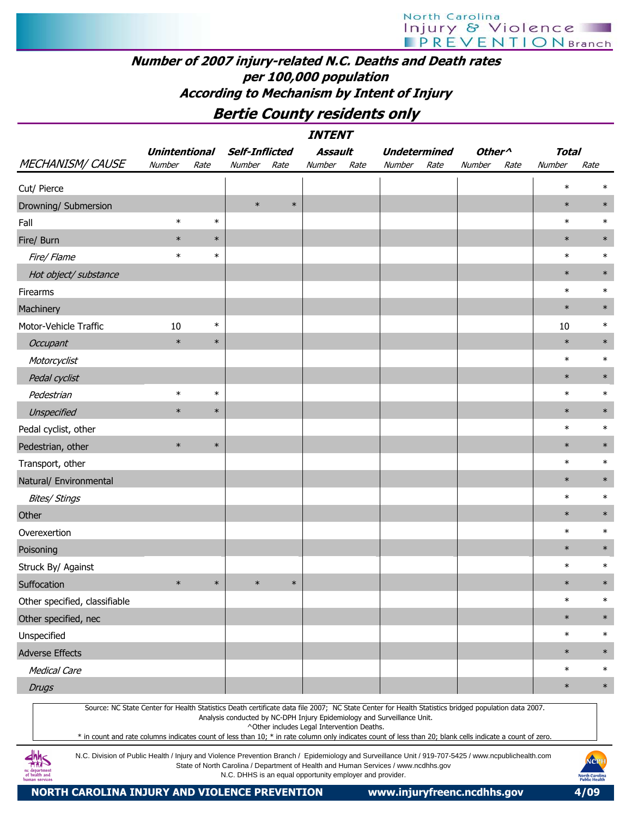# North Carolina Injury & Violence

# Number of 2007 injury-related N.C. Deaths and Death rates per 100,000 population According to Mechanism by Intent of Injury

# Bertie County residents only

|                                                                                                                                                                                                                                                                                                                                                                                                                                                                         |                      |        |                       |        | <b>INTENT</b>                              |      |                                                                                    |      |                    |      |               |        |
|-------------------------------------------------------------------------------------------------------------------------------------------------------------------------------------------------------------------------------------------------------------------------------------------------------------------------------------------------------------------------------------------------------------------------------------------------------------------------|----------------------|--------|-----------------------|--------|--------------------------------------------|------|------------------------------------------------------------------------------------|------|--------------------|------|---------------|--------|
|                                                                                                                                                                                                                                                                                                                                                                                                                                                                         | <b>Unintentional</b> |        | <b>Self-Inflicted</b> |        | Assault                                    |      | <b>Undetermined</b>                                                                |      | Other <sup>^</sup> |      | <b>Total</b>  |        |
| <b>MECHANISM/ CAUSE</b>                                                                                                                                                                                                                                                                                                                                                                                                                                                 | Number               | Rate   | Number                | Rate   | Number                                     | Rate | Number                                                                             | Rate | Number             | Rate | <b>Number</b> | Rate   |
| Cut/ Pierce                                                                                                                                                                                                                                                                                                                                                                                                                                                             |                      |        |                       |        |                                            |      |                                                                                    |      |                    |      | $\ast$        |        |
| Drowning/ Submersion                                                                                                                                                                                                                                                                                                                                                                                                                                                    |                      |        | $\ast$                | $\ast$ |                                            |      |                                                                                    |      |                    |      | $\ast$        | $\ast$ |
| Fall                                                                                                                                                                                                                                                                                                                                                                                                                                                                    | $\ast$               | $\ast$ |                       |        |                                            |      |                                                                                    |      |                    |      | $\ast$        | $\ast$ |
| Fire/ Burn                                                                                                                                                                                                                                                                                                                                                                                                                                                              | $\ast$               | $\ast$ |                       |        |                                            |      |                                                                                    |      |                    |      | $\ast$        | $\ast$ |
| Fire/ Flame                                                                                                                                                                                                                                                                                                                                                                                                                                                             | $\ast$               | $\ast$ |                       |        |                                            |      |                                                                                    |      |                    |      | $\ast$        | $\ast$ |
| Hot object/ substance                                                                                                                                                                                                                                                                                                                                                                                                                                                   |                      |        |                       |        |                                            |      |                                                                                    |      |                    |      | $\ast$        | $\ast$ |
| Firearms                                                                                                                                                                                                                                                                                                                                                                                                                                                                |                      |        |                       |        |                                            |      |                                                                                    |      |                    |      | $\ast$        | $\ast$ |
| Machinery                                                                                                                                                                                                                                                                                                                                                                                                                                                               |                      |        |                       |        |                                            |      |                                                                                    |      |                    |      | $\ast$        | $\ast$ |
| Motor-Vehicle Traffic                                                                                                                                                                                                                                                                                                                                                                                                                                                   | 10                   | $\ast$ |                       |        |                                            |      |                                                                                    |      |                    |      | 10            | $\ast$ |
| Occupant                                                                                                                                                                                                                                                                                                                                                                                                                                                                | $\ast$               | $\ast$ |                       |        |                                            |      |                                                                                    |      |                    |      | $\ast$        | $\ast$ |
| Motorcyclist                                                                                                                                                                                                                                                                                                                                                                                                                                                            |                      |        |                       |        |                                            |      |                                                                                    |      |                    |      | $\ast$        | $\ast$ |
| Pedal cyclist                                                                                                                                                                                                                                                                                                                                                                                                                                                           |                      |        |                       |        |                                            |      |                                                                                    |      |                    |      | $\ast$        | $\ast$ |
| Pedestrian                                                                                                                                                                                                                                                                                                                                                                                                                                                              | $\ast$               | $\ast$ |                       |        |                                            |      |                                                                                    |      |                    |      | $\ast$        | $\ast$ |
| Unspecified                                                                                                                                                                                                                                                                                                                                                                                                                                                             | $\ast$               | $\ast$ |                       |        |                                            |      |                                                                                    |      |                    |      | $\ast$        | $\ast$ |
| Pedal cyclist, other                                                                                                                                                                                                                                                                                                                                                                                                                                                    |                      |        |                       |        |                                            |      |                                                                                    |      |                    |      | $\ast$        | $\ast$ |
| Pedestrian, other                                                                                                                                                                                                                                                                                                                                                                                                                                                       | $\ast$               | $\ast$ |                       |        |                                            |      |                                                                                    |      |                    |      | $\ast$        | $\ast$ |
| Transport, other                                                                                                                                                                                                                                                                                                                                                                                                                                                        |                      |        |                       |        |                                            |      |                                                                                    |      |                    |      | $\ast$        | $\ast$ |
| Natural/ Environmental                                                                                                                                                                                                                                                                                                                                                                                                                                                  |                      |        |                       |        |                                            |      |                                                                                    |      |                    |      | $\ast$        | $\ast$ |
| <b>Bites/ Stings</b>                                                                                                                                                                                                                                                                                                                                                                                                                                                    |                      |        |                       |        |                                            |      |                                                                                    |      |                    |      | $\ast$        | $\ast$ |
| Other                                                                                                                                                                                                                                                                                                                                                                                                                                                                   |                      |        |                       |        |                                            |      |                                                                                    |      |                    |      | $\ast$        | $\ast$ |
| Overexertion                                                                                                                                                                                                                                                                                                                                                                                                                                                            |                      |        |                       |        |                                            |      |                                                                                    |      |                    |      | $\ast$        | $\ast$ |
| Poisoning                                                                                                                                                                                                                                                                                                                                                                                                                                                               |                      |        |                       |        |                                            |      |                                                                                    |      |                    |      | $\ast$        | $\ast$ |
| Struck By/ Against                                                                                                                                                                                                                                                                                                                                                                                                                                                      |                      |        |                       |        |                                            |      |                                                                                    |      |                    |      | $\ast$        | $\ast$ |
| Suffocation                                                                                                                                                                                                                                                                                                                                                                                                                                                             | $\ast$               | $\ast$ | $\ast$                | $\ast$ |                                            |      |                                                                                    |      |                    |      | $\ast$        | $\ast$ |
| Other specified, classifiable                                                                                                                                                                                                                                                                                                                                                                                                                                           |                      |        |                       |        |                                            |      |                                                                                    |      |                    |      | $\ast$        | $\ast$ |
| Other specified, nec                                                                                                                                                                                                                                                                                                                                                                                                                                                    |                      |        |                       |        |                                            |      |                                                                                    |      |                    |      | $\ast$        | $\ast$ |
| Unspecified                                                                                                                                                                                                                                                                                                                                                                                                                                                             |                      |        |                       |        |                                            |      |                                                                                    |      |                    |      | $\ast$        | $\ast$ |
| <b>Adverse Effects</b>                                                                                                                                                                                                                                                                                                                                                                                                                                                  |                      |        |                       |        |                                            |      |                                                                                    |      |                    |      | $\ast$        | $\ast$ |
| <b>Medical Care</b>                                                                                                                                                                                                                                                                                                                                                                                                                                                     |                      |        |                       |        |                                            |      |                                                                                    |      |                    |      | $\ast$        | $\ast$ |
| <b>Drugs</b>                                                                                                                                                                                                                                                                                                                                                                                                                                                            |                      |        |                       |        |                                            |      |                                                                                    |      |                    |      | $\ast$        | $\ast$ |
| Source: NC State Center for Health Statistics Death certificate data file 2007; NC State Center for Health Statistics bridged population data 2007.<br>* in count and rate columns indicates count of less than 10; * in rate column only indicates count of less than 20; blank cells indicate a count of zero.<br>N.C. Division of Public Health / Injury and Violence Prevention Branch / Epidemiology and Surveillance Unit / 919-707-5425 / www.ncpublichealth.com |                      |        |                       |        | ^Other includes Legal Intervention Deaths. |      | Analysis conducted by NC-DPH Injury Epidemiology and Surveillance Unit.            |      |                    |      |               | NOPH   |
|                                                                                                                                                                                                                                                                                                                                                                                                                                                                         |                      |        |                       |        |                                            |      | State of North Carolina / Department of Health and Human Services / www.ncdhhs.gov |      |                    |      |               |        |



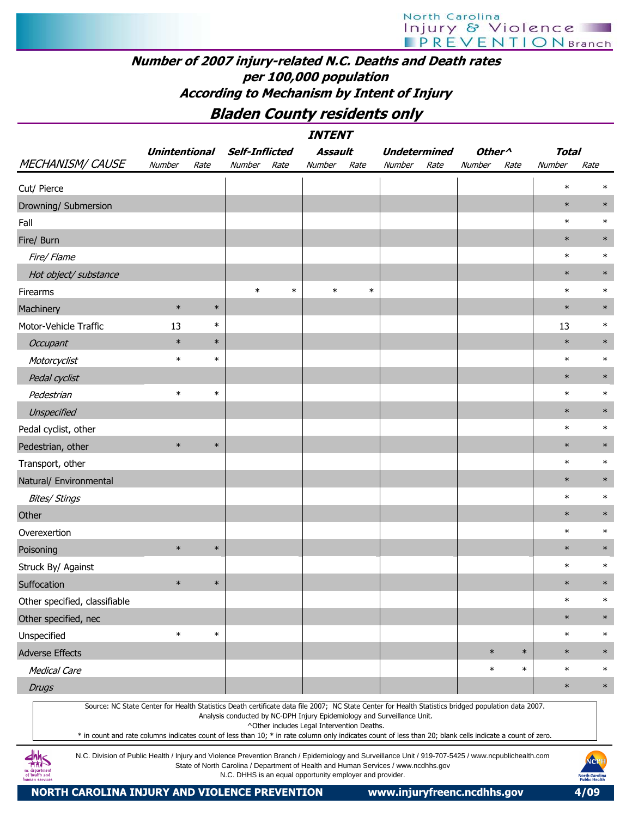North Carolina Injury & Violence

# Number of 2007 injury-related N.C. Deaths and Death rates per 100,000 population According to Mechanism by Intent of Injury

# Bladen County residents only

|                                                                                                                                                                                                                                                                                                                                                                                                                                                                         |                      |        |                       |        | <b>INTENT</b>                                            |        |                                                                                    |      |                    |        |              |                      |
|-------------------------------------------------------------------------------------------------------------------------------------------------------------------------------------------------------------------------------------------------------------------------------------------------------------------------------------------------------------------------------------------------------------------------------------------------------------------------|----------------------|--------|-----------------------|--------|----------------------------------------------------------|--------|------------------------------------------------------------------------------------|------|--------------------|--------|--------------|----------------------|
|                                                                                                                                                                                                                                                                                                                                                                                                                                                                         | <b>Unintentional</b> |        | <b>Self-Inflicted</b> |        | Assault                                                  |        | <b>Undetermined</b>                                                                |      | Other <sup>^</sup> |        | <b>Total</b> |                      |
| <b>MECHANISM/ CAUSE</b>                                                                                                                                                                                                                                                                                                                                                                                                                                                 | Number               | Rate   | Number                | Rate   | Number                                                   | Rate   | Number                                                                             | Rate | Number             | Rate   | Number       | Rate                 |
| Cut/ Pierce                                                                                                                                                                                                                                                                                                                                                                                                                                                             |                      |        |                       |        |                                                          |        |                                                                                    |      |                    |        | $\ast$       | $\ast$               |
| Drowning/ Submersion                                                                                                                                                                                                                                                                                                                                                                                                                                                    |                      |        |                       |        |                                                          |        |                                                                                    |      |                    |        | $\ast$       | $\ast$               |
| Fall                                                                                                                                                                                                                                                                                                                                                                                                                                                                    |                      |        |                       |        |                                                          |        |                                                                                    |      |                    |        | $\ast$       | $\ast$               |
| Fire/ Burn                                                                                                                                                                                                                                                                                                                                                                                                                                                              |                      |        |                       |        |                                                          |        |                                                                                    |      |                    |        | $\ast$       | $\ast$               |
| Fire/ Flame                                                                                                                                                                                                                                                                                                                                                                                                                                                             |                      |        |                       |        |                                                          |        |                                                                                    |      |                    |        | $\ast$       | $\ast$               |
| Hot object/ substance                                                                                                                                                                                                                                                                                                                                                                                                                                                   |                      |        |                       |        |                                                          |        |                                                                                    |      |                    |        | $\ast$       | $\ast$               |
| Firearms                                                                                                                                                                                                                                                                                                                                                                                                                                                                |                      |        | $\ast$                | $\ast$ | $\ast$                                                   | $\ast$ |                                                                                    |      |                    |        | $\ast$       | $\ast$               |
| Machinery                                                                                                                                                                                                                                                                                                                                                                                                                                                               | $\ast$               | $\ast$ |                       |        |                                                          |        |                                                                                    |      |                    |        | $\ast$       | $\ast$               |
| Motor-Vehicle Traffic                                                                                                                                                                                                                                                                                                                                                                                                                                                   | 13                   | $\ast$ |                       |        |                                                          |        |                                                                                    |      |                    |        | 13           | $\ast$               |
| Occupant                                                                                                                                                                                                                                                                                                                                                                                                                                                                | $\ast$               | $\ast$ |                       |        |                                                          |        |                                                                                    |      |                    |        | $\ast$       | $\ast$               |
| Motorcyclist                                                                                                                                                                                                                                                                                                                                                                                                                                                            | $\ast$               | $\ast$ |                       |        |                                                          |        |                                                                                    |      |                    |        | $\ast$       | $\ast$               |
| Pedal cyclist                                                                                                                                                                                                                                                                                                                                                                                                                                                           |                      |        |                       |        |                                                          |        |                                                                                    |      |                    |        | $\ast$       | $\ast$               |
| Pedestrian                                                                                                                                                                                                                                                                                                                                                                                                                                                              | $\ast$               | $\ast$ |                       |        |                                                          |        |                                                                                    |      |                    |        | $\ast$       | $\ast$               |
| Unspecified                                                                                                                                                                                                                                                                                                                                                                                                                                                             |                      |        |                       |        |                                                          |        |                                                                                    |      |                    |        | $\ast$       | $\ast$               |
| Pedal cyclist, other                                                                                                                                                                                                                                                                                                                                                                                                                                                    |                      |        |                       |        |                                                          |        |                                                                                    |      |                    |        | $\ast$       | $\ast$               |
| Pedestrian, other                                                                                                                                                                                                                                                                                                                                                                                                                                                       | $\ast$               | $\ast$ |                       |        |                                                          |        |                                                                                    |      |                    |        | $\ast$       | $\ast$               |
| Transport, other                                                                                                                                                                                                                                                                                                                                                                                                                                                        |                      |        |                       |        |                                                          |        |                                                                                    |      |                    |        | $\ast$       | $\ast$               |
| Natural/ Environmental                                                                                                                                                                                                                                                                                                                                                                                                                                                  |                      |        |                       |        |                                                          |        |                                                                                    |      |                    |        | $\ast$       | $\ast$               |
| <b>Bites/ Stings</b>                                                                                                                                                                                                                                                                                                                                                                                                                                                    |                      |        |                       |        |                                                          |        |                                                                                    |      |                    |        | $\ast$       | $\ast$               |
| Other                                                                                                                                                                                                                                                                                                                                                                                                                                                                   |                      |        |                       |        |                                                          |        |                                                                                    |      |                    |        | $\ast$       | $\ast$               |
| Overexertion                                                                                                                                                                                                                                                                                                                                                                                                                                                            |                      |        |                       |        |                                                          |        |                                                                                    |      |                    |        | $\ast$       | $\ast$               |
| Poisoning                                                                                                                                                                                                                                                                                                                                                                                                                                                               | $\ast$               | $\ast$ |                       |        |                                                          |        |                                                                                    |      |                    |        | $\ast$       | $\ast$               |
| Struck By/ Against                                                                                                                                                                                                                                                                                                                                                                                                                                                      |                      |        |                       |        |                                                          |        |                                                                                    |      |                    |        | $\ast$       | $\ast$               |
| Suffocation                                                                                                                                                                                                                                                                                                                                                                                                                                                             | $\ast$               | $\ast$ |                       |        |                                                          |        |                                                                                    |      |                    |        | $\ast$       | $\ast$               |
| Other specified, classifiable                                                                                                                                                                                                                                                                                                                                                                                                                                           |                      |        |                       |        |                                                          |        |                                                                                    |      |                    |        | $\ast$       | $\ast$               |
| Other specified, nec                                                                                                                                                                                                                                                                                                                                                                                                                                                    |                      |        |                       |        |                                                          |        |                                                                                    |      |                    |        | $\ast$       | $\ast$               |
| Unspecified                                                                                                                                                                                                                                                                                                                                                                                                                                                             | $\ast$               | $\ast$ |                       |        |                                                          |        |                                                                                    |      |                    |        | $\ast$       | $\ast$               |
| <b>Adverse Effects</b>                                                                                                                                                                                                                                                                                                                                                                                                                                                  |                      |        |                       |        |                                                          |        |                                                                                    |      | $\ast$             | $\ast$ | $\ast$       | $\ast$               |
| <b>Medical Care</b>                                                                                                                                                                                                                                                                                                                                                                                                                                                     |                      |        |                       |        |                                                          |        |                                                                                    |      | $\ast$             | $\ast$ | $\ast$       | $\ast$               |
| <b>Drugs</b>                                                                                                                                                                                                                                                                                                                                                                                                                                                            |                      |        |                       |        |                                                          |        |                                                                                    |      |                    |        | $\ast$       | $\ast$               |
| Source: NC State Center for Health Statistics Death certificate data file 2007; NC State Center for Health Statistics bridged population data 2007.<br>* in count and rate columns indicates count of less than 10; * in rate column only indicates count of less than 20; blank cells indicate a count of zero.<br>N.C. Division of Public Health / Injury and Violence Prevention Branch / Epidemiology and Surveillance Unit / 919-707-5425 / www.ncpublichealth.com |                      |        |                       |        | ^Other includes Legal Intervention Deaths.               |        | Analysis conducted by NC-DPH Injury Epidemiology and Surveillance Unit.            |      |                    |        |              | NOPH                 |
| department<br>of health and                                                                                                                                                                                                                                                                                                                                                                                                                                             |                      |        |                       |        | N.C. DHHS is an equal opportunity employer and provider. |        | State of North Carolina / Department of Health and Human Services / www.ncdhhs.gov |      |                    |        |              | <b>North Carolir</b> |

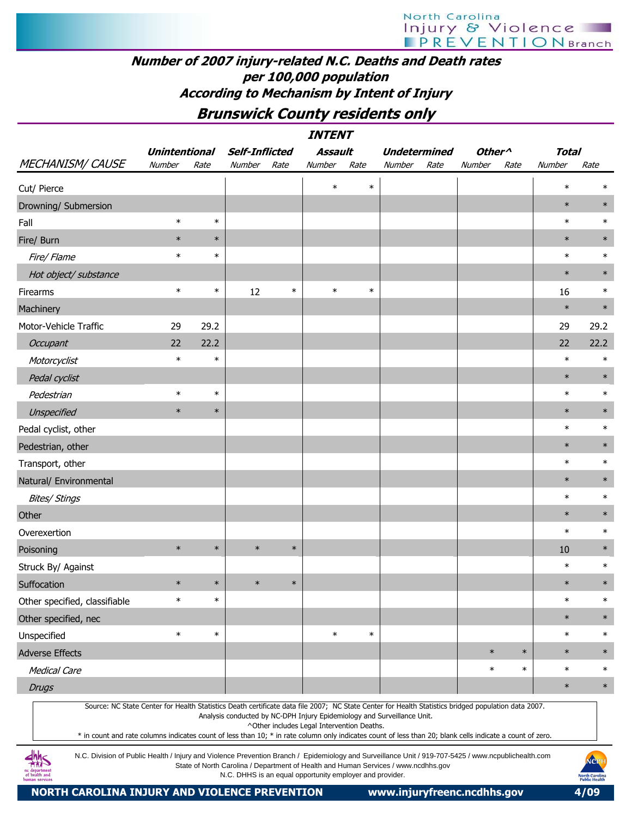## Number of 2007 injury-related N.C. Deaths and Death rates per 100,000 population According to Mechanism by Intent of Injury

# Brunswick County residents only

|                               |                      |        |                |        | <b>INTENT</b> |        |                     |      |                    |        |              |        |
|-------------------------------|----------------------|--------|----------------|--------|---------------|--------|---------------------|------|--------------------|--------|--------------|--------|
|                               | <b>Unintentional</b> |        | Self-Inflicted |        | Assault       |        | <b>Undetermined</b> |      | Other <sup>^</sup> |        | <b>Total</b> |        |
| MECHANISM/CAUSE               | Number               | Rate   | Number         | Rate   | Number        | Rate   | Number              | Rate | Number             | Rate   | Number       | Rate   |
| Cut/ Pierce                   |                      |        |                |        | $\ast$        | $\ast$ |                     |      |                    |        | $\ast$       | $\ast$ |
| Drowning/ Submersion          |                      |        |                |        |               |        |                     |      |                    |        | $\ast$       | $\ast$ |
| Fall                          | $\ast$               | $\ast$ |                |        |               |        |                     |      |                    |        | $\ast$       | $\ast$ |
| Fire/ Burn                    | $\ast$               | $\ast$ |                |        |               |        |                     |      |                    |        | $\ast$       | $\ast$ |
| Fire/ Flame                   | $\ast$               | $\ast$ |                |        |               |        |                     |      |                    |        | $\ast$       | $\ast$ |
| Hot object/ substance         |                      |        |                |        |               |        |                     |      |                    |        | $\ast$       | $\ast$ |
| Firearms                      | $\ast$               | $\ast$ | 12             | $\ast$ | $\ast$        | $\ast$ |                     |      |                    |        | 16           | $\ast$ |
| Machinery                     |                      |        |                |        |               |        |                     |      |                    |        | $\ast$       | $\ast$ |
| Motor-Vehicle Traffic         | 29                   | 29.2   |                |        |               |        |                     |      |                    |        | 29           | 29.2   |
| Occupant                      | 22                   | 22.2   |                |        |               |        |                     |      |                    |        | 22           | 22.2   |
| Motorcyclist                  | $\ast$               | $\ast$ |                |        |               |        |                     |      |                    |        | $\ast$       | $\ast$ |
| Pedal cyclist                 |                      |        |                |        |               |        |                     |      |                    |        | $\ast$       | $\ast$ |
| Pedestrian                    | $\ast$               | $\ast$ |                |        |               |        |                     |      |                    |        | $\ast$       | $\ast$ |
| Unspecified                   | $\ast$               | $\ast$ |                |        |               |        |                     |      |                    |        | $\ast$       | $\ast$ |
| Pedal cyclist, other          |                      |        |                |        |               |        |                     |      |                    |        | $\ast$       | $\ast$ |
| Pedestrian, other             |                      |        |                |        |               |        |                     |      |                    |        | $\ast$       | $\ast$ |
| Transport, other              |                      |        |                |        |               |        |                     |      |                    |        | $\ast$       | $\ast$ |
| Natural/ Environmental        |                      |        |                |        |               |        |                     |      |                    |        | $\ast$       | $\ast$ |
| <b>Bites/ Stings</b>          |                      |        |                |        |               |        |                     |      |                    |        | $\ast$       | $\ast$ |
| Other                         |                      |        |                |        |               |        |                     |      |                    |        | $\ast$       | $\ast$ |
| Overexertion                  |                      |        |                |        |               |        |                     |      |                    |        | $\ast$       | $\ast$ |
| Poisoning                     | $\ast$               | $\ast$ | $\ast$         | $\ast$ |               |        |                     |      |                    |        | 10           | $\ast$ |
| Struck By/ Against            |                      |        |                |        |               |        |                     |      |                    |        | $\ast$       | $\ast$ |
| Suffocation                   | $\ast$               | $\ast$ | $\ast$         | $\ast$ |               |        |                     |      |                    |        | $\ast$       | $\ast$ |
| Other specified, classifiable | $\ast$               | $\ast$ |                |        |               |        |                     |      |                    |        | $\ast$       | $\ast$ |
| Other specified, nec          |                      |        |                |        |               |        |                     |      |                    |        | $\ast$       | $\ast$ |
| Unspecified                   | $\ast$               | $\ast$ |                |        | $\ast$        | $\ast$ |                     |      |                    |        | $\ast$       | $\ast$ |
| Adverse Effects               |                      |        |                |        |               |        |                     |      | $\ast$             | $\ast$ | $\ast$       | $\ast$ |
| Medical Care                  |                      |        |                |        |               |        |                     |      | $\ast$             | $\ast$ | $\ast$       | $\ast$ |
| <b>Drugs</b>                  |                      |        |                |        |               |        |                     |      |                    |        | $\ast$       | $\ast$ |
|                               |                      |        |                |        |               |        |                     |      |                    |        |              |        |

Source: NC State Center for Health Statistics Death certificate data file 2007; NC State Center for Health Statistics bridged population data 2007.

Analysis conducted by NC-DPH Injury Epidemiology and Surveillance Unit.

^Other includes Legal Intervention Deaths.

\* in count and rate columns indicates count of less than 10; \* in rate column only indicates count of less than 20; blank cells indicate a count of zero.

N.C. Division of Public Health / Injury and Violence Prevention Branch / Epidemiology and Surveillance Unit / 919-707-5425 / www.ncpublichealth.com State of North Carolina / Department of Health and Human Services / www.ncdhhs.gov N.C. DHHS is an equal opportunity employer and provider.

 $\frac{dhh}{dhS}$ 1c departmen<br>of health and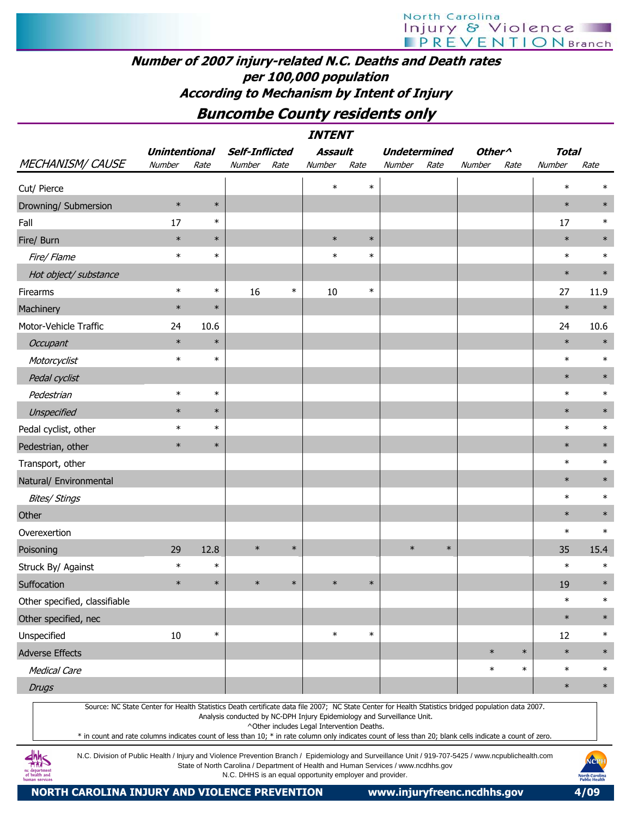# Number of 2007 injury-related N.C. Deaths and Death rates per 100,000 population According to Mechanism by Intent of Injury

# Buncombe County residents only

|                               |                      |        |                |        | <b>INTENT</b> |        |                     |        |                    |        |              |        |
|-------------------------------|----------------------|--------|----------------|--------|---------------|--------|---------------------|--------|--------------------|--------|--------------|--------|
|                               | <b>Unintentional</b> |        | Self-Inflicted |        | Assault       |        | <b>Undetermined</b> |        | Other <sup>^</sup> |        | <b>Total</b> |        |
| <b>MECHANISM/ CAUSE</b>       | Number               | Rate   | Number         | Rate   | Number        | Rate   | Number              | Rate   | Number             | Rate   | Number       | Rate   |
| Cut/ Pierce                   |                      |        |                |        | $\ast$        | $\ast$ |                     |        |                    |        | $\ast$       | $\ast$ |
| Drowning/ Submersion          | $\ast$               | $\ast$ |                |        |               |        |                     |        |                    |        | $\ast$       | $\ast$ |
| Fall                          | 17                   | $\ast$ |                |        |               |        |                     |        |                    |        | 17           | $\ast$ |
| Fire/ Burn                    | $\ast$               | $\ast$ |                |        | $\ast$        | $\ast$ |                     |        |                    |        | $\ast$       | $\ast$ |
| Fire/Flame                    | $\ast$               | $\ast$ |                |        | $\ast$        | $\ast$ |                     |        |                    |        | $\ast$       | $\ast$ |
| Hot object/ substance         |                      |        |                |        |               |        |                     |        |                    |        | $\ast$       | $\ast$ |
| Firearms                      | $\ast$               | $\ast$ | 16             | $\ast$ | 10            | $\ast$ |                     |        |                    |        | 27           | 11.9   |
| Machinery                     | $\ast$               | $\ast$ |                |        |               |        |                     |        |                    |        | $\ast$       | $\ast$ |
| Motor-Vehicle Traffic         | 24                   | 10.6   |                |        |               |        |                     |        |                    |        | 24           | 10.6   |
| Occupant                      | $\ast$               | $\ast$ |                |        |               |        |                     |        |                    |        | $\ast$       | $\ast$ |
| Motorcyclist                  | $\ast$               | $\ast$ |                |        |               |        |                     |        |                    |        | $\ast$       | $\ast$ |
| Pedal cyclist                 |                      |        |                |        |               |        |                     |        |                    |        | $\ast$       | $\ast$ |
| Pedestrian                    | $\ast$               | $\ast$ |                |        |               |        |                     |        |                    |        | $\ast$       | $\ast$ |
| Unspecified                   | $\ast$               | $\ast$ |                |        |               |        |                     |        |                    |        | $\ast$       | $\ast$ |
| Pedal cyclist, other          | $\ast$               | $\ast$ |                |        |               |        |                     |        |                    |        | $\ast$       | $\ast$ |
| Pedestrian, other             | $\ast$               | $\ast$ |                |        |               |        |                     |        |                    |        | $\ast$       | $\ast$ |
| Transport, other              |                      |        |                |        |               |        |                     |        |                    |        | $\ast$       | $\ast$ |
| Natural/ Environmental        |                      |        |                |        |               |        |                     |        |                    |        | $\ast$       | $\ast$ |
| <b>Bites/ Stings</b>          |                      |        |                |        |               |        |                     |        |                    |        | $\ast$       | $\ast$ |
| Other                         |                      |        |                |        |               |        |                     |        |                    |        | $\ast$       | $\ast$ |
| Overexertion                  |                      |        |                |        |               |        |                     |        |                    |        | $\ast$       | $\ast$ |
| Poisoning                     | 29                   | 12.8   | $\ast$         | $\ast$ |               |        | $\ast$              | $\ast$ |                    |        | 35           | 15.4   |
| Struck By/ Against            | $\ast$               | $\ast$ |                |        |               |        |                     |        |                    |        | $\ast$       | $\ast$ |
| Suffocation                   | $\ast$               | $\ast$ | $\ast$         | $\ast$ | $\ast$        | $\ast$ |                     |        |                    |        | 19           | $\ast$ |
| Other specified, classifiable |                      |        |                |        |               |        |                     |        |                    |        | $\ast$       | $\ast$ |
| Other specified, nec          |                      |        |                |        |               |        |                     |        |                    |        | $\ast$       | $\ast$ |
| Unspecified                   | 10                   | $\ast$ |                |        | $\ast$        | $\ast$ |                     |        |                    |        | 12           | $\ast$ |
| Adverse Effects               |                      |        |                |        |               |        |                     |        | $\ast$             | $\ast$ | $\ast$       | $\ast$ |
| Medical Care                  |                      |        |                |        |               |        |                     |        | $\ast$             | $\ast$ | $\ast$       | $\ast$ |
| <b>Drugs</b>                  |                      |        |                |        |               |        |                     |        |                    |        | $\ast$       | $\ast$ |
|                               |                      |        |                |        |               |        |                     |        |                    |        |              |        |

Source: NC State Center for Health Statistics Death certificate data file 2007; NC State Center for Health Statistics bridged population data 2007.

Analysis conducted by NC-DPH Injury Epidemiology and Surveillance Unit.

^Other includes Legal Intervention Deaths.

\* in count and rate columns indicates count of less than 10; \* in rate column only indicates count of less than 20; blank cells indicate a count of zero.

N.C. Division of Public Health / Injury and Violence Prevention Branch / Epidemiology and Surveillance Unit / 919-707-5425 / www.ncpublichealth.com State of North Carolina / Department of Health and Human Services / www.ncdhhs.gov N.C. DHHS is an equal opportunity employer and provider.

NORTH CAROLINA INJURY AND VIOLENCE PREVENTION www.injuryfreenc.ncdhhs.gov 4/09

 $4M<sub>5</sub>$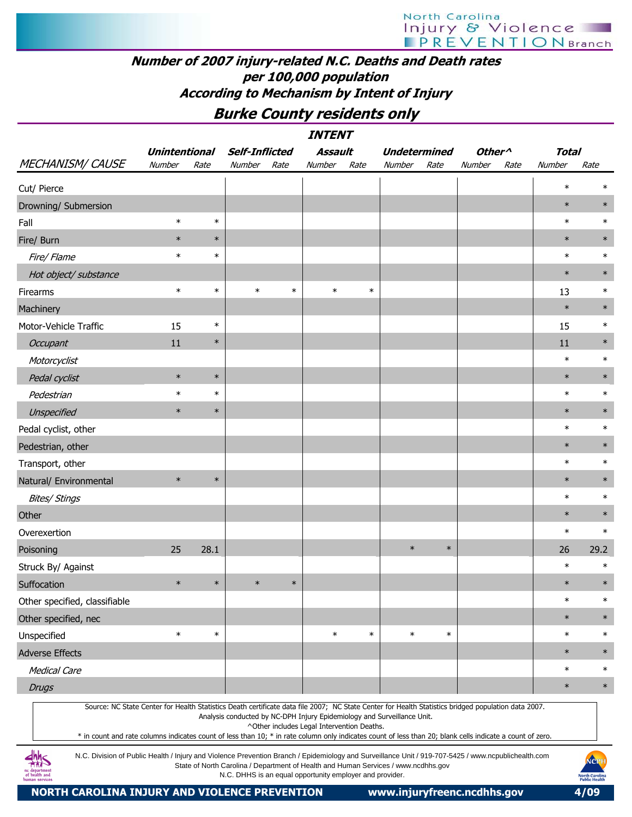# Number of 2007 injury-related N.C. Deaths and Death rates per 100,000 population According to Mechanism by Intent of Injury

Burke County residents only

| <i><b>INTENT</b></i>                                                                                                                                                                                                                                                                                             |                      |        |        |                       |                                                                                                                                                |        |                     |        |                    |      |              |                                                       |  |
|------------------------------------------------------------------------------------------------------------------------------------------------------------------------------------------------------------------------------------------------------------------------------------------------------------------|----------------------|--------|--------|-----------------------|------------------------------------------------------------------------------------------------------------------------------------------------|--------|---------------------|--------|--------------------|------|--------------|-------------------------------------------------------|--|
|                                                                                                                                                                                                                                                                                                                  | <b>Unintentional</b> |        |        | <b>Self-Inflicted</b> | <b>Assault</b>                                                                                                                                 |        | <b>Undetermined</b> |        | Other <sup>^</sup> |      | <b>Total</b> |                                                       |  |
| <b>MECHANISM/ CAUSE</b>                                                                                                                                                                                                                                                                                          | Number               | Rate   | Number | Rate                  | Number                                                                                                                                         | Rate   | Number              | Rate   | Number             | Rate | Number       | Rate                                                  |  |
| Cut/ Pierce                                                                                                                                                                                                                                                                                                      |                      |        |        |                       |                                                                                                                                                |        |                     |        |                    |      | $\ast$       |                                                       |  |
| Drowning/ Submersion                                                                                                                                                                                                                                                                                             |                      |        |        |                       |                                                                                                                                                |        |                     |        |                    |      | $\ast$       | $\ast$                                                |  |
| Fall                                                                                                                                                                                                                                                                                                             | $\ast$               | $\ast$ |        |                       |                                                                                                                                                |        |                     |        |                    |      | $\ast$       | $\ast$                                                |  |
| Fire/ Burn                                                                                                                                                                                                                                                                                                       | $\ast$               | $\ast$ |        |                       |                                                                                                                                                |        |                     |        |                    |      | $\ast$       | $\ast$                                                |  |
| Fire/ Flame                                                                                                                                                                                                                                                                                                      | $\ast$               | $\ast$ |        |                       |                                                                                                                                                |        |                     |        |                    |      | $\ast$       | $\ast$                                                |  |
| Hot object/ substance                                                                                                                                                                                                                                                                                            |                      |        |        |                       |                                                                                                                                                |        |                     |        |                    |      | $\ast$       | $\ast$                                                |  |
| Firearms                                                                                                                                                                                                                                                                                                         | $\ast$               | $\ast$ | $\ast$ | $\ast$                | $\ast$                                                                                                                                         | $\ast$ |                     |        |                    |      | 13           | $\ast$                                                |  |
| Machinery                                                                                                                                                                                                                                                                                                        |                      |        |        |                       |                                                                                                                                                |        |                     |        |                    |      | $\ast$       | $\ast$                                                |  |
| Motor-Vehicle Traffic                                                                                                                                                                                                                                                                                            | 15                   | $\ast$ |        |                       |                                                                                                                                                |        |                     |        |                    |      | 15           | $\ast$                                                |  |
| Occupant                                                                                                                                                                                                                                                                                                         | 11                   | $\ast$ |        |                       |                                                                                                                                                |        |                     |        |                    |      | 11           | $\ast$                                                |  |
| Motorcyclist                                                                                                                                                                                                                                                                                                     |                      |        |        |                       |                                                                                                                                                |        |                     |        |                    |      | $\ast$       | $\ast$                                                |  |
| Pedal cyclist                                                                                                                                                                                                                                                                                                    | $\ast$               | $\ast$ |        |                       |                                                                                                                                                |        |                     |        |                    |      | $\ast$       | $\ast$                                                |  |
| Pedestrian                                                                                                                                                                                                                                                                                                       | $\ast$               | $\ast$ |        |                       |                                                                                                                                                |        |                     |        |                    |      | $\ast$       | $\ast$                                                |  |
| <b>Unspecified</b>                                                                                                                                                                                                                                                                                               | $\ast$               | $\ast$ |        |                       |                                                                                                                                                |        |                     |        |                    |      | $\ast$       | $\ast$                                                |  |
| Pedal cyclist, other                                                                                                                                                                                                                                                                                             |                      |        |        |                       |                                                                                                                                                |        |                     |        |                    |      | $\ast$       | $\ast$                                                |  |
| Pedestrian, other                                                                                                                                                                                                                                                                                                |                      |        |        |                       |                                                                                                                                                |        |                     |        |                    |      | $\ast$       | $\ast$                                                |  |
| Transport, other                                                                                                                                                                                                                                                                                                 |                      |        |        |                       |                                                                                                                                                |        |                     |        |                    |      | $\ast$       | $\ast$                                                |  |
| Natural/ Environmental                                                                                                                                                                                                                                                                                           | $\ast$               | $\ast$ |        |                       |                                                                                                                                                |        |                     |        |                    |      | $\ast$       | $\ast$                                                |  |
| <b>Bites/ Stings</b>                                                                                                                                                                                                                                                                                             |                      |        |        |                       |                                                                                                                                                |        |                     |        |                    |      | $\ast$       | $\ast$                                                |  |
| Other                                                                                                                                                                                                                                                                                                            |                      |        |        |                       |                                                                                                                                                |        |                     |        |                    |      | $\ast$       | $\ast$                                                |  |
| Overexertion                                                                                                                                                                                                                                                                                                     |                      |        |        |                       |                                                                                                                                                |        |                     |        |                    |      | $\ast$       | $\ast$                                                |  |
| Poisoning                                                                                                                                                                                                                                                                                                        | 25                   | 28.1   |        |                       |                                                                                                                                                |        | $\ast$              | $\ast$ |                    |      | 26           | 29.2                                                  |  |
| Struck By/ Against                                                                                                                                                                                                                                                                                               |                      |        |        |                       |                                                                                                                                                |        |                     |        |                    |      | $\ast$       | $\ast$                                                |  |
| Suffocation                                                                                                                                                                                                                                                                                                      | $\ast$               | $\ast$ | $\ast$ | $\ast$                |                                                                                                                                                |        |                     |        |                    |      | $\ast$       | $\ast$                                                |  |
| Other specified, classifiable                                                                                                                                                                                                                                                                                    |                      |        |        |                       |                                                                                                                                                |        |                     |        |                    |      | $\ast$       | $\ast$                                                |  |
| Other specified, nec                                                                                                                                                                                                                                                                                             |                      |        |        |                       |                                                                                                                                                |        |                     |        |                    |      | $\ast$       | $\ast$                                                |  |
| Unspecified                                                                                                                                                                                                                                                                                                      | $\ast$               | $\ast$ |        |                       | $\ast$                                                                                                                                         | $\ast$ | $\ast$              | $\ast$ |                    |      | $\ast$       | $\ast$                                                |  |
| <b>Adverse Effects</b>                                                                                                                                                                                                                                                                                           |                      |        |        |                       |                                                                                                                                                |        |                     |        |                    |      | $\ast$       | $\ast$                                                |  |
| <b>Medical Care</b>                                                                                                                                                                                                                                                                                              |                      |        |        |                       |                                                                                                                                                |        |                     |        |                    |      | $\ast$       | $\ast$                                                |  |
| <b>Drugs</b>                                                                                                                                                                                                                                                                                                     |                      |        |        |                       |                                                                                                                                                |        |                     |        |                    |      | $\ast$       | $\ast$                                                |  |
| Source: NC State Center for Health Statistics Death certificate data file 2007; NC State Center for Health Statistics bridged population data 2007.<br>* in count and rate columns indicates count of less than 10; * in rate column only indicates count of less than 20; blank cells indicate a count of zero. |                      |        |        |                       | Analysis conducted by NC-DPH Injury Epidemiology and Surveillance Unit.<br>^Other includes Legal Intervention Deaths.                          |        |                     |        |                    |      |              |                                                       |  |
| N.C. Division of Public Health / Injury and Violence Prevention Branch / Epidemiology and Surveillance Unit / 919-707-5425 / www.ncpublichealth.com<br>of health and                                                                                                                                             |                      |        |        |                       | State of North Carolina / Department of Health and Human Services / www.ncdhhs.gov<br>N.C. DHHS is an equal opportunity employer and provider. |        |                     |        |                    |      |              | NCPI<br><b>North Carolina</b><br><b>Public Health</b> |  |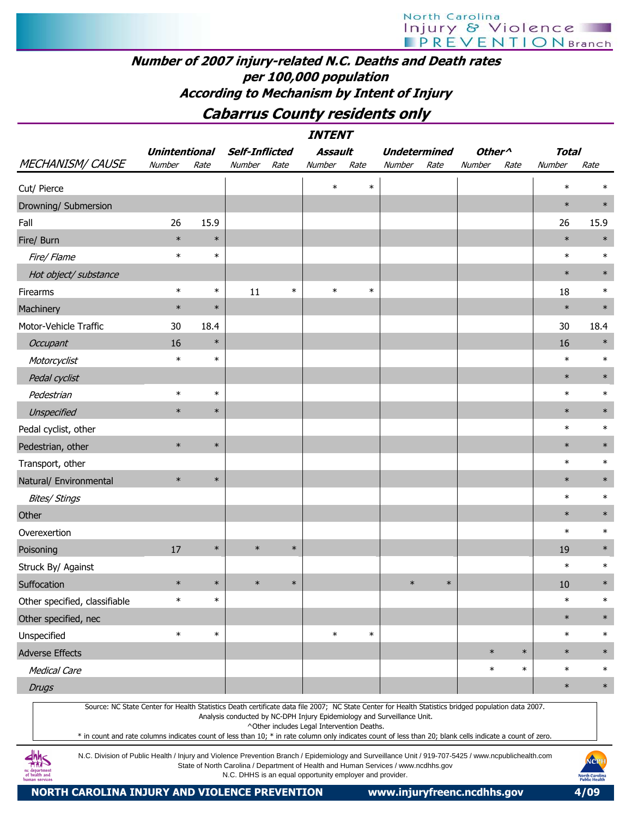# North Carolina Injury & Violence

# Number of 2007 injury-related N.C. Deaths and Death rates per 100,000 population According to Mechanism by Intent of Injury

# Cabarrus County residents only

| <b>INTENT</b>                                                                                                                                                                                                                                                                                                    |                      |        |                       |        |                                            |        |                                                                         |        |                    |        |              |        |  |
|------------------------------------------------------------------------------------------------------------------------------------------------------------------------------------------------------------------------------------------------------------------------------------------------------------------|----------------------|--------|-----------------------|--------|--------------------------------------------|--------|-------------------------------------------------------------------------|--------|--------------------|--------|--------------|--------|--|
|                                                                                                                                                                                                                                                                                                                  | <b>Unintentional</b> |        | <b>Self-Inflicted</b> |        | Assault                                    |        | <b>Undetermined</b>                                                     |        | Other <sup>^</sup> |        | <b>Total</b> |        |  |
| <b>MECHANISM/ CAUSE</b>                                                                                                                                                                                                                                                                                          | Number               | Rate   | Number Rate           |        | Number                                     | Rate   | Number                                                                  | Rate   | Number             | Rate   | Number       | Rate   |  |
| Cut/ Pierce                                                                                                                                                                                                                                                                                                      |                      |        |                       |        | $\ast$                                     | $\ast$ |                                                                         |        |                    |        | $\ast$       | $\ast$ |  |
| Drowning/ Submersion                                                                                                                                                                                                                                                                                             |                      |        |                       |        |                                            |        |                                                                         |        |                    |        | $\ast$       | $\ast$ |  |
| Fall                                                                                                                                                                                                                                                                                                             | 26                   | 15.9   |                       |        |                                            |        |                                                                         |        |                    |        | 26           | 15.9   |  |
| Fire/ Burn                                                                                                                                                                                                                                                                                                       | $\ast$               | $\ast$ |                       |        |                                            |        |                                                                         |        |                    |        | $\ast$       | $\ast$ |  |
| Fire/ Flame                                                                                                                                                                                                                                                                                                      | $\ast$               | $\ast$ |                       |        |                                            |        |                                                                         |        |                    |        | $\ast$       | $\ast$ |  |
| Hot object/ substance                                                                                                                                                                                                                                                                                            |                      |        |                       |        |                                            |        |                                                                         |        |                    |        | $\ast$       | $\ast$ |  |
| Firearms                                                                                                                                                                                                                                                                                                         | $\ast$               | $\ast$ | 11                    | $\ast$ | $\ast$                                     | $\ast$ |                                                                         |        |                    |        | 18           | $\ast$ |  |
| Machinery                                                                                                                                                                                                                                                                                                        | $\ast$               | $\ast$ |                       |        |                                            |        |                                                                         |        |                    |        | $\ast$       | $\ast$ |  |
| Motor-Vehicle Traffic                                                                                                                                                                                                                                                                                            | 30                   | 18.4   |                       |        |                                            |        |                                                                         |        |                    |        | 30           | 18.4   |  |
| Occupant                                                                                                                                                                                                                                                                                                         | 16                   | $\ast$ |                       |        |                                            |        |                                                                         |        |                    |        | 16           | $\ast$ |  |
| Motorcyclist                                                                                                                                                                                                                                                                                                     | $\ast$               | $\ast$ |                       |        |                                            |        |                                                                         |        |                    |        | $\ast$       | $\ast$ |  |
| Pedal cyclist                                                                                                                                                                                                                                                                                                    |                      |        |                       |        |                                            |        |                                                                         |        |                    |        | $\ast$       | $\ast$ |  |
| Pedestrian                                                                                                                                                                                                                                                                                                       | $\ast$               | $\ast$ |                       |        |                                            |        |                                                                         |        |                    |        | $\ast$       | $\ast$ |  |
| Unspecified                                                                                                                                                                                                                                                                                                      | $\ast$               | $\ast$ |                       |        |                                            |        |                                                                         |        |                    |        | $\ast$       | $\ast$ |  |
| Pedal cyclist, other                                                                                                                                                                                                                                                                                             |                      |        |                       |        |                                            |        |                                                                         |        |                    |        | $\ast$       | $\ast$ |  |
| Pedestrian, other                                                                                                                                                                                                                                                                                                | $\ast$               | $\ast$ |                       |        |                                            |        |                                                                         |        |                    |        | $\ast$       | $\ast$ |  |
| Transport, other                                                                                                                                                                                                                                                                                                 |                      |        |                       |        |                                            |        |                                                                         |        |                    |        | $\ast$       | $\ast$ |  |
| Natural/ Environmental                                                                                                                                                                                                                                                                                           | $\ast$               | $\ast$ |                       |        |                                            |        |                                                                         |        |                    |        | $\ast$       | $\ast$ |  |
| <b>Bites/ Stings</b>                                                                                                                                                                                                                                                                                             |                      |        |                       |        |                                            |        |                                                                         |        |                    |        | $\ast$       | $\ast$ |  |
| Other                                                                                                                                                                                                                                                                                                            |                      |        |                       |        |                                            |        |                                                                         |        |                    |        | $\ast$       | $\ast$ |  |
| Overexertion                                                                                                                                                                                                                                                                                                     |                      |        |                       |        |                                            |        |                                                                         |        |                    |        | $\ast$       | $\ast$ |  |
| Poisoning                                                                                                                                                                                                                                                                                                        | 17                   | $\ast$ | $\ast$                | $\ast$ |                                            |        |                                                                         |        |                    |        | 19           | $\ast$ |  |
| Struck By/ Against                                                                                                                                                                                                                                                                                               |                      |        |                       |        |                                            |        |                                                                         |        |                    |        | $\ast$       | $\ast$ |  |
| Suffocation                                                                                                                                                                                                                                                                                                      | $\ast$               | $\ast$ | $\ast$                | $\ast$ |                                            |        | $\ast$                                                                  | $\ast$ |                    |        | 10           | $\ast$ |  |
| Other specified, classifiable                                                                                                                                                                                                                                                                                    | $\ast$               | $\ast$ |                       |        |                                            |        |                                                                         |        |                    |        | $\ast$       | $\ast$ |  |
| Other specified, nec                                                                                                                                                                                                                                                                                             |                      |        |                       |        |                                            |        |                                                                         |        |                    |        | $\ast$       | $\ast$ |  |
| Unspecified                                                                                                                                                                                                                                                                                                      | $\ast$               | $\ast$ |                       |        | $\ast$                                     | $\ast$ |                                                                         |        |                    |        | $\ast$       | $\ast$ |  |
| <b>Adverse Effects</b>                                                                                                                                                                                                                                                                                           |                      |        |                       |        |                                            |        |                                                                         |        | $\ast$             | $\ast$ | $\ast$       | $\ast$ |  |
| <b>Medical Care</b>                                                                                                                                                                                                                                                                                              |                      |        |                       |        |                                            |        |                                                                         |        | $\ast$             | $\ast$ | $\ast$       | $\ast$ |  |
| <b>Drugs</b>                                                                                                                                                                                                                                                                                                     |                      |        |                       |        |                                            |        |                                                                         |        |                    |        | $\ast$       | $\ast$ |  |
| Source: NC State Center for Health Statistics Death certificate data file 2007; NC State Center for Health Statistics bridged population data 2007.<br>* in count and rate columns indicates count of less than 10; * in rate column only indicates count of less than 20; blank cells indicate a count of zero. |                      |        |                       |        | ^Other includes Legal Intervention Deaths. |        | Analysis conducted by NC-DPH Injury Epidemiology and Surveillance Unit. |        |                    |        |              |        |  |

N.C. Division of Public Health / Injury and Violence Prevention Branch / Epidemiology and Surveillance Unit / 919-707-5425 / www.ncpublichealth.com State of North Carolina / Department of Health and Human Services / www.ncdhhs.gov N.C. DHHS is an equal opportunity employer and provider.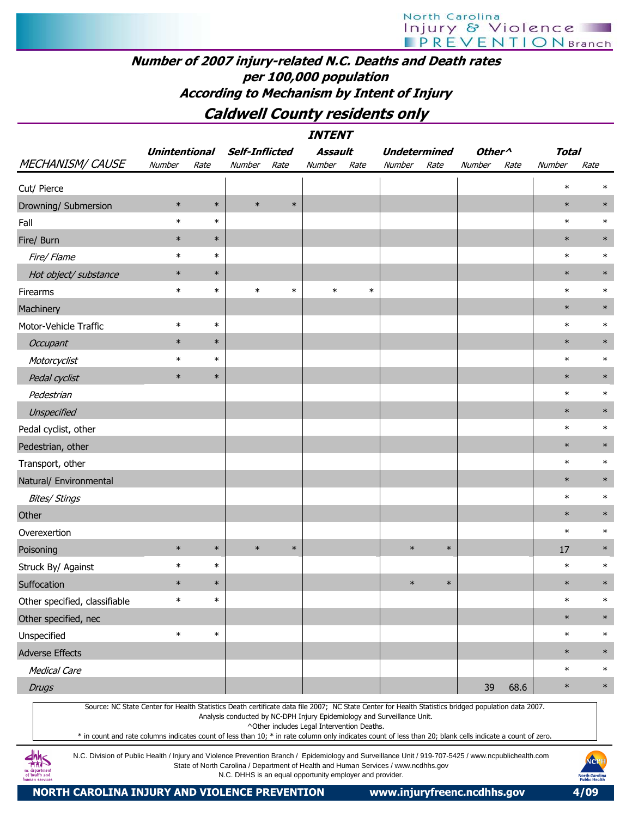# North Carolina Injury & Violence

# Number of 2007 injury-related N.C. Deaths and Death rates per 100,000 population According to Mechanism by Intent of Injury

# Caldwell County residents only

INTENT

|                                                                                                                                                                                                                                                                                                                  |                                |        |                                                                                    |        | 111 I LIT I                                |        |                               |        |                              |      |                        |        |
|------------------------------------------------------------------------------------------------------------------------------------------------------------------------------------------------------------------------------------------------------------------------------------------------------------------|--------------------------------|--------|------------------------------------------------------------------------------------|--------|--------------------------------------------|--------|-------------------------------|--------|------------------------------|------|------------------------|--------|
| <b>MECHANISM/ CAUSE</b>                                                                                                                                                                                                                                                                                          | <b>Unintentional</b><br>Number | Rate   | <b>Self-Inflicted</b><br>Number                                                    | Rate   | Assault<br>Number                          | Rate   | <b>Undetermined</b><br>Number | Rate   | Other <sup>^</sup><br>Number | Rate | <b>Total</b><br>Number | Rate   |
|                                                                                                                                                                                                                                                                                                                  |                                |        |                                                                                    |        |                                            |        |                               |        |                              |      | $\ast$                 |        |
| Cut/ Pierce                                                                                                                                                                                                                                                                                                      | $\ast$                         | $\ast$ | $\ast$                                                                             | $\ast$ |                                            |        |                               |        |                              |      | $\ast$                 | $\ast$ |
| Drowning/ Submersion<br>Fall                                                                                                                                                                                                                                                                                     | $\ast$                         | $\ast$ |                                                                                    |        |                                            |        |                               |        |                              |      | $\ast$                 | $\ast$ |
| Fire/ Burn                                                                                                                                                                                                                                                                                                       | $\ast$                         | $\ast$ |                                                                                    |        |                                            |        |                               |        |                              |      | $\ast$                 | $\ast$ |
| Fire/ Flame                                                                                                                                                                                                                                                                                                      | $\ast$                         | $\ast$ |                                                                                    |        |                                            |        |                               |        |                              |      | $\ast$                 | ∗      |
| Hot object/ substance                                                                                                                                                                                                                                                                                            | $\ast$                         | $\ast$ |                                                                                    |        |                                            |        |                               |        |                              |      | $\ast$                 | $\ast$ |
| Firearms                                                                                                                                                                                                                                                                                                         | $\ast$                         | $\ast$ | $\ast$                                                                             | $\ast$ | $\ast$                                     | $\ast$ |                               |        |                              |      | $\ast$                 | $\ast$ |
| Machinery                                                                                                                                                                                                                                                                                                        |                                |        |                                                                                    |        |                                            |        |                               |        |                              |      | $\ast$                 | $\ast$ |
| Motor-Vehicle Traffic                                                                                                                                                                                                                                                                                            | $\ast$                         | $\ast$ |                                                                                    |        |                                            |        |                               |        |                              |      | $\ast$                 | $\ast$ |
| <b>Occupant</b>                                                                                                                                                                                                                                                                                                  | $\ast$                         | $\ast$ |                                                                                    |        |                                            |        |                               |        |                              |      | $\ast$                 |        |
| Motorcyclist                                                                                                                                                                                                                                                                                                     | $\ast$                         | $\ast$ |                                                                                    |        |                                            |        |                               |        |                              |      | $\ast$                 | $\ast$ |
| Pedal cyclist                                                                                                                                                                                                                                                                                                    | $\ast$                         | $\ast$ |                                                                                    |        |                                            |        |                               |        |                              |      | $\ast$                 | $\ast$ |
| Pedestrian                                                                                                                                                                                                                                                                                                       |                                |        |                                                                                    |        |                                            |        |                               |        |                              |      | $\ast$                 | $\ast$ |
| Unspecified                                                                                                                                                                                                                                                                                                      |                                |        |                                                                                    |        |                                            |        |                               |        |                              |      | $\ast$                 | $\ast$ |
| Pedal cyclist, other                                                                                                                                                                                                                                                                                             |                                |        |                                                                                    |        |                                            |        |                               |        |                              |      | $\ast$                 | $\ast$ |
| Pedestrian, other                                                                                                                                                                                                                                                                                                |                                |        |                                                                                    |        |                                            |        |                               |        |                              |      | $\ast$                 | $\ast$ |
| Transport, other                                                                                                                                                                                                                                                                                                 |                                |        |                                                                                    |        |                                            |        |                               |        |                              |      | $\ast$                 | $\ast$ |
| Natural/ Environmental                                                                                                                                                                                                                                                                                           |                                |        |                                                                                    |        |                                            |        |                               |        |                              |      | $\ast$                 | $\ast$ |
| <b>Bites/ Stings</b>                                                                                                                                                                                                                                                                                             |                                |        |                                                                                    |        |                                            |        |                               |        |                              |      | $\ast$                 | $\ast$ |
| Other                                                                                                                                                                                                                                                                                                            |                                |        |                                                                                    |        |                                            |        |                               |        |                              |      | $\ast$                 | $\ast$ |
| Overexertion                                                                                                                                                                                                                                                                                                     |                                |        |                                                                                    |        |                                            |        |                               |        |                              |      | $\ast$                 | $\ast$ |
| Poisoning                                                                                                                                                                                                                                                                                                        | $\ast$                         | $\ast$ | $\ast$                                                                             | $\ast$ |                                            |        | $\ast$                        | $\ast$ |                              |      | 17                     | $\ast$ |
| Struck By/ Against                                                                                                                                                                                                                                                                                               | $\ast$                         | $\ast$ |                                                                                    |        |                                            |        |                               |        |                              |      | $\ast$                 | ∗      |
| Suffocation                                                                                                                                                                                                                                                                                                      | $\ast$                         | $\ast$ |                                                                                    |        |                                            |        | $\ast$                        | $\ast$ |                              |      | $\ast$                 | $\ast$ |
| Other specified, classifiable                                                                                                                                                                                                                                                                                    |                                |        |                                                                                    |        |                                            |        |                               |        |                              |      |                        |        |
| Other specified, nec                                                                                                                                                                                                                                                                                             |                                |        |                                                                                    |        |                                            |        |                               |        |                              |      | $\ast$                 | $\ast$ |
| Unspecified                                                                                                                                                                                                                                                                                                      | $\ast$                         | $\ast$ |                                                                                    |        |                                            |        |                               |        |                              |      | $\ast$                 | $\ast$ |
| <b>Adverse Effects</b>                                                                                                                                                                                                                                                                                           |                                |        |                                                                                    |        |                                            |        |                               |        |                              |      | $\ast$                 | $\ast$ |
| <b>Medical Care</b>                                                                                                                                                                                                                                                                                              |                                |        |                                                                                    |        |                                            |        |                               |        |                              |      | $\ast$                 | $\ast$ |
| <b>Drugs</b>                                                                                                                                                                                                                                                                                                     |                                |        |                                                                                    |        |                                            |        |                               |        | 39                           | 68.6 | $\ast$                 | $\ast$ |
| Source: NC State Center for Health Statistics Death certificate data file 2007; NC State Center for Health Statistics bridged population data 2007.<br>* in count and rate columns indicates count of less than 10; * in rate column only indicates count of less than 20; blank cells indicate a count of zero. |                                |        | Analysis conducted by NC-DPH Injury Epidemiology and Surveillance Unit.            |        | ^Other includes Legal Intervention Deaths. |        |                               |        |                              |      |                        |        |
| N.C. Division of Public Health / Injury and Violence Prevention Branch / Epidemiology and Surveillance Unit / 919-707-5425 / www.ncpublichealth.com<br>dhh<                                                                                                                                                      |                                |        | State of North Carolina / Department of Health and Human Services / www.ncdhhs.gov |        |                                            |        |                               |        |                              |      |                        | NCPH   |

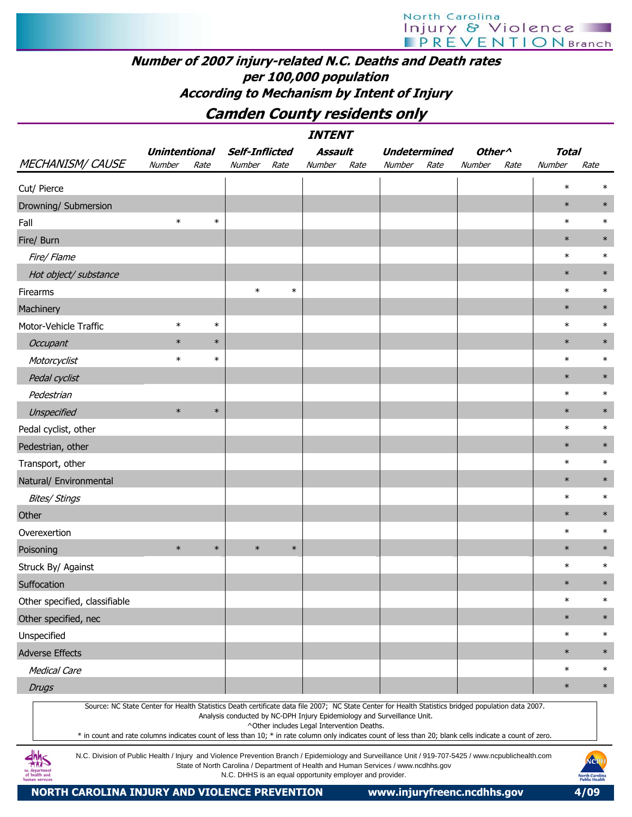## Number of 2007 injury-related N.C. Deaths and Death rates per 100,000 population According to Mechanism by Intent of Injury

# Camden County residents only

| <b>INTENT</b>                                                                                                                                                                                                                                                                                                    |                                        |        |                                                          |        |                                            |      |                                                                                    |      |                    |      |              |                                                       |
|------------------------------------------------------------------------------------------------------------------------------------------------------------------------------------------------------------------------------------------------------------------------------------------------------------------|----------------------------------------|--------|----------------------------------------------------------|--------|--------------------------------------------|------|------------------------------------------------------------------------------------|------|--------------------|------|--------------|-------------------------------------------------------|
|                                                                                                                                                                                                                                                                                                                  | <b>Unintentional</b><br>Number<br>Rate |        | <b>Self-Inflicted</b>                                    |        | Assault                                    |      | <b>Undetermined</b>                                                                |      | Other <sup>^</sup> |      | <b>Total</b> |                                                       |
| <b>MECHANISM/ CAUSE</b>                                                                                                                                                                                                                                                                                          |                                        |        | Number                                                   | Rate   | Number                                     | Rate | Number                                                                             | Rate | Number             | Rate | Number       | Rate                                                  |
| Cut/ Pierce                                                                                                                                                                                                                                                                                                      |                                        |        |                                                          |        |                                            |      |                                                                                    |      |                    |      | $\ast$       | $\ast$                                                |
| Drowning/ Submersion                                                                                                                                                                                                                                                                                             |                                        |        |                                                          |        |                                            |      |                                                                                    |      |                    |      | $\ast$       | $\ast$                                                |
| Fall                                                                                                                                                                                                                                                                                                             | $\ast$                                 | $\ast$ |                                                          |        |                                            |      |                                                                                    |      |                    |      | $\ast$       | $\ast$                                                |
| Fire/ Burn                                                                                                                                                                                                                                                                                                       |                                        |        |                                                          |        |                                            |      |                                                                                    |      |                    |      | $\ast$       | $\ast$                                                |
| Fire/ Flame                                                                                                                                                                                                                                                                                                      |                                        |        |                                                          |        |                                            |      |                                                                                    |      |                    |      | $\ast$       | $\ast$                                                |
| Hot object/ substance                                                                                                                                                                                                                                                                                            |                                        |        |                                                          |        |                                            |      |                                                                                    |      |                    |      | $\ast$       | $\ast$                                                |
| Firearms                                                                                                                                                                                                                                                                                                         |                                        |        | $\ast$                                                   | $\ast$ |                                            |      |                                                                                    |      |                    |      | $\ast$       | $\ast$                                                |
| Machinery                                                                                                                                                                                                                                                                                                        |                                        |        |                                                          |        |                                            |      |                                                                                    |      |                    |      | $\ast$       | $\ast$                                                |
| Motor-Vehicle Traffic                                                                                                                                                                                                                                                                                            | $\ast$                                 | $\ast$ |                                                          |        |                                            |      |                                                                                    |      |                    |      | $\ast$       | $\ast$                                                |
| Occupant                                                                                                                                                                                                                                                                                                         | $\ast$                                 | $\ast$ |                                                          |        |                                            |      |                                                                                    |      |                    |      | $\ast$       | $\ast$                                                |
| Motorcyclist                                                                                                                                                                                                                                                                                                     | $\ast$                                 | $\ast$ |                                                          |        |                                            |      |                                                                                    |      |                    |      | $\ast$       | $\ast$                                                |
| Pedal cyclist                                                                                                                                                                                                                                                                                                    |                                        |        |                                                          |        |                                            |      |                                                                                    |      |                    |      | $\ast$       | $\ast$                                                |
| Pedestrian                                                                                                                                                                                                                                                                                                       |                                        |        |                                                          |        |                                            |      |                                                                                    |      |                    |      | $\ast$       | $\ast$                                                |
| Unspecified                                                                                                                                                                                                                                                                                                      | $\ast$                                 | $\ast$ |                                                          |        |                                            |      |                                                                                    |      |                    |      | $\ast$       | $\ast$                                                |
| Pedal cyclist, other                                                                                                                                                                                                                                                                                             |                                        |        |                                                          |        |                                            |      |                                                                                    |      |                    |      | $\ast$       | $\ast$                                                |
| Pedestrian, other                                                                                                                                                                                                                                                                                                |                                        |        |                                                          |        |                                            |      |                                                                                    |      |                    |      | $\ast$       | $\ast$                                                |
| Transport, other                                                                                                                                                                                                                                                                                                 |                                        |        |                                                          |        |                                            |      |                                                                                    |      |                    |      | $\ast$       | $\ast$                                                |
| Natural/ Environmental                                                                                                                                                                                                                                                                                           |                                        |        |                                                          |        |                                            |      |                                                                                    |      |                    |      | $\ast$       | $\ast$                                                |
| <b>Bites/ Stings</b>                                                                                                                                                                                                                                                                                             |                                        |        |                                                          |        |                                            |      |                                                                                    |      |                    |      | $\ast$       | $\ast$                                                |
| Other                                                                                                                                                                                                                                                                                                            |                                        |        |                                                          |        |                                            |      |                                                                                    |      |                    |      | $\ast$       | $\ast$                                                |
| Overexertion                                                                                                                                                                                                                                                                                                     |                                        |        |                                                          |        |                                            |      |                                                                                    |      |                    |      | $\ast$       | $\ast$                                                |
| Poisoning                                                                                                                                                                                                                                                                                                        | $\ast$                                 | $\ast$ | $\ast$                                                   | $\ast$ |                                            |      |                                                                                    |      |                    |      | $\ast$       | $\ast$                                                |
| Struck By/ Against                                                                                                                                                                                                                                                                                               |                                        |        |                                                          |        |                                            |      |                                                                                    |      |                    |      | $\ast$       | $\ast$                                                |
| Suffocation                                                                                                                                                                                                                                                                                                      |                                        |        |                                                          |        |                                            |      |                                                                                    |      |                    |      | $\ast$       | $\ast$                                                |
| Other specified, classifiable                                                                                                                                                                                                                                                                                    |                                        |        |                                                          |        |                                            |      |                                                                                    |      |                    |      | $\ast$       | $\ast$                                                |
| Other specified, nec                                                                                                                                                                                                                                                                                             |                                        |        |                                                          |        |                                            |      |                                                                                    |      |                    |      | $\ast$       | $\ast$                                                |
| Unspecified                                                                                                                                                                                                                                                                                                      |                                        |        |                                                          |        |                                            |      |                                                                                    |      |                    |      | $\ast$       | $\ast$                                                |
| <b>Adverse Effects</b>                                                                                                                                                                                                                                                                                           |                                        |        |                                                          |        |                                            |      |                                                                                    |      |                    |      | $\ast$       | $\ast$                                                |
| <b>Medical Care</b>                                                                                                                                                                                                                                                                                              |                                        |        |                                                          |        |                                            |      |                                                                                    |      |                    |      | $\ast$       | $\ast$                                                |
| <b>Drugs</b>                                                                                                                                                                                                                                                                                                     |                                        |        |                                                          |        |                                            |      |                                                                                    |      |                    |      | $\ast$       | $\ast$                                                |
| Source: NC State Center for Health Statistics Death certificate data file 2007; NC State Center for Health Statistics bridged population data 2007.<br>* in count and rate columns indicates count of less than 10; * in rate column only indicates count of less than 20; blank cells indicate a count of zero. |                                        |        |                                                          |        | ^Other includes Legal Intervention Deaths. |      | Analysis conducted by NC-DPH Injury Epidemiology and Surveillance Unit.            |      |                    |      |              |                                                       |
| N.C. Division of Public Health / Injury and Violence Prevention Branch / Epidemiology and Surveillance Unit / 919-707-5425 / www.ncpublichealth.com<br>of health and                                                                                                                                             |                                        |        | N.C. DHHS is an equal opportunity employer and provider. |        |                                            |      | State of North Carolina / Department of Health and Human Services / www.ncdhhs.gov |      |                    |      |              | NOPH<br><b>North Carolina</b><br><b>Public Health</b> |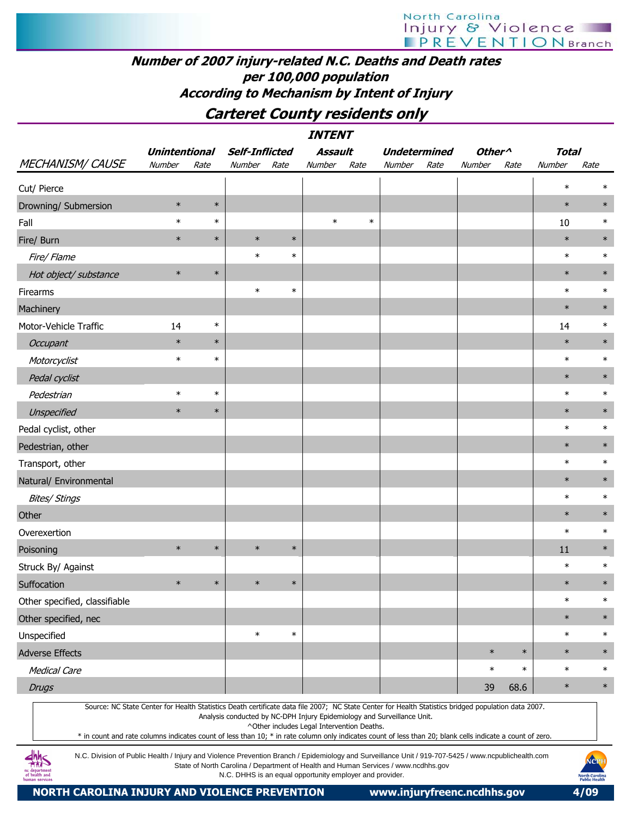# North Carolina Injury & Violence

# Number of 2007 injury-related N.C. Deaths and Death rates per 100,000 population According to Mechanism by Intent of Injury

# Carteret County residents only

|                               | <b>Unintentional</b>                                                                                                                                                                                                                                                                                                                                                                                                                      |        | Self-Inflicted |        | Assault |        | <b>Undetermined</b> |      | Other <sup>^</sup> |        | <b>Total</b> |        |
|-------------------------------|-------------------------------------------------------------------------------------------------------------------------------------------------------------------------------------------------------------------------------------------------------------------------------------------------------------------------------------------------------------------------------------------------------------------------------------------|--------|----------------|--------|---------|--------|---------------------|------|--------------------|--------|--------------|--------|
| <b>MECHANISM/ CAUSE</b>       | Number                                                                                                                                                                                                                                                                                                                                                                                                                                    | Rate   | Number         | Rate   | Number  | Rate   | Number              | Rate | Number             | Rate   | Number       | Rate   |
| Cut/ Pierce                   |                                                                                                                                                                                                                                                                                                                                                                                                                                           |        |                |        |         |        |                     |      |                    |        | $\ast$       |        |
| Drowning/ Submersion          | $\ast$                                                                                                                                                                                                                                                                                                                                                                                                                                    | $\ast$ |                |        |         |        |                     |      |                    |        | $\ast$       | $\ast$ |
| Fall                          | $\ast$                                                                                                                                                                                                                                                                                                                                                                                                                                    | $\ast$ |                |        | $\ast$  | $\ast$ |                     |      |                    |        | 10           | $\ast$ |
| Fire/ Burn                    | $\ast$                                                                                                                                                                                                                                                                                                                                                                                                                                    | $\ast$ | $\ast$         | $\ast$ |         |        |                     |      |                    |        | $\ast$       | $\ast$ |
| Fire/Flame                    |                                                                                                                                                                                                                                                                                                                                                                                                                                           |        | $\ast$         | $\ast$ |         |        |                     |      |                    |        | $\ast$       | $\ast$ |
| Hot object/ substance         | $\ast$                                                                                                                                                                                                                                                                                                                                                                                                                                    | $\ast$ |                |        |         |        |                     |      |                    |        | $\ast$       | $\ast$ |
| Firearms                      |                                                                                                                                                                                                                                                                                                                                                                                                                                           |        | $\ast$         | $\ast$ |         |        |                     |      |                    |        | $\ast$       | $\ast$ |
| Machinery                     |                                                                                                                                                                                                                                                                                                                                                                                                                                           |        |                |        |         |        |                     |      |                    |        | $\ast$       | $\ast$ |
| Motor-Vehicle Traffic         | 14                                                                                                                                                                                                                                                                                                                                                                                                                                        | $\ast$ |                |        |         |        |                     |      |                    |        | 14           | $\ast$ |
| Occupant                      | $\ast$                                                                                                                                                                                                                                                                                                                                                                                                                                    | $\ast$ |                |        |         |        |                     |      |                    |        | $\ast$       | $\ast$ |
| Motorcyclist                  | $\ast$                                                                                                                                                                                                                                                                                                                                                                                                                                    | $\ast$ |                |        |         |        |                     |      |                    |        | $\ast$       | $\ast$ |
| Pedal cyclist                 |                                                                                                                                                                                                                                                                                                                                                                                                                                           |        |                |        |         |        |                     |      |                    |        | $\ast$       | $\ast$ |
| Pedestrian                    | $\ast$                                                                                                                                                                                                                                                                                                                                                                                                                                    | $\ast$ |                |        |         |        |                     |      |                    |        | $\ast$       | $\ast$ |
| Unspecified                   | $\ast$                                                                                                                                                                                                                                                                                                                                                                                                                                    | $\ast$ |                |        |         |        |                     |      |                    |        | $\ast$       | $\ast$ |
| Pedal cyclist, other          |                                                                                                                                                                                                                                                                                                                                                                                                                                           |        |                |        |         |        |                     |      |                    |        | $\ast$       | $\ast$ |
| Pedestrian, other             |                                                                                                                                                                                                                                                                                                                                                                                                                                           |        |                |        |         |        |                     |      |                    |        | $\ast$       | $\ast$ |
| Transport, other              |                                                                                                                                                                                                                                                                                                                                                                                                                                           |        |                |        |         |        |                     |      |                    |        | $\ast$       | $\ast$ |
| Natural/ Environmental        |                                                                                                                                                                                                                                                                                                                                                                                                                                           |        |                |        |         |        |                     |      |                    |        | $\ast$       | $\ast$ |
| <b>Bites/ Stings</b>          |                                                                                                                                                                                                                                                                                                                                                                                                                                           |        |                |        |         |        |                     |      |                    |        | $\ast$       | $\ast$ |
| Other                         |                                                                                                                                                                                                                                                                                                                                                                                                                                           |        |                |        |         |        |                     |      |                    |        | $\ast$       | $\ast$ |
| Overexertion                  |                                                                                                                                                                                                                                                                                                                                                                                                                                           |        |                |        |         |        |                     |      |                    |        | $\ast$       | $\ast$ |
| Poisoning                     | $\ast$                                                                                                                                                                                                                                                                                                                                                                                                                                    | $\ast$ | $\ast$         | $\ast$ |         |        |                     |      |                    |        | 11           | $\ast$ |
| Struck By/ Against            |                                                                                                                                                                                                                                                                                                                                                                                                                                           |        |                |        |         |        |                     |      |                    |        | $\ast$       | $\ast$ |
| Suffocation                   | $\ast$                                                                                                                                                                                                                                                                                                                                                                                                                                    | $\ast$ | $\ast$         | $\ast$ |         |        |                     |      |                    |        | $\ast$       | $\ast$ |
| Other specified, classifiable |                                                                                                                                                                                                                                                                                                                                                                                                                                           |        |                |        |         |        |                     |      |                    |        | $\ast$       | $\ast$ |
| Other specified, nec          |                                                                                                                                                                                                                                                                                                                                                                                                                                           |        |                |        |         |        |                     |      |                    |        | $\ast$       | $\ast$ |
| Unspecified                   |                                                                                                                                                                                                                                                                                                                                                                                                                                           |        | $\ast$         | $\ast$ |         |        |                     |      |                    |        | $\ast$       | $\ast$ |
| <b>Adverse Effects</b>        |                                                                                                                                                                                                                                                                                                                                                                                                                                           |        |                |        |         |        |                     |      | $\ast$             | $\ast$ | $\ast$       | $\ast$ |
| <b>Medical Care</b>           |                                                                                                                                                                                                                                                                                                                                                                                                                                           |        |                |        |         |        |                     |      | $\ast$             | $\ast$ | $\ast$       | $\ast$ |
| <b>Drugs</b>                  |                                                                                                                                                                                                                                                                                                                                                                                                                                           |        |                |        |         |        |                     |      | 39                 | 68.6   | $\ast$       | $\ast$ |
|                               | Source: NC State Center for Health Statistics Death certificate data file 2007; NC State Center for Health Statistics bridged population data 2007.<br>Analysis conducted by NC-DPH Injury Epidemiology and Surveillance Unit.<br>^Other includes Legal Intervention Deaths.<br>* in count and rate columns indicates count of less than 10; * in rate column only indicates count of less than 20; blank cells indicate a count of zero. |        |                |        |         |        |                     |      |                    |        |              |        |

N.C. Division of Public Health / Injury and Violence Prevention Branch / Epidemiology and Surveillance Unit / 919-707-5425 / www.ncpublichealth.com State of North Carolina / Department of Health and Human Services / www.ncdhhs.gov N.C. DHHS is an equal opportunity employer and provider.

 $\frac{dh}{dh}S$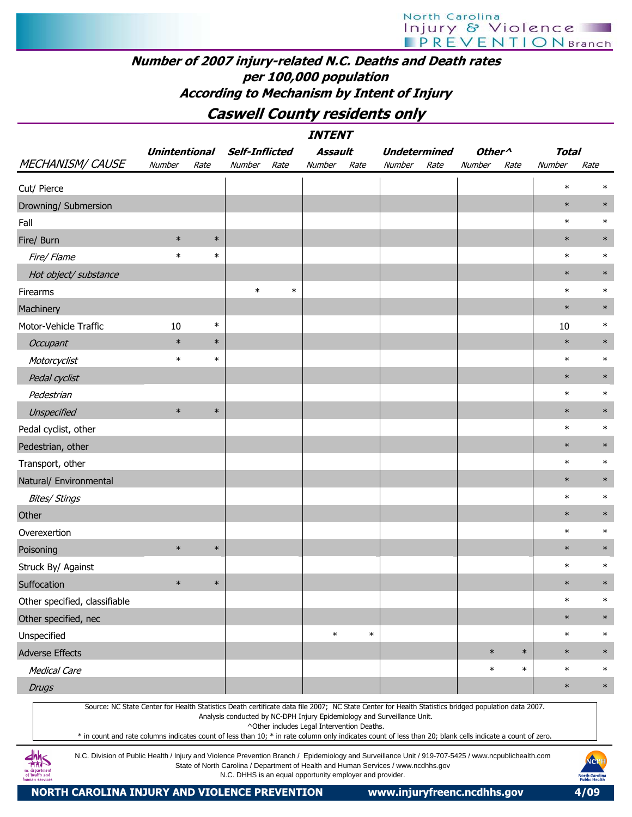Caswell County residents only

| <b>INTENT</b><br><b>Self-Inflicted</b><br>Other <sup>^</sup><br><b>Undetermined</b>                                                                                                                                                                                                                                                                                                                                                                                     |                                        |        |        |        |                                            |        |                                                                                    |      |        |        |              |        |  |
|-------------------------------------------------------------------------------------------------------------------------------------------------------------------------------------------------------------------------------------------------------------------------------------------------------------------------------------------------------------------------------------------------------------------------------------------------------------------------|----------------------------------------|--------|--------|--------|--------------------------------------------|--------|------------------------------------------------------------------------------------|------|--------|--------|--------------|--------|--|
|                                                                                                                                                                                                                                                                                                                                                                                                                                                                         | <b>Unintentional</b><br>Number<br>Rate |        |        |        | Assault                                    |        |                                                                                    |      |        |        | <b>Total</b> |        |  |
| <b>MECHANISM/ CAUSE</b>                                                                                                                                                                                                                                                                                                                                                                                                                                                 |                                        |        | Number | Rate   | Number                                     | Rate   | Number                                                                             | Rate | Number | Rate   | Number       | Rate   |  |
| Cut/ Pierce                                                                                                                                                                                                                                                                                                                                                                                                                                                             |                                        |        |        |        |                                            |        |                                                                                    |      |        |        | $\ast$       | $\ast$ |  |
| Drowning/ Submersion                                                                                                                                                                                                                                                                                                                                                                                                                                                    |                                        |        |        |        |                                            |        |                                                                                    |      |        |        | $\ast$       | $\ast$ |  |
| Fall                                                                                                                                                                                                                                                                                                                                                                                                                                                                    |                                        |        |        |        |                                            |        |                                                                                    |      |        |        | $\ast$       | $\ast$ |  |
| Fire/ Burn                                                                                                                                                                                                                                                                                                                                                                                                                                                              | $\ast$                                 | $\ast$ |        |        |                                            |        |                                                                                    |      |        |        | $\ast$       | $\ast$ |  |
| Fire/ Flame                                                                                                                                                                                                                                                                                                                                                                                                                                                             | $\ast$                                 | $\ast$ |        |        |                                            |        |                                                                                    |      |        |        | $\ast$       | $\ast$ |  |
| Hot object/ substance                                                                                                                                                                                                                                                                                                                                                                                                                                                   |                                        |        |        |        |                                            |        |                                                                                    |      |        |        | $\ast$       | $\ast$ |  |
| Firearms                                                                                                                                                                                                                                                                                                                                                                                                                                                                |                                        |        | $\ast$ | $\ast$ |                                            |        |                                                                                    |      |        |        | $\ast$       | $\ast$ |  |
| Machinery                                                                                                                                                                                                                                                                                                                                                                                                                                                               |                                        |        |        |        |                                            |        |                                                                                    |      |        |        | $\ast$       | $\ast$ |  |
| Motor-Vehicle Traffic                                                                                                                                                                                                                                                                                                                                                                                                                                                   | 10                                     | $\ast$ |        |        |                                            |        |                                                                                    |      |        |        | 10           | $\ast$ |  |
| Occupant                                                                                                                                                                                                                                                                                                                                                                                                                                                                | $\ast$                                 | $\ast$ |        |        |                                            |        |                                                                                    |      |        |        | $\ast$       | $\ast$ |  |
| Motorcyclist                                                                                                                                                                                                                                                                                                                                                                                                                                                            | $\ast$                                 | $\ast$ |        |        |                                            |        |                                                                                    |      |        |        | $\ast$       | $\ast$ |  |
| Pedal cyclist                                                                                                                                                                                                                                                                                                                                                                                                                                                           |                                        |        |        |        |                                            |        |                                                                                    |      |        |        | $\ast$       | $\ast$ |  |
| Pedestrian                                                                                                                                                                                                                                                                                                                                                                                                                                                              |                                        |        |        |        |                                            |        |                                                                                    |      |        |        | $\ast$       | $\ast$ |  |
| Unspecified                                                                                                                                                                                                                                                                                                                                                                                                                                                             | $\ast$                                 | $\ast$ |        |        |                                            |        |                                                                                    |      |        |        | $\ast$       | $\ast$ |  |
| Pedal cyclist, other                                                                                                                                                                                                                                                                                                                                                                                                                                                    |                                        |        |        |        |                                            |        |                                                                                    |      |        |        | $\ast$       | $\ast$ |  |
| Pedestrian, other                                                                                                                                                                                                                                                                                                                                                                                                                                                       |                                        |        |        |        |                                            |        |                                                                                    |      |        |        | $\ast$       | $\ast$ |  |
| Transport, other                                                                                                                                                                                                                                                                                                                                                                                                                                                        |                                        |        |        |        |                                            |        |                                                                                    |      |        |        | $\ast$       | $\ast$ |  |
| Natural/ Environmental                                                                                                                                                                                                                                                                                                                                                                                                                                                  |                                        |        |        |        |                                            |        |                                                                                    |      |        |        | $\ast$       | $\ast$ |  |
| <b>Bites/ Stings</b>                                                                                                                                                                                                                                                                                                                                                                                                                                                    |                                        |        |        |        |                                            |        |                                                                                    |      |        |        | $\ast$       | $\ast$ |  |
| Other                                                                                                                                                                                                                                                                                                                                                                                                                                                                   |                                        |        |        |        |                                            |        |                                                                                    |      |        |        | $\ast$       | $\ast$ |  |
| Overexertion                                                                                                                                                                                                                                                                                                                                                                                                                                                            |                                        |        |        |        |                                            |        |                                                                                    |      |        |        | $\ast$       | $\ast$ |  |
| Poisoning                                                                                                                                                                                                                                                                                                                                                                                                                                                               | $\ast$                                 | $\ast$ |        |        |                                            |        |                                                                                    |      |        |        | $\ast$       | $\ast$ |  |
| Struck By/ Against                                                                                                                                                                                                                                                                                                                                                                                                                                                      |                                        |        |        |        |                                            |        |                                                                                    |      |        |        | $\ast$       | $\ast$ |  |
| Suffocation                                                                                                                                                                                                                                                                                                                                                                                                                                                             | $\ast$                                 | $\ast$ |        |        |                                            |        |                                                                                    |      |        |        | $\ast$       | $\ast$ |  |
| Other specified, classifiable                                                                                                                                                                                                                                                                                                                                                                                                                                           |                                        |        |        |        |                                            |        |                                                                                    |      |        |        | $\ast$       | $\ast$ |  |
| Other specified, nec                                                                                                                                                                                                                                                                                                                                                                                                                                                    |                                        |        |        |        |                                            |        |                                                                                    |      |        |        | $\ast$       | $\ast$ |  |
| Unspecified                                                                                                                                                                                                                                                                                                                                                                                                                                                             |                                        |        |        |        | $\ast$                                     | $\ast$ |                                                                                    |      |        |        | $\ast$       | $\ast$ |  |
| <b>Adverse Effects</b>                                                                                                                                                                                                                                                                                                                                                                                                                                                  |                                        |        |        |        |                                            |        |                                                                                    |      | $\ast$ | $\ast$ | $\ast$       | $\ast$ |  |
| <b>Medical Care</b>                                                                                                                                                                                                                                                                                                                                                                                                                                                     |                                        |        |        |        |                                            |        |                                                                                    |      | $\ast$ | $\ast$ | $\ast$       | $\ast$ |  |
| <b>Drugs</b>                                                                                                                                                                                                                                                                                                                                                                                                                                                            |                                        |        |        |        |                                            |        |                                                                                    |      |        |        | $\ast$       | $\ast$ |  |
| Source: NC State Center for Health Statistics Death certificate data file 2007; NC State Center for Health Statistics bridged population data 2007.<br>* in count and rate columns indicates count of less than 10; * in rate column only indicates count of less than 20; blank cells indicate a count of zero.<br>N.C. Division of Public Health / Injury and Violence Prevention Branch / Epidemiology and Surveillance Unit / 919-707-5425 / www.ncpublichealth.com |                                        |        |        |        | ^Other includes Legal Intervention Deaths. |        | Analysis conducted by NC-DPH Injury Epidemiology and Surveillance Unit.            |      |        |        |              | NCPH   |  |
|                                                                                                                                                                                                                                                                                                                                                                                                                                                                         |                                        |        |        |        |                                            |        | State of North Carolina / Department of Health and Human Services / www.ncdhhs.gov |      |        |        |              |        |  |

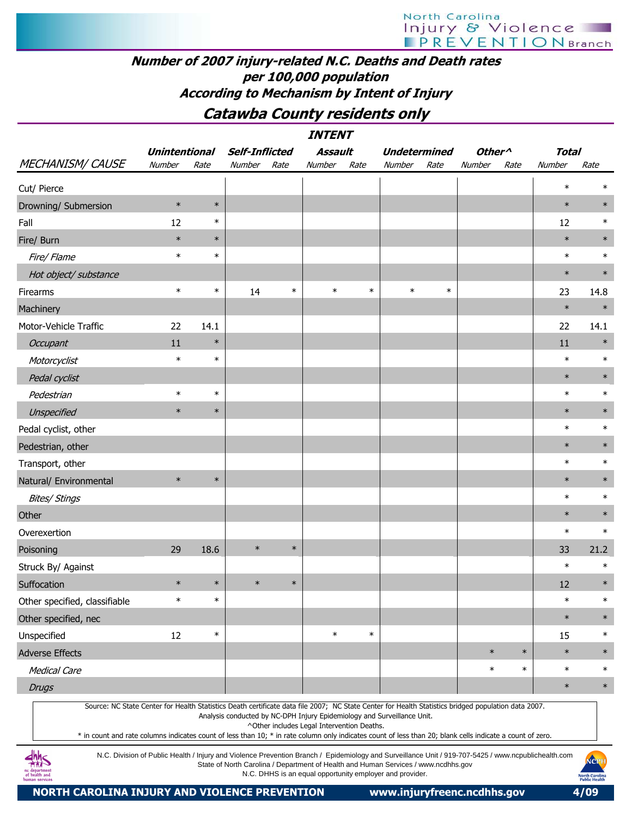# Number of 2007 injury-related N.C. Deaths and Death rates per 100,000 population According to Mechanism by Intent of Injury

# Catawba County residents only

|                               | <b>Unintentional</b> |        | <b>Self-Inflicted</b> |        | Assault |        | <b>Undetermined</b> |        | Other <sup>^</sup> |        | <b>Total</b> |        |
|-------------------------------|----------------------|--------|-----------------------|--------|---------|--------|---------------------|--------|--------------------|--------|--------------|--------|
| MECHANISM/CAUSE               | Number               | Rate   | Number                | Rate   | Number  | Rate   | Number              | Rate   | Number             | Rate   | Number       | Rate   |
| Cut/ Pierce                   |                      |        |                       |        |         |        |                     |        |                    |        | $\ast$       | $\ast$ |
| Drowning/ Submersion          | $\ast$               | $\ast$ |                       |        |         |        |                     |        |                    |        | $\ast$       | $\ast$ |
| Fall                          | 12                   | $\ast$ |                       |        |         |        |                     |        |                    |        | 12           | $\ast$ |
| Fire/ Burn                    | $\ast$               | $\ast$ |                       |        |         |        |                     |        |                    |        | $\ast$       | $\ast$ |
| Fire/ Flame                   | $\ast$               | $\ast$ |                       |        |         |        |                     |        |                    |        | $\ast$       | $\ast$ |
| Hot object/ substance         |                      |        |                       |        |         |        |                     |        |                    |        | $\ast$       | $\ast$ |
| Firearms                      | $\ast$               | $\ast$ | 14                    | $\ast$ | $\ast$  | $\ast$ | $\ast$              | $\ast$ |                    |        | 23           | 14.8   |
| Machinery                     |                      |        |                       |        |         |        |                     |        |                    |        | $\ast$       | $\ast$ |
| Motor-Vehicle Traffic         | 22                   | 14.1   |                       |        |         |        |                     |        |                    |        | 22           | 14.1   |
| Occupant                      | 11                   | $\ast$ |                       |        |         |        |                     |        |                    |        | 11           | $\ast$ |
| Motorcyclist                  | $\ast$               | $\ast$ |                       |        |         |        |                     |        |                    |        | $\ast$       | $\ast$ |
| Pedal cyclist                 |                      |        |                       |        |         |        |                     |        |                    |        | $\ast$       | $\ast$ |
| Pedestrian                    | $\ast$               | $\ast$ |                       |        |         |        |                     |        |                    |        | $\ast$       | $\ast$ |
| Unspecified                   | $\ast$               | $\ast$ |                       |        |         |        |                     |        |                    |        | $\ast$       | $\ast$ |
| Pedal cyclist, other          |                      |        |                       |        |         |        |                     |        |                    |        | $\ast$       | $\ast$ |
| Pedestrian, other             |                      |        |                       |        |         |        |                     |        |                    |        | $\ast$       | $\ast$ |
| Transport, other              |                      |        |                       |        |         |        |                     |        |                    |        | $\ast$       | $\ast$ |
| Natural/ Environmental        | $\ast$               | $\ast$ |                       |        |         |        |                     |        |                    |        | $\ast$       | $\ast$ |
| <b>Bites/ Stings</b>          |                      |        |                       |        |         |        |                     |        |                    |        | $\ast$       | $\ast$ |
| Other                         |                      |        |                       |        |         |        |                     |        |                    |        | $\ast$       | $\ast$ |
| Overexertion                  |                      |        |                       |        |         |        |                     |        |                    |        | $\ast$       | $\ast$ |
| Poisoning                     | 29                   | 18.6   | $\ast$                | $\ast$ |         |        |                     |        |                    |        | 33           | 21.2   |
| Struck By/ Against            |                      |        |                       |        |         |        |                     |        |                    |        | $\ast$       | $\ast$ |
| Suffocation                   | $\ast$               | $\ast$ | $\ast$                | $\ast$ |         |        |                     |        |                    |        | 12           | $\ast$ |
| Other specified, classifiable | $\ast$               | $\ast$ |                       |        |         |        |                     |        |                    |        | $\ast$       | $\ast$ |
| Other specified, nec          |                      |        |                       |        |         |        |                     |        |                    |        | $\ast$       | $\ast$ |
| Unspecified                   | $12\,$               | $\ast$ |                       |        | $\ast$  | $\ast$ |                     |        |                    |        | 15           | $\ast$ |
| <b>Adverse Effects</b>        |                      |        |                       |        |         |        |                     |        | $\ast$             | $\ast$ | $\ast$       | $\ast$ |
| <b>Medical Care</b>           |                      |        |                       |        |         |        |                     |        | $\ast$             | $\ast$ | $\ast$       | $\ast$ |
| <b>Drugs</b>                  |                      |        |                       |        |         |        |                     |        |                    |        | $\ast$       | $\ast$ |

Source: NC State Center for Health Statistics Death certificate data file 2007; NC State Center for Health Statistics bridged population data 2007.

Analysis conducted by NC-DPH Injury Epidemiology and Surveillance Unit.

^Other includes Legal Intervention Deaths.

\* in count and rate columns indicates count of less than 10; \* in rate column only indicates count of less than 20; blank cells indicate a count of zero.

N.C. Division of Public Health / Injury and Violence Prevention Branch / Epidemiology and Surveillance Unit / 919-707-5425 / www.ncpublichealth.com State of North Carolina / Department of Health and Human Services / www.ncdhhs.gov N.C. DHHS is an equal opportunity employer and provider.



 $\frac{dh}{dh}$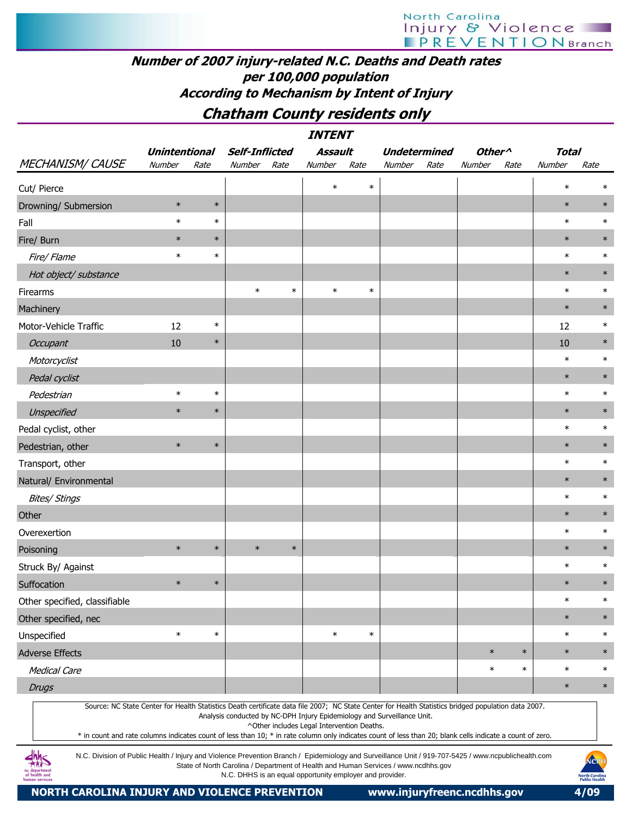# North Carolina Injury & Violence

# Number of 2007 injury-related N.C. Deaths and Death rates per 100,000 population According to Mechanism by Intent of Injury

# Chatham County residents only

| <b>INTENT</b>                                                                                                                                                                                                                                                                                                    |                      |        |                       |        |                                                                                                                       |        |                     |      |                    |        |              |        |  |
|------------------------------------------------------------------------------------------------------------------------------------------------------------------------------------------------------------------------------------------------------------------------------------------------------------------|----------------------|--------|-----------------------|--------|-----------------------------------------------------------------------------------------------------------------------|--------|---------------------|------|--------------------|--------|--------------|--------|--|
|                                                                                                                                                                                                                                                                                                                  | <b>Unintentional</b> |        | <b>Self-Inflicted</b> |        | Assault                                                                                                               |        | <b>Undetermined</b> |      | Other <sup>^</sup> |        | <b>Total</b> |        |  |
| <b>MECHANISM/ CAUSE</b>                                                                                                                                                                                                                                                                                          | Number               | Rate   | Number                | Rate   | Number                                                                                                                | Rate   | Number              | Rate | Number             | Rate   | Number       | Rate   |  |
| Cut/ Pierce                                                                                                                                                                                                                                                                                                      |                      |        |                       |        | $\ast$                                                                                                                | $\ast$ |                     |      |                    |        | $\ast$       | $\ast$ |  |
| Drowning/ Submersion                                                                                                                                                                                                                                                                                             | $\ast$               | $\ast$ |                       |        |                                                                                                                       |        |                     |      |                    |        | $\ast$       | $\ast$ |  |
| Fall                                                                                                                                                                                                                                                                                                             | $\ast$               | $\ast$ |                       |        |                                                                                                                       |        |                     |      |                    |        | $\ast$       | $\ast$ |  |
| Fire/ Burn                                                                                                                                                                                                                                                                                                       | $\ast$               | $\ast$ |                       |        |                                                                                                                       |        |                     |      |                    |        | $\ast$       | $\ast$ |  |
| Fire/Flame                                                                                                                                                                                                                                                                                                       | $\ast$               | $\ast$ |                       |        |                                                                                                                       |        |                     |      |                    |        | $\ast$       | $\ast$ |  |
| Hot object/ substance                                                                                                                                                                                                                                                                                            |                      |        |                       |        |                                                                                                                       |        |                     |      |                    |        | $\ast$       | $\ast$ |  |
| Firearms                                                                                                                                                                                                                                                                                                         |                      |        | $\ast$                | $\ast$ | $\ast$                                                                                                                | $\ast$ |                     |      |                    |        | $\ast$       | $\ast$ |  |
| Machinery                                                                                                                                                                                                                                                                                                        |                      |        |                       |        |                                                                                                                       |        |                     |      |                    |        | $\ast$       | $\ast$ |  |
| Motor-Vehicle Traffic                                                                                                                                                                                                                                                                                            | 12                   | $\ast$ |                       |        |                                                                                                                       |        |                     |      |                    |        | 12           | $\ast$ |  |
| Occupant                                                                                                                                                                                                                                                                                                         | 10                   | $\ast$ |                       |        |                                                                                                                       |        |                     |      |                    |        | 10           | $\ast$ |  |
| Motorcyclist                                                                                                                                                                                                                                                                                                     |                      |        |                       |        |                                                                                                                       |        |                     |      |                    |        | $\ast$       | $\ast$ |  |
| Pedal cyclist                                                                                                                                                                                                                                                                                                    |                      |        |                       |        |                                                                                                                       |        |                     |      |                    |        | $\ast$       | $\ast$ |  |
| Pedestrian                                                                                                                                                                                                                                                                                                       | $\ast$               | $\ast$ |                       |        |                                                                                                                       |        |                     |      |                    |        | $\ast$       | $\ast$ |  |
| Unspecified                                                                                                                                                                                                                                                                                                      | $\ast$               | $\ast$ |                       |        |                                                                                                                       |        |                     |      |                    |        | $\ast$       | $\ast$ |  |
| Pedal cyclist, other                                                                                                                                                                                                                                                                                             |                      |        |                       |        |                                                                                                                       |        |                     |      |                    |        | $\ast$       | $\ast$ |  |
| Pedestrian, other                                                                                                                                                                                                                                                                                                | $\ast$               | $\ast$ |                       |        |                                                                                                                       |        |                     |      |                    |        | $\ast$       | $\ast$ |  |
| Transport, other                                                                                                                                                                                                                                                                                                 |                      |        |                       |        |                                                                                                                       |        |                     |      |                    |        | $\ast$       | $\ast$ |  |
| Natural/ Environmental                                                                                                                                                                                                                                                                                           |                      |        |                       |        |                                                                                                                       |        |                     |      |                    |        | $\ast$       | $\ast$ |  |
| <b>Bites/ Stings</b>                                                                                                                                                                                                                                                                                             |                      |        |                       |        |                                                                                                                       |        |                     |      |                    |        | $\ast$       | $\ast$ |  |
| Other                                                                                                                                                                                                                                                                                                            |                      |        |                       |        |                                                                                                                       |        |                     |      |                    |        | $\ast$       | $\ast$ |  |
| Overexertion                                                                                                                                                                                                                                                                                                     |                      |        |                       |        |                                                                                                                       |        |                     |      |                    |        | $\ast$       | $\ast$ |  |
| Poisoning                                                                                                                                                                                                                                                                                                        | $\ast$               | $\ast$ | $\ast$                | $\ast$ |                                                                                                                       |        |                     |      |                    |        | $\ast$       | $\ast$ |  |
| Struck By/ Against                                                                                                                                                                                                                                                                                               |                      |        |                       |        |                                                                                                                       |        |                     |      |                    |        | $\ast$       | $\ast$ |  |
| Suffocation                                                                                                                                                                                                                                                                                                      | $\ast$               | $\ast$ |                       |        |                                                                                                                       |        |                     |      |                    |        | $\ast$       | $\ast$ |  |
| Other specified, classifiable                                                                                                                                                                                                                                                                                    |                      |        |                       |        |                                                                                                                       |        |                     |      |                    |        | $\ast$       | $\ast$ |  |
| Other specified, nec                                                                                                                                                                                                                                                                                             |                      |        |                       |        |                                                                                                                       |        |                     |      |                    |        | $\ast$       | $\ast$ |  |
| Unspecified                                                                                                                                                                                                                                                                                                      | $\ast$               | $\ast$ |                       |        | $\ast$                                                                                                                | $\ast$ |                     |      |                    |        | $\ast$       | $\ast$ |  |
| <b>Adverse Effects</b>                                                                                                                                                                                                                                                                                           |                      |        |                       |        |                                                                                                                       |        |                     |      | $\ast$             | $\ast$ | $\ast$       | $\ast$ |  |
| <b>Medical Care</b>                                                                                                                                                                                                                                                                                              |                      |        |                       |        |                                                                                                                       |        |                     |      | $\ast$             | $\ast$ | $\ast$       | $\ast$ |  |
| <b>Drugs</b>                                                                                                                                                                                                                                                                                                     |                      |        |                       |        |                                                                                                                       |        |                     |      |                    |        | $\ast$       | $\ast$ |  |
| Source: NC State Center for Health Statistics Death certificate data file 2007; NC State Center for Health Statistics bridged population data 2007.<br>* in count and rate columns indicates count of less than 10; * in rate column only indicates count of less than 20; blank cells indicate a count of zero. |                      |        |                       |        | Analysis conducted by NC-DPH Injury Epidemiology and Surveillance Unit.<br>^Other includes Legal Intervention Deaths. |        |                     |      |                    |        |              |        |  |

N.C. Division of Public Health / Injury and Violence Prevention Branch / Epidemiology and Surveillance Unit / 919-707-5425 / www.ncpublichealth.com State of North Carolina / Department of Health and Human Services / www.ncdhhs.gov N.C. DHHS is an equal opportunity employer and provider.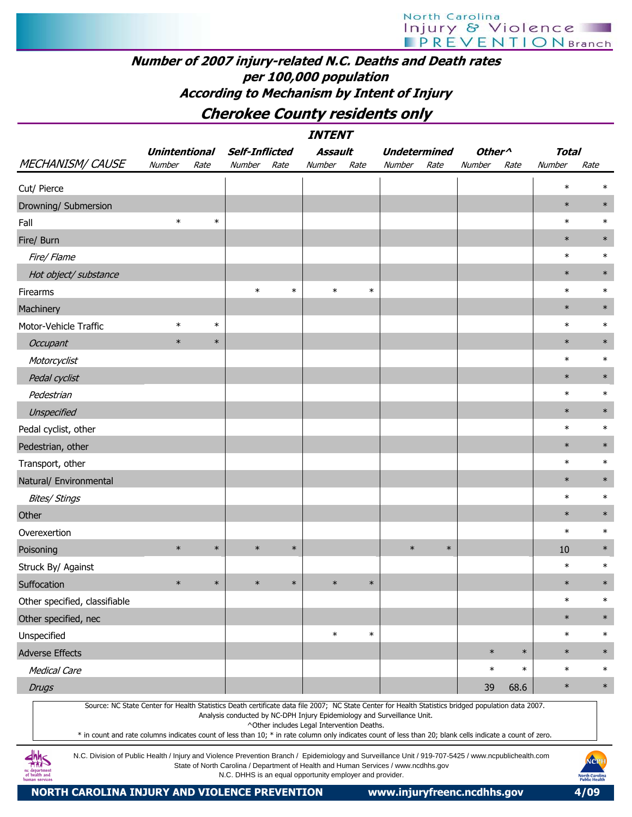# North Carolina **Injury & Violence**

## Number of 2007 injury-related N.C. Deaths and Death rates per 100,000 population According to Mechanism by Intent of Injury

# Cherokee County residents only

| <b>INTENT</b>                                                                                                                                                                                                                                                                                                                                                                                                                                                     |                      |        |        |                       |                                            |        |                                                                         |        |                    |        |              |        |  |
|-------------------------------------------------------------------------------------------------------------------------------------------------------------------------------------------------------------------------------------------------------------------------------------------------------------------------------------------------------------------------------------------------------------------------------------------------------------------|----------------------|--------|--------|-----------------------|--------------------------------------------|--------|-------------------------------------------------------------------------|--------|--------------------|--------|--------------|--------|--|
|                                                                                                                                                                                                                                                                                                                                                                                                                                                                   | <b>Unintentional</b> |        |        | <b>Self-Inflicted</b> | <b>Assault</b>                             |        | <b>Undetermined</b>                                                     |        | Other <sup>^</sup> |        | <b>Total</b> |        |  |
| <b>MECHANISM/ CAUSE</b>                                                                                                                                                                                                                                                                                                                                                                                                                                           | Number               | Rate   | Number | Rate                  | Number                                     | Rate   | Number                                                                  | Rate   | Number             | Rate   | Number       | Rate   |  |
| Cut/ Pierce                                                                                                                                                                                                                                                                                                                                                                                                                                                       |                      |        |        |                       |                                            |        |                                                                         |        |                    |        | $\ast$       |        |  |
| Drowning/ Submersion                                                                                                                                                                                                                                                                                                                                                                                                                                              |                      |        |        |                       |                                            |        |                                                                         |        |                    |        | $\ast$       | $\ast$ |  |
| Fall                                                                                                                                                                                                                                                                                                                                                                                                                                                              | $\ast$               | $\ast$ |        |                       |                                            |        |                                                                         |        |                    |        | $\ast$       | $\ast$ |  |
| Fire/ Burn                                                                                                                                                                                                                                                                                                                                                                                                                                                        |                      |        |        |                       |                                            |        |                                                                         |        |                    |        | $\ast$       | $\ast$ |  |
| Fire/ Flame                                                                                                                                                                                                                                                                                                                                                                                                                                                       |                      |        |        |                       |                                            |        |                                                                         |        |                    |        | $\ast$       | $\ast$ |  |
| Hot object/ substance                                                                                                                                                                                                                                                                                                                                                                                                                                             |                      |        |        |                       |                                            |        |                                                                         |        |                    |        | $\ast$       | $\ast$ |  |
| Firearms                                                                                                                                                                                                                                                                                                                                                                                                                                                          |                      |        | $\ast$ | $\ast$                | $\ast$                                     | $\ast$ |                                                                         |        |                    |        | $\ast$       | $\ast$ |  |
| Machinery                                                                                                                                                                                                                                                                                                                                                                                                                                                         |                      |        |        |                       |                                            |        |                                                                         |        |                    |        | $\ast$       | $\ast$ |  |
| Motor-Vehicle Traffic                                                                                                                                                                                                                                                                                                                                                                                                                                             | $\ast$               | $\ast$ |        |                       |                                            |        |                                                                         |        |                    |        | $\ast$       | $\ast$ |  |
| Occupant                                                                                                                                                                                                                                                                                                                                                                                                                                                          | $\ast$               | $\ast$ |        |                       |                                            |        |                                                                         |        |                    |        | $\ast$       | $\ast$ |  |
| Motorcyclist                                                                                                                                                                                                                                                                                                                                                                                                                                                      |                      |        |        |                       |                                            |        |                                                                         |        |                    |        | $\ast$       | $\ast$ |  |
| Pedal cyclist                                                                                                                                                                                                                                                                                                                                                                                                                                                     |                      |        |        |                       |                                            |        |                                                                         |        |                    |        | $\ast$       | $\ast$ |  |
| Pedestrian                                                                                                                                                                                                                                                                                                                                                                                                                                                        |                      |        |        |                       |                                            |        |                                                                         |        |                    |        | $\ast$       | $\ast$ |  |
| Unspecified                                                                                                                                                                                                                                                                                                                                                                                                                                                       |                      |        |        |                       |                                            |        |                                                                         |        |                    |        | $\ast$       | $\ast$ |  |
| Pedal cyclist, other                                                                                                                                                                                                                                                                                                                                                                                                                                              |                      |        |        |                       |                                            |        |                                                                         |        |                    |        | $\ast$       | $\ast$ |  |
| Pedestrian, other                                                                                                                                                                                                                                                                                                                                                                                                                                                 |                      |        |        |                       |                                            |        |                                                                         |        |                    |        | $\ast$       | $\ast$ |  |
| Transport, other                                                                                                                                                                                                                                                                                                                                                                                                                                                  |                      |        |        |                       |                                            |        |                                                                         |        |                    |        | $\ast$       | $\ast$ |  |
| Natural/ Environmental                                                                                                                                                                                                                                                                                                                                                                                                                                            |                      |        |        |                       |                                            |        |                                                                         |        |                    |        | $\ast$       | $\ast$ |  |
| <b>Bites/ Stings</b>                                                                                                                                                                                                                                                                                                                                                                                                                                              |                      |        |        |                       |                                            |        |                                                                         |        |                    |        | $\ast$       | $\ast$ |  |
| Other                                                                                                                                                                                                                                                                                                                                                                                                                                                             |                      |        |        |                       |                                            |        |                                                                         |        |                    |        | $\ast$       | $\ast$ |  |
| Overexertion                                                                                                                                                                                                                                                                                                                                                                                                                                                      |                      |        |        |                       |                                            |        |                                                                         |        |                    |        | $\ast$       | $\ast$ |  |
| Poisoning                                                                                                                                                                                                                                                                                                                                                                                                                                                         | $\ast$               | $\ast$ | $\ast$ | $\ast$                |                                            |        | $\ast$                                                                  | $\ast$ |                    |        | 10           | $\ast$ |  |
| Struck By/ Against                                                                                                                                                                                                                                                                                                                                                                                                                                                |                      |        |        |                       |                                            |        |                                                                         |        |                    |        | $\ast$       | $\ast$ |  |
| Suffocation                                                                                                                                                                                                                                                                                                                                                                                                                                                       | $\ast$               | $\ast$ | $\ast$ | $\ast$                | $\ast$                                     | $\ast$ |                                                                         |        |                    |        | $\ast$       | $\ast$ |  |
| Other specified, classifiable                                                                                                                                                                                                                                                                                                                                                                                                                                     |                      |        |        |                       |                                            |        |                                                                         |        |                    |        | $\ast$       | $\ast$ |  |
| Other specified, nec                                                                                                                                                                                                                                                                                                                                                                                                                                              |                      |        |        |                       |                                            |        |                                                                         |        |                    |        | $\ast$       | $\ast$ |  |
| Unspecified                                                                                                                                                                                                                                                                                                                                                                                                                                                       |                      |        |        |                       | $\ast$                                     | $\ast$ |                                                                         |        |                    |        | $\ast$       | $\ast$ |  |
| <b>Adverse Effects</b>                                                                                                                                                                                                                                                                                                                                                                                                                                            |                      |        |        |                       |                                            |        |                                                                         |        | $\ast$             | $\ast$ | $\ast$       | $\ast$ |  |
| <b>Medical Care</b>                                                                                                                                                                                                                                                                                                                                                                                                                                               |                      |        |        |                       |                                            |        |                                                                         |        | $\ast$             | $\ast$ | $\ast$       | $\ast$ |  |
| <b>Drugs</b>                                                                                                                                                                                                                                                                                                                                                                                                                                                      |                      |        |        |                       |                                            |        |                                                                         |        | 39                 | 68.6   | $\ast$       | $\ast$ |  |
| Source: NC State Center for Health Statistics Death certificate data file 2007; NC State Center for Health Statistics bridged population data 2007.<br>* in count and rate columns indicates count of less than 10; * in rate column only indicates count of less than 20; blank cells indicate a count of zero.<br>عاماله<br>Division of Dublic Hoalth (Injune and Violence Provention Pranch / Enidemialogy and Sunsillance Unit / 010 707 E425 (www.popubliche |                      |        |        |                       | ^Other includes Legal Intervention Deaths. |        | Analysis conducted by NC-DPH Injury Epidemiology and Surveillance Unit. |        |                    |        |              |        |  |



N.C. Division of Public Health / Injury and Violence Prevention Branch / Epidemiology and Surveillance Unit / 919-707-5425 / www.ncpublichealth.com State of North Carolina / Department of Health and Human Services / www.ncdhhs.gov N.C. DHHS is an equal opportunity employer and provider.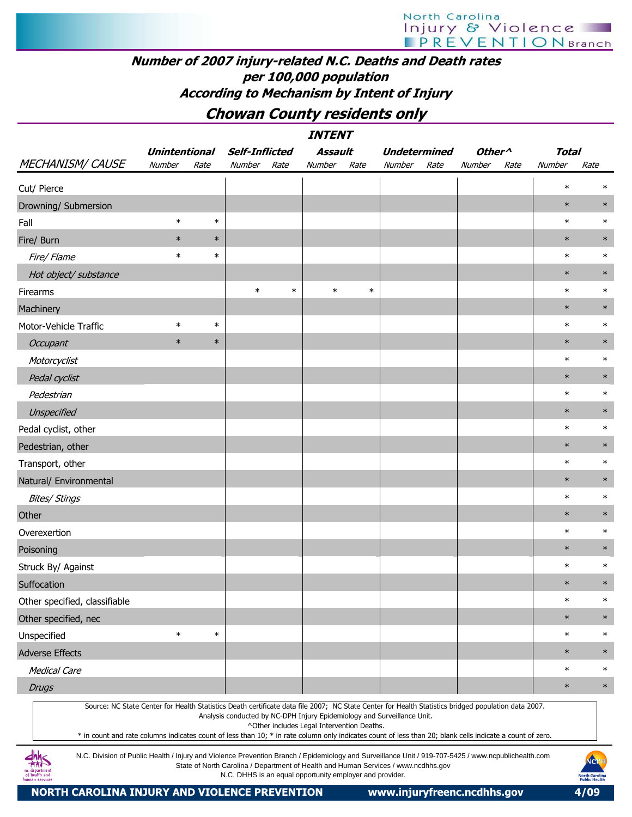# Number of 2007 injury-related N.C. Deaths and Death rates per 100,000 population According to Mechanism by Intent of Injury

# Chowan County residents only

| <b>INTENT</b>                                                                                                                                                                                                                                                                                                    |                      |        |                       |        |                                                          |        |                                                                                    |      |                    |      |              |                                                       |
|------------------------------------------------------------------------------------------------------------------------------------------------------------------------------------------------------------------------------------------------------------------------------------------------------------------|----------------------|--------|-----------------------|--------|----------------------------------------------------------|--------|------------------------------------------------------------------------------------|------|--------------------|------|--------------|-------------------------------------------------------|
|                                                                                                                                                                                                                                                                                                                  | <b>Unintentional</b> |        | <b>Self-Inflicted</b> |        | Assault                                                  |        | <b>Undetermined</b>                                                                |      | Other <sup>^</sup> |      | <b>Total</b> |                                                       |
| <b>MECHANISM/ CAUSE</b>                                                                                                                                                                                                                                                                                          | Number               | Rate   | Number                | Rate   | Number                                                   | Rate   | Number                                                                             | Rate | Number             | Rate | Number       | Rate                                                  |
| Cut/ Pierce                                                                                                                                                                                                                                                                                                      |                      |        |                       |        |                                                          |        |                                                                                    |      |                    |      | $\ast$       | ∗                                                     |
| Drowning/ Submersion                                                                                                                                                                                                                                                                                             |                      |        |                       |        |                                                          |        |                                                                                    |      |                    |      | $\ast$       | $\ast$                                                |
| Fall                                                                                                                                                                                                                                                                                                             | $\ast$               | $\ast$ |                       |        |                                                          |        |                                                                                    |      |                    |      | $\ast$       | $\ast$                                                |
| Fire/ Burn                                                                                                                                                                                                                                                                                                       | $\ast$               | $\ast$ |                       |        |                                                          |        |                                                                                    |      |                    |      | $\ast$       | $\ast$                                                |
| Fire/ Flame                                                                                                                                                                                                                                                                                                      | $\ast$               | $\ast$ |                       |        |                                                          |        |                                                                                    |      |                    |      | $\ast$       | $\ast$                                                |
| Hot object/ substance                                                                                                                                                                                                                                                                                            |                      |        |                       |        |                                                          |        |                                                                                    |      |                    |      | $\ast$       | $\ast$                                                |
| Firearms                                                                                                                                                                                                                                                                                                         |                      |        | $\ast$                | $\ast$ | $\ast$                                                   | $\ast$ |                                                                                    |      |                    |      | $\ast$       | $\ast$                                                |
| Machinery                                                                                                                                                                                                                                                                                                        |                      |        |                       |        |                                                          |        |                                                                                    |      |                    |      | $\ast$       | $\ast$                                                |
| Motor-Vehicle Traffic                                                                                                                                                                                                                                                                                            | $\ast$               | $\ast$ |                       |        |                                                          |        |                                                                                    |      |                    |      | $\ast$       | $\ast$                                                |
| <b>Occupant</b>                                                                                                                                                                                                                                                                                                  | $\ast$               | $\ast$ |                       |        |                                                          |        |                                                                                    |      |                    |      | $\ast$       | $\ast$                                                |
| Motorcyclist                                                                                                                                                                                                                                                                                                     |                      |        |                       |        |                                                          |        |                                                                                    |      |                    |      | $\ast$       | $\ast$                                                |
| Pedal cyclist                                                                                                                                                                                                                                                                                                    |                      |        |                       |        |                                                          |        |                                                                                    |      |                    |      | $\ast$       | $\ast$                                                |
| Pedestrian                                                                                                                                                                                                                                                                                                       |                      |        |                       |        |                                                          |        |                                                                                    |      |                    |      | $\ast$       | $\ast$                                                |
| Unspecified                                                                                                                                                                                                                                                                                                      |                      |        |                       |        |                                                          |        |                                                                                    |      |                    |      | $\ast$       | $\ast$                                                |
| Pedal cyclist, other                                                                                                                                                                                                                                                                                             |                      |        |                       |        |                                                          |        |                                                                                    |      |                    |      | $\ast$       | $\ast$                                                |
| Pedestrian, other                                                                                                                                                                                                                                                                                                |                      |        |                       |        |                                                          |        |                                                                                    |      |                    |      | $\ast$       | $\ast$                                                |
| Transport, other                                                                                                                                                                                                                                                                                                 |                      |        |                       |        |                                                          |        |                                                                                    |      |                    |      | $\ast$       | $\ast$                                                |
| Natural/ Environmental                                                                                                                                                                                                                                                                                           |                      |        |                       |        |                                                          |        |                                                                                    |      |                    |      | $\ast$       | $\ast$                                                |
| <b>Bites/ Stings</b>                                                                                                                                                                                                                                                                                             |                      |        |                       |        |                                                          |        |                                                                                    |      |                    |      | $\ast$       | $\ast$                                                |
| Other                                                                                                                                                                                                                                                                                                            |                      |        |                       |        |                                                          |        |                                                                                    |      |                    |      | $\ast$       | $\ast$                                                |
| Overexertion                                                                                                                                                                                                                                                                                                     |                      |        |                       |        |                                                          |        |                                                                                    |      |                    |      | $\ast$       | $\ast$                                                |
| Poisoning                                                                                                                                                                                                                                                                                                        |                      |        |                       |        |                                                          |        |                                                                                    |      |                    |      | $\ast$       | $\ast$                                                |
| Struck By/ Against                                                                                                                                                                                                                                                                                               |                      |        |                       |        |                                                          |        |                                                                                    |      |                    |      | $\ast$       | $\ast$                                                |
| Suffocation                                                                                                                                                                                                                                                                                                      |                      |        |                       |        |                                                          |        |                                                                                    |      |                    |      | $\ast$       | $\ast$                                                |
| Other specified, classifiable                                                                                                                                                                                                                                                                                    |                      |        |                       |        |                                                          |        |                                                                                    |      |                    |      | $\ast$       | $\ast$                                                |
| Other specified, nec                                                                                                                                                                                                                                                                                             |                      |        |                       |        |                                                          |        |                                                                                    |      |                    |      | $\ast$       | $\ast$                                                |
| Unspecified                                                                                                                                                                                                                                                                                                      | $\ast$               | $\ast$ |                       |        |                                                          |        |                                                                                    |      |                    |      | $\ast$       | $\ast$                                                |
| <b>Adverse Effects</b>                                                                                                                                                                                                                                                                                           |                      |        |                       |        |                                                          |        |                                                                                    |      |                    |      | $\ast$       | $\ast$                                                |
| <b>Medical Care</b>                                                                                                                                                                                                                                                                                              |                      |        |                       |        |                                                          |        |                                                                                    |      |                    |      | $\ast$       | $\ast$                                                |
| <b>Drugs</b>                                                                                                                                                                                                                                                                                                     |                      |        |                       |        |                                                          |        |                                                                                    |      |                    |      | $\ast$       | $\ast$                                                |
| Source: NC State Center for Health Statistics Death certificate data file 2007; NC State Center for Health Statistics bridged population data 2007.<br>* in count and rate columns indicates count of less than 10; * in rate column only indicates count of less than 20; blank cells indicate a count of zero. |                      |        |                       |        | ^Other includes Legal Intervention Deaths.               |        | Analysis conducted by NC-DPH Injury Epidemiology and Surveillance Unit.            |      |                    |      |              |                                                       |
| N.C. Division of Public Health / Injury and Violence Prevention Branch / Epidemiology and Surveillance Unit / 919-707-5425 / www.ncpublichealth.com<br>ıc departmen<br>of health and                                                                                                                             |                      |        |                       |        | N.C. DHHS is an equal opportunity employer and provider. |        | State of North Carolina / Department of Health and Human Services / www.ncdhhs.gov |      |                    |      |              | NCPH<br><b>North Carolina</b><br><b>Public Health</b> |



NORTH CAROLINA INJURY AND VIOLENCE PREVENTION www.injuryfreenc.ncdhhs.gov 4/09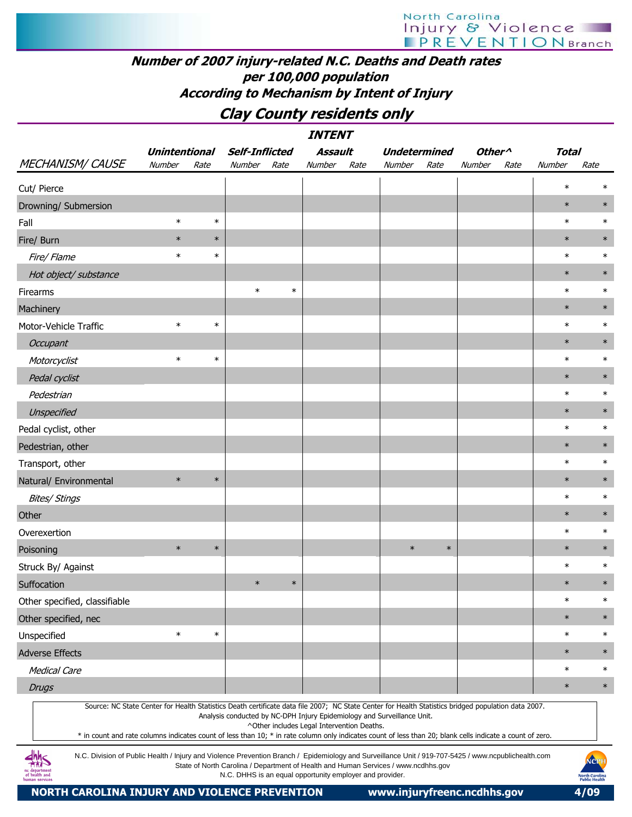# Clay County residents only

|                                                                                                                                                                                                                                                                                                                  |                      |        |                                                          |        | <i><b>INTENT</b></i>                       |      |                                                                                    |        |                    |      |              |                                                       |
|------------------------------------------------------------------------------------------------------------------------------------------------------------------------------------------------------------------------------------------------------------------------------------------------------------------|----------------------|--------|----------------------------------------------------------|--------|--------------------------------------------|------|------------------------------------------------------------------------------------|--------|--------------------|------|--------------|-------------------------------------------------------|
|                                                                                                                                                                                                                                                                                                                  | <b>Unintentional</b> |        | <b>Self-Inflicted</b>                                    |        | Assault                                    |      | <b>Undetermined</b>                                                                |        | Other <sup>^</sup> |      | <b>Total</b> |                                                       |
| <b>MECHANISM/ CAUSE</b>                                                                                                                                                                                                                                                                                          | Number               | Rate   | Number                                                   | Rate   | <b>Number</b>                              | Rate | Number                                                                             | Rate   | Number             | Rate | Number       | Rate                                                  |
| Cut/ Pierce                                                                                                                                                                                                                                                                                                      |                      |        |                                                          |        |                                            |      |                                                                                    |        |                    |      | $\ast$       |                                                       |
| Drowning/ Submersion                                                                                                                                                                                                                                                                                             |                      |        |                                                          |        |                                            |      |                                                                                    |        |                    |      | $\ast$       | $\ast$                                                |
| Fall                                                                                                                                                                                                                                                                                                             | $\ast$               | $\ast$ |                                                          |        |                                            |      |                                                                                    |        |                    |      | $\ast$       | $\ast$                                                |
| Fire/ Burn                                                                                                                                                                                                                                                                                                       | $\ast$               | $\ast$ |                                                          |        |                                            |      |                                                                                    |        |                    |      | $\ast$       | $\ast$                                                |
| Fire/ Flame                                                                                                                                                                                                                                                                                                      | $\ast$               | $\ast$ |                                                          |        |                                            |      |                                                                                    |        |                    |      | $\ast$       | $\ast$                                                |
| Hot object/ substance                                                                                                                                                                                                                                                                                            |                      |        |                                                          |        |                                            |      |                                                                                    |        |                    |      | $\ast$       | $\ast$                                                |
| Firearms                                                                                                                                                                                                                                                                                                         |                      |        | $\ast$                                                   | $\ast$ |                                            |      |                                                                                    |        |                    |      | $\ast$       | $\ast$                                                |
| Machinery                                                                                                                                                                                                                                                                                                        |                      |        |                                                          |        |                                            |      |                                                                                    |        |                    |      | $\ast$       | $\ast$                                                |
| Motor-Vehicle Traffic                                                                                                                                                                                                                                                                                            | $\ast$               | $\ast$ |                                                          |        |                                            |      |                                                                                    |        |                    |      | $\ast$       | $\ast$                                                |
| Occupant                                                                                                                                                                                                                                                                                                         |                      |        |                                                          |        |                                            |      |                                                                                    |        |                    |      | $\ast$       | $\ast$                                                |
| Motorcyclist                                                                                                                                                                                                                                                                                                     | $\ast$               | $\ast$ |                                                          |        |                                            |      |                                                                                    |        |                    |      | $\ast$       | $\ast$                                                |
| Pedal cyclist                                                                                                                                                                                                                                                                                                    |                      |        |                                                          |        |                                            |      |                                                                                    |        |                    |      | $\ast$       | $\ast$                                                |
| Pedestrian                                                                                                                                                                                                                                                                                                       |                      |        |                                                          |        |                                            |      |                                                                                    |        |                    |      | $\ast$       | $\ast$                                                |
| Unspecified                                                                                                                                                                                                                                                                                                      |                      |        |                                                          |        |                                            |      |                                                                                    |        |                    |      | $\ast$       | $\ast$                                                |
| Pedal cyclist, other                                                                                                                                                                                                                                                                                             |                      |        |                                                          |        |                                            |      |                                                                                    |        |                    |      | $\ast$       | $\ast$                                                |
| Pedestrian, other                                                                                                                                                                                                                                                                                                |                      |        |                                                          |        |                                            |      |                                                                                    |        |                    |      | $\ast$       | $\ast$                                                |
| Transport, other                                                                                                                                                                                                                                                                                                 |                      |        |                                                          |        |                                            |      |                                                                                    |        |                    |      | $\ast$       | $\ast$                                                |
| Natural/ Environmental                                                                                                                                                                                                                                                                                           | $\ast$               | $\ast$ |                                                          |        |                                            |      |                                                                                    |        |                    |      | $\ast$       | $\ast$                                                |
| <b>Bites/ Stings</b>                                                                                                                                                                                                                                                                                             |                      |        |                                                          |        |                                            |      |                                                                                    |        |                    |      | $\ast$       | $\ast$                                                |
| Other                                                                                                                                                                                                                                                                                                            |                      |        |                                                          |        |                                            |      |                                                                                    |        |                    |      | $\ast$       | $\ast$                                                |
| Overexertion                                                                                                                                                                                                                                                                                                     |                      |        |                                                          |        |                                            |      |                                                                                    |        |                    |      | $\ast$       | $\ast$                                                |
| Poisoning                                                                                                                                                                                                                                                                                                        | $\ast$               | $\ast$ |                                                          |        |                                            |      | $\ast$                                                                             | $\ast$ |                    |      | $\ast$       | $\ast$                                                |
| Struck By/ Against                                                                                                                                                                                                                                                                                               |                      |        |                                                          |        |                                            |      |                                                                                    |        |                    |      | $\ast$       | $\ast$                                                |
| Suffocation                                                                                                                                                                                                                                                                                                      |                      |        | $\ast$                                                   | $\ast$ |                                            |      |                                                                                    |        |                    |      | $\ast$       | $\ast$                                                |
| Other specified, classifiable                                                                                                                                                                                                                                                                                    |                      |        |                                                          |        |                                            |      |                                                                                    |        |                    |      | $\ast$       | $\ast$                                                |
| Other specified, nec                                                                                                                                                                                                                                                                                             |                      |        |                                                          |        |                                            |      |                                                                                    |        |                    |      | $\ast$       | $\ast$                                                |
| Unspecified                                                                                                                                                                                                                                                                                                      | $\ast$               | $\ast$ |                                                          |        |                                            |      |                                                                                    |        |                    |      | $\ast$       | $\ast$                                                |
| <b>Adverse Effects</b>                                                                                                                                                                                                                                                                                           |                      |        |                                                          |        |                                            |      |                                                                                    |        |                    |      | $\ast$       | $\ast$                                                |
| <b>Medical Care</b>                                                                                                                                                                                                                                                                                              |                      |        |                                                          |        |                                            |      |                                                                                    |        |                    |      | $\ast$       | $\ast$                                                |
| <b>Drugs</b>                                                                                                                                                                                                                                                                                                     |                      |        |                                                          |        |                                            |      |                                                                                    |        |                    |      | $\ast$       | $\ast$                                                |
| Source: NC State Center for Health Statistics Death certificate data file 2007; NC State Center for Health Statistics bridged population data 2007.<br>* in count and rate columns indicates count of less than 10; * in rate column only indicates count of less than 20; blank cells indicate a count of zero. |                      |        |                                                          |        | ^Other includes Legal Intervention Deaths. |      | Analysis conducted by NC-DPH Injury Epidemiology and Surveillance Unit.            |        |                    |      |              |                                                       |
| N.C. Division of Public Health / Injury and Violence Prevention Branch / Epidemiology and Surveillance Unit / 919-707-5425 / www.ncpublichealth.com<br>of health and<br>human service:                                                                                                                           |                      |        | N.C. DHHS is an equal opportunity employer and provider. |        |                                            |      | State of North Carolina / Department of Health and Human Services / www.ncdhhs.gov |        |                    |      |              | NCPI<br><b>North Carolina</b><br><b>Public Health</b> |

NORTH CAROLINA INJURY AND VIOLENCE PREVENTION www.injuryfreenc.ncdhhs.gov 4/09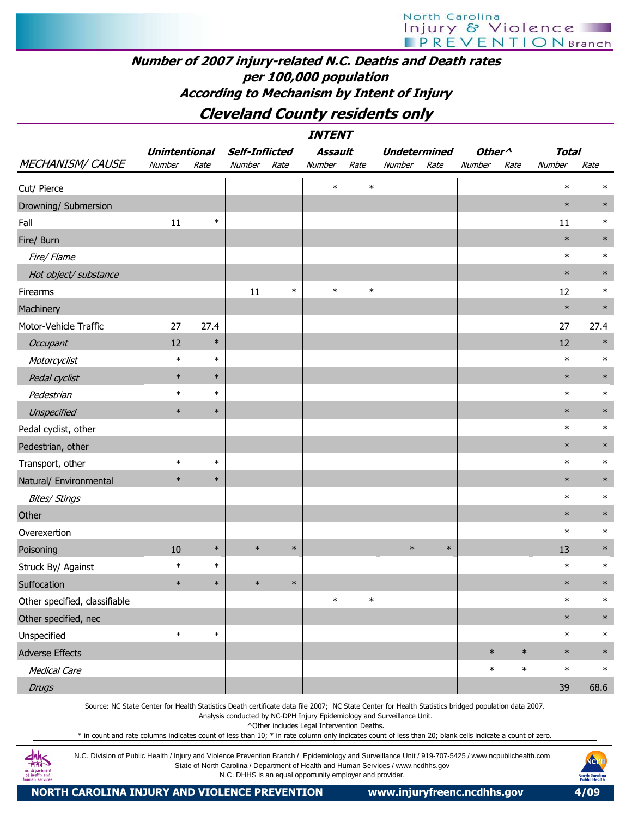### Number of 2007 injury-related N.C. Deaths and Death rates per 100,000 population According to Mechanism by Intent of Injury

Cleveland County residents only

| <i><b>INTENT</b></i>                                                                                                                                |                                                                                                                                                                                                                                                                                                                                                                                                                                                                                                                     |        |                       |        |                                                                                                                       |        |                     |        |                    |        |              |        |
|-----------------------------------------------------------------------------------------------------------------------------------------------------|---------------------------------------------------------------------------------------------------------------------------------------------------------------------------------------------------------------------------------------------------------------------------------------------------------------------------------------------------------------------------------------------------------------------------------------------------------------------------------------------------------------------|--------|-----------------------|--------|-----------------------------------------------------------------------------------------------------------------------|--------|---------------------|--------|--------------------|--------|--------------|--------|
|                                                                                                                                                     | <b>Unintentional</b>                                                                                                                                                                                                                                                                                                                                                                                                                                                                                                |        | <b>Self-Inflicted</b> |        | <b>Assault</b>                                                                                                        |        | <b>Undetermined</b> |        | Other <sup>^</sup> |        | <b>Total</b> |        |
| <b>MECHANISM/ CAUSE</b>                                                                                                                             | Number                                                                                                                                                                                                                                                                                                                                                                                                                                                                                                              | Rate   | Number                | Rate   | Number                                                                                                                | Rate   | Number              | Rate   | Number             | Rate   | Number       | Rate   |
| Cut/ Pierce                                                                                                                                         |                                                                                                                                                                                                                                                                                                                                                                                                                                                                                                                     |        |                       |        | $\ast$                                                                                                                | $\ast$ |                     |        |                    |        | $\ast$       | $\ast$ |
| Drowning/ Submersion                                                                                                                                |                                                                                                                                                                                                                                                                                                                                                                                                                                                                                                                     |        |                       |        |                                                                                                                       |        |                     |        |                    |        | $\ast$       | $\ast$ |
| Fall                                                                                                                                                | 11                                                                                                                                                                                                                                                                                                                                                                                                                                                                                                                  | $\ast$ |                       |        |                                                                                                                       |        |                     |        |                    |        | 11           | $\ast$ |
| Fire/ Burn                                                                                                                                          |                                                                                                                                                                                                                                                                                                                                                                                                                                                                                                                     |        |                       |        |                                                                                                                       |        |                     |        |                    |        | $\ast$       | $\ast$ |
| Fire/ Flame                                                                                                                                         |                                                                                                                                                                                                                                                                                                                                                                                                                                                                                                                     |        |                       |        |                                                                                                                       |        |                     |        |                    |        | $\ast$       | $\ast$ |
| Hot object/ substance                                                                                                                               |                                                                                                                                                                                                                                                                                                                                                                                                                                                                                                                     |        |                       |        |                                                                                                                       |        |                     |        |                    |        | $\ast$       |        |
| Firearms                                                                                                                                            |                                                                                                                                                                                                                                                                                                                                                                                                                                                                                                                     |        | 11                    | $\ast$ | $\ast$                                                                                                                | $\ast$ |                     |        |                    |        | 12           | $\ast$ |
| Machinery                                                                                                                                           |                                                                                                                                                                                                                                                                                                                                                                                                                                                                                                                     |        |                       |        |                                                                                                                       |        |                     |        |                    |        | $\ast$       | $\ast$ |
| Motor-Vehicle Traffic                                                                                                                               | 27                                                                                                                                                                                                                                                                                                                                                                                                                                                                                                                  | 27.4   |                       |        |                                                                                                                       |        |                     |        |                    |        | 27           | 27.4   |
| <b>Occupant</b>                                                                                                                                     | 12                                                                                                                                                                                                                                                                                                                                                                                                                                                                                                                  | $\ast$ |                       |        |                                                                                                                       |        |                     |        |                    |        | 12           | $\ast$ |
| Motorcyclist                                                                                                                                        | $\ast$                                                                                                                                                                                                                                                                                                                                                                                                                                                                                                              | $\ast$ |                       |        |                                                                                                                       |        |                     |        |                    |        | $\ast$       | $\ast$ |
| Pedal cyclist                                                                                                                                       | $\ast$                                                                                                                                                                                                                                                                                                                                                                                                                                                                                                              | $\ast$ |                       |        |                                                                                                                       |        |                     |        |                    |        | $\ast$       | $\ast$ |
| Pedestrian                                                                                                                                          | $\ast$                                                                                                                                                                                                                                                                                                                                                                                                                                                                                                              | $\ast$ |                       |        |                                                                                                                       |        |                     |        |                    |        | $\ast$       | $\ast$ |
| Unspecified                                                                                                                                         | $\ast$                                                                                                                                                                                                                                                                                                                                                                                                                                                                                                              | $\ast$ |                       |        |                                                                                                                       |        |                     |        |                    |        | $\ast$       | $\ast$ |
| Pedal cyclist, other                                                                                                                                |                                                                                                                                                                                                                                                                                                                                                                                                                                                                                                                     |        |                       |        |                                                                                                                       |        |                     |        |                    |        | $\ast$       | $\ast$ |
| Pedestrian, other                                                                                                                                   |                                                                                                                                                                                                                                                                                                                                                                                                                                                                                                                     |        |                       |        |                                                                                                                       |        |                     |        |                    |        | $\ast$       | $\ast$ |
| Transport, other                                                                                                                                    | $\ast$                                                                                                                                                                                                                                                                                                                                                                                                                                                                                                              | $\ast$ |                       |        |                                                                                                                       |        |                     |        |                    |        | $\ast$       | $\ast$ |
| Natural/ Environmental                                                                                                                              | $\ast$                                                                                                                                                                                                                                                                                                                                                                                                                                                                                                              | $\ast$ |                       |        |                                                                                                                       |        |                     |        |                    |        | $\ast$       | $\ast$ |
| <b>Bites/ Stings</b>                                                                                                                                |                                                                                                                                                                                                                                                                                                                                                                                                                                                                                                                     |        |                       |        |                                                                                                                       |        |                     |        |                    |        | $\ast$       | $\ast$ |
| Other                                                                                                                                               |                                                                                                                                                                                                                                                                                                                                                                                                                                                                                                                     |        |                       |        |                                                                                                                       |        |                     |        |                    |        | $\ast$       | $\ast$ |
| Overexertion                                                                                                                                        |                                                                                                                                                                                                                                                                                                                                                                                                                                                                                                                     |        |                       |        |                                                                                                                       |        |                     |        |                    |        | $\ast$       | $\ast$ |
| Poisoning                                                                                                                                           | 10                                                                                                                                                                                                                                                                                                                                                                                                                                                                                                                  | $\ast$ | $\ast$                | $\ast$ |                                                                                                                       |        | $\ast$              | $\ast$ |                    |        | 13           | $\ast$ |
| Struck By/ Against                                                                                                                                  | $\ast$                                                                                                                                                                                                                                                                                                                                                                                                                                                                                                              | $\ast$ |                       |        |                                                                                                                       |        |                     |        |                    |        | $\ast$       | $\ast$ |
| Suffocation                                                                                                                                         | $\ast$                                                                                                                                                                                                                                                                                                                                                                                                                                                                                                              | $\ast$ | $\ast$                | $\ast$ |                                                                                                                       |        |                     |        |                    |        | $\ast$       | $\ast$ |
| Other specified, classifiable                                                                                                                       |                                                                                                                                                                                                                                                                                                                                                                                                                                                                                                                     |        |                       |        | $\ast$                                                                                                                | $\ast$ |                     |        |                    |        | $\ast$       | $\ast$ |
| Other specified, nec                                                                                                                                |                                                                                                                                                                                                                                                                                                                                                                                                                                                                                                                     |        |                       |        |                                                                                                                       |        |                     |        |                    |        | $\ast$       | $\ast$ |
| Unspecified                                                                                                                                         | $\ast$                                                                                                                                                                                                                                                                                                                                                                                                                                                                                                              | $\ast$ |                       |        |                                                                                                                       |        |                     |        |                    |        | $\ast$       | $\ast$ |
| <b>Adverse Effects</b>                                                                                                                              |                                                                                                                                                                                                                                                                                                                                                                                                                                                                                                                     |        |                       |        |                                                                                                                       |        |                     |        | $\ast$             | $\ast$ | $\ast$       | $\ast$ |
| <b>Medical Care</b>                                                                                                                                 |                                                                                                                                                                                                                                                                                                                                                                                                                                                                                                                     |        |                       |        |                                                                                                                       |        |                     |        | $\ast$             | $\ast$ | $\ast$       | $\ast$ |
| <b>Drugs</b>                                                                                                                                        |                                                                                                                                                                                                                                                                                                                                                                                                                                                                                                                     |        |                       |        |                                                                                                                       |        |                     |        |                    |        | 39           | 68.6   |
| Source: NC State Center for Health Statistics Death certificate data file 2007; NC State Center for Health Statistics bridged population data 2007. |                                                                                                                                                                                                                                                                                                                                                                                                                                                                                                                     |        |                       |        | Analysis conducted by NC-DPH Injury Epidemiology and Surveillance Unit.<br>^Other includes Legal Intervention Deaths. |        |                     |        |                    |        |              |        |
| of health and<br>uman service                                                                                                                       | * in count and rate columns indicates count of less than 10; * in rate column only indicates count of less than 20; blank cells indicate a count of zero.<br>N.C. Division of Public Health / Injury and Violence Prevention Branch / Epidemiology and Surveillance Unit / 919-707-5425 / www.ncpublichealth.com<br>NCP<br>State of North Carolina / Department of Health and Human Services / www.ncdhhs.gov<br>N.C. DHHS is an equal opportunity employer and provider.<br><b>North Carolin<br/>Public Health</b> |        |                       |        |                                                                                                                       |        |                     |        |                    |        |              |        |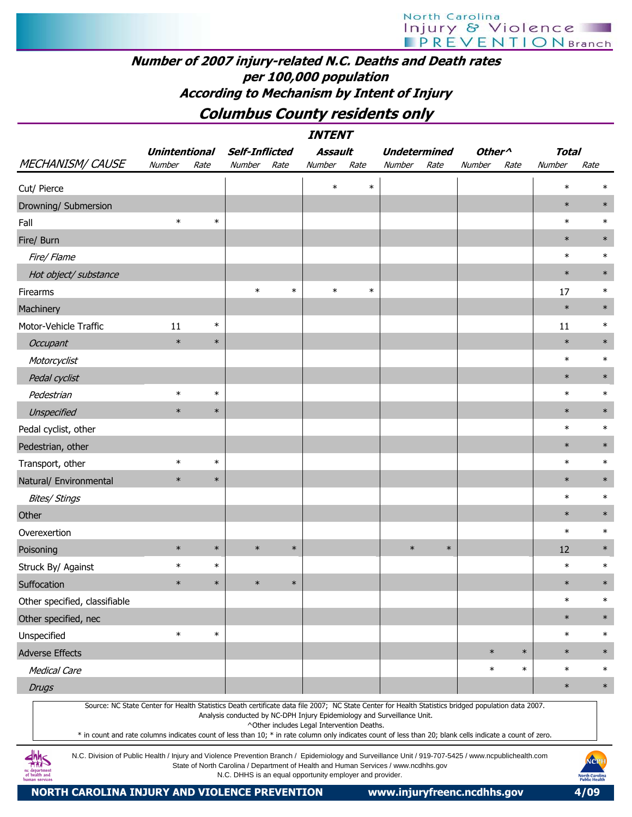### Number of 2007 injury-related N.C. Deaths and Death rates per 100,000 population According to Mechanism by Intent of Injury

Columbus County residents only

| <i><b>INTENT</b></i>                                                                                                                                                                 |                                                                                                                                                                                                                                                                                                                                                                                                                                           |        |                       |        |                                                          |        |                                                                                    |        |                    |        |              |                        |
|--------------------------------------------------------------------------------------------------------------------------------------------------------------------------------------|-------------------------------------------------------------------------------------------------------------------------------------------------------------------------------------------------------------------------------------------------------------------------------------------------------------------------------------------------------------------------------------------------------------------------------------------|--------|-----------------------|--------|----------------------------------------------------------|--------|------------------------------------------------------------------------------------|--------|--------------------|--------|--------------|------------------------|
|                                                                                                                                                                                      | <b>Unintentional</b>                                                                                                                                                                                                                                                                                                                                                                                                                      |        | <b>Self-Inflicted</b> |        | <b>Assault</b>                                           |        | <b>Undetermined</b>                                                                |        | Other <sup>^</sup> |        | <b>Total</b> |                        |
| <b>MECHANISM/ CAUSE</b>                                                                                                                                                              | Number                                                                                                                                                                                                                                                                                                                                                                                                                                    | Rate   | Number                | Rate   | Number                                                   | Rate   | Number                                                                             | Rate   | Number             | Rate   | Number       | Rate                   |
| Cut/ Pierce                                                                                                                                                                          |                                                                                                                                                                                                                                                                                                                                                                                                                                           |        |                       |        | $\ast$                                                   | $\ast$ |                                                                                    |        |                    |        | $\ast$       | $\ast$                 |
| Drowning/ Submersion                                                                                                                                                                 |                                                                                                                                                                                                                                                                                                                                                                                                                                           |        |                       |        |                                                          |        |                                                                                    |        |                    |        | $\ast$       | $\ast$                 |
| Fall                                                                                                                                                                                 | $\ast$                                                                                                                                                                                                                                                                                                                                                                                                                                    | $\ast$ |                       |        |                                                          |        |                                                                                    |        |                    |        | $\ast$       | $\ast$                 |
| Fire/ Burn                                                                                                                                                                           |                                                                                                                                                                                                                                                                                                                                                                                                                                           |        |                       |        |                                                          |        |                                                                                    |        |                    |        | $\ast$       | $\ast$                 |
| Fire/ Flame                                                                                                                                                                          |                                                                                                                                                                                                                                                                                                                                                                                                                                           |        |                       |        |                                                          |        |                                                                                    |        |                    |        | $\ast$       | $\ast$                 |
| Hot object/ substance                                                                                                                                                                |                                                                                                                                                                                                                                                                                                                                                                                                                                           |        |                       |        |                                                          |        |                                                                                    |        |                    |        | $\ast$       | $\ast$                 |
| Firearms                                                                                                                                                                             |                                                                                                                                                                                                                                                                                                                                                                                                                                           |        | $\ast$                | $\ast$ | $\ast$                                                   | $\ast$ |                                                                                    |        |                    |        | 17           | $\ast$                 |
| Machinery                                                                                                                                                                            |                                                                                                                                                                                                                                                                                                                                                                                                                                           |        |                       |        |                                                          |        |                                                                                    |        |                    |        | $\ast$       | $\ast$                 |
| Motor-Vehicle Traffic                                                                                                                                                                | 11                                                                                                                                                                                                                                                                                                                                                                                                                                        | $\ast$ |                       |        |                                                          |        |                                                                                    |        |                    |        | 11           | $\ast$                 |
| Occupant                                                                                                                                                                             | $\ast$                                                                                                                                                                                                                                                                                                                                                                                                                                    | $\ast$ |                       |        |                                                          |        |                                                                                    |        |                    |        | $\ast$       | $\ast$                 |
| Motorcyclist                                                                                                                                                                         |                                                                                                                                                                                                                                                                                                                                                                                                                                           |        |                       |        |                                                          |        |                                                                                    |        |                    |        | $\ast$       | $\ast$                 |
| Pedal cyclist                                                                                                                                                                        |                                                                                                                                                                                                                                                                                                                                                                                                                                           |        |                       |        |                                                          |        |                                                                                    |        |                    |        | $\ast$       | $\ast$                 |
| Pedestrian                                                                                                                                                                           | $\ast$                                                                                                                                                                                                                                                                                                                                                                                                                                    | $\ast$ |                       |        |                                                          |        |                                                                                    |        |                    |        | $\ast$       | $\ast$                 |
| Unspecified                                                                                                                                                                          | $\ast$                                                                                                                                                                                                                                                                                                                                                                                                                                    | $\ast$ |                       |        |                                                          |        |                                                                                    |        |                    |        | $\ast$       | $\ast$                 |
| Pedal cyclist, other                                                                                                                                                                 |                                                                                                                                                                                                                                                                                                                                                                                                                                           |        |                       |        |                                                          |        |                                                                                    |        |                    |        | $\ast$       | $\ast$                 |
| Pedestrian, other                                                                                                                                                                    |                                                                                                                                                                                                                                                                                                                                                                                                                                           |        |                       |        |                                                          |        |                                                                                    |        |                    |        | $\ast$       | $\ast$                 |
| Transport, other                                                                                                                                                                     | $\ast$                                                                                                                                                                                                                                                                                                                                                                                                                                    | $\ast$ |                       |        |                                                          |        |                                                                                    |        |                    |        | $\ast$       | $\ast$                 |
| Natural/ Environmental                                                                                                                                                               | $\ast$                                                                                                                                                                                                                                                                                                                                                                                                                                    | $\ast$ |                       |        |                                                          |        |                                                                                    |        |                    |        | $\ast$       | $\ast$                 |
| <b>Bites/ Stings</b>                                                                                                                                                                 |                                                                                                                                                                                                                                                                                                                                                                                                                                           |        |                       |        |                                                          |        |                                                                                    |        |                    |        | $\ast$       | $\ast$                 |
| Other                                                                                                                                                                                |                                                                                                                                                                                                                                                                                                                                                                                                                                           |        |                       |        |                                                          |        |                                                                                    |        |                    |        | $\ast$       | $\ast$                 |
| Overexertion                                                                                                                                                                         |                                                                                                                                                                                                                                                                                                                                                                                                                                           |        |                       |        |                                                          |        |                                                                                    |        |                    |        | $\ast$       | $\ast$                 |
| Poisoning                                                                                                                                                                            | $\ast$                                                                                                                                                                                                                                                                                                                                                                                                                                    | $\ast$ | $\ast$                | $\ast$ |                                                          |        | $\ast$                                                                             | $\ast$ |                    |        | 12           | $\ast$                 |
| Struck By/ Against                                                                                                                                                                   | $\ast$                                                                                                                                                                                                                                                                                                                                                                                                                                    | $\ast$ |                       |        |                                                          |        |                                                                                    |        |                    |        | $\ast$       | $\ast$                 |
| Suffocation                                                                                                                                                                          | $\ast$                                                                                                                                                                                                                                                                                                                                                                                                                                    | $\ast$ | $\ast$                | $\ast$ |                                                          |        |                                                                                    |        |                    |        | $\ast$       | $\ast$                 |
| Other specified, classifiable                                                                                                                                                        |                                                                                                                                                                                                                                                                                                                                                                                                                                           |        |                       |        |                                                          |        |                                                                                    |        |                    |        | $\ast$       | $\ast$                 |
| Other specified, nec                                                                                                                                                                 |                                                                                                                                                                                                                                                                                                                                                                                                                                           |        |                       |        |                                                          |        |                                                                                    |        |                    |        | $\ast$       | $\ast$                 |
| Unspecified                                                                                                                                                                          | $\ast$                                                                                                                                                                                                                                                                                                                                                                                                                                    | $\ast$ |                       |        |                                                          |        |                                                                                    |        |                    |        | $\ast$       | $\ast$                 |
| <b>Adverse Effects</b>                                                                                                                                                               |                                                                                                                                                                                                                                                                                                                                                                                                                                           |        |                       |        |                                                          |        |                                                                                    |        | $\ast$             | $\ast$ | $\ast$       | $\ast$                 |
| <b>Medical Care</b>                                                                                                                                                                  |                                                                                                                                                                                                                                                                                                                                                                                                                                           |        |                       |        |                                                          |        |                                                                                    |        | $\ast$             | $\ast$ | $\ast$       | $\ast$                 |
| <b>Drugs</b>                                                                                                                                                                         |                                                                                                                                                                                                                                                                                                                                                                                                                                           |        |                       |        |                                                          |        |                                                                                    |        |                    |        | $\ast$       | $\ast$                 |
|                                                                                                                                                                                      | Source: NC State Center for Health Statistics Death certificate data file 2007; NC State Center for Health Statistics bridged population data 2007.<br>Analysis conducted by NC-DPH Injury Epidemiology and Surveillance Unit.<br>^Other includes Legal Intervention Deaths.<br>* in count and rate columns indicates count of less than 10; * in rate column only indicates count of less than 20; blank cells indicate a count of zero. |        |                       |        |                                                          |        |                                                                                    |        |                    |        |              |                        |
| N.C. Division of Public Health / Injury and Violence Prevention Branch / Epidemiology and Surveillance Unit / 919-707-5425 / www.ncpublichealth.com<br>ıc departmen<br>of health and |                                                                                                                                                                                                                                                                                                                                                                                                                                           |        |                       |        | N.C. DHHS is an equal opportunity employer and provider. |        | State of North Carolina / Department of Health and Human Services / www.ncdhhs.gov |        |                    |        |              | NCPH<br>North Carolina |

N.C. DHHS is an equal opportunity employer and provider.

NORTH CAROLINA INJURY AND VIOLENCE PREVENTION www.injuryfreenc.ncdhhs.gov 4/09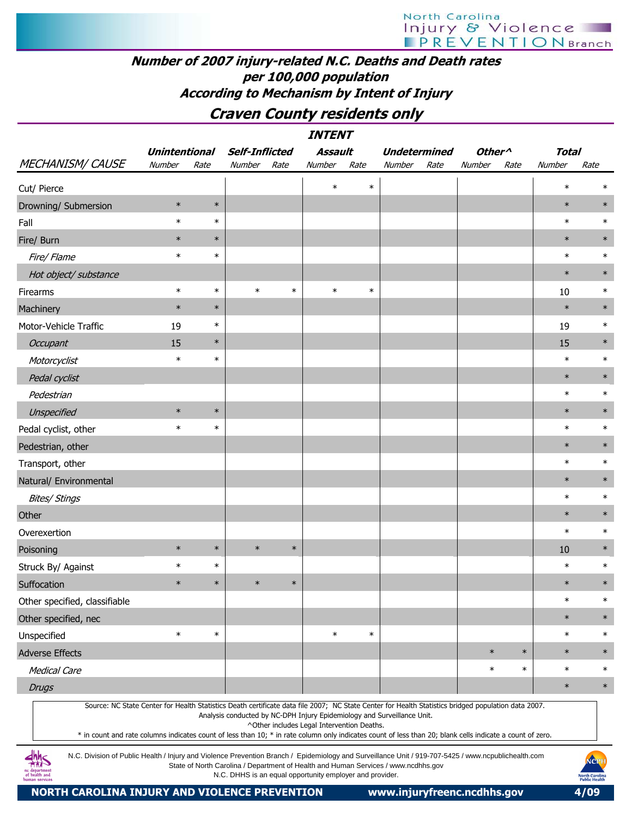## Number of 2007 injury-related N.C. Deaths and Death rates per 100,000 population According to Mechanism by Intent of Injury

# Craven County residents only

|                                                                                                                                                                                                                                                                                                                  | <i><b>INTENT</b></i> |        |                                                                         |        |                                            |        |                     |      |                    |        |              |        |  |  |
|------------------------------------------------------------------------------------------------------------------------------------------------------------------------------------------------------------------------------------------------------------------------------------------------------------------|----------------------|--------|-------------------------------------------------------------------------|--------|--------------------------------------------|--------|---------------------|------|--------------------|--------|--------------|--------|--|--|
|                                                                                                                                                                                                                                                                                                                  | <b>Unintentional</b> |        | <b>Self-Inflicted</b>                                                   |        | Assault                                    |        | <b>Undetermined</b> |      | Other <sup>^</sup> |        | <b>Total</b> |        |  |  |
| <b>MECHANISM/ CAUSE</b>                                                                                                                                                                                                                                                                                          | Number               | Rate   | Number                                                                  | Rate   | Number                                     | Rate   | Number              | Rate | Number             | Rate   | Number       | Rate   |  |  |
| Cut/ Pierce                                                                                                                                                                                                                                                                                                      |                      |        |                                                                         |        | $\ast$                                     | $\ast$ |                     |      |                    |        | $\ast$       | ∗      |  |  |
| Drowning/ Submersion                                                                                                                                                                                                                                                                                             | $\ast$               | $\ast$ |                                                                         |        |                                            |        |                     |      |                    |        | $\ast$       | $\ast$ |  |  |
| Fall                                                                                                                                                                                                                                                                                                             | $\ast$               | $\ast$ |                                                                         |        |                                            |        |                     |      |                    |        | $\ast$       | $\ast$ |  |  |
| Fire/ Burn                                                                                                                                                                                                                                                                                                       | $\ast$               | $\ast$ |                                                                         |        |                                            |        |                     |      |                    |        | $\ast$       | $\ast$ |  |  |
| Fire/Flame                                                                                                                                                                                                                                                                                                       | $\ast$               | $\ast$ |                                                                         |        |                                            |        |                     |      |                    |        | $\ast$       | $\ast$ |  |  |
| Hot object/ substance                                                                                                                                                                                                                                                                                            |                      |        |                                                                         |        |                                            |        |                     |      |                    |        | $\ast$       | $\ast$ |  |  |
| Firearms                                                                                                                                                                                                                                                                                                         | $\ast$               | $\ast$ | $\ast$                                                                  | $\ast$ | $\ast$                                     | $\ast$ |                     |      |                    |        | 10           | $\ast$ |  |  |
| Machinery                                                                                                                                                                                                                                                                                                        | $\ast$               | $\ast$ |                                                                         |        |                                            |        |                     |      |                    |        | $\ast$       | $\ast$ |  |  |
| Motor-Vehicle Traffic                                                                                                                                                                                                                                                                                            | 19                   | $\ast$ |                                                                         |        |                                            |        |                     |      |                    |        | 19           | $\ast$ |  |  |
| Occupant                                                                                                                                                                                                                                                                                                         | 15                   | $\ast$ |                                                                         |        |                                            |        |                     |      |                    |        | 15           | $\ast$ |  |  |
| Motorcyclist                                                                                                                                                                                                                                                                                                     | $\ast$               | $\ast$ |                                                                         |        |                                            |        |                     |      |                    |        | $\ast$       | $\ast$ |  |  |
| Pedal cyclist                                                                                                                                                                                                                                                                                                    |                      |        |                                                                         |        |                                            |        |                     |      |                    |        | $\ast$       | $\ast$ |  |  |
| Pedestrian                                                                                                                                                                                                                                                                                                       |                      |        |                                                                         |        |                                            |        |                     |      |                    |        | $\ast$       | $\ast$ |  |  |
| Unspecified                                                                                                                                                                                                                                                                                                      | $\ast$               | $\ast$ |                                                                         |        |                                            |        |                     |      |                    |        | $\ast$       | $\ast$ |  |  |
| Pedal cyclist, other                                                                                                                                                                                                                                                                                             | $\ast$               | $\ast$ |                                                                         |        |                                            |        |                     |      |                    |        | $\ast$       | $\ast$ |  |  |
| Pedestrian, other                                                                                                                                                                                                                                                                                                |                      |        |                                                                         |        |                                            |        |                     |      |                    |        | $\ast$       | $\ast$ |  |  |
| Transport, other                                                                                                                                                                                                                                                                                                 |                      |        |                                                                         |        |                                            |        |                     |      |                    |        | $\ast$       | $\ast$ |  |  |
| Natural/ Environmental                                                                                                                                                                                                                                                                                           |                      |        |                                                                         |        |                                            |        |                     |      |                    |        | $\ast$       | $\ast$ |  |  |
| <b>Bites/ Stings</b>                                                                                                                                                                                                                                                                                             |                      |        |                                                                         |        |                                            |        |                     |      |                    |        | $\ast$       | $\ast$ |  |  |
| Other                                                                                                                                                                                                                                                                                                            |                      |        |                                                                         |        |                                            |        |                     |      |                    |        | $\ast$       | $\ast$ |  |  |
| Overexertion                                                                                                                                                                                                                                                                                                     |                      |        |                                                                         |        |                                            |        |                     |      |                    |        | $\ast$       | $\ast$ |  |  |
| Poisoning                                                                                                                                                                                                                                                                                                        | $\ast$               | $\ast$ | $\ast$                                                                  | $\ast$ |                                            |        |                     |      |                    |        | 10           | $\ast$ |  |  |
| Struck By/ Against                                                                                                                                                                                                                                                                                               | $\ast$               | $\ast$ |                                                                         |        |                                            |        |                     |      |                    |        | $\ast$       | $\ast$ |  |  |
| Suffocation                                                                                                                                                                                                                                                                                                      | $\ast$               | $\ast$ | $\ast$                                                                  | $\ast$ |                                            |        |                     |      |                    |        | $\ast$       | $\ast$ |  |  |
| Other specified, classifiable                                                                                                                                                                                                                                                                                    |                      |        |                                                                         |        |                                            |        |                     |      |                    |        | $\ast$       | $\ast$ |  |  |
| Other specified, nec                                                                                                                                                                                                                                                                                             |                      |        |                                                                         |        |                                            |        |                     |      |                    |        | $\ast$       | $\ast$ |  |  |
| Unspecified                                                                                                                                                                                                                                                                                                      | $\ast$               | $\ast$ |                                                                         |        | $\ast$                                     | $\ast$ |                     |      |                    |        | $\ast$       | $\ast$ |  |  |
| <b>Adverse Effects</b>                                                                                                                                                                                                                                                                                           |                      |        |                                                                         |        |                                            |        |                     |      | $\ast$             | $\ast$ | $\ast$       | $\ast$ |  |  |
| <b>Medical Care</b>                                                                                                                                                                                                                                                                                              |                      |        |                                                                         |        |                                            |        |                     |      | $\ast$             | $\ast$ | $\ast$       | $\ast$ |  |  |
| <b>Drugs</b>                                                                                                                                                                                                                                                                                                     |                      |        |                                                                         |        |                                            |        |                     |      |                    |        | $\ast$       | $\ast$ |  |  |
| Source: NC State Center for Health Statistics Death certificate data file 2007; NC State Center for Health Statistics bridged population data 2007.<br>* in count and rate columns indicates count of less than 10; * in rate column only indicates count of less than 20; blank cells indicate a count of zero. |                      |        | Analysis conducted by NC-DPH Injury Epidemiology and Surveillance Unit. |        | ^Other includes Legal Intervention Deaths. |        |                     |      |                    |        |              |        |  |  |

N.C. Division of Public Health / Injury and Violence Prevention Branch / Epidemiology and Surveillance Unit / 919-707-5425 / www.ncpublichealth.com State of North Carolina / Department of Health and Human Services / www.ncdhhs.gov N.C. DHHS is an equal opportunity employer and provider.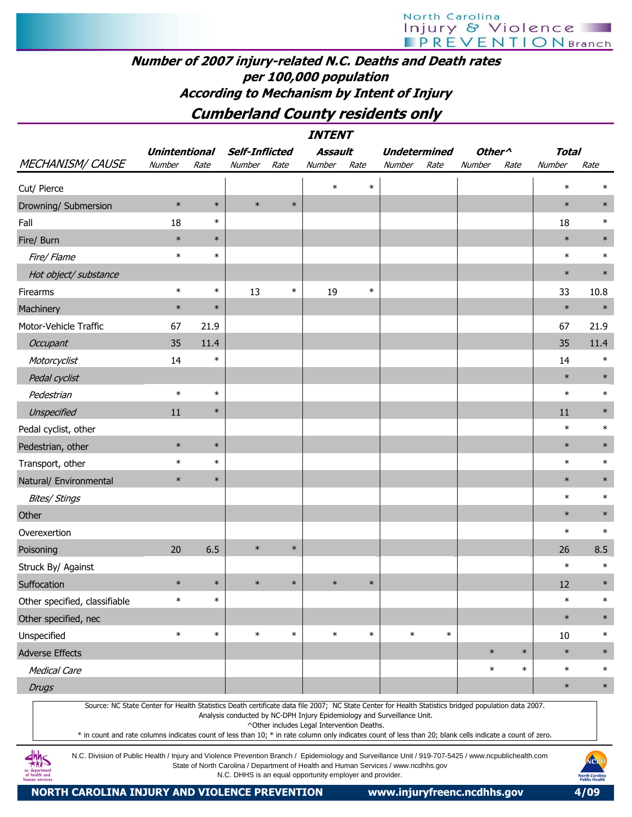# Number of 2007 injury-related N.C. Deaths and Death rates per 100,000 population According to Mechanism by Intent of Injury

# Cumberland County residents only

INTENT

| <b>MECHANISM/ CAUSE</b>       | <b>Unintentional</b> |        | <b>Self-Inflicted</b> |        | Assault |        | <b>Undetermined</b> |        | Other <sup>^</sup> |        | <b>Total</b> |        |
|-------------------------------|----------------------|--------|-----------------------|--------|---------|--------|---------------------|--------|--------------------|--------|--------------|--------|
|                               | Number               | Rate   | Number                | Rate   | Number  | Rate   | Number              | Rate   | Number             | Rate   | Number       | Rate   |
| Cut/ Pierce                   |                      |        |                       |        | $\ast$  | $\ast$ |                     |        |                    |        | $\ast$       | $\ast$ |
| Drowning/ Submersion          | $\ast$               | $\ast$ | $\ast$                | $\ast$ |         |        |                     |        |                    |        | $\ast$       | $\ast$ |
| Fall                          | 18                   | $\ast$ |                       |        |         |        |                     |        |                    |        | 18           | $\ast$ |
| Fire/ Burn                    | $\ast$               | $\ast$ |                       |        |         |        |                     |        |                    |        | $\ast$       | $\ast$ |
| Fire/Flame                    | $\ast$               | $\ast$ |                       |        |         |        |                     |        |                    |        | $\ast$       | $\ast$ |
| Hot object/ substance         |                      |        |                       |        |         |        |                     |        |                    |        | $\ast$       | $\ast$ |
| Firearms                      | $\ast$               | $\ast$ | 13                    | $\ast$ | 19      | $\ast$ |                     |        |                    |        | 33           | 10.8   |
| Machinery                     | $\ast$               | $\ast$ |                       |        |         |        |                     |        |                    |        | $\ast$       | $\ast$ |
| Motor-Vehicle Traffic         | 67                   | 21.9   |                       |        |         |        |                     |        |                    |        | 67           | 21.9   |
| Occupant                      | 35                   | 11.4   |                       |        |         |        |                     |        |                    |        | 35           | 11.4   |
| Motorcyclist                  | 14                   | $\ast$ |                       |        |         |        |                     |        |                    |        | 14           | $\ast$ |
| Pedal cyclist                 |                      |        |                       |        |         |        |                     |        |                    |        | $\ast$       | $\ast$ |
| Pedestrian                    | $\ast$               | $\ast$ |                       |        |         |        |                     |        |                    |        | $\ast$       | $\ast$ |
| Unspecified                   | 11                   | $\ast$ |                       |        |         |        |                     |        |                    |        | 11           | $\ast$ |
| Pedal cyclist, other          |                      |        |                       |        |         |        |                     |        |                    |        | $\ast$       | $\ast$ |
| Pedestrian, other             | $\ast$               | $\ast$ |                       |        |         |        |                     |        |                    |        | $\ast$       | $\ast$ |
| Transport, other              | $\ast$               | $\ast$ |                       |        |         |        |                     |        |                    |        | $\ast$       | $\ast$ |
| Natural/ Environmental        | $\ast$               | $\ast$ |                       |        |         |        |                     |        |                    |        | $\ast$       | $\ast$ |
| <b>Bites/ Stings</b>          |                      |        |                       |        |         |        |                     |        |                    |        | $\ast$       | $\ast$ |
| Other                         |                      |        |                       |        |         |        |                     |        |                    |        | $\ast$       | $\ast$ |
| Overexertion                  |                      |        |                       |        |         |        |                     |        |                    |        | $\ast$       | $\ast$ |
| Poisoning                     | 20                   | 6.5    | $\ast$                | $\ast$ |         |        |                     |        |                    |        | 26           | 8.5    |
| Struck By/ Against            |                      |        |                       |        |         |        |                     |        |                    |        | $\ast$       | $\ast$ |
| Suffocation                   | $\ast$               | $\ast$ | $\ast$                | $\ast$ | $\ast$  | $\ast$ |                     |        |                    |        | 12           | $\ast$ |
| Other specified, classifiable | $\ast$               | $\ast$ |                       |        |         |        |                     |        |                    |        | $\ast$       | $\ast$ |
| Other specified, nec          |                      |        |                       |        |         |        |                     |        |                    |        | $\ast$       | $\ast$ |
| Unspecified                   | $\ast$               | $\ast$ | $\ast$                | $\ast$ | $\ast$  | $\ast$ | $\ast$              | $\ast$ |                    |        | $10\,$       | $\ast$ |
| <b>Adverse Effects</b>        |                      |        |                       |        |         |        |                     |        | $\ast$             | $\ast$ | $\ast$       | $\ast$ |
| <b>Medical Care</b>           |                      |        |                       |        |         |        |                     |        | $\ast$             | $\ast$ | $\ast$       | $\ast$ |
| <b>Drugs</b>                  |                      |        |                       |        |         |        |                     |        |                    |        | $\ast$       | $\ast$ |

Source: NC State Center for Health Statistics Death certificate data file 2007; NC State Center for Health Statistics bridged population data 2007. Analysis conducted by NC-DPH Injury Epidemiology and Surveillance Unit.

^Other includes Legal Intervention Deaths.

\* in count and rate columns indicates count of less than 10; \* in rate column only indicates count of less than 20; blank cells indicate a count of zero.

N.C. Division of Public Health / Injury and Violence Prevention Branch / Epidemiology and Surveillance Unit / 919-707-5425 / www.ncpublichealth.com State of North Carolina / Department of Health and Human Services / www.ncdhhs.gov N.C. DHHS is an equal opportunity employer and provider.

**dhhs**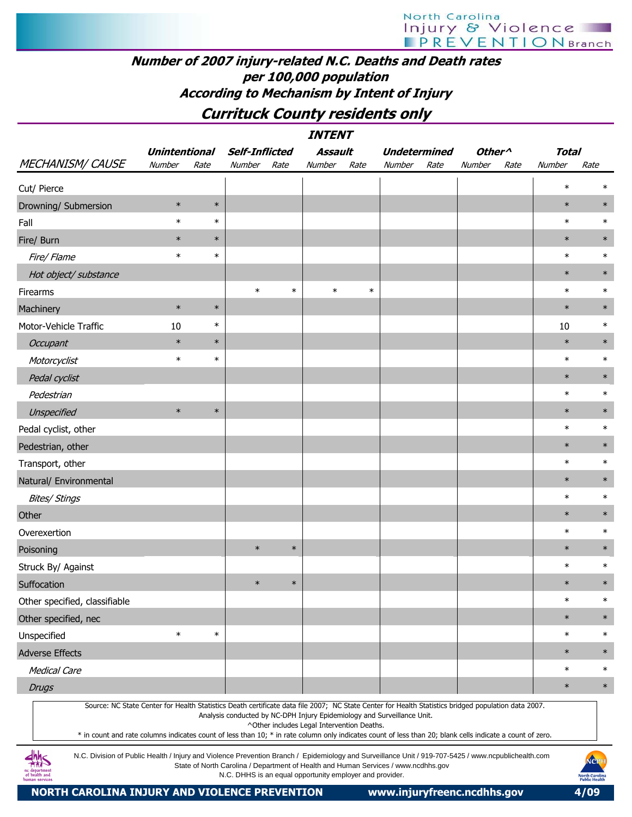# Number of 2007 injury-related N.C. Deaths and Death rates per 100,000 population According to Mechanism by Intent of Injury

# Currituck County residents only

|                               |                                |        |                                 |        | <b>INTENT</b>     |        |                               |      |                              |      |                        |        |
|-------------------------------|--------------------------------|--------|---------------------------------|--------|-------------------|--------|-------------------------------|------|------------------------------|------|------------------------|--------|
| MECHANISM/CAUSE               | <b>Unintentional</b><br>Number | Rate   | <b>Self-Inflicted</b><br>Number | Rate   | Assault<br>Number | Rate   | <b>Undetermined</b><br>Number | Rate | Other <sup>^</sup><br>Number | Rate | <b>Total</b><br>Number | Rate   |
| Cut/ Pierce                   |                                |        |                                 |        |                   |        |                               |      |                              |      | $\ast$                 | $\ast$ |
| Drowning/ Submersion          | $\ast$                         | $\ast$ |                                 |        |                   |        |                               |      |                              |      | $\ast$                 | $\ast$ |
| Fall                          | $\ast$                         | $\ast$ |                                 |        |                   |        |                               |      |                              |      | $\ast$                 | $\ast$ |
| Fire/ Burn                    | $\ast$                         | $\ast$ |                                 |        |                   |        |                               |      |                              |      | $\ast$                 | $\ast$ |
| Fire/ Flame                   | $\ast$                         | $\ast$ |                                 |        |                   |        |                               |      |                              |      | $\ast$                 | $\ast$ |
| Hot object/ substance         |                                |        |                                 |        |                   |        |                               |      |                              |      | $\ast$                 | $\ast$ |
| Firearms                      |                                |        | $\ast$                          | $\ast$ | $\ast$            | $\ast$ |                               |      |                              |      | $\ast$                 | $\ast$ |
| Machinery                     | $\ast$                         | $\ast$ |                                 |        |                   |        |                               |      |                              |      | $\ast$                 | $\ast$ |
| Motor-Vehicle Traffic         | 10                             | $\ast$ |                                 |        |                   |        |                               |      |                              |      | 10                     | $\ast$ |
| Occupant                      | $\ast$                         | $\ast$ |                                 |        |                   |        |                               |      |                              |      | $\ast$                 | $\ast$ |
| Motorcyclist                  | $\ast$                         | $\ast$ |                                 |        |                   |        |                               |      |                              |      | $\ast$                 | $\ast$ |
| Pedal cyclist                 |                                |        |                                 |        |                   |        |                               |      |                              |      | $\ast$                 | $\ast$ |
| Pedestrian                    |                                |        |                                 |        |                   |        |                               |      |                              |      | $\ast$                 | $\ast$ |
| Unspecified                   | $\ast$                         | $\ast$ |                                 |        |                   |        |                               |      |                              |      | $\ast$                 | $\ast$ |
| Pedal cyclist, other          |                                |        |                                 |        |                   |        |                               |      |                              |      | $\ast$                 | $\ast$ |
| Pedestrian, other             |                                |        |                                 |        |                   |        |                               |      |                              |      | $\ast$                 | $\ast$ |
| Transport, other              |                                |        |                                 |        |                   |        |                               |      |                              |      | $\ast$                 | $\ast$ |
| Natural/ Environmental        |                                |        |                                 |        |                   |        |                               |      |                              |      | $\ast$                 | $\ast$ |
| <b>Bites/ Stings</b>          |                                |        |                                 |        |                   |        |                               |      |                              |      | $\ast$                 | $\ast$ |
| Other                         |                                |        |                                 |        |                   |        |                               |      |                              |      | $\ast$                 | $\ast$ |
| Overexertion                  |                                |        |                                 |        |                   |        |                               |      |                              |      | $\ast$                 | $\ast$ |
| Poisoning                     |                                |        | $\ast$                          | $\ast$ |                   |        |                               |      |                              |      | $\ast$                 | $\ast$ |
| Struck By/ Against            |                                |        |                                 |        |                   |        |                               |      |                              |      | $\ast$                 | $\ast$ |
| Suffocation                   |                                |        | $\ast$                          | $\ast$ |                   |        |                               |      |                              |      | $\ast$                 | $\ast$ |
| Other specified, classifiable |                                |        |                                 |        |                   |        |                               |      |                              |      | $\ast$                 | $\ast$ |
| Other specified, nec          |                                |        |                                 |        |                   |        |                               |      |                              |      | $\ast$                 | $\ast$ |
| Unspecified                   | $\ast$                         | $\ast$ |                                 |        |                   |        |                               |      |                              |      | $\ast$                 | $\ast$ |
| Adverse Effects               |                                |        |                                 |        |                   |        |                               |      |                              |      | $\ast$                 | $\ast$ |
| Medical Care                  |                                |        |                                 |        |                   |        |                               |      |                              |      | $\ast$                 | $\ast$ |
| <b>Drugs</b>                  |                                |        |                                 |        |                   |        |                               |      |                              |      | $\ast$                 | $\ast$ |

Source: NC State Center for Health Statistics Death certificate data file 2007; NC State Center for Health Statistics bridged population data 2007. Analysis conducted by NC-DPH Injury Epidemiology and Surveillance Unit.

^Other includes Legal Intervention Deaths.

\* in count and rate columns indicates count of less than 10; \* in rate column only indicates count of less than 20; blank cells indicate a count of zero.

N.C. Division of Public Health / Injury and Violence Prevention Branch / Epidemiology and Surveillance Unit / 919-707-5425 / www.ncpublichealth.com State of North Carolina / Department of Health and Human Services / www.ncdhhs.gov N.C. DHHS is an equal opportunity employer and provider.

NORTH CAROLINA INJURY AND VIOLENCE PREVENTION www.injuryfreenc.ncdhhs.gov 4/09

 $\frac{dh}{dh}$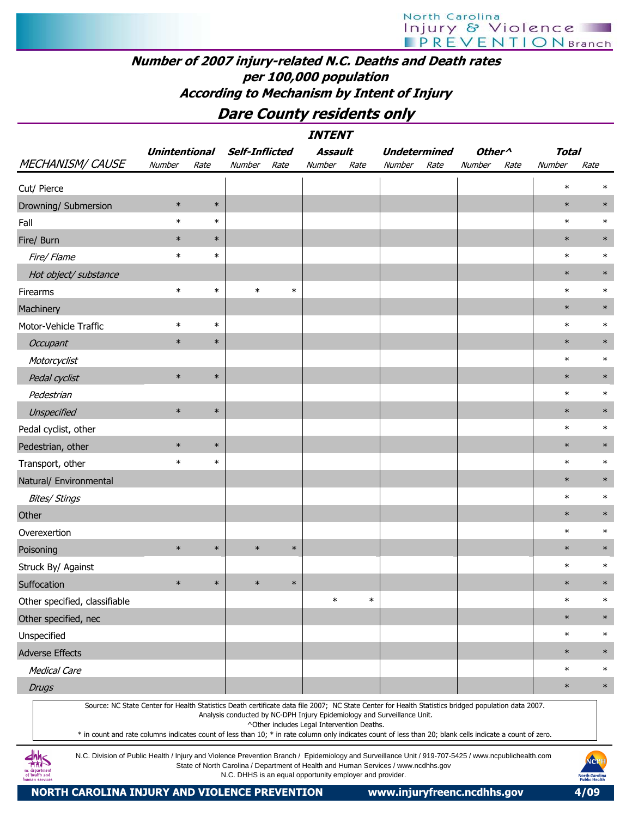## Number of 2007 injury-related N.C. Deaths and Death rates per 100,000 population According to Mechanism by Intent of Injury

# Dare County residents only

|                                                                                                                                                                                      |                      |        |                                                          |        | <i><b>INTENT</b></i>                       |        |                                                                                    |      |                                      |      |              |                                                       |
|--------------------------------------------------------------------------------------------------------------------------------------------------------------------------------------|----------------------|--------|----------------------------------------------------------|--------|--------------------------------------------|--------|------------------------------------------------------------------------------------|------|--------------------------------------|------|--------------|-------------------------------------------------------|
|                                                                                                                                                                                      | <b>Unintentional</b> |        | <b>Self-Inflicted</b>                                    |        | <b>Assault</b>                             |        | <b>Undetermined</b>                                                                |      | Other <sup><math>\wedge</math></sup> |      | <b>Total</b> |                                                       |
| <b>MECHANISM/ CAUSE</b>                                                                                                                                                              | Number               | Rate   | Number                                                   | Rate   | Number                                     | Rate   | Number                                                                             | Rate | Number                               | Rate | Number       | Rate                                                  |
| Cut/ Pierce                                                                                                                                                                          |                      |        |                                                          |        |                                            |        |                                                                                    |      |                                      |      | $\ast$       | $\ast$                                                |
| Drowning/ Submersion                                                                                                                                                                 | $\ast$               | $\ast$ |                                                          |        |                                            |        |                                                                                    |      |                                      |      | $\ast$       | $\ast$                                                |
| Fall                                                                                                                                                                                 | $\ast$               | $\ast$ |                                                          |        |                                            |        |                                                                                    |      |                                      |      | $\ast$       | $\ast$                                                |
| Fire/ Burn                                                                                                                                                                           | $\ast$               | $\ast$ |                                                          |        |                                            |        |                                                                                    |      |                                      |      | $\ast$       | $\ast$                                                |
| Fire/Flame                                                                                                                                                                           | $\ast$               | $\ast$ |                                                          |        |                                            |        |                                                                                    |      |                                      |      | $\ast$       | $\ast$                                                |
| Hot object/ substance                                                                                                                                                                |                      |        |                                                          |        |                                            |        |                                                                                    |      |                                      |      | $\ast$       | $\ast$                                                |
| Firearms                                                                                                                                                                             | $\ast$               | $\ast$ | $\ast$                                                   | $\ast$ |                                            |        |                                                                                    |      |                                      |      | $\ast$       | $\ast$                                                |
| Machinery                                                                                                                                                                            |                      |        |                                                          |        |                                            |        |                                                                                    |      |                                      |      | $\ast$       | $\ast$                                                |
| Motor-Vehicle Traffic                                                                                                                                                                | $\ast$               | $\ast$ |                                                          |        |                                            |        |                                                                                    |      |                                      |      | $\ast$       | $\ast$                                                |
| Occupant                                                                                                                                                                             | $\ast$               | $\ast$ |                                                          |        |                                            |        |                                                                                    |      |                                      |      | $\ast$       | $\ast$                                                |
| Motorcyclist                                                                                                                                                                         |                      |        |                                                          |        |                                            |        |                                                                                    |      |                                      |      | $\ast$       | $\ast$                                                |
| Pedal cyclist                                                                                                                                                                        | $\ast$               | $\ast$ |                                                          |        |                                            |        |                                                                                    |      |                                      |      | $\ast$       | $\ast$                                                |
| Pedestrian                                                                                                                                                                           |                      |        |                                                          |        |                                            |        |                                                                                    |      |                                      |      | $\ast$       | $\ast$                                                |
| Unspecified                                                                                                                                                                          | $\ast$               | $\ast$ |                                                          |        |                                            |        |                                                                                    |      |                                      |      | $\ast$       | $\ast$                                                |
| Pedal cyclist, other                                                                                                                                                                 |                      |        |                                                          |        |                                            |        |                                                                                    |      |                                      |      | $\ast$       | $\ast$                                                |
| Pedestrian, other                                                                                                                                                                    | $\ast$               | $\ast$ |                                                          |        |                                            |        |                                                                                    |      |                                      |      | $\ast$       | $\ast$                                                |
| Transport, other                                                                                                                                                                     | $\ast$               | $\ast$ |                                                          |        |                                            |        |                                                                                    |      |                                      |      | $\ast$       | $\ast$                                                |
| Natural/ Environmental                                                                                                                                                               |                      |        |                                                          |        |                                            |        |                                                                                    |      |                                      |      | $\ast$       | $\ast$                                                |
| <b>Bites/ Stings</b>                                                                                                                                                                 |                      |        |                                                          |        |                                            |        |                                                                                    |      |                                      |      | $\ast$       | $\ast$                                                |
| Other                                                                                                                                                                                |                      |        |                                                          |        |                                            |        |                                                                                    |      |                                      |      | $\ast$       | $\ast$                                                |
| Overexertion                                                                                                                                                                         |                      |        |                                                          |        |                                            |        |                                                                                    |      |                                      |      | $\ast$       | $\ast$                                                |
| Poisoning                                                                                                                                                                            | $\ast$               | $\ast$ | $\ast$                                                   | $\ast$ |                                            |        |                                                                                    |      |                                      |      | $\ast$       | $\ast$                                                |
| Struck By/ Against                                                                                                                                                                   |                      |        |                                                          |        |                                            |        |                                                                                    |      |                                      |      | $\ast$       | $\ast$                                                |
| Suffocation                                                                                                                                                                          | $\ast$               | $\ast$ | $\ast$                                                   | $\ast$ |                                            |        |                                                                                    |      |                                      |      | $\ast$       | $\ast$                                                |
| Other specified, classifiable                                                                                                                                                        |                      |        |                                                          |        | $\ast$                                     | $\ast$ |                                                                                    |      |                                      |      | $\ast$       | $\ast$                                                |
| Other specified, nec                                                                                                                                                                 |                      |        |                                                          |        |                                            |        |                                                                                    |      |                                      |      | $\ast$       | $\ast$                                                |
| Unspecified                                                                                                                                                                          |                      |        |                                                          |        |                                            |        |                                                                                    |      |                                      |      | $\ast$       | $\ast$                                                |
| <b>Adverse Effects</b>                                                                                                                                                               |                      |        |                                                          |        |                                            |        |                                                                                    |      |                                      |      | $\ast$       | $\ast$                                                |
| <b>Medical Care</b>                                                                                                                                                                  |                      |        |                                                          |        |                                            |        |                                                                                    |      |                                      |      | $\ast$       | $\ast$                                                |
| <b>Drugs</b>                                                                                                                                                                         |                      |        |                                                          |        |                                            |        |                                                                                    |      |                                      |      | $\ast$       | $\ast$                                                |
| Source: NC State Center for Health Statistics Death certificate data file 2007; NC State Center for Health Statistics bridged population data 2007.                                  |                      |        |                                                          |        |                                            |        |                                                                                    |      |                                      |      |              |                                                       |
|                                                                                                                                                                                      |                      |        |                                                          |        | ^Other includes Legal Intervention Deaths. |        | Analysis conducted by NC-DPH Injury Epidemiology and Surveillance Unit.            |      |                                      |      |              |                                                       |
| * in count and rate columns indicates count of less than 10; * in rate column only indicates count of less than 20; blank cells indicate a count of zero.                            |                      |        |                                                          |        |                                            |        |                                                                                    |      |                                      |      |              |                                                       |
| N.C. Division of Public Health / Injury and Violence Prevention Branch / Epidemiology and Surveillance Unit / 919-707-5425 / www.ncpublichealth.com<br>of health and<br>ıman service |                      |        | N.C. DHHS is an equal opportunity employer and provider. |        |                                            |        | State of North Carolina / Department of Health and Human Services / www.ncdhhs.gov |      |                                      |      |              | NCPI<br><b>North Carolina</b><br><b>Public Health</b> |

NORTH CAROLINA INJURY AND VIOLENCE PREVENTION www.injuryfreenc.ncdhhs.gov 4/09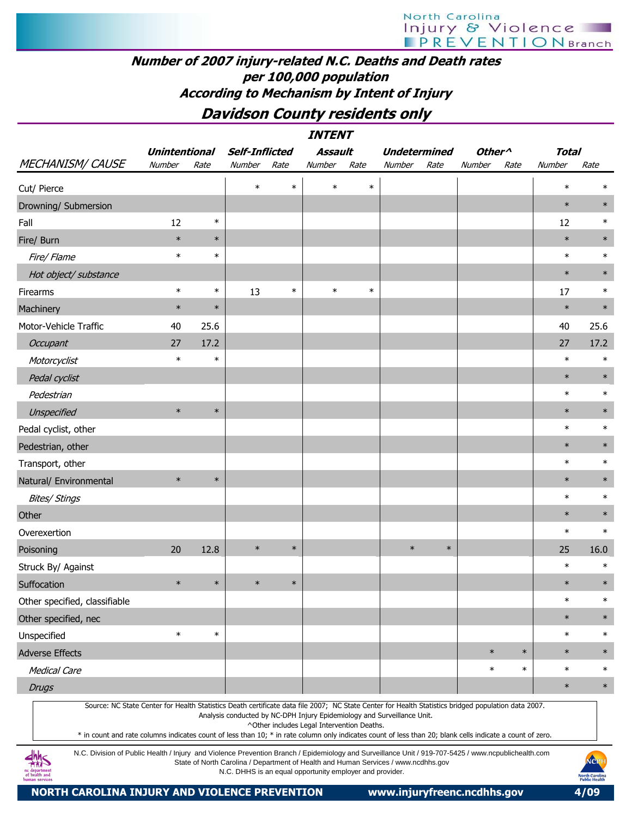## Number of 2007 injury-related N.C. Deaths and Death rates per 100,000 population According to Mechanism by Intent of Injury

# Davidson County residents only

| <b>INTENT</b>                                                                                                                                       |                      |        |                                                                         |        |                                            |        |                     |        |                    |        |              |        |
|-----------------------------------------------------------------------------------------------------------------------------------------------------|----------------------|--------|-------------------------------------------------------------------------|--------|--------------------------------------------|--------|---------------------|--------|--------------------|--------|--------------|--------|
|                                                                                                                                                     | <b>Unintentional</b> |        | <b>Self-Inflicted</b>                                                   |        | <b>Assault</b>                             |        | <b>Undetermined</b> |        | Other <sup>^</sup> |        | <b>Total</b> |        |
| <b>MECHANISM/ CAUSE</b>                                                                                                                             | Number               | Rate   | Number                                                                  | Rate   | Number                                     | Rate   | Number              | Rate   | Number             | Rate   | Number       | Rate   |
| Cut/ Pierce                                                                                                                                         |                      |        | $\ast$                                                                  | $\ast$ | $\ast$                                     | $\ast$ |                     |        |                    |        | $\ast$       | $\ast$ |
| Drowning/ Submersion                                                                                                                                |                      |        |                                                                         |        |                                            |        |                     |        |                    |        | $\ast$       | $\ast$ |
| Fall                                                                                                                                                | 12                   | $\ast$ |                                                                         |        |                                            |        |                     |        |                    |        | 12           | $\ast$ |
| Fire/ Burn                                                                                                                                          | $\ast$               | $\ast$ |                                                                         |        |                                            |        |                     |        |                    |        | $\ast$       | $\ast$ |
| Fire/ Flame                                                                                                                                         | $\ast$               | $\ast$ |                                                                         |        |                                            |        |                     |        |                    |        | $\ast$       | $\ast$ |
| Hot object/ substance                                                                                                                               |                      |        |                                                                         |        |                                            |        |                     |        |                    |        | $\ast$       | $\ast$ |
| Firearms                                                                                                                                            | $\ast$               | $\ast$ | 13                                                                      | $\ast$ | $\ast$                                     | $\ast$ |                     |        |                    |        | 17           | $\ast$ |
| Machinery                                                                                                                                           | $\ast$               | $\ast$ |                                                                         |        |                                            |        |                     |        |                    |        | $\ast$       | $\ast$ |
| Motor-Vehicle Traffic                                                                                                                               | 40                   | 25.6   |                                                                         |        |                                            |        |                     |        |                    |        | 40           | 25.6   |
| Occupant                                                                                                                                            | 27                   | 17.2   |                                                                         |        |                                            |        |                     |        |                    |        | 27           | 17.2   |
| Motorcyclist                                                                                                                                        | $\ast$               | $\ast$ |                                                                         |        |                                            |        |                     |        |                    |        | $\ast$       | $\ast$ |
| Pedal cyclist                                                                                                                                       |                      |        |                                                                         |        |                                            |        |                     |        |                    |        | $\ast$       | $\ast$ |
| Pedestrian                                                                                                                                          |                      |        |                                                                         |        |                                            |        |                     |        |                    |        | $\ast$       | $\ast$ |
| Unspecified                                                                                                                                         | $\ast$               | $\ast$ |                                                                         |        |                                            |        |                     |        |                    |        | $\ast$       | $\ast$ |
| Pedal cyclist, other                                                                                                                                |                      |        |                                                                         |        |                                            |        |                     |        |                    |        | $\ast$       | $\ast$ |
| Pedestrian, other                                                                                                                                   |                      |        |                                                                         |        |                                            |        |                     |        |                    |        | $\ast$       | $\ast$ |
| Transport, other                                                                                                                                    |                      |        |                                                                         |        |                                            |        |                     |        |                    |        | $\ast$       | $\ast$ |
| Natural/ Environmental                                                                                                                              | $\ast$               | $\ast$ |                                                                         |        |                                            |        |                     |        |                    |        | $\ast$       | $\ast$ |
| <b>Bites/ Stings</b>                                                                                                                                |                      |        |                                                                         |        |                                            |        |                     |        |                    |        | $\ast$       | $\ast$ |
| Other                                                                                                                                               |                      |        |                                                                         |        |                                            |        |                     |        |                    |        | $\ast$       | $\ast$ |
| Overexertion                                                                                                                                        |                      |        |                                                                         |        |                                            |        |                     |        |                    |        | $\ast$       | $\ast$ |
| Poisoning                                                                                                                                           | 20                   | 12.8   | $\ast$                                                                  | $\ast$ |                                            |        | $\ast$              | $\ast$ |                    |        | 25           | 16.0   |
| Struck By/ Against                                                                                                                                  |                      |        |                                                                         |        |                                            |        |                     |        |                    |        | $\ast$       | $\ast$ |
| Suffocation                                                                                                                                         | $\ast$               | $\ast$ | $\ast$                                                                  | $\ast$ |                                            |        |                     |        |                    |        | $\ast$       | $\ast$ |
| Other specified, classifiable                                                                                                                       |                      |        |                                                                         |        |                                            |        |                     |        |                    |        | $\ast$       | $\ast$ |
| Other specified, nec                                                                                                                                |                      |        |                                                                         |        |                                            |        |                     |        |                    |        | $\ast$       | $\ast$ |
| Unspecified                                                                                                                                         | $\ast$               | $\ast$ |                                                                         |        |                                            |        |                     |        |                    |        | $\ast$       | $\ast$ |
| <b>Adverse Effects</b>                                                                                                                              |                      |        |                                                                         |        |                                            |        |                     |        | $\ast$             | $\ast$ | $\ast$       | $\ast$ |
| <b>Medical Care</b>                                                                                                                                 |                      |        |                                                                         |        |                                            |        |                     |        | $\ast$             | $\ast$ | $\ast$       | $\ast$ |
| <b>Drugs</b>                                                                                                                                        |                      |        |                                                                         |        |                                            |        |                     |        |                    |        | $\ast$       | $\ast$ |
| Source: NC State Center for Health Statistics Death certificate data file 2007; NC State Center for Health Statistics bridged population data 2007. |                      |        | Analysis conducted by NC-DPH Injury Epidemiology and Surveillance Unit. |        | ^Other includes Legal Intervention Deaths. |        |                     |        |                    |        |              |        |

\* in count and rate columns indicates count of less than 10; \* in rate column only indicates count of less than 20; blank cells indicate a count of zero.

N.C. Division of Public Health / Injury and Violence Prevention Branch / Epidemiology and Surveillance Unit / 919-707-5425 / www.ncpublichealth.com State of North Carolina / Department of Health and Human Services / www.ncdhhs.gov N.C. DHHS is an equal opportunity employer and provider.

 $\frac{dh}{dh}S$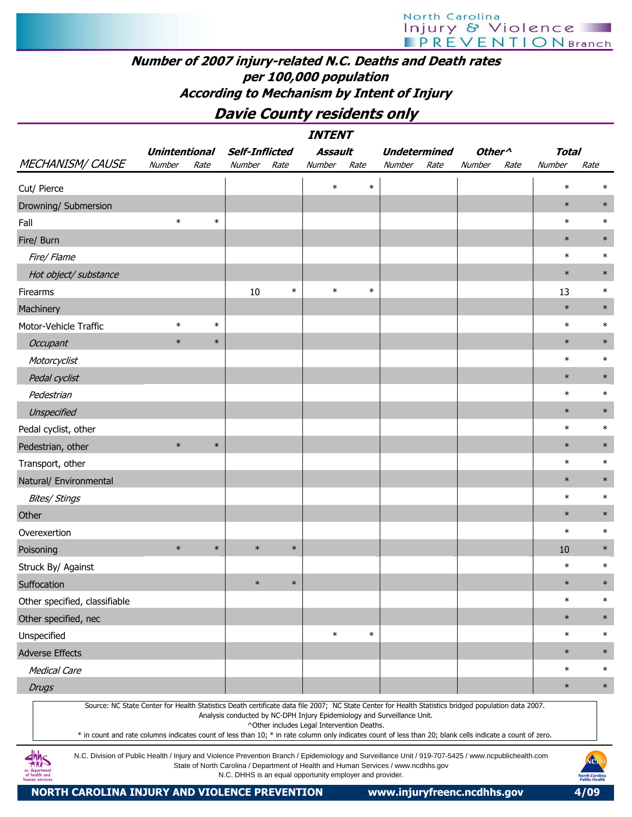# Number of 2007 injury-related N.C. Deaths and Death rates per 100,000 population According to Mechanism by Intent of Injury

Davie County residents only

| <i><b>INTENT</b></i>                                                                                                                                                                  |                                                                                                                                                                                                                                                                                                                                                                                                                                           |        |                                                                                                                                                |        |         |        |                     |      |                    |      |        |                                                       |  |
|---------------------------------------------------------------------------------------------------------------------------------------------------------------------------------------|-------------------------------------------------------------------------------------------------------------------------------------------------------------------------------------------------------------------------------------------------------------------------------------------------------------------------------------------------------------------------------------------------------------------------------------------|--------|------------------------------------------------------------------------------------------------------------------------------------------------|--------|---------|--------|---------------------|------|--------------------|------|--------|-------------------------------------------------------|--|
|                                                                                                                                                                                       | <b>Unintentional</b>                                                                                                                                                                                                                                                                                                                                                                                                                      |        | <b>Self-Inflicted</b>                                                                                                                          |        | Assault |        | <b>Undetermined</b> |      | Other <sup>^</sup> |      | Total  |                                                       |  |
| <b>MECHANISM/ CAUSE</b>                                                                                                                                                               | Number                                                                                                                                                                                                                                                                                                                                                                                                                                    | Rate   | Number                                                                                                                                         | Rate   | Number  | Rate   | Number              | Rate | Number             | Rate | Number | Rate                                                  |  |
| Cut/ Pierce                                                                                                                                                                           |                                                                                                                                                                                                                                                                                                                                                                                                                                           |        |                                                                                                                                                |        | $\ast$  | $\ast$ |                     |      |                    |      | $\ast$ |                                                       |  |
| Drowning/ Submersion                                                                                                                                                                  |                                                                                                                                                                                                                                                                                                                                                                                                                                           |        |                                                                                                                                                |        |         |        |                     |      |                    |      | $\ast$ | $\ast$                                                |  |
| Fall                                                                                                                                                                                  | $\ast$                                                                                                                                                                                                                                                                                                                                                                                                                                    | $\ast$ |                                                                                                                                                |        |         |        |                     |      |                    |      | $\ast$ | $\ast$                                                |  |
| Fire/ Burn                                                                                                                                                                            |                                                                                                                                                                                                                                                                                                                                                                                                                                           |        |                                                                                                                                                |        |         |        |                     |      |                    |      | $\ast$ | $\ast$                                                |  |
| Fire/ Flame                                                                                                                                                                           |                                                                                                                                                                                                                                                                                                                                                                                                                                           |        |                                                                                                                                                |        |         |        |                     |      |                    |      | $\ast$ | $\ast$                                                |  |
| Hot object/ substance                                                                                                                                                                 |                                                                                                                                                                                                                                                                                                                                                                                                                                           |        |                                                                                                                                                |        |         |        |                     |      |                    |      | $\ast$ | $\ast$                                                |  |
| Firearms                                                                                                                                                                              |                                                                                                                                                                                                                                                                                                                                                                                                                                           |        | 10                                                                                                                                             | $\ast$ | $\ast$  | $\ast$ |                     |      |                    |      | 13     | $\ast$                                                |  |
| Machinery                                                                                                                                                                             |                                                                                                                                                                                                                                                                                                                                                                                                                                           |        |                                                                                                                                                |        |         |        |                     |      |                    |      | $\ast$ | $\ast$                                                |  |
| Motor-Vehicle Traffic                                                                                                                                                                 | $\ast$                                                                                                                                                                                                                                                                                                                                                                                                                                    | $\ast$ |                                                                                                                                                |        |         |        |                     |      |                    |      | $\ast$ | $\ast$                                                |  |
| Occupant                                                                                                                                                                              | $\ast$                                                                                                                                                                                                                                                                                                                                                                                                                                    | $\ast$ |                                                                                                                                                |        |         |        |                     |      |                    |      | $\ast$ | $\ast$                                                |  |
| Motorcyclist                                                                                                                                                                          |                                                                                                                                                                                                                                                                                                                                                                                                                                           |        |                                                                                                                                                |        |         |        |                     |      |                    |      | $\ast$ | $\ast$                                                |  |
| Pedal cyclist                                                                                                                                                                         |                                                                                                                                                                                                                                                                                                                                                                                                                                           |        |                                                                                                                                                |        |         |        |                     |      |                    |      | $\ast$ | $\ast$                                                |  |
| Pedestrian                                                                                                                                                                            |                                                                                                                                                                                                                                                                                                                                                                                                                                           |        |                                                                                                                                                |        |         |        |                     |      |                    |      | $\ast$ | $\ast$                                                |  |
| Unspecified                                                                                                                                                                           |                                                                                                                                                                                                                                                                                                                                                                                                                                           |        |                                                                                                                                                |        |         |        |                     |      |                    |      | $\ast$ | $\ast$                                                |  |
| Pedal cyclist, other                                                                                                                                                                  |                                                                                                                                                                                                                                                                                                                                                                                                                                           |        |                                                                                                                                                |        |         |        |                     |      |                    |      | $\ast$ | $\ast$                                                |  |
| Pedestrian, other                                                                                                                                                                     | $\ast$                                                                                                                                                                                                                                                                                                                                                                                                                                    | $\ast$ |                                                                                                                                                |        |         |        |                     |      |                    |      | $\ast$ | $\ast$                                                |  |
| Transport, other                                                                                                                                                                      |                                                                                                                                                                                                                                                                                                                                                                                                                                           |        |                                                                                                                                                |        |         |        |                     |      |                    |      | $\ast$ | $\ast$                                                |  |
| Natural/ Environmental                                                                                                                                                                |                                                                                                                                                                                                                                                                                                                                                                                                                                           |        |                                                                                                                                                |        |         |        |                     |      |                    |      | $\ast$ | $\ast$                                                |  |
| <b>Bites/ Stings</b>                                                                                                                                                                  |                                                                                                                                                                                                                                                                                                                                                                                                                                           |        |                                                                                                                                                |        |         |        |                     |      |                    |      | $\ast$ | $\ast$                                                |  |
| Other                                                                                                                                                                                 |                                                                                                                                                                                                                                                                                                                                                                                                                                           |        |                                                                                                                                                |        |         |        |                     |      |                    |      | $\ast$ | $\ast$                                                |  |
| Overexertion                                                                                                                                                                          |                                                                                                                                                                                                                                                                                                                                                                                                                                           |        |                                                                                                                                                |        |         |        |                     |      |                    |      | $\ast$ | $\ast$                                                |  |
| Poisoning                                                                                                                                                                             | $\ast$                                                                                                                                                                                                                                                                                                                                                                                                                                    | $\ast$ | $\ast$                                                                                                                                         | $\ast$ |         |        |                     |      |                    |      | 10     | $\ast$                                                |  |
| Struck By/ Against                                                                                                                                                                    |                                                                                                                                                                                                                                                                                                                                                                                                                                           |        |                                                                                                                                                |        |         |        |                     |      |                    |      | $\ast$ | $\ast$                                                |  |
| Suffocation                                                                                                                                                                           |                                                                                                                                                                                                                                                                                                                                                                                                                                           |        | $\ast$                                                                                                                                         | $\ast$ |         |        |                     |      |                    |      | $\ast$ | $\ast$                                                |  |
| Other specified, classifiable                                                                                                                                                         |                                                                                                                                                                                                                                                                                                                                                                                                                                           |        |                                                                                                                                                |        |         |        |                     |      |                    |      | $\ast$ | $\ast$                                                |  |
| Other specified, nec                                                                                                                                                                  |                                                                                                                                                                                                                                                                                                                                                                                                                                           |        |                                                                                                                                                |        |         |        |                     |      |                    |      | $\ast$ | $\ast$                                                |  |
| Unspecified                                                                                                                                                                           |                                                                                                                                                                                                                                                                                                                                                                                                                                           |        |                                                                                                                                                |        | $\ast$  | $\ast$ |                     |      |                    |      | $\ast$ | $\ast$                                                |  |
| <b>Adverse Effects</b>                                                                                                                                                                |                                                                                                                                                                                                                                                                                                                                                                                                                                           |        |                                                                                                                                                |        |         |        |                     |      |                    |      | $\ast$ | $\ast$                                                |  |
| <b>Medical Care</b>                                                                                                                                                                   |                                                                                                                                                                                                                                                                                                                                                                                                                                           |        |                                                                                                                                                |        |         |        |                     |      |                    |      | $\ast$ | $\ast$                                                |  |
| <b>Drugs</b>                                                                                                                                                                          |                                                                                                                                                                                                                                                                                                                                                                                                                                           |        |                                                                                                                                                |        |         |        |                     |      |                    |      | $\ast$ | $\ast$                                                |  |
|                                                                                                                                                                                       | Source: NC State Center for Health Statistics Death certificate data file 2007; NC State Center for Health Statistics bridged population data 2007.<br>Analysis conducted by NC-DPH Injury Epidemiology and Surveillance Unit.<br>^Other includes Legal Intervention Deaths.<br>* in count and rate columns indicates count of less than 10; * in rate column only indicates count of less than 20; blank cells indicate a count of zero. |        |                                                                                                                                                |        |         |        |                     |      |                    |      |        |                                                       |  |
| N.C. Division of Public Health / Injury and Violence Prevention Branch / Epidemiology and Surveillance Unit / 919-707-5425 / www.ncpublichealth.com<br>of health and<br>uman services |                                                                                                                                                                                                                                                                                                                                                                                                                                           |        | State of North Carolina / Department of Health and Human Services / www.ncdhhs.gov<br>N.C. DHHS is an equal opportunity employer and provider. |        |         |        |                     |      |                    |      |        | NCPH<br><b>North Carolina</b><br><b>Public Health</b> |  |

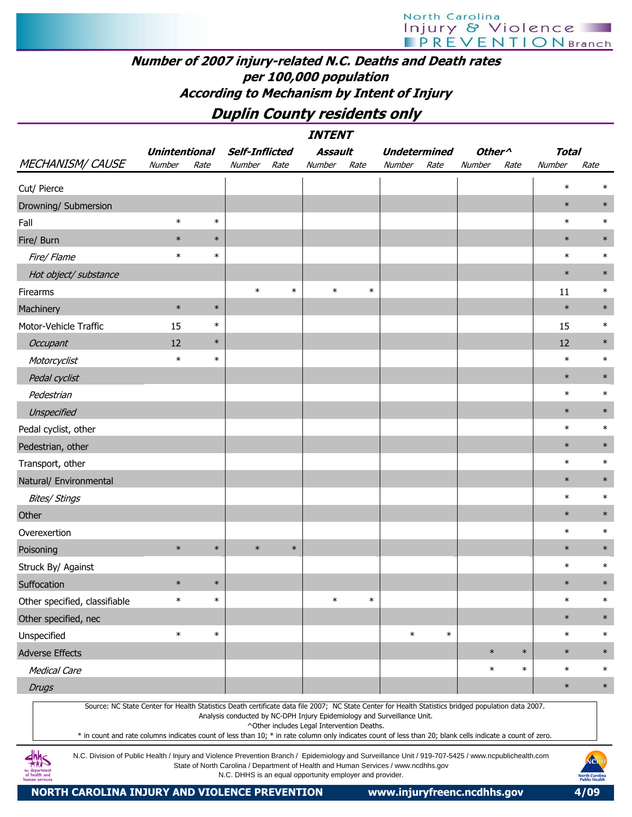# Number of 2007 injury-related N.C. Deaths and Death rates per 100,000 population According to Mechanism by Intent of Injury

# Duplin County residents only

|                               | <b>INTENT</b>        |                                                                         |                                            |                                                                                                                                                                                                                                                                                                                  |                    |              |        |  |  |  |  |  |  |  |
|-------------------------------|----------------------|-------------------------------------------------------------------------|--------------------------------------------|------------------------------------------------------------------------------------------------------------------------------------------------------------------------------------------------------------------------------------------------------------------------------------------------------------------|--------------------|--------------|--------|--|--|--|--|--|--|--|
|                               | <b>Unintentional</b> | <b>Self-Inflicted</b>                                                   | <b>Assault</b>                             | <b>Undetermined</b>                                                                                                                                                                                                                                                                                              | Other <sup>^</sup> | <b>Total</b> |        |  |  |  |  |  |  |  |
| <b>MECHANISM/ CAUSE</b>       | Number<br>Rate       | Number<br>Rate                                                          | Number<br>Rate                             | Number<br>Rate                                                                                                                                                                                                                                                                                                   | Number<br>Rate     | Number       | Rate   |  |  |  |  |  |  |  |
| Cut/ Pierce                   |                      |                                                                         |                                            |                                                                                                                                                                                                                                                                                                                  |                    | $\ast$       | $\ast$ |  |  |  |  |  |  |  |
| Drowning/ Submersion          |                      |                                                                         |                                            |                                                                                                                                                                                                                                                                                                                  |                    | $\ast$       | $\ast$ |  |  |  |  |  |  |  |
| Fall                          | $\ast$<br>$\ast$     |                                                                         |                                            |                                                                                                                                                                                                                                                                                                                  |                    | $\ast$       | $\ast$ |  |  |  |  |  |  |  |
| Fire/ Burn                    | $\ast$<br>$\ast$     |                                                                         |                                            |                                                                                                                                                                                                                                                                                                                  |                    | $\ast$       | $\ast$ |  |  |  |  |  |  |  |
| Fire/ Flame                   | $\ast$<br>$\ast$     |                                                                         |                                            |                                                                                                                                                                                                                                                                                                                  |                    | $\ast$       | $\ast$ |  |  |  |  |  |  |  |
| Hot object/ substance         |                      |                                                                         |                                            |                                                                                                                                                                                                                                                                                                                  |                    | $\ast$       | $\ast$ |  |  |  |  |  |  |  |
| Firearms                      |                      | $\ast$<br>$\ast$                                                        | $\ast$<br>$\ast$                           |                                                                                                                                                                                                                                                                                                                  |                    | 11           | $\ast$ |  |  |  |  |  |  |  |
| Machinery                     | $\ast$<br>$\ast$     |                                                                         |                                            |                                                                                                                                                                                                                                                                                                                  |                    | $\ast$       | $\ast$ |  |  |  |  |  |  |  |
| Motor-Vehicle Traffic         | $\ast$<br>15         |                                                                         |                                            |                                                                                                                                                                                                                                                                                                                  |                    | 15           | $\ast$ |  |  |  |  |  |  |  |
| Occupant                      | $\ast$<br>12         |                                                                         |                                            |                                                                                                                                                                                                                                                                                                                  |                    | 12           | $\ast$ |  |  |  |  |  |  |  |
| Motorcyclist                  | $\ast$<br>$\ast$     |                                                                         |                                            |                                                                                                                                                                                                                                                                                                                  |                    | $\ast$       | $\ast$ |  |  |  |  |  |  |  |
| Pedal cyclist                 |                      |                                                                         |                                            |                                                                                                                                                                                                                                                                                                                  |                    | $\ast$       | $\ast$ |  |  |  |  |  |  |  |
| Pedestrian                    |                      |                                                                         |                                            |                                                                                                                                                                                                                                                                                                                  |                    | $\ast$       | $\ast$ |  |  |  |  |  |  |  |
| Unspecified                   |                      |                                                                         |                                            |                                                                                                                                                                                                                                                                                                                  |                    | $\ast$       | $\ast$ |  |  |  |  |  |  |  |
| Pedal cyclist, other          |                      |                                                                         |                                            |                                                                                                                                                                                                                                                                                                                  |                    | $\ast$       | $\ast$ |  |  |  |  |  |  |  |
| Pedestrian, other             |                      |                                                                         |                                            |                                                                                                                                                                                                                                                                                                                  |                    | $\ast$       | $\ast$ |  |  |  |  |  |  |  |
| Transport, other              |                      |                                                                         |                                            |                                                                                                                                                                                                                                                                                                                  |                    | $\ast$       | $\ast$ |  |  |  |  |  |  |  |
| Natural/ Environmental        |                      |                                                                         |                                            |                                                                                                                                                                                                                                                                                                                  |                    | $\ast$       | $\ast$ |  |  |  |  |  |  |  |
| <b>Bites/ Stings</b>          |                      |                                                                         |                                            |                                                                                                                                                                                                                                                                                                                  |                    | $\ast$       | $\ast$ |  |  |  |  |  |  |  |
| Other                         |                      |                                                                         |                                            |                                                                                                                                                                                                                                                                                                                  |                    | $\ast$       | $\ast$ |  |  |  |  |  |  |  |
| Overexertion                  |                      |                                                                         |                                            |                                                                                                                                                                                                                                                                                                                  |                    | $\ast$       | $\ast$ |  |  |  |  |  |  |  |
| Poisoning                     | $\ast$<br>$\ast$     | $\ast$<br>$\ast$                                                        |                                            |                                                                                                                                                                                                                                                                                                                  |                    | $\ast$       | $\ast$ |  |  |  |  |  |  |  |
| Struck By/ Against            |                      |                                                                         |                                            |                                                                                                                                                                                                                                                                                                                  |                    | $\ast$       | $\ast$ |  |  |  |  |  |  |  |
| Suffocation                   | $\ast$<br>$\ast$     |                                                                         |                                            |                                                                                                                                                                                                                                                                                                                  |                    | $\ast$       | $\ast$ |  |  |  |  |  |  |  |
| Other specified, classifiable | $\ast$<br>$\ast$     |                                                                         | $\ast$<br>$\ast$                           |                                                                                                                                                                                                                                                                                                                  |                    | $\ast$       | $\ast$ |  |  |  |  |  |  |  |
| Other specified, nec          |                      |                                                                         |                                            |                                                                                                                                                                                                                                                                                                                  |                    | $\ast$       | $\ast$ |  |  |  |  |  |  |  |
| Unspecified                   | $\ast$<br>$\ast$     |                                                                         |                                            | $\ast$<br>$\ast$                                                                                                                                                                                                                                                                                                 |                    | $\ast$       | $\ast$ |  |  |  |  |  |  |  |
| <b>Adverse Effects</b>        |                      |                                                                         |                                            |                                                                                                                                                                                                                                                                                                                  | $\ast$<br>$\ast$   | $\ast$       | $\ast$ |  |  |  |  |  |  |  |
| <b>Medical Care</b>           |                      |                                                                         |                                            |                                                                                                                                                                                                                                                                                                                  | $\ast$<br>$\ast$   | $\ast$       | $\ast$ |  |  |  |  |  |  |  |
| <b>Drugs</b>                  |                      |                                                                         |                                            |                                                                                                                                                                                                                                                                                                                  |                    | $\ast$       | $\ast$ |  |  |  |  |  |  |  |
|                               |                      | Analysis conducted by NC-DPH Injury Epidemiology and Surveillance Unit. | ^Other includes Legal Intervention Deaths. | Source: NC State Center for Health Statistics Death certificate data file 2007; NC State Center for Health Statistics bridged population data 2007.<br>* in count and rate columns indicates count of less than 10; * in rate column only indicates count of less than 20; blank cells indicate a count of zero. |                    |              |        |  |  |  |  |  |  |  |

N.C. Division of Public Health / Injury and Violence Prevention Branch / Epidemiology and Surveillance Unit / 919-707-5425 / www.ncpublichealth.com State of North Carolina / Department of Health and Human Services / www.ncdhhs.gov N.C. DHHS is an equal opportunity employer and provider.

 $\frac{dhh}{dhS}$ ic departmen<br>of health and

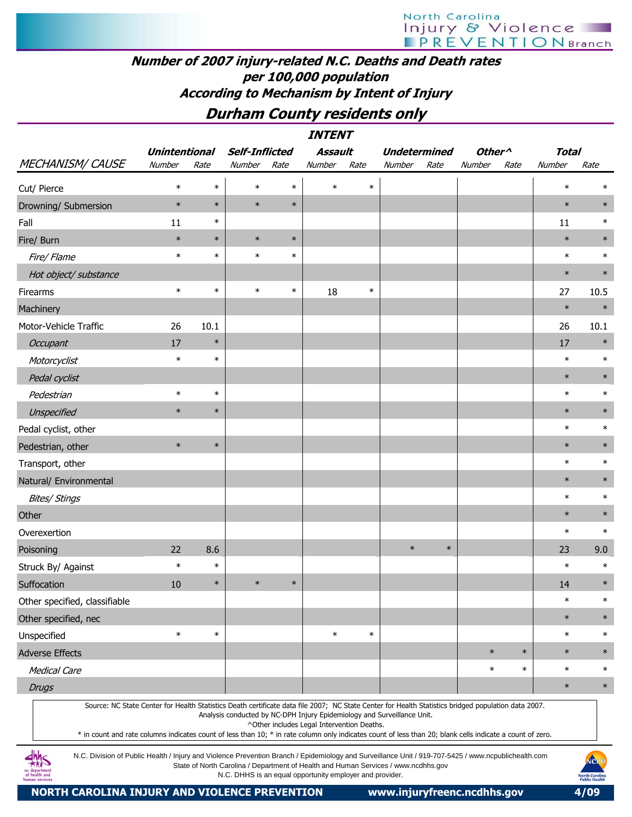### Number of 2007 injury-related N.C. Deaths and Death rates per 100,000 population According to Mechanism by Intent of Injury

# Durham County residents only

|                                                                                                                                                     | <b>INTENT</b>        |        |                       |        |                                            |        |                                                                         |        |                    |        |              |        |  |
|-----------------------------------------------------------------------------------------------------------------------------------------------------|----------------------|--------|-----------------------|--------|--------------------------------------------|--------|-------------------------------------------------------------------------|--------|--------------------|--------|--------------|--------|--|
|                                                                                                                                                     | <b>Unintentional</b> |        | <b>Self-Inflicted</b> |        | <b>Assault</b>                             |        | <b>Undetermined</b>                                                     |        | Other <sup>^</sup> |        | <b>Total</b> |        |  |
| <b>MECHANISM/ CAUSE</b>                                                                                                                             | Number               | Rate   | Number                | Rate   | Number                                     | Rate   | Number                                                                  | Rate   | Number             | Rate   | Number       | Rate   |  |
| Cut/ Pierce                                                                                                                                         | $\ast$               | $\ast$ | $\ast$                | $\ast$ | $\ast$                                     | $\ast$ |                                                                         |        |                    |        | $\ast$       | $\ast$ |  |
| Drowning/ Submersion                                                                                                                                | $\ast$               | $\ast$ | $\ast$                | $\ast$ |                                            |        |                                                                         |        |                    |        | $\ast$       | $\ast$ |  |
| Fall                                                                                                                                                | 11                   | $\ast$ |                       |        |                                            |        |                                                                         |        |                    |        | 11           | $\ast$ |  |
| Fire/ Burn                                                                                                                                          | $\ast$               | $\ast$ | $\ast$                | $\ast$ |                                            |        |                                                                         |        |                    |        | $\ast$       | $\ast$ |  |
| Fire/ Flame                                                                                                                                         | $\ast$               | $\ast$ | $\ast$                | $\ast$ |                                            |        |                                                                         |        |                    |        | $\ast$       | $\ast$ |  |
| Hot object/ substance                                                                                                                               |                      |        |                       |        |                                            |        |                                                                         |        |                    |        | $\ast$       | $\ast$ |  |
| Firearms                                                                                                                                            | $\ast$               | $\ast$ | $\ast$                | $\ast$ | 18                                         | $\ast$ |                                                                         |        |                    |        | 27           | 10.5   |  |
| Machinery                                                                                                                                           |                      |        |                       |        |                                            |        |                                                                         |        |                    |        | $\ast$       | $\ast$ |  |
| Motor-Vehicle Traffic                                                                                                                               | 26                   | 10.1   |                       |        |                                            |        |                                                                         |        |                    |        | 26           | 10.1   |  |
| Occupant                                                                                                                                            | 17                   | $\ast$ |                       |        |                                            |        |                                                                         |        |                    |        | 17           | $\ast$ |  |
| Motorcyclist                                                                                                                                        | $\ast$               | $\ast$ |                       |        |                                            |        |                                                                         |        |                    |        | $\ast$       | $\ast$ |  |
| Pedal cyclist                                                                                                                                       |                      |        |                       |        |                                            |        |                                                                         |        |                    |        | $\ast$       | $\ast$ |  |
| Pedestrian                                                                                                                                          | $\ast$               | $\ast$ |                       |        |                                            |        |                                                                         |        |                    |        | $\ast$       | $\ast$ |  |
| Unspecified                                                                                                                                         | $\ast$               | $\ast$ |                       |        |                                            |        |                                                                         |        |                    |        | $\ast$       | $\ast$ |  |
| Pedal cyclist, other                                                                                                                                |                      |        |                       |        |                                            |        |                                                                         |        |                    |        | $\ast$       | $\ast$ |  |
| Pedestrian, other                                                                                                                                   | $\ast$               | $\ast$ |                       |        |                                            |        |                                                                         |        |                    |        | $\ast$       | $\ast$ |  |
| Transport, other                                                                                                                                    |                      |        |                       |        |                                            |        |                                                                         |        |                    |        | $\ast$       | $\ast$ |  |
| Natural/ Environmental                                                                                                                              |                      |        |                       |        |                                            |        |                                                                         |        |                    |        | $\ast$       | $\ast$ |  |
| <b>Bites/ Stings</b>                                                                                                                                |                      |        |                       |        |                                            |        |                                                                         |        |                    |        | $\ast$       | $\ast$ |  |
| Other                                                                                                                                               |                      |        |                       |        |                                            |        |                                                                         |        |                    |        | $\ast$       | $\ast$ |  |
| Overexertion                                                                                                                                        |                      |        |                       |        |                                            |        |                                                                         |        |                    |        | $\ast$       | $\ast$ |  |
| Poisoning                                                                                                                                           | 22                   | 8.6    |                       |        |                                            |        | $\ast$                                                                  | $\ast$ |                    |        | 23           | 9.0    |  |
| Struck By/ Against                                                                                                                                  | $\ast$               | $\ast$ |                       |        |                                            |        |                                                                         |        |                    |        | $\ast$       | $\ast$ |  |
| Suffocation                                                                                                                                         | 10                   | $\ast$ | $\ast$                | $\ast$ |                                            |        |                                                                         |        |                    |        | 14           | $\ast$ |  |
| Other specified, classifiable                                                                                                                       |                      |        |                       |        |                                            |        |                                                                         |        |                    |        | $\ast$       | $\ast$ |  |
| Other specified, nec                                                                                                                                |                      |        |                       |        |                                            |        |                                                                         |        |                    |        | $\ast$       | $\ast$ |  |
| Unspecified                                                                                                                                         | $\ast$               | $\ast$ |                       |        | $\ast$                                     | $\ast$ |                                                                         |        |                    |        | $\ast$       | $\ast$ |  |
| <b>Adverse Effects</b>                                                                                                                              |                      |        |                       |        |                                            |        |                                                                         |        | $\ast$             | $\ast$ | $\ast$       | $\ast$ |  |
| <b>Medical Care</b>                                                                                                                                 |                      |        |                       |        |                                            |        |                                                                         |        | $\ast$             | $\ast$ | $\ast$       | $\ast$ |  |
| <b>Drugs</b>                                                                                                                                        |                      |        |                       |        |                                            |        |                                                                         |        |                    |        | $\ast$       | $\ast$ |  |
| Source: NC State Center for Health Statistics Death certificate data file 2007; NC State Center for Health Statistics bridged population data 2007. |                      |        |                       |        | ^Other includes Legal Intervention Deaths. |        | Analysis conducted by NC-DPH Injury Epidemiology and Surveillance Unit. |        |                    |        |              |        |  |

\* in count and rate columns indicates count of less than 10; \* in rate column only indicates count of less than 20; blank cells indicate a count of zero.

N.C. Division of Public Health / Injury and Violence Prevention Branch / Epidemiology and Surveillance Unit / 919-707-5425 / www.ncpublichealth.com State of North Carolina / Department of Health and Human Services / www.ncdhhs.gov N.C. DHHS is an equal opportunity employer and provider.

**dhhs** aepartmen<br>health and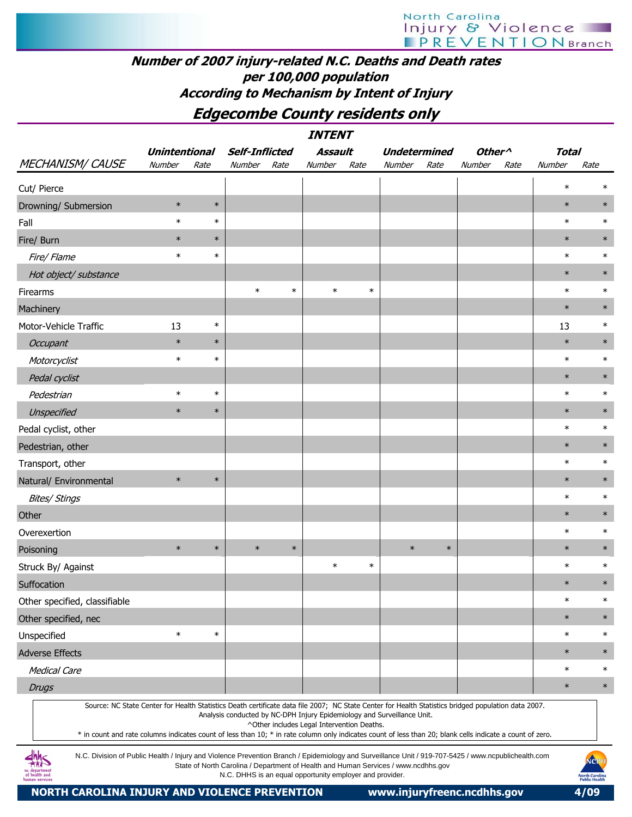### Number of 2007 injury-related N.C. Deaths and Death rates per 100,000 population According to Mechanism by Intent of Injury

Edgecombe County residents only

 INTENT Unintentional Self-Inflicted Assault Undetermined Other^ Total MECHANISM/ CAUSE Number Rate Number Rate Number Rate Number Rate Number Rate Number Rate Cut/ Pierce \* \* Drowning/ Submersion \* \* \* \* Fall \* \* \* | | | | | | | | | \* \* Fire/ Burn \* \* | | | | | \* \* \* Fire/ Flame \* \* \* \* Hot object/ substance Firearms | \* \* | \* \* | | | \* \* Machinery \* \* Motor-Vehicle Traffic 13 \* 13 \* Occupant \* \* \* | the set of the set of the set of the set of the set of the set of the set of the set of the s Motorcyclist \* \* \* \* Pedal cyclist the second control of the second control of the second control of the second control of the second control of the second control of the second control of the second control of the second control of the second Pedestrian \* \* \* \* Unspecified \* \* \* | and the set of the set of the set of the set of the set of the set of the set of the set o Pedal cyclist, other \* \* Pedestrian, other Transport, other \* \* Natural/ Environmental Bites/ Stings \* \* Other the control of the control of the control of the control of the control of the control of the control of Overexertion \* \* Poisoning \* \* \* \* \* \* \* \* Struck By/ Against \* \* \* \* Suffocation \* \* Other specified, classifiable  $\qquad \qquad$   $\qquad$ Other specified, nec \* \* Unspecified \* \* \* | | | | | | | | | | \* \* Adverse Effects \* \* Medical Care the second control of the second control of the second control of the second control of the second  $*$ Drugs the contract of the contract of the contract of the contract of the contract of the contract of the contract of the contract of the contract of the contract of the contract of the contract of the contract of the cont Source: NC State Center for Health Statistics Death certificate data file 2007; NC State Center for Health Statistics bridged population data 2007. Analysis conducted by NC-DPH Injury Epidemiology and Surveillance Unit. ^Other includes Legal Intervention Deaths. \* in count and rate columns indicates count of less than 10; \* in rate column only indicates count of less than 20; blank cells indicate a count of zero.

AMS

N.C. Division of Public Health / Injury and Violence Prevention Branch / Epidemiology and Surveillance Unit / 919-707-5425 / www.ncpublichealth.com State of North Carolina / Department of Health and Human Services / www.ncdhhs.gov N.C. DHHS is an equal opportunity employer and provider.

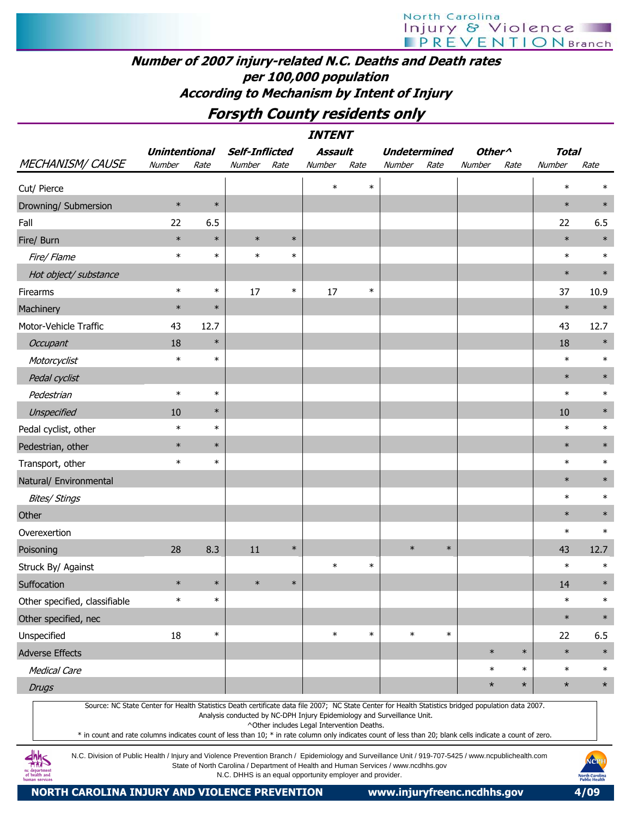# Number of 2007 injury-related N.C. Deaths and Death rates per 100,000 population According to Mechanism by Intent of Injury

# Forsyth County residents only

|                                                                                                                                                     |                      |        |                       |        | <b>INTENT</b> |        |        |                     |                    |         |              |         |
|-----------------------------------------------------------------------------------------------------------------------------------------------------|----------------------|--------|-----------------------|--------|---------------|--------|--------|---------------------|--------------------|---------|--------------|---------|
|                                                                                                                                                     | <b>Unintentional</b> |        | <b>Self-Inflicted</b> |        | Assault       |        |        | <b>Undetermined</b> | Other <sup>^</sup> |         | <b>Total</b> |         |
| <b>MECHANISM/ CAUSE</b>                                                                                                                             | Number               | Rate   | Number                | Rate   | Number        | Rate   | Number | Rate                | Number             | Rate    | Number       | Rate    |
| Cut/ Pierce                                                                                                                                         |                      |        |                       |        | $\ast$        | $\ast$ |        |                     |                    |         | $\ast$       | $\ast$  |
| Drowning/ Submersion                                                                                                                                | $\ast$               | $\ast$ |                       |        |               |        |        |                     |                    |         | $\ast$       | $\ast$  |
| Fall                                                                                                                                                | 22                   | 6.5    |                       |        |               |        |        |                     |                    |         | 22           | 6.5     |
| Fire/ Burn                                                                                                                                          | $\ast$               | $\ast$ | $\ast$                | $\ast$ |               |        |        |                     |                    |         | $\ast$       | $\ast$  |
| Fire/ Flame                                                                                                                                         | $\ast$               | $\ast$ | $\ast$                | $\ast$ |               |        |        |                     |                    |         | $\ast$       | $\ast$  |
| Hot object/ substance                                                                                                                               |                      |        |                       |        |               |        |        |                     |                    |         | $\ast$       | $\ast$  |
| Firearms                                                                                                                                            | $\ast$               | $\ast$ | 17                    | $\ast$ | 17            | $\ast$ |        |                     |                    |         | 37           | 10.9    |
| Machinery                                                                                                                                           | $\ast$               | $\ast$ |                       |        |               |        |        |                     |                    |         | $\ast$       | $\ast$  |
| Motor-Vehicle Traffic                                                                                                                               | 43                   | 12.7   |                       |        |               |        |        |                     |                    |         | 43           | 12.7    |
| Occupant                                                                                                                                            | 18                   | $\ast$ |                       |        |               |        |        |                     |                    |         | 18           | $\ast$  |
| Motorcyclist                                                                                                                                        | $\ast$               | $\ast$ |                       |        |               |        |        |                     |                    |         | $\ast$       | $\ast$  |
| Pedal cyclist                                                                                                                                       |                      |        |                       |        |               |        |        |                     |                    |         | $\ast$       | $\ast$  |
| Pedestrian                                                                                                                                          | $\ast$               | $\ast$ |                       |        |               |        |        |                     |                    |         | $\ast$       | $\ast$  |
| Unspecified                                                                                                                                         | 10                   | $\ast$ |                       |        |               |        |        |                     |                    |         | 10           | $\ast$  |
| Pedal cyclist, other                                                                                                                                | $\ast$               | $\ast$ |                       |        |               |        |        |                     |                    |         | $\ast$       | $\ast$  |
| Pedestrian, other                                                                                                                                   | $\ast$               | $\ast$ |                       |        |               |        |        |                     |                    |         | $\ast$       | $\ast$  |
| Transport, other                                                                                                                                    | $\ast$               | $\ast$ |                       |        |               |        |        |                     |                    |         | $\ast$       | $\ast$  |
| Natural/ Environmental                                                                                                                              |                      |        |                       |        |               |        |        |                     |                    |         | $\ast$       | $\ast$  |
| <b>Bites/ Stings</b>                                                                                                                                |                      |        |                       |        |               |        |        |                     |                    |         | $\ast$       | $\ast$  |
| Other                                                                                                                                               |                      |        |                       |        |               |        |        |                     |                    |         | $\ast$       | $\ast$  |
| Overexertion                                                                                                                                        |                      |        |                       |        |               |        |        |                     |                    |         | $\ast$       | $\ast$  |
| Poisoning                                                                                                                                           | 28                   | 8.3    | 11                    | $\ast$ |               |        | $\ast$ | $\ast$              |                    |         | 43           | 12.7    |
| Struck By/ Against                                                                                                                                  |                      |        |                       |        | $\ast$        | $\ast$ |        |                     |                    |         | $\ast$       | $\ast$  |
| Suffocation                                                                                                                                         | $\ast$               | $\ast$ | $\ast$                | $\ast$ |               |        |        |                     |                    |         | 14           | $\ast$  |
| Other specified, classifiable                                                                                                                       | $\ast$               | $\ast$ |                       |        |               |        |        |                     |                    |         | $\ast$       | $\ast$  |
| Other specified, nec                                                                                                                                |                      |        |                       |        |               |        |        |                     |                    |         | $\ast$       | $\ast$  |
| Unspecified                                                                                                                                         | 18                   | $\ast$ |                       |        | $\ast$        | $\ast$ | $\ast$ | $\ast$              |                    |         | 22           | 6.5     |
| <b>Adverse Effects</b>                                                                                                                              |                      |        |                       |        |               |        |        |                     | $\ast$             | $\ast$  | $\ast$       | $\ast$  |
| <b>Medical Care</b>                                                                                                                                 |                      |        |                       |        |               |        |        |                     | $\ast$             | $\ast$  | $\ast$       | $\ast$  |
| <b>Drugs</b>                                                                                                                                        |                      |        |                       |        |               |        |        |                     | $\star$            | $\star$ | $\star$      | $\star$ |
| Source: NC State Center for Health Statistics Death certificate data file 2007; NC State Center for Health Statistics bridged population data 2007. |                      |        |                       |        |               |        |        |                     |                    |         |              |         |

Analysis conducted by NC-DPH Injury Epidemiology and Surveillance Unit.

^Other includes Legal Intervention Deaths.

\* in count and rate columns indicates count of less than 10; \* in rate column only indicates count of less than 20; blank cells indicate a count of zero.

N.C. Division of Public Health / Injury and Violence Prevention Branch / Epidemiology and Surveillance Unit / 919-707-5425 / www.ncpublichealth.com State of North Carolina / Department of Health and Human Services / www.ncdhhs.gov N.C. DHHS is an equal opportunity employer and provider.

NORTH CAROLINA INJURY AND VIOLENCE PREVENTION www.injuryfreenc.ncdhhs.gov 4/09

**dhhs**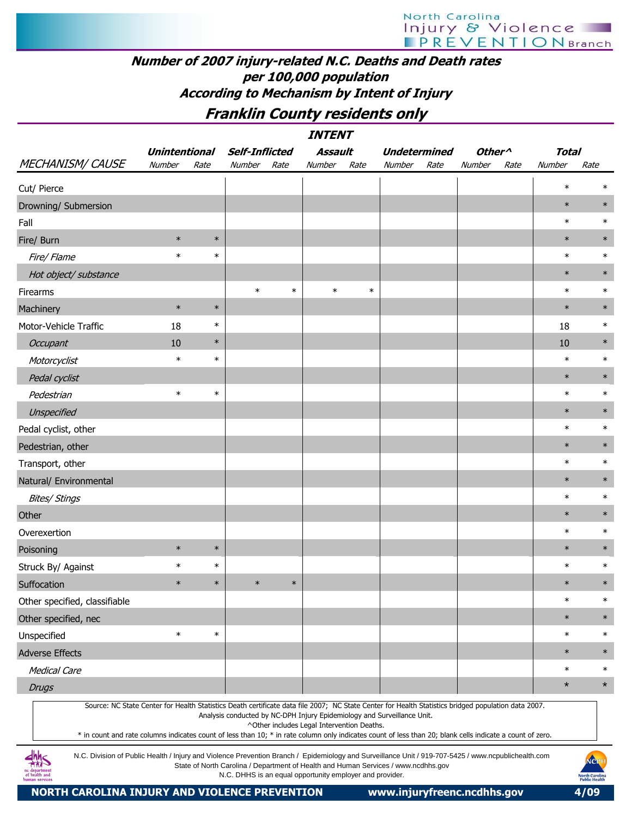# Number of 2007 injury-related N.C. Deaths and Death rates per 100,000 population According to Mechanism by Intent of Injury

# Franklin County residents only

| <i><b>INTENT</b></i>                                                                                                                                                                                                                                                                                             |                      |        |                                                                                                                                                |        |                                            |        |                     |      |                    |      |              |                                                |
|------------------------------------------------------------------------------------------------------------------------------------------------------------------------------------------------------------------------------------------------------------------------------------------------------------------|----------------------|--------|------------------------------------------------------------------------------------------------------------------------------------------------|--------|--------------------------------------------|--------|---------------------|------|--------------------|------|--------------|------------------------------------------------|
|                                                                                                                                                                                                                                                                                                                  | <b>Unintentional</b> |        | <b>Self-Inflicted</b>                                                                                                                          |        | Assault                                    |        | <b>Undetermined</b> |      | Other <sup>^</sup> |      | <b>Total</b> |                                                |
| <b>MECHANISM/ CAUSE</b>                                                                                                                                                                                                                                                                                          | Number               | Rate   | Number                                                                                                                                         | Rate   | Number                                     | Rate   | Number              | Rate | Number             | Rate | Number       | Rate                                           |
| Cut/ Pierce                                                                                                                                                                                                                                                                                                      |                      |        |                                                                                                                                                |        |                                            |        |                     |      |                    |      | $\ast$       |                                                |
| Drowning/ Submersion                                                                                                                                                                                                                                                                                             |                      |        |                                                                                                                                                |        |                                            |        |                     |      |                    |      | $\ast$       | $\ast$                                         |
| Fall                                                                                                                                                                                                                                                                                                             |                      |        |                                                                                                                                                |        |                                            |        |                     |      |                    |      | $\ast$       | $\ast$                                         |
| Fire/ Burn                                                                                                                                                                                                                                                                                                       | $\ast$               | $\ast$ |                                                                                                                                                |        |                                            |        |                     |      |                    |      | $\ast$       | $\ast$                                         |
| Fire/ Flame                                                                                                                                                                                                                                                                                                      | $\ast$               | $\ast$ |                                                                                                                                                |        |                                            |        |                     |      |                    |      | $\ast$       | $\ast$                                         |
| Hot object/ substance                                                                                                                                                                                                                                                                                            |                      |        |                                                                                                                                                |        |                                            |        |                     |      |                    |      | $\ast$       | $\ast$                                         |
| Firearms                                                                                                                                                                                                                                                                                                         |                      |        | $\ast$                                                                                                                                         | $\ast$ | $\ast$                                     | $\ast$ |                     |      |                    |      | $\ast$       | $\ast$                                         |
| Machinery                                                                                                                                                                                                                                                                                                        | $\ast$               | $\ast$ |                                                                                                                                                |        |                                            |        |                     |      |                    |      | $\ast$       | $\ast$                                         |
| Motor-Vehicle Traffic                                                                                                                                                                                                                                                                                            | 18                   | $\ast$ |                                                                                                                                                |        |                                            |        |                     |      |                    |      | 18           | $\ast$                                         |
| <b>Occupant</b>                                                                                                                                                                                                                                                                                                  | 10                   | $\ast$ |                                                                                                                                                |        |                                            |        |                     |      |                    |      | 10           | $\ast$                                         |
| Motorcyclist                                                                                                                                                                                                                                                                                                     | $\ast$               | $\ast$ |                                                                                                                                                |        |                                            |        |                     |      |                    |      | $\ast$       | $\ast$                                         |
| Pedal cyclist                                                                                                                                                                                                                                                                                                    |                      |        |                                                                                                                                                |        |                                            |        |                     |      |                    |      | $\ast$       | $\ast$                                         |
| Pedestrian                                                                                                                                                                                                                                                                                                       | $\ast$               | $\ast$ |                                                                                                                                                |        |                                            |        |                     |      |                    |      | $\ast$       | $\ast$                                         |
| Unspecified                                                                                                                                                                                                                                                                                                      |                      |        |                                                                                                                                                |        |                                            |        |                     |      |                    |      | $\ast$       | $\ast$                                         |
| Pedal cyclist, other                                                                                                                                                                                                                                                                                             |                      |        |                                                                                                                                                |        |                                            |        |                     |      |                    |      | $\ast$       | $\ast$                                         |
| Pedestrian, other                                                                                                                                                                                                                                                                                                |                      |        |                                                                                                                                                |        |                                            |        |                     |      |                    |      | $\ast$       | $\ast$                                         |
| Transport, other                                                                                                                                                                                                                                                                                                 |                      |        |                                                                                                                                                |        |                                            |        |                     |      |                    |      | $\ast$       | $\ast$                                         |
| Natural/ Environmental                                                                                                                                                                                                                                                                                           |                      |        |                                                                                                                                                |        |                                            |        |                     |      |                    |      | $\ast$       | $\ast$                                         |
| <b>Bites/ Stings</b>                                                                                                                                                                                                                                                                                             |                      |        |                                                                                                                                                |        |                                            |        |                     |      |                    |      | $\ast$       | $\ast$                                         |
| Other                                                                                                                                                                                                                                                                                                            |                      |        |                                                                                                                                                |        |                                            |        |                     |      |                    |      | $\ast$       | $\ast$                                         |
| Overexertion                                                                                                                                                                                                                                                                                                     |                      |        |                                                                                                                                                |        |                                            |        |                     |      |                    |      | $\ast$       | $\ast$                                         |
| Poisoning                                                                                                                                                                                                                                                                                                        | $\ast$               | $\ast$ |                                                                                                                                                |        |                                            |        |                     |      |                    |      | $\ast$       | $\ast$                                         |
| Struck By/ Against                                                                                                                                                                                                                                                                                               | $\ast$               | $\ast$ |                                                                                                                                                |        |                                            |        |                     |      |                    |      | $\ast$       | $\ast$                                         |
| Suffocation                                                                                                                                                                                                                                                                                                      | $\ast$               | $\ast$ | $\ast$                                                                                                                                         | $\ast$ |                                            |        |                     |      |                    |      | $\ast$       | $\ast$                                         |
| Other specified, classifiable                                                                                                                                                                                                                                                                                    |                      |        |                                                                                                                                                |        |                                            |        |                     |      |                    |      | $\ast$       | $\ast$                                         |
| Other specified, nec                                                                                                                                                                                                                                                                                             |                      |        |                                                                                                                                                |        |                                            |        |                     |      |                    |      | $\ast$       | $\ast$                                         |
| Unspecified                                                                                                                                                                                                                                                                                                      | $\ast$               | $\ast$ |                                                                                                                                                |        |                                            |        |                     |      |                    |      | $\ast$       | $\ast$                                         |
| <b>Adverse Effects</b>                                                                                                                                                                                                                                                                                           |                      |        |                                                                                                                                                |        |                                            |        |                     |      |                    |      | $\ast$       | $\ast$                                         |
| <b>Medical Care</b>                                                                                                                                                                                                                                                                                              |                      |        |                                                                                                                                                |        |                                            |        |                     |      |                    |      | $\ast$       | $\ast$                                         |
| <b>Drugs</b>                                                                                                                                                                                                                                                                                                     |                      |        |                                                                                                                                                |        |                                            |        |                     |      |                    |      | $\star$      | $\star$                                        |
| Source: NC State Center for Health Statistics Death certificate data file 2007; NC State Center for Health Statistics bridged population data 2007.<br>* in count and rate columns indicates count of less than 10; * in rate column only indicates count of less than 20; blank cells indicate a count of zero. |                      |        | Analysis conducted by NC-DPH Injury Epidemiology and Surveillance Unit.                                                                        |        | ^Other includes Legal Intervention Deaths. |        |                     |      |                    |      |              |                                                |
| N.C. Division of Public Health / Injury and Violence Prevention Branch / Epidemiology and Surveillance Unit / 919-707-5425 / www.ncpublichealth.com<br>of health and                                                                                                                                             |                      |        | State of North Carolina / Department of Health and Human Services / www.ncdhhs.gov<br>N.C. DHHS is an equal opportunity employer and provider. |        |                                            |        |                     |      |                    |      |              | NCPH<br><b>North Carolin:</b><br>Public Health |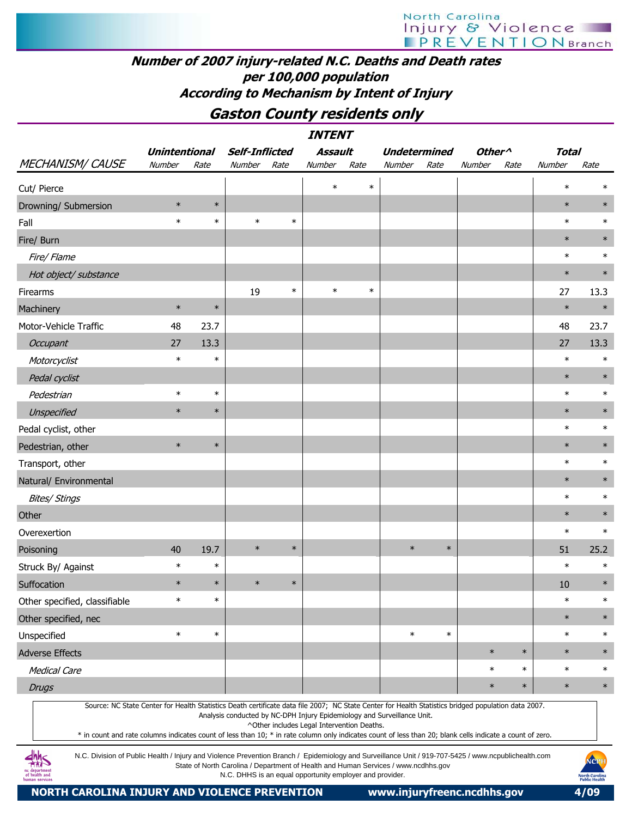## Number of 2007 injury-related N.C. Deaths and Death rates per 100,000 population According to Mechanism by Intent of Injury

## Gaston County residents only

|                                                                                                                                                                                                                                                                                                                                 |                      |        |                       |        | <b>INTENT</b>                              |        |                                                                         |                     |                    |        |              |        |
|---------------------------------------------------------------------------------------------------------------------------------------------------------------------------------------------------------------------------------------------------------------------------------------------------------------------------------|----------------------|--------|-----------------------|--------|--------------------------------------------|--------|-------------------------------------------------------------------------|---------------------|--------------------|--------|--------------|--------|
|                                                                                                                                                                                                                                                                                                                                 | <b>Unintentional</b> |        | <b>Self-Inflicted</b> |        | <b>Assault</b>                             |        |                                                                         | <b>Undetermined</b> | Other <sup>^</sup> |        | <b>Total</b> |        |
| MECHANISM/ CAUSE                                                                                                                                                                                                                                                                                                                | Number               | Rate   | Number                | Rate   | Number                                     | Rate   | Number                                                                  | Rate                | Number             | Rate   | Number       | Rate   |
| Cut/ Pierce                                                                                                                                                                                                                                                                                                                     |                      |        |                       |        | $\ast$                                     | $\ast$ |                                                                         |                     |                    |        | $\ast$       |        |
| Drowning/ Submersion                                                                                                                                                                                                                                                                                                            | $\ast$               | $\ast$ |                       |        |                                            |        |                                                                         |                     |                    |        | $\ast$       | $\ast$ |
| Fall                                                                                                                                                                                                                                                                                                                            | $\ast$               | $\ast$ | $\ast$                | $\ast$ |                                            |        |                                                                         |                     |                    |        | $\ast$       | $\ast$ |
| Fire/ Burn                                                                                                                                                                                                                                                                                                                      |                      |        |                       |        |                                            |        |                                                                         |                     |                    |        | $\ast$       | $\ast$ |
| Fire/Flame                                                                                                                                                                                                                                                                                                                      |                      |        |                       |        |                                            |        |                                                                         |                     |                    |        | $\ast$       | $\ast$ |
| Hot object/ substance                                                                                                                                                                                                                                                                                                           |                      |        |                       |        |                                            |        |                                                                         |                     |                    |        | $\ast$       | $\ast$ |
| Firearms                                                                                                                                                                                                                                                                                                                        |                      |        | 19                    | $\ast$ | $\ast$                                     | $\ast$ |                                                                         |                     |                    |        | 27           | 13.3   |
| Machinery                                                                                                                                                                                                                                                                                                                       | $\ast$               | $\ast$ |                       |        |                                            |        |                                                                         |                     |                    |        | $\ast$       | $\ast$ |
| Motor-Vehicle Traffic                                                                                                                                                                                                                                                                                                           | 48                   | 23.7   |                       |        |                                            |        |                                                                         |                     |                    |        | 48           | 23.7   |
| Occupant                                                                                                                                                                                                                                                                                                                        | 27                   | 13.3   |                       |        |                                            |        |                                                                         |                     |                    |        | 27           | 13.3   |
| Motorcyclist                                                                                                                                                                                                                                                                                                                    | $\ast$               | $\ast$ |                       |        |                                            |        |                                                                         |                     |                    |        | $\ast$       | $\ast$ |
| Pedal cyclist                                                                                                                                                                                                                                                                                                                   |                      |        |                       |        |                                            |        |                                                                         |                     |                    |        | $\ast$       | $\ast$ |
| Pedestrian                                                                                                                                                                                                                                                                                                                      | $\ast$               | $\ast$ |                       |        |                                            |        |                                                                         |                     |                    |        | $\ast$       | $\ast$ |
| Unspecified                                                                                                                                                                                                                                                                                                                     | $\ast$               | $\ast$ |                       |        |                                            |        |                                                                         |                     |                    |        | $\ast$       | $\ast$ |
| Pedal cyclist, other                                                                                                                                                                                                                                                                                                            |                      |        |                       |        |                                            |        |                                                                         |                     |                    |        | $\ast$       | $\ast$ |
| Pedestrian, other                                                                                                                                                                                                                                                                                                               | $\ast$               | $\ast$ |                       |        |                                            |        |                                                                         |                     |                    |        | $\ast$       | $\ast$ |
| Transport, other                                                                                                                                                                                                                                                                                                                |                      |        |                       |        |                                            |        |                                                                         |                     |                    |        | $\ast$       | $\ast$ |
| Natural/ Environmental                                                                                                                                                                                                                                                                                                          |                      |        |                       |        |                                            |        |                                                                         |                     |                    |        | $\ast$       | $\ast$ |
| <b>Bites/ Stings</b>                                                                                                                                                                                                                                                                                                            |                      |        |                       |        |                                            |        |                                                                         |                     |                    |        | $\ast$       | $\ast$ |
| Other                                                                                                                                                                                                                                                                                                                           |                      |        |                       |        |                                            |        |                                                                         |                     |                    |        | $\ast$       | $\ast$ |
| Overexertion                                                                                                                                                                                                                                                                                                                    |                      |        |                       |        |                                            |        |                                                                         |                     |                    |        | $\ast$       | $\ast$ |
| Poisoning                                                                                                                                                                                                                                                                                                                       | 40                   | 19.7   | $\ast$                | $\ast$ |                                            |        | $\ast$                                                                  | $\ast$              |                    |        | 51           | 25.2   |
| Struck By/ Against                                                                                                                                                                                                                                                                                                              | $\ast$               | $\ast$ |                       |        |                                            |        |                                                                         |                     |                    |        | $\ast$       | $\ast$ |
| Suffocation                                                                                                                                                                                                                                                                                                                     | $\ast$               | $\ast$ | $\ast$                | $\ast$ |                                            |        |                                                                         |                     |                    |        | 10           | $\ast$ |
| Other specified, classifiable                                                                                                                                                                                                                                                                                                   | $\ast$               | $\ast$ |                       |        |                                            |        |                                                                         |                     |                    |        | $\ast$       | $\ast$ |
| Other specified, nec                                                                                                                                                                                                                                                                                                            |                      |        |                       |        |                                            |        |                                                                         |                     |                    |        | $\ast$       | $\ast$ |
| Unspecified                                                                                                                                                                                                                                                                                                                     | $\ast$               | $\ast$ |                       |        |                                            |        | $\ast$                                                                  | $\ast$              |                    |        | $\ast$       | $\ast$ |
| <b>Adverse Effects</b>                                                                                                                                                                                                                                                                                                          |                      |        |                       |        |                                            |        |                                                                         |                     | $\ast$             | $\ast$ | $\ast$       | $\ast$ |
| <b>Medical Care</b>                                                                                                                                                                                                                                                                                                             |                      |        |                       |        |                                            |        |                                                                         |                     | $\ast$             | $\ast$ | $\ast$       | $\ast$ |
| <b>Drugs</b>                                                                                                                                                                                                                                                                                                                    |                      |        |                       |        |                                            |        |                                                                         |                     | $\ast$             | $\ast$ | $\ast$       | $\ast$ |
| Source: NC State Center for Health Statistics Death certificate data file 2007; NC State Center for Health Statistics bridged population data 2007.<br>$*$ in count and rate columns indicates count of less than $10 \cdot *$ in rate column only indicates count of less than $20 \cdot$ blank cells indicate a count of zero |                      |        |                       |        | ^Other includes Legal Intervention Deaths. |        | Analysis conducted by NC-DPH Injury Epidemiology and Surveillance Unit. |                     |                    |        |              |        |

\* in count and rate columns indicates count of less than 10; \* in rate column only indicates count of less than 20; blank cells indicate a count of zero.

N.C. Division of Public Health / Injury and Violence Prevention Branch / Epidemiology and Surveillance Unit / 919-707-5425 / www.ncpublichealth.com State of North Carolina / Department of Health and Human Services / www.ncdhhs.gov N.C. DHHS is an equal opportunity employer and provider.

 $\frac{dhh}{dh}$ nc department<br>of health and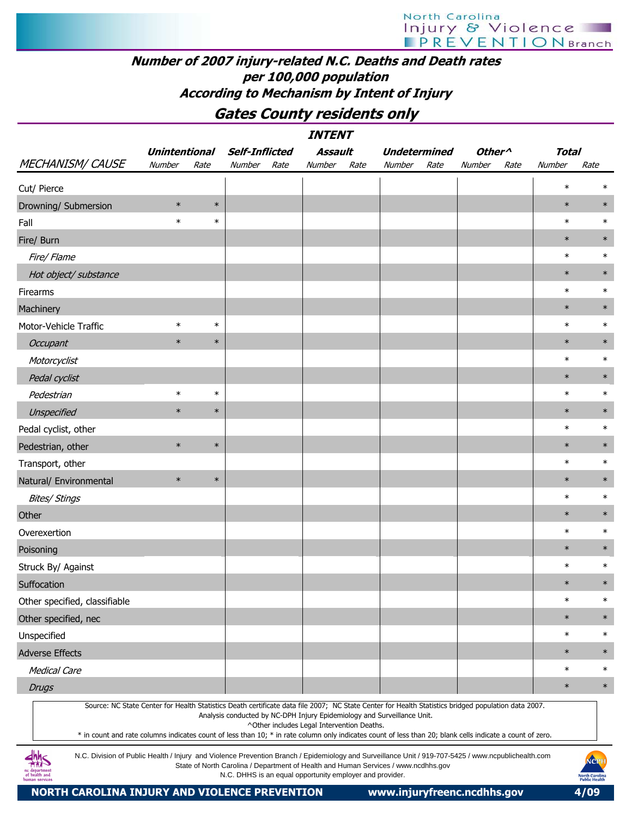## Number of 2007 injury-related N.C. Deaths and Death rates per 100,000 population According to Mechanism by Intent of Injury

Gates County residents only

|                                                                                                                                                           |                      |        |                       |      | <i><b>INTENT</b></i>                                     |      |                                                                                    |      |                    |      |        |                                                |
|-----------------------------------------------------------------------------------------------------------------------------------------------------------|----------------------|--------|-----------------------|------|----------------------------------------------------------|------|------------------------------------------------------------------------------------|------|--------------------|------|--------|------------------------------------------------|
|                                                                                                                                                           | <b>Unintentional</b> |        | <b>Self-Inflicted</b> |      | Assault                                                  |      | <b>Undetermined</b>                                                                |      | Other <sup>^</sup> |      | Total  |                                                |
| <b>MECHANISM/ CAUSE</b>                                                                                                                                   | Number               | Rate   | Number                | Rate | Number                                                   | Rate | Number                                                                             | Rate | Number             | Rate | Number | Rate                                           |
| Cut/ Pierce                                                                                                                                               |                      |        |                       |      |                                                          |      |                                                                                    |      |                    |      | $\ast$ | $\ast$                                         |
| Drowning/ Submersion                                                                                                                                      | $\ast$               | $\ast$ |                       |      |                                                          |      |                                                                                    |      |                    |      | $\ast$ | $\ast$                                         |
| Fall                                                                                                                                                      | $\ast$               | $\ast$ |                       |      |                                                          |      |                                                                                    |      |                    |      | $\ast$ | $\ast$                                         |
| Fire/ Burn                                                                                                                                                |                      |        |                       |      |                                                          |      |                                                                                    |      |                    |      | $\ast$ | $\ast$                                         |
| Fire/ Flame                                                                                                                                               |                      |        |                       |      |                                                          |      |                                                                                    |      |                    |      | $\ast$ | $\ast$                                         |
| Hot object/ substance                                                                                                                                     |                      |        |                       |      |                                                          |      |                                                                                    |      |                    |      | $\ast$ | $\ast$                                         |
| Firearms                                                                                                                                                  |                      |        |                       |      |                                                          |      |                                                                                    |      |                    |      | $\ast$ | $\ast$                                         |
| Machinery                                                                                                                                                 |                      |        |                       |      |                                                          |      |                                                                                    |      |                    |      | $\ast$ | $\ast$                                         |
| Motor-Vehicle Traffic                                                                                                                                     | $\ast$               | $\ast$ |                       |      |                                                          |      |                                                                                    |      |                    |      | $\ast$ | $\ast$                                         |
| Occupant                                                                                                                                                  | $\ast$               | $\ast$ |                       |      |                                                          |      |                                                                                    |      |                    |      | $\ast$ | $\ast$                                         |
| Motorcyclist                                                                                                                                              |                      |        |                       |      |                                                          |      |                                                                                    |      |                    |      | $\ast$ | $\ast$                                         |
| Pedal cyclist                                                                                                                                             |                      |        |                       |      |                                                          |      |                                                                                    |      |                    |      | $\ast$ | $\ast$                                         |
| Pedestrian                                                                                                                                                | $\ast$               | $\ast$ |                       |      |                                                          |      |                                                                                    |      |                    |      | $\ast$ | $\ast$                                         |
| Unspecified                                                                                                                                               | $\ast$               | $\ast$ |                       |      |                                                          |      |                                                                                    |      |                    |      | $\ast$ | $\ast$                                         |
| Pedal cyclist, other                                                                                                                                      |                      |        |                       |      |                                                          |      |                                                                                    |      |                    |      | $\ast$ | $\ast$                                         |
| Pedestrian, other                                                                                                                                         | $\ast$               | $\ast$ |                       |      |                                                          |      |                                                                                    |      |                    |      | $\ast$ | $\ast$                                         |
| Transport, other                                                                                                                                          |                      |        |                       |      |                                                          |      |                                                                                    |      |                    |      | $\ast$ | $\ast$                                         |
| Natural/ Environmental                                                                                                                                    | $\ast$               | $\ast$ |                       |      |                                                          |      |                                                                                    |      |                    |      | $\ast$ | $\ast$                                         |
| <b>Bites/ Stings</b>                                                                                                                                      |                      |        |                       |      |                                                          |      |                                                                                    |      |                    |      | $\ast$ | $\ast$                                         |
| Other                                                                                                                                                     |                      |        |                       |      |                                                          |      |                                                                                    |      |                    |      | $\ast$ | $\ast$                                         |
| Overexertion                                                                                                                                              |                      |        |                       |      |                                                          |      |                                                                                    |      |                    |      | $\ast$ | $\ast$                                         |
| Poisoning                                                                                                                                                 |                      |        |                       |      |                                                          |      |                                                                                    |      |                    |      | $\ast$ | $\ast$                                         |
| Struck By/ Against                                                                                                                                        |                      |        |                       |      |                                                          |      |                                                                                    |      |                    |      | $\ast$ | $\ast$                                         |
| Suffocation                                                                                                                                               |                      |        |                       |      |                                                          |      |                                                                                    |      |                    |      | $\ast$ | $\ast$                                         |
| Other specified, classifiable                                                                                                                             |                      |        |                       |      |                                                          |      |                                                                                    |      |                    |      | $\ast$ | $\ast$                                         |
| Other specified, nec                                                                                                                                      |                      |        |                       |      |                                                          |      |                                                                                    |      |                    |      | $\ast$ | $\ast$                                         |
| Unspecified                                                                                                                                               |                      |        |                       |      |                                                          |      |                                                                                    |      |                    |      | $\ast$ | $\ast$                                         |
| <b>Adverse Effects</b>                                                                                                                                    |                      |        |                       |      |                                                          |      |                                                                                    |      |                    |      | $\ast$ | $\ast$                                         |
| <b>Medical Care</b>                                                                                                                                       |                      |        |                       |      |                                                          |      |                                                                                    |      |                    |      | $\ast$ | $\ast$                                         |
| <b>Drugs</b>                                                                                                                                              |                      |        |                       |      |                                                          |      |                                                                                    |      |                    |      | $\ast$ | $\ast$                                         |
| Source: NC State Center for Health Statistics Death certificate data file 2007; NC State Center for Health Statistics bridged population data 2007.       |                      |        |                       |      |                                                          |      | Analysis conducted by NC-DPH Injury Epidemiology and Surveillance Unit.            |      |                    |      |        |                                                |
|                                                                                                                                                           |                      |        |                       |      | ^Other includes Legal Intervention Deaths.               |      |                                                                                    |      |                    |      |        |                                                |
| * in count and rate columns indicates count of less than 10; * in rate column only indicates count of less than 20; blank cells indicate a count of zero. |                      |        |                       |      |                                                          |      |                                                                                    |      |                    |      |        |                                                |
| N.C. Division of Public Health / Injury and Violence Prevention Branch / Epidemiology and Surveillance Unit / 919-707-5425 / www.ncpublichealth.com       |                      |        |                       |      | N.C. DHHS is an equal opportunity employer and provider. |      | State of North Carolina / Department of Health and Human Services / www.ncdhhs.gov |      |                    |      |        | NCPH<br><b>North Carolina</b><br>Public Health |

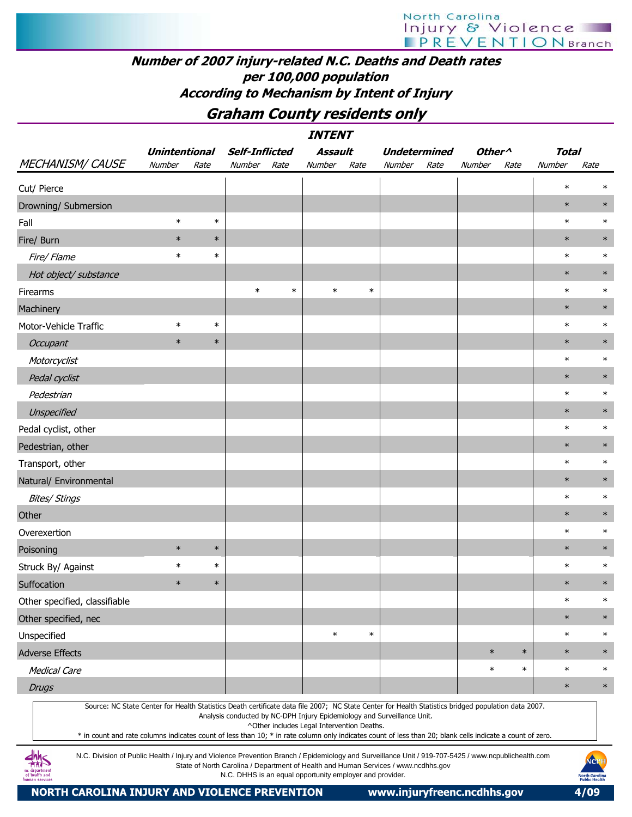# North Carolina<br>| njury & Violence<br>| PREVENTIONBranch

## Number of 2007 injury-related N.C. Deaths and Death rates per 100,000 population According to Mechanism by Intent of Injury

## Graham County residents only

|                                                                                                                                                                                                                                                                                                                                                                                                                                                                                          |                      |        |                       |        | <i><b>INTENT</b></i>                       |        |                                                                         |      |                    |        |              |        |
|------------------------------------------------------------------------------------------------------------------------------------------------------------------------------------------------------------------------------------------------------------------------------------------------------------------------------------------------------------------------------------------------------------------------------------------------------------------------------------------|----------------------|--------|-----------------------|--------|--------------------------------------------|--------|-------------------------------------------------------------------------|------|--------------------|--------|--------------|--------|
|                                                                                                                                                                                                                                                                                                                                                                                                                                                                                          | <b>Unintentional</b> |        | <b>Self-Inflicted</b> |        | Assault                                    |        | <b>Undetermined</b>                                                     |      | Other <sup>^</sup> |        | <b>Total</b> |        |
| <b>MECHANISM/ CAUSE</b>                                                                                                                                                                                                                                                                                                                                                                                                                                                                  | Number               | Rate   | Number                | Rate   | Number                                     | Rate   | Number                                                                  | Rate | Number             | Rate   | Number       | Rate   |
| Cut/ Pierce                                                                                                                                                                                                                                                                                                                                                                                                                                                                              |                      |        |                       |        |                                            |        |                                                                         |      |                    |        | $\ast$       |        |
| Drowning/ Submersion                                                                                                                                                                                                                                                                                                                                                                                                                                                                     |                      |        |                       |        |                                            |        |                                                                         |      |                    |        | $\ast$       | $\ast$ |
| Fall                                                                                                                                                                                                                                                                                                                                                                                                                                                                                     | $\ast$               | $\ast$ |                       |        |                                            |        |                                                                         |      |                    |        | $\ast$       | $\ast$ |
| Fire/ Burn                                                                                                                                                                                                                                                                                                                                                                                                                                                                               | $\ast$               | $\ast$ |                       |        |                                            |        |                                                                         |      |                    |        | $\ast$       | $\ast$ |
| Fire/ Flame                                                                                                                                                                                                                                                                                                                                                                                                                                                                              | $\ast$               | $\ast$ |                       |        |                                            |        |                                                                         |      |                    |        | $\ast$       | $\ast$ |
| Hot object/ substance                                                                                                                                                                                                                                                                                                                                                                                                                                                                    |                      |        |                       |        |                                            |        |                                                                         |      |                    |        | $\ast$       | $\ast$ |
| Firearms                                                                                                                                                                                                                                                                                                                                                                                                                                                                                 |                      |        | $\ast$                | $\ast$ | $\ast$                                     | $\ast$ |                                                                         |      |                    |        | $\ast$       | $\ast$ |
| Machinery                                                                                                                                                                                                                                                                                                                                                                                                                                                                                |                      |        |                       |        |                                            |        |                                                                         |      |                    |        | $\ast$       | $\ast$ |
| Motor-Vehicle Traffic                                                                                                                                                                                                                                                                                                                                                                                                                                                                    | $\ast$               | $\ast$ |                       |        |                                            |        |                                                                         |      |                    |        | $\ast$       | $\ast$ |
| <b>Occupant</b>                                                                                                                                                                                                                                                                                                                                                                                                                                                                          | $\ast$               | $\ast$ |                       |        |                                            |        |                                                                         |      |                    |        | $\ast$       | $\ast$ |
| Motorcyclist                                                                                                                                                                                                                                                                                                                                                                                                                                                                             |                      |        |                       |        |                                            |        |                                                                         |      |                    |        | $\ast$       | $\ast$ |
| Pedal cyclist                                                                                                                                                                                                                                                                                                                                                                                                                                                                            |                      |        |                       |        |                                            |        |                                                                         |      |                    |        | $\ast$       | $\ast$ |
| Pedestrian                                                                                                                                                                                                                                                                                                                                                                                                                                                                               |                      |        |                       |        |                                            |        |                                                                         |      |                    |        | $\ast$       | $\ast$ |
| Unspecified                                                                                                                                                                                                                                                                                                                                                                                                                                                                              |                      |        |                       |        |                                            |        |                                                                         |      |                    |        | $\ast$       | $\ast$ |
| Pedal cyclist, other                                                                                                                                                                                                                                                                                                                                                                                                                                                                     |                      |        |                       |        |                                            |        |                                                                         |      |                    |        | $\ast$       | $\ast$ |
| Pedestrian, other                                                                                                                                                                                                                                                                                                                                                                                                                                                                        |                      |        |                       |        |                                            |        |                                                                         |      |                    |        | $\ast$       | $\ast$ |
| Transport, other                                                                                                                                                                                                                                                                                                                                                                                                                                                                         |                      |        |                       |        |                                            |        |                                                                         |      |                    |        | $\ast$       | $\ast$ |
| Natural/ Environmental                                                                                                                                                                                                                                                                                                                                                                                                                                                                   |                      |        |                       |        |                                            |        |                                                                         |      |                    |        | $\ast$       | $\ast$ |
| <b>Bites/ Stings</b>                                                                                                                                                                                                                                                                                                                                                                                                                                                                     |                      |        |                       |        |                                            |        |                                                                         |      |                    |        | $\ast$       | $\ast$ |
| Other                                                                                                                                                                                                                                                                                                                                                                                                                                                                                    |                      |        |                       |        |                                            |        |                                                                         |      |                    |        | $\ast$       | $\ast$ |
| Overexertion                                                                                                                                                                                                                                                                                                                                                                                                                                                                             |                      |        |                       |        |                                            |        |                                                                         |      |                    |        | $\ast$       | $\ast$ |
| Poisoning                                                                                                                                                                                                                                                                                                                                                                                                                                                                                | $\ast$               | $\ast$ |                       |        |                                            |        |                                                                         |      |                    |        | $\ast$       | $\ast$ |
| Struck By/ Against                                                                                                                                                                                                                                                                                                                                                                                                                                                                       | $\ast$               | $\ast$ |                       |        |                                            |        |                                                                         |      |                    |        | $\ast$       | $\ast$ |
| Suffocation                                                                                                                                                                                                                                                                                                                                                                                                                                                                              | $\ast$               | $\ast$ |                       |        |                                            |        |                                                                         |      |                    |        | $\ast$       | $\ast$ |
| Other specified, classifiable                                                                                                                                                                                                                                                                                                                                                                                                                                                            |                      |        |                       |        |                                            |        |                                                                         |      |                    |        | $\ast$       | $\ast$ |
| Other specified, nec                                                                                                                                                                                                                                                                                                                                                                                                                                                                     |                      |        |                       |        |                                            |        |                                                                         |      |                    |        | $\ast$       | $\ast$ |
| Unspecified                                                                                                                                                                                                                                                                                                                                                                                                                                                                              |                      |        |                       |        | $\ast$                                     | $\ast$ |                                                                         |      |                    |        | $\ast$       | $\ast$ |
| <b>Adverse Effects</b>                                                                                                                                                                                                                                                                                                                                                                                                                                                                   |                      |        |                       |        |                                            |        |                                                                         |      | $\ast$             | $\ast$ | $\ast$       | $\ast$ |
| <b>Medical Care</b>                                                                                                                                                                                                                                                                                                                                                                                                                                                                      |                      |        |                       |        |                                            |        |                                                                         |      | $\ast$             | $\ast$ | $\ast$       | $\ast$ |
| <b>Drugs</b>                                                                                                                                                                                                                                                                                                                                                                                                                                                                             |                      |        |                       |        |                                            |        |                                                                         |      |                    |        | $\ast$       | $\ast$ |
| Source: NC State Center for Health Statistics Death certificate data file 2007; NC State Center for Health Statistics bridged population data 2007.<br>* in count and rate columns indicates count of less than 10; * in rate column only indicates count of less than 20; blank cells indicate a count of zero.<br>$\frac{1}{2}$<br>N.C. Division of Public Health / Injury and Violence Prevention Branch / Epidemiology and Surveillance Unit / 919-707-5425 / www.pcpublichealth.com |                      |        |                       |        | ^Other includes Legal Intervention Deaths. |        | Analysis conducted by NC-DPH Injury Epidemiology and Surveillance Unit. |      |                    |        |              |        |

N.C. Division of Public Health / Injury and Violence Prevention Branch / Epidemiology and Surveillance Unit / 919-707-5425 / www.ncpublichealth.com State of North Carolina / Department of Health and Human Services / www.ncdhhs.gov N.C. DHHS is an equal opportunity employer and provider.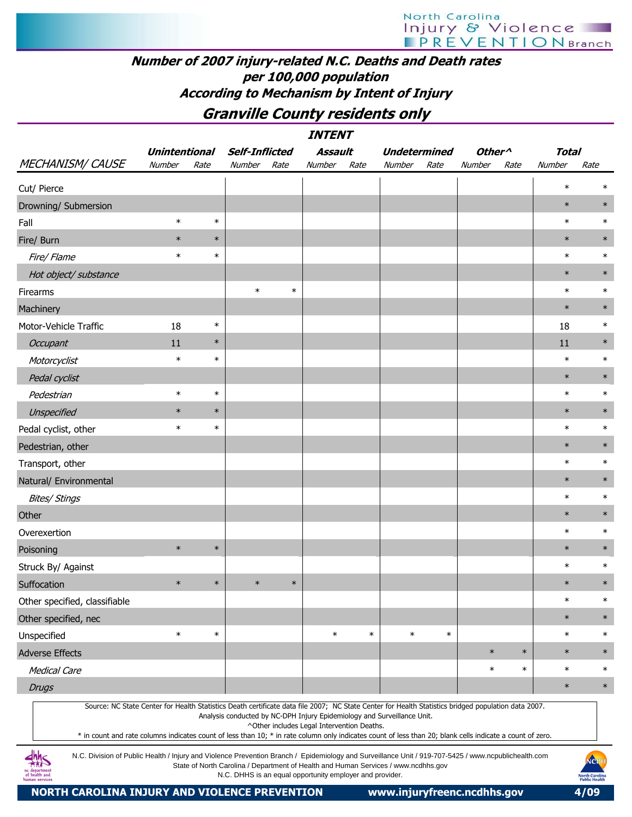## Number of 2007 injury-related N.C. Deaths and Death rates per 100,000 population According to Mechanism by Intent of Injury

## Granville County residents only

|                                                                                                                                                     |                      |        |                       |        | <b>INTENT</b> |        |        |                     |                    |        |              |        |
|-----------------------------------------------------------------------------------------------------------------------------------------------------|----------------------|--------|-----------------------|--------|---------------|--------|--------|---------------------|--------------------|--------|--------------|--------|
|                                                                                                                                                     | <b>Unintentional</b> |        | <b>Self-Inflicted</b> |        | Assault       |        |        | <b>Undetermined</b> | Other <sup>^</sup> |        | <b>Total</b> |        |
| MECHANISM/CAUSE                                                                                                                                     | Number               | Rate   | Number                | Rate   | Number        | Rate   | Number | Rate                | Number             | Rate   | Number       | Rate   |
| Cut/ Pierce                                                                                                                                         |                      |        |                       |        |               |        |        |                     |                    |        | $\ast$       | $\ast$ |
| Drowning/ Submersion                                                                                                                                |                      |        |                       |        |               |        |        |                     |                    |        | $\ast$       | $\ast$ |
| Fall                                                                                                                                                | $\ast$               | $\ast$ |                       |        |               |        |        |                     |                    |        | $\ast$       | $\ast$ |
| Fire/ Burn                                                                                                                                          | $\ast$               | $\ast$ |                       |        |               |        |        |                     |                    |        | $\ast$       | $\ast$ |
| Fire/ Flame                                                                                                                                         | $\ast$               | $\ast$ |                       |        |               |        |        |                     |                    |        | $\ast$       | $\ast$ |
| Hot object/ substance                                                                                                                               |                      |        |                       |        |               |        |        |                     |                    |        | $\ast$       | $\ast$ |
| Firearms                                                                                                                                            |                      |        | $\ast$                | $\ast$ |               |        |        |                     |                    |        | $\ast$       | $\ast$ |
| Machinery                                                                                                                                           |                      |        |                       |        |               |        |        |                     |                    |        | $\ast$       | $\ast$ |
| Motor-Vehicle Traffic                                                                                                                               | 18                   | $\ast$ |                       |        |               |        |        |                     |                    |        | 18           | $\ast$ |
| Occupant                                                                                                                                            | 11                   | $\ast$ |                       |        |               |        |        |                     |                    |        | 11           | $\ast$ |
| Motorcyclist                                                                                                                                        | $\ast$               | $\ast$ |                       |        |               |        |        |                     |                    |        | $\ast$       | $\ast$ |
| Pedal cyclist                                                                                                                                       |                      |        |                       |        |               |        |        |                     |                    |        | $\ast$       | $\ast$ |
| Pedestrian                                                                                                                                          | $\ast$               | $\ast$ |                       |        |               |        |        |                     |                    |        | $\ast$       | $\ast$ |
| Unspecified                                                                                                                                         | $\ast$               | $\ast$ |                       |        |               |        |        |                     |                    |        | $\ast$       | $\ast$ |
| Pedal cyclist, other                                                                                                                                | $\ast$               | $\ast$ |                       |        |               |        |        |                     |                    |        | $\ast$       | $\ast$ |
| Pedestrian, other                                                                                                                                   |                      |        |                       |        |               |        |        |                     |                    |        | $\ast$       | $\ast$ |
| Transport, other                                                                                                                                    |                      |        |                       |        |               |        |        |                     |                    |        | $\ast$       | $\ast$ |
| Natural/ Environmental                                                                                                                              |                      |        |                       |        |               |        |        |                     |                    |        | $\ast$       | $\ast$ |
| <b>Bites/ Stings</b>                                                                                                                                |                      |        |                       |        |               |        |        |                     |                    |        | $\ast$       | $\ast$ |
| Other                                                                                                                                               |                      |        |                       |        |               |        |        |                     |                    |        | $\ast$       | $\ast$ |
| Overexertion                                                                                                                                        |                      |        |                       |        |               |        |        |                     |                    |        | $\ast$       | $\ast$ |
| Poisoning                                                                                                                                           | $\ast$               | $\ast$ |                       |        |               |        |        |                     |                    |        | $\ast$       | $\ast$ |
| Struck By/ Against                                                                                                                                  |                      |        |                       |        |               |        |        |                     |                    |        | $\ast$       | $\ast$ |
| Suffocation                                                                                                                                         | $\ast$               | $\ast$ | $\ast$                | $\ast$ |               |        |        |                     |                    |        | $\ast$       | $\ast$ |
| Other specified, classifiable                                                                                                                       |                      |        |                       |        |               |        |        |                     |                    |        | $\ast$       | $\ast$ |
| Other specified, nec                                                                                                                                |                      |        |                       |        |               |        |        |                     |                    |        | $\ast$       | $\ast$ |
| Unspecified                                                                                                                                         | $\ast$               | $\ast$ |                       |        | $\ast$        | $\ast$ | $\ast$ | $\ast$              |                    |        | $\ast$       | $\ast$ |
| <b>Adverse Effects</b>                                                                                                                              |                      |        |                       |        |               |        |        |                     | $\ast$             | $\ast$ | $\ast$       | $\ast$ |
| <b>Medical Care</b>                                                                                                                                 |                      |        |                       |        |               |        |        |                     | $\ast$             | $\ast$ | $\ast$       | $\ast$ |
| <b>Drugs</b>                                                                                                                                        |                      |        |                       |        |               |        |        |                     |                    |        | $\ast$       | $\ast$ |
| Source: NC State Center for Health Statistics Death certificate data file 2007; NC State Center for Health Statistics bridged population data 2007. |                      |        |                       |        |               |        |        |                     |                    |        |              |        |

Analysis conducted by NC-DPH Injury Epidemiology and Surveillance Unit.

^Other includes Legal Intervention Deaths.

\* in count and rate columns indicates count of less than 10; \* in rate column only indicates count of less than 20; blank cells indicate a count of zero.

N.C. Division of Public Health / Injury and Violence Prevention Branch / Epidemiology and Surveillance Unit / 919-707-5425 / www.ncpublichealth.com State of North Carolina / Department of Health and Human Services / www.ncdhhs.gov N.C. DHHS is an equal opportunity employer and provider.

 $\frac{dh}{dh}$ nc departmen<br>of health and

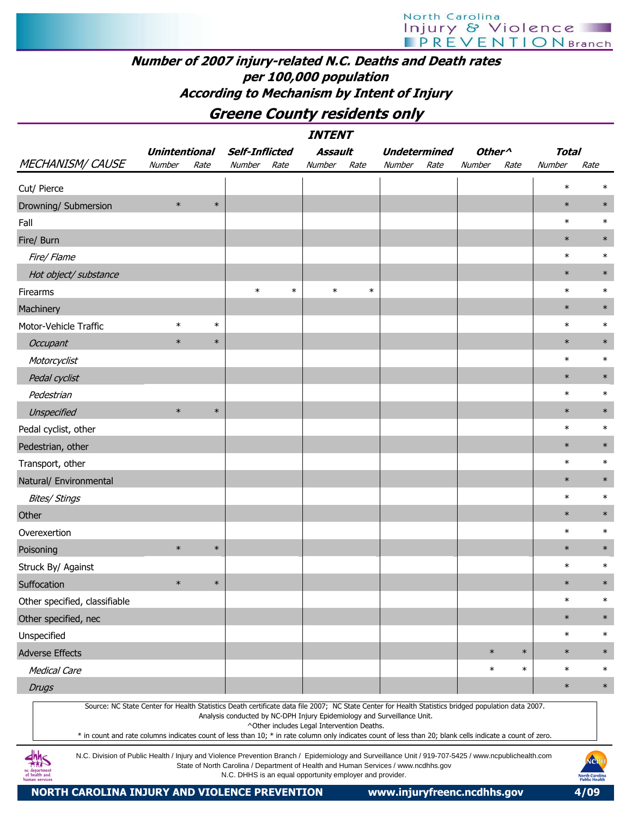## Number of 2007 injury-related N.C. Deaths and Death rates per 100,000 population According to Mechanism by Intent of Injury

Greene County residents only

|                                                                                                                                                                                                                                                                                                                  |                      |        |                       |        | <i><b>INTENT</b></i>                                                                                                                           |        |                     |      |                    |        |              |                                              |
|------------------------------------------------------------------------------------------------------------------------------------------------------------------------------------------------------------------------------------------------------------------------------------------------------------------|----------------------|--------|-----------------------|--------|------------------------------------------------------------------------------------------------------------------------------------------------|--------|---------------------|------|--------------------|--------|--------------|----------------------------------------------|
|                                                                                                                                                                                                                                                                                                                  | <b>Unintentional</b> |        | <b>Self-Inflicted</b> |        | Assault                                                                                                                                        |        | <b>Undetermined</b> |      | Other <sup>^</sup> |        | <b>Total</b> |                                              |
| <b>MECHANISM/ CAUSE</b>                                                                                                                                                                                                                                                                                          | Number               | Rate   | Number                | Rate   | Number                                                                                                                                         | Rate   | Number              | Rate | Number             | Rate   | Number       | Rate                                         |
| Cut/ Pierce                                                                                                                                                                                                                                                                                                      |                      |        |                       |        |                                                                                                                                                |        |                     |      |                    |        | $\ast$       | $\ast$                                       |
| Drowning/ Submersion                                                                                                                                                                                                                                                                                             | $\ast$               | $\ast$ |                       |        |                                                                                                                                                |        |                     |      |                    |        | $\ast$       | $\ast$                                       |
| Fall                                                                                                                                                                                                                                                                                                             |                      |        |                       |        |                                                                                                                                                |        |                     |      |                    |        | $\ast$       | $\ast$                                       |
| Fire/ Burn                                                                                                                                                                                                                                                                                                       |                      |        |                       |        |                                                                                                                                                |        |                     |      |                    |        | $\ast$       | $\ast$                                       |
| Fire/ Flame                                                                                                                                                                                                                                                                                                      |                      |        |                       |        |                                                                                                                                                |        |                     |      |                    |        | $\ast$       | $\ast$                                       |
| Hot object/ substance                                                                                                                                                                                                                                                                                            |                      |        |                       |        |                                                                                                                                                |        |                     |      |                    |        | $\ast$       | $\ast$                                       |
| Firearms                                                                                                                                                                                                                                                                                                         |                      |        | $\ast$                | $\ast$ | $\ast$                                                                                                                                         | $\ast$ |                     |      |                    |        | $\ast$       | $\ast$                                       |
| Machinery                                                                                                                                                                                                                                                                                                        |                      |        |                       |        |                                                                                                                                                |        |                     |      |                    |        | $\ast$       | $\ast$                                       |
| Motor-Vehicle Traffic                                                                                                                                                                                                                                                                                            | $\ast$               | $\ast$ |                       |        |                                                                                                                                                |        |                     |      |                    |        | $\ast$       | $\ast$                                       |
| Occupant                                                                                                                                                                                                                                                                                                         | $\ast$               | $\ast$ |                       |        |                                                                                                                                                |        |                     |      |                    |        | $\ast$       | $\ast$                                       |
| Motorcyclist                                                                                                                                                                                                                                                                                                     |                      |        |                       |        |                                                                                                                                                |        |                     |      |                    |        | $\ast$       | $\ast$                                       |
| Pedal cyclist                                                                                                                                                                                                                                                                                                    |                      |        |                       |        |                                                                                                                                                |        |                     |      |                    |        | $\ast$       | $\ast$                                       |
| Pedestrian                                                                                                                                                                                                                                                                                                       |                      |        |                       |        |                                                                                                                                                |        |                     |      |                    |        | $\ast$       | $\ast$                                       |
| Unspecified                                                                                                                                                                                                                                                                                                      | $\ast$               | $\ast$ |                       |        |                                                                                                                                                |        |                     |      |                    |        | $\ast$       | $\ast$                                       |
| Pedal cyclist, other                                                                                                                                                                                                                                                                                             |                      |        |                       |        |                                                                                                                                                |        |                     |      |                    |        | $\ast$       | $\ast$                                       |
| Pedestrian, other                                                                                                                                                                                                                                                                                                |                      |        |                       |        |                                                                                                                                                |        |                     |      |                    |        | $\ast$       | $\ast$                                       |
| Transport, other                                                                                                                                                                                                                                                                                                 |                      |        |                       |        |                                                                                                                                                |        |                     |      |                    |        | $\ast$       | $\ast$                                       |
| Natural/ Environmental                                                                                                                                                                                                                                                                                           |                      |        |                       |        |                                                                                                                                                |        |                     |      |                    |        | $\ast$       | $\ast$                                       |
| <b>Bites/ Stings</b>                                                                                                                                                                                                                                                                                             |                      |        |                       |        |                                                                                                                                                |        |                     |      |                    |        | $\ast$       | $\ast$                                       |
| Other                                                                                                                                                                                                                                                                                                            |                      |        |                       |        |                                                                                                                                                |        |                     |      |                    |        | $\ast$       | $\ast$                                       |
| Overexertion                                                                                                                                                                                                                                                                                                     |                      |        |                       |        |                                                                                                                                                |        |                     |      |                    |        | $\ast$       | $\ast$                                       |
| Poisoning                                                                                                                                                                                                                                                                                                        | $\ast$               | $\ast$ |                       |        |                                                                                                                                                |        |                     |      |                    |        | $\ast$       | $\ast$                                       |
| Struck By/ Against                                                                                                                                                                                                                                                                                               |                      |        |                       |        |                                                                                                                                                |        |                     |      |                    |        | $\ast$       | $\ast$                                       |
| Suffocation                                                                                                                                                                                                                                                                                                      | $\ast$               | $\ast$ |                       |        |                                                                                                                                                |        |                     |      |                    |        | $\ast$       | $\ast$                                       |
| Other specified, classifiable                                                                                                                                                                                                                                                                                    |                      |        |                       |        |                                                                                                                                                |        |                     |      |                    |        | $\ast$       | $\ast$                                       |
| Other specified, nec                                                                                                                                                                                                                                                                                             |                      |        |                       |        |                                                                                                                                                |        |                     |      |                    |        | $\ast$       | $\ast$                                       |
| Unspecified                                                                                                                                                                                                                                                                                                      |                      |        |                       |        |                                                                                                                                                |        |                     |      |                    |        | $\ast$       | $\ast$                                       |
| <b>Adverse Effects</b>                                                                                                                                                                                                                                                                                           |                      |        |                       |        |                                                                                                                                                |        |                     |      | $\ast$             | $\ast$ | $\ast$       | $\ast$                                       |
| <b>Medical Care</b>                                                                                                                                                                                                                                                                                              |                      |        |                       |        |                                                                                                                                                |        |                     |      | $\ast$             | $\ast$ | $\ast$       | $\ast$                                       |
| <b>Drugs</b>                                                                                                                                                                                                                                                                                                     |                      |        |                       |        |                                                                                                                                                |        |                     |      |                    |        | $\ast$       | $\ast$                                       |
| Source: NC State Center for Health Statistics Death certificate data file 2007; NC State Center for Health Statistics bridged population data 2007.<br>* in count and rate columns indicates count of less than 10; * in rate column only indicates count of less than 20; blank cells indicate a count of zero. |                      |        |                       |        | Analysis conducted by NC-DPH Injury Epidemiology and Surveillance Unit.<br>^Other includes Legal Intervention Deaths.                          |        |                     |      |                    |        |              |                                              |
| N.C. Division of Public Health / Injury and Violence Prevention Branch / Epidemiology and Surveillance Unit / 919-707-5425 / www.ncpublichealth.com<br>of health and<br>human services                                                                                                                           |                      |        |                       |        | State of North Carolina / Department of Health and Human Services / www.ncdhhs.gov<br>N.C. DHHS is an equal opportunity employer and provider. |        |                     |      |                    |        |              | NCP<br><b>North Carolin</b><br>Public Health |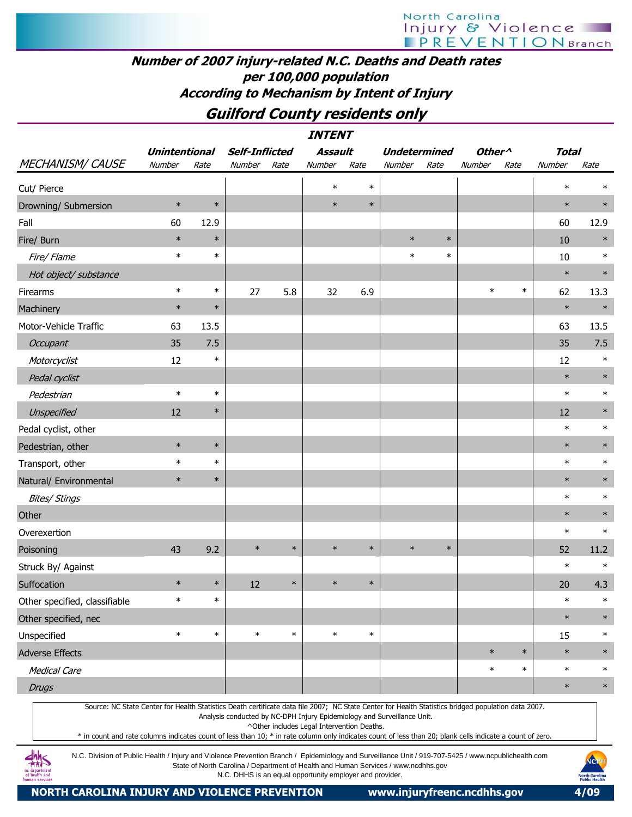## Number of 2007 injury-related N.C. Deaths and Death rates per 100,000 population According to Mechanism by Intent of Injury

## Guilford County residents only

|                                                                                                                                                     |                      |        |                       |        | <b>INTENT</b>  |        |                     |        |                    |        |              |        |
|-----------------------------------------------------------------------------------------------------------------------------------------------------|----------------------|--------|-----------------------|--------|----------------|--------|---------------------|--------|--------------------|--------|--------------|--------|
|                                                                                                                                                     | <b>Unintentional</b> |        | <b>Self-Inflicted</b> |        | <b>Assault</b> |        | <b>Undetermined</b> |        | Other <sup>^</sup> |        | <b>Total</b> |        |
| <b>MECHANISM/ CAUSE</b>                                                                                                                             | Number               | Rate   | Number                | Rate   | Number         | Rate   | Number              | Rate   | Number             | Rate   | Number       | Rate   |
| Cut/ Pierce                                                                                                                                         |                      |        |                       |        | $\ast$         | $\ast$ |                     |        |                    |        | $\ast$       | $\ast$ |
| Drowning/ Submersion                                                                                                                                | $\ast$               | $\ast$ |                       |        | $\ast$         | $\ast$ |                     |        |                    |        | $\ast$       | $\ast$ |
| Fall                                                                                                                                                | 60                   | 12.9   |                       |        |                |        |                     |        |                    |        | 60           | 12.9   |
| Fire/ Burn                                                                                                                                          | $\ast$               | $\ast$ |                       |        |                |        | $\ast$              | $\ast$ |                    |        | 10           | $\ast$ |
| Fire/ Flame                                                                                                                                         | $\ast$               | $\ast$ |                       |        |                |        | $\ast$              | $\ast$ |                    |        | 10           | $\ast$ |
| Hot object/ substance                                                                                                                               |                      |        |                       |        |                |        |                     |        |                    |        | $\ast$       | $\ast$ |
| Firearms                                                                                                                                            | $\ast$               | $\ast$ | 27                    | 5.8    | 32             | 6.9    |                     |        | $\ast$             | $\ast$ | 62           | 13.3   |
| Machinery                                                                                                                                           | $\ast$               | $\ast$ |                       |        |                |        |                     |        |                    |        | $\ast$       | $\ast$ |
| Motor-Vehicle Traffic                                                                                                                               | 63                   | 13.5   |                       |        |                |        |                     |        |                    |        | 63           | 13.5   |
| Occupant                                                                                                                                            | 35                   | 7.5    |                       |        |                |        |                     |        |                    |        | 35           | 7.5    |
| Motorcyclist                                                                                                                                        | 12                   | $\ast$ |                       |        |                |        |                     |        |                    |        | 12           | $\ast$ |
| Pedal cyclist                                                                                                                                       |                      |        |                       |        |                |        |                     |        |                    |        | $\ast$       | $\ast$ |
| Pedestrian                                                                                                                                          | $\ast$               | $\ast$ |                       |        |                |        |                     |        |                    |        | $\ast$       | $\ast$ |
| Unspecified                                                                                                                                         | 12                   | $\ast$ |                       |        |                |        |                     |        |                    |        | 12           | $\ast$ |
| Pedal cyclist, other                                                                                                                                |                      |        |                       |        |                |        |                     |        |                    |        | $\ast$       | $\ast$ |
| Pedestrian, other                                                                                                                                   | $\ast$               | $\ast$ |                       |        |                |        |                     |        |                    |        | $\ast$       | $\ast$ |
| Transport, other                                                                                                                                    | $\ast$               | $\ast$ |                       |        |                |        |                     |        |                    |        | $\ast$       | $\ast$ |
| Natural/ Environmental                                                                                                                              | $\ast$               | $\ast$ |                       |        |                |        |                     |        |                    |        | $\ast$       | $\ast$ |
| <b>Bites/ Stings</b>                                                                                                                                |                      |        |                       |        |                |        |                     |        |                    |        | $\ast$       | $\ast$ |
| Other                                                                                                                                               |                      |        |                       |        |                |        |                     |        |                    |        | $\ast$       | $\ast$ |
| Overexertion                                                                                                                                        |                      |        |                       |        |                |        |                     |        |                    |        | $\ast$       | $\ast$ |
| Poisoning                                                                                                                                           | 43                   | 9.2    | $\ast$                | $\ast$ | $\ast$         | $\ast$ | $\ast$              | $\ast$ |                    |        | 52           | 11.2   |
| Struck By/ Against                                                                                                                                  |                      |        |                       |        |                |        |                     |        |                    |        | $\ast$       | $\ast$ |
| Suffocation                                                                                                                                         | $\ast$               | $\ast$ | 12                    | $\ast$ | $\ast$         | $\ast$ |                     |        |                    |        | 20           | 4.3    |
| Other specified, classifiable                                                                                                                       | $\ast$               | $\ast$ |                       |        |                |        |                     |        |                    |        | $\ast$       | $\ast$ |
| Other specified, nec                                                                                                                                |                      |        |                       |        |                |        |                     |        |                    |        | $\ast$       | $\ast$ |
| Unspecified                                                                                                                                         | $\ast$               | $\ast$ | $\ast$                | $\ast$ | $\ast$         | $\ast$ |                     |        |                    |        | 15           | $\ast$ |
| <b>Adverse Effects</b>                                                                                                                              |                      |        |                       |        |                |        |                     |        | $\ast$             | $\ast$ | $\ast$       | $\ast$ |
| <b>Medical Care</b>                                                                                                                                 |                      |        |                       |        |                |        |                     |        | $\ast$             | $\ast$ | $\ast$       | $\ast$ |
| <b>Drugs</b>                                                                                                                                        |                      |        |                       |        |                |        |                     |        |                    |        | $\ast$       | $\ast$ |
| Source: NC State Center for Health Statistics Death certificate data file 2007; NC State Center for Health Statistics bridged population data 2007. |                      |        |                       |        |                |        |                     |        |                    |        |              |        |

Analysis conducted by NC-DPH Injury Epidemiology and Surveillance Unit.

^Other includes Legal Intervention Deaths.

\* in count and rate columns indicates count of less than 10; \* in rate column only indicates count of less than 20; blank cells indicate a count of zero.

N.C. Division of Public Health / Injury and Violence Prevention Branch / Epidemiology and Surveillance Unit / 919-707-5425 / www.ncpublichealth.com State of North Carolina / Department of Health and Human Services / www.ncdhhs.gov N.C. DHHS is an equal opportunity employer and provider.

 $\frac{dhh}{dhS}$ 1c department<br>of health and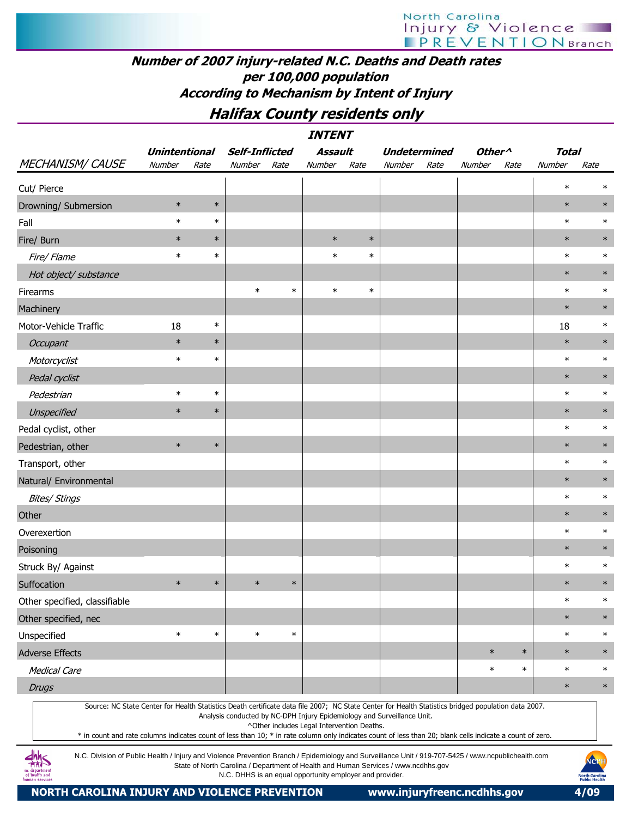## Number of 2007 injury-related N.C. Deaths and Death rates per 100,000 population According to Mechanism by Intent of Injury

## Halifax County residents only

|                               |                      |        |                       |        | <b>INTENT</b>                              |        |                                                                                                                                                                                                                                                                                                                                                                                             |                    |        |              |        |
|-------------------------------|----------------------|--------|-----------------------|--------|--------------------------------------------|--------|---------------------------------------------------------------------------------------------------------------------------------------------------------------------------------------------------------------------------------------------------------------------------------------------------------------------------------------------------------------------------------------------|--------------------|--------|--------------|--------|
|                               | <b>Unintentional</b> |        | <b>Self-Inflicted</b> |        | <b>Assault</b>                             |        | <b>Undetermined</b>                                                                                                                                                                                                                                                                                                                                                                         | Other <sup>^</sup> |        | <b>Total</b> |        |
| <b>MECHANISM/ CAUSE</b>       | Number               | Rate   | Number                | Rate   | Number                                     | Rate   | Number<br>Rate                                                                                                                                                                                                                                                                                                                                                                              | Number             | Rate   | Number       | Rate   |
| Cut/ Pierce                   |                      |        |                       |        |                                            |        |                                                                                                                                                                                                                                                                                                                                                                                             |                    |        | $\ast$       | $\ast$ |
| Drowning/ Submersion          | $\ast$               | $\ast$ |                       |        |                                            |        |                                                                                                                                                                                                                                                                                                                                                                                             |                    |        | $\ast$       | $\ast$ |
| Fall                          | $\ast$               | $\ast$ |                       |        |                                            |        |                                                                                                                                                                                                                                                                                                                                                                                             |                    |        | $\ast$       | $\ast$ |
| Fire/ Burn                    | $\ast$               | $\ast$ |                       |        | $\ast$                                     | $\ast$ |                                                                                                                                                                                                                                                                                                                                                                                             |                    |        | $\ast$       | $\ast$ |
| Fire/ Flame                   | $\ast$               | $\ast$ |                       |        | $\ast$                                     | $\ast$ |                                                                                                                                                                                                                                                                                                                                                                                             |                    |        | $\ast$       | $\ast$ |
| Hot object/ substance         |                      |        |                       |        |                                            |        |                                                                                                                                                                                                                                                                                                                                                                                             |                    |        | $\ast$       | $\ast$ |
| Firearms                      |                      |        | $\ast$                | $\ast$ | $\ast$                                     | $\ast$ |                                                                                                                                                                                                                                                                                                                                                                                             |                    |        | $\ast$       | $\ast$ |
| Machinery                     |                      |        |                       |        |                                            |        |                                                                                                                                                                                                                                                                                                                                                                                             |                    |        | $\ast$       | $\ast$ |
| Motor-Vehicle Traffic         | 18                   | $\ast$ |                       |        |                                            |        |                                                                                                                                                                                                                                                                                                                                                                                             |                    |        | 18           | $\ast$ |
| Occupant                      | $\ast$               | $\ast$ |                       |        |                                            |        |                                                                                                                                                                                                                                                                                                                                                                                             |                    |        | $\ast$       | $\ast$ |
| Motorcyclist                  | $\ast$               | $\ast$ |                       |        |                                            |        |                                                                                                                                                                                                                                                                                                                                                                                             |                    |        | $\ast$       | $\ast$ |
| Pedal cyclist                 |                      |        |                       |        |                                            |        |                                                                                                                                                                                                                                                                                                                                                                                             |                    |        | $\ast$       | $\ast$ |
| Pedestrian                    | $\ast$               | $\ast$ |                       |        |                                            |        |                                                                                                                                                                                                                                                                                                                                                                                             |                    |        | $\ast$       | $\ast$ |
| Unspecified                   | $\ast$               | $\ast$ |                       |        |                                            |        |                                                                                                                                                                                                                                                                                                                                                                                             |                    |        | $\ast$       | $\ast$ |
| Pedal cyclist, other          |                      |        |                       |        |                                            |        |                                                                                                                                                                                                                                                                                                                                                                                             |                    |        | $\ast$       | $\ast$ |
| Pedestrian, other             | $\ast$               | $\ast$ |                       |        |                                            |        |                                                                                                                                                                                                                                                                                                                                                                                             |                    |        | $\ast$       | $\ast$ |
| Transport, other              |                      |        |                       |        |                                            |        |                                                                                                                                                                                                                                                                                                                                                                                             |                    |        | $\ast$       | $\ast$ |
| Natural/ Environmental        |                      |        |                       |        |                                            |        |                                                                                                                                                                                                                                                                                                                                                                                             |                    |        | $\ast$       | $\ast$ |
| <b>Bites/ Stings</b>          |                      |        |                       |        |                                            |        |                                                                                                                                                                                                                                                                                                                                                                                             |                    |        | $\ast$       | $\ast$ |
| Other                         |                      |        |                       |        |                                            |        |                                                                                                                                                                                                                                                                                                                                                                                             |                    |        | $\ast$       | $\ast$ |
| Overexertion                  |                      |        |                       |        |                                            |        |                                                                                                                                                                                                                                                                                                                                                                                             |                    |        | $\ast$       | $\ast$ |
| Poisoning                     |                      |        |                       |        |                                            |        |                                                                                                                                                                                                                                                                                                                                                                                             |                    |        | $\ast$       | $\ast$ |
| Struck By/ Against            |                      |        |                       |        |                                            |        |                                                                                                                                                                                                                                                                                                                                                                                             |                    |        | $\ast$       | $\ast$ |
| Suffocation                   | $\ast$               | $\ast$ | $\ast$                | $\ast$ |                                            |        |                                                                                                                                                                                                                                                                                                                                                                                             |                    |        | $\ast$       | $\ast$ |
| Other specified, classifiable |                      |        |                       |        |                                            |        |                                                                                                                                                                                                                                                                                                                                                                                             |                    |        | $\ast$       | $\ast$ |
| Other specified, nec          |                      |        |                       |        |                                            |        |                                                                                                                                                                                                                                                                                                                                                                                             |                    |        | $\ast$       | $\ast$ |
| Unspecified                   | $\ast$               | $\ast$ | $\ast$                | $\ast$ |                                            |        |                                                                                                                                                                                                                                                                                                                                                                                             |                    |        | $\ast$       | $\ast$ |
| <b>Adverse Effects</b>        |                      |        |                       |        |                                            |        |                                                                                                                                                                                                                                                                                                                                                                                             | $\ast$             | $\ast$ | $\ast$       | $\ast$ |
| <b>Medical Care</b>           |                      |        |                       |        |                                            |        |                                                                                                                                                                                                                                                                                                                                                                                             | $\ast$             | $\ast$ | $\ast$       | $\ast$ |
| <b>Drugs</b>                  |                      |        |                       |        |                                            |        |                                                                                                                                                                                                                                                                                                                                                                                             |                    |        | $\ast$       | $\ast$ |
|                               |                      |        |                       |        | ^Other includes Legal Intervention Deaths. |        | Source: NC State Center for Health Statistics Death certificate data file 2007; NC State Center for Health Statistics bridged population data 2007.<br>Analysis conducted by NC-DPH Injury Epidemiology and Surveillance Unit.<br>* in count and rate columns indicates count of less than 10; * in rate column only indicates count of less than 20; blank cells indicate a count of zero. |                    |        |              |        |

N.C. Division of Public Health / Injury and Violence Prevention Branch / Epidemiology and Surveillance Unit / 919-707-5425 / www.ncpublichealth.com State of North Carolina / Department of Health and Human Services / www.ncdhhs.gov N.C. DHHS is an equal opportunity employer and provider.

 $\frac{dhh}{dhS}$ 1c departmen<br>of health and

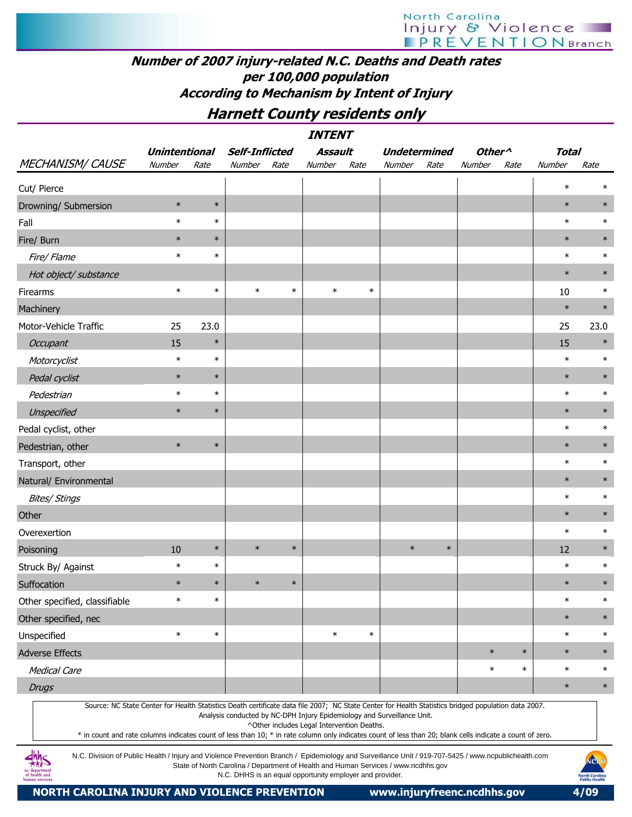## Number of 2007 injury-related N.C. Deaths and Death rates per 100,000 population According to Mechanism by Intent of Injury

## Harnett County residents only

| <b>MECHANISM/ CAUSE</b>                                                                                                                             | <b>Unintentional</b><br>Number | Rate   | <b>Self-Inflicted</b><br>Number | Rate   | Assault<br>Number | Rate   | <b>Undetermined</b><br>Number | Rate   | Other <sup>^</sup><br>Number | Rate   | <b>Total</b><br>Number | Rate   |
|-----------------------------------------------------------------------------------------------------------------------------------------------------|--------------------------------|--------|---------------------------------|--------|-------------------|--------|-------------------------------|--------|------------------------------|--------|------------------------|--------|
| Cut/ Pierce                                                                                                                                         |                                |        |                                 |        |                   |        |                               |        |                              |        | $\ast$                 | $\ast$ |
| Drowning/ Submersion                                                                                                                                | $\ast$                         | $\ast$ |                                 |        |                   |        |                               |        |                              |        | $\ast$                 | $\ast$ |
| Fall                                                                                                                                                | $\ast$                         | $\ast$ |                                 |        |                   |        |                               |        |                              |        | $\ast$                 | $\ast$ |
| Fire/ Burn                                                                                                                                          | $\ast$                         | $\ast$ |                                 |        |                   |        |                               |        |                              |        | $\ast$                 | $\ast$ |
| Fire/Flame                                                                                                                                          | $\ast$                         | $\ast$ |                                 |        |                   |        |                               |        |                              |        | $\ast$                 | $\ast$ |
| Hot object/ substance                                                                                                                               |                                |        |                                 |        |                   |        |                               |        |                              |        | $\ast$                 | $\ast$ |
| Firearms                                                                                                                                            | $\ast$                         | $\ast$ | $\ast$                          | $\ast$ | $\ast$            | $\ast$ |                               |        |                              |        | 10                     | $\ast$ |
| Machinery                                                                                                                                           |                                |        |                                 |        |                   |        |                               |        |                              |        | $\ast$                 | $\ast$ |
| Motor-Vehicle Traffic                                                                                                                               | 25                             | 23.0   |                                 |        |                   |        |                               |        |                              |        | 25                     | 23.0   |
| Occupant                                                                                                                                            | 15                             | $\ast$ |                                 |        |                   |        |                               |        |                              |        | 15                     | $\ast$ |
| Motorcyclist                                                                                                                                        | $\ast$                         | $\ast$ |                                 |        |                   |        |                               |        |                              |        | $\ast$                 | $\ast$ |
| Pedal cyclist                                                                                                                                       | $\ast$                         | $\ast$ |                                 |        |                   |        |                               |        |                              |        | $\ast$                 | $\ast$ |
| Pedestrian                                                                                                                                          | $\ast$                         | $\ast$ |                                 |        |                   |        |                               |        |                              |        | $\ast$                 | $\ast$ |
| Unspecified                                                                                                                                         | $\ast$                         | $\ast$ |                                 |        |                   |        |                               |        |                              |        | $\ast$                 | $\ast$ |
| Pedal cyclist, other                                                                                                                                |                                |        |                                 |        |                   |        |                               |        |                              |        | $\ast$                 | $\ast$ |
| Pedestrian, other                                                                                                                                   | $\ast$                         | $\ast$ |                                 |        |                   |        |                               |        |                              |        | $\ast$                 | $\ast$ |
| Transport, other                                                                                                                                    |                                |        |                                 |        |                   |        |                               |        |                              |        | $\ast$                 | $\ast$ |
| Natural/ Environmental                                                                                                                              |                                |        |                                 |        |                   |        |                               |        |                              |        | $\ast$                 | $\ast$ |
| <b>Bites/ Stings</b>                                                                                                                                |                                |        |                                 |        |                   |        |                               |        |                              |        | $\ast$                 | $\ast$ |
| Other                                                                                                                                               |                                |        |                                 |        |                   |        |                               |        |                              |        | $\ast$                 | $\ast$ |
| Overexertion                                                                                                                                        |                                |        |                                 |        |                   |        |                               |        |                              |        | $\ast$                 | $\ast$ |
| Poisoning                                                                                                                                           | 10                             | $\ast$ | $\ast$                          | $\ast$ |                   |        | $\ast$                        | $\ast$ |                              |        | 12                     | $\ast$ |
| Struck By/ Against                                                                                                                                  | $\ast$                         | $\ast$ |                                 |        |                   |        |                               |        |                              |        | $\ast$                 | $\ast$ |
| Suffocation                                                                                                                                         | $\ast$                         | $\ast$ | $\ast$                          | $\ast$ |                   |        |                               |        |                              |        | $\ast$                 | $\ast$ |
| Other specified, classifiable                                                                                                                       | $\ast$                         | $\ast$ |                                 |        |                   |        |                               |        |                              |        | $\ast$                 | $\ast$ |
| Other specified, nec                                                                                                                                |                                |        |                                 |        |                   |        |                               |        |                              |        | $\ast$                 | $\ast$ |
| Unspecified                                                                                                                                         | $\ast$                         | $\ast$ |                                 |        | $\ast$            | $\ast$ |                               |        |                              |        | $\ast$                 | $\ast$ |
| <b>Adverse Effects</b>                                                                                                                              |                                |        |                                 |        |                   |        |                               |        | $\ast$                       | $\ast$ | $\ast$                 | $\ast$ |
| <b>Medical Care</b>                                                                                                                                 |                                |        |                                 |        |                   |        |                               |        | $\ast$                       | $\ast$ | $\ast$                 | $\ast$ |
| <b>Drugs</b>                                                                                                                                        |                                |        |                                 |        |                   |        |                               |        |                              |        | $\ast$                 | $\ast$ |
| Source: NC State Center for Health Statistics Death certificate data file 2007; NC State Center for Health Statistics bridged population data 2007. |                                |        |                                 |        |                   |        |                               |        |                              |        |                        |        |

Analysis conducted by NC-DPH Injury Epidemiology and Surveillance Unit.

^Other includes Legal Intervention Deaths.

\* in count and rate columns indicates count of less than 10; \* in rate column only indicates count of less than 20; blank cells indicate a count of zero.

N.C. Division of Public Health / Injury and Violence Prevention Branch / Epidemiology and Surveillance Unit / 919-707-5425 / www.ncpublichealth.com State of North Carolina / Department of Health and Human Services / www.ncdhhs.gov N.C. DHHS is an equal opportunity employer and provider.



**dhhs**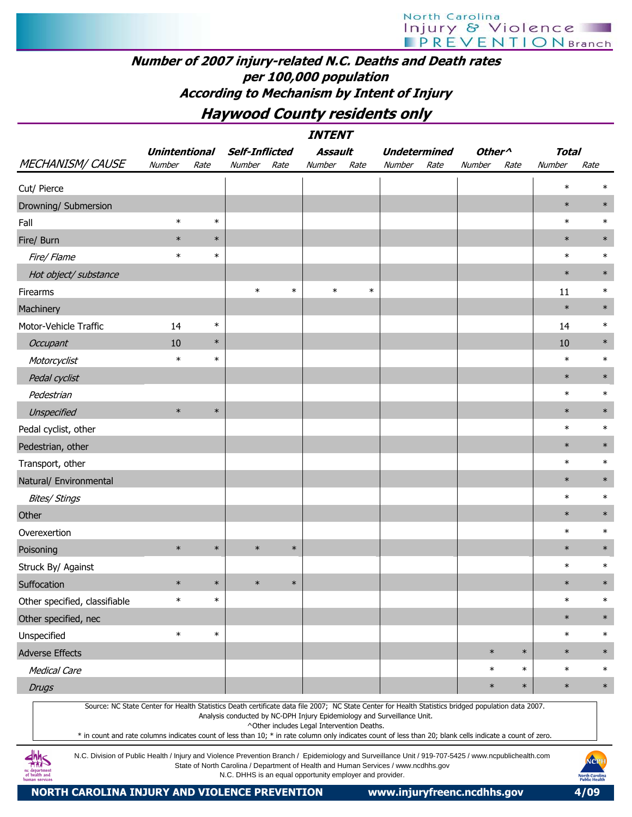## Number of 2007 injury-related N.C. Deaths and Death rates per 100,000 population According to Mechanism by Intent of Injury

## Haywood County residents only

|                               |                      |        |                       |        | <b>INTENT</b> |        |                     |      |                    |        |              |        |
|-------------------------------|----------------------|--------|-----------------------|--------|---------------|--------|---------------------|------|--------------------|--------|--------------|--------|
|                               | <b>Unintentional</b> |        | <b>Self-Inflicted</b> |        | Assault       |        | <b>Undetermined</b> |      | Other <sup>^</sup> |        | <b>Total</b> |        |
| MECHANISM/CAUSE               | Number               | Rate   | Number                | Rate   | Number        | Rate   | Number              | Rate | Number             | Rate   | Number       | Rate   |
| Cut/ Pierce                   |                      |        |                       |        |               |        |                     |      |                    |        | $\ast$       | $\ast$ |
| Drowning/ Submersion          |                      |        |                       |        |               |        |                     |      |                    |        | $\ast$       | $\ast$ |
| Fall                          | $\ast$               | $\ast$ |                       |        |               |        |                     |      |                    |        | $\ast$       | $\ast$ |
| Fire/ Burn                    | $\ast$               | $\ast$ |                       |        |               |        |                     |      |                    |        | $\ast$       | $\ast$ |
| Fire/ Flame                   | $\ast$               | $\ast$ |                       |        |               |        |                     |      |                    |        | $\ast$       | $\ast$ |
| Hot object/ substance         |                      |        |                       |        |               |        |                     |      |                    |        | $\ast$       | $\ast$ |
| Firearms                      |                      |        | $\ast$                | $\ast$ | $\ast$        | $\ast$ |                     |      |                    |        | 11           | $\ast$ |
| Machinery                     |                      |        |                       |        |               |        |                     |      |                    |        | $\ast$       | $\ast$ |
| Motor-Vehicle Traffic         | 14                   | $\ast$ |                       |        |               |        |                     |      |                    |        | 14           | $\ast$ |
| <b>Occupant</b>               | 10                   | $\ast$ |                       |        |               |        |                     |      |                    |        | 10           | $\ast$ |
| Motorcyclist                  | $\ast$               | $\ast$ |                       |        |               |        |                     |      |                    |        | $\ast$       | $\ast$ |
| Pedal cyclist                 |                      |        |                       |        |               |        |                     |      |                    |        | $\ast$       | $\ast$ |
| Pedestrian                    |                      |        |                       |        |               |        |                     |      |                    |        | $\ast$       | $\ast$ |
| Unspecified                   | $\ast$               | $\ast$ |                       |        |               |        |                     |      |                    |        | $\ast$       | $\ast$ |
| Pedal cyclist, other          |                      |        |                       |        |               |        |                     |      |                    |        | $\ast$       | $\ast$ |
| Pedestrian, other             |                      |        |                       |        |               |        |                     |      |                    |        | $\ast$       | $\ast$ |
| Transport, other              |                      |        |                       |        |               |        |                     |      |                    |        | $\ast$       | $\ast$ |
| Natural/ Environmental        |                      |        |                       |        |               |        |                     |      |                    |        | $\ast$       | $\ast$ |
| <b>Bites/ Stings</b>          |                      |        |                       |        |               |        |                     |      |                    |        | $\ast$       | $\ast$ |
| Other                         |                      |        |                       |        |               |        |                     |      |                    |        | $\ast$       | $\ast$ |
| Overexertion                  |                      |        |                       |        |               |        |                     |      |                    |        | $\ast$       | $\ast$ |
| Poisoning                     | $\ast$               | $\ast$ | $\ast$                | $\ast$ |               |        |                     |      |                    |        | $\ast$       | $\ast$ |
| Struck By/ Against            |                      |        |                       |        |               |        |                     |      |                    |        | $\ast$       | $\ast$ |
| Suffocation                   | $\ast$               | $\ast$ | $\ast$                | $\ast$ |               |        |                     |      |                    |        | $\ast$       | $\ast$ |
| Other specified, classifiable | $\ast$               | $\ast$ |                       |        |               |        |                     |      |                    |        | $\ast$       | $\ast$ |
| Other specified, nec          |                      |        |                       |        |               |        |                     |      |                    |        | $\ast$       | $\ast$ |
| Unspecified                   | $\ast$               | $\ast$ |                       |        |               |        |                     |      |                    |        | $\ast$       | $\ast$ |
| Adverse Effects               |                      |        |                       |        |               |        |                     |      | $\ast$             | $\ast$ | $\ast$       | $\ast$ |
| Medical Care                  |                      |        |                       |        |               |        |                     |      | $\ast$             | $\ast$ | $\ast$       | $\ast$ |
| <b>Drugs</b>                  |                      |        |                       |        |               |        |                     |      | $\ast$             | $\ast$ | $\ast$       | $\ast$ |
|                               |                      |        |                       |        |               |        |                     |      |                    |        |              |        |

Source: NC State Center for Health Statistics Death certificate data file 2007; NC State Center for Health Statistics bridged population data 2007. Analysis conducted by NC-DPH Injury Epidemiology and Surveillance Unit.

^Other includes Legal Intervention Deaths.

\* in count and rate columns indicates count of less than 10; \* in rate column only indicates count of less than 20; blank cells indicate a count of zero.

N.C. Division of Public Health / Injury and Violence Prevention Branch / Epidemiology and Surveillance Unit / 919-707-5425 / www.ncpublichealth.com State of North Carolina / Department of Health and Human Services / www.ncdhhs.gov N.C. DHHS is an equal opportunity employer and provider.

AMS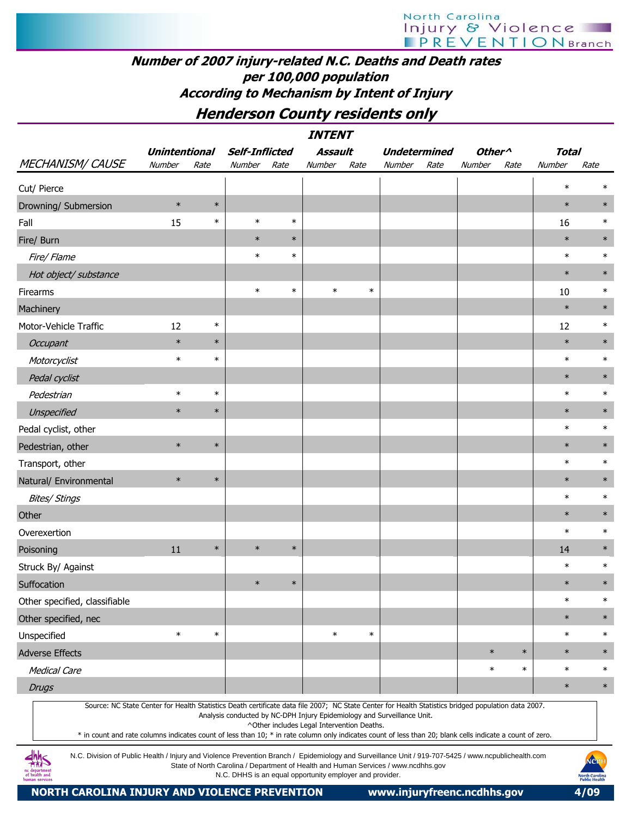## Number of 2007 injury-related N.C. Deaths and Death rates per 100,000 population According to Mechanism by Intent of Injury

Henderson County residents only

|                               | <b>Unintentional</b> |        | Self-Inflicted |        | Assault |        | <b>Undetermined</b> |      | Other <sup>^</sup> |        | <b>Total</b> |        |
|-------------------------------|----------------------|--------|----------------|--------|---------|--------|---------------------|------|--------------------|--------|--------------|--------|
| MECHANISM/CAUSE               | Number               | Rate   | Number         | Rate   | Number  | Rate   | Number              | Rate | Number             | Rate   | Number       | Rate   |
| Cut/ Pierce                   |                      |        |                |        |         |        |                     |      |                    |        | $\ast$       | $\ast$ |
| Drowning/ Submersion          | $\ast$               | $\ast$ |                |        |         |        |                     |      |                    |        | $\ast$       | $\ast$ |
| Fall                          | 15                   | $\ast$ | $\ast$         | $\ast$ |         |        |                     |      |                    |        | 16           | $\ast$ |
| Fire/ Burn                    |                      |        | $\ast$         | $\ast$ |         |        |                     |      |                    |        | $\ast$       | $\ast$ |
| Fire/ Flame                   |                      |        | $\ast$         | $\ast$ |         |        |                     |      |                    |        | $\ast$       | $\ast$ |
| Hot object/ substance         |                      |        |                |        |         |        |                     |      |                    |        | $\ast$       | $\ast$ |
| Firearms                      |                      |        | $\ast$         | $\ast$ | $\ast$  | $\ast$ |                     |      |                    |        | 10           | $\ast$ |
| Machinery                     |                      |        |                |        |         |        |                     |      |                    |        | $\ast$       | $\ast$ |
| Motor-Vehicle Traffic         | 12                   | $\ast$ |                |        |         |        |                     |      |                    |        | 12           | $\ast$ |
| Occupant                      | $\ast$               | $\ast$ |                |        |         |        |                     |      |                    |        | $\ast$       | $\ast$ |
| Motorcyclist                  | $\ast$               | $\ast$ |                |        |         |        |                     |      |                    |        | $\ast$       | $\ast$ |
| Pedal cyclist                 |                      |        |                |        |         |        |                     |      |                    |        | $\ast$       | $\ast$ |
| Pedestrian                    | $\ast$               | $\ast$ |                |        |         |        |                     |      |                    |        | $\ast$       | $\ast$ |
| Unspecified                   | $\ast$               | $\ast$ |                |        |         |        |                     |      |                    |        | $\ast$       | $\ast$ |
| Pedal cyclist, other          |                      |        |                |        |         |        |                     |      |                    |        | $\ast$       | $\ast$ |
| Pedestrian, other             | $\ast$               | $\ast$ |                |        |         |        |                     |      |                    |        | $\ast$       | $\ast$ |
| Transport, other              |                      |        |                |        |         |        |                     |      |                    |        | $\ast$       | $\ast$ |
| Natural/ Environmental        | $\ast$               | $\ast$ |                |        |         |        |                     |      |                    |        | $\ast$       | $\ast$ |
| <b>Bites/ Stings</b>          |                      |        |                |        |         |        |                     |      |                    |        | $\ast$       | $\ast$ |
| Other                         |                      |        |                |        |         |        |                     |      |                    |        | $\ast$       | $\ast$ |
| Overexertion                  |                      |        |                |        |         |        |                     |      |                    |        | $\ast$       | $\ast$ |
| Poisoning                     | 11                   | $\ast$ | $\ast$         | $\ast$ |         |        |                     |      |                    |        | 14           | $\ast$ |
| Struck By/ Against            |                      |        |                |        |         |        |                     |      |                    |        | $\ast$       | $\ast$ |
| Suffocation                   |                      |        | $\ast$         | $\ast$ |         |        |                     |      |                    |        | $\ast$       | $\ast$ |
| Other specified, classifiable |                      |        |                |        |         |        |                     |      |                    |        | $\ast$       | $\ast$ |
| Other specified, nec          |                      |        |                |        |         |        |                     |      |                    |        | $\ast$       | $\ast$ |
| Unspecified                   | $\ast$               | $\ast$ |                |        | $\ast$  | $\ast$ |                     |      |                    |        | $\ast$       | $\ast$ |
| Adverse Effects               |                      |        |                |        |         |        |                     |      | $\ast$             | $\ast$ | $\ast$       | $\ast$ |
| <b>Medical Care</b>           |                      |        |                |        |         |        |                     |      | $\ast$             | $\ast$ | $\ast$       | $\ast$ |
| <b>Drugs</b>                  |                      |        |                |        |         |        |                     |      |                    |        | $\ast$       | $\ast$ |

Source: NC State Center for Health Statistics Death certificate data file 2007; NC State Center for Health Statistics bridged population data 2007. Analysis conducted by NC-DPH Injury Epidemiology and Surveillance Unit.

^Other includes Legal Intervention Deaths.

\* in count and rate columns indicates count of less than 10; \* in rate column only indicates count of less than 20; blank cells indicate a count of zero.

N.C. Division of Public Health / Injury and Violence Prevention Branch / Epidemiology and Surveillance Unit / 919-707-5425 / www.ncpublichealth.com State of North Carolina / Department of Health and Human Services / www.ncdhhs.gov N.C. DHHS is an equal opportunity employer and provider.

 $\frac{dhh}{dhS}$ 1c department<br>of health and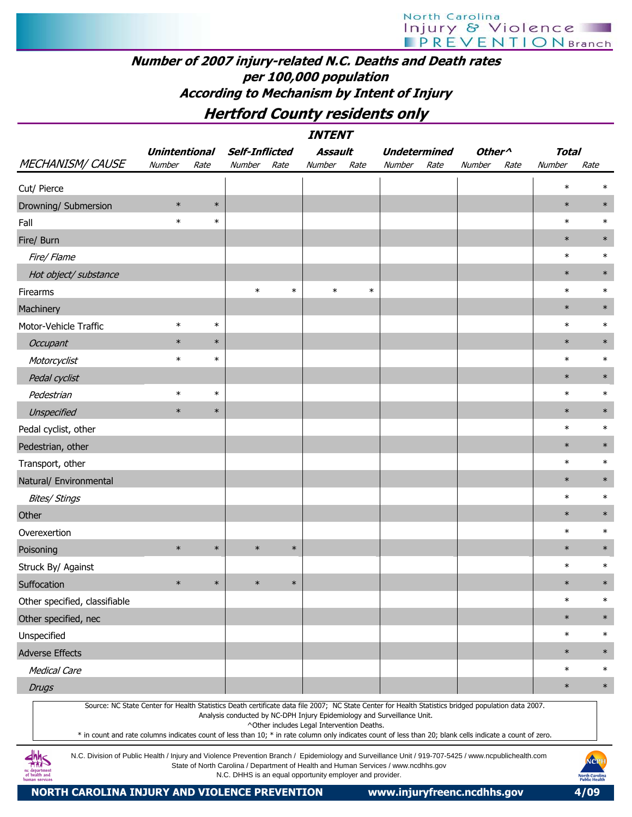## Number of 2007 injury-related N.C. Deaths and Death rates per 100,000 population According to Mechanism by Intent of Injury

Hertford County residents only

| <b>Unintentional</b><br><b>MECHANISM/ CAUSE</b><br>Number<br>Rate<br>Number<br>Cut/ Pierce<br>$\ast$<br>$\ast$<br>Drowning/ Submersion<br>$\ast$<br>$\ast$<br>Fall<br>Fire/ Burn<br>Fire/ Flame<br>Hot object/ substance<br>$\ast$<br>Firearms<br>Machinery<br>$\ast$<br>Motor-Vehicle Traffic<br>$\ast$<br>$\ast$<br>$\ast$<br>Occupant<br>$\ast$<br>$\ast$<br>Motorcyclist<br>Pedal cyclist<br>$\ast$<br>$\ast$<br>Pedestrian<br>$\ast$<br>$\ast$<br>Unspecified<br>Pedal cyclist, other                                                                                                                                                                                             | <b>Self-Inflicted</b><br>Rate | Assault<br>Number | Rate   | <b>Undetermined</b><br>Number<br>Rate | Other <sup>^</sup><br>Number | Rate | <b>Total</b><br>Number<br>$\ast$ | Rate   |
|----------------------------------------------------------------------------------------------------------------------------------------------------------------------------------------------------------------------------------------------------------------------------------------------------------------------------------------------------------------------------------------------------------------------------------------------------------------------------------------------------------------------------------------------------------------------------------------------------------------------------------------------------------------------------------------|-------------------------------|-------------------|--------|---------------------------------------|------------------------------|------|----------------------------------|--------|
|                                                                                                                                                                                                                                                                                                                                                                                                                                                                                                                                                                                                                                                                                        |                               |                   |        |                                       |                              |      |                                  |        |
|                                                                                                                                                                                                                                                                                                                                                                                                                                                                                                                                                                                                                                                                                        |                               |                   |        |                                       |                              |      |                                  |        |
|                                                                                                                                                                                                                                                                                                                                                                                                                                                                                                                                                                                                                                                                                        |                               |                   |        |                                       |                              |      |                                  | $\ast$ |
|                                                                                                                                                                                                                                                                                                                                                                                                                                                                                                                                                                                                                                                                                        |                               |                   |        |                                       |                              |      | $\ast$                           | $\ast$ |
|                                                                                                                                                                                                                                                                                                                                                                                                                                                                                                                                                                                                                                                                                        |                               |                   |        |                                       |                              |      | $\ast$                           | $\ast$ |
|                                                                                                                                                                                                                                                                                                                                                                                                                                                                                                                                                                                                                                                                                        |                               |                   |        |                                       |                              |      | $\ast$                           | $\ast$ |
|                                                                                                                                                                                                                                                                                                                                                                                                                                                                                                                                                                                                                                                                                        |                               |                   |        |                                       |                              |      | $\ast$                           | $\ast$ |
|                                                                                                                                                                                                                                                                                                                                                                                                                                                                                                                                                                                                                                                                                        |                               |                   |        |                                       |                              |      | $\ast$                           | $\ast$ |
|                                                                                                                                                                                                                                                                                                                                                                                                                                                                                                                                                                                                                                                                                        | $\ast$                        | $\ast$            | $\ast$ |                                       |                              |      | $\ast$                           | $\ast$ |
|                                                                                                                                                                                                                                                                                                                                                                                                                                                                                                                                                                                                                                                                                        |                               |                   |        |                                       |                              |      | $\ast$                           | $\ast$ |
|                                                                                                                                                                                                                                                                                                                                                                                                                                                                                                                                                                                                                                                                                        |                               |                   |        |                                       |                              |      | $\ast$                           | $\ast$ |
|                                                                                                                                                                                                                                                                                                                                                                                                                                                                                                                                                                                                                                                                                        |                               |                   |        |                                       |                              |      | $\ast$                           | $\ast$ |
|                                                                                                                                                                                                                                                                                                                                                                                                                                                                                                                                                                                                                                                                                        |                               |                   |        |                                       |                              |      | $\ast$                           | $\ast$ |
|                                                                                                                                                                                                                                                                                                                                                                                                                                                                                                                                                                                                                                                                                        |                               |                   |        |                                       |                              |      | $\ast$                           | $\ast$ |
|                                                                                                                                                                                                                                                                                                                                                                                                                                                                                                                                                                                                                                                                                        |                               |                   |        |                                       |                              |      | $\ast$                           | $\ast$ |
|                                                                                                                                                                                                                                                                                                                                                                                                                                                                                                                                                                                                                                                                                        |                               |                   |        |                                       |                              |      | $\ast$                           | $\ast$ |
|                                                                                                                                                                                                                                                                                                                                                                                                                                                                                                                                                                                                                                                                                        |                               |                   |        |                                       |                              |      | $\ast$                           | $\ast$ |
| Pedestrian, other                                                                                                                                                                                                                                                                                                                                                                                                                                                                                                                                                                                                                                                                      |                               |                   |        |                                       |                              |      | $\ast$                           | $\ast$ |
| Transport, other                                                                                                                                                                                                                                                                                                                                                                                                                                                                                                                                                                                                                                                                       |                               |                   |        |                                       |                              |      | $\ast$                           | $\ast$ |
| Natural/ Environmental                                                                                                                                                                                                                                                                                                                                                                                                                                                                                                                                                                                                                                                                 |                               |                   |        |                                       |                              |      | $\ast$                           | $\ast$ |
| <b>Bites/ Stings</b>                                                                                                                                                                                                                                                                                                                                                                                                                                                                                                                                                                                                                                                                   |                               |                   |        |                                       |                              |      | $\ast$                           | $\ast$ |
| Other                                                                                                                                                                                                                                                                                                                                                                                                                                                                                                                                                                                                                                                                                  |                               |                   |        |                                       |                              |      | $\ast$                           | $\ast$ |
| Overexertion                                                                                                                                                                                                                                                                                                                                                                                                                                                                                                                                                                                                                                                                           |                               |                   |        |                                       |                              |      | $\ast$                           | $\ast$ |
| $\ast$<br>$\ast$<br>$\ast$<br>Poisoning                                                                                                                                                                                                                                                                                                                                                                                                                                                                                                                                                                                                                                                | $\ast$                        |                   |        |                                       |                              |      | $\ast$                           | $\ast$ |
| Struck By/ Against                                                                                                                                                                                                                                                                                                                                                                                                                                                                                                                                                                                                                                                                     |                               |                   |        |                                       |                              |      | $\ast$                           | $\ast$ |
| $\ast$<br>$\ast$<br>$\ast$<br>Suffocation                                                                                                                                                                                                                                                                                                                                                                                                                                                                                                                                                                                                                                              | $\ast$                        |                   |        |                                       |                              |      | $\ast$                           | $\ast$ |
| Other specified, classifiable                                                                                                                                                                                                                                                                                                                                                                                                                                                                                                                                                                                                                                                          |                               |                   |        |                                       |                              |      | $\ast$                           | $\ast$ |
| Other specified, nec                                                                                                                                                                                                                                                                                                                                                                                                                                                                                                                                                                                                                                                                   |                               |                   |        |                                       |                              |      | $\ast$                           | $\ast$ |
| Unspecified                                                                                                                                                                                                                                                                                                                                                                                                                                                                                                                                                                                                                                                                            |                               |                   |        |                                       |                              |      | $\ast$                           | $\ast$ |
| <b>Adverse Effects</b>                                                                                                                                                                                                                                                                                                                                                                                                                                                                                                                                                                                                                                                                 |                               |                   |        |                                       |                              |      | $\ast$                           | $\ast$ |
| <b>Medical Care</b>                                                                                                                                                                                                                                                                                                                                                                                                                                                                                                                                                                                                                                                                    |                               |                   |        |                                       |                              |      | $\ast$                           | $\ast$ |
| <b>Drugs</b>                                                                                                                                                                                                                                                                                                                                                                                                                                                                                                                                                                                                                                                                           |                               |                   |        |                                       |                              |      | $\ast$                           | $\ast$ |
| Source: NC State Center for Health Statistics Death certificate data file 2007; NC State Center for Health Statistics bridged population data 2007.<br>Analysis conducted by NC-DPH Injury Epidemiology and Surveillance Unit.<br>^Other includes Legal Intervention Deaths.<br>* in count and rate columns indicates count of less than 10; * in rate column only indicates count of less than 20; blank cells indicate a count of zero.<br>N.C. Division of Public Health / Injury and Violence Prevention Branch / Epidemiology and Surveillance Unit / 919-707-5425 / www.ncpublichealth.com<br>State of North Carolina / Department of Health and Human Services / www.ncdhhs.gov |                               |                   |        |                                       |                              |      |                                  |        |



nc department<br>of health and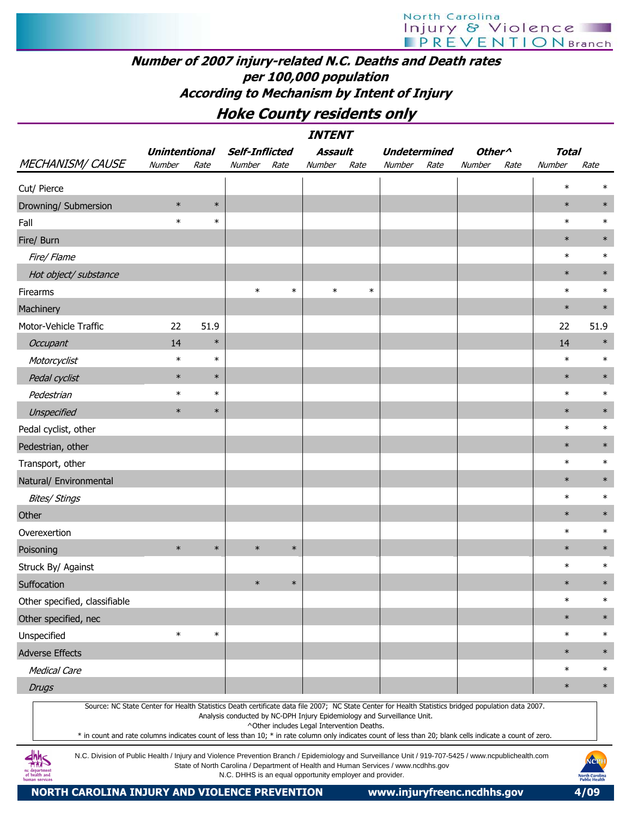## Number of 2007 injury-related N.C. Deaths and Death rates per 100,000 population According to Mechanism by Intent of Injury

Hoke County residents only

|                                                                                                                                                                                                                                                                                                                  | <i><b>INTENT</b></i><br><b>Assault</b><br><b>Unintentional</b><br><b>Self-Inflicted</b><br><b>Undetermined</b><br>Other <sup><math>\wedge</math></sup><br><b>Total</b> |        |                                                                                                                                                |        |                                            |        |        |      |               |      |        |                       |  |  |
|------------------------------------------------------------------------------------------------------------------------------------------------------------------------------------------------------------------------------------------------------------------------------------------------------------------|------------------------------------------------------------------------------------------------------------------------------------------------------------------------|--------|------------------------------------------------------------------------------------------------------------------------------------------------|--------|--------------------------------------------|--------|--------|------|---------------|------|--------|-----------------------|--|--|
|                                                                                                                                                                                                                                                                                                                  |                                                                                                                                                                        |        |                                                                                                                                                |        |                                            |        |        |      |               |      |        |                       |  |  |
| <b>MECHANISM/ CAUSE</b>                                                                                                                                                                                                                                                                                          | Number                                                                                                                                                                 | Rate   | Number                                                                                                                                         | Rate   | Number                                     | Rate   | Number | Rate | <b>Number</b> | Rate | Number | Rate                  |  |  |
| Cut/ Pierce                                                                                                                                                                                                                                                                                                      |                                                                                                                                                                        |        |                                                                                                                                                |        |                                            |        |        |      |               |      | $\ast$ | $\ast$                |  |  |
| Drowning/ Submersion                                                                                                                                                                                                                                                                                             | $\ast$                                                                                                                                                                 | $\ast$ |                                                                                                                                                |        |                                            |        |        |      |               |      | $\ast$ | $\ast$                |  |  |
| Fall                                                                                                                                                                                                                                                                                                             | $\ast$                                                                                                                                                                 | $\ast$ |                                                                                                                                                |        |                                            |        |        |      |               |      | $\ast$ | $\ast$                |  |  |
| Fire/ Burn                                                                                                                                                                                                                                                                                                       |                                                                                                                                                                        |        |                                                                                                                                                |        |                                            |        |        |      |               |      | $\ast$ | $\ast$                |  |  |
| Fire/ Flame                                                                                                                                                                                                                                                                                                      |                                                                                                                                                                        |        |                                                                                                                                                |        |                                            |        |        |      |               |      | $\ast$ | $\ast$                |  |  |
| Hot object/ substance                                                                                                                                                                                                                                                                                            |                                                                                                                                                                        |        |                                                                                                                                                |        |                                            |        |        |      |               |      | $\ast$ | $\ast$                |  |  |
| Firearms                                                                                                                                                                                                                                                                                                         |                                                                                                                                                                        |        | $\ast$                                                                                                                                         | $\ast$ | $\ast$                                     | $\ast$ |        |      |               |      | $\ast$ | $\ast$                |  |  |
| Machinery                                                                                                                                                                                                                                                                                                        |                                                                                                                                                                        |        |                                                                                                                                                |        |                                            |        |        |      |               |      | $\ast$ | $\ast$                |  |  |
| Motor-Vehicle Traffic                                                                                                                                                                                                                                                                                            | 22                                                                                                                                                                     | 51.9   |                                                                                                                                                |        |                                            |        |        |      |               |      | 22     | 51.9                  |  |  |
| <b>Occupant</b>                                                                                                                                                                                                                                                                                                  | 14                                                                                                                                                                     | $\ast$ |                                                                                                                                                |        |                                            |        |        |      |               |      | 14     | $\ast$                |  |  |
| Motorcyclist                                                                                                                                                                                                                                                                                                     | $\ast$                                                                                                                                                                 | $\ast$ |                                                                                                                                                |        |                                            |        |        |      |               |      | $\ast$ | $\ast$                |  |  |
| Pedal cyclist                                                                                                                                                                                                                                                                                                    | $\ast$                                                                                                                                                                 | $\ast$ |                                                                                                                                                |        |                                            |        |        |      |               |      | $\ast$ | $\ast$                |  |  |
| Pedestrian                                                                                                                                                                                                                                                                                                       | $\ast$                                                                                                                                                                 | $\ast$ |                                                                                                                                                |        |                                            |        |        |      |               |      | $\ast$ | $\ast$                |  |  |
| Unspecified                                                                                                                                                                                                                                                                                                      | $\ast$                                                                                                                                                                 | $\ast$ |                                                                                                                                                |        |                                            |        |        |      |               |      | $\ast$ | $\ast$                |  |  |
| Pedal cyclist, other                                                                                                                                                                                                                                                                                             |                                                                                                                                                                        |        |                                                                                                                                                |        |                                            |        |        |      |               |      | $\ast$ | $\ast$                |  |  |
| Pedestrian, other                                                                                                                                                                                                                                                                                                |                                                                                                                                                                        |        |                                                                                                                                                |        |                                            |        |        |      |               |      | $\ast$ | $\ast$                |  |  |
| Transport, other                                                                                                                                                                                                                                                                                                 |                                                                                                                                                                        |        |                                                                                                                                                |        |                                            |        |        |      |               |      | $\ast$ | $\ast$                |  |  |
| Natural/ Environmental                                                                                                                                                                                                                                                                                           |                                                                                                                                                                        |        |                                                                                                                                                |        |                                            |        |        |      |               |      | $\ast$ | $\ast$                |  |  |
| <b>Bites/ Stings</b>                                                                                                                                                                                                                                                                                             |                                                                                                                                                                        |        |                                                                                                                                                |        |                                            |        |        |      |               |      | $\ast$ | $\ast$                |  |  |
| Other                                                                                                                                                                                                                                                                                                            |                                                                                                                                                                        |        |                                                                                                                                                |        |                                            |        |        |      |               |      | $\ast$ | $\ast$                |  |  |
| Overexertion                                                                                                                                                                                                                                                                                                     |                                                                                                                                                                        |        |                                                                                                                                                |        |                                            |        |        |      |               |      | $\ast$ | $\ast$                |  |  |
| Poisoning                                                                                                                                                                                                                                                                                                        | $\ast$                                                                                                                                                                 | $\ast$ | $\ast$                                                                                                                                         | $\ast$ |                                            |        |        |      |               |      | $\ast$ | $\ast$                |  |  |
| Struck By/ Against                                                                                                                                                                                                                                                                                               |                                                                                                                                                                        |        |                                                                                                                                                |        |                                            |        |        |      |               |      | $\ast$ | $\ast$                |  |  |
| Suffocation                                                                                                                                                                                                                                                                                                      |                                                                                                                                                                        |        | $\ast$                                                                                                                                         | $\ast$ |                                            |        |        |      |               |      | $\ast$ | $\ast$                |  |  |
| Other specified, classifiable                                                                                                                                                                                                                                                                                    |                                                                                                                                                                        |        |                                                                                                                                                |        |                                            |        |        |      |               |      | $\ast$ | $\ast$                |  |  |
| Other specified, nec                                                                                                                                                                                                                                                                                             |                                                                                                                                                                        |        |                                                                                                                                                |        |                                            |        |        |      |               |      | $\ast$ | $\ast$                |  |  |
| Unspecified                                                                                                                                                                                                                                                                                                      | $\ast$                                                                                                                                                                 | $\ast$ |                                                                                                                                                |        |                                            |        |        |      |               |      | $\ast$ | $\ast$                |  |  |
| <b>Adverse Effects</b>                                                                                                                                                                                                                                                                                           |                                                                                                                                                                        |        |                                                                                                                                                |        |                                            |        |        |      |               |      | $\ast$ | $\ast$                |  |  |
| <b>Medical Care</b>                                                                                                                                                                                                                                                                                              |                                                                                                                                                                        |        |                                                                                                                                                |        |                                            |        |        |      |               |      | $\ast$ | $\ast$                |  |  |
| <b>Drugs</b>                                                                                                                                                                                                                                                                                                     |                                                                                                                                                                        |        |                                                                                                                                                |        |                                            |        |        |      |               |      | $\ast$ | $\ast$                |  |  |
| Source: NC State Center for Health Statistics Death certificate data file 2007; NC State Center for Health Statistics bridged population data 2007.<br>* in count and rate columns indicates count of less than 10; * in rate column only indicates count of less than 20; blank cells indicate a count of zero. |                                                                                                                                                                        |        | Analysis conducted by NC-DPH Injury Epidemiology and Surveillance Unit.                                                                        |        | ^Other includes Legal Intervention Deaths. |        |        |      |               |      |        |                       |  |  |
| N.C. Division of Public Health / Injury and Violence Prevention Branch / Epidemiology and Surveillance Unit / 919-707-5425 / www.ncpublichealth.com<br>of health and<br>man service                                                                                                                              |                                                                                                                                                                        |        | State of North Carolina / Department of Health and Human Services / www.ncdhhs.gov<br>N.C. DHHS is an equal opportunity employer and provider. |        |                                            |        |        |      |               |      |        | NCPI<br>North Carolin |  |  |

NORTH CAROLINA INJURY AND VIOLENCE PREVENTION www.injuryfreenc.ncdhhs.gov 4/09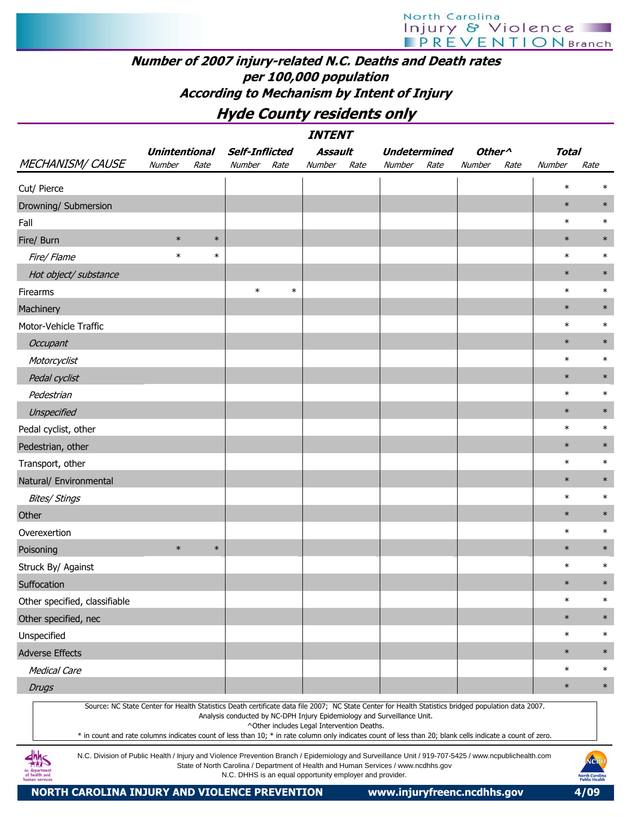## Number of 2007 injury-related N.C. Deaths and Death rates per 100,000 population According to Mechanism by Intent of Injury

## Hyde County residents only

|                                                                                                                                                                                                                                                                                                                  |                      |        |                       |        | <i><b>INTENT</b></i>                                     |      |                                                                                    |      |                    |      |              |                                                |
|------------------------------------------------------------------------------------------------------------------------------------------------------------------------------------------------------------------------------------------------------------------------------------------------------------------|----------------------|--------|-----------------------|--------|----------------------------------------------------------|------|------------------------------------------------------------------------------------|------|--------------------|------|--------------|------------------------------------------------|
|                                                                                                                                                                                                                                                                                                                  | <b>Unintentional</b> |        | <b>Self-Inflicted</b> |        | Assault                                                  |      | <b>Undetermined</b>                                                                |      | Other <sup>^</sup> |      | <b>Total</b> |                                                |
| <b>MECHANISM/ CAUSE</b>                                                                                                                                                                                                                                                                                          | Number               | Rate   | Number                | Rate   | <b>Number</b>                                            | Rate | Number                                                                             | Rate | Number             | Rate | Number       | Rate                                           |
| Cut/ Pierce                                                                                                                                                                                                                                                                                                      |                      |        |                       |        |                                                          |      |                                                                                    |      |                    |      | $\ast$       | ж                                              |
| Drowning/ Submersion                                                                                                                                                                                                                                                                                             |                      |        |                       |        |                                                          |      |                                                                                    |      |                    |      | $\ast$       | $\ast$                                         |
| Fall                                                                                                                                                                                                                                                                                                             |                      |        |                       |        |                                                          |      |                                                                                    |      |                    |      | $\ast$       | $\ast$                                         |
| Fire/ Burn                                                                                                                                                                                                                                                                                                       | $\ast$               | $\ast$ |                       |        |                                                          |      |                                                                                    |      |                    |      | $\ast$       |                                                |
| Fire/Flame                                                                                                                                                                                                                                                                                                       | $\ast$               | $\ast$ |                       |        |                                                          |      |                                                                                    |      |                    |      | $\ast$       | $\ast$                                         |
| Hot object/ substance                                                                                                                                                                                                                                                                                            |                      |        |                       |        |                                                          |      |                                                                                    |      |                    |      | $\ast$       | $\ast$                                         |
| Firearms                                                                                                                                                                                                                                                                                                         |                      |        | $\ast$                | $\ast$ |                                                          |      |                                                                                    |      |                    |      | $\ast$       | $\ast$                                         |
| Machinery                                                                                                                                                                                                                                                                                                        |                      |        |                       |        |                                                          |      |                                                                                    |      |                    |      | $\ast$       | $\ast$                                         |
| Motor-Vehicle Traffic                                                                                                                                                                                                                                                                                            |                      |        |                       |        |                                                          |      |                                                                                    |      |                    |      | $\ast$       | $\ast$                                         |
| Occupant                                                                                                                                                                                                                                                                                                         |                      |        |                       |        |                                                          |      |                                                                                    |      |                    |      | $\ast$       | $\ast$                                         |
| Motorcyclist                                                                                                                                                                                                                                                                                                     |                      |        |                       |        |                                                          |      |                                                                                    |      |                    |      | $\ast$       | $\ast$                                         |
| Pedal cyclist                                                                                                                                                                                                                                                                                                    |                      |        |                       |        |                                                          |      |                                                                                    |      |                    |      | $\ast$       | $\ast$                                         |
| Pedestrian                                                                                                                                                                                                                                                                                                       |                      |        |                       |        |                                                          |      |                                                                                    |      |                    |      | $\ast$       | $\ast$                                         |
| Unspecified                                                                                                                                                                                                                                                                                                      |                      |        |                       |        |                                                          |      |                                                                                    |      |                    |      | $\ast$       | $\ast$                                         |
| Pedal cyclist, other                                                                                                                                                                                                                                                                                             |                      |        |                       |        |                                                          |      |                                                                                    |      |                    |      | $\ast$       | $\ast$                                         |
| Pedestrian, other                                                                                                                                                                                                                                                                                                |                      |        |                       |        |                                                          |      |                                                                                    |      |                    |      | $\ast$       | $\ast$                                         |
| Transport, other                                                                                                                                                                                                                                                                                                 |                      |        |                       |        |                                                          |      |                                                                                    |      |                    |      | $\ast$       | $\ast$                                         |
| Natural/ Environmental                                                                                                                                                                                                                                                                                           |                      |        |                       |        |                                                          |      |                                                                                    |      |                    |      | $\ast$       | $\ast$                                         |
| <b>Bites/ Stings</b>                                                                                                                                                                                                                                                                                             |                      |        |                       |        |                                                          |      |                                                                                    |      |                    |      | $\ast$       | $\ast$                                         |
| Other                                                                                                                                                                                                                                                                                                            |                      |        |                       |        |                                                          |      |                                                                                    |      |                    |      | $\ast$       | $\ast$                                         |
| Overexertion                                                                                                                                                                                                                                                                                                     |                      |        |                       |        |                                                          |      |                                                                                    |      |                    |      | $\ast$       | $\ast$                                         |
| Poisoning                                                                                                                                                                                                                                                                                                        | $\ast$               | $\ast$ |                       |        |                                                          |      |                                                                                    |      |                    |      | $\ast$       |                                                |
| Struck By/ Against                                                                                                                                                                                                                                                                                               |                      |        |                       |        |                                                          |      |                                                                                    |      |                    |      | $\ast$       | $\ast$                                         |
| Suffocation                                                                                                                                                                                                                                                                                                      |                      |        |                       |        |                                                          |      |                                                                                    |      |                    |      | $\ast$       | $\ast$                                         |
| Other specified, classifiable                                                                                                                                                                                                                                                                                    |                      |        |                       |        |                                                          |      |                                                                                    |      |                    |      | $\ast$       | $\ast$                                         |
| Other specified, nec                                                                                                                                                                                                                                                                                             |                      |        |                       |        |                                                          |      |                                                                                    |      |                    |      | $\ast$       | $\ast$                                         |
| Unspecified                                                                                                                                                                                                                                                                                                      |                      |        |                       |        |                                                          |      |                                                                                    |      |                    |      | $\ast$       | $\ast$                                         |
| <b>Adverse Effects</b>                                                                                                                                                                                                                                                                                           |                      |        |                       |        |                                                          |      |                                                                                    |      |                    |      | $\ast$       | $\ast$                                         |
| <b>Medical Care</b>                                                                                                                                                                                                                                                                                              |                      |        |                       |        |                                                          |      |                                                                                    |      |                    |      | $\ast$       | $\ast$                                         |
| <b>Drugs</b>                                                                                                                                                                                                                                                                                                     |                      |        |                       |        |                                                          |      |                                                                                    |      |                    |      | $\ast$       | $\ast$                                         |
| Source: NC State Center for Health Statistics Death certificate data file 2007; NC State Center for Health Statistics bridged population data 2007.<br>* in count and rate columns indicates count of less than 10; * in rate column only indicates count of less than 20; blank cells indicate a count of zero. |                      |        |                       |        | ^Other includes Legal Intervention Deaths.               |      | Analysis conducted by NC-DPH Injury Epidemiology and Surveillance Unit.            |      |                    |      |              |                                                |
| N.C. Division of Public Health / Injury and Violence Prevention Branch / Epidemiology and Surveillance Unit / 919-707-5425 / www.ncpublichealth.com<br>of health and<br>human services                                                                                                                           |                      |        |                       |        | N.C. DHHS is an equal opportunity employer and provider. |      | State of North Carolina / Department of Health and Human Services / www.ncdhhs.gov |      |                    |      |              | NCPH<br><b>North Carolina</b><br>Public Health |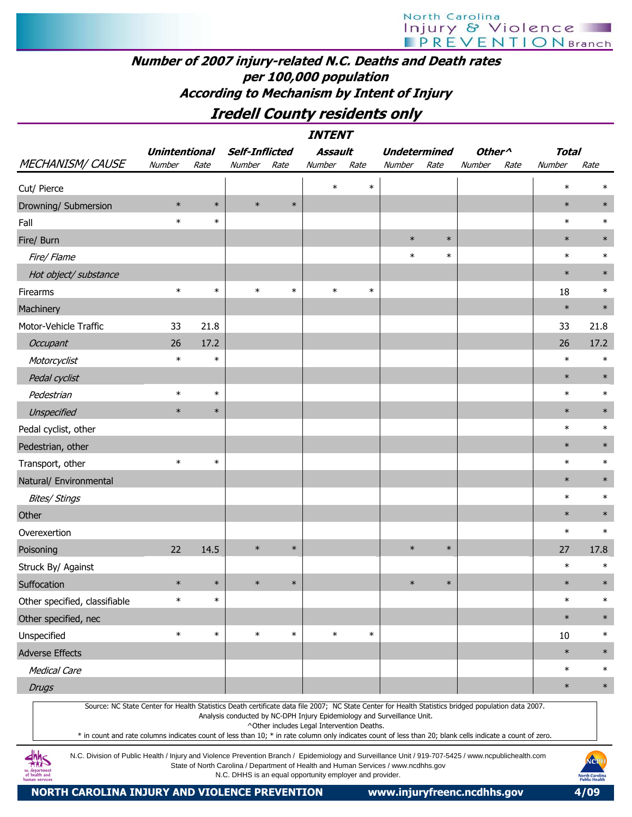## Number of 2007 injury-related N.C. Deaths and Death rates per 100,000 population According to Mechanism by Intent of Injury

## Iredell County residents only

|                                                                                                                                                                                                                                                                                                                  | <b>INTENT</b>        |        |                       |        |                                            |        |                                                                         |        |                    |      |              |        |  |
|------------------------------------------------------------------------------------------------------------------------------------------------------------------------------------------------------------------------------------------------------------------------------------------------------------------|----------------------|--------|-----------------------|--------|--------------------------------------------|--------|-------------------------------------------------------------------------|--------|--------------------|------|--------------|--------|--|
|                                                                                                                                                                                                                                                                                                                  | <b>Unintentional</b> |        | <b>Self-Inflicted</b> |        | <b>Assault</b>                             |        | <b>Undetermined</b>                                                     |        | Other <sup>^</sup> |      | <b>Total</b> |        |  |
| <b>MECHANISM/ CAUSE</b>                                                                                                                                                                                                                                                                                          | Number               | Rate   | Number                | Rate   | Number                                     | Rate   | Number                                                                  | Rate   | Number             | Rate | Number       | Rate   |  |
| Cut/ Pierce                                                                                                                                                                                                                                                                                                      |                      |        |                       |        | $\ast$                                     | $\ast$ |                                                                         |        |                    |      | $\ast$       | $\ast$ |  |
| Drowning/ Submersion                                                                                                                                                                                                                                                                                             | $\ast$               | $\ast$ | $\ast$                | $\ast$ |                                            |        |                                                                         |        |                    |      | $\ast$       | $\ast$ |  |
| Fall                                                                                                                                                                                                                                                                                                             | $\ast$               | $\ast$ |                       |        |                                            |        |                                                                         |        |                    |      | $\ast$       | $\ast$ |  |
| Fire/ Burn                                                                                                                                                                                                                                                                                                       |                      |        |                       |        |                                            |        | $\ast$                                                                  | $\ast$ |                    |      | $\ast$       | $\ast$ |  |
| Fire/ Flame                                                                                                                                                                                                                                                                                                      |                      |        |                       |        |                                            |        | $\ast$                                                                  | $\ast$ |                    |      | $\ast$       | $\ast$ |  |
| Hot object/ substance                                                                                                                                                                                                                                                                                            |                      |        |                       |        |                                            |        |                                                                         |        |                    |      | $\ast$       | $\ast$ |  |
| Firearms                                                                                                                                                                                                                                                                                                         | $\ast$               | $\ast$ | $\ast$                | $\ast$ | $\ast$                                     | $\ast$ |                                                                         |        |                    |      | 18           | $\ast$ |  |
| Machinery                                                                                                                                                                                                                                                                                                        |                      |        |                       |        |                                            |        |                                                                         |        |                    |      | $\ast$       | $\ast$ |  |
| Motor-Vehicle Traffic                                                                                                                                                                                                                                                                                            | 33                   | 21.8   |                       |        |                                            |        |                                                                         |        |                    |      | 33           | 21.8   |  |
| Occupant                                                                                                                                                                                                                                                                                                         | 26                   | 17.2   |                       |        |                                            |        |                                                                         |        |                    |      | 26           | 17.2   |  |
| Motorcyclist                                                                                                                                                                                                                                                                                                     | $\ast$               | $\ast$ |                       |        |                                            |        |                                                                         |        |                    |      | $\ast$       | $\ast$ |  |
| Pedal cyclist                                                                                                                                                                                                                                                                                                    |                      |        |                       |        |                                            |        |                                                                         |        |                    |      | $\ast$       | $\ast$ |  |
| Pedestrian                                                                                                                                                                                                                                                                                                       | $\ast$               | $\ast$ |                       |        |                                            |        |                                                                         |        |                    |      | $\ast$       | $\ast$ |  |
| Unspecified                                                                                                                                                                                                                                                                                                      | $\ast$               | $\ast$ |                       |        |                                            |        |                                                                         |        |                    |      | $\ast$       | $\ast$ |  |
| Pedal cyclist, other                                                                                                                                                                                                                                                                                             |                      |        |                       |        |                                            |        |                                                                         |        |                    |      | $\ast$       | $\ast$ |  |
| Pedestrian, other                                                                                                                                                                                                                                                                                                |                      |        |                       |        |                                            |        |                                                                         |        |                    |      | $\ast$       | $\ast$ |  |
| Transport, other                                                                                                                                                                                                                                                                                                 | $\ast$               | $\ast$ |                       |        |                                            |        |                                                                         |        |                    |      | $\ast$       | $\ast$ |  |
| Natural/ Environmental                                                                                                                                                                                                                                                                                           |                      |        |                       |        |                                            |        |                                                                         |        |                    |      | $\ast$       | $\ast$ |  |
| <b>Bites/ Stings</b>                                                                                                                                                                                                                                                                                             |                      |        |                       |        |                                            |        |                                                                         |        |                    |      | $\ast$       | $\ast$ |  |
| Other                                                                                                                                                                                                                                                                                                            |                      |        |                       |        |                                            |        |                                                                         |        |                    |      | $\ast$       | $\ast$ |  |
| Overexertion                                                                                                                                                                                                                                                                                                     |                      |        |                       |        |                                            |        |                                                                         |        |                    |      | $\ast$       | $\ast$ |  |
| Poisoning                                                                                                                                                                                                                                                                                                        | 22                   | 14.5   | $\ast$                | $\ast$ |                                            |        | $\ast$                                                                  | $\ast$ |                    |      | 27           | 17.8   |  |
| Struck By/ Against                                                                                                                                                                                                                                                                                               |                      |        |                       |        |                                            |        |                                                                         |        |                    |      | $\ast$       | $\ast$ |  |
| Suffocation                                                                                                                                                                                                                                                                                                      | $\ast$               | $\ast$ | $\ast$                | $\ast$ |                                            |        | $\ast$                                                                  | $\ast$ |                    |      | $\ast$       | $\ast$ |  |
| Other specified, classifiable                                                                                                                                                                                                                                                                                    | $\ast$               | $\ast$ |                       |        |                                            |        |                                                                         |        |                    |      | $\ast$       | $\ast$ |  |
| Other specified, nec                                                                                                                                                                                                                                                                                             |                      |        |                       |        |                                            |        |                                                                         |        |                    |      | $\ast$       | $\ast$ |  |
| Unspecified                                                                                                                                                                                                                                                                                                      | $\ast$               | $\ast$ | $\ast$                | $\ast$ | $\ast$                                     | $\ast$ |                                                                         |        |                    |      | 10           | $\ast$ |  |
| <b>Adverse Effects</b>                                                                                                                                                                                                                                                                                           |                      |        |                       |        |                                            |        |                                                                         |        |                    |      | $\ast$       | $\ast$ |  |
| <b>Medical Care</b>                                                                                                                                                                                                                                                                                              |                      |        |                       |        |                                            |        |                                                                         |        |                    |      | $\ast$       | $\ast$ |  |
| <b>Drugs</b>                                                                                                                                                                                                                                                                                                     |                      |        |                       |        |                                            |        |                                                                         |        |                    |      | $\ast$       | $\ast$ |  |
| Source: NC State Center for Health Statistics Death certificate data file 2007; NC State Center for Health Statistics bridged population data 2007.<br>* in count and rate columns indicates count of less than 10; * in rate column only indicates count of less than 20; blank cells indicate a count of zero. |                      |        |                       |        | ^Other includes Legal Intervention Deaths. |        | Analysis conducted by NC-DPH Injury Epidemiology and Surveillance Unit. |        |                    |      |              |        |  |

N.C. Division of Public Health / Injury and Violence Prevention Branch / Epidemiology and Surveillance Unit / 919-707-5425 / www.ncpublichealth.com State of North Carolina / Department of Health and Human Services / www.ncdhhs.gov N.C. DHHS is an equal opportunity employer and provider.

 $\frac{dhh}{dhS}$ departmen<br>health and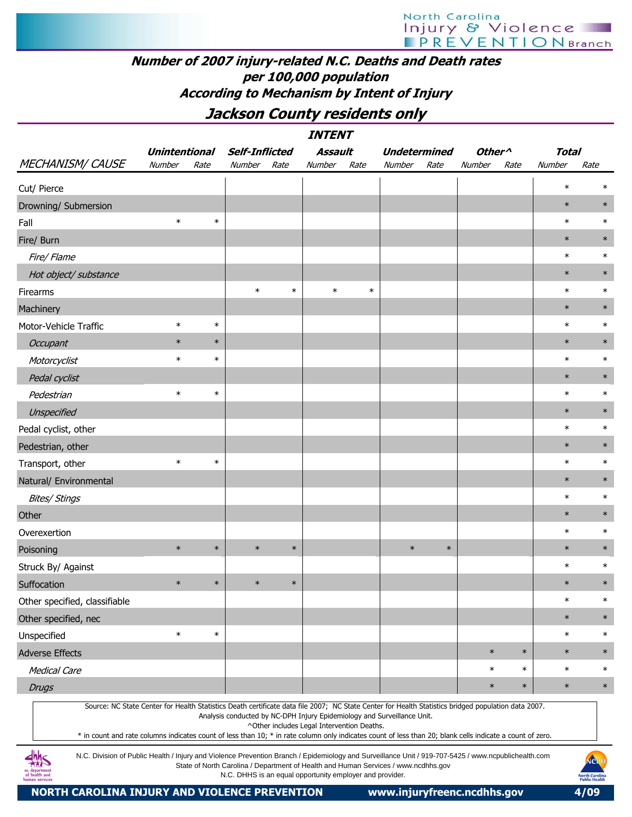## Number of 2007 injury-related N.C. Deaths and Death rates per 100,000 population According to Mechanism by Intent of Injury

Jackson County residents only

|                                                                                                                                                                                                                                                                                                                  | <i><b>INTENT</b></i><br>Assault<br>Other <sup>^</sup><br><b>Unintentional</b><br><b>Self-Inflicted</b><br><b>Undetermined</b><br><b>Total</b> |        |                                                          |        |                                            |        |                                                                                    |        |        |        |        |                                                |  |  |
|------------------------------------------------------------------------------------------------------------------------------------------------------------------------------------------------------------------------------------------------------------------------------------------------------------------|-----------------------------------------------------------------------------------------------------------------------------------------------|--------|----------------------------------------------------------|--------|--------------------------------------------|--------|------------------------------------------------------------------------------------|--------|--------|--------|--------|------------------------------------------------|--|--|
|                                                                                                                                                                                                                                                                                                                  |                                                                                                                                               |        |                                                          |        |                                            |        |                                                                                    |        |        |        |        |                                                |  |  |
| <b>MECHANISM/ CAUSE</b>                                                                                                                                                                                                                                                                                          | Number                                                                                                                                        | Rate   | Number                                                   | Rate   | Number                                     | Rate   | Number                                                                             | Rate   | Number | Rate   | Number | Rate                                           |  |  |
| Cut/ Pierce                                                                                                                                                                                                                                                                                                      |                                                                                                                                               |        |                                                          |        |                                            |        |                                                                                    |        |        |        | $\ast$ | $\ast$                                         |  |  |
| Drowning/ Submersion                                                                                                                                                                                                                                                                                             |                                                                                                                                               |        |                                                          |        |                                            |        |                                                                                    |        |        |        | $\ast$ | $\ast$                                         |  |  |
| Fall                                                                                                                                                                                                                                                                                                             | $\ast$                                                                                                                                        | $\ast$ |                                                          |        |                                            |        |                                                                                    |        |        |        | $\ast$ | $\ast$                                         |  |  |
| Fire/ Burn                                                                                                                                                                                                                                                                                                       |                                                                                                                                               |        |                                                          |        |                                            |        |                                                                                    |        |        |        | $\ast$ | $\ast$                                         |  |  |
| Fire/ Flame                                                                                                                                                                                                                                                                                                      |                                                                                                                                               |        |                                                          |        |                                            |        |                                                                                    |        |        |        | $\ast$ | $\ast$                                         |  |  |
| Hot object/ substance                                                                                                                                                                                                                                                                                            |                                                                                                                                               |        |                                                          |        |                                            |        |                                                                                    |        |        |        | $\ast$ | $\ast$                                         |  |  |
| <b>Firearms</b>                                                                                                                                                                                                                                                                                                  |                                                                                                                                               |        | $\ast$                                                   | $\ast$ | $\ast$                                     | $\ast$ |                                                                                    |        |        |        | $\ast$ | $\ast$                                         |  |  |
| Machinery                                                                                                                                                                                                                                                                                                        |                                                                                                                                               |        |                                                          |        |                                            |        |                                                                                    |        |        |        | $\ast$ | $\ast$                                         |  |  |
| Motor-Vehicle Traffic                                                                                                                                                                                                                                                                                            | $\ast$                                                                                                                                        | $\ast$ |                                                          |        |                                            |        |                                                                                    |        |        |        | $\ast$ | $\ast$                                         |  |  |
| Occupant                                                                                                                                                                                                                                                                                                         | $\ast$                                                                                                                                        | $\ast$ |                                                          |        |                                            |        |                                                                                    |        |        |        | $\ast$ | $\ast$                                         |  |  |
| Motorcyclist                                                                                                                                                                                                                                                                                                     | $\ast$                                                                                                                                        | $\ast$ |                                                          |        |                                            |        |                                                                                    |        |        |        | $\ast$ | $\ast$                                         |  |  |
| Pedal cyclist                                                                                                                                                                                                                                                                                                    |                                                                                                                                               |        |                                                          |        |                                            |        |                                                                                    |        |        |        | $\ast$ | $\ast$                                         |  |  |
| Pedestrian                                                                                                                                                                                                                                                                                                       | $\ast$                                                                                                                                        | $\ast$ |                                                          |        |                                            |        |                                                                                    |        |        |        | $\ast$ | $\ast$                                         |  |  |
| Unspecified                                                                                                                                                                                                                                                                                                      |                                                                                                                                               |        |                                                          |        |                                            |        |                                                                                    |        |        |        | $\ast$ | $\ast$                                         |  |  |
| Pedal cyclist, other                                                                                                                                                                                                                                                                                             |                                                                                                                                               |        |                                                          |        |                                            |        |                                                                                    |        |        |        | $\ast$ | $\ast$                                         |  |  |
| Pedestrian, other                                                                                                                                                                                                                                                                                                |                                                                                                                                               |        |                                                          |        |                                            |        |                                                                                    |        |        |        | $\ast$ | $\ast$                                         |  |  |
| Transport, other                                                                                                                                                                                                                                                                                                 | $\ast$                                                                                                                                        | $\ast$ |                                                          |        |                                            |        |                                                                                    |        |        |        | $\ast$ | $\ast$                                         |  |  |
| Natural/ Environmental                                                                                                                                                                                                                                                                                           |                                                                                                                                               |        |                                                          |        |                                            |        |                                                                                    |        |        |        | $\ast$ | $\ast$                                         |  |  |
| <b>Bites/ Stings</b>                                                                                                                                                                                                                                                                                             |                                                                                                                                               |        |                                                          |        |                                            |        |                                                                                    |        |        |        | $\ast$ | $\ast$                                         |  |  |
| Other                                                                                                                                                                                                                                                                                                            |                                                                                                                                               |        |                                                          |        |                                            |        |                                                                                    |        |        |        | $\ast$ | $\ast$                                         |  |  |
| Overexertion                                                                                                                                                                                                                                                                                                     |                                                                                                                                               |        |                                                          |        |                                            |        |                                                                                    |        |        |        | $\ast$ | $\ast$                                         |  |  |
| Poisoning                                                                                                                                                                                                                                                                                                        | $\ast$                                                                                                                                        | $\ast$ | $\ast$                                                   | $\ast$ |                                            |        | $\ast$                                                                             | $\ast$ |        |        | $\ast$ | $\ast$                                         |  |  |
| Struck By/ Against                                                                                                                                                                                                                                                                                               |                                                                                                                                               |        |                                                          |        |                                            |        |                                                                                    |        |        |        | $\ast$ | $\ast$                                         |  |  |
| Suffocation                                                                                                                                                                                                                                                                                                      | $\ast$                                                                                                                                        | $\ast$ | $\ast$                                                   | $\ast$ |                                            |        |                                                                                    |        |        |        | $\ast$ | $\ast$                                         |  |  |
| Other specified, classifiable                                                                                                                                                                                                                                                                                    |                                                                                                                                               |        |                                                          |        |                                            |        |                                                                                    |        |        |        | $\ast$ | $\ast$                                         |  |  |
| Other specified, nec                                                                                                                                                                                                                                                                                             |                                                                                                                                               |        |                                                          |        |                                            |        |                                                                                    |        |        |        | $\ast$ | $\ast$                                         |  |  |
| Unspecified                                                                                                                                                                                                                                                                                                      | $\ast$                                                                                                                                        | $\ast$ |                                                          |        |                                            |        |                                                                                    |        |        |        | $\ast$ | $\ast$                                         |  |  |
| <b>Adverse Effects</b>                                                                                                                                                                                                                                                                                           |                                                                                                                                               |        |                                                          |        |                                            |        |                                                                                    |        | $\ast$ | $\ast$ | $\ast$ | $\ast$                                         |  |  |
| <b>Medical Care</b>                                                                                                                                                                                                                                                                                              |                                                                                                                                               |        |                                                          |        |                                            |        |                                                                                    |        | $\ast$ | $\ast$ | $\ast$ | $\ast$                                         |  |  |
| <b>Drugs</b>                                                                                                                                                                                                                                                                                                     |                                                                                                                                               |        |                                                          |        |                                            |        |                                                                                    |        | $\ast$ | $\ast$ | $\ast$ | $\ast$                                         |  |  |
| Source: NC State Center for Health Statistics Death certificate data file 2007; NC State Center for Health Statistics bridged population data 2007.<br>* in count and rate columns indicates count of less than 10; * in rate column only indicates count of less than 20; blank cells indicate a count of zero. |                                                                                                                                               |        |                                                          |        | ^Other includes Legal Intervention Deaths. |        | Analysis conducted by NC-DPH Injury Epidemiology and Surveillance Unit.            |        |        |        |        |                                                |  |  |
| N.C. Division of Public Health / Injury and Violence Prevention Branch / Epidemiology and Surveillance Unit / 919-707-5425 / www.ncpublichealth.com<br>man service                                                                                                                                               |                                                                                                                                               |        | N.C. DHHS is an equal opportunity employer and provider. |        |                                            |        | State of North Carolina / Department of Health and Human Services / www.ncdhhs.gov |        |        |        |        | NCPI<br><b>North Carolina</b><br>Public Health |  |  |

NORTH CAROLINA INJURY AND VIOLENCE PREVENTION www.injuryfreenc.ncdhhs.gov 4/09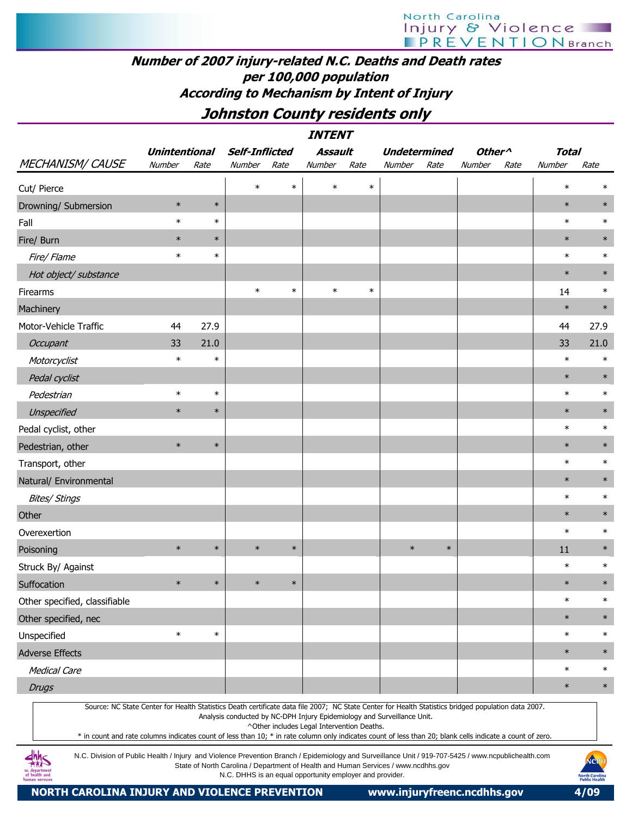## Number of 2007 injury-related N.C. Deaths and Death rates per 100,000 population According to Mechanism by Intent of Injury

## Johnston County residents only

|                               |                      |        |                |        | <b>INTENT</b>                              |        |                                                                                                                                                                                                                                |                    |              |        |
|-------------------------------|----------------------|--------|----------------|--------|--------------------------------------------|--------|--------------------------------------------------------------------------------------------------------------------------------------------------------------------------------------------------------------------------------|--------------------|--------------|--------|
|                               | <b>Unintentional</b> |        | Self-Inflicted |        | Assault                                    |        | <b>Undetermined</b>                                                                                                                                                                                                            | Other <sup>^</sup> | <b>Total</b> |        |
| MECHANISM/CAUSE               | Number               | Rate   | Number         | Rate   | Number                                     | Rate   | Rate<br>Number                                                                                                                                                                                                                 | Number<br>Rate     | Number       | Rate   |
| Cut/ Pierce                   |                      |        | $\ast$         | $\ast$ | $\ast$                                     | $\ast$ |                                                                                                                                                                                                                                |                    | $\ast$       | $\ast$ |
| Drowning/ Submersion          | $\ast$               | $\ast$ |                |        |                                            |        |                                                                                                                                                                                                                                |                    | $\ast$       | $\ast$ |
| Fall                          | $\ast$               | $\ast$ |                |        |                                            |        |                                                                                                                                                                                                                                |                    | $\ast$       | $\ast$ |
| Fire/ Burn                    | $\ast$               | $\ast$ |                |        |                                            |        |                                                                                                                                                                                                                                |                    | $\ast$       | $\ast$ |
| Fire/ Flame                   | $\ast$               | $\ast$ |                |        |                                            |        |                                                                                                                                                                                                                                |                    | $\ast$       | $\ast$ |
| Hot object/ substance         |                      |        |                |        |                                            |        |                                                                                                                                                                                                                                |                    | $\ast$       | $\ast$ |
| Firearms                      |                      |        | $\ast$         | $\ast$ | $\ast$                                     | $\ast$ |                                                                                                                                                                                                                                |                    | 14           | $\ast$ |
| Machinery                     |                      |        |                |        |                                            |        |                                                                                                                                                                                                                                |                    | $\ast$       | $\ast$ |
| Motor-Vehicle Traffic         | 44                   | 27.9   |                |        |                                            |        |                                                                                                                                                                                                                                |                    | 44           | 27.9   |
| Occupant                      | 33                   | 21.0   |                |        |                                            |        |                                                                                                                                                                                                                                |                    | 33           | 21.0   |
| Motorcyclist                  | $\ast$               | $\ast$ |                |        |                                            |        |                                                                                                                                                                                                                                |                    | $\ast$       | $\ast$ |
| Pedal cyclist                 |                      |        |                |        |                                            |        |                                                                                                                                                                                                                                |                    | $\ast$       | $\ast$ |
| Pedestrian                    | $\ast$               | $\ast$ |                |        |                                            |        |                                                                                                                                                                                                                                |                    | $\ast$       | $\ast$ |
| Unspecified                   | $\ast$               | $\ast$ |                |        |                                            |        |                                                                                                                                                                                                                                |                    | $\ast$       | $\ast$ |
| Pedal cyclist, other          |                      |        |                |        |                                            |        |                                                                                                                                                                                                                                |                    | $\ast$       | $\ast$ |
| Pedestrian, other             | $\ast$               | $\ast$ |                |        |                                            |        |                                                                                                                                                                                                                                |                    | $\ast$       | $\ast$ |
| Transport, other              |                      |        |                |        |                                            |        |                                                                                                                                                                                                                                |                    | $\ast$       | $\ast$ |
| Natural/ Environmental        |                      |        |                |        |                                            |        |                                                                                                                                                                                                                                |                    | $\ast$       | $\ast$ |
| <b>Bites/ Stings</b>          |                      |        |                |        |                                            |        |                                                                                                                                                                                                                                |                    | $\ast$       | $\ast$ |
| Other                         |                      |        |                |        |                                            |        |                                                                                                                                                                                                                                |                    | $\ast$       | $\ast$ |
| Overexertion                  |                      |        |                |        |                                            |        |                                                                                                                                                                                                                                |                    | $\ast$       | $\ast$ |
| Poisoning                     | $\ast$               | $\ast$ | $\ast$         | $\ast$ |                                            |        | $\ast$<br>$\ast$                                                                                                                                                                                                               |                    | 11           | $\ast$ |
| Struck By/ Against            |                      |        |                |        |                                            |        |                                                                                                                                                                                                                                |                    | $\ast$       | $\ast$ |
| Suffocation                   | $\ast$               | $\ast$ | $\ast$         | $\ast$ |                                            |        |                                                                                                                                                                                                                                |                    | $\ast$       | $\ast$ |
| Other specified, classifiable |                      |        |                |        |                                            |        |                                                                                                                                                                                                                                |                    | $\ast$       | $\ast$ |
| Other specified, nec          |                      |        |                |        |                                            |        |                                                                                                                                                                                                                                |                    | $\ast$       | $\ast$ |
| Unspecified                   | $\ast$               | $\ast$ |                |        |                                            |        |                                                                                                                                                                                                                                |                    | $\ast$       | $\ast$ |
| <b>Adverse Effects</b>        |                      |        |                |        |                                            |        |                                                                                                                                                                                                                                |                    | $\ast$       | $\ast$ |
| <b>Medical Care</b>           |                      |        |                |        |                                            |        |                                                                                                                                                                                                                                |                    | $\ast$       | $\ast$ |
| <b>Drugs</b>                  |                      |        |                |        |                                            |        |                                                                                                                                                                                                                                |                    | $\ast$       | $\ast$ |
|                               |                      |        |                |        | ^Other includes Legal Intervention Deaths. |        | Source: NC State Center for Health Statistics Death certificate data file 2007; NC State Center for Health Statistics bridged population data 2007.<br>Analysis conducted by NC-DPH Injury Epidemiology and Surveillance Unit. |                    |              |        |

\* in count and rate columns indicates count of less than 10; \* in rate column only indicates count of less than 20; blank cells indicate a count of zero.

N.C. Division of Public Health / Injury and Violence Prevention Branch / Epidemiology and Surveillance Unit / 919-707-5425 / www.ncpublichealth.com State of North Carolina / Department of Health and Human Services / www.ncdhhs.gov N.C. DHHS is an equal opportunity employer and provider.

 $\frac{dhh}{dhS}$ nc departmen<br>of health and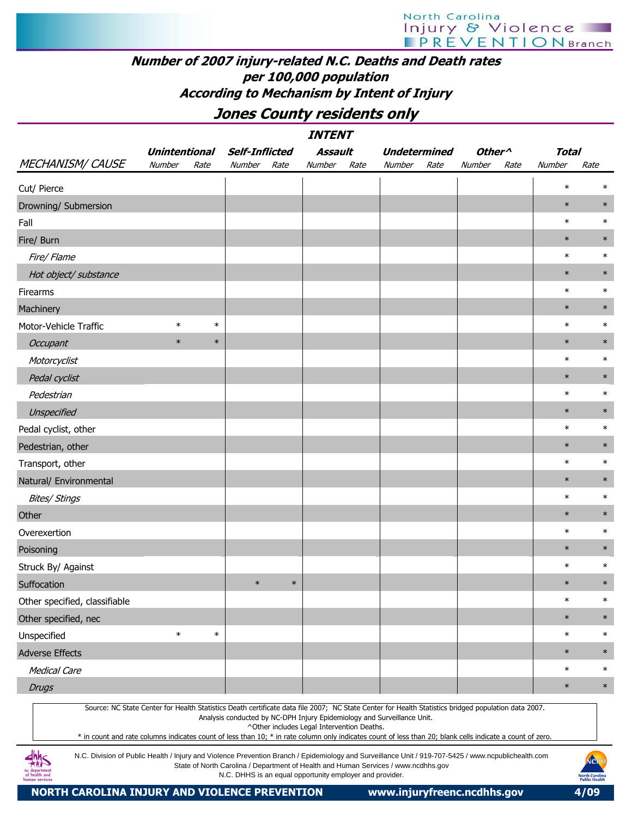## Number of 2007 injury-related N.C. Deaths and Death rates per 100,000 population According to Mechanism by Intent of Injury

Jones County residents only

|                                                                                                                                                                                                                                                                                                                                                                                                                                                                         |                      |        |                                                          |        | <b>INTENT</b>                              |      |                                                                                    |      |                                      |      |        |                                               |
|-------------------------------------------------------------------------------------------------------------------------------------------------------------------------------------------------------------------------------------------------------------------------------------------------------------------------------------------------------------------------------------------------------------------------------------------------------------------------|----------------------|--------|----------------------------------------------------------|--------|--------------------------------------------|------|------------------------------------------------------------------------------------|------|--------------------------------------|------|--------|-----------------------------------------------|
|                                                                                                                                                                                                                                                                                                                                                                                                                                                                         | <b>Unintentional</b> |        | <b>Self-Inflicted</b>                                    |        | Assault                                    |      | <b>Undetermined</b>                                                                |      | Other <sup><math>\wedge</math></sup> |      | Total  |                                               |
| <b>MECHANISM/ CAUSE</b>                                                                                                                                                                                                                                                                                                                                                                                                                                                 | Number               | Rate   | Number                                                   | Rate   | Number                                     | Rate | Number                                                                             | Rate | Number                               | Rate | Number | Rate                                          |
| Cut/ Pierce                                                                                                                                                                                                                                                                                                                                                                                                                                                             |                      |        |                                                          |        |                                            |      |                                                                                    |      |                                      |      | $\ast$ | $\ast$                                        |
| Drowning/ Submersion                                                                                                                                                                                                                                                                                                                                                                                                                                                    |                      |        |                                                          |        |                                            |      |                                                                                    |      |                                      |      | $\ast$ | $\ast$                                        |
| Fall                                                                                                                                                                                                                                                                                                                                                                                                                                                                    |                      |        |                                                          |        |                                            |      |                                                                                    |      |                                      |      | $\ast$ | $\ast$                                        |
| Fire/ Burn                                                                                                                                                                                                                                                                                                                                                                                                                                                              |                      |        |                                                          |        |                                            |      |                                                                                    |      |                                      |      | $\ast$ | $\ast$                                        |
| Fire/ Flame                                                                                                                                                                                                                                                                                                                                                                                                                                                             |                      |        |                                                          |        |                                            |      |                                                                                    |      |                                      |      | $\ast$ | $\ast$                                        |
| Hot object/ substance                                                                                                                                                                                                                                                                                                                                                                                                                                                   |                      |        |                                                          |        |                                            |      |                                                                                    |      |                                      |      | $\ast$ | $\ast$                                        |
| Firearms                                                                                                                                                                                                                                                                                                                                                                                                                                                                |                      |        |                                                          |        |                                            |      |                                                                                    |      |                                      |      | $\ast$ | $\ast$                                        |
| Machinery                                                                                                                                                                                                                                                                                                                                                                                                                                                               |                      |        |                                                          |        |                                            |      |                                                                                    |      |                                      |      | $\ast$ | $\ast$                                        |
| Motor-Vehicle Traffic                                                                                                                                                                                                                                                                                                                                                                                                                                                   | $\ast$               | $\ast$ |                                                          |        |                                            |      |                                                                                    |      |                                      |      | $\ast$ | $\ast$                                        |
| Occupant                                                                                                                                                                                                                                                                                                                                                                                                                                                                | $\ast$               | $\ast$ |                                                          |        |                                            |      |                                                                                    |      |                                      |      | $\ast$ | $\ast$                                        |
| Motorcyclist                                                                                                                                                                                                                                                                                                                                                                                                                                                            |                      |        |                                                          |        |                                            |      |                                                                                    |      |                                      |      | $\ast$ | $\ast$                                        |
| Pedal cyclist                                                                                                                                                                                                                                                                                                                                                                                                                                                           |                      |        |                                                          |        |                                            |      |                                                                                    |      |                                      |      | $\ast$ | $\ast$                                        |
| Pedestrian                                                                                                                                                                                                                                                                                                                                                                                                                                                              |                      |        |                                                          |        |                                            |      |                                                                                    |      |                                      |      | $\ast$ | $\ast$                                        |
| Unspecified                                                                                                                                                                                                                                                                                                                                                                                                                                                             |                      |        |                                                          |        |                                            |      |                                                                                    |      |                                      |      | $\ast$ | $\ast$                                        |
| Pedal cyclist, other                                                                                                                                                                                                                                                                                                                                                                                                                                                    |                      |        |                                                          |        |                                            |      |                                                                                    |      |                                      |      | $\ast$ | $\ast$                                        |
| Pedestrian, other                                                                                                                                                                                                                                                                                                                                                                                                                                                       |                      |        |                                                          |        |                                            |      |                                                                                    |      |                                      |      | $\ast$ | $\ast$                                        |
| Transport, other                                                                                                                                                                                                                                                                                                                                                                                                                                                        |                      |        |                                                          |        |                                            |      |                                                                                    |      |                                      |      | $\ast$ | $\ast$                                        |
| Natural/ Environmental                                                                                                                                                                                                                                                                                                                                                                                                                                                  |                      |        |                                                          |        |                                            |      |                                                                                    |      |                                      |      | $\ast$ | $\ast$                                        |
| <b>Bites/ Stings</b>                                                                                                                                                                                                                                                                                                                                                                                                                                                    |                      |        |                                                          |        |                                            |      |                                                                                    |      |                                      |      | $\ast$ | $\ast$                                        |
| Other                                                                                                                                                                                                                                                                                                                                                                                                                                                                   |                      |        |                                                          |        |                                            |      |                                                                                    |      |                                      |      | $\ast$ | $\ast$                                        |
| Overexertion                                                                                                                                                                                                                                                                                                                                                                                                                                                            |                      |        |                                                          |        |                                            |      |                                                                                    |      |                                      |      | $\ast$ | $\ast$                                        |
| Poisoning                                                                                                                                                                                                                                                                                                                                                                                                                                                               |                      |        |                                                          |        |                                            |      |                                                                                    |      |                                      |      | $\ast$ | $\ast$                                        |
| Struck By/ Against                                                                                                                                                                                                                                                                                                                                                                                                                                                      |                      |        |                                                          |        |                                            |      |                                                                                    |      |                                      |      | $\ast$ | $\ast$                                        |
| Suffocation                                                                                                                                                                                                                                                                                                                                                                                                                                                             |                      |        | $\ast$                                                   | $\ast$ |                                            |      |                                                                                    |      |                                      |      | $\ast$ | $\ast$                                        |
| Other specified, classifiable                                                                                                                                                                                                                                                                                                                                                                                                                                           |                      |        |                                                          |        |                                            |      |                                                                                    |      |                                      |      | $\ast$ | $\ast$                                        |
| Other specified, nec                                                                                                                                                                                                                                                                                                                                                                                                                                                    |                      |        |                                                          |        |                                            |      |                                                                                    |      |                                      |      | $\ast$ | $\ast$                                        |
| Unspecified                                                                                                                                                                                                                                                                                                                                                                                                                                                             | $\ast$               | $\ast$ |                                                          |        |                                            |      |                                                                                    |      |                                      |      | $\ast$ | $\ast$                                        |
| <b>Adverse Effects</b>                                                                                                                                                                                                                                                                                                                                                                                                                                                  |                      |        |                                                          |        |                                            |      |                                                                                    |      |                                      |      | $\ast$ | $\ast$                                        |
| <b>Medical Care</b>                                                                                                                                                                                                                                                                                                                                                                                                                                                     |                      |        |                                                          |        |                                            |      |                                                                                    |      |                                      |      | $\ast$ | $\ast$                                        |
| <b>Drugs</b>                                                                                                                                                                                                                                                                                                                                                                                                                                                            |                      |        |                                                          |        |                                            |      |                                                                                    |      |                                      |      | $\ast$ | $\ast$                                        |
| Source: NC State Center for Health Statistics Death certificate data file 2007; NC State Center for Health Statistics bridged population data 2007.<br>* in count and rate columns indicates count of less than 10; * in rate column only indicates count of less than 20; blank cells indicate a count of zero.<br>N.C. Division of Public Health / Injury and Violence Prevention Branch / Epidemiology and Surveillance Unit / 919-707-5425 / www.ncpublichealth.com |                      |        |                                                          |        | ^Other includes Legal Intervention Deaths. |      | Analysis conducted by NC-DPH Injury Epidemiology and Surveillance Unit.            |      |                                      |      |        |                                               |
| lepartmen<br>of health and                                                                                                                                                                                                                                                                                                                                                                                                                                              |                      |        | N.C. DHHS is an equal opportunity employer and provider. |        |                                            |      | State of North Carolina / Department of Health and Human Services / www.ncdhhs.gov |      |                                      |      |        | NOP<br><b>North Carolina</b><br>Public Health |

N.C. DHHS is an equal opportunity employer and provider.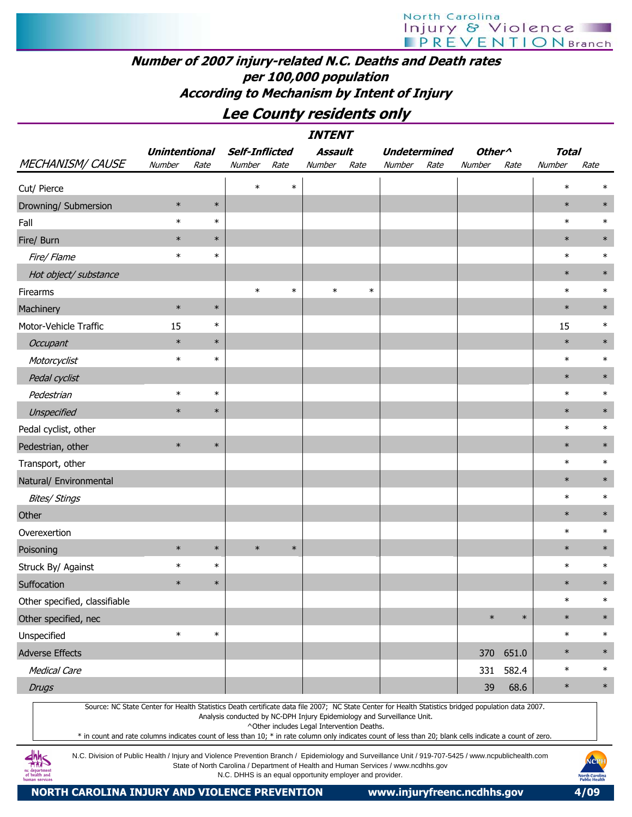## Number of 2007 injury-related N.C. Deaths and Death rates per 100,000 population According to Mechanism by Intent of Injury

## Lee County residents only

|                               |                      |        |                       |        | <b>INTENT</b> |        |                     |      |                    |        |              |        |
|-------------------------------|----------------------|--------|-----------------------|--------|---------------|--------|---------------------|------|--------------------|--------|--------------|--------|
|                               | <b>Unintentional</b> |        | <b>Self-Inflicted</b> |        | Assault       |        | <b>Undetermined</b> |      | Other <sup>^</sup> |        | <b>Total</b> |        |
| MECHANISM/CAUSE               | Number               | Rate   | Number                | Rate   | Number        | Rate   | Number              | Rate | Number             | Rate   | Number       | Rate   |
| Cut/ Pierce                   |                      |        | $\ast$                | $\ast$ |               |        |                     |      |                    |        | $\ast$       | $\ast$ |
| Drowning/ Submersion          | $\ast$               | $\ast$ |                       |        |               |        |                     |      |                    |        | $\ast$       | $\ast$ |
| Fall                          | $\ast$               | $\ast$ |                       |        |               |        |                     |      |                    |        | $\ast$       | $\ast$ |
| Fire/ Burn                    | $\ast$               | $\ast$ |                       |        |               |        |                     |      |                    |        | $\ast$       | $\ast$ |
| Fire/ Flame                   | $\ast$               | $\ast$ |                       |        |               |        |                     |      |                    |        | $\ast$       | $\ast$ |
| Hot object/ substance         |                      |        |                       |        |               |        |                     |      |                    |        | $\ast$       | $\ast$ |
| Firearms                      |                      |        | $\ast$                | $\ast$ | $\ast$        | $\ast$ |                     |      |                    |        | $\ast$       | $\ast$ |
| Machinery                     | $\ast$               | $\ast$ |                       |        |               |        |                     |      |                    |        | $\ast$       | $\ast$ |
| Motor-Vehicle Traffic         | 15                   | $\ast$ |                       |        |               |        |                     |      |                    |        | 15           | $\ast$ |
| <b>Occupant</b>               | $\ast$               | $\ast$ |                       |        |               |        |                     |      |                    |        | $\ast$       | $\ast$ |
| Motorcyclist                  | $\ast$               | $\ast$ |                       |        |               |        |                     |      |                    |        | $\ast$       | $\ast$ |
| Pedal cyclist                 |                      |        |                       |        |               |        |                     |      |                    |        | $\ast$       | $\ast$ |
| Pedestrian                    | $\ast$               | $\ast$ |                       |        |               |        |                     |      |                    |        | $\ast$       | $\ast$ |
| Unspecified                   | $\ast$               | $\ast$ |                       |        |               |        |                     |      |                    |        | $\ast$       | $\ast$ |
| Pedal cyclist, other          |                      |        |                       |        |               |        |                     |      |                    |        | $\ast$       | $\ast$ |
| Pedestrian, other             | $\ast$               | $\ast$ |                       |        |               |        |                     |      |                    |        | $\ast$       | $\ast$ |
| Transport, other              |                      |        |                       |        |               |        |                     |      |                    |        | $\ast$       | $\ast$ |
| Natural/ Environmental        |                      |        |                       |        |               |        |                     |      |                    |        | $\ast$       | $\ast$ |
| <b>Bites/ Stings</b>          |                      |        |                       |        |               |        |                     |      |                    |        | $\ast$       | $\ast$ |
| Other                         |                      |        |                       |        |               |        |                     |      |                    |        | $\ast$       | $\ast$ |
| Overexertion                  |                      |        |                       |        |               |        |                     |      |                    |        | $\ast$       | $\ast$ |
| Poisoning                     | $\ast$               | $\ast$ | $\ast$                | $\ast$ |               |        |                     |      |                    |        | $\ast$       | $\ast$ |
| Struck By/ Against            | $\ast$               | $\ast$ |                       |        |               |        |                     |      |                    |        | $\ast$       | $\ast$ |
| Suffocation                   | $\ast$               | $\ast$ |                       |        |               |        |                     |      |                    |        | $\ast$       | $\ast$ |
| Other specified, classifiable |                      |        |                       |        |               |        |                     |      |                    |        | $\ast$       | $\ast$ |
| Other specified, nec          |                      |        |                       |        |               |        |                     |      | $\ast$             | $\ast$ | $\ast$       | $\ast$ |
| Unspecified                   | $\ast$               | $\ast$ |                       |        |               |        |                     |      |                    |        | $\ast$       | $\ast$ |
| Adverse Effects               |                      |        |                       |        |               |        |                     |      | 370                | 651.0  | $\ast$       | $\ast$ |
| <b>Medical Care</b>           |                      |        |                       |        |               |        |                     |      | 331                | 582.4  | $\ast$       | $\ast$ |
| <b>Drugs</b>                  |                      |        |                       |        |               |        |                     |      | 39                 | 68.6   | $\ast$       | $\ast$ |

Source: NC State Center for Health Statistics Death certificate data file 2007; NC State Center for Health Statistics bridged population data 2007. Analysis conducted by NC-DPH Injury Epidemiology and Surveillance Unit.

^Other includes Legal Intervention Deaths.

\* in count and rate columns indicates count of less than 10; \* in rate column only indicates count of less than 20; blank cells indicate a count of zero.

N.C. Division of Public Health / Injury and Violence Prevention Branch / Epidemiology and Surveillance Unit / 919-707-5425 / www.ncpublichealth.com State of North Carolina / Department of Health and Human Services / www.ncdhhs.gov N.C. DHHS is an equal opportunity employer and provider.

 $4\frac{h}{100}$ nc departmen<br>of health and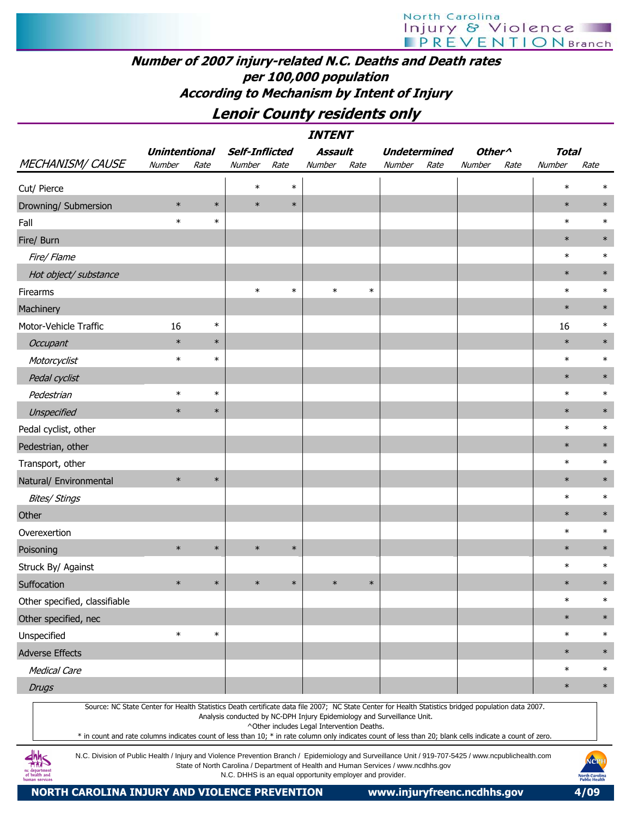## Number of 2007 injury-related N.C. Deaths and Death rates per 100,000 population According to Mechanism by Intent of Injury

Lenoir County residents only

|                                                                                                                                                                                                                                                                                                                  |                      |        |                                                         |        | <i><b>INTENT</b></i>                       |        |                                                                                    |      |                                      |      |              |        |
|------------------------------------------------------------------------------------------------------------------------------------------------------------------------------------------------------------------------------------------------------------------------------------------------------------------|----------------------|--------|---------------------------------------------------------|--------|--------------------------------------------|--------|------------------------------------------------------------------------------------|------|--------------------------------------|------|--------------|--------|
|                                                                                                                                                                                                                                                                                                                  | <b>Unintentional</b> |        | <b>Self-Inflicted</b>                                   |        | <b>Assault</b>                             |        | <b>Undetermined</b>                                                                |      | Other <sup><math>\wedge</math></sup> |      | <b>Total</b> |        |
| <b>MECHANISM/ CAUSE</b>                                                                                                                                                                                                                                                                                          | Number               | Rate   | Number                                                  | Rate   | Number                                     | Rate   | Number                                                                             | Rate | Number                               | Rate | Number       | Rate   |
| Cut/ Pierce                                                                                                                                                                                                                                                                                                      |                      |        | $\ast$                                                  | $\ast$ |                                            |        |                                                                                    |      |                                      |      | $\ast$       | ∗      |
| Drowning/ Submersion                                                                                                                                                                                                                                                                                             | $\ast$               | $\ast$ | $\ast$                                                  | $\ast$ |                                            |        |                                                                                    |      |                                      |      | $\ast$       | $\ast$ |
| Fall                                                                                                                                                                                                                                                                                                             | $\ast$               | $\ast$ |                                                         |        |                                            |        |                                                                                    |      |                                      |      | $\ast$       | $\ast$ |
| Fire/ Burn                                                                                                                                                                                                                                                                                                       |                      |        |                                                         |        |                                            |        |                                                                                    |      |                                      |      | $\ast$       | $\ast$ |
| Fire/ Flame                                                                                                                                                                                                                                                                                                      |                      |        |                                                         |        |                                            |        |                                                                                    |      |                                      |      | $\ast$       | $\ast$ |
| Hot object/ substance                                                                                                                                                                                                                                                                                            |                      |        |                                                         |        |                                            |        |                                                                                    |      |                                      |      | $\ast$       | $\ast$ |
| Firearms                                                                                                                                                                                                                                                                                                         |                      |        | $\ast$                                                  | $\ast$ | $\ast$                                     | $\ast$ |                                                                                    |      |                                      |      | $\ast$       | $\ast$ |
| Machinery                                                                                                                                                                                                                                                                                                        |                      |        |                                                         |        |                                            |        |                                                                                    |      |                                      |      | $\ast$       | $\ast$ |
| Motor-Vehicle Traffic                                                                                                                                                                                                                                                                                            | 16                   | $\ast$ |                                                         |        |                                            |        |                                                                                    |      |                                      |      | 16           | $\ast$ |
| Occupant                                                                                                                                                                                                                                                                                                         | $\ast$               | $\ast$ |                                                         |        |                                            |        |                                                                                    |      |                                      |      | $\ast$       | $\ast$ |
| Motorcyclist                                                                                                                                                                                                                                                                                                     | $\ast$               | $\ast$ |                                                         |        |                                            |        |                                                                                    |      |                                      |      | $\ast$       | $\ast$ |
| Pedal cyclist                                                                                                                                                                                                                                                                                                    |                      |        |                                                         |        |                                            |        |                                                                                    |      |                                      |      | $\ast$       | $\ast$ |
| Pedestrian                                                                                                                                                                                                                                                                                                       | $\ast$               | $\ast$ |                                                         |        |                                            |        |                                                                                    |      |                                      |      | $\ast$       | $\ast$ |
| Unspecified                                                                                                                                                                                                                                                                                                      | $\ast$               | $\ast$ |                                                         |        |                                            |        |                                                                                    |      |                                      |      | $\ast$       | $\ast$ |
| Pedal cyclist, other                                                                                                                                                                                                                                                                                             |                      |        |                                                         |        |                                            |        |                                                                                    |      |                                      |      | $\ast$       | $\ast$ |
| Pedestrian, other                                                                                                                                                                                                                                                                                                |                      |        |                                                         |        |                                            |        |                                                                                    |      |                                      |      | $\ast$       | $\ast$ |
| Transport, other                                                                                                                                                                                                                                                                                                 |                      |        |                                                         |        |                                            |        |                                                                                    |      |                                      |      | $\ast$       | $\ast$ |
| Natural/ Environmental                                                                                                                                                                                                                                                                                           | $\ast$               | $\ast$ |                                                         |        |                                            |        |                                                                                    |      |                                      |      | $\ast$       | $\ast$ |
| <b>Bites/ Stings</b>                                                                                                                                                                                                                                                                                             |                      |        |                                                         |        |                                            |        |                                                                                    |      |                                      |      | $\ast$       | $\ast$ |
| Other                                                                                                                                                                                                                                                                                                            |                      |        |                                                         |        |                                            |        |                                                                                    |      |                                      |      | $\ast$       | $\ast$ |
| Overexertion                                                                                                                                                                                                                                                                                                     |                      |        |                                                         |        |                                            |        |                                                                                    |      |                                      |      | $\ast$       | $\ast$ |
| Poisoning                                                                                                                                                                                                                                                                                                        | $\ast$               | $\ast$ | $\ast$                                                  | $\ast$ |                                            |        |                                                                                    |      |                                      |      | $\ast$       | $\ast$ |
| Struck By/ Against                                                                                                                                                                                                                                                                                               |                      |        |                                                         |        |                                            |        |                                                                                    |      |                                      |      | $\ast$       | $\ast$ |
| Suffocation                                                                                                                                                                                                                                                                                                      | $\ast$               | $\ast$ | $\ast$                                                  | $\ast$ | $\ast$                                     | $\ast$ |                                                                                    |      |                                      |      | $\ast$       | $\ast$ |
| Other specified, classifiable                                                                                                                                                                                                                                                                                    |                      |        |                                                         |        |                                            |        |                                                                                    |      |                                      |      | $\ast$       | $\ast$ |
| Other specified, nec                                                                                                                                                                                                                                                                                             |                      |        |                                                         |        |                                            |        |                                                                                    |      |                                      |      | $\ast$       | $\ast$ |
| Unspecified                                                                                                                                                                                                                                                                                                      | $\ast$               | $\ast$ |                                                         |        |                                            |        |                                                                                    |      |                                      |      | $\ast$       | $\ast$ |
| <b>Adverse Effects</b>                                                                                                                                                                                                                                                                                           |                      |        |                                                         |        |                                            |        |                                                                                    |      |                                      |      | $\ast$       | $\ast$ |
| <b>Medical Care</b>                                                                                                                                                                                                                                                                                              |                      |        |                                                         |        |                                            |        |                                                                                    |      |                                      |      | $\ast$       | $\ast$ |
| <b>Drugs</b>                                                                                                                                                                                                                                                                                                     |                      |        |                                                         |        |                                            |        |                                                                                    |      |                                      |      | $\ast$       | $\ast$ |
| Source: NC State Center for Health Statistics Death certificate data file 2007; NC State Center for Health Statistics bridged population data 2007.<br>* in count and rate columns indicates count of less than 10; * in rate column only indicates count of less than 20; blank cells indicate a count of zero. |                      |        |                                                         |        | ^Other includes Legal Intervention Deaths. |        | Analysis conducted by NC-DPH Injury Epidemiology and Surveillance Unit.            |      |                                      |      |              |        |
| N.C. Division of Public Health / Injury and Violence Prevention Branch / Epidemiology and Surveillance Unit / 919-707-5425 / www.ncpublichealth.com                                                                                                                                                              |                      |        | N.C. DHHS is an equal opportunity employer and provider |        |                                            |        | State of North Carolina / Department of Health and Human Services / www.ncdhhs.gov |      |                                      |      |              | NOPH   |

N.C. DHHS is an equal opportunity employer and provider.

NORTH CAROLINA INJURY AND VIOLENCE PREVENTION www.injuryfreenc.ncdhhs.gov 4/09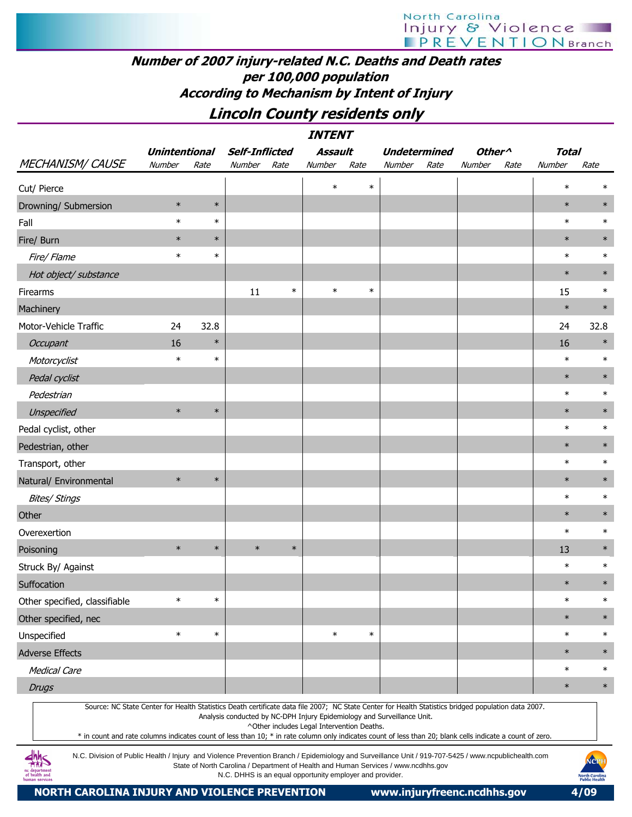## Number of 2007 injury-related N.C. Deaths and Death rates per 100,000 population According to Mechanism by Intent of Injury

Lincoln County residents only

|                                                                                                                                                                                                                                                                                                                  | <b>INTENT</b><br><b>Unintentional</b><br><b>Self-Inflicted</b><br><b>Assault</b><br>Other <sup>^</sup><br><b>Total</b><br><b>Undetermined</b> |        |        |        |                                            |        |                                                                         |      |        |      |        |        |  |  |
|------------------------------------------------------------------------------------------------------------------------------------------------------------------------------------------------------------------------------------------------------------------------------------------------------------------|-----------------------------------------------------------------------------------------------------------------------------------------------|--------|--------|--------|--------------------------------------------|--------|-------------------------------------------------------------------------|------|--------|------|--------|--------|--|--|
|                                                                                                                                                                                                                                                                                                                  |                                                                                                                                               |        |        |        |                                            |        |                                                                         |      |        |      |        |        |  |  |
| <b>MECHANISM/ CAUSE</b>                                                                                                                                                                                                                                                                                          | Number                                                                                                                                        | Rate   | Number | Rate   | Number                                     | Rate   | Number                                                                  | Rate | Number | Rate | Number | Rate   |  |  |
| Cut/ Pierce                                                                                                                                                                                                                                                                                                      |                                                                                                                                               |        |        |        | $\ast$                                     | $\ast$ |                                                                         |      |        |      | $\ast$ | $\ast$ |  |  |
| Drowning/ Submersion                                                                                                                                                                                                                                                                                             | $\ast$                                                                                                                                        | $\ast$ |        |        |                                            |        |                                                                         |      |        |      | $\ast$ | $\ast$ |  |  |
| Fall                                                                                                                                                                                                                                                                                                             | $\ast$                                                                                                                                        | $\ast$ |        |        |                                            |        |                                                                         |      |        |      | $\ast$ | $\ast$ |  |  |
| Fire/ Burn                                                                                                                                                                                                                                                                                                       | $\ast$                                                                                                                                        | $\ast$ |        |        |                                            |        |                                                                         |      |        |      | $\ast$ | $\ast$ |  |  |
| Fire/ Flame                                                                                                                                                                                                                                                                                                      | $\ast$                                                                                                                                        | $\ast$ |        |        |                                            |        |                                                                         |      |        |      | $\ast$ | $\ast$ |  |  |
| Hot object/ substance                                                                                                                                                                                                                                                                                            |                                                                                                                                               |        |        |        |                                            |        |                                                                         |      |        |      | $\ast$ | $\ast$ |  |  |
| Firearms                                                                                                                                                                                                                                                                                                         |                                                                                                                                               |        | 11     | $\ast$ | $\ast$                                     | $\ast$ |                                                                         |      |        |      | 15     | $\ast$ |  |  |
| Machinery                                                                                                                                                                                                                                                                                                        |                                                                                                                                               |        |        |        |                                            |        |                                                                         |      |        |      | $\ast$ | $\ast$ |  |  |
| Motor-Vehicle Traffic                                                                                                                                                                                                                                                                                            | 24                                                                                                                                            | 32.8   |        |        |                                            |        |                                                                         |      |        |      | 24     | 32.8   |  |  |
| <b>Occupant</b>                                                                                                                                                                                                                                                                                                  | 16                                                                                                                                            | $\ast$ |        |        |                                            |        |                                                                         |      |        |      | 16     | $\ast$ |  |  |
| Motorcyclist                                                                                                                                                                                                                                                                                                     | $\ast$                                                                                                                                        | $\ast$ |        |        |                                            |        |                                                                         |      |        |      | $\ast$ | $\ast$ |  |  |
| Pedal cyclist                                                                                                                                                                                                                                                                                                    |                                                                                                                                               |        |        |        |                                            |        |                                                                         |      |        |      | $\ast$ | $\ast$ |  |  |
| Pedestrian                                                                                                                                                                                                                                                                                                       |                                                                                                                                               |        |        |        |                                            |        |                                                                         |      |        |      | $\ast$ | $\ast$ |  |  |
| Unspecified                                                                                                                                                                                                                                                                                                      | $\ast$                                                                                                                                        | $\ast$ |        |        |                                            |        |                                                                         |      |        |      | $\ast$ | $\ast$ |  |  |
| Pedal cyclist, other                                                                                                                                                                                                                                                                                             |                                                                                                                                               |        |        |        |                                            |        |                                                                         |      |        |      | $\ast$ | $\ast$ |  |  |
| Pedestrian, other                                                                                                                                                                                                                                                                                                |                                                                                                                                               |        |        |        |                                            |        |                                                                         |      |        |      | $\ast$ | $\ast$ |  |  |
| Transport, other                                                                                                                                                                                                                                                                                                 |                                                                                                                                               |        |        |        |                                            |        |                                                                         |      |        |      | $\ast$ | $\ast$ |  |  |
| Natural/ Environmental                                                                                                                                                                                                                                                                                           | $\ast$                                                                                                                                        | $\ast$ |        |        |                                            |        |                                                                         |      |        |      | $\ast$ | $\ast$ |  |  |
| <b>Bites/ Stings</b>                                                                                                                                                                                                                                                                                             |                                                                                                                                               |        |        |        |                                            |        |                                                                         |      |        |      | $\ast$ | $\ast$ |  |  |
| Other                                                                                                                                                                                                                                                                                                            |                                                                                                                                               |        |        |        |                                            |        |                                                                         |      |        |      | $\ast$ | $\ast$ |  |  |
| Overexertion                                                                                                                                                                                                                                                                                                     |                                                                                                                                               |        |        |        |                                            |        |                                                                         |      |        |      | $\ast$ | $\ast$ |  |  |
| Poisoning                                                                                                                                                                                                                                                                                                        | $\ast$                                                                                                                                        | $\ast$ | $\ast$ | $\ast$ |                                            |        |                                                                         |      |        |      | 13     | $\ast$ |  |  |
| Struck By/ Against                                                                                                                                                                                                                                                                                               |                                                                                                                                               |        |        |        |                                            |        |                                                                         |      |        |      | $\ast$ | $\ast$ |  |  |
| Suffocation                                                                                                                                                                                                                                                                                                      |                                                                                                                                               |        |        |        |                                            |        |                                                                         |      |        |      | $\ast$ | $\ast$ |  |  |
| Other specified, classifiable                                                                                                                                                                                                                                                                                    | $\ast$                                                                                                                                        | $\ast$ |        |        |                                            |        |                                                                         |      |        |      | $\ast$ | $\ast$ |  |  |
| Other specified, nec                                                                                                                                                                                                                                                                                             |                                                                                                                                               |        |        |        |                                            |        |                                                                         |      |        |      | $\ast$ | $\ast$ |  |  |
| Unspecified                                                                                                                                                                                                                                                                                                      | $\ast$                                                                                                                                        | $\ast$ |        |        | $\ast$                                     | $\ast$ |                                                                         |      |        |      | $\ast$ | $\ast$ |  |  |
| <b>Adverse Effects</b>                                                                                                                                                                                                                                                                                           |                                                                                                                                               |        |        |        |                                            |        |                                                                         |      |        |      | $\ast$ | $\ast$ |  |  |
| <b>Medical Care</b>                                                                                                                                                                                                                                                                                              |                                                                                                                                               |        |        |        |                                            |        |                                                                         |      |        |      | $\ast$ | $\ast$ |  |  |
| <b>Drugs</b>                                                                                                                                                                                                                                                                                                     |                                                                                                                                               |        |        |        |                                            |        |                                                                         |      |        |      | $\ast$ | $\ast$ |  |  |
| Source: NC State Center for Health Statistics Death certificate data file 2007; NC State Center for Health Statistics bridged population data 2007.<br>* in count and rate columns indicates count of less than 10; * in rate column only indicates count of less than 20; blank cells indicate a count of zero. |                                                                                                                                               |        |        |        | ^Other includes Legal Intervention Deaths. |        | Analysis conducted by NC-DPH Injury Epidemiology and Surveillance Unit. |      |        |      |        |        |  |  |

N.C. Division of Public Health / Injury and Violence Prevention Branch / Epidemiology and Surveillance Unit / 919-707-5425 / www.ncpublichealth.com State of North Carolina / Department of Health and Human Services / www.ncdhhs.gov N.C. DHHS is an equal opportunity employer and provider.

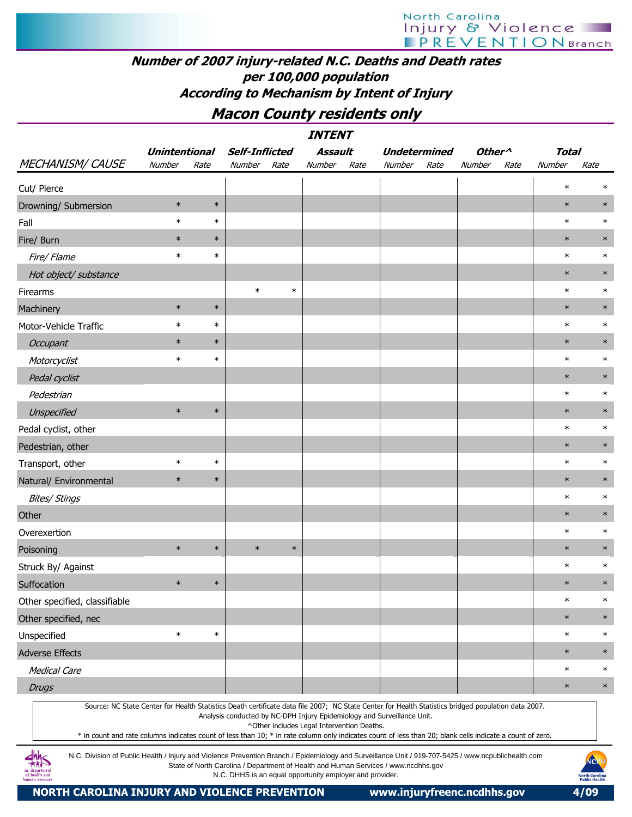## Number of 2007 injury-related N.C. Deaths and Death rates per 100,000 population According to Mechanism by Intent of Injury

## Macon County residents only

|                                                                                                                                                                                                                                                                                                                  |                      |        |                                                          |        | <i><b>INTENT</b></i>                       |      |                                                                                    |      |                    |      |              |                                                       |
|------------------------------------------------------------------------------------------------------------------------------------------------------------------------------------------------------------------------------------------------------------------------------------------------------------------|----------------------|--------|----------------------------------------------------------|--------|--------------------------------------------|------|------------------------------------------------------------------------------------|------|--------------------|------|--------------|-------------------------------------------------------|
|                                                                                                                                                                                                                                                                                                                  | <b>Unintentional</b> |        | <b>Self-Inflicted</b>                                    |        | Assault                                    |      | <b>Undetermined</b>                                                                |      | Other <sup>^</sup> |      | <b>Total</b> |                                                       |
| <b>MECHANISM/ CAUSE</b>                                                                                                                                                                                                                                                                                          | Number               | Rate   | Number Rate                                              |        | Number                                     | Rate | Number                                                                             | Rate | Number             | Rate | Number       | Rate                                                  |
| Cut/ Pierce                                                                                                                                                                                                                                                                                                      |                      |        |                                                          |        |                                            |      |                                                                                    |      |                    |      | $\ast$       | $\ast$                                                |
| Drowning/ Submersion                                                                                                                                                                                                                                                                                             | $\ast$               | $\ast$ |                                                          |        |                                            |      |                                                                                    |      |                    |      | $\ast$       | $\ast$                                                |
| Fall                                                                                                                                                                                                                                                                                                             | $\ast$               | $\ast$ |                                                          |        |                                            |      |                                                                                    |      |                    |      | $\ast$       | $\ast$                                                |
| Fire/ Burn                                                                                                                                                                                                                                                                                                       | $\ast$               | $\ast$ |                                                          |        |                                            |      |                                                                                    |      |                    |      | $\ast$       | $\ast$                                                |
| Fire/Flame                                                                                                                                                                                                                                                                                                       | $\ast$               | $\ast$ |                                                          |        |                                            |      |                                                                                    |      |                    |      | $\ast$       | $\ast$                                                |
| Hot object/ substance                                                                                                                                                                                                                                                                                            |                      |        |                                                          |        |                                            |      |                                                                                    |      |                    |      | $\ast$       | $\ast$                                                |
| Firearms                                                                                                                                                                                                                                                                                                         |                      |        | $\ast$                                                   | $\ast$ |                                            |      |                                                                                    |      |                    |      | $\ast$       | $\ast$                                                |
| Machinery                                                                                                                                                                                                                                                                                                        | $\ast$               | $\ast$ |                                                          |        |                                            |      |                                                                                    |      |                    |      | $\ast$       | $\ast$                                                |
| Motor-Vehicle Traffic                                                                                                                                                                                                                                                                                            | $\ast$               | $\ast$ |                                                          |        |                                            |      |                                                                                    |      |                    |      | $\ast$       | $\ast$                                                |
| Occupant                                                                                                                                                                                                                                                                                                         | $\ast$               | $\ast$ |                                                          |        |                                            |      |                                                                                    |      |                    |      | $\ast$       | $\ast$                                                |
| Motorcyclist                                                                                                                                                                                                                                                                                                     | $\ast$               | $\ast$ |                                                          |        |                                            |      |                                                                                    |      |                    |      | $\ast$       | $\ast$                                                |
| Pedal cyclist                                                                                                                                                                                                                                                                                                    |                      |        |                                                          |        |                                            |      |                                                                                    |      |                    |      | $\ast$       | $\ast$                                                |
| Pedestrian                                                                                                                                                                                                                                                                                                       |                      |        |                                                          |        |                                            |      |                                                                                    |      |                    |      | $\ast$       | $\ast$                                                |
| Unspecified                                                                                                                                                                                                                                                                                                      | $\ast$               | $\ast$ |                                                          |        |                                            |      |                                                                                    |      |                    |      | $\ast$       | $\ast$                                                |
| Pedal cyclist, other                                                                                                                                                                                                                                                                                             |                      |        |                                                          |        |                                            |      |                                                                                    |      |                    |      | $\ast$       | $\ast$                                                |
| Pedestrian, other                                                                                                                                                                                                                                                                                                |                      |        |                                                          |        |                                            |      |                                                                                    |      |                    |      | $\ast$       | $\ast$                                                |
| Transport, other                                                                                                                                                                                                                                                                                                 | $\ast$               | $\ast$ |                                                          |        |                                            |      |                                                                                    |      |                    |      | $\ast$       | $\ast$                                                |
| Natural/ Environmental                                                                                                                                                                                                                                                                                           | $\ast$               | $\ast$ |                                                          |        |                                            |      |                                                                                    |      |                    |      | $\ast$       | $\ast$                                                |
| <b>Bites/ Stings</b>                                                                                                                                                                                                                                                                                             |                      |        |                                                          |        |                                            |      |                                                                                    |      |                    |      | $\ast$       | $\ast$                                                |
| Other                                                                                                                                                                                                                                                                                                            |                      |        |                                                          |        |                                            |      |                                                                                    |      |                    |      | $\ast$       | $\ast$                                                |
| Overexertion                                                                                                                                                                                                                                                                                                     |                      |        |                                                          |        |                                            |      |                                                                                    |      |                    |      | $\ast$       | $\ast$                                                |
| Poisoning                                                                                                                                                                                                                                                                                                        | $\ast$               | $\ast$ | $\ast$                                                   | $\ast$ |                                            |      |                                                                                    |      |                    |      | $\ast$       | $\ast$                                                |
| Struck By/ Against                                                                                                                                                                                                                                                                                               |                      |        |                                                          |        |                                            |      |                                                                                    |      |                    |      | $\ast$       | $\ast$                                                |
| Suffocation                                                                                                                                                                                                                                                                                                      | $\ast$               | $\ast$ |                                                          |        |                                            |      |                                                                                    |      |                    |      | $\ast$       | $\ast$                                                |
| Other specified, classifiable                                                                                                                                                                                                                                                                                    |                      |        |                                                          |        |                                            |      |                                                                                    |      |                    |      | $\ast$       | $\ast$                                                |
| Other specified, nec                                                                                                                                                                                                                                                                                             |                      |        |                                                          |        |                                            |      |                                                                                    |      |                    |      | $\ast$       | $\ast$                                                |
| Unspecified                                                                                                                                                                                                                                                                                                      | $\ast$               | $\ast$ |                                                          |        |                                            |      |                                                                                    |      |                    |      | $\ast$       | $\ast$                                                |
| <b>Adverse Effects</b>                                                                                                                                                                                                                                                                                           |                      |        |                                                          |        |                                            |      |                                                                                    |      |                    |      | $\ast$       | $\ast$                                                |
| <b>Medical Care</b>                                                                                                                                                                                                                                                                                              |                      |        |                                                          |        |                                            |      |                                                                                    |      |                    |      | $\ast$       | $\ast$                                                |
| <b>Drugs</b>                                                                                                                                                                                                                                                                                                     |                      |        |                                                          |        |                                            |      |                                                                                    |      |                    |      | $\ast$       | $\ast$                                                |
| Source: NC State Center for Health Statistics Death certificate data file 2007; NC State Center for Health Statistics bridged population data 2007.<br>* in count and rate columns indicates count of less than 10; * in rate column only indicates count of less than 20; blank cells indicate a count of zero. |                      |        |                                                          |        | ^Other includes Legal Intervention Deaths. |      | Analysis conducted by NC-DPH Injury Epidemiology and Surveillance Unit.            |      |                    |      |              |                                                       |
| N.C. Division of Public Health / Injury and Violence Prevention Branch / Epidemiology and Surveillance Unit / 919-707-5425 / www.ncpublichealth.com<br>innc<br>department<br>of health and<br>human services                                                                                                     |                      |        | N.C. DHHS is an equal opportunity employer and provider. |        |                                            |      | State of North Carolina / Department of Health and Human Services / www.ncdhhs.gov |      |                    |      |              | NCPI<br><b>North Carolina</b><br><b>Public Health</b> |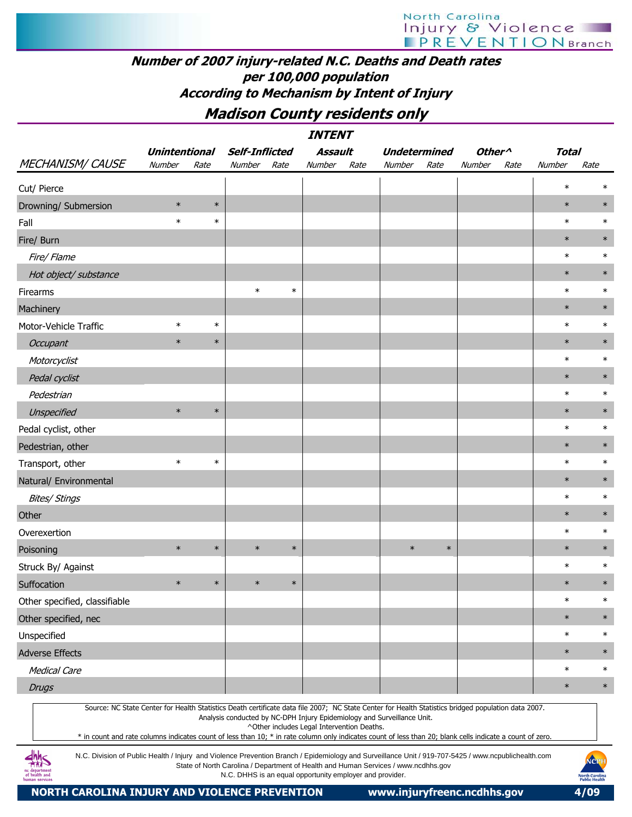## Number of 2007 injury-related N.C. Deaths and Death rates per 100,000 population According to Mechanism by Intent of Injury

Madison County residents only

| <i><b>INTENT</b></i><br><b>Unintentional</b><br><b>Self-Inflicted</b><br>Assault<br><b>Undetermined</b><br>Other <sup>^</sup><br><b>Total</b>                                                                                                                                                                                                                                                                                                                           |        |        |        |        |                                            |      |                                                                                    |        |        |      |        |        |  |
|-------------------------------------------------------------------------------------------------------------------------------------------------------------------------------------------------------------------------------------------------------------------------------------------------------------------------------------------------------------------------------------------------------------------------------------------------------------------------|--------|--------|--------|--------|--------------------------------------------|------|------------------------------------------------------------------------------------|--------|--------|------|--------|--------|--|
|                                                                                                                                                                                                                                                                                                                                                                                                                                                                         |        |        |        |        |                                            |      |                                                                                    |        |        |      |        |        |  |
| <b>MECHANISM/ CAUSE</b>                                                                                                                                                                                                                                                                                                                                                                                                                                                 | Number | Rate   | Number | Rate   | Number                                     | Rate | Number                                                                             | Rate   | Number | Rate | Number | Rate   |  |
| Cut/ Pierce                                                                                                                                                                                                                                                                                                                                                                                                                                                             |        |        |        |        |                                            |      |                                                                                    |        |        |      | $\ast$ | $\ast$ |  |
| Drowning/ Submersion                                                                                                                                                                                                                                                                                                                                                                                                                                                    | $\ast$ | $\ast$ |        |        |                                            |      |                                                                                    |        |        |      | $\ast$ | $\ast$ |  |
| Fall                                                                                                                                                                                                                                                                                                                                                                                                                                                                    | $\ast$ | $\ast$ |        |        |                                            |      |                                                                                    |        |        |      | $\ast$ | $\ast$ |  |
| Fire/ Burn                                                                                                                                                                                                                                                                                                                                                                                                                                                              |        |        |        |        |                                            |      |                                                                                    |        |        |      | $\ast$ | $\ast$ |  |
| Fire/ Flame                                                                                                                                                                                                                                                                                                                                                                                                                                                             |        |        |        |        |                                            |      |                                                                                    |        |        |      | $\ast$ | $\ast$ |  |
| Hot object/ substance                                                                                                                                                                                                                                                                                                                                                                                                                                                   |        |        |        |        |                                            |      |                                                                                    |        |        |      | $\ast$ | $\ast$ |  |
| Firearms                                                                                                                                                                                                                                                                                                                                                                                                                                                                |        |        | $\ast$ | $\ast$ |                                            |      |                                                                                    |        |        |      | $\ast$ | $\ast$ |  |
| Machinery                                                                                                                                                                                                                                                                                                                                                                                                                                                               |        |        |        |        |                                            |      |                                                                                    |        |        |      | $\ast$ | $\ast$ |  |
| Motor-Vehicle Traffic                                                                                                                                                                                                                                                                                                                                                                                                                                                   | $\ast$ | $\ast$ |        |        |                                            |      |                                                                                    |        |        |      | $\ast$ | $\ast$ |  |
| <b>Occupant</b>                                                                                                                                                                                                                                                                                                                                                                                                                                                         | $\ast$ | $\ast$ |        |        |                                            |      |                                                                                    |        |        |      | $\ast$ | $\ast$ |  |
| Motorcyclist                                                                                                                                                                                                                                                                                                                                                                                                                                                            |        |        |        |        |                                            |      |                                                                                    |        |        |      | $\ast$ | $\ast$ |  |
| Pedal cyclist                                                                                                                                                                                                                                                                                                                                                                                                                                                           |        |        |        |        |                                            |      |                                                                                    |        |        |      | $\ast$ | $\ast$ |  |
| Pedestrian                                                                                                                                                                                                                                                                                                                                                                                                                                                              |        |        |        |        |                                            |      |                                                                                    |        |        |      | $\ast$ | $\ast$ |  |
| Unspecified                                                                                                                                                                                                                                                                                                                                                                                                                                                             | $\ast$ | $\ast$ |        |        |                                            |      |                                                                                    |        |        |      | $\ast$ | $\ast$ |  |
| Pedal cyclist, other                                                                                                                                                                                                                                                                                                                                                                                                                                                    |        |        |        |        |                                            |      |                                                                                    |        |        |      | $\ast$ | $\ast$ |  |
| Pedestrian, other                                                                                                                                                                                                                                                                                                                                                                                                                                                       |        |        |        |        |                                            |      |                                                                                    |        |        |      | $\ast$ | $\ast$ |  |
| Transport, other                                                                                                                                                                                                                                                                                                                                                                                                                                                        | $\ast$ | $\ast$ |        |        |                                            |      |                                                                                    |        |        |      | $\ast$ | $\ast$ |  |
| Natural/ Environmental                                                                                                                                                                                                                                                                                                                                                                                                                                                  |        |        |        |        |                                            |      |                                                                                    |        |        |      | $\ast$ | $\ast$ |  |
| <b>Bites/ Stings</b>                                                                                                                                                                                                                                                                                                                                                                                                                                                    |        |        |        |        |                                            |      |                                                                                    |        |        |      | $\ast$ | $\ast$ |  |
| Other                                                                                                                                                                                                                                                                                                                                                                                                                                                                   |        |        |        |        |                                            |      |                                                                                    |        |        |      | $\ast$ | $\ast$ |  |
| Overexertion                                                                                                                                                                                                                                                                                                                                                                                                                                                            |        |        |        |        |                                            |      |                                                                                    |        |        |      | $\ast$ | $\ast$ |  |
| Poisoning                                                                                                                                                                                                                                                                                                                                                                                                                                                               | $\ast$ | $\ast$ | $\ast$ | $\ast$ |                                            |      | $\ast$                                                                             | $\ast$ |        |      | $\ast$ | $\ast$ |  |
| Struck By/ Against                                                                                                                                                                                                                                                                                                                                                                                                                                                      |        |        |        |        |                                            |      |                                                                                    |        |        |      | $\ast$ | $\ast$ |  |
| Suffocation                                                                                                                                                                                                                                                                                                                                                                                                                                                             | $\ast$ | $\ast$ | $\ast$ | $\ast$ |                                            |      |                                                                                    |        |        |      | $\ast$ | $\ast$ |  |
| Other specified, classifiable                                                                                                                                                                                                                                                                                                                                                                                                                                           |        |        |        |        |                                            |      |                                                                                    |        |        |      | $\ast$ | $\ast$ |  |
| Other specified, nec                                                                                                                                                                                                                                                                                                                                                                                                                                                    |        |        |        |        |                                            |      |                                                                                    |        |        |      | $\ast$ | $\ast$ |  |
| Unspecified                                                                                                                                                                                                                                                                                                                                                                                                                                                             |        |        |        |        |                                            |      |                                                                                    |        |        |      | $\ast$ | $\ast$ |  |
| <b>Adverse Effects</b>                                                                                                                                                                                                                                                                                                                                                                                                                                                  |        |        |        |        |                                            |      |                                                                                    |        |        |      | $\ast$ | $\ast$ |  |
| <b>Medical Care</b>                                                                                                                                                                                                                                                                                                                                                                                                                                                     |        |        |        |        |                                            |      |                                                                                    |        |        |      | $\ast$ | $\ast$ |  |
| <b>Drugs</b>                                                                                                                                                                                                                                                                                                                                                                                                                                                            |        |        |        |        |                                            |      |                                                                                    |        |        |      | $\ast$ | $\ast$ |  |
| Source: NC State Center for Health Statistics Death certificate data file 2007; NC State Center for Health Statistics bridged population data 2007.<br>* in count and rate columns indicates count of less than 10; * in rate column only indicates count of less than 20; blank cells indicate a count of zero.<br>N.C. Division of Public Health / Injury and Violence Prevention Branch / Epidemiology and Surveillance Unit / 919-707-5425 / www.ncpublichealth.com |        |        |        |        | ^Other includes Legal Intervention Deaths. |      | Analysis conducted by NC-DPH Injury Epidemiology and Surveillance Unit.            |        |        |      |        |        |  |
|                                                                                                                                                                                                                                                                                                                                                                                                                                                                         |        |        |        |        |                                            |      | State of North Carolina / Department of Health and Human Services / www.ncdhhs.gov |        |        |      |        | NCPH   |  |

N.C. DHHS is an equal opportunity employer and provider.

NORTH CAROLINA INJURY AND VIOLENCE PREVENTION www.injuryfreenc.ncdhhs.gov 4/09

nc department<br>of health and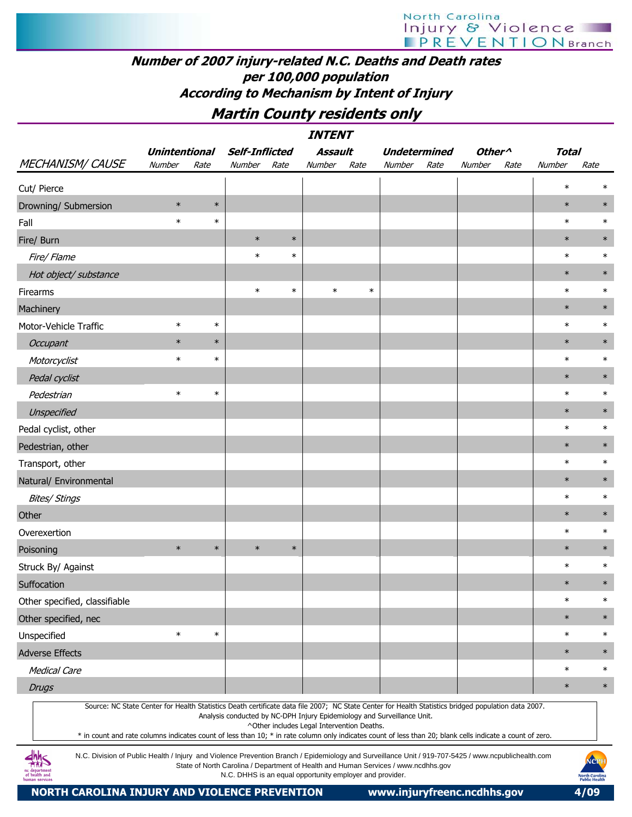## Number of 2007 injury-related N.C. Deaths and Death rates per 100,000 population According to Mechanism by Intent of Injury

## Martin County residents only

|                                                                                                                                                                                                                                                                                                                  | INTENT<br>Assault<br><b>Total</b><br><b>Unintentional</b><br><b>Self-Inflicted</b><br><b>Undetermined</b><br>Other <sup>^</sup> |        |                                                                                                                                                |        |                                            |        |        |      |        |      |        |                        |  |  |
|------------------------------------------------------------------------------------------------------------------------------------------------------------------------------------------------------------------------------------------------------------------------------------------------------------------|---------------------------------------------------------------------------------------------------------------------------------|--------|------------------------------------------------------------------------------------------------------------------------------------------------|--------|--------------------------------------------|--------|--------|------|--------|------|--------|------------------------|--|--|
|                                                                                                                                                                                                                                                                                                                  |                                                                                                                                 |        |                                                                                                                                                |        |                                            |        |        |      |        |      |        |                        |  |  |
| <b>MECHANISM/ CAUSE</b>                                                                                                                                                                                                                                                                                          | Number                                                                                                                          | Rate   | Number                                                                                                                                         | Rate   | <b>Number</b>                              | Rate   | Number | Rate | Number | Rate | Number | Rate                   |  |  |
| Cut/ Pierce                                                                                                                                                                                                                                                                                                      |                                                                                                                                 |        |                                                                                                                                                |        |                                            |        |        |      |        |      | $\ast$ | $\ast$                 |  |  |
| Drowning/ Submersion                                                                                                                                                                                                                                                                                             | $\ast$                                                                                                                          | $\ast$ |                                                                                                                                                |        |                                            |        |        |      |        |      | $\ast$ | $\ast$                 |  |  |
| Fall                                                                                                                                                                                                                                                                                                             | $\ast$                                                                                                                          | $\ast$ |                                                                                                                                                |        |                                            |        |        |      |        |      | $\ast$ | $\ast$                 |  |  |
| Fire/ Burn                                                                                                                                                                                                                                                                                                       |                                                                                                                                 |        | $\ast$                                                                                                                                         | $\ast$ |                                            |        |        |      |        |      | $\ast$ | $\ast$                 |  |  |
| Fire/ Flame                                                                                                                                                                                                                                                                                                      |                                                                                                                                 |        | $\ast$                                                                                                                                         | $\ast$ |                                            |        |        |      |        |      | $\ast$ | $\ast$                 |  |  |
| Hot object/ substance                                                                                                                                                                                                                                                                                            |                                                                                                                                 |        |                                                                                                                                                |        |                                            |        |        |      |        |      | $\ast$ | $\ast$                 |  |  |
| Firearms                                                                                                                                                                                                                                                                                                         |                                                                                                                                 |        | $\ast$                                                                                                                                         | $\ast$ | $\ast$                                     | $\ast$ |        |      |        |      | $\ast$ | $\ast$                 |  |  |
| Machinery                                                                                                                                                                                                                                                                                                        |                                                                                                                                 |        |                                                                                                                                                |        |                                            |        |        |      |        |      | $\ast$ | $\ast$                 |  |  |
| Motor-Vehicle Traffic                                                                                                                                                                                                                                                                                            | $\ast$                                                                                                                          | $\ast$ |                                                                                                                                                |        |                                            |        |        |      |        |      | $\ast$ | $\ast$                 |  |  |
| <b>Occupant</b>                                                                                                                                                                                                                                                                                                  | $\ast$                                                                                                                          | $\ast$ |                                                                                                                                                |        |                                            |        |        |      |        |      | $\ast$ | $\ast$                 |  |  |
| Motorcyclist                                                                                                                                                                                                                                                                                                     | $\ast$                                                                                                                          | $\ast$ |                                                                                                                                                |        |                                            |        |        |      |        |      | $\ast$ | $\ast$                 |  |  |
| Pedal cyclist                                                                                                                                                                                                                                                                                                    |                                                                                                                                 |        |                                                                                                                                                |        |                                            |        |        |      |        |      | $\ast$ | $\ast$                 |  |  |
| Pedestrian                                                                                                                                                                                                                                                                                                       | $\ast$                                                                                                                          | $\ast$ |                                                                                                                                                |        |                                            |        |        |      |        |      | $\ast$ | $\ast$                 |  |  |
| Unspecified                                                                                                                                                                                                                                                                                                      |                                                                                                                                 |        |                                                                                                                                                |        |                                            |        |        |      |        |      | $\ast$ | $\ast$                 |  |  |
| Pedal cyclist, other                                                                                                                                                                                                                                                                                             |                                                                                                                                 |        |                                                                                                                                                |        |                                            |        |        |      |        |      | $\ast$ | $\ast$                 |  |  |
| Pedestrian, other                                                                                                                                                                                                                                                                                                |                                                                                                                                 |        |                                                                                                                                                |        |                                            |        |        |      |        |      | $\ast$ | $\ast$                 |  |  |
| Transport, other                                                                                                                                                                                                                                                                                                 |                                                                                                                                 |        |                                                                                                                                                |        |                                            |        |        |      |        |      | $\ast$ | $\ast$                 |  |  |
| Natural/ Environmental                                                                                                                                                                                                                                                                                           |                                                                                                                                 |        |                                                                                                                                                |        |                                            |        |        |      |        |      | $\ast$ | $\ast$                 |  |  |
| <b>Bites/ Stings</b>                                                                                                                                                                                                                                                                                             |                                                                                                                                 |        |                                                                                                                                                |        |                                            |        |        |      |        |      | $\ast$ | $\ast$                 |  |  |
| Other                                                                                                                                                                                                                                                                                                            |                                                                                                                                 |        |                                                                                                                                                |        |                                            |        |        |      |        |      | $\ast$ | $\ast$                 |  |  |
| Overexertion                                                                                                                                                                                                                                                                                                     |                                                                                                                                 |        |                                                                                                                                                |        |                                            |        |        |      |        |      | $\ast$ | $\ast$                 |  |  |
| Poisoning                                                                                                                                                                                                                                                                                                        | $\ast$                                                                                                                          | $\ast$ | $\ast$                                                                                                                                         | $\ast$ |                                            |        |        |      |        |      | $\ast$ | $\ast$                 |  |  |
| Struck By/ Against                                                                                                                                                                                                                                                                                               |                                                                                                                                 |        |                                                                                                                                                |        |                                            |        |        |      |        |      | $\ast$ | $\ast$                 |  |  |
| Suffocation                                                                                                                                                                                                                                                                                                      |                                                                                                                                 |        |                                                                                                                                                |        |                                            |        |        |      |        |      | $\ast$ | $\ast$                 |  |  |
| Other specified, classifiable                                                                                                                                                                                                                                                                                    |                                                                                                                                 |        |                                                                                                                                                |        |                                            |        |        |      |        |      | $\ast$ | $\ast$                 |  |  |
| Other specified, nec                                                                                                                                                                                                                                                                                             |                                                                                                                                 |        |                                                                                                                                                |        |                                            |        |        |      |        |      | $\ast$ | $\ast$                 |  |  |
| Unspecified                                                                                                                                                                                                                                                                                                      | $\ast$                                                                                                                          | $\ast$ |                                                                                                                                                |        |                                            |        |        |      |        |      | $\ast$ | $\ast$                 |  |  |
| <b>Adverse Effects</b>                                                                                                                                                                                                                                                                                           |                                                                                                                                 |        |                                                                                                                                                |        |                                            |        |        |      |        |      | $\ast$ | $\ast$                 |  |  |
| <b>Medical Care</b>                                                                                                                                                                                                                                                                                              |                                                                                                                                 |        |                                                                                                                                                |        |                                            |        |        |      |        |      | $\ast$ | $\ast$                 |  |  |
| <b>Drugs</b>                                                                                                                                                                                                                                                                                                     |                                                                                                                                 |        |                                                                                                                                                |        |                                            |        |        |      |        |      | $\ast$ | $\ast$                 |  |  |
| Source: NC State Center for Health Statistics Death certificate data file 2007; NC State Center for Health Statistics bridged population data 2007.<br>* in count and rate columns indicates count of less than 10; * in rate column only indicates count of less than 20; blank cells indicate a count of zero. |                                                                                                                                 |        | Analysis conducted by NC-DPH Injury Epidemiology and Surveillance Unit.                                                                        |        | ^Other includes Legal Intervention Deaths. |        |        |      |        |      |        |                        |  |  |
| N.C. Division of Public Health / Injury and Violence Prevention Branch / Epidemiology and Surveillance Unit / 919-707-5425 / www.ncpublichealth.com<br>of health and                                                                                                                                             |                                                                                                                                 |        | State of North Carolina / Department of Health and Human Services / www.ncdhhs.gov<br>N.C. DHHS is an equal opportunity employer and provider. |        |                                            |        |        |      |        |      |        | NCPH<br>North Carolina |  |  |

N.C. DHHS is an equal opportunity employer and provider.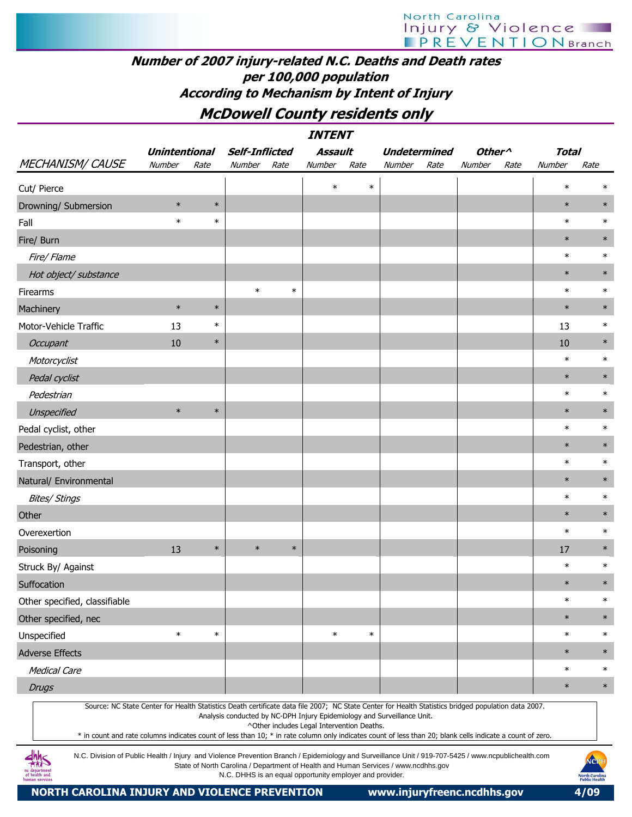## Number of 2007 injury-related N.C. Deaths and Death rates per 100,000 population According to Mechanism by Intent of Injury

## McDowell County residents only

|                               |                      |        |                       |        | <b>INTENT</b>                              |        |                                                                                                                                                                                                                                                                                                                                                                                             |                                      |      |              |        |  |
|-------------------------------|----------------------|--------|-----------------------|--------|--------------------------------------------|--------|---------------------------------------------------------------------------------------------------------------------------------------------------------------------------------------------------------------------------------------------------------------------------------------------------------------------------------------------------------------------------------------------|--------------------------------------|------|--------------|--------|--|
|                               | <b>Unintentional</b> |        | <b>Self-Inflicted</b> |        | Assault                                    |        | <b>Undetermined</b>                                                                                                                                                                                                                                                                                                                                                                         | Other <sup><math>\wedge</math></sup> |      | <b>Total</b> |        |  |
| <b>MECHANISM/ CAUSE</b>       | Number               | Rate   | Number                | Rate   | Number                                     | Rate   | Number<br>Rate                                                                                                                                                                                                                                                                                                                                                                              | Number                               | Rate | Number       | Rate   |  |
| Cut/ Pierce                   |                      |        |                       |        | $\ast$                                     | $\ast$ |                                                                                                                                                                                                                                                                                                                                                                                             |                                      |      | $\ast$       | $\ast$ |  |
| Drowning/ Submersion          | $\ast$               | $\ast$ |                       |        |                                            |        |                                                                                                                                                                                                                                                                                                                                                                                             |                                      |      | $\ast$       | $\ast$ |  |
| Fall                          | $\ast$               | $\ast$ |                       |        |                                            |        |                                                                                                                                                                                                                                                                                                                                                                                             |                                      |      | $\ast$       | $\ast$ |  |
| Fire/ Burn                    |                      |        |                       |        |                                            |        |                                                                                                                                                                                                                                                                                                                                                                                             |                                      |      | $\ast$       | $\ast$ |  |
| Fire/ Flame                   |                      |        |                       |        |                                            |        |                                                                                                                                                                                                                                                                                                                                                                                             |                                      |      | $\ast$       | $\ast$ |  |
| Hot object/ substance         |                      |        |                       |        |                                            |        |                                                                                                                                                                                                                                                                                                                                                                                             |                                      |      | $\ast$       | $\ast$ |  |
| Firearms                      |                      |        | $\ast$                | $\ast$ |                                            |        |                                                                                                                                                                                                                                                                                                                                                                                             |                                      |      | $\ast$       | $\ast$ |  |
| Machinery                     | $\ast$               | $\ast$ |                       |        |                                            |        |                                                                                                                                                                                                                                                                                                                                                                                             |                                      |      | $\ast$       | $\ast$ |  |
| Motor-Vehicle Traffic         | 13                   | $\ast$ |                       |        |                                            |        |                                                                                                                                                                                                                                                                                                                                                                                             |                                      |      | 13           | $\ast$ |  |
| <b>Occupant</b>               | 10                   | $\ast$ |                       |        |                                            |        |                                                                                                                                                                                                                                                                                                                                                                                             |                                      |      | 10           | $\ast$ |  |
| Motorcyclist                  |                      |        |                       |        |                                            |        |                                                                                                                                                                                                                                                                                                                                                                                             |                                      |      | $\ast$       | $\ast$ |  |
| Pedal cyclist                 |                      |        |                       |        |                                            |        |                                                                                                                                                                                                                                                                                                                                                                                             |                                      |      | $\ast$       | $\ast$ |  |
| Pedestrian                    |                      |        |                       |        |                                            |        |                                                                                                                                                                                                                                                                                                                                                                                             |                                      |      | $\ast$       | $\ast$ |  |
| Unspecified                   | $\ast$               | $\ast$ |                       |        |                                            |        |                                                                                                                                                                                                                                                                                                                                                                                             |                                      |      | $\ast$       | $\ast$ |  |
| Pedal cyclist, other          |                      |        |                       |        |                                            |        |                                                                                                                                                                                                                                                                                                                                                                                             |                                      |      | $\ast$       | $\ast$ |  |
| Pedestrian, other             |                      |        |                       |        |                                            |        |                                                                                                                                                                                                                                                                                                                                                                                             |                                      |      | $\ast$       | $\ast$ |  |
| Transport, other              |                      |        |                       |        |                                            |        |                                                                                                                                                                                                                                                                                                                                                                                             |                                      |      | $\ast$       | $\ast$ |  |
| Natural/ Environmental        |                      |        |                       |        |                                            |        |                                                                                                                                                                                                                                                                                                                                                                                             |                                      |      | $\ast$       | $\ast$ |  |
| <b>Bites/ Stings</b>          |                      |        |                       |        |                                            |        |                                                                                                                                                                                                                                                                                                                                                                                             |                                      |      | $\ast$       | $\ast$ |  |
| Other                         |                      |        |                       |        |                                            |        |                                                                                                                                                                                                                                                                                                                                                                                             |                                      |      | $\ast$       | $\ast$ |  |
| Overexertion                  |                      |        |                       |        |                                            |        |                                                                                                                                                                                                                                                                                                                                                                                             |                                      |      | $\ast$       | $\ast$ |  |
| Poisoning                     | 13                   | $\ast$ | $\ast$                | $\ast$ |                                            |        |                                                                                                                                                                                                                                                                                                                                                                                             |                                      |      | 17           | $\ast$ |  |
| Struck By/ Against            |                      |        |                       |        |                                            |        |                                                                                                                                                                                                                                                                                                                                                                                             |                                      |      | $\ast$       | $\ast$ |  |
| Suffocation                   |                      |        |                       |        |                                            |        |                                                                                                                                                                                                                                                                                                                                                                                             |                                      |      | $\ast$       | $\ast$ |  |
| Other specified, classifiable |                      |        |                       |        |                                            |        |                                                                                                                                                                                                                                                                                                                                                                                             |                                      |      | $\ast$       | $\ast$ |  |
| Other specified, nec          |                      |        |                       |        |                                            |        |                                                                                                                                                                                                                                                                                                                                                                                             |                                      |      | $\ast$       | $\ast$ |  |
| Unspecified                   | $\ast$               | $\ast$ |                       |        | $\ast$                                     | $\ast$ |                                                                                                                                                                                                                                                                                                                                                                                             |                                      |      | $\ast$       | $\ast$ |  |
| <b>Adverse Effects</b>        |                      |        |                       |        |                                            |        |                                                                                                                                                                                                                                                                                                                                                                                             |                                      |      | $\ast$       | $\ast$ |  |
| <b>Medical Care</b>           |                      |        |                       |        |                                            |        |                                                                                                                                                                                                                                                                                                                                                                                             |                                      |      | $\ast$       | $\ast$ |  |
| <b>Drugs</b>                  |                      |        |                       |        |                                            |        |                                                                                                                                                                                                                                                                                                                                                                                             |                                      |      | $\ast$       | $\ast$ |  |
|                               |                      |        |                       |        | ^Other includes Legal Intervention Deaths. |        | Source: NC State Center for Health Statistics Death certificate data file 2007; NC State Center for Health Statistics bridged population data 2007.<br>Analysis conducted by NC-DPH Injury Epidemiology and Surveillance Unit.<br>* in count and rate columns indicates count of less than 10; * in rate column only indicates count of less than 20; blank cells indicate a count of zero. |                                      |      |              |        |  |

N.C. Division of Public Health / Injury and Violence Prevention Branch / Epidemiology and Surveillance Unit / 919-707-5425 / www.ncpublichealth.com State of North Carolina / Department of Health and Human Services / www.ncdhhs.gov N.C. DHHS is an equal opportunity employer and provider.

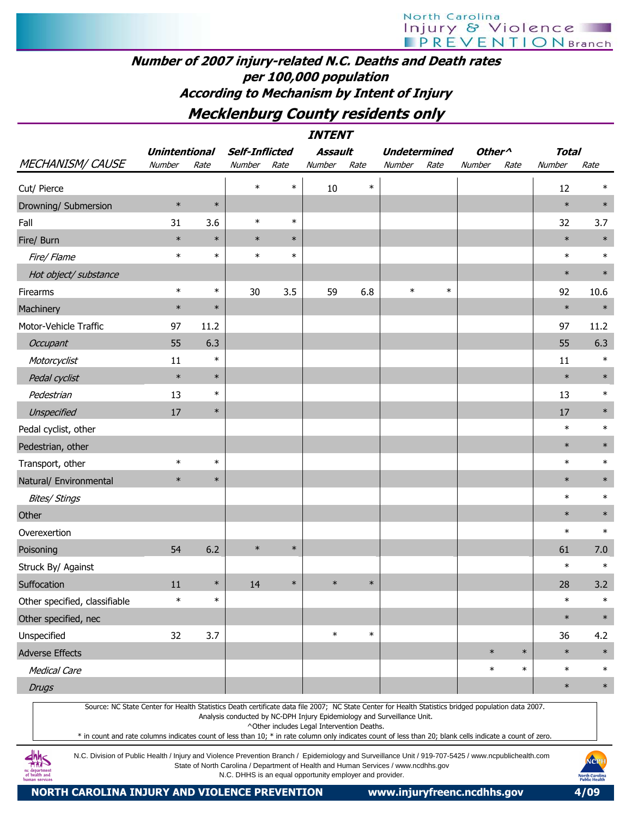## Number of 2007 injury-related N.C. Deaths and Death rates per 100,000 population According to Mechanism by Intent of Injury

## Mecklenburg County residents only

INTENT

|                                                                                                                                                     | <b>Unintentional</b> |        | <b>Self-Inflicted</b>                                                   |        | Assault |        | <b>Undetermined</b> |        | Other <sup>^</sup> |        | <b>Total</b> |        |
|-----------------------------------------------------------------------------------------------------------------------------------------------------|----------------------|--------|-------------------------------------------------------------------------|--------|---------|--------|---------------------|--------|--------------------|--------|--------------|--------|
| <b>MECHANISM/ CAUSE</b>                                                                                                                             | Number               | Rate   | Number                                                                  | Rate   | Number  | Rate   | Number              | Rate   | Number             | Rate   | Number       | Rate   |
| Cut/ Pierce                                                                                                                                         |                      |        | $\ast$                                                                  | $\ast$ | 10      | $\ast$ |                     |        |                    |        | 12           | $\ast$ |
| Drowning/ Submersion                                                                                                                                | $\ast$               | $\ast$ |                                                                         |        |         |        |                     |        |                    |        | $\ast$       | $\ast$ |
| Fall                                                                                                                                                | 31                   | 3.6    | $\ast$                                                                  | $\ast$ |         |        |                     |        |                    |        | 32           | 3.7    |
| Fire/ Burn                                                                                                                                          | $\ast$               | $\ast$ | $\ast$                                                                  | $\ast$ |         |        |                     |        |                    |        | $\ast$       | $\ast$ |
| Fire/Flame                                                                                                                                          | $\ast$               | $\ast$ | $\ast$                                                                  | $\ast$ |         |        |                     |        |                    |        | $\ast$       | $\ast$ |
| Hot object/ substance                                                                                                                               |                      |        |                                                                         |        |         |        |                     |        |                    |        | $\ast$       | $\ast$ |
| Firearms                                                                                                                                            | $\ast$               | $\ast$ | 30                                                                      | 3.5    | 59      | 6.8    | $\ast$              | $\ast$ |                    |        | 92           | 10.6   |
| Machinery                                                                                                                                           | $\ast$               | $\ast$ |                                                                         |        |         |        |                     |        |                    |        | $\ast$       | $\ast$ |
| Motor-Vehicle Traffic                                                                                                                               | 97                   | 11.2   |                                                                         |        |         |        |                     |        |                    |        | 97           | 11.2   |
| Occupant                                                                                                                                            | 55                   | 6.3    |                                                                         |        |         |        |                     |        |                    |        | 55           | 6.3    |
| Motorcyclist                                                                                                                                        | 11                   | $\ast$ |                                                                         |        |         |        |                     |        |                    |        | 11           | $\ast$ |
| Pedal cyclist                                                                                                                                       | $\ast$               | $\ast$ |                                                                         |        |         |        |                     |        |                    |        | $\ast$       | $\ast$ |
| Pedestrian                                                                                                                                          | 13                   | $\ast$ |                                                                         |        |         |        |                     |        |                    |        | 13           | $\ast$ |
| Unspecified                                                                                                                                         | 17                   | $\ast$ |                                                                         |        |         |        |                     |        |                    |        | 17           | $\ast$ |
| Pedal cyclist, other                                                                                                                                |                      |        |                                                                         |        |         |        |                     |        |                    |        | $\ast$       | $\ast$ |
| Pedestrian, other                                                                                                                                   |                      |        |                                                                         |        |         |        |                     |        |                    |        | $\ast$       | $\ast$ |
| Transport, other                                                                                                                                    | $\ast$               | $\ast$ |                                                                         |        |         |        |                     |        |                    |        | $\ast$       | $\ast$ |
| Natural/ Environmental                                                                                                                              | $\ast$               | $\ast$ |                                                                         |        |         |        |                     |        |                    |        | $\ast$       | $\ast$ |
| <b>Bites/ Stings</b>                                                                                                                                |                      |        |                                                                         |        |         |        |                     |        |                    |        | $\ast$       | $\ast$ |
| Other                                                                                                                                               |                      |        |                                                                         |        |         |        |                     |        |                    |        | $\ast$       | $\ast$ |
| Overexertion                                                                                                                                        |                      |        |                                                                         |        |         |        |                     |        |                    |        | $\ast$       | $\ast$ |
| Poisoning                                                                                                                                           | 54                   | 6.2    | $\ast$                                                                  | $\ast$ |         |        |                     |        |                    |        | 61           | 7.0    |
| Struck By/ Against                                                                                                                                  |                      |        |                                                                         |        |         |        |                     |        |                    |        | $\ast$       | $\ast$ |
| Suffocation                                                                                                                                         | 11                   | $\ast$ | 14                                                                      | $\ast$ | $\ast$  | $\ast$ |                     |        |                    |        | 28           | 3.2    |
| Other specified, classifiable                                                                                                                       | $\ast$               | $\ast$ |                                                                         |        |         |        |                     |        |                    |        | $\ast$       | $\ast$ |
| Other specified, nec                                                                                                                                |                      |        |                                                                         |        |         |        |                     |        |                    |        | $\ast$       | $\ast$ |
| Unspecified                                                                                                                                         | 32                   | 3.7    |                                                                         |        | $\ast$  | $\ast$ |                     |        |                    |        | 36           | 4.2    |
| <b>Adverse Effects</b>                                                                                                                              |                      |        |                                                                         |        |         |        |                     |        | $\ast$             | $\ast$ | $\ast$       | $\ast$ |
| <b>Medical Care</b>                                                                                                                                 |                      |        |                                                                         |        |         |        |                     |        | $\ast$             | $\ast$ | $\ast$       | $\ast$ |
| <b>Drugs</b>                                                                                                                                        |                      |        |                                                                         |        |         |        |                     |        |                    |        | $\ast$       | $\ast$ |
| Source: NC State Center for Health Statistics Death certificate data file 2007; NC State Center for Health Statistics bridged population data 2007. |                      |        | Analysis conducted by NC-DPH Injury Epidemiology and Surveillance Unit. |        |         |        |                     |        |                    |        |              |        |

^Other includes Legal Intervention Deaths.

\* in count and rate columns indicates count of less than 10; \* in rate column only indicates count of less than 20; blank cells indicate a count of zero.

N.C. Division of Public Health / Injury and Violence Prevention Branch / Epidemiology and Surveillance Unit / 919-707-5425 / www.ncpublichealth.com State of North Carolina / Department of Health and Human Services / www.ncdhhs.gov N.C. DHHS is an equal opportunity employer and provider.

 $\frac{dhh}{dhS}$ 

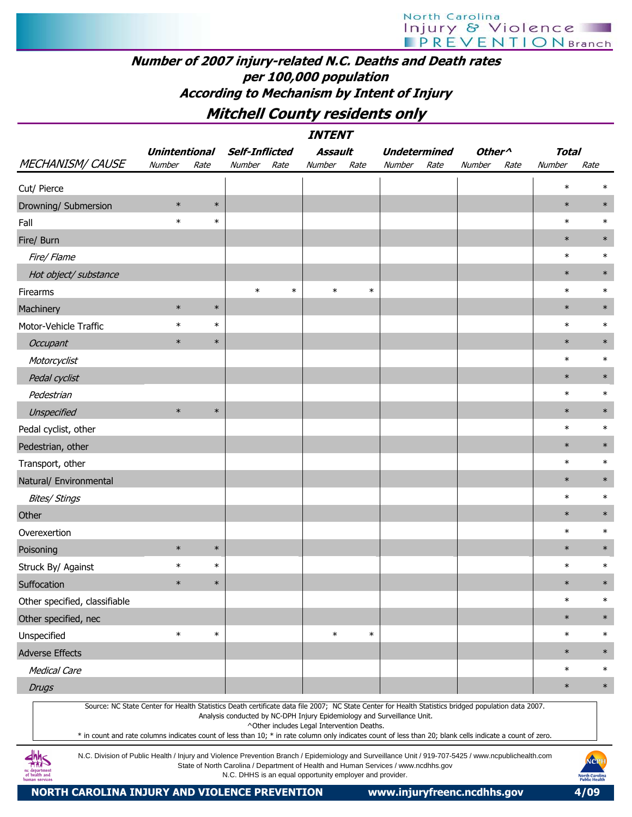## Number of 2007 injury-related N.C. Deaths and Death rates per 100,000 population According to Mechanism by Intent of Injury

Mitchell County residents only

|                               |                      |        |                       | <b>INTENT</b>                                                                                                         |                                                                                                                                                                                                                                                                                                                  |                    |              |        |
|-------------------------------|----------------------|--------|-----------------------|-----------------------------------------------------------------------------------------------------------------------|------------------------------------------------------------------------------------------------------------------------------------------------------------------------------------------------------------------------------------------------------------------------------------------------------------------|--------------------|--------------|--------|
|                               | <b>Unintentional</b> |        | <b>Self-Inflicted</b> | Assault                                                                                                               | <b>Undetermined</b>                                                                                                                                                                                                                                                                                              | Other <sup>^</sup> | <b>Total</b> |        |
| <b>MECHANISM/CAUSE</b>        | Number               | Rate   | Number<br>Rate        | Number<br>Rate                                                                                                        | Number<br>Rate                                                                                                                                                                                                                                                                                                   | Number<br>Rate     | Number       | Rate   |
| Cut/ Pierce                   |                      |        |                       |                                                                                                                       |                                                                                                                                                                                                                                                                                                                  |                    | $\ast$       | $\ast$ |
| Drowning/ Submersion          | $\ast$               | $\ast$ |                       |                                                                                                                       |                                                                                                                                                                                                                                                                                                                  |                    | $\ast$       | $\ast$ |
| Fall                          | $\ast$               | $\ast$ |                       |                                                                                                                       |                                                                                                                                                                                                                                                                                                                  |                    | $\ast$       | $\ast$ |
| Fire/ Burn                    |                      |        |                       |                                                                                                                       |                                                                                                                                                                                                                                                                                                                  |                    | $\ast$       | $\ast$ |
| Fire/ Flame                   |                      |        |                       |                                                                                                                       |                                                                                                                                                                                                                                                                                                                  |                    | $\ast$       | $\ast$ |
| Hot object/ substance         |                      |        |                       |                                                                                                                       |                                                                                                                                                                                                                                                                                                                  |                    | $\ast$       | $\ast$ |
| Firearms                      |                      |        | $\ast$                | $\ast$<br>$\ast$                                                                                                      | $\ast$                                                                                                                                                                                                                                                                                                           |                    | $\ast$       | $\ast$ |
| Machinery                     | $\ast$               | $\ast$ |                       |                                                                                                                       |                                                                                                                                                                                                                                                                                                                  |                    | $\ast$       | $\ast$ |
| Motor-Vehicle Traffic         | $\ast$               | $\ast$ |                       |                                                                                                                       |                                                                                                                                                                                                                                                                                                                  |                    | $\ast$       | $\ast$ |
| Occupant                      | $\ast$               | $\ast$ |                       |                                                                                                                       |                                                                                                                                                                                                                                                                                                                  |                    | $\ast$       | $\ast$ |
| Motorcyclist                  |                      |        |                       |                                                                                                                       |                                                                                                                                                                                                                                                                                                                  |                    | $\ast$       | $\ast$ |
| Pedal cyclist                 |                      |        |                       |                                                                                                                       |                                                                                                                                                                                                                                                                                                                  |                    | $\ast$       | $\ast$ |
| Pedestrian                    |                      |        |                       |                                                                                                                       |                                                                                                                                                                                                                                                                                                                  |                    | $\ast$       | $\ast$ |
| Unspecified                   | $\ast$               | $\ast$ |                       |                                                                                                                       |                                                                                                                                                                                                                                                                                                                  |                    | $\ast$       | $\ast$ |
| Pedal cyclist, other          |                      |        |                       |                                                                                                                       |                                                                                                                                                                                                                                                                                                                  |                    | $\ast$       | $\ast$ |
| Pedestrian, other             |                      |        |                       |                                                                                                                       |                                                                                                                                                                                                                                                                                                                  |                    | $\ast$       | $\ast$ |
| Transport, other              |                      |        |                       |                                                                                                                       |                                                                                                                                                                                                                                                                                                                  |                    | $\ast$       | $\ast$ |
| Natural/ Environmental        |                      |        |                       |                                                                                                                       |                                                                                                                                                                                                                                                                                                                  |                    | $\ast$       | $\ast$ |
| <b>Bites/ Stings</b>          |                      |        |                       |                                                                                                                       |                                                                                                                                                                                                                                                                                                                  |                    | $\ast$       | $\ast$ |
| Other                         |                      |        |                       |                                                                                                                       |                                                                                                                                                                                                                                                                                                                  |                    | $\ast$       | $\ast$ |
| Overexertion                  |                      |        |                       |                                                                                                                       |                                                                                                                                                                                                                                                                                                                  |                    | $\ast$       | $\ast$ |
| Poisoning                     | $\ast$               | $\ast$ |                       |                                                                                                                       |                                                                                                                                                                                                                                                                                                                  |                    | $\ast$       | $\ast$ |
| Struck By/ Against            | $\ast$               | $\ast$ |                       |                                                                                                                       |                                                                                                                                                                                                                                                                                                                  |                    | $\ast$       | $\ast$ |
| Suffocation                   | $\ast$               | $\ast$ |                       |                                                                                                                       |                                                                                                                                                                                                                                                                                                                  |                    | $\ast$       | $\ast$ |
| Other specified, classifiable |                      |        |                       |                                                                                                                       |                                                                                                                                                                                                                                                                                                                  |                    | $\ast$       | $\ast$ |
| Other specified, nec          |                      |        |                       |                                                                                                                       |                                                                                                                                                                                                                                                                                                                  |                    | $\ast$       | $\ast$ |
| Unspecified                   | $\ast$               | $\ast$ |                       | $\ast$                                                                                                                | $\ast$                                                                                                                                                                                                                                                                                                           |                    | $\ast$       | $\ast$ |
| <b>Adverse Effects</b>        |                      |        |                       |                                                                                                                       |                                                                                                                                                                                                                                                                                                                  |                    | $\ast$       | $\ast$ |
| <b>Medical Care</b>           |                      |        |                       |                                                                                                                       |                                                                                                                                                                                                                                                                                                                  |                    | $\ast$       | $\ast$ |
| <b>Drugs</b>                  |                      |        |                       |                                                                                                                       |                                                                                                                                                                                                                                                                                                                  |                    | $\ast$       | $\ast$ |
| J L L                         |                      |        |                       | Analysis conducted by NC-DPH Injury Epidemiology and Surveillance Unit.<br>^Other includes Legal Intervention Deaths. | Source: NC State Center for Health Statistics Death certificate data file 2007; NC State Center for Health Statistics bridged population data 2007.<br>* in count and rate columns indicates count of less than 10; * in rate column only indicates count of less than 20; blank cells indicate a count of zero. |                    |              |        |

N.C. Division of Public Health / Injury and Violence Prevention Branch / Epidemiology and Surveillance Unit / 919-707-5425 / www.ncpublichealth.com State of North Carolina / Department of Health and Human Services / www.ncdhhs.gov N.C. DHHS is an equal opportunity employer and provider.

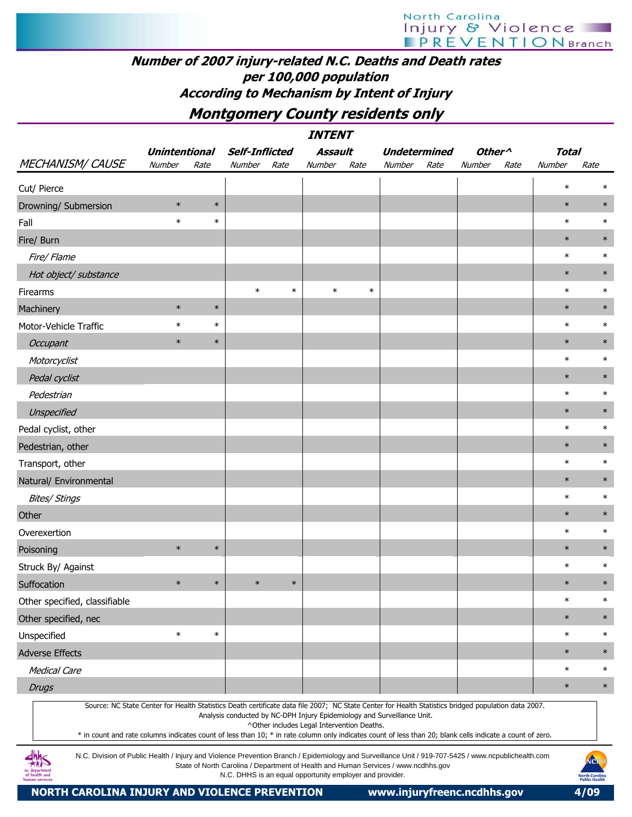## Number of 2007 injury-related N.C. Deaths and Death rates per 100,000 population According to Mechanism by Intent of Injury

Montgomery County residents only

|                                                                                                                                                                                                                                                                                                                                                                                                                                                                         |                      |        |                       |        | <b>INTENT</b>                              |        |                                                                                                                                                               |      |                                      |      |              |        |
|-------------------------------------------------------------------------------------------------------------------------------------------------------------------------------------------------------------------------------------------------------------------------------------------------------------------------------------------------------------------------------------------------------------------------------------------------------------------------|----------------------|--------|-----------------------|--------|--------------------------------------------|--------|---------------------------------------------------------------------------------------------------------------------------------------------------------------|------|--------------------------------------|------|--------------|--------|
|                                                                                                                                                                                                                                                                                                                                                                                                                                                                         | <b>Unintentional</b> |        | <b>Self-Inflicted</b> |        | Assault                                    |        | <b>Undetermined</b>                                                                                                                                           |      | Other <sup><math>\wedge</math></sup> |      | <b>Total</b> |        |
| <b>MECHANISM/ CAUSE</b>                                                                                                                                                                                                                                                                                                                                                                                                                                                 | Number               | Rate   | Number                | Rate   | Number                                     | Rate   | Number                                                                                                                                                        | Rate | Number                               | Rate | Number       | Rate   |
| Cut/ Pierce                                                                                                                                                                                                                                                                                                                                                                                                                                                             |                      |        |                       |        |                                            |        |                                                                                                                                                               |      |                                      |      | $\ast$       | $\ast$ |
| Drowning/ Submersion                                                                                                                                                                                                                                                                                                                                                                                                                                                    | $\ast$               | $\ast$ |                       |        |                                            |        |                                                                                                                                                               |      |                                      |      | $\ast$       | $\ast$ |
| Fall                                                                                                                                                                                                                                                                                                                                                                                                                                                                    | $\ast$               | $\ast$ |                       |        |                                            |        |                                                                                                                                                               |      |                                      |      | $\ast$       | $\ast$ |
| Fire/ Burn                                                                                                                                                                                                                                                                                                                                                                                                                                                              |                      |        |                       |        |                                            |        |                                                                                                                                                               |      |                                      |      | $\ast$       | $\ast$ |
| Fire/ Flame                                                                                                                                                                                                                                                                                                                                                                                                                                                             |                      |        |                       |        |                                            |        |                                                                                                                                                               |      |                                      |      | $\ast$       | $\ast$ |
| Hot object/ substance                                                                                                                                                                                                                                                                                                                                                                                                                                                   |                      |        |                       |        |                                            |        |                                                                                                                                                               |      |                                      |      | $\ast$       | $\ast$ |
| Firearms                                                                                                                                                                                                                                                                                                                                                                                                                                                                |                      |        | $\ast$                | $\ast$ | $\ast$                                     | $\ast$ |                                                                                                                                                               |      |                                      |      | $\ast$       | $\ast$ |
| Machinery                                                                                                                                                                                                                                                                                                                                                                                                                                                               | $\ast$               | $\ast$ |                       |        |                                            |        |                                                                                                                                                               |      |                                      |      | $\ast$       | $\ast$ |
| Motor-Vehicle Traffic                                                                                                                                                                                                                                                                                                                                                                                                                                                   | $\ast$               | $\ast$ |                       |        |                                            |        |                                                                                                                                                               |      |                                      |      | $\ast$       | $\ast$ |
| <b>Occupant</b>                                                                                                                                                                                                                                                                                                                                                                                                                                                         | $\ast$               | $\ast$ |                       |        |                                            |        |                                                                                                                                                               |      |                                      |      | $\ast$       | $\ast$ |
| Motorcyclist                                                                                                                                                                                                                                                                                                                                                                                                                                                            |                      |        |                       |        |                                            |        |                                                                                                                                                               |      |                                      |      | $\ast$       | $\ast$ |
| Pedal cyclist                                                                                                                                                                                                                                                                                                                                                                                                                                                           |                      |        |                       |        |                                            |        |                                                                                                                                                               |      |                                      |      | $\ast$       | $\ast$ |
| Pedestrian                                                                                                                                                                                                                                                                                                                                                                                                                                                              |                      |        |                       |        |                                            |        |                                                                                                                                                               |      |                                      |      | $\ast$       | $\ast$ |
| Unspecified                                                                                                                                                                                                                                                                                                                                                                                                                                                             |                      |        |                       |        |                                            |        |                                                                                                                                                               |      |                                      |      | $\ast$       | $\ast$ |
| Pedal cyclist, other                                                                                                                                                                                                                                                                                                                                                                                                                                                    |                      |        |                       |        |                                            |        |                                                                                                                                                               |      |                                      |      | $\ast$       | $\ast$ |
| Pedestrian, other                                                                                                                                                                                                                                                                                                                                                                                                                                                       |                      |        |                       |        |                                            |        |                                                                                                                                                               |      |                                      |      | $\ast$       | $\ast$ |
| Transport, other                                                                                                                                                                                                                                                                                                                                                                                                                                                        |                      |        |                       |        |                                            |        |                                                                                                                                                               |      |                                      |      | $\ast$       | $\ast$ |
| Natural/ Environmental                                                                                                                                                                                                                                                                                                                                                                                                                                                  |                      |        |                       |        |                                            |        |                                                                                                                                                               |      |                                      |      | $\ast$       | $\ast$ |
| <b>Bites/ Stings</b>                                                                                                                                                                                                                                                                                                                                                                                                                                                    |                      |        |                       |        |                                            |        |                                                                                                                                                               |      |                                      |      | $\ast$       | $\ast$ |
| Other                                                                                                                                                                                                                                                                                                                                                                                                                                                                   |                      |        |                       |        |                                            |        |                                                                                                                                                               |      |                                      |      | $\ast$       | $\ast$ |
| Overexertion                                                                                                                                                                                                                                                                                                                                                                                                                                                            |                      |        |                       |        |                                            |        |                                                                                                                                                               |      |                                      |      | $\ast$       | $\ast$ |
| Poisoning                                                                                                                                                                                                                                                                                                                                                                                                                                                               | $\ast$               | $\ast$ |                       |        |                                            |        |                                                                                                                                                               |      |                                      |      | $\ast$       | $\ast$ |
| Struck By/ Against                                                                                                                                                                                                                                                                                                                                                                                                                                                      |                      |        |                       |        |                                            |        |                                                                                                                                                               |      |                                      |      | $\ast$       | $\ast$ |
| Suffocation                                                                                                                                                                                                                                                                                                                                                                                                                                                             | $\ast$               | $\ast$ | $\ast$                | $\ast$ |                                            |        |                                                                                                                                                               |      |                                      |      | $\ast$       | $\ast$ |
| Other specified, classifiable                                                                                                                                                                                                                                                                                                                                                                                                                                           |                      |        |                       |        |                                            |        |                                                                                                                                                               |      |                                      |      | $\ast$       | $\ast$ |
| Other specified, nec                                                                                                                                                                                                                                                                                                                                                                                                                                                    |                      |        |                       |        |                                            |        |                                                                                                                                                               |      |                                      |      | $\ast$       | $\ast$ |
| Unspecified                                                                                                                                                                                                                                                                                                                                                                                                                                                             | $\ast$               | $\ast$ |                       |        |                                            |        |                                                                                                                                                               |      |                                      |      | $\ast$       | $\ast$ |
| <b>Adverse Effects</b>                                                                                                                                                                                                                                                                                                                                                                                                                                                  |                      |        |                       |        |                                            |        |                                                                                                                                                               |      |                                      |      | $\ast$       | $\ast$ |
| <b>Medical Care</b>                                                                                                                                                                                                                                                                                                                                                                                                                                                     |                      |        |                       |        |                                            |        |                                                                                                                                                               |      |                                      |      | $\ast$       | $\ast$ |
| <b>Drugs</b>                                                                                                                                                                                                                                                                                                                                                                                                                                                            |                      |        |                       |        |                                            |        |                                                                                                                                                               |      |                                      |      | $\ast$       | $\ast$ |
| Source: NC State Center for Health Statistics Death certificate data file 2007; NC State Center for Health Statistics bridged population data 2007.<br>* in count and rate columns indicates count of less than 10; * in rate column only indicates count of less than 20; blank cells indicate a count of zero.<br>N.C. Division of Public Health / Injury and Violence Prevention Branch / Epidemiology and Surveillance Unit / 919-707-5425 / www.ncpublichealth.com |                      |        |                       |        | ^Other includes Legal Intervention Deaths. |        | Analysis conducted by NC-DPH Injury Epidemiology and Surveillance Unit.<br>State of North Carolina / Department of Health and Human Services / www.ncdhhs.gov |      |                                      |      |              | NOPH   |

N.C. DHHS is an equal opportunity employer and provider.

City nc department<br>of health and

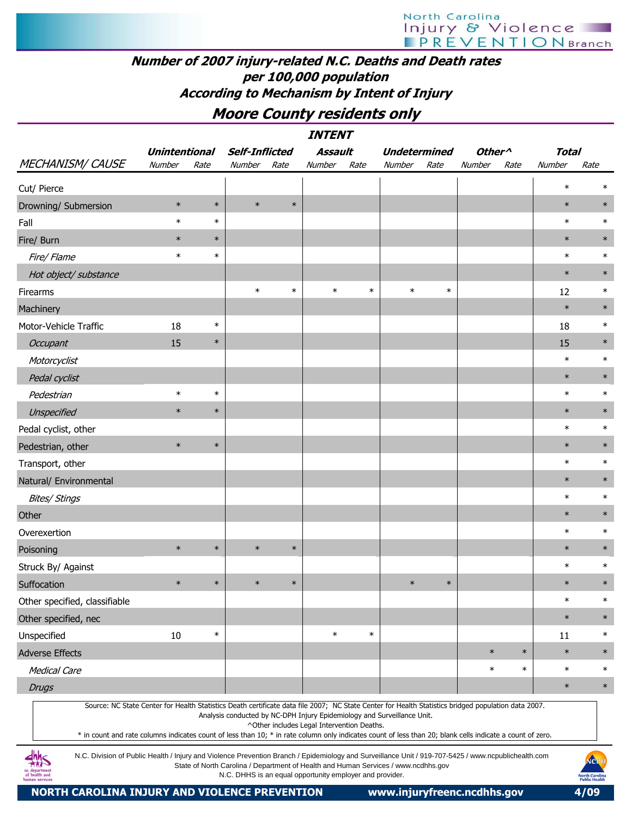## Number of 2007 injury-related N.C. Deaths and Death rates per 100,000 population According to Mechanism by Intent of Injury

Moore County residents only

|                                                                                                                                                     |                      |        |                                                                         |        | <b>INTENT</b>                              |        |        |                     |                    |        |              |        |
|-----------------------------------------------------------------------------------------------------------------------------------------------------|----------------------|--------|-------------------------------------------------------------------------|--------|--------------------------------------------|--------|--------|---------------------|--------------------|--------|--------------|--------|
|                                                                                                                                                     | <b>Unintentional</b> |        | <b>Self-Inflicted</b>                                                   |        | <b>Assault</b>                             |        |        | <b>Undetermined</b> | Other <sup>^</sup> |        | <b>Total</b> |        |
| <b>MECHANISM/ CAUSE</b>                                                                                                                             | Number               | Rate   | Number                                                                  | Rate   | Number                                     | Rate   | Number | Rate                | Number             | Rate   | Number       | Rate   |
| Cut/ Pierce                                                                                                                                         |                      |        |                                                                         |        |                                            |        |        |                     |                    |        | $\ast$       | $\ast$ |
| Drowning/ Submersion                                                                                                                                | $\ast$               | $\ast$ | $\ast$                                                                  | $\ast$ |                                            |        |        |                     |                    |        | $\ast$       | $\ast$ |
| Fall                                                                                                                                                | $\ast$               | $\ast$ |                                                                         |        |                                            |        |        |                     |                    |        | $\ast$       | $\ast$ |
| Fire/ Burn                                                                                                                                          | $\ast$               | $\ast$ |                                                                         |        |                                            |        |        |                     |                    |        | $\ast$       | $\ast$ |
| Fire/Flame                                                                                                                                          | $\ast$               | $\ast$ |                                                                         |        |                                            |        |        |                     |                    |        | $\ast$       | $\ast$ |
| Hot object/ substance                                                                                                                               |                      |        |                                                                         |        |                                            |        |        |                     |                    |        | $\ast$       | $\ast$ |
| Firearms                                                                                                                                            |                      |        | $\ast$                                                                  | $\ast$ | $\ast$                                     | $\ast$ | $\ast$ | $\ast$              |                    |        | 12           | $\ast$ |
| Machinery                                                                                                                                           |                      |        |                                                                         |        |                                            |        |        |                     |                    |        | $\ast$       | $\ast$ |
| Motor-Vehicle Traffic                                                                                                                               | 18                   | $\ast$ |                                                                         |        |                                            |        |        |                     |                    |        | 18           | $\ast$ |
| Occupant                                                                                                                                            | 15                   | $\ast$ |                                                                         |        |                                            |        |        |                     |                    |        | 15           | $\ast$ |
| Motorcyclist                                                                                                                                        |                      |        |                                                                         |        |                                            |        |        |                     |                    |        | $\ast$       | $\ast$ |
| Pedal cyclist                                                                                                                                       |                      |        |                                                                         |        |                                            |        |        |                     |                    |        | $\ast$       | $\ast$ |
| Pedestrian                                                                                                                                          | $\ast$               | $\ast$ |                                                                         |        |                                            |        |        |                     |                    |        | $\ast$       | $\ast$ |
| Unspecified                                                                                                                                         | $\ast$               | $\ast$ |                                                                         |        |                                            |        |        |                     |                    |        | $\ast$       | $\ast$ |
| Pedal cyclist, other                                                                                                                                |                      |        |                                                                         |        |                                            |        |        |                     |                    |        | $\ast$       | $\ast$ |
| Pedestrian, other                                                                                                                                   | $\ast$               | $\ast$ |                                                                         |        |                                            |        |        |                     |                    |        | $\ast$       | $\ast$ |
| Transport, other                                                                                                                                    |                      |        |                                                                         |        |                                            |        |        |                     |                    |        | $\ast$       | $\ast$ |
| Natural/ Environmental                                                                                                                              |                      |        |                                                                         |        |                                            |        |        |                     |                    |        | $\ast$       | $\ast$ |
| <b>Bites/ Stings</b>                                                                                                                                |                      |        |                                                                         |        |                                            |        |        |                     |                    |        | $\ast$       | $\ast$ |
| Other                                                                                                                                               |                      |        |                                                                         |        |                                            |        |        |                     |                    |        | $\ast$       | $\ast$ |
| Overexertion                                                                                                                                        |                      |        |                                                                         |        |                                            |        |        |                     |                    |        | $\ast$       | $\ast$ |
| Poisoning                                                                                                                                           | $\ast$               | $\ast$ | $\ast$                                                                  | $\ast$ |                                            |        |        |                     |                    |        | $\ast$       | $\ast$ |
| Struck By/ Against                                                                                                                                  |                      |        |                                                                         |        |                                            |        |        |                     |                    |        | $\ast$       | $\ast$ |
| Suffocation                                                                                                                                         | $\ast$               | $\ast$ | $\ast$                                                                  | $\ast$ |                                            |        | $\ast$ | $\ast$              |                    |        | $\ast$       | $\ast$ |
| Other specified, classifiable                                                                                                                       |                      |        |                                                                         |        |                                            |        |        |                     |                    |        | $\ast$       | $\ast$ |
| Other specified, nec                                                                                                                                |                      |        |                                                                         |        |                                            |        |        |                     |                    |        | $\ast$       | $\ast$ |
| Unspecified                                                                                                                                         | 10                   | $\ast$ |                                                                         |        | $\ast$                                     | $\ast$ |        |                     |                    |        | 11           | $\ast$ |
| <b>Adverse Effects</b>                                                                                                                              |                      |        |                                                                         |        |                                            |        |        |                     | $\ast$             | $\ast$ | $\ast$       | $\ast$ |
| <b>Medical Care</b>                                                                                                                                 |                      |        |                                                                         |        |                                            |        |        |                     | $\ast$             | $\ast$ | $\ast$       | $\ast$ |
| <b>Drugs</b>                                                                                                                                        |                      |        |                                                                         |        |                                            |        |        |                     |                    |        | $\ast$       | $\ast$ |
| Source: NC State Center for Health Statistics Death certificate data file 2007; NC State Center for Health Statistics bridged population data 2007. |                      |        | Analysis conducted by NC-DPH Injury Epidemiology and Surveillance Unit. |        | AOther included Legal Intervention Deather |        |        |                     |                    |        |              |        |

^Other includes Legal Intervention Deaths.

\* in count and rate columns indicates count of less than 10; \* in rate column only indicates count of less than 20; blank cells indicate a count of zero.

N.C. Division of Public Health / Injury and Violence Prevention Branch / Epidemiology and Surveillance Unit / 919-707-5425 / www.ncpublichealth.com State of North Carolina / Department of Health and Human Services / www.ncdhhs.gov N.C. DHHS is an equal opportunity employer and provider.

 $\frac{dh}{dh}S$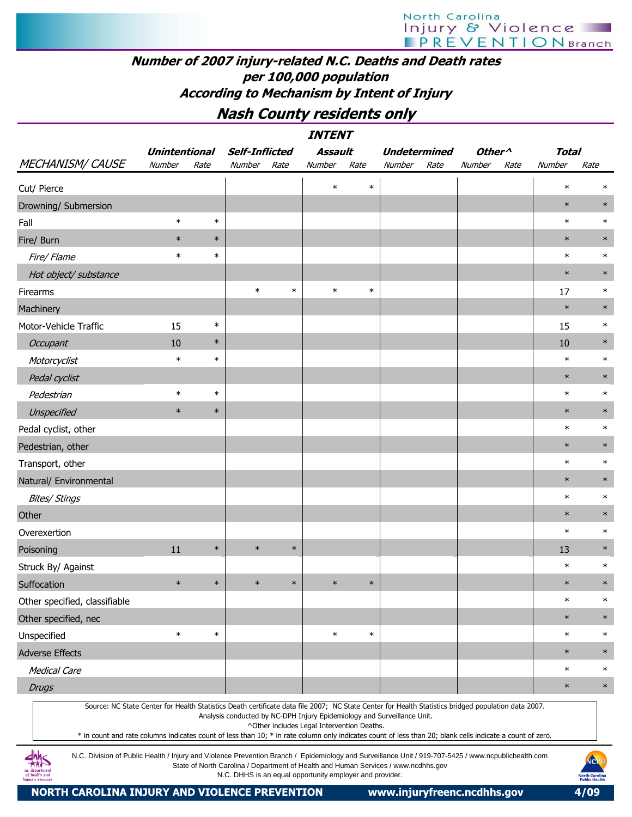## Number of 2007 injury-related N.C. Deaths and Death rates per 100,000 population According to Mechanism by Intent of Injury

## Nash County residents only

|                                                                                                                                                                                                                                                                                                                                                                                                                                                                         |                      |        |                       |        | <b>INTENT</b>                                                                                                                                                                                               |        |                     |      |                    |      |        |        |
|-------------------------------------------------------------------------------------------------------------------------------------------------------------------------------------------------------------------------------------------------------------------------------------------------------------------------------------------------------------------------------------------------------------------------------------------------------------------------|----------------------|--------|-----------------------|--------|-------------------------------------------------------------------------------------------------------------------------------------------------------------------------------------------------------------|--------|---------------------|------|--------------------|------|--------|--------|
|                                                                                                                                                                                                                                                                                                                                                                                                                                                                         | <b>Unintentional</b> |        | <b>Self-Inflicted</b> |        | <b>Assault</b>                                                                                                                                                                                              |        | <b>Undetermined</b> |      | Other <sup>^</sup> |      | Total  |        |
| <b>MECHANISM/ CAUSE</b>                                                                                                                                                                                                                                                                                                                                                                                                                                                 | Number               | Rate   | Number                | Rate   | Number                                                                                                                                                                                                      | Rate   | Number              | Rate | Number             | Rate | Number | Rate   |
| Cut/ Pierce                                                                                                                                                                                                                                                                                                                                                                                                                                                             |                      |        |                       |        | $\ast$                                                                                                                                                                                                      | $\ast$ |                     |      |                    |      | $\ast$ |        |
| Drowning/ Submersion                                                                                                                                                                                                                                                                                                                                                                                                                                                    |                      |        |                       |        |                                                                                                                                                                                                             |        |                     |      |                    |      | $\ast$ | $\ast$ |
| Fall                                                                                                                                                                                                                                                                                                                                                                                                                                                                    | $\ast$               | $\ast$ |                       |        |                                                                                                                                                                                                             |        |                     |      |                    |      | $\ast$ | $\ast$ |
| Fire/ Burn                                                                                                                                                                                                                                                                                                                                                                                                                                                              | $\ast$               | $\ast$ |                       |        |                                                                                                                                                                                                             |        |                     |      |                    |      | $\ast$ | $\ast$ |
| Fire/ Flame                                                                                                                                                                                                                                                                                                                                                                                                                                                             | $\ast$               | $\ast$ |                       |        |                                                                                                                                                                                                             |        |                     |      |                    |      | $\ast$ | $\ast$ |
| Hot object/ substance                                                                                                                                                                                                                                                                                                                                                                                                                                                   |                      |        |                       |        |                                                                                                                                                                                                             |        |                     |      |                    |      | $\ast$ | $\ast$ |
| Firearms                                                                                                                                                                                                                                                                                                                                                                                                                                                                |                      |        | $\ast$                | $\ast$ | $\ast$                                                                                                                                                                                                      | $\ast$ |                     |      |                    |      | 17     | $\ast$ |
| Machinery                                                                                                                                                                                                                                                                                                                                                                                                                                                               |                      |        |                       |        |                                                                                                                                                                                                             |        |                     |      |                    |      | $\ast$ | $\ast$ |
| Motor-Vehicle Traffic                                                                                                                                                                                                                                                                                                                                                                                                                                                   | 15                   | $\ast$ |                       |        |                                                                                                                                                                                                             |        |                     |      |                    |      | 15     | $\ast$ |
| Occupant                                                                                                                                                                                                                                                                                                                                                                                                                                                                | 10                   | $\ast$ |                       |        |                                                                                                                                                                                                             |        |                     |      |                    |      | 10     | $\ast$ |
| Motorcyclist                                                                                                                                                                                                                                                                                                                                                                                                                                                            | $\ast$               | $\ast$ |                       |        |                                                                                                                                                                                                             |        |                     |      |                    |      | $\ast$ | $\ast$ |
| Pedal cyclist                                                                                                                                                                                                                                                                                                                                                                                                                                                           |                      |        |                       |        |                                                                                                                                                                                                             |        |                     |      |                    |      | $\ast$ | $\ast$ |
| Pedestrian                                                                                                                                                                                                                                                                                                                                                                                                                                                              | $\ast$               | $\ast$ |                       |        |                                                                                                                                                                                                             |        |                     |      |                    |      | $\ast$ | $\ast$ |
| Unspecified                                                                                                                                                                                                                                                                                                                                                                                                                                                             | $\ast$               | $\ast$ |                       |        |                                                                                                                                                                                                             |        |                     |      |                    |      | $\ast$ | $\ast$ |
| Pedal cyclist, other                                                                                                                                                                                                                                                                                                                                                                                                                                                    |                      |        |                       |        |                                                                                                                                                                                                             |        |                     |      |                    |      | $\ast$ | $\ast$ |
| Pedestrian, other                                                                                                                                                                                                                                                                                                                                                                                                                                                       |                      |        |                       |        |                                                                                                                                                                                                             |        |                     |      |                    |      | $\ast$ | $\ast$ |
| Transport, other                                                                                                                                                                                                                                                                                                                                                                                                                                                        |                      |        |                       |        |                                                                                                                                                                                                             |        |                     |      |                    |      | $\ast$ | $\ast$ |
| Natural/ Environmental                                                                                                                                                                                                                                                                                                                                                                                                                                                  |                      |        |                       |        |                                                                                                                                                                                                             |        |                     |      |                    |      | $\ast$ | $\ast$ |
| <b>Bites/ Stings</b>                                                                                                                                                                                                                                                                                                                                                                                                                                                    |                      |        |                       |        |                                                                                                                                                                                                             |        |                     |      |                    |      | $\ast$ | $\ast$ |
| Other                                                                                                                                                                                                                                                                                                                                                                                                                                                                   |                      |        |                       |        |                                                                                                                                                                                                             |        |                     |      |                    |      | $\ast$ | $\ast$ |
| Overexertion                                                                                                                                                                                                                                                                                                                                                                                                                                                            |                      |        |                       |        |                                                                                                                                                                                                             |        |                     |      |                    |      | $\ast$ | $\ast$ |
| Poisoning                                                                                                                                                                                                                                                                                                                                                                                                                                                               | 11                   | $\ast$ | $\ast$                | $\ast$ |                                                                                                                                                                                                             |        |                     |      |                    |      | 13     | $\ast$ |
| Struck By/ Against                                                                                                                                                                                                                                                                                                                                                                                                                                                      |                      |        |                       |        |                                                                                                                                                                                                             |        |                     |      |                    |      | $\ast$ | $\ast$ |
| Suffocation                                                                                                                                                                                                                                                                                                                                                                                                                                                             | $\ast$               | $\ast$ | $\ast$                | $\ast$ | $\ast$                                                                                                                                                                                                      | $\ast$ |                     |      |                    |      | $\ast$ | $\ast$ |
| Other specified, classifiable                                                                                                                                                                                                                                                                                                                                                                                                                                           |                      |        |                       |        |                                                                                                                                                                                                             |        |                     |      |                    |      | $\ast$ | $\ast$ |
| Other specified, nec                                                                                                                                                                                                                                                                                                                                                                                                                                                    |                      |        |                       |        |                                                                                                                                                                                                             |        |                     |      |                    |      | $\ast$ | $\ast$ |
| Unspecified                                                                                                                                                                                                                                                                                                                                                                                                                                                             | $\ast$               | $\ast$ |                       |        | $\ast$                                                                                                                                                                                                      | $\ast$ |                     |      |                    |      | $\ast$ | $\ast$ |
| <b>Adverse Effects</b>                                                                                                                                                                                                                                                                                                                                                                                                                                                  |                      |        |                       |        |                                                                                                                                                                                                             |        |                     |      |                    |      | $\ast$ | $\ast$ |
| <b>Medical Care</b>                                                                                                                                                                                                                                                                                                                                                                                                                                                     |                      |        |                       |        |                                                                                                                                                                                                             |        |                     |      |                    |      | $\ast$ | $\ast$ |
| <b>Drugs</b>                                                                                                                                                                                                                                                                                                                                                                                                                                                            |                      |        |                       |        |                                                                                                                                                                                                             |        |                     |      |                    |      | $\ast$ | $\ast$ |
| Source: NC State Center for Health Statistics Death certificate data file 2007; NC State Center for Health Statistics bridged population data 2007.<br>* in count and rate columns indicates count of less than 10; * in rate column only indicates count of less than 20; blank cells indicate a count of zero.<br>N.C. Division of Public Health / Injury and Violence Prevention Branch / Epidemiology and Surveillance Unit / 919-707-5425 / www.ncpublichealth.com |                      |        |                       |        | Analysis conducted by NC-DPH Injury Epidemiology and Surveillance Unit.<br>^Other includes Legal Intervention Deaths.<br>State of North Carolina / Department of Health and Human Services / www.ncdhhs.gov |        |                     |      |                    |      |        | NCPH   |

N.C. DHHS is an equal opportunity employer and provider.



nc department<br>of health and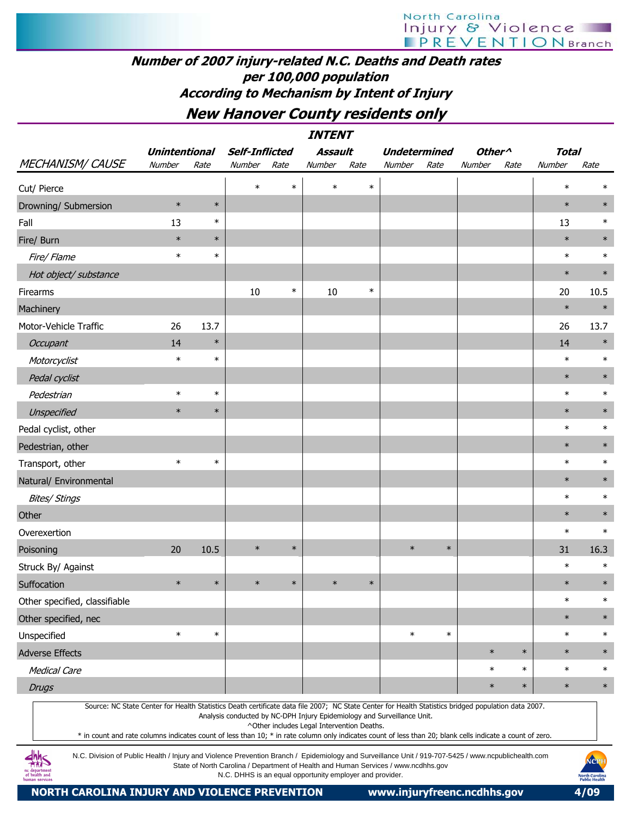## Number of 2007 injury-related N.C. Deaths and Death rates per 100,000 population According to Mechanism by Intent of Injury

## New Hanover County residents only

| <b>MECHANISM/ CAUSE</b>                                                                                                                             | <b>Unintentional</b><br>Number | Rate   | <b>Self-Inflicted</b><br>Number | Rate   | Assault<br>Number                          | Rate   | <b>Undetermined</b><br>Number                                           | Rate   | Other <sup>^</sup><br>Number | Rate   | <b>Total</b><br>Number | Rate   |
|-----------------------------------------------------------------------------------------------------------------------------------------------------|--------------------------------|--------|---------------------------------|--------|--------------------------------------------|--------|-------------------------------------------------------------------------|--------|------------------------------|--------|------------------------|--------|
| Cut/ Pierce                                                                                                                                         |                                |        | $\ast$                          | $\ast$ | $\ast$                                     | $\ast$ |                                                                         |        |                              |        | $\ast$                 |        |
| Drowning/ Submersion                                                                                                                                | $\ast$                         | $\ast$ |                                 |        |                                            |        |                                                                         |        |                              |        | $\ast$                 | $\ast$ |
| Fall                                                                                                                                                | 13                             | $\ast$ |                                 |        |                                            |        |                                                                         |        |                              |        | 13                     | $\ast$ |
| Fire/ Burn                                                                                                                                          | $\ast$                         | $\ast$ |                                 |        |                                            |        |                                                                         |        |                              |        | $\ast$                 | $\ast$ |
| Fire/ Flame                                                                                                                                         | $\ast$                         | $\ast$ |                                 |        |                                            |        |                                                                         |        |                              |        | $\ast$                 | $\ast$ |
| Hot object/ substance                                                                                                                               |                                |        |                                 |        |                                            |        |                                                                         |        |                              |        | $\ast$                 | $\ast$ |
| Firearms                                                                                                                                            |                                |        | 10                              | $\ast$ | $10\,$                                     | $\ast$ |                                                                         |        |                              |        | 20                     | 10.5   |
| Machinery                                                                                                                                           |                                |        |                                 |        |                                            |        |                                                                         |        |                              |        | $\ast$                 | $\ast$ |
| Motor-Vehicle Traffic                                                                                                                               | 26                             | 13.7   |                                 |        |                                            |        |                                                                         |        |                              |        | 26                     | 13.7   |
| <b>Occupant</b>                                                                                                                                     | 14                             | $\ast$ |                                 |        |                                            |        |                                                                         |        |                              |        | 14                     | $\ast$ |
| Motorcyclist                                                                                                                                        | $\ast$                         | $\ast$ |                                 |        |                                            |        |                                                                         |        |                              |        | $\ast$                 | $\ast$ |
| Pedal cyclist                                                                                                                                       |                                |        |                                 |        |                                            |        |                                                                         |        |                              |        | $\ast$                 | $\ast$ |
| Pedestrian                                                                                                                                          | $\ast$                         | $\ast$ |                                 |        |                                            |        |                                                                         |        |                              |        | $\ast$                 | $\ast$ |
| Unspecified                                                                                                                                         | $\ast$                         | $\ast$ |                                 |        |                                            |        |                                                                         |        |                              |        | $\ast$                 | $\ast$ |
| Pedal cyclist, other                                                                                                                                |                                |        |                                 |        |                                            |        |                                                                         |        |                              |        | $\ast$                 | $\ast$ |
| Pedestrian, other                                                                                                                                   |                                |        |                                 |        |                                            |        |                                                                         |        |                              |        | $\ast$                 | $\ast$ |
| Transport, other                                                                                                                                    | $\ast$                         | $\ast$ |                                 |        |                                            |        |                                                                         |        |                              |        | $\ast$                 | $\ast$ |
| Natural/ Environmental                                                                                                                              |                                |        |                                 |        |                                            |        |                                                                         |        |                              |        | $\ast$                 | $\ast$ |
| <b>Bites/ Stings</b>                                                                                                                                |                                |        |                                 |        |                                            |        |                                                                         |        |                              |        | $\ast$                 | $\ast$ |
| Other                                                                                                                                               |                                |        |                                 |        |                                            |        |                                                                         |        |                              |        | $\ast$                 | $\ast$ |
| Overexertion                                                                                                                                        |                                |        |                                 |        |                                            |        |                                                                         |        |                              |        | $\ast$                 | $\ast$ |
| Poisoning                                                                                                                                           | 20                             | 10.5   | $\ast$                          | $\ast$ |                                            |        | $\ast$                                                                  | $\ast$ |                              |        | 31                     | 16.3   |
| Struck By/ Against                                                                                                                                  |                                |        |                                 |        |                                            |        |                                                                         |        |                              |        | $\ast$                 | $\ast$ |
| Suffocation                                                                                                                                         | $\ast$                         | $\ast$ | $\ast$                          | $\ast$ | $\ast$                                     | $\ast$ |                                                                         |        |                              |        | $\ast$                 | $\ast$ |
| Other specified, classifiable                                                                                                                       |                                |        |                                 |        |                                            |        |                                                                         |        |                              |        | $\ast$                 | $\ast$ |
| Other specified, nec                                                                                                                                |                                |        |                                 |        |                                            |        |                                                                         |        |                              |        | $\ast$                 | $\ast$ |
| Unspecified                                                                                                                                         | $\ast$                         | $\ast$ |                                 |        |                                            |        | $\ast$                                                                  | $\ast$ |                              |        | $\ast$                 | $\ast$ |
| <b>Adverse Effects</b>                                                                                                                              |                                |        |                                 |        |                                            |        |                                                                         |        | $\ast$                       | $\ast$ | $\ast$                 | $\ast$ |
| <b>Medical Care</b>                                                                                                                                 |                                |        |                                 |        |                                            |        |                                                                         |        | $\ast$                       | $\ast$ | $\ast$                 | $\ast$ |
| <b>Drugs</b>                                                                                                                                        |                                |        |                                 |        |                                            |        |                                                                         |        | $\ast$                       | $\ast$ | $\ast$                 | $\ast$ |
| Source: NC State Center for Health Statistics Death certificate data file 2007; NC State Center for Health Statistics bridged population data 2007. |                                |        |                                 |        | ^Other includes Legal Intervention Deaths. |        | Analysis conducted by NC-DPH Injury Epidemiology and Surveillance Unit. |        |                              |        |                        |        |

\* in count and rate columns indicates count of less than 10; \* in rate column only indicates count of less than 20; blank cells indicate a count of zero.

N.C. Division of Public Health / Injury and Violence Prevention Branch / Epidemiology and Surveillance Unit / 919-707-5425 / www.ncpublichealth.com State of North Carolina / Department of Health and Human Services / www.ncdhhs.gov N.C. DHHS is an equal opportunity employer and provider.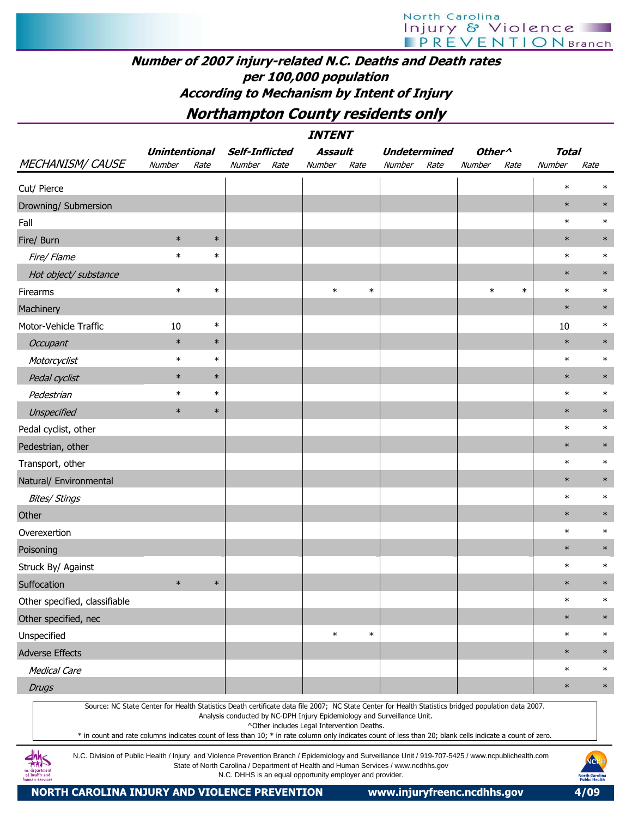## Number of 2007 injury-related N.C. Deaths and Death rates per 100,000 population According to Mechanism by Intent of Injury

## Northampton County residents only

INTENT

| <b>MECHANISM/ CAUSE</b>                                                                                                                                                                                                                                                                                                                                                                                                                                                       | <b>Unintentional</b><br>Number | Rate   | <b>Self-Inflicted</b><br>Number | Rate | Assault<br>Number                                                                                                     | Rate   | <b>Undetermined</b><br>Number | Rate | Other <sup>^</sup><br>Number | Rate   | <b>Total</b><br>Number | Rate   |
|-------------------------------------------------------------------------------------------------------------------------------------------------------------------------------------------------------------------------------------------------------------------------------------------------------------------------------------------------------------------------------------------------------------------------------------------------------------------------------|--------------------------------|--------|---------------------------------|------|-----------------------------------------------------------------------------------------------------------------------|--------|-------------------------------|------|------------------------------|--------|------------------------|--------|
| Cut/ Pierce                                                                                                                                                                                                                                                                                                                                                                                                                                                                   |                                |        |                                 |      |                                                                                                                       |        |                               |      |                              |        | $\ast$                 |        |
| Drowning/ Submersion                                                                                                                                                                                                                                                                                                                                                                                                                                                          |                                |        |                                 |      |                                                                                                                       |        |                               |      |                              |        | $\ast$                 | $\ast$ |
| Fall                                                                                                                                                                                                                                                                                                                                                                                                                                                                          |                                |        |                                 |      |                                                                                                                       |        |                               |      |                              |        | $\ast$                 | $\ast$ |
| Fire/ Burn                                                                                                                                                                                                                                                                                                                                                                                                                                                                    | $\ast$                         | $\ast$ |                                 |      |                                                                                                                       |        |                               |      |                              |        | $\ast$                 | $\ast$ |
| Fire/ Flame                                                                                                                                                                                                                                                                                                                                                                                                                                                                   | $\ast$                         | $\ast$ |                                 |      |                                                                                                                       |        |                               |      |                              |        | $\ast$                 | $\ast$ |
| Hot object/ substance                                                                                                                                                                                                                                                                                                                                                                                                                                                         |                                |        |                                 |      |                                                                                                                       |        |                               |      |                              |        | $\ast$                 | $\ast$ |
| Firearms                                                                                                                                                                                                                                                                                                                                                                                                                                                                      | $\ast$                         | $\ast$ |                                 |      | $\ast$                                                                                                                | $\ast$ |                               |      | $\ast$                       | $\ast$ | $\ast$                 | $\ast$ |
| Machinery                                                                                                                                                                                                                                                                                                                                                                                                                                                                     |                                |        |                                 |      |                                                                                                                       |        |                               |      |                              |        | $\ast$                 | $\ast$ |
| Motor-Vehicle Traffic                                                                                                                                                                                                                                                                                                                                                                                                                                                         | 10                             | $\ast$ |                                 |      |                                                                                                                       |        |                               |      |                              |        | 10                     | $\ast$ |
| Occupant                                                                                                                                                                                                                                                                                                                                                                                                                                                                      | $\ast$                         | $\ast$ |                                 |      |                                                                                                                       |        |                               |      |                              |        | $\ast$                 | $\ast$ |
| Motorcyclist                                                                                                                                                                                                                                                                                                                                                                                                                                                                  | $\ast$                         | $\ast$ |                                 |      |                                                                                                                       |        |                               |      |                              |        | $\ast$                 | $\ast$ |
| Pedal cyclist                                                                                                                                                                                                                                                                                                                                                                                                                                                                 | $\ast$                         | $\ast$ |                                 |      |                                                                                                                       |        |                               |      |                              |        | $\ast$                 | $\ast$ |
| Pedestrian                                                                                                                                                                                                                                                                                                                                                                                                                                                                    | $\ast$                         | $\ast$ |                                 |      |                                                                                                                       |        |                               |      |                              |        | $\ast$                 | $\ast$ |
| Unspecified                                                                                                                                                                                                                                                                                                                                                                                                                                                                   | $\ast$                         | $\ast$ |                                 |      |                                                                                                                       |        |                               |      |                              |        | $\ast$                 | $\ast$ |
| Pedal cyclist, other                                                                                                                                                                                                                                                                                                                                                                                                                                                          |                                |        |                                 |      |                                                                                                                       |        |                               |      |                              |        | $\ast$                 | $\ast$ |
| Pedestrian, other                                                                                                                                                                                                                                                                                                                                                                                                                                                             |                                |        |                                 |      |                                                                                                                       |        |                               |      |                              |        | $\ast$                 | $\ast$ |
| Transport, other                                                                                                                                                                                                                                                                                                                                                                                                                                                              |                                |        |                                 |      |                                                                                                                       |        |                               |      |                              |        | $\ast$                 | $\ast$ |
| Natural/ Environmental                                                                                                                                                                                                                                                                                                                                                                                                                                                        |                                |        |                                 |      |                                                                                                                       |        |                               |      |                              |        | $\ast$                 | $\ast$ |
| <b>Bites/ Stings</b>                                                                                                                                                                                                                                                                                                                                                                                                                                                          |                                |        |                                 |      |                                                                                                                       |        |                               |      |                              |        | $\ast$                 | $\ast$ |
| Other                                                                                                                                                                                                                                                                                                                                                                                                                                                                         |                                |        |                                 |      |                                                                                                                       |        |                               |      |                              |        | $\ast$                 | $\ast$ |
| Overexertion                                                                                                                                                                                                                                                                                                                                                                                                                                                                  |                                |        |                                 |      |                                                                                                                       |        |                               |      |                              |        | $\ast$                 | $\ast$ |
| Poisoning                                                                                                                                                                                                                                                                                                                                                                                                                                                                     |                                |        |                                 |      |                                                                                                                       |        |                               |      |                              |        | $\ast$                 | $\ast$ |
| Struck By/ Against                                                                                                                                                                                                                                                                                                                                                                                                                                                            |                                |        |                                 |      |                                                                                                                       |        |                               |      |                              |        | $\ast$                 | $\ast$ |
| Suffocation                                                                                                                                                                                                                                                                                                                                                                                                                                                                   | $\ast$                         | $\ast$ |                                 |      |                                                                                                                       |        |                               |      |                              |        | $\ast$                 |        |
| Other specified, classifiable                                                                                                                                                                                                                                                                                                                                                                                                                                                 |                                |        |                                 |      |                                                                                                                       |        |                               |      |                              |        | $\ast$                 | ∗      |
| Other specified, nec                                                                                                                                                                                                                                                                                                                                                                                                                                                          |                                |        |                                 |      |                                                                                                                       |        |                               |      |                              |        | $\ast$                 | $\ast$ |
| Unspecified                                                                                                                                                                                                                                                                                                                                                                                                                                                                   |                                |        |                                 |      | $\ast$                                                                                                                | $\ast$ |                               |      |                              |        | $\ast$                 | $\ast$ |
| <b>Adverse Effects</b>                                                                                                                                                                                                                                                                                                                                                                                                                                                        |                                |        |                                 |      |                                                                                                                       |        |                               |      |                              |        | $\ast$                 | $\ast$ |
| <b>Medical Care</b>                                                                                                                                                                                                                                                                                                                                                                                                                                                           |                                |        |                                 |      |                                                                                                                       |        |                               |      |                              |        | $\ast$                 | $\ast$ |
| <b>Drugs</b>                                                                                                                                                                                                                                                                                                                                                                                                                                                                  |                                |        |                                 |      |                                                                                                                       |        |                               |      |                              |        | $\ast$                 | $\ast$ |
| Source: NC State Center for Health Statistics Death certificate data file 2007; NC State Center for Health Statistics bridged population data 2007.<br>* in count and rate columns indicates count of less than 10; * in rate column only indicates count of less than 20; blank cells indicate a count of zero.<br>4h<br>N.C. Division of Public Health / Injury and Violence Prevention Branch / Epidemiology and Surveillance Unit / 919-707-5425 / www.ncpublichealth.com |                                |        |                                 |      | Analysis conducted by NC-DPH Injury Epidemiology and Surveillance Unit.<br>^Other includes Legal Intervention Deaths. |        |                               |      |                              |        |                        | MOPH   |



State of North Carolina / Department of Health and Human Services / www.ncdhhs.gov N.C. DHHS is an equal opportunity employer and provider.

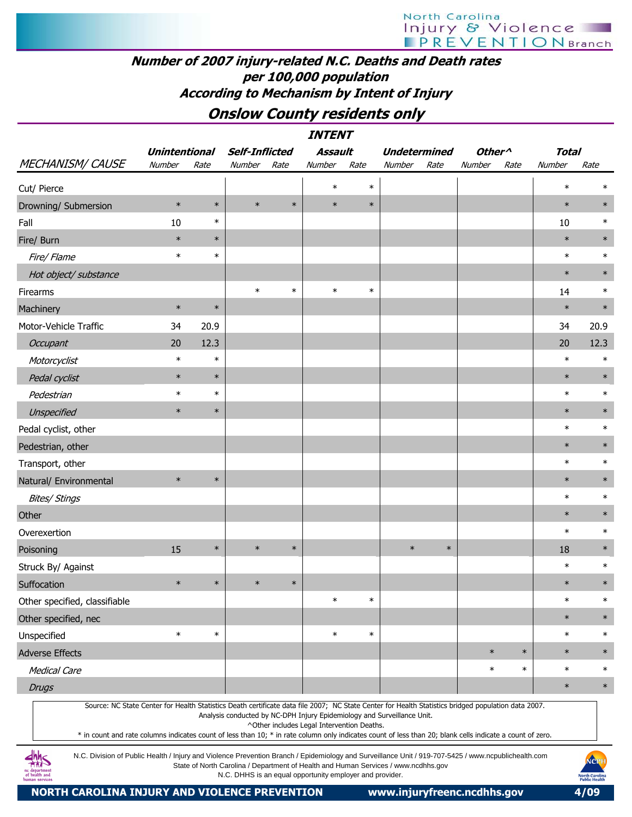## Number of 2007 injury-related N.C. Deaths and Death rates per 100,000 population According to Mechanism by Intent of Injury

## Onslow County residents only

|                                                                                                                                                     |                      |        |                       |        | <b>INTENT</b> |        |                     |        |                    |        |              |        |
|-----------------------------------------------------------------------------------------------------------------------------------------------------|----------------------|--------|-----------------------|--------|---------------|--------|---------------------|--------|--------------------|--------|--------------|--------|
|                                                                                                                                                     | <b>Unintentional</b> |        | <b>Self-Inflicted</b> |        | Assault       |        | <b>Undetermined</b> |        | Other <sup>^</sup> |        | <b>Total</b> |        |
| MECHANISM/CAUSE                                                                                                                                     | Number               | Rate   | Number                | Rate   | Number        | Rate   | Number              | Rate   | Number             | Rate   | Number       | Rate   |
| Cut/ Pierce                                                                                                                                         |                      |        |                       |        | $\ast$        | $\ast$ |                     |        |                    |        | $\ast$       | $\ast$ |
| Drowning/ Submersion                                                                                                                                | $\ast$               | $\ast$ | $\ast$                | $\ast$ | $\ast$        | $\ast$ |                     |        |                    |        | $\ast$       | $\ast$ |
| Fall                                                                                                                                                | 10                   | $\ast$ |                       |        |               |        |                     |        |                    |        | 10           | $\ast$ |
| Fire/ Burn                                                                                                                                          | $\ast$               | $\ast$ |                       |        |               |        |                     |        |                    |        | $\ast$       | $\ast$ |
| Fire/ Flame                                                                                                                                         | $\ast$               | $\ast$ |                       |        |               |        |                     |        |                    |        | $\ast$       | $\ast$ |
| Hot object/ substance                                                                                                                               |                      |        |                       |        |               |        |                     |        |                    |        | $\ast$       | $\ast$ |
| Firearms                                                                                                                                            |                      |        | $\ast$                | $\ast$ | $\ast$        | $\ast$ |                     |        |                    |        | 14           | $\ast$ |
| Machinery                                                                                                                                           | $\ast$               | $\ast$ |                       |        |               |        |                     |        |                    |        | $\ast$       | $\ast$ |
| Motor-Vehicle Traffic                                                                                                                               | 34                   | 20.9   |                       |        |               |        |                     |        |                    |        | 34           | 20.9   |
| Occupant                                                                                                                                            | 20                   | 12.3   |                       |        |               |        |                     |        |                    |        | 20           | 12.3   |
| Motorcyclist                                                                                                                                        | $\ast$               | $\ast$ |                       |        |               |        |                     |        |                    |        | $\ast$       | $\ast$ |
| Pedal cyclist                                                                                                                                       | $\ast$               | $\ast$ |                       |        |               |        |                     |        |                    |        | $\ast$       | $\ast$ |
| Pedestrian                                                                                                                                          | $\ast$               | $\ast$ |                       |        |               |        |                     |        |                    |        | $\ast$       | $\ast$ |
| Unspecified                                                                                                                                         | $\ast$               | $\ast$ |                       |        |               |        |                     |        |                    |        | $\ast$       | $\ast$ |
| Pedal cyclist, other                                                                                                                                |                      |        |                       |        |               |        |                     |        |                    |        | $\ast$       | $\ast$ |
| Pedestrian, other                                                                                                                                   |                      |        |                       |        |               |        |                     |        |                    |        | $\ast$       | $\ast$ |
| Transport, other                                                                                                                                    |                      |        |                       |        |               |        |                     |        |                    |        | $\ast$       | $\ast$ |
| Natural/ Environmental                                                                                                                              | $\ast$               | $\ast$ |                       |        |               |        |                     |        |                    |        | $\ast$       | $\ast$ |
| <b>Bites/ Stings</b>                                                                                                                                |                      |        |                       |        |               |        |                     |        |                    |        | $\ast$       | $\ast$ |
| Other                                                                                                                                               |                      |        |                       |        |               |        |                     |        |                    |        | $\ast$       | $\ast$ |
| Overexertion                                                                                                                                        |                      |        |                       |        |               |        |                     |        |                    |        | $\ast$       | $\ast$ |
| Poisoning                                                                                                                                           | 15                   | $\ast$ | $\ast$                | $\ast$ |               |        | $\ast$              | $\ast$ |                    |        | 18           | $\ast$ |
| Struck By/ Against                                                                                                                                  |                      |        |                       |        |               |        |                     |        |                    |        | $\ast$       | $\ast$ |
| Suffocation                                                                                                                                         | $\ast$               | $\ast$ | $\ast$                | $\ast$ |               |        |                     |        |                    |        | $\ast$       | $\ast$ |
| Other specified, classifiable                                                                                                                       |                      |        |                       |        | $\ast$        | $\ast$ |                     |        |                    |        | $\ast$       | $\ast$ |
| Other specified, nec                                                                                                                                |                      |        |                       |        |               |        |                     |        |                    |        | $\ast$       | $\ast$ |
| Unspecified                                                                                                                                         | $\ast$               | $\ast$ |                       |        | $\ast$        | $\ast$ |                     |        |                    |        | $\ast$       | $\ast$ |
| <b>Adverse Effects</b>                                                                                                                              |                      |        |                       |        |               |        |                     |        | $\ast$             | $\ast$ | $\ast$       | $\ast$ |
| <b>Medical Care</b>                                                                                                                                 |                      |        |                       |        |               |        |                     |        | $\ast$             | $\ast$ | $\ast$       | $\ast$ |
| <b>Drugs</b>                                                                                                                                        |                      |        |                       |        |               |        |                     |        |                    |        | $\ast$       | $\ast$ |
| Source: NC State Center for Health Statistics Death certificate data file 2007; NC State Center for Health Statistics bridged population data 2007. |                      |        |                       |        |               |        |                     |        |                    |        |              |        |

Analysis conducted by NC-DPH Injury Epidemiology and Surveillance Unit.

^Other includes Legal Intervention Deaths.

\* in count and rate columns indicates count of less than 10; \* in rate column only indicates count of less than 20; blank cells indicate a count of zero.

N.C. Division of Public Health / Injury and Violence Prevention Branch / Epidemiology and Surveillance Unit / 919-707-5425 / www.ncpublichealth.com State of North Carolina / Department of Health and Human Services / www.ncdhhs.gov N.C. DHHS is an equal opportunity employer and provider.

NORTH CAROLINA INJURY AND VIOLENCE PREVENTION www.injuryfreenc.ncdhhs.gov 4/09

 $4\frac{h}{100}$ nc department<br>of health and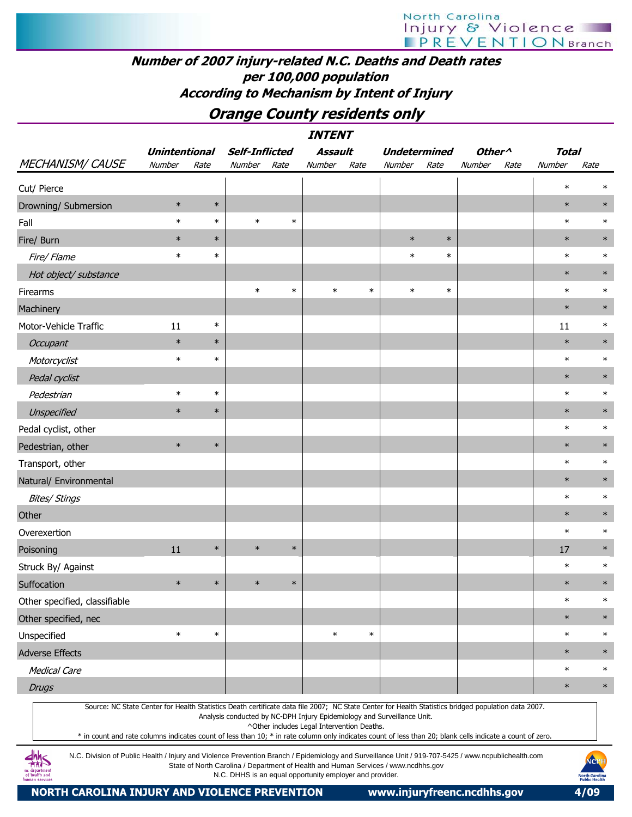## Number of 2007 injury-related N.C. Deaths and Death rates per 100,000 population According to Mechanism by Intent of Injury

## Orange County residents only

|                                                                                                                                                                                                                                                                                                                                                                                                                                                                         |                      |        |                                                                                                                                                               |        | <b>INTENT</b>                              |        |                     |        |                    |      |              |        |
|-------------------------------------------------------------------------------------------------------------------------------------------------------------------------------------------------------------------------------------------------------------------------------------------------------------------------------------------------------------------------------------------------------------------------------------------------------------------------|----------------------|--------|---------------------------------------------------------------------------------------------------------------------------------------------------------------|--------|--------------------------------------------|--------|---------------------|--------|--------------------|------|--------------|--------|
|                                                                                                                                                                                                                                                                                                                                                                                                                                                                         | <b>Unintentional</b> |        | <b>Self-Inflicted</b>                                                                                                                                         |        | Assault                                    |        | <b>Undetermined</b> |        | Other <sup>^</sup> |      | <b>Total</b> |        |
| <b>MECHANISM/ CAUSE</b>                                                                                                                                                                                                                                                                                                                                                                                                                                                 | Number               | Rate   | Number                                                                                                                                                        | Rate   | Number                                     | Rate   | Number              | Rate   | Number             | Rate | Number       | Rate   |
| Cut/ Pierce                                                                                                                                                                                                                                                                                                                                                                                                                                                             |                      |        |                                                                                                                                                               |        |                                            |        |                     |        |                    |      | $\ast$       | $\ast$ |
| Drowning/ Submersion                                                                                                                                                                                                                                                                                                                                                                                                                                                    | $\ast$               | $\ast$ |                                                                                                                                                               |        |                                            |        |                     |        |                    |      | $\ast$       | $\ast$ |
| Fall                                                                                                                                                                                                                                                                                                                                                                                                                                                                    | $\ast$               | $\ast$ | $\ast$                                                                                                                                                        | $\ast$ |                                            |        |                     |        |                    |      | $\ast$       | $\ast$ |
| Fire/ Burn                                                                                                                                                                                                                                                                                                                                                                                                                                                              | $\ast$               | $\ast$ |                                                                                                                                                               |        |                                            |        | $\ast$              | $\ast$ |                    |      | $\ast$       | $\ast$ |
| Fire/ Flame                                                                                                                                                                                                                                                                                                                                                                                                                                                             | $\ast$               | $\ast$ |                                                                                                                                                               |        |                                            |        | $\ast$              | $\ast$ |                    |      | $\ast$       | $\ast$ |
| Hot object/ substance                                                                                                                                                                                                                                                                                                                                                                                                                                                   |                      |        |                                                                                                                                                               |        |                                            |        |                     |        |                    |      | $\ast$       | $\ast$ |
| Firearms                                                                                                                                                                                                                                                                                                                                                                                                                                                                |                      |        | $\ast$                                                                                                                                                        | $\ast$ | $\ast$                                     | $\ast$ | $\ast$              | $\ast$ |                    |      | $\ast$       | $\ast$ |
| Machinery                                                                                                                                                                                                                                                                                                                                                                                                                                                               |                      |        |                                                                                                                                                               |        |                                            |        |                     |        |                    |      | $\ast$       | $\ast$ |
| Motor-Vehicle Traffic                                                                                                                                                                                                                                                                                                                                                                                                                                                   | 11                   | $\ast$ |                                                                                                                                                               |        |                                            |        |                     |        |                    |      | 11           | $\ast$ |
| Occupant                                                                                                                                                                                                                                                                                                                                                                                                                                                                | $\ast$               | $\ast$ |                                                                                                                                                               |        |                                            |        |                     |        |                    |      | $\ast$       | $\ast$ |
| Motorcyclist                                                                                                                                                                                                                                                                                                                                                                                                                                                            | $\ast$               | $\ast$ |                                                                                                                                                               |        |                                            |        |                     |        |                    |      | $\ast$       | $\ast$ |
| Pedal cyclist                                                                                                                                                                                                                                                                                                                                                                                                                                                           |                      |        |                                                                                                                                                               |        |                                            |        |                     |        |                    |      | $\ast$       | $\ast$ |
| Pedestrian                                                                                                                                                                                                                                                                                                                                                                                                                                                              | $\ast$               | $\ast$ |                                                                                                                                                               |        |                                            |        |                     |        |                    |      | $\ast$       | $\ast$ |
| Unspecified                                                                                                                                                                                                                                                                                                                                                                                                                                                             | $\ast$               | $\ast$ |                                                                                                                                                               |        |                                            |        |                     |        |                    |      | $\ast$       | $\ast$ |
| Pedal cyclist, other                                                                                                                                                                                                                                                                                                                                                                                                                                                    |                      |        |                                                                                                                                                               |        |                                            |        |                     |        |                    |      | $\ast$       | $\ast$ |
| Pedestrian, other                                                                                                                                                                                                                                                                                                                                                                                                                                                       | $\ast$               | $\ast$ |                                                                                                                                                               |        |                                            |        |                     |        |                    |      | $\ast$       | $\ast$ |
| Transport, other                                                                                                                                                                                                                                                                                                                                                                                                                                                        |                      |        |                                                                                                                                                               |        |                                            |        |                     |        |                    |      | $\ast$       | $\ast$ |
| Natural/ Environmental                                                                                                                                                                                                                                                                                                                                                                                                                                                  |                      |        |                                                                                                                                                               |        |                                            |        |                     |        |                    |      | $\ast$       | $\ast$ |
| <b>Bites/ Stings</b>                                                                                                                                                                                                                                                                                                                                                                                                                                                    |                      |        |                                                                                                                                                               |        |                                            |        |                     |        |                    |      | $\ast$       | $\ast$ |
| Other                                                                                                                                                                                                                                                                                                                                                                                                                                                                   |                      |        |                                                                                                                                                               |        |                                            |        |                     |        |                    |      | $\ast$       | $\ast$ |
| Overexertion                                                                                                                                                                                                                                                                                                                                                                                                                                                            |                      |        |                                                                                                                                                               |        |                                            |        |                     |        |                    |      | $\ast$       | $\ast$ |
| Poisoning                                                                                                                                                                                                                                                                                                                                                                                                                                                               | 11                   | $\ast$ | $\ast$                                                                                                                                                        | $\ast$ |                                            |        |                     |        |                    |      | 17           | $\ast$ |
| Struck By/ Against                                                                                                                                                                                                                                                                                                                                                                                                                                                      |                      |        |                                                                                                                                                               |        |                                            |        |                     |        |                    |      | $\ast$       | $\ast$ |
| Suffocation                                                                                                                                                                                                                                                                                                                                                                                                                                                             | $\ast$               | $\ast$ | $\ast$                                                                                                                                                        | $\ast$ |                                            |        |                     |        |                    |      | $\ast$       | $\ast$ |
| Other specified, classifiable                                                                                                                                                                                                                                                                                                                                                                                                                                           |                      |        |                                                                                                                                                               |        |                                            |        |                     |        |                    |      | $\ast$       | $\ast$ |
| Other specified, nec                                                                                                                                                                                                                                                                                                                                                                                                                                                    |                      |        |                                                                                                                                                               |        |                                            |        |                     |        |                    |      | $\ast$       | $\ast$ |
| Unspecified                                                                                                                                                                                                                                                                                                                                                                                                                                                             | $\ast$               | $\ast$ |                                                                                                                                                               |        | $\ast$                                     | $\ast$ |                     |        |                    |      | $\ast$       | $\ast$ |
| <b>Adverse Effects</b>                                                                                                                                                                                                                                                                                                                                                                                                                                                  |                      |        |                                                                                                                                                               |        |                                            |        |                     |        |                    |      | $\ast$       | $\ast$ |
| <b>Medical Care</b>                                                                                                                                                                                                                                                                                                                                                                                                                                                     |                      |        |                                                                                                                                                               |        |                                            |        |                     |        |                    |      | $\ast$       | $\ast$ |
| <b>Drugs</b>                                                                                                                                                                                                                                                                                                                                                                                                                                                            |                      |        |                                                                                                                                                               |        |                                            |        |                     |        |                    |      | $\ast$       | $\ast$ |
| Source: NC State Center for Health Statistics Death certificate data file 2007; NC State Center for Health Statistics bridged population data 2007.<br>* in count and rate columns indicates count of less than 10; * in rate column only indicates count of less than 20; blank cells indicate a count of zero.<br>N.C. Division of Public Health / Injury and Violence Prevention Branch / Epidemiology and Surveillance Unit / 919-707-5425 / www.ncpublichealth.com |                      |        | Analysis conducted by NC-DPH Injury Epidemiology and Surveillance Unit.<br>State of North Carolina / Department of Health and Human Services / www.ncdhhs.gov |        | ^Other includes Legal Intervention Deaths. |        |                     |        |                    |      |              | NOPH   |

State of North Carolina / Department of Health and Human Services / www.ncdhhs.gov N.C. DHHS is an equal opportunity employer and provider.

NORTH CAROLINA INJURY AND VIOLENCE PREVENTION www.injuryfreenc.ncdhhs.gov 4/09

nc department<br>of health and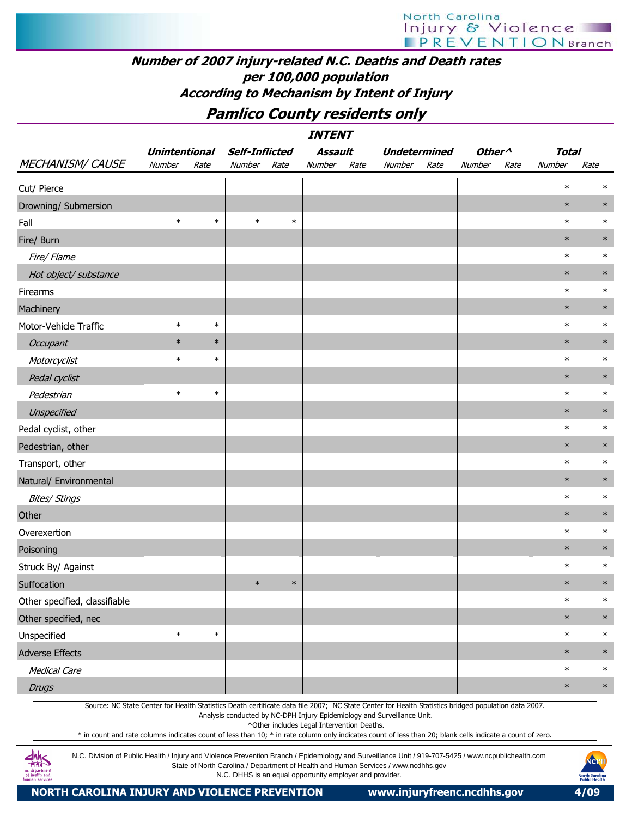## Number of 2007 injury-related N.C. Deaths and Death rates per 100,000 population According to Mechanism by Intent of Injury

Pamlico County residents only

|                                                                                                                                                                                                                                                                                                                  |                      |        |                                                          |        | <i><b>INTENT</b></i>                       |      |                                                                                    |      |                                      |      |              |                                               |
|------------------------------------------------------------------------------------------------------------------------------------------------------------------------------------------------------------------------------------------------------------------------------------------------------------------|----------------------|--------|----------------------------------------------------------|--------|--------------------------------------------|------|------------------------------------------------------------------------------------|------|--------------------------------------|------|--------------|-----------------------------------------------|
|                                                                                                                                                                                                                                                                                                                  | <b>Unintentional</b> |        | <b>Self-Inflicted</b>                                    |        | Assault                                    |      | <b>Undetermined</b>                                                                |      | Other <sup><math>\wedge</math></sup> |      | <b>Total</b> |                                               |
| <b>MECHANISM/ CAUSE</b>                                                                                                                                                                                                                                                                                          | Number               | Rate   | Number                                                   | Rate   | Number                                     | Rate | Number                                                                             | Rate | Number                               | Rate | Number       | Rate                                          |
| Cut/ Pierce                                                                                                                                                                                                                                                                                                      |                      |        |                                                          |        |                                            |      |                                                                                    |      |                                      |      | $\ast$       | $\ast$                                        |
| Drowning/ Submersion                                                                                                                                                                                                                                                                                             |                      |        |                                                          |        |                                            |      |                                                                                    |      |                                      |      | $\ast$       | $\ast$                                        |
| Fall                                                                                                                                                                                                                                                                                                             | $\ast$               | $\ast$ | $\ast$                                                   | $\ast$ |                                            |      |                                                                                    |      |                                      |      | $\ast$       | $\ast$                                        |
| Fire/ Burn                                                                                                                                                                                                                                                                                                       |                      |        |                                                          |        |                                            |      |                                                                                    |      |                                      |      | $\ast$       | $\ast$                                        |
| Fire/ Flame                                                                                                                                                                                                                                                                                                      |                      |        |                                                          |        |                                            |      |                                                                                    |      |                                      |      | $\ast$       | $\ast$                                        |
| Hot object/ substance                                                                                                                                                                                                                                                                                            |                      |        |                                                          |        |                                            |      |                                                                                    |      |                                      |      | $\ast$       | $\ast$                                        |
| Firearms                                                                                                                                                                                                                                                                                                         |                      |        |                                                          |        |                                            |      |                                                                                    |      |                                      |      | $\ast$       | $\ast$                                        |
| Machinery                                                                                                                                                                                                                                                                                                        |                      |        |                                                          |        |                                            |      |                                                                                    |      |                                      |      | $\ast$       | $\ast$                                        |
| Motor-Vehicle Traffic                                                                                                                                                                                                                                                                                            | $\ast$               | $\ast$ |                                                          |        |                                            |      |                                                                                    |      |                                      |      | $\ast$       | $\ast$                                        |
| <b>Occupant</b>                                                                                                                                                                                                                                                                                                  | $\ast$               | $\ast$ |                                                          |        |                                            |      |                                                                                    |      |                                      |      | $\ast$       | $\ast$                                        |
| Motorcyclist                                                                                                                                                                                                                                                                                                     | $\ast$               | $\ast$ |                                                          |        |                                            |      |                                                                                    |      |                                      |      | $\ast$       | $\ast$                                        |
| Pedal cyclist                                                                                                                                                                                                                                                                                                    |                      |        |                                                          |        |                                            |      |                                                                                    |      |                                      |      | $\ast$       | $\ast$                                        |
| Pedestrian                                                                                                                                                                                                                                                                                                       | $\ast$               | $\ast$ |                                                          |        |                                            |      |                                                                                    |      |                                      |      | $\ast$       | $\ast$                                        |
| Unspecified                                                                                                                                                                                                                                                                                                      |                      |        |                                                          |        |                                            |      |                                                                                    |      |                                      |      | $\ast$       | $\ast$                                        |
| Pedal cyclist, other                                                                                                                                                                                                                                                                                             |                      |        |                                                          |        |                                            |      |                                                                                    |      |                                      |      | $\ast$       | $\ast$                                        |
| Pedestrian, other                                                                                                                                                                                                                                                                                                |                      |        |                                                          |        |                                            |      |                                                                                    |      |                                      |      | $\ast$       | $\ast$                                        |
| Transport, other                                                                                                                                                                                                                                                                                                 |                      |        |                                                          |        |                                            |      |                                                                                    |      |                                      |      | $\ast$       | $\ast$                                        |
| Natural/ Environmental                                                                                                                                                                                                                                                                                           |                      |        |                                                          |        |                                            |      |                                                                                    |      |                                      |      | $\ast$       | $\ast$                                        |
| <b>Bites/ Stings</b>                                                                                                                                                                                                                                                                                             |                      |        |                                                          |        |                                            |      |                                                                                    |      |                                      |      | $\ast$       | $\ast$                                        |
| Other                                                                                                                                                                                                                                                                                                            |                      |        |                                                          |        |                                            |      |                                                                                    |      |                                      |      | $\ast$       | $\ast$                                        |
| Overexertion                                                                                                                                                                                                                                                                                                     |                      |        |                                                          |        |                                            |      |                                                                                    |      |                                      |      | $\ast$       | $\ast$                                        |
| Poisoning                                                                                                                                                                                                                                                                                                        |                      |        |                                                          |        |                                            |      |                                                                                    |      |                                      |      | $\ast$       | $\ast$                                        |
| Struck By/ Against                                                                                                                                                                                                                                                                                               |                      |        |                                                          |        |                                            |      |                                                                                    |      |                                      |      | $\ast$       | $\ast$                                        |
| Suffocation                                                                                                                                                                                                                                                                                                      |                      |        | $\ast$                                                   | $\ast$ |                                            |      |                                                                                    |      |                                      |      | $\ast$       | $\ast$                                        |
| Other specified, classifiable                                                                                                                                                                                                                                                                                    |                      |        |                                                          |        |                                            |      |                                                                                    |      |                                      |      | $\ast$       | $\ast$                                        |
| Other specified, nec                                                                                                                                                                                                                                                                                             |                      |        |                                                          |        |                                            |      |                                                                                    |      |                                      |      | $\ast$       | $\ast$                                        |
| Unspecified                                                                                                                                                                                                                                                                                                      | $\ast$               | $\ast$ |                                                          |        |                                            |      |                                                                                    |      |                                      |      | $\ast$       | $\ast$                                        |
| <b>Adverse Effects</b>                                                                                                                                                                                                                                                                                           |                      |        |                                                          |        |                                            |      |                                                                                    |      |                                      |      | $\ast$       | $\ast$                                        |
| <b>Medical Care</b>                                                                                                                                                                                                                                                                                              |                      |        |                                                          |        |                                            |      |                                                                                    |      |                                      |      | $\ast$       | $\ast$                                        |
| <b>Drugs</b>                                                                                                                                                                                                                                                                                                     |                      |        |                                                          |        |                                            |      |                                                                                    |      |                                      |      | $\ast$       | $\ast$                                        |
| Source: NC State Center for Health Statistics Death certificate data file 2007; NC State Center for Health Statistics bridged population data 2007.<br>* in count and rate columns indicates count of less than 10; * in rate column only indicates count of less than 20; blank cells indicate a count of zero. |                      |        |                                                          |        | ^Other includes Legal Intervention Deaths. |      | Analysis conducted by NC-DPH Injury Epidemiology and Surveillance Unit.            |      |                                      |      |              |                                               |
| N.C. Division of Public Health / Injury and Violence Prevention Branch / Epidemiology and Surveillance Unit / 919-707-5425 / www.ncpublichealth.com<br>c departmen<br>of health and<br>human services                                                                                                            |                      |        | N.C. DHHS is an equal opportunity employer and provider. |        |                                            |      | State of North Carolina / Department of Health and Human Services / www.ncdhhs.gov |      |                                      |      |              | NCP<br><b>North Carolina</b><br>Public Health |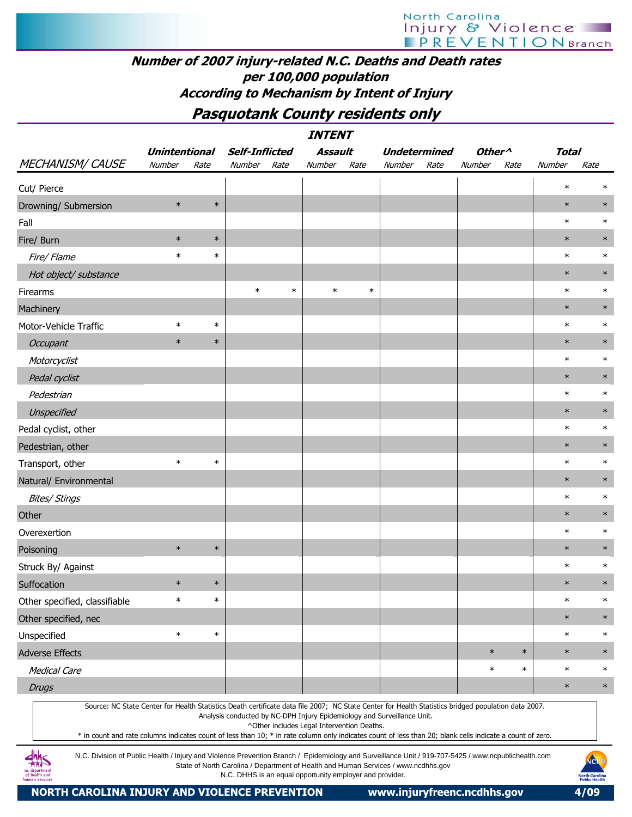## Number of 2007 injury-related N.C. Deaths and Death rates per 100,000 population According to Mechanism by Intent of Injury

## Pasquotank County residents only

INTENT

|                                                                                                                                                                                                                                                                                                                                                                                                                                           | <b>Unintentional</b> |        | <b>Self-Inflicted</b> |        | Assault |        | <b>Undetermined</b> |      | Other <sup>^</sup> |        | <b>Total</b> |        |
|-------------------------------------------------------------------------------------------------------------------------------------------------------------------------------------------------------------------------------------------------------------------------------------------------------------------------------------------------------------------------------------------------------------------------------------------|----------------------|--------|-----------------------|--------|---------|--------|---------------------|------|--------------------|--------|--------------|--------|
| <b>MECHANISM/ CAUSE</b>                                                                                                                                                                                                                                                                                                                                                                                                                   | Number               | Rate   | Number                | Rate   | Number  | Rate   | Number              | Rate | Number             | Rate   | Number       | Rate   |
| Cut/ Pierce                                                                                                                                                                                                                                                                                                                                                                                                                               |                      |        |                       |        |         |        |                     |      |                    |        | $\ast$       | $\ast$ |
| Drowning/ Submersion                                                                                                                                                                                                                                                                                                                                                                                                                      | $\ast$               | $\ast$ |                       |        |         |        |                     |      |                    |        | $\ast$       | $\ast$ |
| Fall                                                                                                                                                                                                                                                                                                                                                                                                                                      |                      |        |                       |        |         |        |                     |      |                    |        | $\ast$       | $\ast$ |
| Fire/ Burn                                                                                                                                                                                                                                                                                                                                                                                                                                | $\ast$               | $\ast$ |                       |        |         |        |                     |      |                    |        | $\ast$       | $\ast$ |
| Fire/ Flame                                                                                                                                                                                                                                                                                                                                                                                                                               | $\ast$               | $\ast$ |                       |        |         |        |                     |      |                    |        | $\ast$       | $\ast$ |
| Hot object/ substance                                                                                                                                                                                                                                                                                                                                                                                                                     |                      |        |                       |        |         |        |                     |      |                    |        | $\ast$       | $\ast$ |
| Firearms                                                                                                                                                                                                                                                                                                                                                                                                                                  |                      |        | $\ast$                | $\ast$ | $\ast$  | $\ast$ |                     |      |                    |        | $\ast$       | $\ast$ |
| Machinery                                                                                                                                                                                                                                                                                                                                                                                                                                 |                      |        |                       |        |         |        |                     |      |                    |        | $\ast$       | $\ast$ |
| Motor-Vehicle Traffic                                                                                                                                                                                                                                                                                                                                                                                                                     | $\ast$               | $\ast$ |                       |        |         |        |                     |      |                    |        | $\ast$       | $\ast$ |
| <b>Occupant</b>                                                                                                                                                                                                                                                                                                                                                                                                                           | $\ast$               | $\ast$ |                       |        |         |        |                     |      |                    |        | $\ast$       | $\ast$ |
| Motorcyclist                                                                                                                                                                                                                                                                                                                                                                                                                              |                      |        |                       |        |         |        |                     |      |                    |        | $\ast$       | $\ast$ |
| Pedal cyclist                                                                                                                                                                                                                                                                                                                                                                                                                             |                      |        |                       |        |         |        |                     |      |                    |        | $\ast$       | $\ast$ |
| Pedestrian                                                                                                                                                                                                                                                                                                                                                                                                                                |                      |        |                       |        |         |        |                     |      |                    |        | $\ast$       | $\ast$ |
| Unspecified                                                                                                                                                                                                                                                                                                                                                                                                                               |                      |        |                       |        |         |        |                     |      |                    |        | $\ast$       | $\ast$ |
| Pedal cyclist, other                                                                                                                                                                                                                                                                                                                                                                                                                      |                      |        |                       |        |         |        |                     |      |                    |        | $\ast$       | $\ast$ |
| Pedestrian, other                                                                                                                                                                                                                                                                                                                                                                                                                         |                      |        |                       |        |         |        |                     |      |                    |        | $\ast$       | $\ast$ |
| Transport, other                                                                                                                                                                                                                                                                                                                                                                                                                          | $\ast$               | $\ast$ |                       |        |         |        |                     |      |                    |        | $\ast$       | $\ast$ |
| Natural/ Environmental                                                                                                                                                                                                                                                                                                                                                                                                                    |                      |        |                       |        |         |        |                     |      |                    |        | $\ast$       | $\ast$ |
| <b>Bites/ Stings</b>                                                                                                                                                                                                                                                                                                                                                                                                                      |                      |        |                       |        |         |        |                     |      |                    |        | $\ast$       | $\ast$ |
| Other                                                                                                                                                                                                                                                                                                                                                                                                                                     |                      |        |                       |        |         |        |                     |      |                    |        | $\ast$       | $\ast$ |
| Overexertion                                                                                                                                                                                                                                                                                                                                                                                                                              |                      |        |                       |        |         |        |                     |      |                    |        | $\ast$       | $\ast$ |
| Poisoning                                                                                                                                                                                                                                                                                                                                                                                                                                 | $\ast$               | $\ast$ |                       |        |         |        |                     |      |                    |        | $\ast$       | $\ast$ |
| Struck By/ Against                                                                                                                                                                                                                                                                                                                                                                                                                        |                      |        |                       |        |         |        |                     |      |                    |        | $\ast$       | $\ast$ |
| Suffocation                                                                                                                                                                                                                                                                                                                                                                                                                               | $\ast$               | $\ast$ |                       |        |         |        |                     |      |                    |        | $\ast$       | $\ast$ |
| Other specified, classifiable                                                                                                                                                                                                                                                                                                                                                                                                             | $\ast$               | $\ast$ |                       |        |         |        |                     |      |                    |        | $\ast$       | $\ast$ |
| Other specified, nec                                                                                                                                                                                                                                                                                                                                                                                                                      |                      |        |                       |        |         |        |                     |      |                    |        | $\ast$       | $\ast$ |
| Unspecified                                                                                                                                                                                                                                                                                                                                                                                                                               | $\ast$               | $\ast$ |                       |        |         |        |                     |      |                    |        | $\ast$       | $\ast$ |
| <b>Adverse Effects</b>                                                                                                                                                                                                                                                                                                                                                                                                                    |                      |        |                       |        |         |        |                     |      | $\ast$             | $\ast$ | $\ast$       | $\ast$ |
| <b>Medical Care</b>                                                                                                                                                                                                                                                                                                                                                                                                                       |                      |        |                       |        |         |        |                     |      | $\ast$             | $\ast$ | $\ast$       | $\ast$ |
| <b>Drugs</b>                                                                                                                                                                                                                                                                                                                                                                                                                              |                      |        |                       |        |         |        |                     |      |                    |        | $\ast$       | $\ast$ |
| Source: NC State Center for Health Statistics Death certificate data file 2007; NC State Center for Health Statistics bridged population data 2007.<br>Analysis conducted by NC-DPH Injury Epidemiology and Surveillance Unit.<br>^Other includes Legal Intervention Deaths.<br>* in count and rate columns indicates count of less than 10; * in rate column only indicates count of less than 20; blank cells indicate a count of zero. |                      |        |                       |        |         |        |                     |      |                    |        |              |        |
| N.C. Division of Public Health / Injury and Violence Prevention Branch / Epidemiology and Surveillance Unit / 919-707-5425 / www.ncpublichealth.com<br>NOPH<br>State of North Carolina / Department of Health and Human Sensices / www.podbbs.gov                                                                                                                                                                                         |                      |        |                       |        |         |        |                     |      |                    |        |              |        |

State of North Carolina / Department of Health and Human Services / www.ncdhhs.gov N.C. DHHS is an equal opportunity employer and provider.

nc department<br>of health and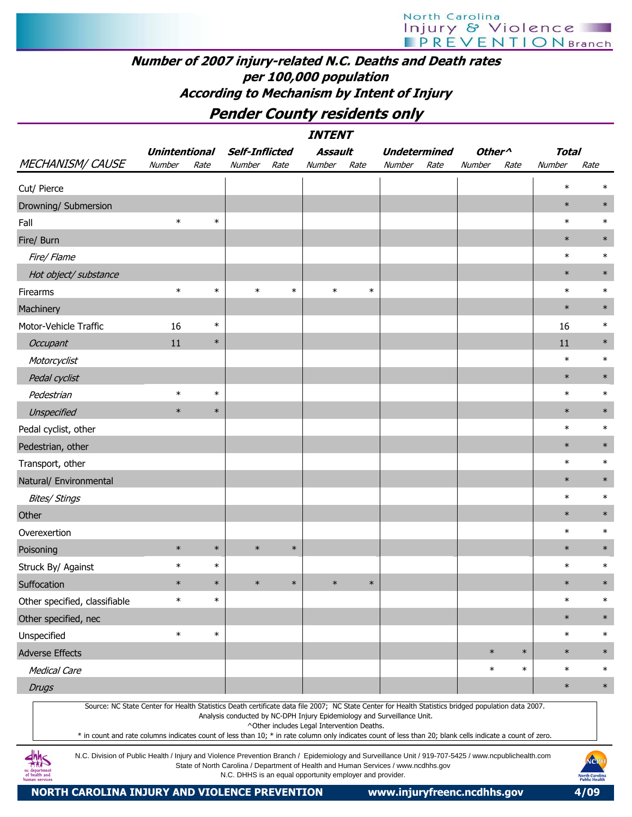# North Carolina<br>| njury & Violence<br>| PREVENTIONBranch

## Number of 2007 injury-related N.C. Deaths and Death rates per 100,000 population According to Mechanism by Intent of Injury

## Pender County residents only

| <b>INTENT</b>                                                                                                                                                                                                                                                                                                                                                                                                                                                                                                                                                                                                 |                      |        |                       |        |                |        |                     |                    |        |              |        |
|---------------------------------------------------------------------------------------------------------------------------------------------------------------------------------------------------------------------------------------------------------------------------------------------------------------------------------------------------------------------------------------------------------------------------------------------------------------------------------------------------------------------------------------------------------------------------------------------------------------|----------------------|--------|-----------------------|--------|----------------|--------|---------------------|--------------------|--------|--------------|--------|
|                                                                                                                                                                                                                                                                                                                                                                                                                                                                                                                                                                                                               | <b>Unintentional</b> |        | <b>Self-Inflicted</b> |        | <b>Assault</b> |        | <b>Undetermined</b> | Other <sup>^</sup> |        | <b>Total</b> |        |
| <b>MECHANISM/ CAUSE</b>                                                                                                                                                                                                                                                                                                                                                                                                                                                                                                                                                                                       | <b>Number</b>        | Rate   | Number                | Rate   | Number         | Rate   | Number<br>Rate      | Number             | Rate   | Number       | Rate   |
| Cut/ Pierce                                                                                                                                                                                                                                                                                                                                                                                                                                                                                                                                                                                                   |                      |        |                       |        |                |        |                     |                    |        | $\ast$       | ∗      |
| Drowning/ Submersion                                                                                                                                                                                                                                                                                                                                                                                                                                                                                                                                                                                          |                      |        |                       |        |                |        |                     |                    |        | $\ast$       | $\ast$ |
| Fall                                                                                                                                                                                                                                                                                                                                                                                                                                                                                                                                                                                                          | $\ast$               | $\ast$ |                       |        |                |        |                     |                    |        | $\ast$       | $\ast$ |
| Fire/ Burn                                                                                                                                                                                                                                                                                                                                                                                                                                                                                                                                                                                                    |                      |        |                       |        |                |        |                     |                    |        | $\ast$       | $\ast$ |
| Fire/ Flame                                                                                                                                                                                                                                                                                                                                                                                                                                                                                                                                                                                                   |                      |        |                       |        |                |        |                     |                    |        | $\ast$       | $\ast$ |
| Hot object/ substance                                                                                                                                                                                                                                                                                                                                                                                                                                                                                                                                                                                         |                      |        |                       |        |                |        |                     |                    |        | $\ast$       | $\ast$ |
| Firearms                                                                                                                                                                                                                                                                                                                                                                                                                                                                                                                                                                                                      | $\ast$               | $\ast$ | $\ast$                | $\ast$ | $\ast$         | $\ast$ |                     |                    |        | $\ast$       | $\ast$ |
| Machinery                                                                                                                                                                                                                                                                                                                                                                                                                                                                                                                                                                                                     |                      |        |                       |        |                |        |                     |                    |        | $\ast$       | $\ast$ |
| Motor-Vehicle Traffic                                                                                                                                                                                                                                                                                                                                                                                                                                                                                                                                                                                         | 16                   | $\ast$ |                       |        |                |        |                     |                    |        | 16           | $\ast$ |
| Occupant                                                                                                                                                                                                                                                                                                                                                                                                                                                                                                                                                                                                      | 11                   | $\ast$ |                       |        |                |        |                     |                    |        | 11           | $\ast$ |
| Motorcyclist                                                                                                                                                                                                                                                                                                                                                                                                                                                                                                                                                                                                  |                      |        |                       |        |                |        |                     |                    |        | $\ast$       | $\ast$ |
| Pedal cyclist                                                                                                                                                                                                                                                                                                                                                                                                                                                                                                                                                                                                 |                      |        |                       |        |                |        |                     |                    |        | $\ast$       | $\ast$ |
| Pedestrian                                                                                                                                                                                                                                                                                                                                                                                                                                                                                                                                                                                                    | $\ast$               | $\ast$ |                       |        |                |        |                     |                    |        | $\ast$       | $\ast$ |
| Unspecified                                                                                                                                                                                                                                                                                                                                                                                                                                                                                                                                                                                                   | $\ast$               | $\ast$ |                       |        |                |        |                     |                    |        | $\ast$       | $\ast$ |
| Pedal cyclist, other                                                                                                                                                                                                                                                                                                                                                                                                                                                                                                                                                                                          |                      |        |                       |        |                |        |                     |                    |        | $\ast$       | $\ast$ |
| Pedestrian, other                                                                                                                                                                                                                                                                                                                                                                                                                                                                                                                                                                                             |                      |        |                       |        |                |        |                     |                    |        | $\ast$       | $\ast$ |
| Transport, other                                                                                                                                                                                                                                                                                                                                                                                                                                                                                                                                                                                              |                      |        |                       |        |                |        |                     |                    |        | $\ast$       | $\ast$ |
| Natural/ Environmental                                                                                                                                                                                                                                                                                                                                                                                                                                                                                                                                                                                        |                      |        |                       |        |                |        |                     |                    |        | $\ast$       | $\ast$ |
| <b>Bites/ Stings</b>                                                                                                                                                                                                                                                                                                                                                                                                                                                                                                                                                                                          |                      |        |                       |        |                |        |                     |                    |        | $\ast$       | $\ast$ |
| Other                                                                                                                                                                                                                                                                                                                                                                                                                                                                                                                                                                                                         |                      |        |                       |        |                |        |                     |                    |        | $\ast$       | $\ast$ |
| Overexertion                                                                                                                                                                                                                                                                                                                                                                                                                                                                                                                                                                                                  |                      |        |                       |        |                |        |                     |                    |        | $\ast$       | $\ast$ |
| Poisoning                                                                                                                                                                                                                                                                                                                                                                                                                                                                                                                                                                                                     | $\ast$               | $\ast$ | $\ast$                | $\ast$ |                |        |                     |                    |        | $\ast$       | $\ast$ |
| Struck By/ Against                                                                                                                                                                                                                                                                                                                                                                                                                                                                                                                                                                                            | $\ast$               | $\ast$ |                       |        |                |        |                     |                    |        | $\ast$       | $\ast$ |
| Suffocation                                                                                                                                                                                                                                                                                                                                                                                                                                                                                                                                                                                                   | $\ast$               | $\ast$ | $\ast$                | $\ast$ | $\ast$         | $\ast$ |                     |                    |        | $\ast$       | $\ast$ |
| Other specified, classifiable                                                                                                                                                                                                                                                                                                                                                                                                                                                                                                                                                                                 | $\ast$               | $\ast$ |                       |        |                |        |                     |                    |        | $\ast$       | $\ast$ |
| Other specified, nec                                                                                                                                                                                                                                                                                                                                                                                                                                                                                                                                                                                          |                      |        |                       |        |                |        |                     |                    |        | $\ast$       | $\ast$ |
| Unspecified                                                                                                                                                                                                                                                                                                                                                                                                                                                                                                                                                                                                   | $\ast$               | $\ast$ |                       |        |                |        |                     |                    |        | $\ast$       | $\ast$ |
| <b>Adverse Effects</b>                                                                                                                                                                                                                                                                                                                                                                                                                                                                                                                                                                                        |                      |        |                       |        |                |        |                     | $\ast$             | $\ast$ | $\ast$       | $\ast$ |
| <b>Medical Care</b>                                                                                                                                                                                                                                                                                                                                                                                                                                                                                                                                                                                           |                      |        |                       |        |                |        |                     | $\ast$             | $\ast$ | $\ast$       | $\ast$ |
| <b>Drugs</b>                                                                                                                                                                                                                                                                                                                                                                                                                                                                                                                                                                                                  |                      |        |                       |        |                |        |                     |                    |        | $\ast$       | $\ast$ |
| Source: NC State Center for Health Statistics Death certificate data file 2007; NC State Center for Health Statistics bridged population data 2007.<br>Analysis conducted by NC-DPH Injury Epidemiology and Surveillance Unit.<br>^Other includes Legal Intervention Deaths.<br>* in count and rate columns indicates count of less than 10; * in rate column only indicates count of less than 20; blank cells indicate a count of zero.<br>۔ ما مالہ<br>N.C. Division of Public Health / Injury and Violence Prevention Branch / Enidemiology and Surveillance Unit / 919-707-5425 / www.ncpublichealth.com |                      |        |                       |        |                |        |                     |                    |        |              |        |

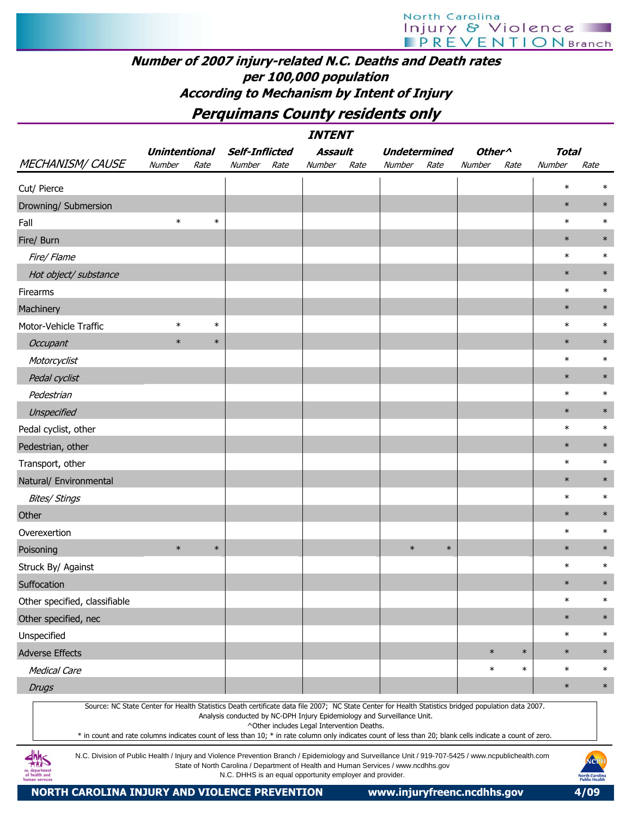#### Number of 2007 injury-related N.C. Deaths and Death rates per 100,000 population According to Mechanism by Intent of Injury

Perquimans County residents only

|                               |                      |        |                                                                         | <i><b>INTENT</b></i>                       |                                                                                                                                                                                                                                                                                                                  |                    |        |              |        |  |
|-------------------------------|----------------------|--------|-------------------------------------------------------------------------|--------------------------------------------|------------------------------------------------------------------------------------------------------------------------------------------------------------------------------------------------------------------------------------------------------------------------------------------------------------------|--------------------|--------|--------------|--------|--|
|                               | <b>Unintentional</b> |        | <b>Self-Inflicted</b>                                                   | <b>Assault</b>                             | <b>Undetermined</b>                                                                                                                                                                                                                                                                                              | Other <sup>^</sup> |        | <b>Total</b> |        |  |
| <b>MECHANISM/ CAUSE</b>       | Number               | Rate   | Number<br>Rate                                                          | Number<br>Rate                             | Number<br>Rate                                                                                                                                                                                                                                                                                                   | Number             | Rate   | Number       | Rate   |  |
| Cut/ Pierce                   |                      |        |                                                                         |                                            |                                                                                                                                                                                                                                                                                                                  |                    |        | $\ast$       | $\ast$ |  |
| Drowning/ Submersion          |                      |        |                                                                         |                                            |                                                                                                                                                                                                                                                                                                                  |                    |        | $\ast$       | $\ast$ |  |
| Fall                          | $\ast$               | $\ast$ |                                                                         |                                            |                                                                                                                                                                                                                                                                                                                  |                    |        | $\ast$       | $\ast$ |  |
| Fire/ Burn                    |                      |        |                                                                         |                                            |                                                                                                                                                                                                                                                                                                                  |                    |        | $\ast$       | $\ast$ |  |
| Fire/Flame                    |                      |        |                                                                         |                                            |                                                                                                                                                                                                                                                                                                                  |                    |        | $\ast$       | $\ast$ |  |
| Hot object/ substance         |                      |        |                                                                         |                                            |                                                                                                                                                                                                                                                                                                                  |                    |        | $\ast$       | $\ast$ |  |
| Firearms                      |                      |        |                                                                         |                                            |                                                                                                                                                                                                                                                                                                                  |                    |        | $\ast$       | $\ast$ |  |
| Machinery                     |                      |        |                                                                         |                                            |                                                                                                                                                                                                                                                                                                                  |                    |        | $\ast$       | $\ast$ |  |
| Motor-Vehicle Traffic         | $\ast$               | $\ast$ |                                                                         |                                            |                                                                                                                                                                                                                                                                                                                  |                    |        | $\ast$       | $\ast$ |  |
| Occupant                      | $\ast$               | $\ast$ |                                                                         |                                            |                                                                                                                                                                                                                                                                                                                  |                    |        | $\ast$       | $\ast$ |  |
| Motorcyclist                  |                      |        |                                                                         |                                            |                                                                                                                                                                                                                                                                                                                  |                    |        | $\ast$       | $\ast$ |  |
| Pedal cyclist                 |                      |        |                                                                         |                                            |                                                                                                                                                                                                                                                                                                                  |                    |        | $\ast$       | $\ast$ |  |
| Pedestrian                    |                      |        |                                                                         |                                            |                                                                                                                                                                                                                                                                                                                  |                    |        | $\ast$       | $\ast$ |  |
| Unspecified                   |                      |        |                                                                         |                                            |                                                                                                                                                                                                                                                                                                                  |                    |        | $\ast$       | $\ast$ |  |
| Pedal cyclist, other          |                      |        |                                                                         |                                            |                                                                                                                                                                                                                                                                                                                  |                    |        | $\ast$       | $\ast$ |  |
| Pedestrian, other             |                      |        |                                                                         |                                            |                                                                                                                                                                                                                                                                                                                  |                    |        | $\ast$       | $\ast$ |  |
| Transport, other              |                      |        |                                                                         |                                            |                                                                                                                                                                                                                                                                                                                  |                    |        | $\ast$       | $\ast$ |  |
| Natural/ Environmental        |                      |        |                                                                         |                                            |                                                                                                                                                                                                                                                                                                                  |                    |        | $\ast$       | $\ast$ |  |
| <b>Bites/ Stings</b>          |                      |        |                                                                         |                                            |                                                                                                                                                                                                                                                                                                                  |                    |        | $\ast$       | $\ast$ |  |
| Other                         |                      |        |                                                                         |                                            |                                                                                                                                                                                                                                                                                                                  |                    |        | $\ast$       | $\ast$ |  |
| Overexertion                  |                      |        |                                                                         |                                            |                                                                                                                                                                                                                                                                                                                  |                    |        | $\ast$       | $\ast$ |  |
| Poisoning                     | $\ast$               | $\ast$ |                                                                         |                                            | $\ast$<br>$\ast$                                                                                                                                                                                                                                                                                                 |                    |        | $\ast$       | $\ast$ |  |
| Struck By/ Against            |                      |        |                                                                         |                                            |                                                                                                                                                                                                                                                                                                                  |                    |        | $\ast$       | $\ast$ |  |
| Suffocation                   |                      |        |                                                                         |                                            |                                                                                                                                                                                                                                                                                                                  |                    |        | $\ast$       | $\ast$ |  |
| Other specified, classifiable |                      |        |                                                                         |                                            |                                                                                                                                                                                                                                                                                                                  |                    |        | $\ast$       | $\ast$ |  |
| Other specified, nec          |                      |        |                                                                         |                                            |                                                                                                                                                                                                                                                                                                                  |                    |        | $\ast$       | $\ast$ |  |
| Unspecified                   |                      |        |                                                                         |                                            |                                                                                                                                                                                                                                                                                                                  |                    |        | $\ast$       | $\ast$ |  |
| <b>Adverse Effects</b>        |                      |        |                                                                         |                                            |                                                                                                                                                                                                                                                                                                                  | $\ast$             | $\ast$ | $\ast$       | $\ast$ |  |
| <b>Medical Care</b>           |                      |        |                                                                         |                                            |                                                                                                                                                                                                                                                                                                                  | $\ast$             | $\ast$ | $\ast$       | $\ast$ |  |
| <b>Drugs</b>                  |                      |        |                                                                         |                                            |                                                                                                                                                                                                                                                                                                                  |                    |        | $\ast$       | $\ast$ |  |
|                               |                      |        | Analysis conducted by NC-DPH Injury Epidemiology and Surveillance Unit. | ^Other includes Legal Intervention Deaths. | Source: NC State Center for Health Statistics Death certificate data file 2007; NC State Center for Health Statistics bridged population data 2007.<br>* in count and rate columns indicates count of less than 10; * in rate column only indicates count of less than 20; blank cells indicate a count of zero. |                    |        |              |        |  |

N.C. Division of Public Health / Injury and Violence Prevention Branch / Epidemiology and Surveillance Unit / 919-707-5425 / www.ncpublichealth.com State of North Carolina / Department of Health and Human Services / www.ncdhhs.gov N.C. DHHS is an equal opportunity employer and provider.

 $\frac{dh}{dh}$ 

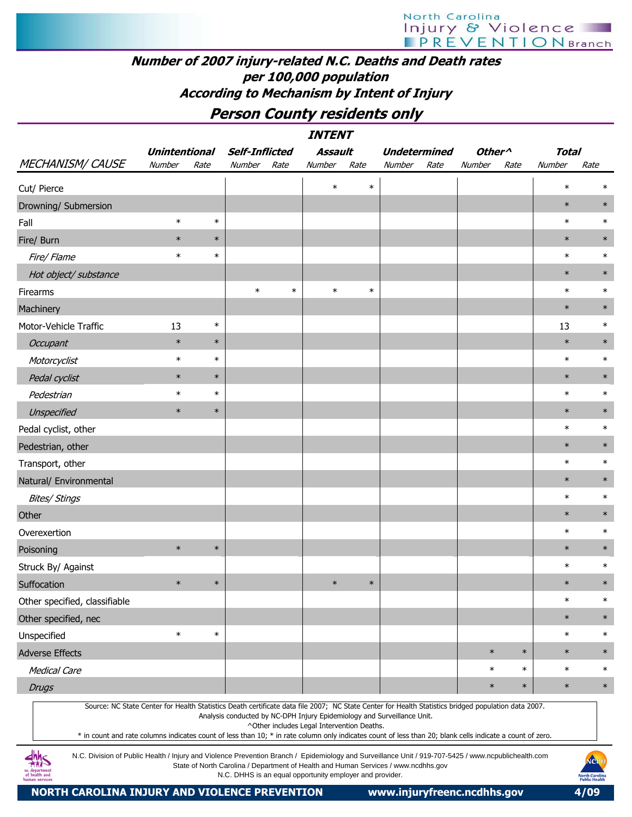# North Carolina Injury & Violence

#### Number of 2007 injury-related N.C. Deaths and Death rates per 100,000 population According to Mechanism by Intent of Injury

### Person County residents only

|                               | <b>INTENT</b>        |        |                       |        |                                            |        |                                                                                                                                                                                                                                                                                                                                                                                             |                    |        |              |        |  |  |  |
|-------------------------------|----------------------|--------|-----------------------|--------|--------------------------------------------|--------|---------------------------------------------------------------------------------------------------------------------------------------------------------------------------------------------------------------------------------------------------------------------------------------------------------------------------------------------------------------------------------------------|--------------------|--------|--------------|--------|--|--|--|
|                               | <b>Unintentional</b> |        | <b>Self-Inflicted</b> |        | Assault                                    |        | <b>Undetermined</b>                                                                                                                                                                                                                                                                                                                                                                         | Other <sup>^</sup> |        | <b>Total</b> |        |  |  |  |
| <b>MECHANISM/ CAUSE</b>       | Number               | Rate   | Number                | Rate   | Number                                     | Rate   | Number<br>Rate                                                                                                                                                                                                                                                                                                                                                                              | Number             | Rate   | Number       | Rate   |  |  |  |
| Cut/ Pierce                   |                      |        |                       |        | $\ast$                                     | $\ast$ |                                                                                                                                                                                                                                                                                                                                                                                             |                    |        | $\ast$       | $\ast$ |  |  |  |
| Drowning/ Submersion          |                      |        |                       |        |                                            |        |                                                                                                                                                                                                                                                                                                                                                                                             |                    |        | $\ast$       | $\ast$ |  |  |  |
| Fall                          | $\ast$               | $\ast$ |                       |        |                                            |        |                                                                                                                                                                                                                                                                                                                                                                                             |                    |        | $\ast$       | $\ast$ |  |  |  |
| Fire/ Burn                    | $\ast$               | $\ast$ |                       |        |                                            |        |                                                                                                                                                                                                                                                                                                                                                                                             |                    |        | $\ast$       | $\ast$ |  |  |  |
| Fire/ Flame                   | $\ast$               | $\ast$ |                       |        |                                            |        |                                                                                                                                                                                                                                                                                                                                                                                             |                    |        | $\ast$       | $\ast$ |  |  |  |
| Hot object/ substance         |                      |        |                       |        |                                            |        |                                                                                                                                                                                                                                                                                                                                                                                             |                    |        | $\ast$       | $\ast$ |  |  |  |
| Firearms                      |                      |        | $\ast$                | $\ast$ | $\ast$                                     | $\ast$ |                                                                                                                                                                                                                                                                                                                                                                                             |                    |        | $\ast$       | $\ast$ |  |  |  |
| Machinery                     |                      |        |                       |        |                                            |        |                                                                                                                                                                                                                                                                                                                                                                                             |                    |        | $\ast$       | $\ast$ |  |  |  |
| Motor-Vehicle Traffic         | 13                   | $\ast$ |                       |        |                                            |        |                                                                                                                                                                                                                                                                                                                                                                                             |                    |        | 13           | $\ast$ |  |  |  |
| Occupant                      | $\ast$               | $\ast$ |                       |        |                                            |        |                                                                                                                                                                                                                                                                                                                                                                                             |                    |        | $\ast$       | $\ast$ |  |  |  |
| Motorcyclist                  | $\ast$               | $\ast$ |                       |        |                                            |        |                                                                                                                                                                                                                                                                                                                                                                                             |                    |        | $\ast$       | $\ast$ |  |  |  |
| Pedal cyclist                 | $\ast$               | $\ast$ |                       |        |                                            |        |                                                                                                                                                                                                                                                                                                                                                                                             |                    |        | $\ast$       | $\ast$ |  |  |  |
| Pedestrian                    | $\ast$               | $\ast$ |                       |        |                                            |        |                                                                                                                                                                                                                                                                                                                                                                                             |                    |        | $\ast$       | $\ast$ |  |  |  |
| Unspecified                   | $\ast$               | $\ast$ |                       |        |                                            |        |                                                                                                                                                                                                                                                                                                                                                                                             |                    |        | $\ast$       | $\ast$ |  |  |  |
| Pedal cyclist, other          |                      |        |                       |        |                                            |        |                                                                                                                                                                                                                                                                                                                                                                                             |                    |        | $\ast$       | $\ast$ |  |  |  |
| Pedestrian, other             |                      |        |                       |        |                                            |        |                                                                                                                                                                                                                                                                                                                                                                                             |                    |        | $\ast$       | $\ast$ |  |  |  |
| Transport, other              |                      |        |                       |        |                                            |        |                                                                                                                                                                                                                                                                                                                                                                                             |                    |        | $\ast$       | $\ast$ |  |  |  |
| Natural/ Environmental        |                      |        |                       |        |                                            |        |                                                                                                                                                                                                                                                                                                                                                                                             |                    |        | $\ast$       | $\ast$ |  |  |  |
| <b>Bites/ Stings</b>          |                      |        |                       |        |                                            |        |                                                                                                                                                                                                                                                                                                                                                                                             |                    |        | $\ast$       | $\ast$ |  |  |  |
| Other                         |                      |        |                       |        |                                            |        |                                                                                                                                                                                                                                                                                                                                                                                             |                    |        | $\ast$       | $\ast$ |  |  |  |
| Overexertion                  |                      |        |                       |        |                                            |        |                                                                                                                                                                                                                                                                                                                                                                                             |                    |        | $\ast$       | $\ast$ |  |  |  |
| Poisoning                     | $\ast$               | $\ast$ |                       |        |                                            |        |                                                                                                                                                                                                                                                                                                                                                                                             |                    |        | $\ast$       | $\ast$ |  |  |  |
| Struck By/ Against            |                      |        |                       |        |                                            |        |                                                                                                                                                                                                                                                                                                                                                                                             |                    |        | $\ast$       | $\ast$ |  |  |  |
| Suffocation                   | $\ast$               | $\ast$ |                       |        | $\ast$                                     | $\ast$ |                                                                                                                                                                                                                                                                                                                                                                                             |                    |        | $\ast$       | $\ast$ |  |  |  |
| Other specified, classifiable |                      |        |                       |        |                                            |        |                                                                                                                                                                                                                                                                                                                                                                                             |                    |        | $\ast$       | $\ast$ |  |  |  |
| Other specified, nec          |                      |        |                       |        |                                            |        |                                                                                                                                                                                                                                                                                                                                                                                             |                    |        | $\ast$       | $\ast$ |  |  |  |
| Unspecified                   | $\ast$               | $\ast$ |                       |        |                                            |        |                                                                                                                                                                                                                                                                                                                                                                                             |                    |        | $\ast$       | $\ast$ |  |  |  |
| <b>Adverse Effects</b>        |                      |        |                       |        |                                            |        |                                                                                                                                                                                                                                                                                                                                                                                             | $\ast$             | $\ast$ | $\ast$       | $\ast$ |  |  |  |
| <b>Medical Care</b>           |                      |        |                       |        |                                            |        |                                                                                                                                                                                                                                                                                                                                                                                             | $\ast$             | $\ast$ | $\ast$       | $\ast$ |  |  |  |
| <b>Drugs</b>                  |                      |        |                       |        |                                            |        |                                                                                                                                                                                                                                                                                                                                                                                             | $\ast$             | $\ast$ | $\ast$       | $\ast$ |  |  |  |
|                               |                      |        |                       |        | ^Other includes Legal Intervention Deaths. |        | Source: NC State Center for Health Statistics Death certificate data file 2007; NC State Center for Health Statistics bridged population data 2007.<br>Analysis conducted by NC-DPH Injury Epidemiology and Surveillance Unit.<br>* in count and rate columns indicates count of less than 10; * in rate column only indicates count of less than 20; blank cells indicate a count of zero. |                    |        |              |        |  |  |  |
|                               |                      |        |                       |        |                                            |        | N.C. Division of Public Health / Injury and Violence Prevention Branch / Epidemiology and Surveillance Unit / 919-707-5425 / www.ncpublichealth.com<br>State of North Carolina / Department of Health and Human Services / www.podbbs.gov                                                                                                                                                   |                    |        |              | NCPH   |  |  |  |

N.C. Division of Public Health / Injury and Violence Prevention Branch / Epidemiology and Surveillance Unit / 919-707-5425 / www.ncpublichealth.com State of North Carolina / Department of Health and Human Services / www.ncdhhs.gov N.C. DHHS is an equal opportunity employer and provider.

aepartmen<br>health and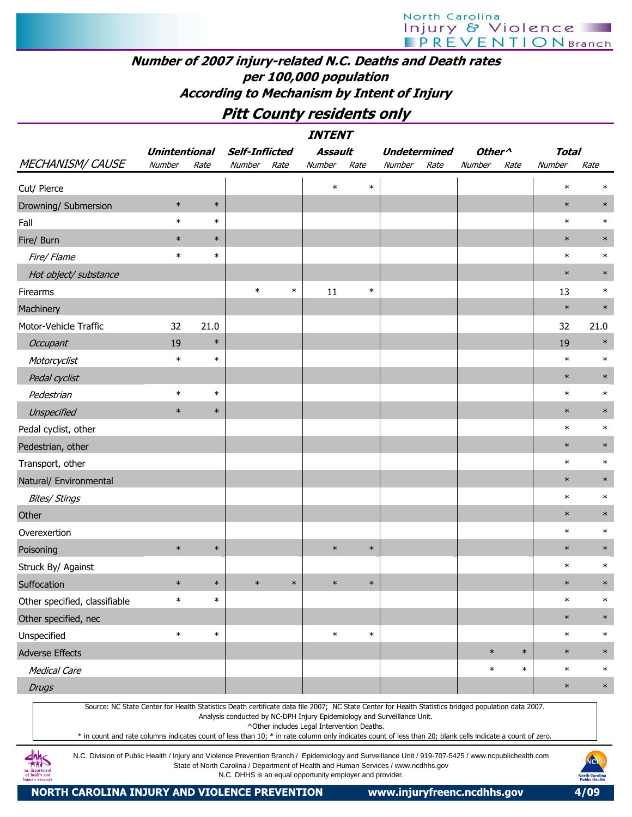### Number of 2007 injury-related N.C. Deaths and Death rates per 100,000 population According to Mechanism by Intent of Injury

### Pitt County residents only

|                                                                                                                                                     | <i><b>INTENT</b></i><br><b>Self-Inflicted</b><br><b>Assault</b><br><b>Undetermined</b><br>Other <sup>^</sup><br><b>Unintentional</b> |        |        |        |                                            |        |                                                                         |      |        |        |              |        |  |  |
|-----------------------------------------------------------------------------------------------------------------------------------------------------|--------------------------------------------------------------------------------------------------------------------------------------|--------|--------|--------|--------------------------------------------|--------|-------------------------------------------------------------------------|------|--------|--------|--------------|--------|--|--|
|                                                                                                                                                     |                                                                                                                                      |        |        |        |                                            |        |                                                                         |      |        |        | <b>Total</b> |        |  |  |
| <b>MECHANISM/ CAUSE</b>                                                                                                                             | Number                                                                                                                               | Rate   | Number | Rate   | Number                                     | Rate   | Number                                                                  | Rate | Number | Rate   | Number       | Rate   |  |  |
| Cut/ Pierce                                                                                                                                         |                                                                                                                                      |        |        |        | $\ast$                                     | $\ast$ |                                                                         |      |        |        | $\ast$       | $\ast$ |  |  |
| Drowning/ Submersion                                                                                                                                | $\ast$                                                                                                                               | $\ast$ |        |        |                                            |        |                                                                         |      |        |        | $\ast$       | $\ast$ |  |  |
| Fall                                                                                                                                                | $\ast$                                                                                                                               | $\ast$ |        |        |                                            |        |                                                                         |      |        |        | $\ast$       | $\ast$ |  |  |
| Fire/ Burn                                                                                                                                          | $\ast$                                                                                                                               | $\ast$ |        |        |                                            |        |                                                                         |      |        |        | $\ast$       | $\ast$ |  |  |
| Fire/ Flame                                                                                                                                         | $\ast$                                                                                                                               | $\ast$ |        |        |                                            |        |                                                                         |      |        |        | $\ast$       | $\ast$ |  |  |
| Hot object/ substance                                                                                                                               |                                                                                                                                      |        |        |        |                                            |        |                                                                         |      |        |        | $\ast$       | $\ast$ |  |  |
| Firearms                                                                                                                                            |                                                                                                                                      |        | $\ast$ | $\ast$ | 11                                         | $\ast$ |                                                                         |      |        |        | 13           | $\ast$ |  |  |
| Machinery                                                                                                                                           |                                                                                                                                      |        |        |        |                                            |        |                                                                         |      |        |        | $\ast$       | $\ast$ |  |  |
| Motor-Vehicle Traffic                                                                                                                               | 32                                                                                                                                   | 21.0   |        |        |                                            |        |                                                                         |      |        |        | 32           | 21.0   |  |  |
| <b>Occupant</b>                                                                                                                                     | 19                                                                                                                                   | $\ast$ |        |        |                                            |        |                                                                         |      |        |        | 19           | $\ast$ |  |  |
| Motorcyclist                                                                                                                                        | $\ast$                                                                                                                               | $\ast$ |        |        |                                            |        |                                                                         |      |        |        | $\ast$       | $\ast$ |  |  |
| Pedal cyclist                                                                                                                                       |                                                                                                                                      |        |        |        |                                            |        |                                                                         |      |        |        | $\ast$       | $\ast$ |  |  |
| Pedestrian                                                                                                                                          | $\ast$                                                                                                                               | $\ast$ |        |        |                                            |        |                                                                         |      |        |        | $\ast$       | $\ast$ |  |  |
| Unspecified                                                                                                                                         | $\ast$                                                                                                                               | $\ast$ |        |        |                                            |        |                                                                         |      |        |        | $\ast$       | $\ast$ |  |  |
| Pedal cyclist, other                                                                                                                                |                                                                                                                                      |        |        |        |                                            |        |                                                                         |      |        |        | $\ast$       | $\ast$ |  |  |
| Pedestrian, other                                                                                                                                   |                                                                                                                                      |        |        |        |                                            |        |                                                                         |      |        |        | $\ast$       | $\ast$ |  |  |
| Transport, other                                                                                                                                    |                                                                                                                                      |        |        |        |                                            |        |                                                                         |      |        |        | $\ast$       | $\ast$ |  |  |
| Natural/ Environmental                                                                                                                              |                                                                                                                                      |        |        |        |                                            |        |                                                                         |      |        |        | $\ast$       | $\ast$ |  |  |
| <b>Bites/ Stings</b>                                                                                                                                |                                                                                                                                      |        |        |        |                                            |        |                                                                         |      |        |        | $\ast$       | $\ast$ |  |  |
| Other                                                                                                                                               |                                                                                                                                      |        |        |        |                                            |        |                                                                         |      |        |        | $\ast$       | $\ast$ |  |  |
| Overexertion                                                                                                                                        |                                                                                                                                      |        |        |        |                                            |        |                                                                         |      |        |        | $\ast$       | $\ast$ |  |  |
| Poisoning                                                                                                                                           | $\ast$                                                                                                                               | $\ast$ |        |        | $\ast$                                     | $\ast$ |                                                                         |      |        |        | $\ast$       | $\ast$ |  |  |
| Struck By/ Against                                                                                                                                  |                                                                                                                                      |        |        |        |                                            |        |                                                                         |      |        |        | $\ast$       | $\ast$ |  |  |
| Suffocation                                                                                                                                         | $\ast$                                                                                                                               | $\ast$ | $\ast$ | $\ast$ | $\ast$                                     | $\ast$ |                                                                         |      |        |        | $\ast$       | $\ast$ |  |  |
| Other specified, classifiable                                                                                                                       | $\ast$                                                                                                                               | $\ast$ |        |        |                                            |        |                                                                         |      |        |        | $\ast$       | $\ast$ |  |  |
| Other specified, nec                                                                                                                                |                                                                                                                                      |        |        |        |                                            |        |                                                                         |      |        |        | $\ast$       | $\ast$ |  |  |
| Unspecified                                                                                                                                         | $\ast$                                                                                                                               | $\ast$ |        |        | $\ast$                                     | $\ast$ |                                                                         |      |        |        | $\ast$       | $\ast$ |  |  |
| <b>Adverse Effects</b>                                                                                                                              |                                                                                                                                      |        |        |        |                                            |        |                                                                         |      | $\ast$ | $\ast$ | $\ast$       | $\ast$ |  |  |
| <b>Medical Care</b>                                                                                                                                 |                                                                                                                                      |        |        |        |                                            |        |                                                                         |      | $\ast$ | $\ast$ | $\ast$       | $\ast$ |  |  |
| <b>Drugs</b>                                                                                                                                        |                                                                                                                                      |        |        |        |                                            |        |                                                                         |      |        |        | $\ast$       | $\ast$ |  |  |
| Source: NC State Center for Health Statistics Death certificate data file 2007; NC State Center for Health Statistics bridged population data 2007. |                                                                                                                                      |        |        |        | ^Other includes Legal Intervention Deaths. |        | Analysis conducted by NC-DPH Injury Epidemiology and Surveillance Unit. |      |        |        |              |        |  |  |

\* in count and rate columns indicates count of less than 10; \* in rate column only indicates count of less than 20; blank cells indicate a count of zero.

N.C. Division of Public Health / Injury and Violence Prevention Branch / Epidemiology and Surveillance Unit / 919-707-5425 / www.ncpublichealth.com State of North Carolina / Department of Health and Human Services / www.ncdhhs.gov N.C. DHHS is an equal opportunity employer and provider.

 $\frac{dhh}{dhS}$ ic departmen<br>of health and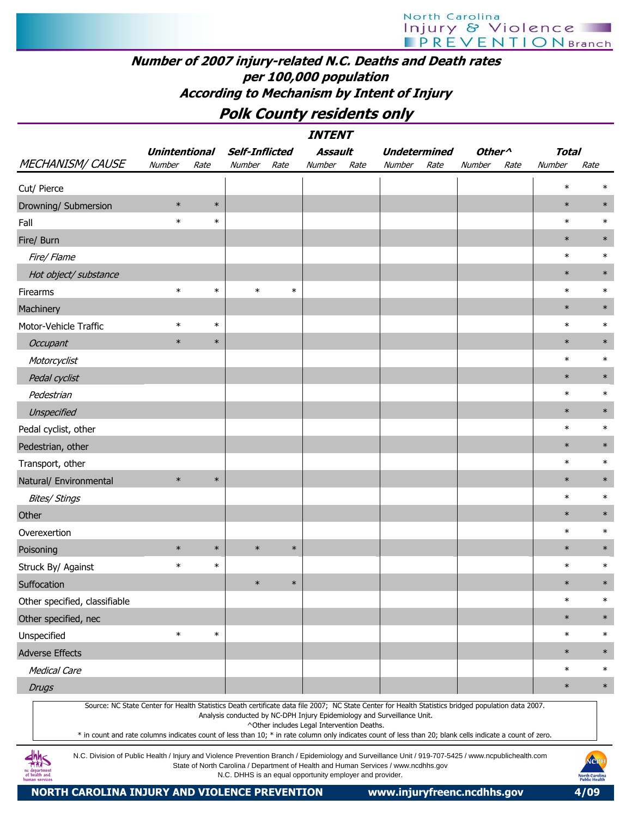#### Number of 2007 injury-related N.C. Deaths and Death rates per 100,000 population According to Mechanism by Intent of Injury

### Polk County residents only

|                                                                                                                                                                                                                                                                                                                  |                      |        |                                                          |        | <i><b>INTENT</b></i>                       |      |                                                                                    |      |                    |      |        |                                        |
|------------------------------------------------------------------------------------------------------------------------------------------------------------------------------------------------------------------------------------------------------------------------------------------------------------------|----------------------|--------|----------------------------------------------------------|--------|--------------------------------------------|------|------------------------------------------------------------------------------------|------|--------------------|------|--------|----------------------------------------|
|                                                                                                                                                                                                                                                                                                                  | <b>Unintentional</b> |        | <b>Self-Inflicted</b>                                    |        | <b>Assault</b>                             |      | <b>Undetermined</b>                                                                |      | Other <sup>^</sup> |      | Total  |                                        |
| <b>MECHANISM/ CAUSE</b>                                                                                                                                                                                                                                                                                          | Number               | Rate   | Number                                                   | Rate   | Number                                     | Rate | Number                                                                             | Rate | Number             | Rate | Number | Rate                                   |
| Cut/ Pierce                                                                                                                                                                                                                                                                                                      |                      |        |                                                          |        |                                            |      |                                                                                    |      |                    |      | $\ast$ | $\ast$                                 |
| Drowning/ Submersion                                                                                                                                                                                                                                                                                             | $\ast$               | $\ast$ |                                                          |        |                                            |      |                                                                                    |      |                    |      | $\ast$ | $\ast$                                 |
| Fall                                                                                                                                                                                                                                                                                                             | $\ast$               | $\ast$ |                                                          |        |                                            |      |                                                                                    |      |                    |      | $\ast$ | $\ast$                                 |
| Fire/ Burn                                                                                                                                                                                                                                                                                                       |                      |        |                                                          |        |                                            |      |                                                                                    |      |                    |      | $\ast$ | $\ast$                                 |
| Fire/ Flame                                                                                                                                                                                                                                                                                                      |                      |        |                                                          |        |                                            |      |                                                                                    |      |                    |      | $\ast$ | $\ast$                                 |
| Hot object/ substance                                                                                                                                                                                                                                                                                            |                      |        |                                                          |        |                                            |      |                                                                                    |      |                    |      | $\ast$ | $\ast$                                 |
| Firearms                                                                                                                                                                                                                                                                                                         | $\ast$               | $\ast$ | $\ast$                                                   | $\ast$ |                                            |      |                                                                                    |      |                    |      | $\ast$ | $\ast$                                 |
| Machinery                                                                                                                                                                                                                                                                                                        |                      |        |                                                          |        |                                            |      |                                                                                    |      |                    |      | $\ast$ | $\ast$                                 |
| Motor-Vehicle Traffic                                                                                                                                                                                                                                                                                            | $\ast$               | $\ast$ |                                                          |        |                                            |      |                                                                                    |      |                    |      | $\ast$ | $\ast$                                 |
| Occupant                                                                                                                                                                                                                                                                                                         | $\ast$               | $\ast$ |                                                          |        |                                            |      |                                                                                    |      |                    |      | $\ast$ | $\ast$                                 |
| Motorcyclist                                                                                                                                                                                                                                                                                                     |                      |        |                                                          |        |                                            |      |                                                                                    |      |                    |      | $\ast$ | $\ast$                                 |
| Pedal cyclist                                                                                                                                                                                                                                                                                                    |                      |        |                                                          |        |                                            |      |                                                                                    |      |                    |      | $\ast$ | $\ast$                                 |
| Pedestrian                                                                                                                                                                                                                                                                                                       |                      |        |                                                          |        |                                            |      |                                                                                    |      |                    |      | $\ast$ | $\ast$                                 |
| Unspecified                                                                                                                                                                                                                                                                                                      |                      |        |                                                          |        |                                            |      |                                                                                    |      |                    |      | $\ast$ | $\ast$                                 |
| Pedal cyclist, other                                                                                                                                                                                                                                                                                             |                      |        |                                                          |        |                                            |      |                                                                                    |      |                    |      | $\ast$ | $\ast$                                 |
| Pedestrian, other                                                                                                                                                                                                                                                                                                |                      |        |                                                          |        |                                            |      |                                                                                    |      |                    |      | $\ast$ | $\ast$                                 |
| Transport, other                                                                                                                                                                                                                                                                                                 |                      |        |                                                          |        |                                            |      |                                                                                    |      |                    |      | $\ast$ | $\ast$                                 |
| Natural/ Environmental                                                                                                                                                                                                                                                                                           | $\ast$               | $\ast$ |                                                          |        |                                            |      |                                                                                    |      |                    |      | $\ast$ | $\ast$                                 |
| <b>Bites/ Stings</b>                                                                                                                                                                                                                                                                                             |                      |        |                                                          |        |                                            |      |                                                                                    |      |                    |      | $\ast$ | $\ast$                                 |
| Other                                                                                                                                                                                                                                                                                                            |                      |        |                                                          |        |                                            |      |                                                                                    |      |                    |      | $\ast$ | $\ast$                                 |
| Overexertion                                                                                                                                                                                                                                                                                                     |                      |        |                                                          |        |                                            |      |                                                                                    |      |                    |      | $\ast$ | $\ast$                                 |
| Poisoning                                                                                                                                                                                                                                                                                                        | $\ast$               | $\ast$ | $\ast$                                                   | $\ast$ |                                            |      |                                                                                    |      |                    |      | $\ast$ | $\ast$                                 |
| Struck By/ Against                                                                                                                                                                                                                                                                                               | $\ast$               | $\ast$ |                                                          |        |                                            |      |                                                                                    |      |                    |      | $\ast$ | $\ast$                                 |
| Suffocation                                                                                                                                                                                                                                                                                                      |                      |        | $\ast$                                                   | $\ast$ |                                            |      |                                                                                    |      |                    |      | $\ast$ | $\ast$                                 |
| Other specified, classifiable                                                                                                                                                                                                                                                                                    |                      |        |                                                          |        |                                            |      |                                                                                    |      |                    |      | $\ast$ | $\ast$                                 |
| Other specified, nec                                                                                                                                                                                                                                                                                             |                      |        |                                                          |        |                                            |      |                                                                                    |      |                    |      | $\ast$ | $\ast$                                 |
| Unspecified                                                                                                                                                                                                                                                                                                      | $\ast$               | $\ast$ |                                                          |        |                                            |      |                                                                                    |      |                    |      | $\ast$ | $\ast$                                 |
| <b>Adverse Effects</b>                                                                                                                                                                                                                                                                                           |                      |        |                                                          |        |                                            |      |                                                                                    |      |                    |      | $\ast$ | $\ast$                                 |
| <b>Medical Care</b>                                                                                                                                                                                                                                                                                              |                      |        |                                                          |        |                                            |      |                                                                                    |      |                    |      | $\ast$ | $\ast$                                 |
| <b>Drugs</b>                                                                                                                                                                                                                                                                                                     |                      |        |                                                          |        |                                            |      |                                                                                    |      |                    |      | $\ast$ | $\ast$                                 |
| Source: NC State Center for Health Statistics Death certificate data file 2007; NC State Center for Health Statistics bridged population data 2007.<br>* in count and rate columns indicates count of less than 10; * in rate column only indicates count of less than 20; blank cells indicate a count of zero. |                      |        |                                                          |        | ^Other includes Legal Intervention Deaths. |      | Analysis conducted by NC-DPH Injury Epidemiology and Surveillance Unit.            |      |                    |      |        |                                        |
| N.C. Division of Public Health / Injury and Violence Prevention Branch / Epidemiology and Surveillance Unit / 919-707-5425 / www.ncpublichealth.com<br>of health and<br>ıman service:                                                                                                                            |                      |        | N.C. DHHS is an equal opportunity employer and provider. |        |                                            |      | State of North Carolina / Department of Health and Human Services / www.ncdhhs.gov |      |                    |      |        | NCP<br>North Carolina<br>Public Health |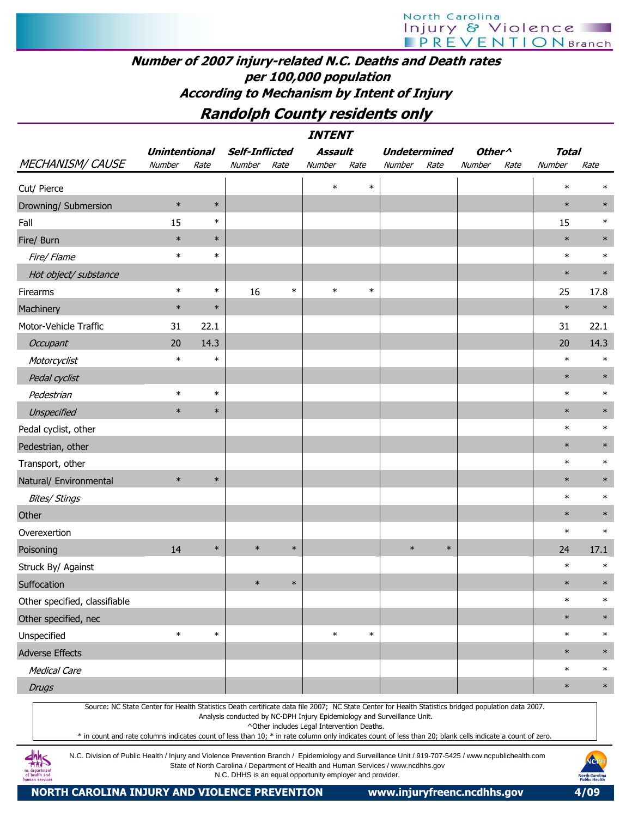# North Carolina Injury & Violence

#### Number of 2007 injury-related N.C. Deaths and Death rates per 100,000 population According to Mechanism by Intent of Injury

### Randolph County residents only

INTENT

| <b>MECHANISM/ CAUSE</b>                                                                                                                                                                                                                                                                                          | <b>Unintentional</b> |        | <b>Self-Inflicted</b>                                                   |        | Assault                                    |        | <b>Undetermined</b> |        | Other <sup>^</sup> |      | <b>Total</b> |        |
|------------------------------------------------------------------------------------------------------------------------------------------------------------------------------------------------------------------------------------------------------------------------------------------------------------------|----------------------|--------|-------------------------------------------------------------------------|--------|--------------------------------------------|--------|---------------------|--------|--------------------|------|--------------|--------|
|                                                                                                                                                                                                                                                                                                                  | Number               | Rate   | Number                                                                  | Rate   | Number                                     | Rate   | Number              | Rate   | Number             | Rate | Number       | Rate   |
| Cut/ Pierce                                                                                                                                                                                                                                                                                                      |                      |        |                                                                         |        | $\ast$                                     | $\ast$ |                     |        |                    |      | $\ast$       | $\ast$ |
| Drowning/ Submersion                                                                                                                                                                                                                                                                                             | $\ast$               | $\ast$ |                                                                         |        |                                            |        |                     |        |                    |      | $\ast$       | $\ast$ |
| Fall                                                                                                                                                                                                                                                                                                             | 15                   | $\ast$ |                                                                         |        |                                            |        |                     |        |                    |      | 15           | $\ast$ |
| Fire/ Burn                                                                                                                                                                                                                                                                                                       | $\ast$               | $\ast$ |                                                                         |        |                                            |        |                     |        |                    |      | $\ast$       | $\ast$ |
| Fire/ Flame                                                                                                                                                                                                                                                                                                      | $\ast$               | $\ast$ |                                                                         |        |                                            |        |                     |        |                    |      | $\ast$       | $\ast$ |
| Hot object/ substance                                                                                                                                                                                                                                                                                            |                      |        |                                                                         |        |                                            |        |                     |        |                    |      | $\ast$       | $\ast$ |
| Firearms                                                                                                                                                                                                                                                                                                         | $\ast$               | $\ast$ | 16                                                                      | $\ast$ | $\ast$                                     | $\ast$ |                     |        |                    |      | 25           | 17.8   |
| Machinery                                                                                                                                                                                                                                                                                                        | $\ast$               | $\ast$ |                                                                         |        |                                            |        |                     |        |                    |      | $\ast$       | $\ast$ |
| Motor-Vehicle Traffic                                                                                                                                                                                                                                                                                            | 31                   | 22.1   |                                                                         |        |                                            |        |                     |        |                    |      | 31           | 22.1   |
| Occupant                                                                                                                                                                                                                                                                                                         | 20                   | 14.3   |                                                                         |        |                                            |        |                     |        |                    |      | 20           | 14.3   |
| Motorcyclist                                                                                                                                                                                                                                                                                                     | $\ast$               | $\ast$ |                                                                         |        |                                            |        |                     |        |                    |      | $\ast$       | $\ast$ |
| Pedal cyclist                                                                                                                                                                                                                                                                                                    |                      |        |                                                                         |        |                                            |        |                     |        |                    |      | $\ast$       | $\ast$ |
| Pedestrian                                                                                                                                                                                                                                                                                                       | $\ast$               | $\ast$ |                                                                         |        |                                            |        |                     |        |                    |      | $\ast$       | $\ast$ |
| Unspecified                                                                                                                                                                                                                                                                                                      | $\ast$               | $\ast$ |                                                                         |        |                                            |        |                     |        |                    |      | $\ast$       | $\ast$ |
| Pedal cyclist, other                                                                                                                                                                                                                                                                                             |                      |        |                                                                         |        |                                            |        |                     |        |                    |      | $\ast$       | $\ast$ |
| Pedestrian, other                                                                                                                                                                                                                                                                                                |                      |        |                                                                         |        |                                            |        |                     |        |                    |      | $\ast$       | $\ast$ |
| Transport, other                                                                                                                                                                                                                                                                                                 |                      |        |                                                                         |        |                                            |        |                     |        |                    |      | $\ast$       | $\ast$ |
| Natural/ Environmental                                                                                                                                                                                                                                                                                           | $\ast$               | $\ast$ |                                                                         |        |                                            |        |                     |        |                    |      | $\ast$       | $\ast$ |
| <b>Bites/ Stings</b>                                                                                                                                                                                                                                                                                             |                      |        |                                                                         |        |                                            |        |                     |        |                    |      | $\ast$       | $\ast$ |
| Other                                                                                                                                                                                                                                                                                                            |                      |        |                                                                         |        |                                            |        |                     |        |                    |      | $\ast$       | $\ast$ |
| Overexertion                                                                                                                                                                                                                                                                                                     |                      |        |                                                                         |        |                                            |        |                     |        |                    |      | $\ast$       | $\ast$ |
| Poisoning                                                                                                                                                                                                                                                                                                        | 14                   | $\ast$ | $\ast$                                                                  | $\ast$ |                                            |        | $\ast$              | $\ast$ |                    |      | 24           | 17.1   |
| Struck By/ Against                                                                                                                                                                                                                                                                                               |                      |        |                                                                         |        |                                            |        |                     |        |                    |      | $\ast$       | $\ast$ |
| Suffocation                                                                                                                                                                                                                                                                                                      |                      |        | $\ast$                                                                  | $\ast$ |                                            |        |                     |        |                    |      | $\ast$       | $\ast$ |
| Other specified, classifiable                                                                                                                                                                                                                                                                                    |                      |        |                                                                         |        |                                            |        |                     |        |                    |      | $\ast$       | $\ast$ |
| Other specified, nec                                                                                                                                                                                                                                                                                             |                      |        |                                                                         |        |                                            |        |                     |        |                    |      | $\ast$       | $\ast$ |
| Unspecified                                                                                                                                                                                                                                                                                                      | $\ast$               | $\ast$ |                                                                         |        | $\ast$                                     | $\ast$ |                     |        |                    |      | $\ast$       | $\ast$ |
| <b>Adverse Effects</b>                                                                                                                                                                                                                                                                                           |                      |        |                                                                         |        |                                            |        |                     |        |                    |      | $\ast$       | $\ast$ |
| <b>Medical Care</b>                                                                                                                                                                                                                                                                                              |                      |        |                                                                         |        |                                            |        |                     |        |                    |      | $\ast$       | $\ast$ |
| <b>Drugs</b>                                                                                                                                                                                                                                                                                                     |                      |        |                                                                         |        |                                            |        |                     |        |                    |      | $\ast$       | $\ast$ |
| Source: NC State Center for Health Statistics Death certificate data file 2007; NC State Center for Health Statistics bridged population data 2007.<br>* in count and rate columns indicates count of less than 10; * in rate column only indicates count of less than 20; blank cells indicate a count of zero. |                      |        | Analysis conducted by NC-DPH Injury Epidemiology and Surveillance Unit. |        | ^Other includes Legal Intervention Deaths. |        |                     |        |                    |      |              |        |

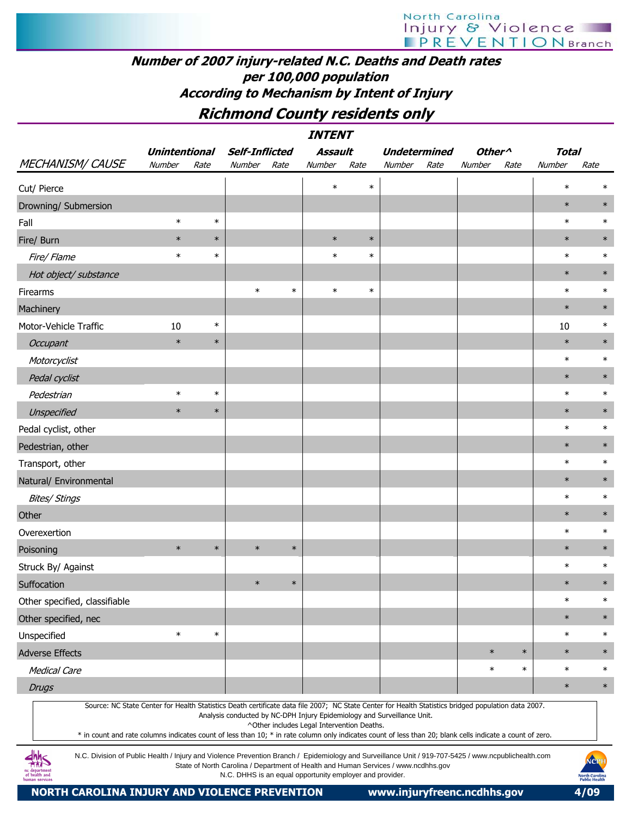### Number of 2007 injury-related N.C. Deaths and Death rates per 100,000 population According to Mechanism by Intent of Injury

### Richmond County residents only

|                                                                                                                                                                                                                                                                                                                                                                                                                                                                                    |                      |        |                       |        | <i><b>INTENT</b></i>                       |        |                                                                         |      |                    |        |              |        |
|------------------------------------------------------------------------------------------------------------------------------------------------------------------------------------------------------------------------------------------------------------------------------------------------------------------------------------------------------------------------------------------------------------------------------------------------------------------------------------|----------------------|--------|-----------------------|--------|--------------------------------------------|--------|-------------------------------------------------------------------------|------|--------------------|--------|--------------|--------|
|                                                                                                                                                                                                                                                                                                                                                                                                                                                                                    | <b>Unintentional</b> |        | <b>Self-Inflicted</b> |        | <b>Assault</b>                             |        | <b>Undetermined</b>                                                     |      | Other <sup>^</sup> |        | <b>Total</b> |        |
| <b>MECHANISM/ CAUSE</b>                                                                                                                                                                                                                                                                                                                                                                                                                                                            | Number               | Rate   | Number                | Rate   | Number                                     | Rate   | Number                                                                  | Rate | Number             | Rate   | Number       | Rate   |
| Cut/ Pierce                                                                                                                                                                                                                                                                                                                                                                                                                                                                        |                      |        |                       |        | $\ast$                                     | $\ast$ |                                                                         |      |                    |        | $\ast$       | $\ast$ |
| Drowning/ Submersion                                                                                                                                                                                                                                                                                                                                                                                                                                                               |                      |        |                       |        |                                            |        |                                                                         |      |                    |        | $\ast$       | $\ast$ |
| Fall                                                                                                                                                                                                                                                                                                                                                                                                                                                                               | $\ast$               | $\ast$ |                       |        |                                            |        |                                                                         |      |                    |        | $\ast$       | $\ast$ |
| Fire/ Burn                                                                                                                                                                                                                                                                                                                                                                                                                                                                         | $\ast$               | $\ast$ |                       |        | $\ast$                                     | $\ast$ |                                                                         |      |                    |        | $\ast$       | $\ast$ |
| Fire/ Flame                                                                                                                                                                                                                                                                                                                                                                                                                                                                        | $\ast$               | $\ast$ |                       |        | $\ast$                                     | $\ast$ |                                                                         |      |                    |        | $\ast$       | $\ast$ |
| Hot object/ substance                                                                                                                                                                                                                                                                                                                                                                                                                                                              |                      |        |                       |        |                                            |        |                                                                         |      |                    |        | $\ast$       | $\ast$ |
| Firearms                                                                                                                                                                                                                                                                                                                                                                                                                                                                           |                      |        | $\ast$                | $\ast$ | $\ast$                                     | $\ast$ |                                                                         |      |                    |        | $\ast$       | $\ast$ |
| Machinery                                                                                                                                                                                                                                                                                                                                                                                                                                                                          |                      |        |                       |        |                                            |        |                                                                         |      |                    |        | $\ast$       | $\ast$ |
| Motor-Vehicle Traffic                                                                                                                                                                                                                                                                                                                                                                                                                                                              | 10                   | $\ast$ |                       |        |                                            |        |                                                                         |      |                    |        | 10           | $\ast$ |
| Occupant                                                                                                                                                                                                                                                                                                                                                                                                                                                                           | $\ast$               | $\ast$ |                       |        |                                            |        |                                                                         |      |                    |        | $\ast$       | $\ast$ |
| Motorcyclist                                                                                                                                                                                                                                                                                                                                                                                                                                                                       |                      |        |                       |        |                                            |        |                                                                         |      |                    |        | $\ast$       | $\ast$ |
| Pedal cyclist                                                                                                                                                                                                                                                                                                                                                                                                                                                                      |                      |        |                       |        |                                            |        |                                                                         |      |                    |        | $\ast$       | $\ast$ |
| Pedestrian                                                                                                                                                                                                                                                                                                                                                                                                                                                                         | $\ast$               | $\ast$ |                       |        |                                            |        |                                                                         |      |                    |        | $\ast$       | $\ast$ |
| Unspecified                                                                                                                                                                                                                                                                                                                                                                                                                                                                        | $\ast$               | $\ast$ |                       |        |                                            |        |                                                                         |      |                    |        | $\ast$       | $\ast$ |
| Pedal cyclist, other                                                                                                                                                                                                                                                                                                                                                                                                                                                               |                      |        |                       |        |                                            |        |                                                                         |      |                    |        | $\ast$       | $\ast$ |
| Pedestrian, other                                                                                                                                                                                                                                                                                                                                                                                                                                                                  |                      |        |                       |        |                                            |        |                                                                         |      |                    |        | $\ast$       | $\ast$ |
| Transport, other                                                                                                                                                                                                                                                                                                                                                                                                                                                                   |                      |        |                       |        |                                            |        |                                                                         |      |                    |        | $\ast$       | $\ast$ |
| Natural/ Environmental                                                                                                                                                                                                                                                                                                                                                                                                                                                             |                      |        |                       |        |                                            |        |                                                                         |      |                    |        | $\ast$       | $\ast$ |
| <b>Bites/ Stings</b>                                                                                                                                                                                                                                                                                                                                                                                                                                                               |                      |        |                       |        |                                            |        |                                                                         |      |                    |        | $\ast$       | $\ast$ |
| Other                                                                                                                                                                                                                                                                                                                                                                                                                                                                              |                      |        |                       |        |                                            |        |                                                                         |      |                    |        | $\ast$       | $\ast$ |
| Overexertion                                                                                                                                                                                                                                                                                                                                                                                                                                                                       |                      |        |                       |        |                                            |        |                                                                         |      |                    |        | $\ast$       | $\ast$ |
| Poisoning                                                                                                                                                                                                                                                                                                                                                                                                                                                                          | $\ast$               | $\ast$ | $\ast$                | $\ast$ |                                            |        |                                                                         |      |                    |        | $\ast$       | $\ast$ |
| Struck By/ Against                                                                                                                                                                                                                                                                                                                                                                                                                                                                 |                      |        |                       |        |                                            |        |                                                                         |      |                    |        | $\ast$       | $\ast$ |
| Suffocation                                                                                                                                                                                                                                                                                                                                                                                                                                                                        |                      |        | $\ast$                | $\ast$ |                                            |        |                                                                         |      |                    |        | $\ast$       | $\ast$ |
| Other specified, classifiable                                                                                                                                                                                                                                                                                                                                                                                                                                                      |                      |        |                       |        |                                            |        |                                                                         |      |                    |        | $\ast$       | $\ast$ |
| Other specified, nec                                                                                                                                                                                                                                                                                                                                                                                                                                                               |                      |        |                       |        |                                            |        |                                                                         |      |                    |        | $\ast$       | $\ast$ |
| Unspecified                                                                                                                                                                                                                                                                                                                                                                                                                                                                        | $\ast$               | $\ast$ |                       |        |                                            |        |                                                                         |      |                    |        | $\ast$       | $\ast$ |
| <b>Adverse Effects</b>                                                                                                                                                                                                                                                                                                                                                                                                                                                             |                      |        |                       |        |                                            |        |                                                                         |      | $\ast$             | $\ast$ | $\ast$       | $\ast$ |
| <b>Medical Care</b>                                                                                                                                                                                                                                                                                                                                                                                                                                                                |                      |        |                       |        |                                            |        |                                                                         |      | $\ast$             | $\ast$ | $\ast$       | $\ast$ |
| <b>Drugs</b>                                                                                                                                                                                                                                                                                                                                                                                                                                                                       |                      |        |                       |        |                                            |        |                                                                         |      |                    |        | $\ast$       | $\ast$ |
| Source: NC State Center for Health Statistics Death certificate data file 2007; NC State Center for Health Statistics bridged population data 2007.<br>* in count and rate columns indicates count of less than 10; * in rate column only indicates count of less than 20; blank cells indicate a count of zero.<br>$Jhh -$<br>N.C. Division of Public Health / Injury and Violence Prevention Branch / Foidemiology and Surveillance Unit / 919-707-5425 / www.ncoublichealth.com |                      |        |                       |        | ^Other includes Legal Intervention Deaths. |        | Analysis conducted by NC-DPH Injury Epidemiology and Surveillance Unit. |      |                    |        |              |        |



N.C. Division of Public Health / Injury and Violence Prevention Branch / Epidemiology and Surveillance Unit / 919-707-5425 / www.ncpublichealth.com State of North Carolina / Department of Health and Human Services / www.ncdhhs.gov N.C. DHHS is an equal opportunity employer and provider.

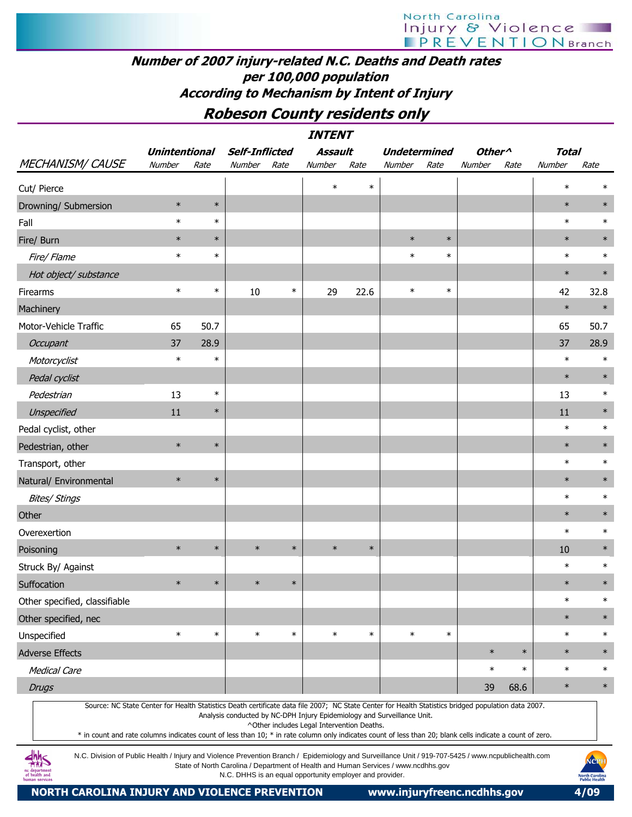#### Number of 2007 injury-related N.C. Deaths and Death rates per 100,000 population According to Mechanism by Intent of Injury

#### Robeson County residents only

|                                                                                                                                                     |                      |        |                                                                         |        | <b>INTENT</b>  |        |                     |        |                    |        |              |        |
|-----------------------------------------------------------------------------------------------------------------------------------------------------|----------------------|--------|-------------------------------------------------------------------------|--------|----------------|--------|---------------------|--------|--------------------|--------|--------------|--------|
|                                                                                                                                                     | <b>Unintentional</b> |        | <b>Self-Inflicted</b>                                                   |        | <b>Assault</b> |        | <b>Undetermined</b> |        | Other <sup>^</sup> |        | <b>Total</b> |        |
| <b>MECHANISM/ CAUSE</b>                                                                                                                             | Number               | Rate   | Number                                                                  | Rate   | Number         | Rate   | Number              | Rate   | Number             | Rate   | Number       | Rate   |
| Cut/ Pierce                                                                                                                                         |                      |        |                                                                         |        | $\ast$         | $\ast$ |                     |        |                    |        | $\ast$       | $\ast$ |
| Drowning/ Submersion                                                                                                                                | $\ast$               | $\ast$ |                                                                         |        |                |        |                     |        |                    |        | $\ast$       | $\ast$ |
| Fall                                                                                                                                                | $\ast$               | $\ast$ |                                                                         |        |                |        |                     |        |                    |        | $\ast$       | $\ast$ |
| Fire/ Burn                                                                                                                                          | $\ast$               | $\ast$ |                                                                         |        |                |        | $\ast$              | $\ast$ |                    |        | $\ast$       | $\ast$ |
| Fire/ Flame                                                                                                                                         | $\ast$               | $\ast$ |                                                                         |        |                |        | $\ast$              | $\ast$ |                    |        | $\ast$       | $\ast$ |
| Hot object/ substance                                                                                                                               |                      |        |                                                                         |        |                |        |                     |        |                    |        | $\ast$       | $\ast$ |
| Firearms                                                                                                                                            | $\ast$               | $\ast$ | 10                                                                      | $\ast$ | 29             | 22.6   | $\ast$              | $\ast$ |                    |        | 42           | 32.8   |
| Machinery                                                                                                                                           |                      |        |                                                                         |        |                |        |                     |        |                    |        | $\ast$       | $\ast$ |
| Motor-Vehicle Traffic                                                                                                                               | 65                   | 50.7   |                                                                         |        |                |        |                     |        |                    |        | 65           | 50.7   |
| Occupant                                                                                                                                            | 37                   | 28.9   |                                                                         |        |                |        |                     |        |                    |        | 37           | 28.9   |
| Motorcyclist                                                                                                                                        | $\ast$               | $\ast$ |                                                                         |        |                |        |                     |        |                    |        | $\ast$       | $\ast$ |
| Pedal cyclist                                                                                                                                       |                      |        |                                                                         |        |                |        |                     |        |                    |        | $\ast$       | $\ast$ |
| Pedestrian                                                                                                                                          | 13                   | $\ast$ |                                                                         |        |                |        |                     |        |                    |        | 13           | $\ast$ |
| Unspecified                                                                                                                                         | 11                   | $\ast$ |                                                                         |        |                |        |                     |        |                    |        | 11           | $\ast$ |
| Pedal cyclist, other                                                                                                                                |                      |        |                                                                         |        |                |        |                     |        |                    |        | $\ast$       | $\ast$ |
| Pedestrian, other                                                                                                                                   | $\ast$               | $\ast$ |                                                                         |        |                |        |                     |        |                    |        | $\ast$       | $\ast$ |
| Transport, other                                                                                                                                    |                      |        |                                                                         |        |                |        |                     |        |                    |        | $\ast$       | $\ast$ |
| Natural/ Environmental                                                                                                                              | $\ast$               | $\ast$ |                                                                         |        |                |        |                     |        |                    |        | $\ast$       | $\ast$ |
| <b>Bites/ Stings</b>                                                                                                                                |                      |        |                                                                         |        |                |        |                     |        |                    |        | $\ast$       | $\ast$ |
| Other                                                                                                                                               |                      |        |                                                                         |        |                |        |                     |        |                    |        | $\ast$       | $\ast$ |
| Overexertion                                                                                                                                        |                      |        |                                                                         |        |                |        |                     |        |                    |        | $\ast$       | $\ast$ |
| Poisoning                                                                                                                                           | $\ast$               | $\ast$ | $\ast$                                                                  | $\ast$ | $\ast$         | $\ast$ |                     |        |                    |        | 10           | $\ast$ |
| Struck By/ Against                                                                                                                                  |                      |        |                                                                         |        |                |        |                     |        |                    |        | $\ast$       | $\ast$ |
| Suffocation                                                                                                                                         | $\ast$               | $\ast$ | $\ast$                                                                  | $\ast$ |                |        |                     |        |                    |        | $\ast$       | $\ast$ |
| Other specified, classifiable                                                                                                                       |                      |        |                                                                         |        |                |        |                     |        |                    |        | $\ast$       | $\ast$ |
| Other specified, nec                                                                                                                                |                      |        |                                                                         |        |                |        |                     |        |                    |        | $\ast$       | $\ast$ |
| Unspecified                                                                                                                                         | $\ast$               | $\ast$ | $\ast$                                                                  | $\ast$ | $\ast$         | $\ast$ | $\ast$              | $\ast$ |                    |        | $\ast$       | $\ast$ |
| <b>Adverse Effects</b>                                                                                                                              |                      |        |                                                                         |        |                |        |                     |        | $\ast$             | $\ast$ | $\ast$       | $\ast$ |
| <b>Medical Care</b>                                                                                                                                 |                      |        |                                                                         |        |                |        |                     |        | $\ast$             | $\ast$ | $\ast$       | $\ast$ |
| <b>Drugs</b>                                                                                                                                        |                      |        |                                                                         |        |                |        |                     |        | 39                 | 68.6   | $\ast$       | $\ast$ |
| Source: NC State Center for Health Statistics Death certificate data file 2007; NC State Center for Health Statistics bridged population data 2007. |                      |        | Analysis conducted by NC-DPH Injury Epidemiology and Surveillance Unit. |        |                |        |                     |        |                    |        |              |        |

^Other includes Legal Intervention Deaths.

\* in count and rate columns indicates count of less than 10; \* in rate column only indicates count of less than 20; blank cells indicate a count of zero.

N.C. Division of Public Health / Injury and Violence Prevention Branch / Epidemiology and Surveillance Unit / 919-707-5425 / www.ncpublichealth.com State of North Carolina / Department of Health and Human Services / www.ncdhhs.gov N.C. DHHS is an equal opportunity employer and provider.

NORTH CAROLINA INJURY AND VIOLENCE PREVENTION www.injuryfreenc.ncdhhs.gov 4/09

**dhhs**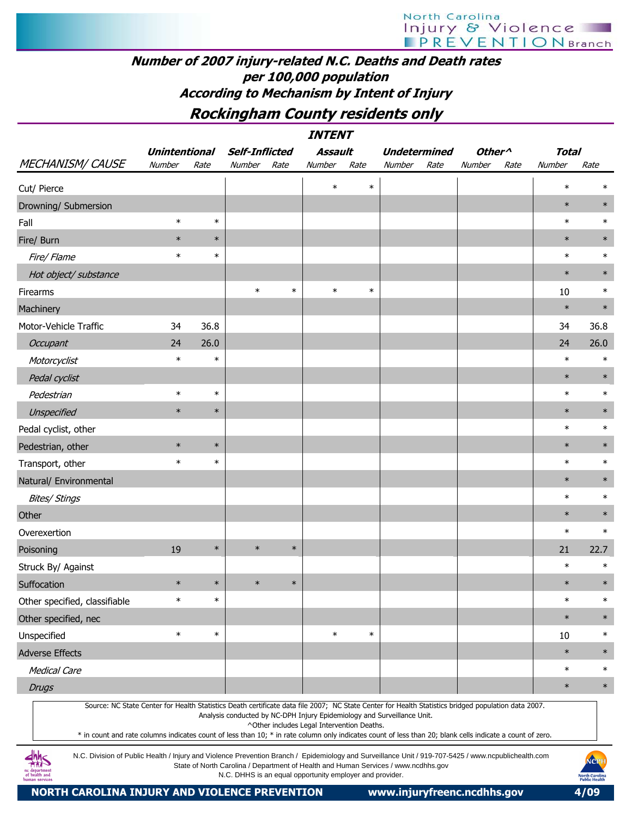### Number of 2007 injury-related N.C. Deaths and Death rates per 100,000 population According to Mechanism by Intent of Injury

### Rockingham County residents only

|                               |                      |        |                       |        | <b>INTENT</b> |        |                                                                                                                                                                                                                                |                    |      |              |        |
|-------------------------------|----------------------|--------|-----------------------|--------|---------------|--------|--------------------------------------------------------------------------------------------------------------------------------------------------------------------------------------------------------------------------------|--------------------|------|--------------|--------|
|                               | <b>Unintentional</b> |        | <b>Self-Inflicted</b> |        | Assault       |        | <b>Undetermined</b>                                                                                                                                                                                                            | Other <sup>^</sup> |      | <b>Total</b> |        |
| <b>MECHANISM/CAUSE</b>        | Number               | Rate   | Number                | Rate   | Number        | Rate   | Number<br>Rate                                                                                                                                                                                                                 | Number             | Rate | Number       | Rate   |
| Cut/ Pierce                   |                      |        |                       |        | $\ast$        | $\ast$ |                                                                                                                                                                                                                                |                    |      | $\ast$       | $\ast$ |
| Drowning/ Submersion          |                      |        |                       |        |               |        |                                                                                                                                                                                                                                |                    |      | $\ast$       | $\ast$ |
| Fall                          | $\ast$               | $\ast$ |                       |        |               |        |                                                                                                                                                                                                                                |                    |      | $\ast$       | $\ast$ |
| Fire/ Burn                    | $\ast$               | $\ast$ |                       |        |               |        |                                                                                                                                                                                                                                |                    |      | $\ast$       | $\ast$ |
| Fire/ Flame                   | $\ast$               | $\ast$ |                       |        |               |        |                                                                                                                                                                                                                                |                    |      | $\ast$       | $\ast$ |
| Hot object/ substance         |                      |        |                       |        |               |        |                                                                                                                                                                                                                                |                    |      | $\ast$       | $\ast$ |
| Firearms                      |                      |        | $\ast$                | $\ast$ | $\ast$        | $\ast$ |                                                                                                                                                                                                                                |                    |      | 10           | $\ast$ |
| Machinery                     |                      |        |                       |        |               |        |                                                                                                                                                                                                                                |                    |      | $\ast$       | $\ast$ |
| Motor-Vehicle Traffic         | 34                   | 36.8   |                       |        |               |        |                                                                                                                                                                                                                                |                    |      | 34           | 36.8   |
| Occupant                      | 24                   | 26.0   |                       |        |               |        |                                                                                                                                                                                                                                |                    |      | 24           | 26.0   |
| Motorcyclist                  | $\ast$               | $\ast$ |                       |        |               |        |                                                                                                                                                                                                                                |                    |      | $\ast$       | $\ast$ |
| Pedal cyclist                 |                      |        |                       |        |               |        |                                                                                                                                                                                                                                |                    |      | $\ast$       | $\ast$ |
| Pedestrian                    | $\ast$               | $\ast$ |                       |        |               |        |                                                                                                                                                                                                                                |                    |      | $\ast$       | $\ast$ |
| Unspecified                   | $\ast$               | $\ast$ |                       |        |               |        |                                                                                                                                                                                                                                |                    |      | $\ast$       | $\ast$ |
| Pedal cyclist, other          |                      |        |                       |        |               |        |                                                                                                                                                                                                                                |                    |      | $\ast$       | $\ast$ |
| Pedestrian, other             | $\ast$               | $\ast$ |                       |        |               |        |                                                                                                                                                                                                                                |                    |      | $\ast$       | $\ast$ |
| Transport, other              | $\ast$               | $\ast$ |                       |        |               |        |                                                                                                                                                                                                                                |                    |      | $\ast$       | $\ast$ |
| Natural/ Environmental        |                      |        |                       |        |               |        |                                                                                                                                                                                                                                |                    |      | $\ast$       | $\ast$ |
| Bites/ Stings                 |                      |        |                       |        |               |        |                                                                                                                                                                                                                                |                    |      | $\ast$       | $\ast$ |
| Other                         |                      |        |                       |        |               |        |                                                                                                                                                                                                                                |                    |      | $\ast$       | $\ast$ |
| Overexertion                  |                      |        |                       |        |               |        |                                                                                                                                                                                                                                |                    |      | $\ast$       | $\ast$ |
| Poisoning                     | 19                   | $\ast$ | $\ast$                | $\ast$ |               |        |                                                                                                                                                                                                                                |                    |      | 21           | 22.7   |
| Struck By/ Against            |                      |        |                       |        |               |        |                                                                                                                                                                                                                                |                    |      | $\ast$       | $\ast$ |
| Suffocation                   | $\ast$               | $\ast$ | $\ast$                | $\ast$ |               |        |                                                                                                                                                                                                                                |                    |      | $\ast$       | $\ast$ |
| Other specified, classifiable | $\ast$               | $\ast$ |                       |        |               |        |                                                                                                                                                                                                                                |                    |      | $\ast$       | $\ast$ |
| Other specified, nec          |                      |        |                       |        |               |        |                                                                                                                                                                                                                                |                    |      | $\ast$       | $\ast$ |
| Unspecified                   | $\ast$               | $\ast$ |                       |        | $\ast$        | $\ast$ |                                                                                                                                                                                                                                |                    |      | 10           | $\ast$ |
| <b>Adverse Effects</b>        |                      |        |                       |        |               |        |                                                                                                                                                                                                                                |                    |      | $\ast$       | $\ast$ |
| <b>Medical Care</b>           |                      |        |                       |        |               |        |                                                                                                                                                                                                                                |                    |      | $\ast$       | $\ast$ |
| <b>Drugs</b>                  |                      |        |                       |        |               |        |                                                                                                                                                                                                                                |                    |      | $\ast$       | $\ast$ |
|                               |                      |        |                       |        |               |        | Source: NC State Center for Health Statistics Death certificate data file 2007; NC State Center for Health Statistics bridged population data 2007.<br>Analysis conducted by NC-DPH Injury Epidemiology and Surveillance Unit. |                    |      |              |        |

^Other includes Legal Intervention Deaths.

\* in count and rate columns indicates count of less than 10; \* in rate column only indicates count of less than 20; blank cells indicate a count of zero.

N.C. Division of Public Health / Injury and Violence Prevention Branch / Epidemiology and Surveillance Unit / 919-707-5425 / www.ncpublichealth.com State of North Carolina / Department of Health and Human Services / www.ncdhhs.gov N.C. DHHS is an equal opportunity employer and provider.



 $\frac{dhh}{dhS}$ nc departmen<br>of health and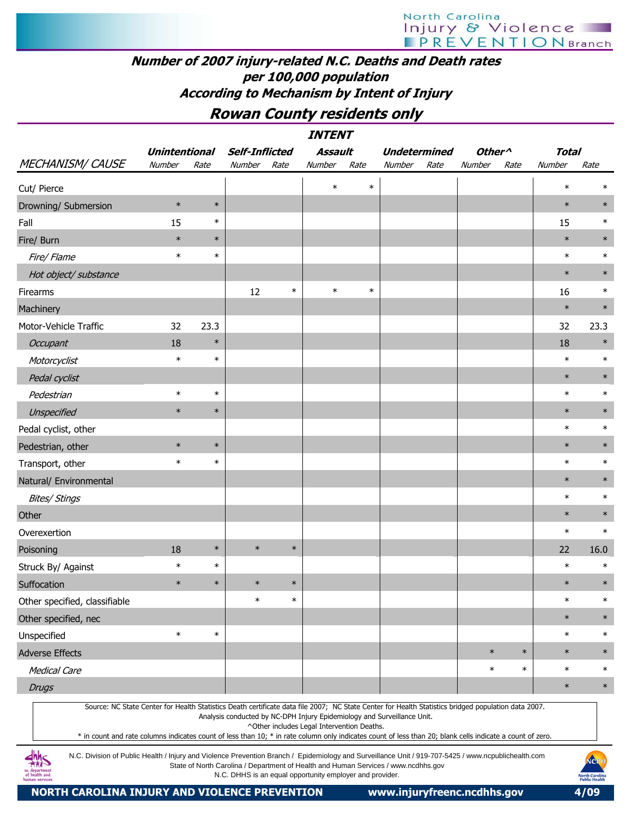#### Number of 2007 injury-related N.C. Deaths and Death rates per 100,000 population According to Mechanism by Intent of Injury

### Rowan County residents only

|                                                                                                                                                                                                                                                                                                                  |                      |        |                       |        | <b>INTENT</b>                                                                                                         |        |                     |      |                                      |        |              |        |
|------------------------------------------------------------------------------------------------------------------------------------------------------------------------------------------------------------------------------------------------------------------------------------------------------------------|----------------------|--------|-----------------------|--------|-----------------------------------------------------------------------------------------------------------------------|--------|---------------------|------|--------------------------------------|--------|--------------|--------|
|                                                                                                                                                                                                                                                                                                                  | <b>Unintentional</b> |        | <b>Self-Inflicted</b> |        | <b>Assault</b>                                                                                                        |        | <b>Undetermined</b> |      | Other <sup><math>\wedge</math></sup> |        | <b>Total</b> |        |
| <b>MECHANISM/ CAUSE</b>                                                                                                                                                                                                                                                                                          | Number               | Rate   | Number                | Rate   | Number                                                                                                                | Rate   | Number              | Rate | Number                               | Rate   | Number       | Rate   |
| Cut/ Pierce                                                                                                                                                                                                                                                                                                      |                      |        |                       |        | $\ast$                                                                                                                | $\ast$ |                     |      |                                      |        | $\ast$       | $\ast$ |
| Drowning/ Submersion                                                                                                                                                                                                                                                                                             | $\ast$               | $\ast$ |                       |        |                                                                                                                       |        |                     |      |                                      |        | $\ast$       | $\ast$ |
| Fall                                                                                                                                                                                                                                                                                                             | 15                   | $\ast$ |                       |        |                                                                                                                       |        |                     |      |                                      |        | 15           | $\ast$ |
| Fire/ Burn                                                                                                                                                                                                                                                                                                       | $\ast$               | $\ast$ |                       |        |                                                                                                                       |        |                     |      |                                      |        | $\ast$       | $\ast$ |
| Fire/ Flame                                                                                                                                                                                                                                                                                                      | $\ast$               | $\ast$ |                       |        |                                                                                                                       |        |                     |      |                                      |        | $\ast$       | $\ast$ |
| Hot object/ substance                                                                                                                                                                                                                                                                                            |                      |        |                       |        |                                                                                                                       |        |                     |      |                                      |        | $\ast$       | $\ast$ |
| Firearms                                                                                                                                                                                                                                                                                                         |                      |        | 12                    | $\ast$ | $\ast$                                                                                                                | $\ast$ |                     |      |                                      |        | 16           | $\ast$ |
| Machinery                                                                                                                                                                                                                                                                                                        |                      |        |                       |        |                                                                                                                       |        |                     |      |                                      |        | $\ast$       | $\ast$ |
| Motor-Vehicle Traffic                                                                                                                                                                                                                                                                                            | 32                   | 23.3   |                       |        |                                                                                                                       |        |                     |      |                                      |        | 32           | 23.3   |
| Occupant                                                                                                                                                                                                                                                                                                         | 18                   | $\ast$ |                       |        |                                                                                                                       |        |                     |      |                                      |        | 18           | $\ast$ |
| Motorcyclist                                                                                                                                                                                                                                                                                                     | $\ast$               | $\ast$ |                       |        |                                                                                                                       |        |                     |      |                                      |        | $\ast$       | $\ast$ |
| Pedal cyclist                                                                                                                                                                                                                                                                                                    |                      |        |                       |        |                                                                                                                       |        |                     |      |                                      |        | $\ast$       | $\ast$ |
| Pedestrian                                                                                                                                                                                                                                                                                                       | $\ast$               | $\ast$ |                       |        |                                                                                                                       |        |                     |      |                                      |        | $\ast$       | $\ast$ |
| Unspecified                                                                                                                                                                                                                                                                                                      | $\ast$               | $\ast$ |                       |        |                                                                                                                       |        |                     |      |                                      |        | $\ast$       | $\ast$ |
| Pedal cyclist, other                                                                                                                                                                                                                                                                                             |                      |        |                       |        |                                                                                                                       |        |                     |      |                                      |        | $\ast$       | $\ast$ |
| Pedestrian, other                                                                                                                                                                                                                                                                                                | $\ast$               | $\ast$ |                       |        |                                                                                                                       |        |                     |      |                                      |        | $\ast$       | $\ast$ |
| Transport, other                                                                                                                                                                                                                                                                                                 | $\ast$               | $\ast$ |                       |        |                                                                                                                       |        |                     |      |                                      |        | $\ast$       | $\ast$ |
| Natural/ Environmental                                                                                                                                                                                                                                                                                           |                      |        |                       |        |                                                                                                                       |        |                     |      |                                      |        | $\ast$       | $\ast$ |
| <b>Bites/ Stings</b>                                                                                                                                                                                                                                                                                             |                      |        |                       |        |                                                                                                                       |        |                     |      |                                      |        | $\ast$       | $\ast$ |
| Other                                                                                                                                                                                                                                                                                                            |                      |        |                       |        |                                                                                                                       |        |                     |      |                                      |        | $\ast$       | $\ast$ |
| Overexertion                                                                                                                                                                                                                                                                                                     |                      |        |                       |        |                                                                                                                       |        |                     |      |                                      |        | $\ast$       | $\ast$ |
| Poisoning                                                                                                                                                                                                                                                                                                        | 18                   | $\ast$ | $\ast$                | $\ast$ |                                                                                                                       |        |                     |      |                                      |        | 22           | 16.0   |
| Struck By/ Against                                                                                                                                                                                                                                                                                               | $\ast$               | $\ast$ |                       |        |                                                                                                                       |        |                     |      |                                      |        | $\ast$       | $\ast$ |
| Suffocation                                                                                                                                                                                                                                                                                                      | $\ast$               | $\ast$ | $\ast$                | $\ast$ |                                                                                                                       |        |                     |      |                                      |        | $\ast$       | $\ast$ |
| Other specified, classifiable                                                                                                                                                                                                                                                                                    |                      |        | $\ast$                | $\ast$ |                                                                                                                       |        |                     |      |                                      |        | $\ast$       | $\ast$ |
| Other specified, nec                                                                                                                                                                                                                                                                                             |                      |        |                       |        |                                                                                                                       |        |                     |      |                                      |        | $\ast$       | $\ast$ |
| Unspecified                                                                                                                                                                                                                                                                                                      | $\ast$               | $\ast$ |                       |        |                                                                                                                       |        |                     |      |                                      |        | $\ast$       | $\ast$ |
| <b>Adverse Effects</b>                                                                                                                                                                                                                                                                                           |                      |        |                       |        |                                                                                                                       |        |                     |      | $\ast$                               | $\ast$ | $\ast$       | $\ast$ |
| <b>Medical Care</b>                                                                                                                                                                                                                                                                                              |                      |        |                       |        |                                                                                                                       |        |                     |      | $\ast$                               | $\ast$ | $\ast$       | $\ast$ |
| <b>Drugs</b>                                                                                                                                                                                                                                                                                                     |                      |        |                       |        |                                                                                                                       |        |                     |      |                                      |        | $\ast$       | $\ast$ |
| Source: NC State Center for Health Statistics Death certificate data file 2007; NC State Center for Health Statistics bridged population data 2007.<br>* in count and rate columns indicates count of less than 10; * in rate column only indicates count of less than 20; blank cells indicate a count of zero. |                      |        |                       |        | Analysis conducted by NC-DPH Injury Epidemiology and Surveillance Unit.<br>^Other includes Legal Intervention Deaths. |        |                     |      |                                      |        |              |        |

N.C. Division of Public Health / Injury and Violence Prevention Branch / Epidemiology and Surveillance Unit / 919-707-5425 / www.ncpublichealth.com State of North Carolina / Department of Health and Human Services / www.ncdhhs.gov N.C. DHHS is an equal opportunity employer and provider.

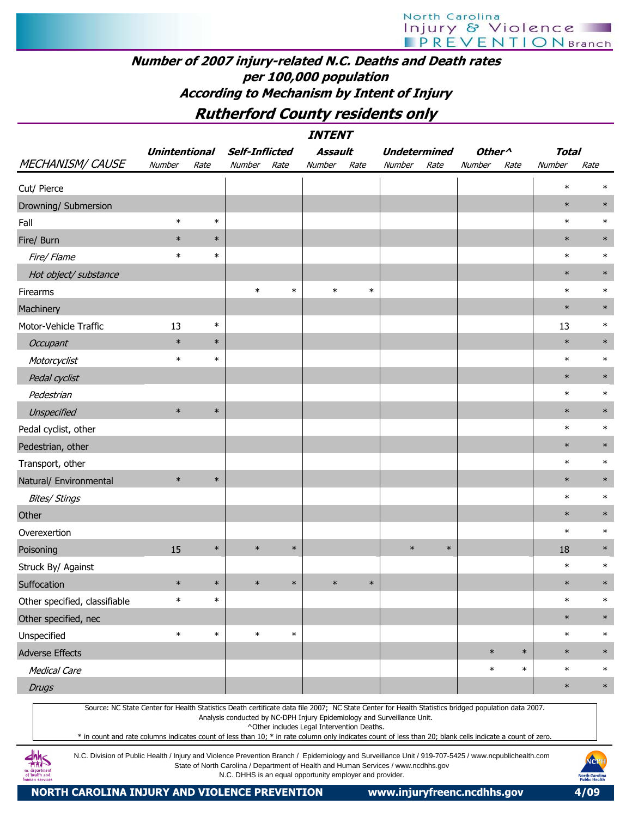### Number of 2007 injury-related N.C. Deaths and Death rates per 100,000 population According to Mechanism by Intent of Injury

Rutherford County residents only

|                               |                      |        |                                     |            | <b>INTENT</b> |                             |        |                     |                                      |            |              |        |
|-------------------------------|----------------------|--------|-------------------------------------|------------|---------------|-----------------------------|--------|---------------------|--------------------------------------|------------|--------------|--------|
|                               | <b>Unintentional</b> |        | <b>Self-Inflicted</b>               |            | Assault       |                             |        | <b>Undetermined</b> | Other <sup>^</sup>                   |            | <b>Total</b> |        |
| MECHANISM/CAUSE               | Number               | Rate   | Number                              | Rate       | Number        | Rate                        | Number | Rate                | Number                               | Rate       | Number       | Rate   |
| Cut/ Pierce                   |                      |        |                                     |            |               |                             |        |                     |                                      |            | $\ast$       | $\ast$ |
| Drowning/ Submersion          |                      |        |                                     |            |               |                             |        |                     |                                      |            | $\ast$       | $\ast$ |
| Fall                          | $\ast$               | $\ast$ |                                     |            |               |                             |        |                     |                                      |            | $\ast$       | $\ast$ |
| Fire/ Burn                    | $\ast$               | $\ast$ |                                     |            |               |                             |        |                     |                                      |            | $\ast$       | $\ast$ |
| Fire/ Flame                   | $\ast$               | $\ast$ |                                     |            |               |                             |        |                     |                                      |            | $\ast$       | $\ast$ |
| Hot object/ substance         |                      |        |                                     |            |               |                             |        |                     |                                      |            | $\ast$       | $\ast$ |
| Firearms                      |                      |        | $\ast$                              | $\ast$     | $\ast$        | $\ast$                      |        |                     |                                      |            | $\ast$       | $\ast$ |
| Machinery                     |                      |        |                                     |            |               |                             |        |                     |                                      |            | $\ast$       | $\ast$ |
| Motor-Vehicle Traffic         | 13                   | $\ast$ |                                     |            |               |                             |        |                     |                                      |            | 13           | $\ast$ |
| Occupant                      | $\ast$               | $\ast$ |                                     |            |               |                             |        |                     |                                      |            | $\ast$       | $\ast$ |
| Motorcyclist                  | $\ast$               | $\ast$ |                                     |            |               |                             |        |                     |                                      |            | $\ast$       | $\ast$ |
| Pedal cyclist                 |                      |        |                                     |            |               |                             |        |                     |                                      |            | $\ast$       | $\ast$ |
| Pedestrian                    |                      |        |                                     |            |               |                             |        |                     |                                      |            | $\ast$       | $\ast$ |
| Unspecified                   | $\ast$               | $\ast$ |                                     |            |               |                             |        |                     |                                      |            | $\ast$       | $\ast$ |
| Pedal cyclist, other          |                      |        |                                     |            |               |                             |        |                     |                                      |            | $\ast$       | $\ast$ |
| Pedestrian, other             |                      |        |                                     |            |               |                             |        |                     |                                      |            | $\ast$       | $\ast$ |
| Transport, other              |                      |        |                                     |            |               |                             |        |                     |                                      |            | $\ast$       | $\ast$ |
| Natural/ Environmental        | $\ast$               | $\ast$ |                                     |            |               |                             |        |                     |                                      |            | $\ast$       | $\ast$ |
| <b>Bites/ Stings</b>          |                      |        |                                     |            |               |                             |        |                     |                                      |            | $\ast$       | $\ast$ |
| Other                         |                      |        |                                     |            |               |                             |        |                     |                                      |            | $\ast$       | $\ast$ |
| Overexertion                  |                      |        |                                     |            |               |                             |        |                     |                                      |            | $\ast$       | $\ast$ |
| Poisoning                     | 15                   | $\ast$ | $\ast$                              | $\ast$     |               |                             | $\ast$ | $\ast$              |                                      |            | 18           | $\ast$ |
| Struck By/ Against            |                      |        |                                     |            |               |                             |        |                     |                                      |            | $\ast$       | $\ast$ |
| Suffocation                   | $\ast$               | $\ast$ | $\ast$                              | $\ast$     | $\ast$        | $\ast$                      |        |                     |                                      |            | $\ast$       | $\ast$ |
| Other specified, classifiable | $\ast$               | $\ast$ |                                     |            |               |                             |        |                     |                                      |            | $\ast$       | $\ast$ |
| Other specified, nec          |                      |        |                                     |            |               |                             |        |                     |                                      |            | $\ast$       | $\ast$ |
| Unspecified                   | $\ast$               | $\ast$ | $\ast$                              | $\ast$     |               |                             |        |                     |                                      |            | $\ast$       | $\ast$ |
| Adverse Effects               |                      |        |                                     |            |               |                             |        |                     | $\ast$                               | $\ast$     | $\ast$       | $\ast$ |
| <b>Medical Care</b>           |                      |        |                                     |            |               |                             |        |                     | $\ast$                               | $\ast$     | $\ast$       | $\ast$ |
| <b>Drugs</b>                  |                      |        |                                     |            |               |                             |        |                     |                                      |            | $\ast$       | $\ast$ |
| $C_{\alpha}$<br>$N/C$ $C++-$  | $Contov$ for         |        | Hoolth Ctatictics Dooth contificate | alama Cila |               | $2007.$ NC Crate Canton for |        |                     | Hoolth Ctotictics bridged nonulation | $4 - 2007$ |              |        |

Source: NC State Center for Health Statistics Death certificate data file 2007; NC State Center for Health Statistics bridged population data 2007.

Analysis conducted by NC-DPH Injury Epidemiology and Surveillance Unit.

^Other includes Legal Intervention Deaths.

\* in count and rate columns indicates count of less than 10; \* in rate column only indicates count of less than 20; blank cells indicate a count of zero.

N.C. Division of Public Health / Injury and Violence Prevention Branch / Epidemiology and Surveillance Unit / 919-707-5425 / www.ncpublichealth.com State of North Carolina / Department of Health and Human Services / www.ncdhhs.gov N.C. DHHS is an equal opportunity employer and provider.

 $\frac{dhh}{dhS}$ 1c departmen<br>of health and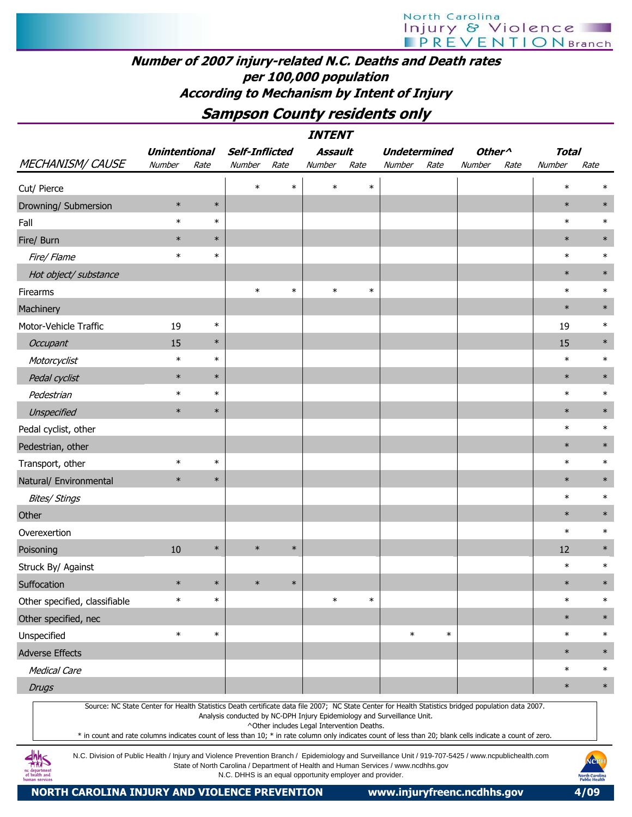#### Number of 2007 injury-related N.C. Deaths and Death rates per 100,000 population According to Mechanism by Intent of Injury

### Sampson County residents only

|                               |                      |        |                       |        | <b>INTENT</b> |        |                                                                                                                                                     |        |                    |      |              |      |        |
|-------------------------------|----------------------|--------|-----------------------|--------|---------------|--------|-----------------------------------------------------------------------------------------------------------------------------------------------------|--------|--------------------|------|--------------|------|--------|
|                               | <b>Unintentional</b> |        | <b>Self-Inflicted</b> |        | Assault       |        | <b>Undetermined</b>                                                                                                                                 |        | Other <sup>^</sup> |      | <b>Total</b> |      |        |
| MECHANISM/CAUSE               | Number               | Rate   | Number                | Rate   | Number        | Rate   | Number                                                                                                                                              | Rate   | Number             | Rate | Number       | Rate |        |
| Cut/ Pierce                   |                      |        | $\ast$                | $\ast$ | $\ast$        | $\ast$ |                                                                                                                                                     |        |                    |      | $\ast$       |      | $\ast$ |
| Drowning/ Submersion          | $\ast$               | $\ast$ |                       |        |               |        |                                                                                                                                                     |        |                    |      | $\ast$       |      | $\ast$ |
| Fall                          | $\ast$               | $\ast$ |                       |        |               |        |                                                                                                                                                     |        |                    |      | $\ast$       |      | $\ast$ |
| Fire/ Burn                    | $\ast$               | $\ast$ |                       |        |               |        |                                                                                                                                                     |        |                    |      | $\ast$       |      | $\ast$ |
| Fire/ Flame                   | $\ast$               | $\ast$ |                       |        |               |        |                                                                                                                                                     |        |                    |      | $\ast$       |      | $\ast$ |
| Hot object/ substance         |                      |        |                       |        |               |        |                                                                                                                                                     |        |                    |      | $\ast$       |      | $\ast$ |
| Firearms                      |                      |        | $\ast$                | $\ast$ | $\ast$        | $\ast$ |                                                                                                                                                     |        |                    |      | $\ast$       |      | $\ast$ |
| Machinery                     |                      |        |                       |        |               |        |                                                                                                                                                     |        |                    |      | $\ast$       |      | $\ast$ |
| Motor-Vehicle Traffic         | 19                   | $\ast$ |                       |        |               |        |                                                                                                                                                     |        |                    |      | 19           |      | $\ast$ |
| Occupant                      | 15                   | $\ast$ |                       |        |               |        |                                                                                                                                                     |        |                    |      | 15           |      | $\ast$ |
| Motorcyclist                  | $\ast$               | $\ast$ |                       |        |               |        |                                                                                                                                                     |        |                    |      | $\ast$       |      | $\ast$ |
| Pedal cyclist                 | $\ast$               | $\ast$ |                       |        |               |        |                                                                                                                                                     |        |                    |      | $\ast$       |      | $\ast$ |
| Pedestrian                    | $\ast$               | $\ast$ |                       |        |               |        |                                                                                                                                                     |        |                    |      | $\ast$       |      | $\ast$ |
| Unspecified                   | $\ast$               | $\ast$ |                       |        |               |        |                                                                                                                                                     |        |                    |      | $\ast$       |      | $\ast$ |
| Pedal cyclist, other          |                      |        |                       |        |               |        |                                                                                                                                                     |        |                    |      | $\ast$       |      | $\ast$ |
| Pedestrian, other             |                      |        |                       |        |               |        |                                                                                                                                                     |        |                    |      | $\ast$       |      | $\ast$ |
| Transport, other              | $\ast$               | $\ast$ |                       |        |               |        |                                                                                                                                                     |        |                    |      | $\ast$       |      | $\ast$ |
| Natural/ Environmental        | $\ast$               | $\ast$ |                       |        |               |        |                                                                                                                                                     |        |                    |      | $\ast$       |      | $\ast$ |
| <b>Bites/ Stings</b>          |                      |        |                       |        |               |        |                                                                                                                                                     |        |                    |      | $\ast$       |      | $\ast$ |
| Other                         |                      |        |                       |        |               |        |                                                                                                                                                     |        |                    |      | $\ast$       |      | $\ast$ |
| Overexertion                  |                      |        |                       |        |               |        |                                                                                                                                                     |        |                    |      | $\ast$       |      | $\ast$ |
| Poisoning                     | 10                   | $\ast$ | $\ast$                | $\ast$ |               |        |                                                                                                                                                     |        |                    |      | 12           |      | $\ast$ |
| Struck By/ Against            |                      |        |                       |        |               |        |                                                                                                                                                     |        |                    |      | $\ast$       |      | $\ast$ |
| Suffocation                   | $\ast$               | $\ast$ | $\ast$                | $\ast$ |               |        |                                                                                                                                                     |        |                    |      | $\ast$       |      | $\ast$ |
| Other specified, classifiable | $\ast$               | $\ast$ |                       |        | $\ast$        | $\ast$ |                                                                                                                                                     |        |                    |      | $\ast$       |      | $\ast$ |
| Other specified, nec          |                      |        |                       |        |               |        |                                                                                                                                                     |        |                    |      | $\ast$       |      | $\ast$ |
| Unspecified                   | $\ast$               | $\ast$ |                       |        |               |        | $\ast$                                                                                                                                              | $\ast$ |                    |      | $\ast$       |      | $\ast$ |
| <b>Adverse Effects</b>        |                      |        |                       |        |               |        |                                                                                                                                                     |        |                    |      | $\ast$       |      | $\ast$ |
| <b>Medical Care</b>           |                      |        |                       |        |               |        |                                                                                                                                                     |        |                    |      | $\ast$       |      | $\ast$ |
| <b>Drugs</b>                  |                      |        |                       |        |               |        |                                                                                                                                                     |        |                    |      | $\ast$       |      | $\ast$ |
|                               |                      |        |                       |        |               |        | Source: NC State Center for Health Statistics Death certificate data file 2007; NC State Center for Health Statistics bridged population data 2007. |        |                    |      |              |      |        |
|                               |                      |        |                       |        |               |        | Analysis conducted by NC-DPH Injury Epidemiology and Surveillance Unit.                                                                             |        |                    |      |              |      |        |

^Other includes Legal Intervention Deaths.

\* in count and rate columns indicates count of less than 10; \* in rate column only indicates count of less than 20; blank cells indicate a count of zero.

N.C. Division of Public Health / Injury and Violence Prevention Branch / Epidemiology and Surveillance Unit / 919-707-5425 / www.ncpublichealth.com State of North Carolina / Department of Health and Human Services / www.ncdhhs.gov N.C. DHHS is an equal opportunity employer and provider.

 $\frac{dhh}{dhS}$ nc departmen<br>of health and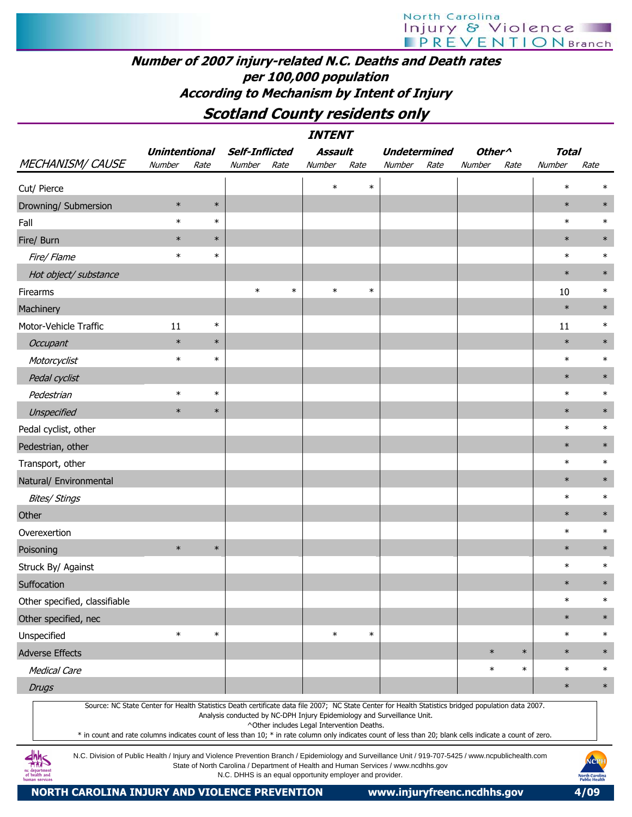#### Number of 2007 injury-related N.C. Deaths and Death rates per 100,000 population According to Mechanism by Intent of Injury

### Scotland County residents only

|                               |                      |        |                       |        | <b>INTENT</b> |        |                     |                    |        |              |        |
|-------------------------------|----------------------|--------|-----------------------|--------|---------------|--------|---------------------|--------------------|--------|--------------|--------|
|                               | <b>Unintentional</b> |        | <b>Self-Inflicted</b> |        | Assault       |        | <b>Undetermined</b> | Other <sup>^</sup> |        | <b>Total</b> |        |
| MECHANISM/CAUSE               | Number               | Rate   | Number                | Rate   | Number        | Rate   | Number<br>Rate      | Number             | Rate   | Number       | Rate   |
| Cut/ Pierce                   |                      |        |                       |        | $\ast$        | $\ast$ |                     |                    |        | $\ast$       | $\ast$ |
| Drowning/ Submersion          | $\ast$               | $\ast$ |                       |        |               |        |                     |                    |        | $\ast$       | $\ast$ |
| Fall                          | $\ast$               | $\ast$ |                       |        |               |        |                     |                    |        | $\ast$       | $\ast$ |
| Fire/ Burn                    | $\ast$               | $\ast$ |                       |        |               |        |                     |                    |        | $\ast$       | $\ast$ |
| Fire/ Flame                   | $\ast$               | $\ast$ |                       |        |               |        |                     |                    |        | $\ast$       | $\ast$ |
| Hot object/ substance         |                      |        |                       |        |               |        |                     |                    |        | $\ast$       | $\ast$ |
| Firearms                      |                      |        | $\ast$                | $\ast$ | $\ast$        | $\ast$ |                     |                    |        | 10           | $\ast$ |
| Machinery                     |                      |        |                       |        |               |        |                     |                    |        | $\ast$       | $\ast$ |
| Motor-Vehicle Traffic         | 11                   | $\ast$ |                       |        |               |        |                     |                    |        | 11           | $\ast$ |
| Occupant                      | $\ast$               | $\ast$ |                       |        |               |        |                     |                    |        | $\ast$       | $\ast$ |
| Motorcyclist                  | $\ast$               | $\ast$ |                       |        |               |        |                     |                    |        | $\ast$       | $\ast$ |
| Pedal cyclist                 |                      |        |                       |        |               |        |                     |                    |        | $\ast$       | $\ast$ |
| Pedestrian                    | $\ast$               | $\ast$ |                       |        |               |        |                     |                    |        | $\ast$       | $\ast$ |
| Unspecified                   | $\ast$               | $\ast$ |                       |        |               |        |                     |                    |        | $\ast$       | $\ast$ |
| Pedal cyclist, other          |                      |        |                       |        |               |        |                     |                    |        | $\ast$       | $\ast$ |
| Pedestrian, other             |                      |        |                       |        |               |        |                     |                    |        | $\ast$       | $\ast$ |
| Transport, other              |                      |        |                       |        |               |        |                     |                    |        | $\ast$       | $\ast$ |
| Natural/ Environmental        |                      |        |                       |        |               |        |                     |                    |        | $\ast$       | $\ast$ |
| Bites/ Stings                 |                      |        |                       |        |               |        |                     |                    |        | $\ast$       | $\ast$ |
| Other                         |                      |        |                       |        |               |        |                     |                    |        | $\ast$       | $\ast$ |
| Overexertion                  |                      |        |                       |        |               |        |                     |                    |        | $\ast$       | $\ast$ |
| Poisoning                     | $\ast$               | $\ast$ |                       |        |               |        |                     |                    |        | $\ast$       | $\ast$ |
| Struck By/ Against            |                      |        |                       |        |               |        |                     |                    |        | $\ast$       | $\ast$ |
| Suffocation                   |                      |        |                       |        |               |        |                     |                    |        | $\ast$       | $\ast$ |
| Other specified, classifiable |                      |        |                       |        |               |        |                     |                    |        | $\ast$       | $\ast$ |
| Other specified, nec          |                      |        |                       |        |               |        |                     |                    |        | $\ast$       | $\ast$ |
| Unspecified                   | $\ast$               | $\ast$ |                       |        | $\ast$        | $\ast$ |                     |                    |        | $\ast$       | $\ast$ |
| Adverse Effects               |                      |        |                       |        |               |        |                     | $\ast$             | $\ast$ | $\ast$       | $\ast$ |
| Medical Care                  |                      |        |                       |        |               |        |                     | $\ast$             | $\ast$ | $\ast$       | $\ast$ |
| <b>Drugs</b>                  |                      |        |                       |        |               |        |                     |                    |        | $\ast$       | $\ast$ |
|                               |                      |        |                       |        |               |        |                     |                    |        |              |        |

Source: NC State Center for Health Statistics Death certificate data file 2007; NC State Center for Health Statistics bridged population data 2007. Analysis conducted by NC-DPH Injury Epidemiology and Surveillance Unit.

^Other includes Legal Intervention Deaths.

\* in count and rate columns indicates count of less than 10; \* in rate column only indicates count of less than 20; blank cells indicate a count of zero.

N.C. Division of Public Health / Injury and Violence Prevention Branch / Epidemiology and Surveillance Unit / 919-707-5425 / www.ncpublichealth.com State of North Carolina / Department of Health and Human Services / www.ncdhhs.gov N.C. DHHS is an equal opportunity employer and provider.



 $4\frac{h}{100}$ 1c departmen<br>of health and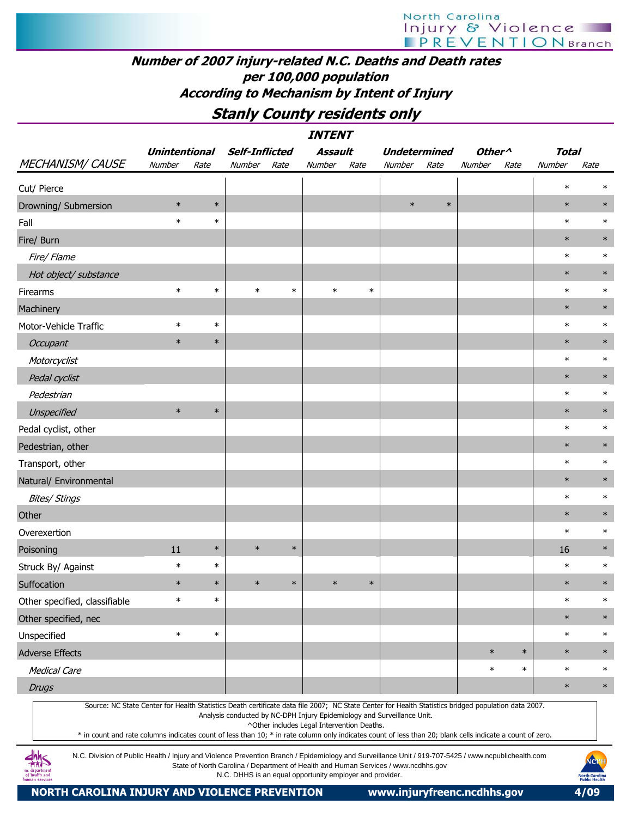### Number of 2007 injury-related N.C. Deaths and Death rates per 100,000 population According to Mechanism by Intent of Injury

Stanly County residents only

|                                                                                                                                                                                                                                                                                                                  |                      |        |                                                                         |        | <b>INTENT</b>                              |        |                     |        |                    |        |              |        |        |
|------------------------------------------------------------------------------------------------------------------------------------------------------------------------------------------------------------------------------------------------------------------------------------------------------------------|----------------------|--------|-------------------------------------------------------------------------|--------|--------------------------------------------|--------|---------------------|--------|--------------------|--------|--------------|--------|--------|
|                                                                                                                                                                                                                                                                                                                  | <b>Unintentional</b> |        | <b>Self-Inflicted</b>                                                   |        | <b>Assault</b>                             |        | <b>Undetermined</b> |        | Other <sup>^</sup> |        | <b>Total</b> |        |        |
| <b>MECHANISM/ CAUSE</b>                                                                                                                                                                                                                                                                                          | Number               | Rate   | Number                                                                  | Rate   | Number                                     | Rate   | Number              | Rate   | Number             | Rate   | Number       | Rate   |        |
| Cut/ Pierce                                                                                                                                                                                                                                                                                                      |                      |        |                                                                         |        |                                            |        |                     |        |                    |        | $\ast$       | $\ast$ |        |
| Drowning/ Submersion                                                                                                                                                                                                                                                                                             | $\ast$               | $\ast$ |                                                                         |        |                                            |        | $\ast$              | $\ast$ |                    |        | $\ast$       | $\ast$ |        |
| Fall                                                                                                                                                                                                                                                                                                             | $\ast$               | $\ast$ |                                                                         |        |                                            |        |                     |        |                    |        | $\ast$       | $\ast$ |        |
| Fire/ Burn                                                                                                                                                                                                                                                                                                       |                      |        |                                                                         |        |                                            |        |                     |        |                    |        | $\ast$       | $\ast$ |        |
| Fire/ Flame                                                                                                                                                                                                                                                                                                      |                      |        |                                                                         |        |                                            |        |                     |        |                    |        | $\ast$       | $\ast$ |        |
| Hot object/ substance                                                                                                                                                                                                                                                                                            |                      |        |                                                                         |        |                                            |        |                     |        |                    |        | $\ast$       | $\ast$ |        |
| Firearms                                                                                                                                                                                                                                                                                                         | $\ast$               | $\ast$ | $\ast$                                                                  | $\ast$ | $\ast$                                     | $\ast$ |                     |        |                    |        | $\ast$       | $\ast$ |        |
| Machinery                                                                                                                                                                                                                                                                                                        |                      |        |                                                                         |        |                                            |        |                     |        |                    |        | $\ast$       | $\ast$ |        |
| Motor-Vehicle Traffic                                                                                                                                                                                                                                                                                            | $\ast$               | $\ast$ |                                                                         |        |                                            |        |                     |        |                    |        | $\ast$       | $\ast$ |        |
| Occupant                                                                                                                                                                                                                                                                                                         | $\ast$               | $\ast$ |                                                                         |        |                                            |        |                     |        |                    |        | $\ast$       | $\ast$ |        |
| Motorcyclist                                                                                                                                                                                                                                                                                                     |                      |        |                                                                         |        |                                            |        |                     |        |                    |        | $\ast$       | $\ast$ |        |
| Pedal cyclist                                                                                                                                                                                                                                                                                                    |                      |        |                                                                         |        |                                            |        |                     |        |                    |        | $\ast$       | $\ast$ |        |
| Pedestrian                                                                                                                                                                                                                                                                                                       |                      |        |                                                                         |        |                                            |        |                     |        |                    |        | $\ast$       | $\ast$ |        |
| Unspecified                                                                                                                                                                                                                                                                                                      | $\ast$               | $\ast$ |                                                                         |        |                                            |        |                     |        |                    |        | $\ast$       | $\ast$ |        |
| Pedal cyclist, other                                                                                                                                                                                                                                                                                             |                      |        |                                                                         |        |                                            |        |                     |        |                    |        | $\ast$       | $\ast$ |        |
| Pedestrian, other                                                                                                                                                                                                                                                                                                |                      |        |                                                                         |        |                                            |        |                     |        |                    |        | $\ast$       | $\ast$ |        |
| Transport, other                                                                                                                                                                                                                                                                                                 |                      |        |                                                                         |        |                                            |        |                     |        |                    |        | $\ast$       | $\ast$ |        |
| Natural/ Environmental                                                                                                                                                                                                                                                                                           |                      |        |                                                                         |        |                                            |        |                     |        |                    |        | $\ast$       | $\ast$ |        |
| <b>Bites/ Stings</b>                                                                                                                                                                                                                                                                                             |                      |        |                                                                         |        |                                            |        |                     |        |                    |        | $\ast$       | $\ast$ |        |
| Other                                                                                                                                                                                                                                                                                                            |                      |        |                                                                         |        |                                            |        |                     |        |                    |        | $\ast$       | $\ast$ |        |
| Overexertion                                                                                                                                                                                                                                                                                                     |                      |        |                                                                         |        |                                            |        |                     |        |                    |        | $\ast$       | $\ast$ |        |
| Poisoning                                                                                                                                                                                                                                                                                                        | 11                   | $\ast$ | $\ast$                                                                  | $\ast$ |                                            |        |                     |        |                    |        | 16           | $\ast$ |        |
| Struck By/ Against                                                                                                                                                                                                                                                                                               | $\ast$               | $\ast$ |                                                                         |        |                                            |        |                     |        |                    |        | $\ast$       | $\ast$ |        |
| Suffocation                                                                                                                                                                                                                                                                                                      | $\ast$               | $\ast$ | $\ast$                                                                  | $\ast$ | $\ast$                                     | $\ast$ |                     |        |                    |        | $\ast$       | $\ast$ |        |
| Other specified, classifiable                                                                                                                                                                                                                                                                                    | $\ast$               | $\ast$ |                                                                         |        |                                            |        |                     |        |                    |        | $\ast$       | $\ast$ |        |
| Other specified, nec                                                                                                                                                                                                                                                                                             |                      |        |                                                                         |        |                                            |        |                     |        |                    |        | $\ast$       | $\ast$ |        |
| Unspecified                                                                                                                                                                                                                                                                                                      | $\ast$               | $\ast$ |                                                                         |        |                                            |        |                     |        |                    |        | $\ast$       | $\ast$ |        |
| <b>Adverse Effects</b>                                                                                                                                                                                                                                                                                           |                      |        |                                                                         |        |                                            |        |                     |        | $\ast$             | $\ast$ | $\ast$       |        | $\ast$ |
| <b>Medical Care</b>                                                                                                                                                                                                                                                                                              |                      |        |                                                                         |        |                                            |        |                     |        | $\ast$             | $\ast$ | $\ast$       | $\ast$ |        |
| <b>Drugs</b>                                                                                                                                                                                                                                                                                                     |                      |        |                                                                         |        |                                            |        |                     |        |                    |        | $\ast$       | $\ast$ |        |
| Source: NC State Center for Health Statistics Death certificate data file 2007; NC State Center for Health Statistics bridged population data 2007.<br>* in count and rate columns indicates count of less than 10; * in rate column only indicates count of less than 20; blank cells indicate a count of zero. |                      |        | Analysis conducted by NC-DPH Injury Epidemiology and Surveillance Unit. |        | ^Other includes Legal Intervention Deaths. |        |                     |        |                    |        |              |        |        |

N.C. Division of Public Health / Injury and Violence Prevention Branch / Epidemiology and Surveillance Unit / 919-707-5425 / www.ncpublichealth.com State of North Carolina / Department of Health and Human Services / www.ncdhhs.gov N.C. DHHS is an equal opportunity employer and provider.

 $\frac{dh}{dh}S$ nc department<br>of health and

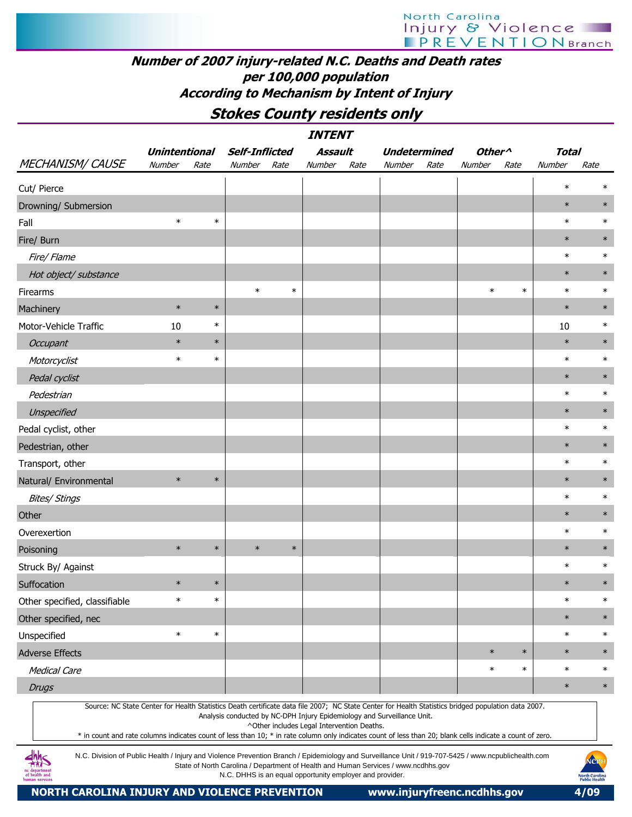#### Number of 2007 injury-related N.C. Deaths and Death rates per 100,000 population According to Mechanism by Intent of Injury

Stokes County residents only

|                                                                                                                                                                                                                                                                                                                  |                      |        |                       |        | <b>INTENT</b>                                            |      |                                                                                    |      |                    |        |              |                                               |
|------------------------------------------------------------------------------------------------------------------------------------------------------------------------------------------------------------------------------------------------------------------------------------------------------------------|----------------------|--------|-----------------------|--------|----------------------------------------------------------|------|------------------------------------------------------------------------------------|------|--------------------|--------|--------------|-----------------------------------------------|
|                                                                                                                                                                                                                                                                                                                  | <b>Unintentional</b> |        | <b>Self-Inflicted</b> |        | Assault                                                  |      | <b>Undetermined</b>                                                                |      | Other <sup>^</sup> |        | <b>Total</b> |                                               |
| <b>MECHANISM/ CAUSE</b>                                                                                                                                                                                                                                                                                          | Number               | Rate   | Number                | Rate   | Number                                                   | Rate | Number                                                                             | Rate | Number             | Rate   | Number       | Rate                                          |
| Cut/ Pierce                                                                                                                                                                                                                                                                                                      |                      |        |                       |        |                                                          |      |                                                                                    |      |                    |        | $\ast$       |                                               |
| Drowning/ Submersion                                                                                                                                                                                                                                                                                             |                      |        |                       |        |                                                          |      |                                                                                    |      |                    |        | $\ast$       | $\ast$                                        |
| Fall                                                                                                                                                                                                                                                                                                             | $\ast$               | $\ast$ |                       |        |                                                          |      |                                                                                    |      |                    |        | $\ast$       | $\ast$                                        |
| Fire/ Burn                                                                                                                                                                                                                                                                                                       |                      |        |                       |        |                                                          |      |                                                                                    |      |                    |        | $\ast$       | $\ast$                                        |
| Fire/ Flame                                                                                                                                                                                                                                                                                                      |                      |        |                       |        |                                                          |      |                                                                                    |      |                    |        | $\ast$       | $\ast$                                        |
| Hot object/ substance                                                                                                                                                                                                                                                                                            |                      |        |                       |        |                                                          |      |                                                                                    |      |                    |        | $\ast$       | $\ast$                                        |
| Firearms                                                                                                                                                                                                                                                                                                         |                      |        | $\ast$                | $\ast$ |                                                          |      |                                                                                    |      | $\ast$             | $\ast$ | $\ast$       | $\ast$                                        |
| Machinery                                                                                                                                                                                                                                                                                                        | $\ast$               | $\ast$ |                       |        |                                                          |      |                                                                                    |      |                    |        | $\ast$       | $\ast$                                        |
| Motor-Vehicle Traffic                                                                                                                                                                                                                                                                                            | 10                   | $\ast$ |                       |        |                                                          |      |                                                                                    |      |                    |        | 10           | $\ast$                                        |
| Occupant                                                                                                                                                                                                                                                                                                         | $\ast$               | $\ast$ |                       |        |                                                          |      |                                                                                    |      |                    |        | $\ast$       | $\ast$                                        |
| Motorcyclist                                                                                                                                                                                                                                                                                                     | $\ast$               | $\ast$ |                       |        |                                                          |      |                                                                                    |      |                    |        | $\ast$       | $\ast$                                        |
| Pedal cyclist                                                                                                                                                                                                                                                                                                    |                      |        |                       |        |                                                          |      |                                                                                    |      |                    |        | $\ast$       | $\ast$                                        |
| Pedestrian                                                                                                                                                                                                                                                                                                       |                      |        |                       |        |                                                          |      |                                                                                    |      |                    |        | $\ast$       | $\ast$                                        |
| Unspecified                                                                                                                                                                                                                                                                                                      |                      |        |                       |        |                                                          |      |                                                                                    |      |                    |        | $\ast$       | $\ast$                                        |
| Pedal cyclist, other                                                                                                                                                                                                                                                                                             |                      |        |                       |        |                                                          |      |                                                                                    |      |                    |        | $\ast$       | $\ast$                                        |
| Pedestrian, other                                                                                                                                                                                                                                                                                                |                      |        |                       |        |                                                          |      |                                                                                    |      |                    |        | $\ast$       | $\ast$                                        |
| Transport, other                                                                                                                                                                                                                                                                                                 |                      |        |                       |        |                                                          |      |                                                                                    |      |                    |        | $\ast$       | $\ast$                                        |
| Natural/ Environmental                                                                                                                                                                                                                                                                                           | $\ast$               | $\ast$ |                       |        |                                                          |      |                                                                                    |      |                    |        | $\ast$       | $\ast$                                        |
| <b>Bites/ Stings</b>                                                                                                                                                                                                                                                                                             |                      |        |                       |        |                                                          |      |                                                                                    |      |                    |        | $\ast$       | $\ast$                                        |
| Other                                                                                                                                                                                                                                                                                                            |                      |        |                       |        |                                                          |      |                                                                                    |      |                    |        | $\ast$       | $\ast$                                        |
| Overexertion                                                                                                                                                                                                                                                                                                     |                      |        |                       |        |                                                          |      |                                                                                    |      |                    |        | $\ast$       | $\ast$                                        |
| Poisoning                                                                                                                                                                                                                                                                                                        | $\ast$               | $\ast$ | $\ast$                | $\ast$ |                                                          |      |                                                                                    |      |                    |        | $\ast$       | $\ast$                                        |
| Struck By/ Against                                                                                                                                                                                                                                                                                               |                      |        |                       |        |                                                          |      |                                                                                    |      |                    |        | $\ast$       | $\ast$                                        |
| Suffocation                                                                                                                                                                                                                                                                                                      | $\ast$               | $\ast$ |                       |        |                                                          |      |                                                                                    |      |                    |        | $\ast$       | $\ast$                                        |
| Other specified, classifiable                                                                                                                                                                                                                                                                                    | $\ast$               | $\ast$ |                       |        |                                                          |      |                                                                                    |      |                    |        | $\ast$       | $\ast$                                        |
| Other specified, nec                                                                                                                                                                                                                                                                                             |                      |        |                       |        |                                                          |      |                                                                                    |      |                    |        | $\ast$       | $\ast$                                        |
| Unspecified                                                                                                                                                                                                                                                                                                      | $\ast$               | $\ast$ |                       |        |                                                          |      |                                                                                    |      |                    |        | $\ast$       | $\ast$                                        |
| <b>Adverse Effects</b>                                                                                                                                                                                                                                                                                           |                      |        |                       |        |                                                          |      |                                                                                    |      | $\ast$             | $\ast$ | $\ast$       | $\ast$                                        |
| <b>Medical Care</b>                                                                                                                                                                                                                                                                                              |                      |        |                       |        |                                                          |      |                                                                                    |      | $\ast$             | $\ast$ | $\ast$       | $\ast$                                        |
| <b>Drugs</b>                                                                                                                                                                                                                                                                                                     |                      |        |                       |        |                                                          |      |                                                                                    |      |                    |        | $\ast$       | $\ast$                                        |
| Source: NC State Center for Health Statistics Death certificate data file 2007; NC State Center for Health Statistics bridged population data 2007.<br>* in count and rate columns indicates count of less than 10; * in rate column only indicates count of less than 20; blank cells indicate a count of zero. |                      |        |                       |        | ^Other includes Legal Intervention Deaths.               |      | Analysis conducted by NC-DPH Injury Epidemiology and Surveillance Unit.            |      |                    |        |              |                                               |
| N.C. Division of Public Health / Injury and Violence Prevention Branch / Epidemiology and Surveillance Unit / 919-707-5425 / www.ncpublichealth.com<br>f health and<br><b>uman services</b>                                                                                                                      |                      |        |                       |        | N.C. DHHS is an equal opportunity employer and provider. |      | State of North Carolina / Department of Health and Human Services / www.ncdhhs.gov |      |                    |        |              | NCP<br><b>North Carolina</b><br>Public Health |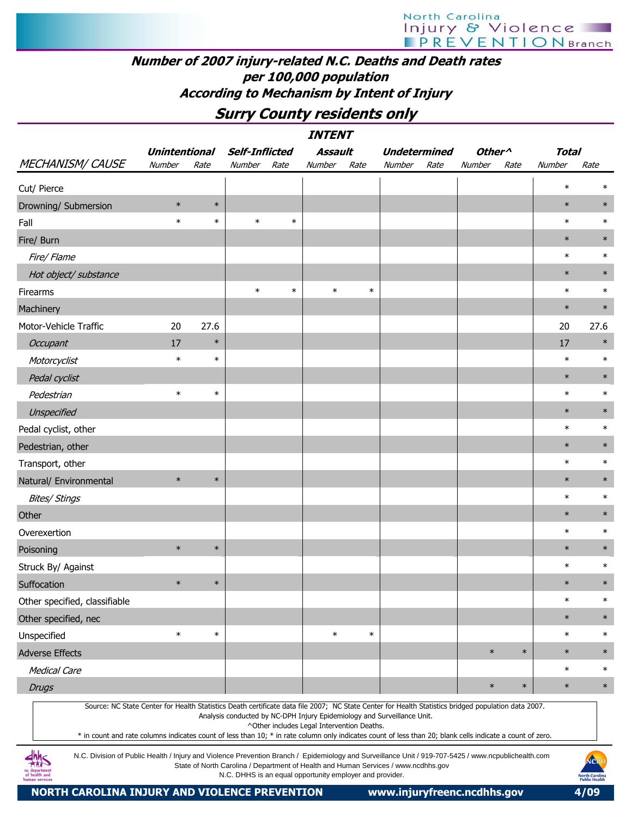#### Number of 2007 injury-related N.C. Deaths and Death rates per 100,000 population According to Mechanism by Intent of Injury

### Surry County residents only

|                                                                                                                                                     |                      |        |                       |        | <b>INTENT</b>                              |        |                                                                         |      |                    |        |              |        |
|-----------------------------------------------------------------------------------------------------------------------------------------------------|----------------------|--------|-----------------------|--------|--------------------------------------------|--------|-------------------------------------------------------------------------|------|--------------------|--------|--------------|--------|
|                                                                                                                                                     | <b>Unintentional</b> |        | <b>Self-Inflicted</b> |        | Assault                                    |        | <b>Undetermined</b>                                                     |      | Other <sup>^</sup> |        | <b>Total</b> |        |
| <b>MECHANISM/CAUSE</b>                                                                                                                              | Number               | Rate   | Number                | Rate   | Number                                     | Rate   | Number                                                                  | Rate | Number             | Rate   | Number       | Rate   |
| Cut/ Pierce                                                                                                                                         |                      |        |                       |        |                                            |        |                                                                         |      |                    |        | $\ast$       | $\ast$ |
| Drowning/ Submersion                                                                                                                                | $\ast$               | $\ast$ |                       |        |                                            |        |                                                                         |      |                    |        | $\ast$       | $\ast$ |
| Fall                                                                                                                                                | $\ast$               | $\ast$ | $\ast$                | $\ast$ |                                            |        |                                                                         |      |                    |        | $\ast$       | $\ast$ |
| Fire/ Burn                                                                                                                                          |                      |        |                       |        |                                            |        |                                                                         |      |                    |        | $\ast$       | $\ast$ |
| Fire/ Flame                                                                                                                                         |                      |        |                       |        |                                            |        |                                                                         |      |                    |        | $\ast$       | $\ast$ |
| Hot object/ substance                                                                                                                               |                      |        |                       |        |                                            |        |                                                                         |      |                    |        | $\ast$       | $\ast$ |
| Firearms                                                                                                                                            |                      |        | $\ast$                | $\ast$ | $\ast$                                     | $\ast$ |                                                                         |      |                    |        | $\ast$       | $\ast$ |
| Machinery                                                                                                                                           |                      |        |                       |        |                                            |        |                                                                         |      |                    |        | $\ast$       | $\ast$ |
| Motor-Vehicle Traffic                                                                                                                               | 20                   | 27.6   |                       |        |                                            |        |                                                                         |      |                    |        | 20           | 27.6   |
| Occupant                                                                                                                                            | 17                   | $\ast$ |                       |        |                                            |        |                                                                         |      |                    |        | 17           | $\ast$ |
| Motorcyclist                                                                                                                                        | $\ast$               | $\ast$ |                       |        |                                            |        |                                                                         |      |                    |        | $\ast$       | $\ast$ |
| Pedal cyclist                                                                                                                                       |                      |        |                       |        |                                            |        |                                                                         |      |                    |        | $\ast$       | $\ast$ |
| Pedestrian                                                                                                                                          | $\ast$               | $\ast$ |                       |        |                                            |        |                                                                         |      |                    |        | $\ast$       | $\ast$ |
| Unspecified                                                                                                                                         |                      |        |                       |        |                                            |        |                                                                         |      |                    |        | $\ast$       | $\ast$ |
| Pedal cyclist, other                                                                                                                                |                      |        |                       |        |                                            |        |                                                                         |      |                    |        | $\ast$       | $\ast$ |
| Pedestrian, other                                                                                                                                   |                      |        |                       |        |                                            |        |                                                                         |      |                    |        | $\ast$       | $\ast$ |
| Transport, other                                                                                                                                    |                      |        |                       |        |                                            |        |                                                                         |      |                    |        | $\ast$       | $\ast$ |
| Natural/ Environmental                                                                                                                              | $\ast$               | $\ast$ |                       |        |                                            |        |                                                                         |      |                    |        | $\ast$       | $\ast$ |
| <b>Bites/ Stings</b>                                                                                                                                |                      |        |                       |        |                                            |        |                                                                         |      |                    |        | $\ast$       | $\ast$ |
| Other                                                                                                                                               |                      |        |                       |        |                                            |        |                                                                         |      |                    |        | $\ast$       | $\ast$ |
| Overexertion                                                                                                                                        |                      |        |                       |        |                                            |        |                                                                         |      |                    |        | $\ast$       | $\ast$ |
| Poisoning                                                                                                                                           | $\ast$               | $\ast$ |                       |        |                                            |        |                                                                         |      |                    |        | $\ast$       | $\ast$ |
| Struck By/ Against                                                                                                                                  |                      |        |                       |        |                                            |        |                                                                         |      |                    |        | $\ast$       | $\ast$ |
| Suffocation                                                                                                                                         | $\ast$               | $\ast$ |                       |        |                                            |        |                                                                         |      |                    |        | $\ast$       | $\ast$ |
| Other specified, classifiable                                                                                                                       |                      |        |                       |        |                                            |        |                                                                         |      |                    |        | $\ast$       | $\ast$ |
| Other specified, nec                                                                                                                                |                      |        |                       |        |                                            |        |                                                                         |      |                    |        | $\ast$       | $\ast$ |
| Unspecified                                                                                                                                         | $\ast$               | $\ast$ |                       |        | $\ast$                                     | $\ast$ |                                                                         |      |                    |        | $\ast$       | $\ast$ |
| <b>Adverse Effects</b>                                                                                                                              |                      |        |                       |        |                                            |        |                                                                         |      | $\ast$             | $\ast$ | $\ast$       | $\ast$ |
| <b>Medical Care</b>                                                                                                                                 |                      |        |                       |        |                                            |        |                                                                         |      |                    |        | $\ast$       | $\ast$ |
| <b>Drugs</b>                                                                                                                                        |                      |        |                       |        |                                            |        |                                                                         |      | $\ast$             | $\ast$ | $\ast$       | $\ast$ |
| Source: NC State Center for Health Statistics Death certificate data file 2007; NC State Center for Health Statistics bridged population data 2007. |                      |        |                       |        | ^Other includes Legal Intervention Deaths. |        | Analysis conducted by NC-DPH Injury Epidemiology and Surveillance Unit. |      |                    |        |              |        |

\* in count and rate columns indicates count of less than 10; \* in rate column only indicates count of less than 20; blank cells indicate a count of zero.

N.C. Division of Public Health / Injury and Violence Prevention Branch / Epidemiology and Surveillance Unit / 919-707-5425 / www.ncpublichealth.com State of North Carolina / Department of Health and Human Services / www.ncdhhs.gov N.C. DHHS is an equal opportunity employer and provider.

 $\frac{dh}{dh}$ nc departmen<br>of health and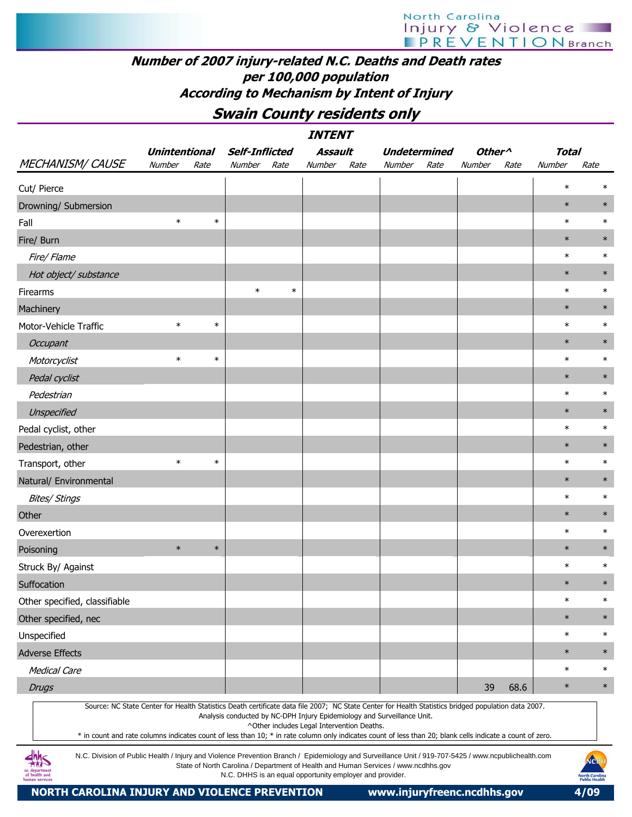#### Number of 2007 injury-related N.C. Deaths and Death rates per 100,000 population According to Mechanism by Intent of Injury

Swain County residents only

|                                                                                                                                                                                                                                                                                                                  |                      |        |                       |        | <i><b>INTENT</b></i>                                     |      |                                                                                    |      |                    |      |              |                                                       |
|------------------------------------------------------------------------------------------------------------------------------------------------------------------------------------------------------------------------------------------------------------------------------------------------------------------|----------------------|--------|-----------------------|--------|----------------------------------------------------------|------|------------------------------------------------------------------------------------|------|--------------------|------|--------------|-------------------------------------------------------|
|                                                                                                                                                                                                                                                                                                                  | <b>Unintentional</b> |        | <b>Self-Inflicted</b> |        | Assault                                                  |      | <b>Undetermined</b>                                                                |      | Other <sup>^</sup> |      | <b>Total</b> |                                                       |
| <b>MECHANISM/ CAUSE</b>                                                                                                                                                                                                                                                                                          | Number               | Rate   | Number Rate           |        | Number                                                   | Rate | Number                                                                             | Rate | Number             | Rate | Number       | Rate                                                  |
| Cut/ Pierce                                                                                                                                                                                                                                                                                                      |                      |        |                       |        |                                                          |      |                                                                                    |      |                    |      | $\ast$       | ∗                                                     |
| Drowning/ Submersion                                                                                                                                                                                                                                                                                             |                      |        |                       |        |                                                          |      |                                                                                    |      |                    |      | $\ast$       | $\ast$                                                |
| Fall                                                                                                                                                                                                                                                                                                             | $\ast$               | $\ast$ |                       |        |                                                          |      |                                                                                    |      |                    |      | $\ast$       | $\ast$                                                |
| Fire/ Burn                                                                                                                                                                                                                                                                                                       |                      |        |                       |        |                                                          |      |                                                                                    |      |                    |      | $\ast$       | $\ast$                                                |
| Fire/ Flame                                                                                                                                                                                                                                                                                                      |                      |        |                       |        |                                                          |      |                                                                                    |      |                    |      | $\ast$       | $\ast$                                                |
| Hot object/ substance                                                                                                                                                                                                                                                                                            |                      |        |                       |        |                                                          |      |                                                                                    |      |                    |      | $\ast$       | $\ast$                                                |
| Firearms                                                                                                                                                                                                                                                                                                         |                      |        | $\ast$                | $\ast$ |                                                          |      |                                                                                    |      |                    |      | $\ast$       | $\ast$                                                |
| Machinery                                                                                                                                                                                                                                                                                                        |                      |        |                       |        |                                                          |      |                                                                                    |      |                    |      | $\ast$       | $\ast$                                                |
| Motor-Vehicle Traffic                                                                                                                                                                                                                                                                                            | $\ast$               | $\ast$ |                       |        |                                                          |      |                                                                                    |      |                    |      | $\ast$       | $\ast$                                                |
| Occupant                                                                                                                                                                                                                                                                                                         |                      |        |                       |        |                                                          |      |                                                                                    |      |                    |      | $\ast$       | $\ast$                                                |
| Motorcyclist                                                                                                                                                                                                                                                                                                     | $\ast$               | $\ast$ |                       |        |                                                          |      |                                                                                    |      |                    |      | $\ast$       | $\ast$                                                |
| Pedal cyclist                                                                                                                                                                                                                                                                                                    |                      |        |                       |        |                                                          |      |                                                                                    |      |                    |      | $\ast$       | $\ast$                                                |
| Pedestrian                                                                                                                                                                                                                                                                                                       |                      |        |                       |        |                                                          |      |                                                                                    |      |                    |      | $\ast$       | $\ast$                                                |
| Unspecified                                                                                                                                                                                                                                                                                                      |                      |        |                       |        |                                                          |      |                                                                                    |      |                    |      | $\ast$       | $\ast$                                                |
| Pedal cyclist, other                                                                                                                                                                                                                                                                                             |                      |        |                       |        |                                                          |      |                                                                                    |      |                    |      | $\ast$       | $\ast$                                                |
| Pedestrian, other                                                                                                                                                                                                                                                                                                |                      |        |                       |        |                                                          |      |                                                                                    |      |                    |      | $\ast$       | $\ast$                                                |
| Transport, other                                                                                                                                                                                                                                                                                                 | $\ast$               | $\ast$ |                       |        |                                                          |      |                                                                                    |      |                    |      | $\ast$       | $\ast$                                                |
| Natural/ Environmental                                                                                                                                                                                                                                                                                           |                      |        |                       |        |                                                          |      |                                                                                    |      |                    |      | $\ast$       | $\ast$                                                |
| <b>Bites/ Stings</b>                                                                                                                                                                                                                                                                                             |                      |        |                       |        |                                                          |      |                                                                                    |      |                    |      | $\ast$       | $\ast$                                                |
| Other                                                                                                                                                                                                                                                                                                            |                      |        |                       |        |                                                          |      |                                                                                    |      |                    |      | $\ast$       | $\ast$                                                |
| Overexertion                                                                                                                                                                                                                                                                                                     |                      |        |                       |        |                                                          |      |                                                                                    |      |                    |      | $\ast$       | $\ast$                                                |
| Poisoning                                                                                                                                                                                                                                                                                                        | $\ast$               | $\ast$ |                       |        |                                                          |      |                                                                                    |      |                    |      | $\ast$       | $\ast$                                                |
| Struck By/ Against                                                                                                                                                                                                                                                                                               |                      |        |                       |        |                                                          |      |                                                                                    |      |                    |      | $\ast$       | $\ast$                                                |
| Suffocation                                                                                                                                                                                                                                                                                                      |                      |        |                       |        |                                                          |      |                                                                                    |      |                    |      | $\ast$       | $\ast$                                                |
| Other specified, classifiable                                                                                                                                                                                                                                                                                    |                      |        |                       |        |                                                          |      |                                                                                    |      |                    |      | $\ast$       | $\ast$                                                |
| Other specified, nec                                                                                                                                                                                                                                                                                             |                      |        |                       |        |                                                          |      |                                                                                    |      |                    |      | $\ast$       | $\ast$                                                |
| Unspecified                                                                                                                                                                                                                                                                                                      |                      |        |                       |        |                                                          |      |                                                                                    |      |                    |      | $\ast$       | $\ast$                                                |
| <b>Adverse Effects</b>                                                                                                                                                                                                                                                                                           |                      |        |                       |        |                                                          |      |                                                                                    |      |                    |      | $\ast$       | $\ast$                                                |
| <b>Medical Care</b>                                                                                                                                                                                                                                                                                              |                      |        |                       |        |                                                          |      |                                                                                    |      |                    |      | $\ast$       | $\ast$                                                |
| <b>Drugs</b>                                                                                                                                                                                                                                                                                                     |                      |        |                       |        |                                                          |      |                                                                                    |      | 39                 | 68.6 | $\ast$       | $\ast$                                                |
| Source: NC State Center for Health Statistics Death certificate data file 2007; NC State Center for Health Statistics bridged population data 2007.<br>* in count and rate columns indicates count of less than 10; * in rate column only indicates count of less than 20; blank cells indicate a count of zero. |                      |        |                       |        | ^Other includes Legal Intervention Deaths.               |      | Analysis conducted by NC-DPH Injury Epidemiology and Surveillance Unit.            |      |                    |      |              |                                                       |
| N.C. Division of Public Health / Injury and Violence Prevention Branch / Epidemiology and Surveillance Unit / 919-707-5425 / www.ncpublichealth.com<br>of health and<br>numan services                                                                                                                           |                      |        |                       |        | N.C. DHHS is an equal opportunity employer and provider. |      | State of North Carolina / Department of Health and Human Services / www.ncdhhs.gov |      |                    |      |              | NCPH<br><b>North Carolina</b><br><b>Public Health</b> |

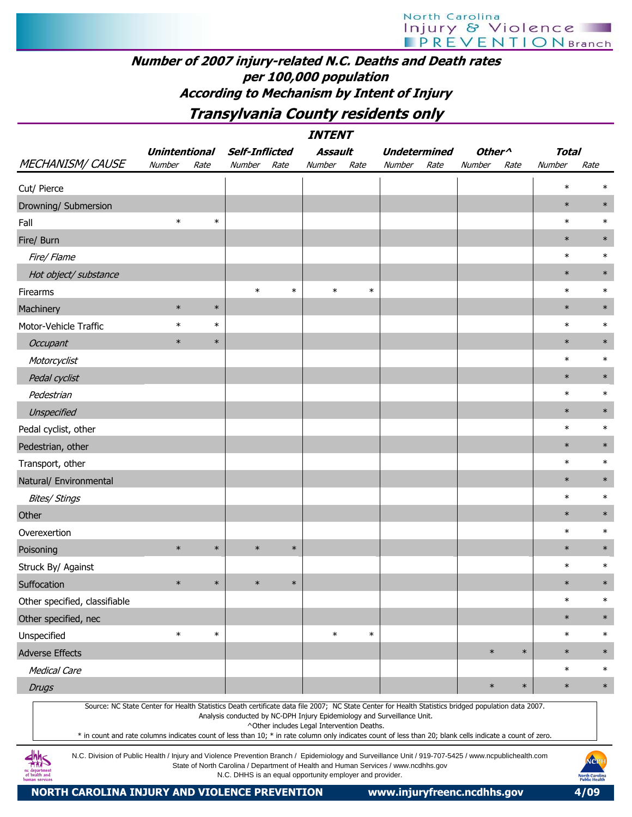#### Number of 2007 injury-related N.C. Deaths and Death rates per 100,000 population According to Mechanism by Intent of Injury

Transylvania County residents only

|                                                                                                                                                                                                                                                                                                                  |                      |        |                       |        | <b>INTENT</b>                              |        |                                                                         |      |                    |        |              |        |
|------------------------------------------------------------------------------------------------------------------------------------------------------------------------------------------------------------------------------------------------------------------------------------------------------------------|----------------------|--------|-----------------------|--------|--------------------------------------------|--------|-------------------------------------------------------------------------|------|--------------------|--------|--------------|--------|
|                                                                                                                                                                                                                                                                                                                  | <b>Unintentional</b> |        | <b>Self-Inflicted</b> |        | Assault                                    |        | <b>Undetermined</b>                                                     |      | Other <sup>^</sup> |        | <b>Total</b> |        |
| <b>MECHANISM/ CAUSE</b>                                                                                                                                                                                                                                                                                          | Number               | Rate   | Number                | Rate   | Number                                     | Rate   | Number                                                                  | Rate | Number             | Rate   | Number       | Rate   |
| Cut/ Pierce                                                                                                                                                                                                                                                                                                      |                      |        |                       |        |                                            |        |                                                                         |      |                    |        | $\ast$       | $\ast$ |
| Drowning/ Submersion                                                                                                                                                                                                                                                                                             |                      |        |                       |        |                                            |        |                                                                         |      |                    |        | $\ast$       | $\ast$ |
| Fall                                                                                                                                                                                                                                                                                                             | $\ast$               | $\ast$ |                       |        |                                            |        |                                                                         |      |                    |        | $\ast$       | $\ast$ |
| Fire/ Burn                                                                                                                                                                                                                                                                                                       |                      |        |                       |        |                                            |        |                                                                         |      |                    |        | $\ast$       | $\ast$ |
| Fire/ Flame                                                                                                                                                                                                                                                                                                      |                      |        |                       |        |                                            |        |                                                                         |      |                    |        | $\ast$       | $\ast$ |
| Hot object/ substance                                                                                                                                                                                                                                                                                            |                      |        |                       |        |                                            |        |                                                                         |      |                    |        | $\ast$       | $\ast$ |
| Firearms                                                                                                                                                                                                                                                                                                         |                      |        | $\ast$                | $\ast$ | $\ast$                                     | $\ast$ |                                                                         |      |                    |        | $\ast$       | $\ast$ |
| Machinery                                                                                                                                                                                                                                                                                                        | $\ast$               | $\ast$ |                       |        |                                            |        |                                                                         |      |                    |        | $\ast$       | $\ast$ |
| Motor-Vehicle Traffic                                                                                                                                                                                                                                                                                            | $\ast$               | $\ast$ |                       |        |                                            |        |                                                                         |      |                    |        | $\ast$       | $\ast$ |
| Occupant                                                                                                                                                                                                                                                                                                         | $\ast$               | $\ast$ |                       |        |                                            |        |                                                                         |      |                    |        | $\ast$       | $\ast$ |
| Motorcyclist                                                                                                                                                                                                                                                                                                     |                      |        |                       |        |                                            |        |                                                                         |      |                    |        | $\ast$       | $\ast$ |
| Pedal cyclist                                                                                                                                                                                                                                                                                                    |                      |        |                       |        |                                            |        |                                                                         |      |                    |        | $\ast$       | $\ast$ |
| Pedestrian                                                                                                                                                                                                                                                                                                       |                      |        |                       |        |                                            |        |                                                                         |      |                    |        | $\ast$       | $\ast$ |
| <b>Unspecified</b>                                                                                                                                                                                                                                                                                               |                      |        |                       |        |                                            |        |                                                                         |      |                    |        | $\ast$       | $\ast$ |
| Pedal cyclist, other                                                                                                                                                                                                                                                                                             |                      |        |                       |        |                                            |        |                                                                         |      |                    |        | $\ast$       | $\ast$ |
| Pedestrian, other                                                                                                                                                                                                                                                                                                |                      |        |                       |        |                                            |        |                                                                         |      |                    |        | $\ast$       | $\ast$ |
| Transport, other                                                                                                                                                                                                                                                                                                 |                      |        |                       |        |                                            |        |                                                                         |      |                    |        | $\ast$       | $\ast$ |
| Natural/ Environmental                                                                                                                                                                                                                                                                                           |                      |        |                       |        |                                            |        |                                                                         |      |                    |        | $\ast$       | $\ast$ |
| <b>Bites/ Stings</b>                                                                                                                                                                                                                                                                                             |                      |        |                       |        |                                            |        |                                                                         |      |                    |        | $\ast$       | $\ast$ |
| Other                                                                                                                                                                                                                                                                                                            |                      |        |                       |        |                                            |        |                                                                         |      |                    |        | $\ast$       | $\ast$ |
| Overexertion                                                                                                                                                                                                                                                                                                     |                      |        |                       |        |                                            |        |                                                                         |      |                    |        | $\ast$       | $\ast$ |
| Poisoning                                                                                                                                                                                                                                                                                                        | $\ast$               | $\ast$ | $\ast$                | $\ast$ |                                            |        |                                                                         |      |                    |        | $\ast$       | $\ast$ |
| Struck By/ Against                                                                                                                                                                                                                                                                                               |                      |        |                       |        |                                            |        |                                                                         |      |                    |        | $\ast$       | $\ast$ |
| Suffocation                                                                                                                                                                                                                                                                                                      | $\ast$               | $\ast$ | $\ast$                | $\ast$ |                                            |        |                                                                         |      |                    |        | $\ast$       | $\ast$ |
| Other specified, classifiable                                                                                                                                                                                                                                                                                    |                      |        |                       |        |                                            |        |                                                                         |      |                    |        | $\ast$       | $\ast$ |
| Other specified, nec                                                                                                                                                                                                                                                                                             |                      |        |                       |        |                                            |        |                                                                         |      |                    |        | $\ast$       | $\ast$ |
| Unspecified                                                                                                                                                                                                                                                                                                      | $\ast$               | $\ast$ |                       |        | $\ast$                                     | $\ast$ |                                                                         |      |                    |        | $\ast$       | $\ast$ |
| <b>Adverse Effects</b>                                                                                                                                                                                                                                                                                           |                      |        |                       |        |                                            |        |                                                                         |      | $\ast$             | $\ast$ | $\ast$       | $\ast$ |
| <b>Medical Care</b>                                                                                                                                                                                                                                                                                              |                      |        |                       |        |                                            |        |                                                                         |      |                    |        | $\ast$       | $\ast$ |
| <b>Drugs</b>                                                                                                                                                                                                                                                                                                     |                      |        |                       |        |                                            |        |                                                                         |      | $\ast$             | $\ast$ | $\ast$       | $\ast$ |
| Source: NC State Center for Health Statistics Death certificate data file 2007; NC State Center for Health Statistics bridged population data 2007.<br>* in count and rate columns indicates count of less than 10; * in rate column only indicates count of less than 20; blank cells indicate a count of zero. |                      |        |                       |        | ^Other includes Legal Intervention Deaths. |        | Analysis conducted by NC-DPH Injury Epidemiology and Surveillance Unit. |      |                    |        |              |        |

N.C. Division of Public Health / Injury and Violence Prevention Branch / Epidemiology and Surveillance Unit / 919-707-5425 / www.ncpublichealth.com State of North Carolina / Department of Health and Human Services / www.ncdhhs.gov N.C. DHHS is an equal opportunity employer and provider.

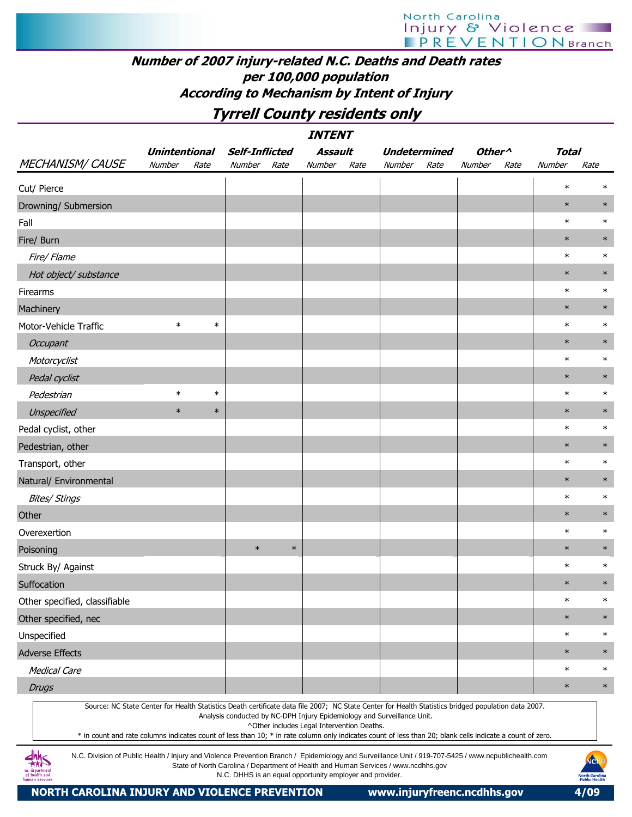#### Number of 2007 injury-related N.C. Deaths and Death rates per 100,000 population According to Mechanism by Intent of Injury

## Tyrrell County residents only

|                                                                                                                                                                                                                                                                                                                  |                      |        |                                                          |        | <i><b>INTENT</b></i>                       |      |                                                                                    |      |                    |      |              |                                                       |
|------------------------------------------------------------------------------------------------------------------------------------------------------------------------------------------------------------------------------------------------------------------------------------------------------------------|----------------------|--------|----------------------------------------------------------|--------|--------------------------------------------|------|------------------------------------------------------------------------------------|------|--------------------|------|--------------|-------------------------------------------------------|
|                                                                                                                                                                                                                                                                                                                  | <b>Unintentional</b> |        | <b>Self-Inflicted</b>                                    |        | <b>Assault</b>                             |      | <b>Undetermined</b>                                                                |      | Other <sup>^</sup> |      | <b>Total</b> |                                                       |
| <b>MECHANISM/ CAUSE</b>                                                                                                                                                                                                                                                                                          | Number               | Rate   | Number                                                   | Rate   | Number                                     | Rate | Number                                                                             | Rate | Number             | Rate | Number       | Rate                                                  |
| Cut/ Pierce                                                                                                                                                                                                                                                                                                      |                      |        |                                                          |        |                                            |      |                                                                                    |      |                    |      | $\ast$       | ∗                                                     |
| Drowning/ Submersion                                                                                                                                                                                                                                                                                             |                      |        |                                                          |        |                                            |      |                                                                                    |      |                    |      | $\ast$       | $\ast$                                                |
| Fall                                                                                                                                                                                                                                                                                                             |                      |        |                                                          |        |                                            |      |                                                                                    |      |                    |      | $\ast$       | $\ast$                                                |
| Fire/ Burn                                                                                                                                                                                                                                                                                                       |                      |        |                                                          |        |                                            |      |                                                                                    |      |                    |      | $\ast$       | $\ast$                                                |
| Fire/ Flame                                                                                                                                                                                                                                                                                                      |                      |        |                                                          |        |                                            |      |                                                                                    |      |                    |      | $\ast$       | $\ast$                                                |
| Hot object/ substance                                                                                                                                                                                                                                                                                            |                      |        |                                                          |        |                                            |      |                                                                                    |      |                    |      | $\ast$       | $\ast$                                                |
| Firearms                                                                                                                                                                                                                                                                                                         |                      |        |                                                          |        |                                            |      |                                                                                    |      |                    |      | $\ast$       | $\ast$                                                |
| Machinery                                                                                                                                                                                                                                                                                                        |                      |        |                                                          |        |                                            |      |                                                                                    |      |                    |      | $\ast$       | $\ast$                                                |
| Motor-Vehicle Traffic                                                                                                                                                                                                                                                                                            | $\ast$               | $\ast$ |                                                          |        |                                            |      |                                                                                    |      |                    |      | $\ast$       | $\ast$                                                |
| Occupant                                                                                                                                                                                                                                                                                                         |                      |        |                                                          |        |                                            |      |                                                                                    |      |                    |      | $\ast$       | $\ast$                                                |
| Motorcyclist                                                                                                                                                                                                                                                                                                     |                      |        |                                                          |        |                                            |      |                                                                                    |      |                    |      | $\ast$       | $\ast$                                                |
| Pedal cyclist                                                                                                                                                                                                                                                                                                    |                      |        |                                                          |        |                                            |      |                                                                                    |      |                    |      | $\ast$       | $\ast$                                                |
| Pedestrian                                                                                                                                                                                                                                                                                                       | $\ast$               | $\ast$ |                                                          |        |                                            |      |                                                                                    |      |                    |      | $\ast$       | $\ast$                                                |
| Unspecified                                                                                                                                                                                                                                                                                                      | $\ast$               | $\ast$ |                                                          |        |                                            |      |                                                                                    |      |                    |      | $\ast$       | $\ast$                                                |
| Pedal cyclist, other                                                                                                                                                                                                                                                                                             |                      |        |                                                          |        |                                            |      |                                                                                    |      |                    |      | $\ast$       | $\ast$                                                |
| Pedestrian, other                                                                                                                                                                                                                                                                                                |                      |        |                                                          |        |                                            |      |                                                                                    |      |                    |      | $\ast$       | $\ast$                                                |
| Transport, other                                                                                                                                                                                                                                                                                                 |                      |        |                                                          |        |                                            |      |                                                                                    |      |                    |      | $\ast$       | $\ast$                                                |
| Natural/ Environmental                                                                                                                                                                                                                                                                                           |                      |        |                                                          |        |                                            |      |                                                                                    |      |                    |      | $\ast$       | $\ast$                                                |
| <b>Bites/ Stings</b>                                                                                                                                                                                                                                                                                             |                      |        |                                                          |        |                                            |      |                                                                                    |      |                    |      | $\ast$       | $\ast$                                                |
| Other                                                                                                                                                                                                                                                                                                            |                      |        |                                                          |        |                                            |      |                                                                                    |      |                    |      | $\ast$       | $\ast$                                                |
| Overexertion                                                                                                                                                                                                                                                                                                     |                      |        |                                                          |        |                                            |      |                                                                                    |      |                    |      | $\ast$       | $\ast$                                                |
| Poisoning                                                                                                                                                                                                                                                                                                        |                      |        | $\ast$                                                   | $\ast$ |                                            |      |                                                                                    |      |                    |      | $\ast$       | $\ast$                                                |
| Struck By/ Against                                                                                                                                                                                                                                                                                               |                      |        |                                                          |        |                                            |      |                                                                                    |      |                    |      | $\ast$       | $\ast$                                                |
| Suffocation                                                                                                                                                                                                                                                                                                      |                      |        |                                                          |        |                                            |      |                                                                                    |      |                    |      | $\ast$       | $\ast$                                                |
| Other specified, classifiable                                                                                                                                                                                                                                                                                    |                      |        |                                                          |        |                                            |      |                                                                                    |      |                    |      | $\ast$       | $\ast$                                                |
| Other specified, nec                                                                                                                                                                                                                                                                                             |                      |        |                                                          |        |                                            |      |                                                                                    |      |                    |      | $\ast$       | $\ast$                                                |
| Unspecified                                                                                                                                                                                                                                                                                                      |                      |        |                                                          |        |                                            |      |                                                                                    |      |                    |      | $\ast$       | $\ast$                                                |
| <b>Adverse Effects</b>                                                                                                                                                                                                                                                                                           |                      |        |                                                          |        |                                            |      |                                                                                    |      |                    |      | $\ast$       | $\ast$                                                |
| <b>Medical Care</b>                                                                                                                                                                                                                                                                                              |                      |        |                                                          |        |                                            |      |                                                                                    |      |                    |      | $\ast$       | $\ast$                                                |
| <b>Drugs</b>                                                                                                                                                                                                                                                                                                     |                      |        |                                                          |        |                                            |      |                                                                                    |      |                    |      | $\ast$       | $\ast$                                                |
| Source: NC State Center for Health Statistics Death certificate data file 2007; NC State Center for Health Statistics bridged population data 2007.<br>* in count and rate columns indicates count of less than 10; * in rate column only indicates count of less than 20; blank cells indicate a count of zero. |                      |        |                                                          |        | ^Other includes Legal Intervention Deaths. |      | Analysis conducted by NC-DPH Injury Epidemiology and Surveillance Unit.            |      |                    |      |              |                                                       |
| N.C. Division of Public Health / Injury and Violence Prevention Branch / Epidemiology and Surveillance Unit / 919-707-5425 / www.ncpublichealth.com<br>if health and<br>human services                                                                                                                           |                      |        | N.C. DHHS is an equal opportunity employer and provider. |        |                                            |      | State of North Carolina / Department of Health and Human Services / www.ncdhhs.gov |      |                    |      |              | NCPI<br><b>North Carolina</b><br><b>Public Health</b> |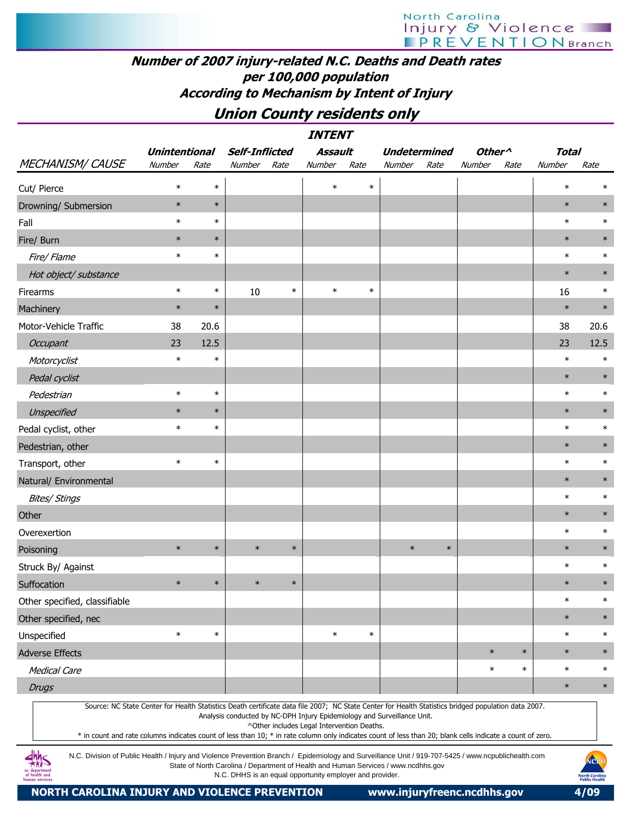#### Number of 2007 injury-related N.C. Deaths and Death rates per 100,000 population According to Mechanism by Intent of Injury

### Union County residents only

|                                                                                                                                                     |                      |        |                                                                         |        | <b>INTENT</b>  |        |        |                     |                    |        |              |        |
|-----------------------------------------------------------------------------------------------------------------------------------------------------|----------------------|--------|-------------------------------------------------------------------------|--------|----------------|--------|--------|---------------------|--------------------|--------|--------------|--------|
|                                                                                                                                                     | <b>Unintentional</b> |        | <b>Self-Inflicted</b>                                                   |        | <b>Assault</b> |        |        | <b>Undetermined</b> | Other <sup>^</sup> |        | <b>Total</b> |        |
| <b>MECHANISM/ CAUSE</b>                                                                                                                             | Number               | Rate   | Number                                                                  | Rate   | Number         | Rate   | Number | Rate                | Number             | Rate   | Number       | Rate   |
| Cut/ Pierce                                                                                                                                         | $\ast$               | $\ast$ |                                                                         |        | $\ast$         | $\ast$ |        |                     |                    |        | $\ast$       | $\ast$ |
| Drowning/ Submersion                                                                                                                                | $\ast$               | $\ast$ |                                                                         |        |                |        |        |                     |                    |        | $\ast$       | $\ast$ |
| Fall                                                                                                                                                | $\ast$               | $\ast$ |                                                                         |        |                |        |        |                     |                    |        | $\ast$       | $\ast$ |
| Fire/ Burn                                                                                                                                          | $\ast$               | $\ast$ |                                                                         |        |                |        |        |                     |                    |        | $\ast$       | $\ast$ |
| Fire/Flame                                                                                                                                          | $\ast$               | $\ast$ |                                                                         |        |                |        |        |                     |                    |        | $\ast$       | $\ast$ |
| Hot object/ substance                                                                                                                               |                      |        |                                                                         |        |                |        |        |                     |                    |        | $\ast$       | $\ast$ |
| Firearms                                                                                                                                            | $\ast$               | $\ast$ | 10                                                                      | $\ast$ | $\ast$         | $\ast$ |        |                     |                    |        | 16           | $\ast$ |
| Machinery                                                                                                                                           | $\ast$               | $\ast$ |                                                                         |        |                |        |        |                     |                    |        | $\ast$       | $\ast$ |
| Motor-Vehicle Traffic                                                                                                                               | 38                   | 20.6   |                                                                         |        |                |        |        |                     |                    |        | 38           | 20.6   |
| Occupant                                                                                                                                            | 23                   | 12.5   |                                                                         |        |                |        |        |                     |                    |        | 23           | 12.5   |
| Motorcyclist                                                                                                                                        | $\ast$               | $\ast$ |                                                                         |        |                |        |        |                     |                    |        | $\ast$       | $\ast$ |
| Pedal cyclist                                                                                                                                       |                      |        |                                                                         |        |                |        |        |                     |                    |        | $\ast$       | $\ast$ |
| Pedestrian                                                                                                                                          | $\ast$               | $\ast$ |                                                                         |        |                |        |        |                     |                    |        | $\ast$       | $\ast$ |
| Unspecified                                                                                                                                         | $\ast$               | $\ast$ |                                                                         |        |                |        |        |                     |                    |        | $\ast$       | $\ast$ |
| Pedal cyclist, other                                                                                                                                | $\ast$               | $\ast$ |                                                                         |        |                |        |        |                     |                    |        | $\ast$       | $\ast$ |
| Pedestrian, other                                                                                                                                   |                      |        |                                                                         |        |                |        |        |                     |                    |        | $\ast$       | $\ast$ |
| Transport, other                                                                                                                                    | $\ast$               | $\ast$ |                                                                         |        |                |        |        |                     |                    |        | $\ast$       | $\ast$ |
| Natural/ Environmental                                                                                                                              |                      |        |                                                                         |        |                |        |        |                     |                    |        | $\ast$       | $\ast$ |
| <b>Bites/ Stings</b>                                                                                                                                |                      |        |                                                                         |        |                |        |        |                     |                    |        | $\ast$       | $\ast$ |
| Other                                                                                                                                               |                      |        |                                                                         |        |                |        |        |                     |                    |        | $\ast$       | $\ast$ |
| Overexertion                                                                                                                                        |                      |        |                                                                         |        |                |        |        |                     |                    |        | $\ast$       | $\ast$ |
| Poisoning                                                                                                                                           | $\ast$               | $\ast$ | $\ast$                                                                  | $\ast$ |                |        | $\ast$ | $\ast$              |                    |        | $\ast$       | $\ast$ |
| Struck By/ Against                                                                                                                                  |                      |        |                                                                         |        |                |        |        |                     |                    |        | $\ast$       | $\ast$ |
| Suffocation                                                                                                                                         | $\ast$               | $\ast$ | $\ast$                                                                  | $\ast$ |                |        |        |                     |                    |        | $\ast$       | $\ast$ |
| Other specified, classifiable                                                                                                                       |                      |        |                                                                         |        |                |        |        |                     |                    |        | $\ast$       | $\ast$ |
| Other specified, nec                                                                                                                                |                      |        |                                                                         |        |                |        |        |                     |                    |        | $\ast$       | $\ast$ |
| Unspecified                                                                                                                                         | $\ast$               | $\ast$ |                                                                         |        | $\ast$         | $\ast$ |        |                     |                    |        | $\ast$       | $\ast$ |
| <b>Adverse Effects</b>                                                                                                                              |                      |        |                                                                         |        |                |        |        |                     | $\ast$             | $\ast$ | $\ast$       | $\ast$ |
| <b>Medical Care</b>                                                                                                                                 |                      |        |                                                                         |        |                |        |        |                     | $\ast$             | $\ast$ | $\ast$       | $\ast$ |
| <b>Drugs</b>                                                                                                                                        |                      |        |                                                                         |        |                |        |        |                     |                    |        | $\ast$       | $\ast$ |
| Source: NC State Center for Health Statistics Death certificate data file 2007; NC State Center for Health Statistics bridged population data 2007. |                      |        |                                                                         |        |                |        |        |                     |                    |        |              |        |
|                                                                                                                                                     |                      |        | Analysis conducted by NC-DPH Injury Epidemiology and Surveillance Unit. |        |                |        |        |                     |                    |        |              |        |

^Other includes Legal Intervention Deaths.

\* in count and rate columns indicates count of less than 10; \* in rate column only indicates count of less than 20; blank cells indicate a count of zero.

N.C. Division of Public Health / Injury and Violence Prevention Branch / Epidemiology and Surveillance Unit / 919-707-5425 / www.ncpublichealth.com State of North Carolina / Department of Health and Human Services / www.ncdhhs.gov N.C. DHHS is an equal opportunity employer and provider.

 $\frac{dhh}{dhS}$ 1c departmen<br>of health and

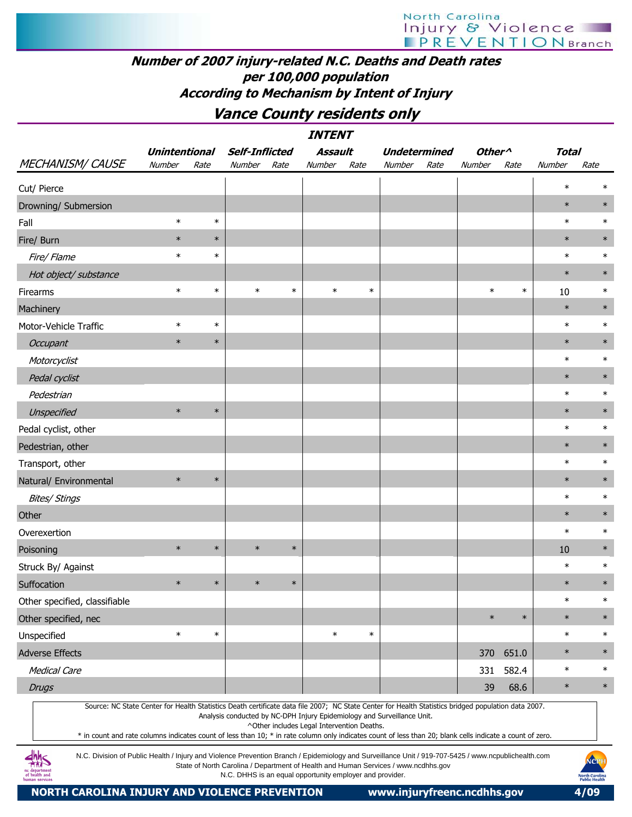# North Carolina Injury & Violence

#### Number of 2007 injury-related N.C. Deaths and Death rates per 100,000 population According to Mechanism by Intent of Injury

Vance County residents only

|                                                                                                                                                                                                                                                                                                                                                                                                                                                                                    |                      |        |                       |        | <i><b>INTENT</b></i>                       |        |                                                                         |      |                    |           |        |        |
|------------------------------------------------------------------------------------------------------------------------------------------------------------------------------------------------------------------------------------------------------------------------------------------------------------------------------------------------------------------------------------------------------------------------------------------------------------------------------------|----------------------|--------|-----------------------|--------|--------------------------------------------|--------|-------------------------------------------------------------------------|------|--------------------|-----------|--------|--------|
|                                                                                                                                                                                                                                                                                                                                                                                                                                                                                    | <b>Unintentional</b> |        | <b>Self-Inflicted</b> |        | Assault                                    |        | <b>Undetermined</b>                                                     |      | Other <sup>^</sup> |           | Total  |        |
| <b>MECHANISM/ CAUSE</b>                                                                                                                                                                                                                                                                                                                                                                                                                                                            | Number               | Rate   | Number                | Rate   | Number                                     | Rate   | Number                                                                  | Rate | Number             | Rate      | Number | Rate   |
| Cut/ Pierce                                                                                                                                                                                                                                                                                                                                                                                                                                                                        |                      |        |                       |        |                                            |        |                                                                         |      |                    |           | $\ast$ | $\ast$ |
| Drowning/ Submersion                                                                                                                                                                                                                                                                                                                                                                                                                                                               |                      |        |                       |        |                                            |        |                                                                         |      |                    |           | $\ast$ | $\ast$ |
| Fall                                                                                                                                                                                                                                                                                                                                                                                                                                                                               | $\ast$               | $\ast$ |                       |        |                                            |        |                                                                         |      |                    |           | $\ast$ | $\ast$ |
| Fire/ Burn                                                                                                                                                                                                                                                                                                                                                                                                                                                                         | $\ast$               | $\ast$ |                       |        |                                            |        |                                                                         |      |                    |           | $\ast$ | $\ast$ |
| Fire/ Flame                                                                                                                                                                                                                                                                                                                                                                                                                                                                        | $\ast$               | $\ast$ |                       |        |                                            |        |                                                                         |      |                    |           | $\ast$ | $\ast$ |
| Hot object/ substance                                                                                                                                                                                                                                                                                                                                                                                                                                                              |                      |        |                       |        |                                            |        |                                                                         |      |                    |           | $\ast$ | $\ast$ |
| Firearms                                                                                                                                                                                                                                                                                                                                                                                                                                                                           | $\ast$               | $\ast$ | $\ast$                | $\ast$ | $\ast$                                     | $\ast$ |                                                                         |      | $\ast$             | $\ast$    | 10     | $\ast$ |
| Machinery                                                                                                                                                                                                                                                                                                                                                                                                                                                                          |                      |        |                       |        |                                            |        |                                                                         |      |                    |           | $\ast$ | $\ast$ |
| Motor-Vehicle Traffic                                                                                                                                                                                                                                                                                                                                                                                                                                                              | $\ast$               | $\ast$ |                       |        |                                            |        |                                                                         |      |                    |           | $\ast$ | $\ast$ |
| Occupant                                                                                                                                                                                                                                                                                                                                                                                                                                                                           | $\ast$               | $\ast$ |                       |        |                                            |        |                                                                         |      |                    |           | $\ast$ | $\ast$ |
| Motorcyclist                                                                                                                                                                                                                                                                                                                                                                                                                                                                       |                      |        |                       |        |                                            |        |                                                                         |      |                    |           | $\ast$ | $\ast$ |
| Pedal cyclist                                                                                                                                                                                                                                                                                                                                                                                                                                                                      |                      |        |                       |        |                                            |        |                                                                         |      |                    |           | $\ast$ | $\ast$ |
| Pedestrian                                                                                                                                                                                                                                                                                                                                                                                                                                                                         |                      |        |                       |        |                                            |        |                                                                         |      |                    |           | $\ast$ | $\ast$ |
| Unspecified                                                                                                                                                                                                                                                                                                                                                                                                                                                                        | $\ast$               | $\ast$ |                       |        |                                            |        |                                                                         |      |                    |           | $\ast$ | $\ast$ |
| Pedal cyclist, other                                                                                                                                                                                                                                                                                                                                                                                                                                                               |                      |        |                       |        |                                            |        |                                                                         |      |                    |           | $\ast$ | $\ast$ |
| Pedestrian, other                                                                                                                                                                                                                                                                                                                                                                                                                                                                  |                      |        |                       |        |                                            |        |                                                                         |      |                    |           | $\ast$ | $\ast$ |
| Transport, other                                                                                                                                                                                                                                                                                                                                                                                                                                                                   |                      |        |                       |        |                                            |        |                                                                         |      |                    |           | $\ast$ | $\ast$ |
| Natural/ Environmental                                                                                                                                                                                                                                                                                                                                                                                                                                                             | $\ast$               | $\ast$ |                       |        |                                            |        |                                                                         |      |                    |           | $\ast$ | $\ast$ |
| <b>Bites/ Stings</b>                                                                                                                                                                                                                                                                                                                                                                                                                                                               |                      |        |                       |        |                                            |        |                                                                         |      |                    |           | $\ast$ | $\ast$ |
| Other                                                                                                                                                                                                                                                                                                                                                                                                                                                                              |                      |        |                       |        |                                            |        |                                                                         |      |                    |           | $\ast$ | $\ast$ |
| Overexertion                                                                                                                                                                                                                                                                                                                                                                                                                                                                       |                      |        |                       |        |                                            |        |                                                                         |      |                    |           | $\ast$ | $\ast$ |
| Poisoning                                                                                                                                                                                                                                                                                                                                                                                                                                                                          | $\ast$               | $\ast$ | $\ast$                | $\ast$ |                                            |        |                                                                         |      |                    |           | 10     | $\ast$ |
| Struck By/ Against                                                                                                                                                                                                                                                                                                                                                                                                                                                                 |                      |        |                       |        |                                            |        |                                                                         |      |                    |           | $\ast$ | $\ast$ |
| Suffocation                                                                                                                                                                                                                                                                                                                                                                                                                                                                        | $\ast$               | $\ast$ | $\ast$                | $\ast$ |                                            |        |                                                                         |      |                    |           | $\ast$ | $\ast$ |
| Other specified, classifiable                                                                                                                                                                                                                                                                                                                                                                                                                                                      |                      |        |                       |        |                                            |        |                                                                         |      |                    |           | $\ast$ | $\ast$ |
| Other specified, nec                                                                                                                                                                                                                                                                                                                                                                                                                                                               |                      |        |                       |        |                                            |        |                                                                         |      | $\ast$             | $\ast$    | $\ast$ | $\ast$ |
| Unspecified                                                                                                                                                                                                                                                                                                                                                                                                                                                                        | $\ast$               | $\ast$ |                       |        | $\ast$                                     | $\ast$ |                                                                         |      |                    |           | $\ast$ | $\ast$ |
| <b>Adverse Effects</b>                                                                                                                                                                                                                                                                                                                                                                                                                                                             |                      |        |                       |        |                                            |        |                                                                         |      |                    | 370 651.0 | $\ast$ | $\ast$ |
| <b>Medical Care</b>                                                                                                                                                                                                                                                                                                                                                                                                                                                                |                      |        |                       |        |                                            |        |                                                                         |      | 331                | 582.4     | $\ast$ | $\ast$ |
| <b>Drugs</b>                                                                                                                                                                                                                                                                                                                                                                                                                                                                       |                      |        |                       |        |                                            |        |                                                                         |      | 39                 | 68.6      | $\ast$ | $\ast$ |
| Source: NC State Center for Health Statistics Death certificate data file 2007; NC State Center for Health Statistics bridged population data 2007.<br>* in count and rate columns indicates count of less than 10; * in rate column only indicates count of less than 20; blank cells indicate a count of zero.<br>$d$ hhc<br>N.C. Division of Public Health / Injury and Violence Prevention Branch / Epidemiology and Surveillance Unit / 919-707-5425 / www.ncpublichealth.com |                      |        |                       |        | ^Other includes Legal Intervention Deaths. |        | Analysis conducted by NC-DPH Injury Epidemiology and Surveillance Unit. |      |                    |           |        |        |



NORTH CAROLINA INJURY AND VIOLENCE PREVENTION www.injuryfreenc.ncdhhs.gov 4/09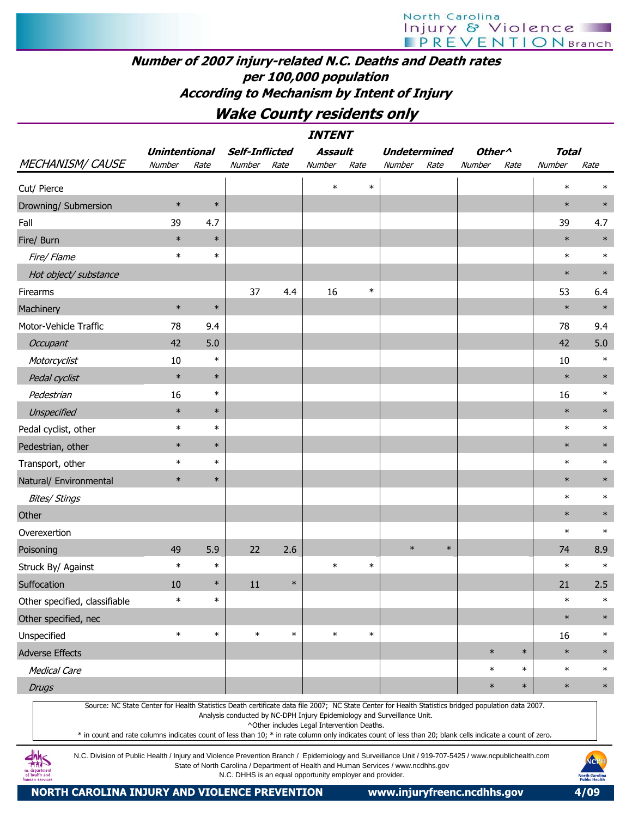### Number of 2007 injury-related N.C. Deaths and Death rates per 100,000 population According to Mechanism by Intent of Injury

Wake County residents only

|                                                                                                                                                     |                      |        |                                                                         |        | <b>INTENT</b>                              |        |        |                     |                    |        |              |        |
|-----------------------------------------------------------------------------------------------------------------------------------------------------|----------------------|--------|-------------------------------------------------------------------------|--------|--------------------------------------------|--------|--------|---------------------|--------------------|--------|--------------|--------|
|                                                                                                                                                     | <b>Unintentional</b> |        | <b>Self-Inflicted</b>                                                   |        | <b>Assault</b>                             |        |        | <b>Undetermined</b> | Other <sup>^</sup> |        | <b>Total</b> |        |
| <b>MECHANISM/ CAUSE</b>                                                                                                                             | Number               | Rate   | Number Rate                                                             |        | Number                                     | Rate   | Number | Rate                | Number             | Rate   | Number       | Rate   |
| Cut/ Pierce                                                                                                                                         |                      |        |                                                                         |        | $\ast$                                     | $\ast$ |        |                     |                    |        | $\ast$       | $\ast$ |
| Drowning/ Submersion                                                                                                                                | $\ast$               | $\ast$ |                                                                         |        |                                            |        |        |                     |                    |        | $\ast$       | $\ast$ |
| Fall                                                                                                                                                | 39                   | 4.7    |                                                                         |        |                                            |        |        |                     |                    |        | 39           | 4.7    |
| Fire/ Burn                                                                                                                                          | $\ast$               | $\ast$ |                                                                         |        |                                            |        |        |                     |                    |        | $\ast$       | $\ast$ |
| Fire/ Flame                                                                                                                                         | $\ast$               | $\ast$ |                                                                         |        |                                            |        |        |                     |                    |        | $\ast$       | $\ast$ |
| Hot object/ substance                                                                                                                               |                      |        |                                                                         |        |                                            |        |        |                     |                    |        | $\ast$       | $\ast$ |
| Firearms                                                                                                                                            |                      |        | 37                                                                      | 4.4    | 16                                         | $\ast$ |        |                     |                    |        | 53           | 6.4    |
| Machinery                                                                                                                                           | $\ast$               | $\ast$ |                                                                         |        |                                            |        |        |                     |                    |        | $\ast$       | $\ast$ |
| Motor-Vehicle Traffic                                                                                                                               | 78                   | 9.4    |                                                                         |        |                                            |        |        |                     |                    |        | 78           | 9.4    |
| Occupant                                                                                                                                            | 42                   | 5.0    |                                                                         |        |                                            |        |        |                     |                    |        | 42           | 5.0    |
| Motorcyclist                                                                                                                                        | 10                   | $\ast$ |                                                                         |        |                                            |        |        |                     |                    |        | 10           | $\ast$ |
| Pedal cyclist                                                                                                                                       | $\ast$               | $\ast$ |                                                                         |        |                                            |        |        |                     |                    |        | $\ast$       | $\ast$ |
| Pedestrian                                                                                                                                          | 16                   | $\ast$ |                                                                         |        |                                            |        |        |                     |                    |        | 16           | $\ast$ |
| Unspecified                                                                                                                                         | $\ast$               | $\ast$ |                                                                         |        |                                            |        |        |                     |                    |        | $\ast$       | $\ast$ |
| Pedal cyclist, other                                                                                                                                | $\ast$               | $\ast$ |                                                                         |        |                                            |        |        |                     |                    |        | $\ast$       | $\ast$ |
| Pedestrian, other                                                                                                                                   | $\ast$               | $\ast$ |                                                                         |        |                                            |        |        |                     |                    |        | $\ast$       | $\ast$ |
| Transport, other                                                                                                                                    | $\ast$               | $\ast$ |                                                                         |        |                                            |        |        |                     |                    |        | $\ast$       | $\ast$ |
| Natural/ Environmental                                                                                                                              | $\ast$               | $\ast$ |                                                                         |        |                                            |        |        |                     |                    |        | $\ast$       | $\ast$ |
| <b>Bites/ Stings</b>                                                                                                                                |                      |        |                                                                         |        |                                            |        |        |                     |                    |        | $\ast$       | $\ast$ |
| Other                                                                                                                                               |                      |        |                                                                         |        |                                            |        |        |                     |                    |        | $\ast$       | $\ast$ |
| Overexertion                                                                                                                                        |                      |        |                                                                         |        |                                            |        |        |                     |                    |        | $\ast$       | $\ast$ |
| Poisoning                                                                                                                                           | 49                   | 5.9    | 22                                                                      | 2.6    |                                            |        | $\ast$ | $\ast$              |                    |        | 74           | 8.9    |
| Struck By/ Against                                                                                                                                  | $\ast$               | $\ast$ |                                                                         |        | $\ast$                                     | $\ast$ |        |                     |                    |        | $\ast$       | $\ast$ |
| Suffocation                                                                                                                                         | 10                   | $\ast$ | 11                                                                      | $\ast$ |                                            |        |        |                     |                    |        | 21           | 2.5    |
| Other specified, classifiable                                                                                                                       | $\ast$               | $\ast$ |                                                                         |        |                                            |        |        |                     |                    |        | $\ast$       | $\ast$ |
| Other specified, nec                                                                                                                                |                      |        |                                                                         |        |                                            |        |        |                     |                    |        | $\ast$       | $\ast$ |
| Unspecified                                                                                                                                         | $\ast$               | $\ast$ | $\ast$                                                                  | $\ast$ | $\ast$                                     | $\ast$ |        |                     |                    |        | 16           | $\ast$ |
| <b>Adverse Effects</b>                                                                                                                              |                      |        |                                                                         |        |                                            |        |        |                     | $\ast$             | $\ast$ | $\ast$       | $\ast$ |
| <b>Medical Care</b>                                                                                                                                 |                      |        |                                                                         |        |                                            |        |        |                     | $\ast$             | $\ast$ | $\ast$       | $\ast$ |
| <b>Drugs</b>                                                                                                                                        |                      |        |                                                                         |        |                                            |        |        |                     | $\ast$             | $\ast$ | $\ast$       | $\ast$ |
| Source: NC State Center for Health Statistics Death certificate data file 2007; NC State Center for Health Statistics bridged population data 2007. |                      |        | Analysis conducted by NC-DPH Injury Epidemiology and Surveillance Unit. |        | ^Other includes Legal Intervention Deaths. |        |        |                     |                    |        |              |        |

\* in count and rate columns indicates count of less than 10; \* in rate column only indicates count of less than 20; blank cells indicate a count of zero.

N.C. Division of Public Health / Injury and Violence Prevention Branch / Epidemiology and Surveillance Unit / 919-707-5425 / www.ncpublichealth.com State of North Carolina / Department of Health and Human Services / www.ncdhhs.gov N.C. DHHS is an equal opportunity employer and provider.

**dhhs**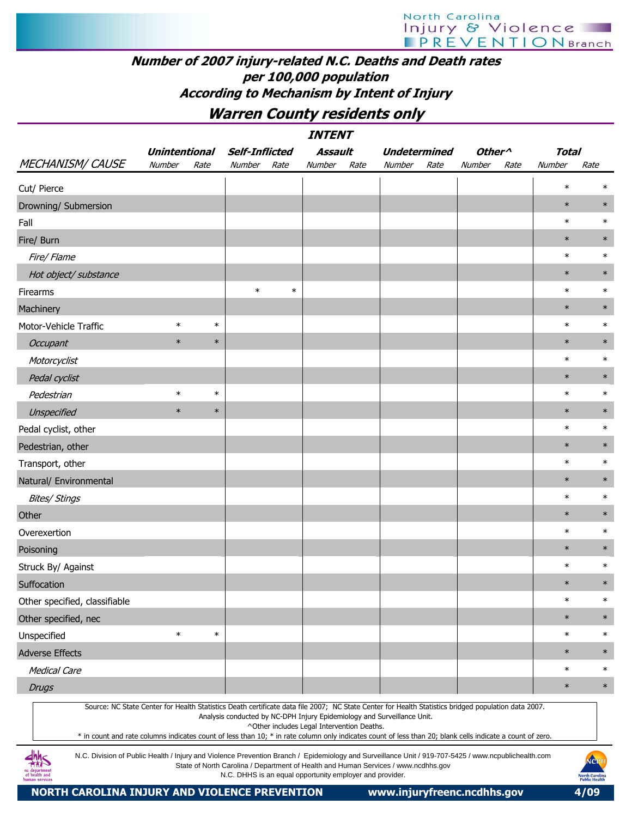#### Number of 2007 injury-related N.C. Deaths and Death rates per 100,000 population According to Mechanism by Intent of Injury

Warren County residents only

|                                                                                                                                                                                                                                                                                                                  |                      |        |                                                          |        | <b>INTENT</b>                              |      |                                                                                    |      |                    |      |              |                                        |
|------------------------------------------------------------------------------------------------------------------------------------------------------------------------------------------------------------------------------------------------------------------------------------------------------------------|----------------------|--------|----------------------------------------------------------|--------|--------------------------------------------|------|------------------------------------------------------------------------------------|------|--------------------|------|--------------|----------------------------------------|
|                                                                                                                                                                                                                                                                                                                  | <b>Unintentional</b> |        | <b>Self-Inflicted</b>                                    |        | Assault                                    |      | <b>Undetermined</b>                                                                |      | Other <sup>^</sup> |      | <b>Total</b> |                                        |
| <b>MECHANISM/ CAUSE</b>                                                                                                                                                                                                                                                                                          | Number               | Rate   | Number                                                   | Rate   | Number                                     | Rate | Number                                                                             | Rate | Number             | Rate | Number       | Rate                                   |
| Cut/ Pierce                                                                                                                                                                                                                                                                                                      |                      |        |                                                          |        |                                            |      |                                                                                    |      |                    |      | $\ast$       | ∗                                      |
| Drowning/ Submersion                                                                                                                                                                                                                                                                                             |                      |        |                                                          |        |                                            |      |                                                                                    |      |                    |      | $\ast$       | $\ast$                                 |
| Fall                                                                                                                                                                                                                                                                                                             |                      |        |                                                          |        |                                            |      |                                                                                    |      |                    |      | $\ast$       | $\ast$                                 |
| Fire/ Burn                                                                                                                                                                                                                                                                                                       |                      |        |                                                          |        |                                            |      |                                                                                    |      |                    |      | $\ast$       | $\ast$                                 |
| Fire/ Flame                                                                                                                                                                                                                                                                                                      |                      |        |                                                          |        |                                            |      |                                                                                    |      |                    |      | $\ast$       | $\ast$                                 |
| Hot object/ substance                                                                                                                                                                                                                                                                                            |                      |        |                                                          |        |                                            |      |                                                                                    |      |                    |      | $\ast$       | $\ast$                                 |
| Firearms                                                                                                                                                                                                                                                                                                         |                      |        | $\ast$                                                   | $\ast$ |                                            |      |                                                                                    |      |                    |      | $\ast$       | $\ast$                                 |
| Machinery                                                                                                                                                                                                                                                                                                        |                      |        |                                                          |        |                                            |      |                                                                                    |      |                    |      | $\ast$       | $\ast$                                 |
| Motor-Vehicle Traffic                                                                                                                                                                                                                                                                                            | $\ast$               | $\ast$ |                                                          |        |                                            |      |                                                                                    |      |                    |      | $\ast$       | $\ast$                                 |
| <b>Occupant</b>                                                                                                                                                                                                                                                                                                  | $\ast$               | $\ast$ |                                                          |        |                                            |      |                                                                                    |      |                    |      | $\ast$       | $\ast$                                 |
| Motorcyclist                                                                                                                                                                                                                                                                                                     |                      |        |                                                          |        |                                            |      |                                                                                    |      |                    |      | $\ast$       | $\ast$                                 |
| Pedal cyclist                                                                                                                                                                                                                                                                                                    |                      |        |                                                          |        |                                            |      |                                                                                    |      |                    |      | $\ast$       | $\ast$                                 |
| Pedestrian                                                                                                                                                                                                                                                                                                       | $\ast$               | $\ast$ |                                                          |        |                                            |      |                                                                                    |      |                    |      | $\ast$       | $\ast$                                 |
| Unspecified                                                                                                                                                                                                                                                                                                      | $\ast$               | $\ast$ |                                                          |        |                                            |      |                                                                                    |      |                    |      | $\ast$       | $\ast$                                 |
| Pedal cyclist, other                                                                                                                                                                                                                                                                                             |                      |        |                                                          |        |                                            |      |                                                                                    |      |                    |      | $\ast$       | $\ast$                                 |
| Pedestrian, other                                                                                                                                                                                                                                                                                                |                      |        |                                                          |        |                                            |      |                                                                                    |      |                    |      | $\ast$       | $\ast$                                 |
| Transport, other                                                                                                                                                                                                                                                                                                 |                      |        |                                                          |        |                                            |      |                                                                                    |      |                    |      | $\ast$       | $\ast$                                 |
| Natural/ Environmental                                                                                                                                                                                                                                                                                           |                      |        |                                                          |        |                                            |      |                                                                                    |      |                    |      | $\ast$       | $\ast$                                 |
| <b>Bites/ Stings</b>                                                                                                                                                                                                                                                                                             |                      |        |                                                          |        |                                            |      |                                                                                    |      |                    |      | $\ast$       | $\ast$                                 |
| Other                                                                                                                                                                                                                                                                                                            |                      |        |                                                          |        |                                            |      |                                                                                    |      |                    |      | $\ast$       | $\ast$                                 |
| Overexertion                                                                                                                                                                                                                                                                                                     |                      |        |                                                          |        |                                            |      |                                                                                    |      |                    |      | $\ast$       | $\ast$                                 |
| Poisoning                                                                                                                                                                                                                                                                                                        |                      |        |                                                          |        |                                            |      |                                                                                    |      |                    |      | $\ast$       | $\ast$                                 |
| Struck By/ Against                                                                                                                                                                                                                                                                                               |                      |        |                                                          |        |                                            |      |                                                                                    |      |                    |      | $\ast$       | $\ast$                                 |
| Suffocation                                                                                                                                                                                                                                                                                                      |                      |        |                                                          |        |                                            |      |                                                                                    |      |                    |      | $\ast$       | $\ast$                                 |
| Other specified, classifiable                                                                                                                                                                                                                                                                                    |                      |        |                                                          |        |                                            |      |                                                                                    |      |                    |      | $\ast$       | $\ast$                                 |
| Other specified, nec                                                                                                                                                                                                                                                                                             |                      |        |                                                          |        |                                            |      |                                                                                    |      |                    |      | $\ast$       | $\ast$                                 |
| Unspecified                                                                                                                                                                                                                                                                                                      | $\ast$               | $\ast$ |                                                          |        |                                            |      |                                                                                    |      |                    |      | $\ast$       | $\ast$                                 |
| <b>Adverse Effects</b>                                                                                                                                                                                                                                                                                           |                      |        |                                                          |        |                                            |      |                                                                                    |      |                    |      | $\ast$       | $\ast$                                 |
| <b>Medical Care</b>                                                                                                                                                                                                                                                                                              |                      |        |                                                          |        |                                            |      |                                                                                    |      |                    |      | $\ast$       | $\ast$                                 |
| <b>Drugs</b>                                                                                                                                                                                                                                                                                                     |                      |        |                                                          |        |                                            |      |                                                                                    |      |                    |      | $\ast$       | $\ast$                                 |
| Source: NC State Center for Health Statistics Death certificate data file 2007; NC State Center for Health Statistics bridged population data 2007.<br>* in count and rate columns indicates count of less than 10; * in rate column only indicates count of less than 20; blank cells indicate a count of zero. |                      |        |                                                          |        | ^Other includes Legal Intervention Deaths. |      | Analysis conducted by NC-DPH Injury Epidemiology and Surveillance Unit.            |      |                    |      |              |                                        |
| N.C. Division of Public Health / Injury and Violence Prevention Branch / Epidemiology and Surveillance Unit / 919-707-5425 / www.ncpublichealth.com<br>departmen<br>of health and<br>human services                                                                                                              |                      |        | N.C. DHHS is an equal opportunity employer and provider. |        |                                            |      | State of North Carolina / Department of Health and Human Services / www.ncdhhs.gov |      |                    |      |              | NCPI<br>North Carolin<br>Public Health |

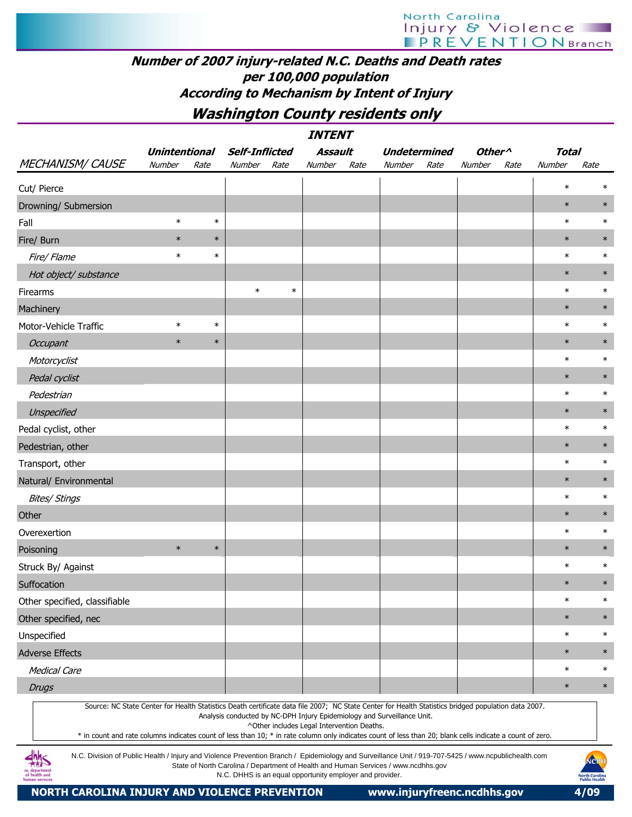#### Number of 2007 injury-related N.C. Deaths and Death rates per 100,000 population According to Mechanism by Intent of Injury

Washington County residents only

|                                                                                                                                                                                                                                                                                                                  |                      |        |                       |        | <i><b>INTENT</b></i>                       |      |                                                                         |      |                    |      |              |        |
|------------------------------------------------------------------------------------------------------------------------------------------------------------------------------------------------------------------------------------------------------------------------------------------------------------------|----------------------|--------|-----------------------|--------|--------------------------------------------|------|-------------------------------------------------------------------------|------|--------------------|------|--------------|--------|
|                                                                                                                                                                                                                                                                                                                  | <b>Unintentional</b> |        | <b>Self-Inflicted</b> |        | Assault                                    |      | <b>Undetermined</b>                                                     |      | Other <sup>^</sup> |      | <b>Total</b> |        |
| <b>MECHANISM/ CAUSE</b>                                                                                                                                                                                                                                                                                          | Number               | Rate   | Number                | Rate   | Number                                     | Rate | Number                                                                  | Rate | Number             | Rate | Number       | Rate   |
| Cut/ Pierce                                                                                                                                                                                                                                                                                                      |                      |        |                       |        |                                            |      |                                                                         |      |                    |      | $\ast$       | $\ast$ |
| Drowning/ Submersion                                                                                                                                                                                                                                                                                             |                      |        |                       |        |                                            |      |                                                                         |      |                    |      | $\ast$       | $\ast$ |
| Fall                                                                                                                                                                                                                                                                                                             | $\ast$               | $\ast$ |                       |        |                                            |      |                                                                         |      |                    |      | $\ast$       | $\ast$ |
| Fire/ Burn                                                                                                                                                                                                                                                                                                       | $\ast$               | $\ast$ |                       |        |                                            |      |                                                                         |      |                    |      | $\ast$       | $\ast$ |
| Fire/ Flame                                                                                                                                                                                                                                                                                                      | $\ast$               | $\ast$ |                       |        |                                            |      |                                                                         |      |                    |      | $\ast$       | $\ast$ |
| Hot object/ substance                                                                                                                                                                                                                                                                                            |                      |        |                       |        |                                            |      |                                                                         |      |                    |      | $\ast$       | $\ast$ |
| Firearms                                                                                                                                                                                                                                                                                                         |                      |        | $\ast$                | $\ast$ |                                            |      |                                                                         |      |                    |      | $\ast$       | $\ast$ |
| Machinery                                                                                                                                                                                                                                                                                                        |                      |        |                       |        |                                            |      |                                                                         |      |                    |      | $\ast$       | $\ast$ |
| Motor-Vehicle Traffic                                                                                                                                                                                                                                                                                            | $\ast$               | $\ast$ |                       |        |                                            |      |                                                                         |      |                    |      | $\ast$       | $\ast$ |
| Occupant                                                                                                                                                                                                                                                                                                         | $\ast$               | $\ast$ |                       |        |                                            |      |                                                                         |      |                    |      | $\ast$       | $\ast$ |
| Motorcyclist                                                                                                                                                                                                                                                                                                     |                      |        |                       |        |                                            |      |                                                                         |      |                    |      | $\ast$       | $\ast$ |
| Pedal cyclist                                                                                                                                                                                                                                                                                                    |                      |        |                       |        |                                            |      |                                                                         |      |                    |      | $\ast$       | $\ast$ |
| Pedestrian                                                                                                                                                                                                                                                                                                       |                      |        |                       |        |                                            |      |                                                                         |      |                    |      | $\ast$       | $\ast$ |
| Unspecified                                                                                                                                                                                                                                                                                                      |                      |        |                       |        |                                            |      |                                                                         |      |                    |      | $\ast$       | $\ast$ |
| Pedal cyclist, other                                                                                                                                                                                                                                                                                             |                      |        |                       |        |                                            |      |                                                                         |      |                    |      | $\ast$       | $\ast$ |
| Pedestrian, other                                                                                                                                                                                                                                                                                                |                      |        |                       |        |                                            |      |                                                                         |      |                    |      | $\ast$       | $\ast$ |
| Transport, other                                                                                                                                                                                                                                                                                                 |                      |        |                       |        |                                            |      |                                                                         |      |                    |      | $\ast$       | $\ast$ |
| Natural/ Environmental                                                                                                                                                                                                                                                                                           |                      |        |                       |        |                                            |      |                                                                         |      |                    |      | $\ast$       | $\ast$ |
| <b>Bites/ Stings</b>                                                                                                                                                                                                                                                                                             |                      |        |                       |        |                                            |      |                                                                         |      |                    |      | $\ast$       | $\ast$ |
| Other                                                                                                                                                                                                                                                                                                            |                      |        |                       |        |                                            |      |                                                                         |      |                    |      | $\ast$       | $\ast$ |
| Overexertion                                                                                                                                                                                                                                                                                                     |                      |        |                       |        |                                            |      |                                                                         |      |                    |      | $\ast$       | $\ast$ |
| Poisoning                                                                                                                                                                                                                                                                                                        | $\ast$               | $\ast$ |                       |        |                                            |      |                                                                         |      |                    |      | $\ast$       | $\ast$ |
| Struck By/ Against                                                                                                                                                                                                                                                                                               |                      |        |                       |        |                                            |      |                                                                         |      |                    |      | $\ast$       | $\ast$ |
| Suffocation                                                                                                                                                                                                                                                                                                      |                      |        |                       |        |                                            |      |                                                                         |      |                    |      | $\ast$       | $\ast$ |
| Other specified, classifiable                                                                                                                                                                                                                                                                                    |                      |        |                       |        |                                            |      |                                                                         |      |                    |      | $\ast$       | $\ast$ |
| Other specified, nec                                                                                                                                                                                                                                                                                             |                      |        |                       |        |                                            |      |                                                                         |      |                    |      | $\ast$       | $\ast$ |
| Unspecified                                                                                                                                                                                                                                                                                                      |                      |        |                       |        |                                            |      |                                                                         |      |                    |      | $\ast$       | $\ast$ |
| <b>Adverse Effects</b>                                                                                                                                                                                                                                                                                           |                      |        |                       |        |                                            |      |                                                                         |      |                    |      | $\ast$       | $\ast$ |
| <b>Medical Care</b>                                                                                                                                                                                                                                                                                              |                      |        |                       |        |                                            |      |                                                                         |      |                    |      | $\ast$       | $\ast$ |
| <b>Drugs</b>                                                                                                                                                                                                                                                                                                     |                      |        |                       |        |                                            |      |                                                                         |      |                    |      | $\ast$       | $\ast$ |
| Source: NC State Center for Health Statistics Death certificate data file 2007; NC State Center for Health Statistics bridged population data 2007.<br>* in count and rate columns indicates count of less than 10; * in rate column only indicates count of less than 20; blank cells indicate a count of zero. |                      |        |                       |        | ^Other includes Legal Intervention Deaths. |      | Analysis conducted by NC-DPH Injury Epidemiology and Surveillance Unit. |      |                    |      |              |        |

N.C. Division of Public Health / Injury and Violence Prevention Branch / Epidemiology and Surveillance Unit / 919-707-5425 / www.ncpublichealth.com State of North Carolina / Department of Health and Human Services / www.ncdhhs.gov N.C. DHHS is an equal opportunity employer and provider.

**dhhs**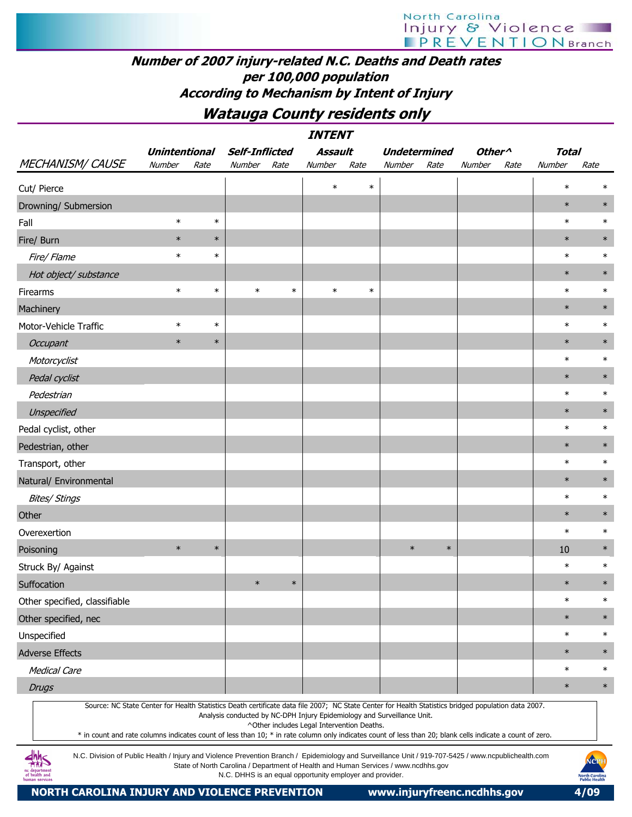#### Number of 2007 injury-related N.C. Deaths and Death rates per 100,000 population According to Mechanism by Intent of Injury

### Watauga County residents only

|                                                                                                                                                                                                                                                                                                                  |                      |        |                                                                                                                                                |        | <b>INTENT</b>                              |        |                     |        |                    |      |              |                                                |
|------------------------------------------------------------------------------------------------------------------------------------------------------------------------------------------------------------------------------------------------------------------------------------------------------------------|----------------------|--------|------------------------------------------------------------------------------------------------------------------------------------------------|--------|--------------------------------------------|--------|---------------------|--------|--------------------|------|--------------|------------------------------------------------|
|                                                                                                                                                                                                                                                                                                                  | <b>Unintentional</b> |        | <b>Self-Inflicted</b>                                                                                                                          |        | Assault                                    |        | <b>Undetermined</b> |        | Other <sup>^</sup> |      | <b>Total</b> |                                                |
| <b>MECHANISM/ CAUSE</b>                                                                                                                                                                                                                                                                                          | Number               | Rate   | Number                                                                                                                                         | Rate   | Number                                     | Rate   | Number              | Rate   | Number             | Rate | Number       | Rate                                           |
| Cut/ Pierce                                                                                                                                                                                                                                                                                                      |                      |        |                                                                                                                                                |        | $\ast$                                     | $\ast$ |                     |        |                    |      | $\ast$       | $\ast$                                         |
| Drowning/ Submersion                                                                                                                                                                                                                                                                                             |                      |        |                                                                                                                                                |        |                                            |        |                     |        |                    |      | $\ast$       | $\ast$                                         |
| Fall                                                                                                                                                                                                                                                                                                             | $\ast$               | $\ast$ |                                                                                                                                                |        |                                            |        |                     |        |                    |      | $\ast$       | $\ast$                                         |
| Fire/ Burn                                                                                                                                                                                                                                                                                                       | $\ast$               | $\ast$ |                                                                                                                                                |        |                                            |        |                     |        |                    |      | $\ast$       | $\ast$                                         |
| Fire/ Flame                                                                                                                                                                                                                                                                                                      | $\ast$               | $\ast$ |                                                                                                                                                |        |                                            |        |                     |        |                    |      | $\ast$       | $\ast$                                         |
| Hot object/ substance                                                                                                                                                                                                                                                                                            |                      |        |                                                                                                                                                |        |                                            |        |                     |        |                    |      | $\ast$       | $\ast$                                         |
| Firearms                                                                                                                                                                                                                                                                                                         | $\ast$               | $\ast$ | $\ast$                                                                                                                                         | $\ast$ | $\ast$                                     | $\ast$ |                     |        |                    |      | $\ast$       | $\ast$                                         |
| Machinery                                                                                                                                                                                                                                                                                                        |                      |        |                                                                                                                                                |        |                                            |        |                     |        |                    |      | $\ast$       | $\ast$                                         |
| Motor-Vehicle Traffic                                                                                                                                                                                                                                                                                            | $\ast$               | $\ast$ |                                                                                                                                                |        |                                            |        |                     |        |                    |      | $\ast$       | $\ast$                                         |
| Occupant                                                                                                                                                                                                                                                                                                         | $\ast$               | $\ast$ |                                                                                                                                                |        |                                            |        |                     |        |                    |      | $\ast$       | $\ast$                                         |
| Motorcyclist                                                                                                                                                                                                                                                                                                     |                      |        |                                                                                                                                                |        |                                            |        |                     |        |                    |      | $\ast$       | $\ast$                                         |
| Pedal cyclist                                                                                                                                                                                                                                                                                                    |                      |        |                                                                                                                                                |        |                                            |        |                     |        |                    |      | $\ast$       | $\ast$                                         |
| Pedestrian                                                                                                                                                                                                                                                                                                       |                      |        |                                                                                                                                                |        |                                            |        |                     |        |                    |      | $\ast$       | $\ast$                                         |
| Unspecified                                                                                                                                                                                                                                                                                                      |                      |        |                                                                                                                                                |        |                                            |        |                     |        |                    |      | $\ast$       | $\ast$                                         |
| Pedal cyclist, other                                                                                                                                                                                                                                                                                             |                      |        |                                                                                                                                                |        |                                            |        |                     |        |                    |      | $\ast$       | $\ast$                                         |
| Pedestrian, other                                                                                                                                                                                                                                                                                                |                      |        |                                                                                                                                                |        |                                            |        |                     |        |                    |      | $\ast$       | $\ast$                                         |
| Transport, other                                                                                                                                                                                                                                                                                                 |                      |        |                                                                                                                                                |        |                                            |        |                     |        |                    |      | $\ast$       | $\ast$                                         |
| Natural/ Environmental                                                                                                                                                                                                                                                                                           |                      |        |                                                                                                                                                |        |                                            |        |                     |        |                    |      | $\ast$       | $\ast$                                         |
| <b>Bites/ Stings</b>                                                                                                                                                                                                                                                                                             |                      |        |                                                                                                                                                |        |                                            |        |                     |        |                    |      | $\ast$       | $\ast$                                         |
| Other                                                                                                                                                                                                                                                                                                            |                      |        |                                                                                                                                                |        |                                            |        |                     |        |                    |      | $\ast$       | $\ast$                                         |
| Overexertion                                                                                                                                                                                                                                                                                                     |                      |        |                                                                                                                                                |        |                                            |        |                     |        |                    |      | $\ast$       | $\ast$                                         |
| Poisoning                                                                                                                                                                                                                                                                                                        | $\ast$               | $\ast$ |                                                                                                                                                |        |                                            |        | $\ast$              | $\ast$ |                    |      | 10           | $\ast$                                         |
| Struck By/ Against                                                                                                                                                                                                                                                                                               |                      |        |                                                                                                                                                |        |                                            |        |                     |        |                    |      | $\ast$       | $\ast$                                         |
| Suffocation                                                                                                                                                                                                                                                                                                      |                      |        | $\ast$                                                                                                                                         | $\ast$ |                                            |        |                     |        |                    |      | $\ast$       | $\ast$                                         |
| Other specified, classifiable                                                                                                                                                                                                                                                                                    |                      |        |                                                                                                                                                |        |                                            |        |                     |        |                    |      | $\ast$       | $\ast$                                         |
| Other specified, nec                                                                                                                                                                                                                                                                                             |                      |        |                                                                                                                                                |        |                                            |        |                     |        |                    |      | $\ast$       | $\ast$                                         |
| Unspecified                                                                                                                                                                                                                                                                                                      |                      |        |                                                                                                                                                |        |                                            |        |                     |        |                    |      | $\ast$       | $\ast$                                         |
| <b>Adverse Effects</b>                                                                                                                                                                                                                                                                                           |                      |        |                                                                                                                                                |        |                                            |        |                     |        |                    |      | $\ast$       | $\ast$                                         |
| <b>Medical Care</b>                                                                                                                                                                                                                                                                                              |                      |        |                                                                                                                                                |        |                                            |        |                     |        |                    |      | $\ast$       | $\ast$                                         |
| <b>Drugs</b>                                                                                                                                                                                                                                                                                                     |                      |        |                                                                                                                                                |        |                                            |        |                     |        |                    |      | $\ast$       | $\ast$                                         |
| Source: NC State Center for Health Statistics Death certificate data file 2007; NC State Center for Health Statistics bridged population data 2007.<br>* in count and rate columns indicates count of less than 10; * in rate column only indicates count of less than 20; blank cells indicate a count of zero. |                      |        | Analysis conducted by NC-DPH Injury Epidemiology and Surveillance Unit.                                                                        |        | ^Other includes Legal Intervention Deaths. |        |                     |        |                    |      |              |                                                |
| N.C. Division of Public Health / Injury and Violence Prevention Branch / Epidemiology and Surveillance Unit / 919-707-5425 / www.ncpublichealth.com<br>of health and                                                                                                                                             |                      |        | State of North Carolina / Department of Health and Human Services / www.ncdhhs.gov<br>N.C. DHHS is an equal opportunity employer and provider. |        |                                            |        |                     |        |                    |      |              | NCPH<br><b>North Carolina</b><br>Public Health |

NORTH CAROLINA INJURY AND VIOLENCE PREVENTION www.injuryfreenc.ncdhhs.gov 4/09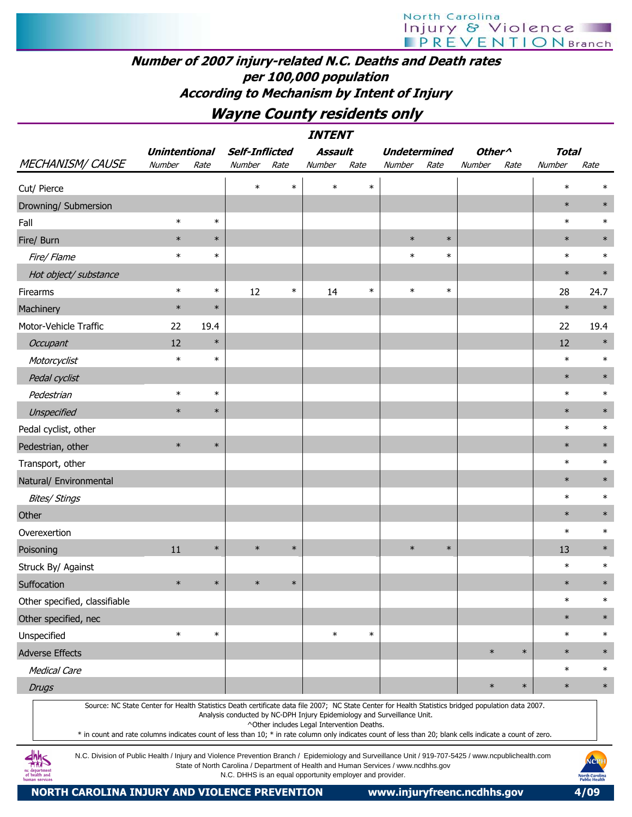# North Carolina Injury & Violence

#### Number of 2007 injury-related N.C. Deaths and Death rates per 100,000 population According to Mechanism by Intent of Injury

### Wayne County residents only

| <i><b>INTENT</b></i>                                                                                                                                                                                                                                                                                                                                                                                                                                                    |                      |        |                                                                         |        |                                            |        |                     |        |                    |        |              |        |
|-------------------------------------------------------------------------------------------------------------------------------------------------------------------------------------------------------------------------------------------------------------------------------------------------------------------------------------------------------------------------------------------------------------------------------------------------------------------------|----------------------|--------|-------------------------------------------------------------------------|--------|--------------------------------------------|--------|---------------------|--------|--------------------|--------|--------------|--------|
|                                                                                                                                                                                                                                                                                                                                                                                                                                                                         | <b>Unintentional</b> |        | <b>Self-Inflicted</b>                                                   |        | <b>Assault</b>                             |        | <b>Undetermined</b> |        | Other <sup>^</sup> |        | <b>Total</b> |        |
| <b>MECHANISM/ CAUSE</b>                                                                                                                                                                                                                                                                                                                                                                                                                                                 | Number               | Rate   | Number                                                                  | Rate   | Number                                     | Rate   | Number              | Rate   | Number             | Rate   | Number       | Rate   |
| Cut/ Pierce                                                                                                                                                                                                                                                                                                                                                                                                                                                             |                      |        | $\ast$                                                                  | $\ast$ | $\ast$                                     | $\ast$ |                     |        |                    |        | $\ast$       | $\ast$ |
| Drowning/ Submersion                                                                                                                                                                                                                                                                                                                                                                                                                                                    |                      |        |                                                                         |        |                                            |        |                     |        |                    |        | $\ast$       | $\ast$ |
| Fall                                                                                                                                                                                                                                                                                                                                                                                                                                                                    | $\ast$               | $\ast$ |                                                                         |        |                                            |        |                     |        |                    |        | $\ast$       | $\ast$ |
| Fire/ Burn                                                                                                                                                                                                                                                                                                                                                                                                                                                              | $\ast$               | $\ast$ |                                                                         |        |                                            |        | $\ast$              | $\ast$ |                    |        | $\ast$       | $\ast$ |
| Fire/ Flame                                                                                                                                                                                                                                                                                                                                                                                                                                                             | $\ast$               | $\ast$ |                                                                         |        |                                            |        | $\ast$              | $\ast$ |                    |        | $\ast$       | $\ast$ |
| Hot object/ substance                                                                                                                                                                                                                                                                                                                                                                                                                                                   |                      |        |                                                                         |        |                                            |        |                     |        |                    |        | $\ast$       | $\ast$ |
| Firearms                                                                                                                                                                                                                                                                                                                                                                                                                                                                | $\ast$               | $\ast$ | 12                                                                      | $\ast$ | 14                                         | $\ast$ | $\ast$              | $\ast$ |                    |        | 28           | 24.7   |
| Machinery                                                                                                                                                                                                                                                                                                                                                                                                                                                               | $\ast$               | $\ast$ |                                                                         |        |                                            |        |                     |        |                    |        | $\ast$       | $\ast$ |
| Motor-Vehicle Traffic                                                                                                                                                                                                                                                                                                                                                                                                                                                   | 22                   | 19.4   |                                                                         |        |                                            |        |                     |        |                    |        | 22           | 19.4   |
| Occupant                                                                                                                                                                                                                                                                                                                                                                                                                                                                | 12                   | $\ast$ |                                                                         |        |                                            |        |                     |        |                    |        | 12           | $\ast$ |
| Motorcyclist                                                                                                                                                                                                                                                                                                                                                                                                                                                            | $\ast$               | $\ast$ |                                                                         |        |                                            |        |                     |        |                    |        | $\ast$       | $\ast$ |
| Pedal cyclist                                                                                                                                                                                                                                                                                                                                                                                                                                                           |                      |        |                                                                         |        |                                            |        |                     |        |                    |        | $\ast$       | $\ast$ |
| Pedestrian                                                                                                                                                                                                                                                                                                                                                                                                                                                              | $\ast$               | $\ast$ |                                                                         |        |                                            |        |                     |        |                    |        | $\ast$       | $\ast$ |
| Unspecified                                                                                                                                                                                                                                                                                                                                                                                                                                                             | $\ast$               | $\ast$ |                                                                         |        |                                            |        |                     |        |                    |        | $\ast$       | $\ast$ |
| Pedal cyclist, other                                                                                                                                                                                                                                                                                                                                                                                                                                                    |                      |        |                                                                         |        |                                            |        |                     |        |                    |        | $\ast$       | $\ast$ |
| Pedestrian, other                                                                                                                                                                                                                                                                                                                                                                                                                                                       | $\ast$               | $\ast$ |                                                                         |        |                                            |        |                     |        |                    |        | $\ast$       | $\ast$ |
| Transport, other                                                                                                                                                                                                                                                                                                                                                                                                                                                        |                      |        |                                                                         |        |                                            |        |                     |        |                    |        | $\ast$       | $\ast$ |
| Natural/ Environmental                                                                                                                                                                                                                                                                                                                                                                                                                                                  |                      |        |                                                                         |        |                                            |        |                     |        |                    |        | $\ast$       | $\ast$ |
| <b>Bites/ Stings</b>                                                                                                                                                                                                                                                                                                                                                                                                                                                    |                      |        |                                                                         |        |                                            |        |                     |        |                    |        | $\ast$       | $\ast$ |
| Other                                                                                                                                                                                                                                                                                                                                                                                                                                                                   |                      |        |                                                                         |        |                                            |        |                     |        |                    |        | $\ast$       | $\ast$ |
| Overexertion                                                                                                                                                                                                                                                                                                                                                                                                                                                            |                      |        |                                                                         |        |                                            |        |                     |        |                    |        | $\ast$       | $\ast$ |
| Poisoning                                                                                                                                                                                                                                                                                                                                                                                                                                                               | 11                   | $\ast$ | $\ast$                                                                  | $\ast$ |                                            |        | $\ast$              | $\ast$ |                    |        | 13           | $\ast$ |
| Struck By/ Against                                                                                                                                                                                                                                                                                                                                                                                                                                                      |                      |        |                                                                         |        |                                            |        |                     |        |                    |        | $\ast$       | $\ast$ |
| Suffocation                                                                                                                                                                                                                                                                                                                                                                                                                                                             | $\ast$               | $\ast$ | $\ast$                                                                  | $\ast$ |                                            |        |                     |        |                    |        | $\ast$       | $\ast$ |
| Other specified, classifiable                                                                                                                                                                                                                                                                                                                                                                                                                                           |                      |        |                                                                         |        |                                            |        |                     |        |                    |        | $\ast$       | $\ast$ |
| Other specified, nec                                                                                                                                                                                                                                                                                                                                                                                                                                                    |                      |        |                                                                         |        |                                            |        |                     |        |                    |        | $\ast$       | $\ast$ |
| Unspecified                                                                                                                                                                                                                                                                                                                                                                                                                                                             | $\ast$               | $\ast$ |                                                                         |        | $\ast$                                     | $\ast$ |                     |        |                    |        | $\ast$       | $\ast$ |
| <b>Adverse Effects</b>                                                                                                                                                                                                                                                                                                                                                                                                                                                  |                      |        |                                                                         |        |                                            |        |                     |        | $\ast$             | $\ast$ | $\ast$       | $\ast$ |
| <b>Medical Care</b>                                                                                                                                                                                                                                                                                                                                                                                                                                                     |                      |        |                                                                         |        |                                            |        |                     |        |                    |        | $\ast$       | $\ast$ |
| <b>Drugs</b>                                                                                                                                                                                                                                                                                                                                                                                                                                                            |                      |        |                                                                         |        |                                            |        |                     |        | $\ast$             | $\ast$ | $\ast$       | $\ast$ |
| Source: NC State Center for Health Statistics Death certificate data file 2007; NC State Center for Health Statistics bridged population data 2007.<br>* in count and rate columns indicates count of less than 10; * in rate column only indicates count of less than 20; blank cells indicate a count of zero.<br>N.C. Division of Public Health / Injury and Violence Prevention Branch / Epidemiology and Surveillance Unit / 919-707-5425 / www.ncpublichealth.com |                      |        | Analysis conducted by NC-DPH Injury Epidemiology and Surveillance Unit. |        | ^Other includes Legal Intervention Deaths. |        |                     |        |                    |        |              | NGPH   |

State of North Carolina / Department of Health and Human Services / www.ncdhhs.gov N.C. DHHS is an equal opportunity employer and provider.

NORTH CAROLINA INJURY AND VIOLENCE PREVENTION www.injuryfreenc.ncdhhs.gov 4/09

ic department<br>of health and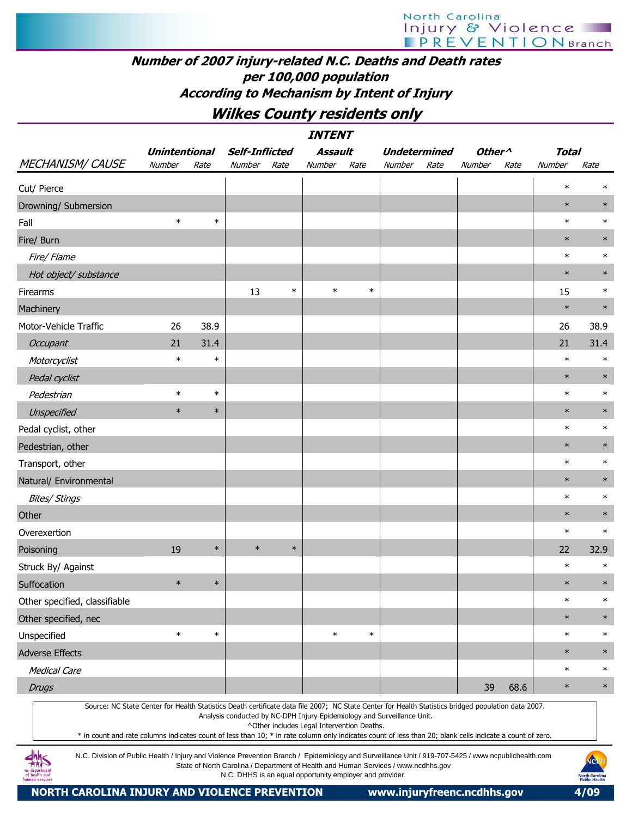### Number of 2007 injury-related N.C. Deaths and Death rates per 100,000 population According to Mechanism by Intent of Injury

Wilkes County residents only

| <i><b>INTENT</b></i>                                                                                                                                                                                                                                                                                             |                      |        |                                                                                    |        |                                            |        |                     |      |                    |      |              |        |
|------------------------------------------------------------------------------------------------------------------------------------------------------------------------------------------------------------------------------------------------------------------------------------------------------------------|----------------------|--------|------------------------------------------------------------------------------------|--------|--------------------------------------------|--------|---------------------|------|--------------------|------|--------------|--------|
|                                                                                                                                                                                                                                                                                                                  | <b>Unintentional</b> |        | <b>Self-Inflicted</b>                                                              |        | <b>Assault</b>                             |        | <b>Undetermined</b> |      | Other <sup>^</sup> |      | <b>Total</b> |        |
| <b>MECHANISM/ CAUSE</b>                                                                                                                                                                                                                                                                                          | Number               | Rate   | Number                                                                             | Rate   | Number                                     | Rate   | Number              | Rate | Number             | Rate | Number       | Rate   |
| Cut/ Pierce                                                                                                                                                                                                                                                                                                      |                      |        |                                                                                    |        |                                            |        |                     |      |                    |      | $\ast$       | $\ast$ |
| Drowning/ Submersion                                                                                                                                                                                                                                                                                             |                      |        |                                                                                    |        |                                            |        |                     |      |                    |      | $\ast$       | $\ast$ |
| Fall                                                                                                                                                                                                                                                                                                             | $\ast$               | $\ast$ |                                                                                    |        |                                            |        |                     |      |                    |      | $\ast$       | $\ast$ |
| Fire/ Burn                                                                                                                                                                                                                                                                                                       |                      |        |                                                                                    |        |                                            |        |                     |      |                    |      | $\ast$       | $\ast$ |
| Fire/ Flame                                                                                                                                                                                                                                                                                                      |                      |        |                                                                                    |        |                                            |        |                     |      |                    |      | $\ast$       | $\ast$ |
| Hot object/ substance                                                                                                                                                                                                                                                                                            |                      |        |                                                                                    |        |                                            |        |                     |      |                    |      | $\ast$       | $\ast$ |
| Firearms                                                                                                                                                                                                                                                                                                         |                      |        | 13                                                                                 | $\ast$ | $\ast$                                     | $\ast$ |                     |      |                    |      | 15           | $\ast$ |
| Machinery                                                                                                                                                                                                                                                                                                        |                      |        |                                                                                    |        |                                            |        |                     |      |                    |      | $\ast$       | $\ast$ |
| Motor-Vehicle Traffic                                                                                                                                                                                                                                                                                            | 26                   | 38.9   |                                                                                    |        |                                            |        |                     |      |                    |      | 26           | 38.9   |
| Occupant                                                                                                                                                                                                                                                                                                         | 21                   | 31.4   |                                                                                    |        |                                            |        |                     |      |                    |      | 21           | 31.4   |
| Motorcyclist                                                                                                                                                                                                                                                                                                     | $\ast$               | $\ast$ |                                                                                    |        |                                            |        |                     |      |                    |      | $\ast$       | $\ast$ |
| Pedal cyclist                                                                                                                                                                                                                                                                                                    |                      |        |                                                                                    |        |                                            |        |                     |      |                    |      | $\ast$       | $\ast$ |
| Pedestrian                                                                                                                                                                                                                                                                                                       | $\ast$               | $\ast$ |                                                                                    |        |                                            |        |                     |      |                    |      | $\ast$       | $\ast$ |
| Unspecified                                                                                                                                                                                                                                                                                                      | $\ast$               | $\ast$ |                                                                                    |        |                                            |        |                     |      |                    |      | $\ast$       | $\ast$ |
| Pedal cyclist, other                                                                                                                                                                                                                                                                                             |                      |        |                                                                                    |        |                                            |        |                     |      |                    |      | $\ast$       | $\ast$ |
| Pedestrian, other                                                                                                                                                                                                                                                                                                |                      |        |                                                                                    |        |                                            |        |                     |      |                    |      | $\ast$       | $\ast$ |
| Transport, other                                                                                                                                                                                                                                                                                                 |                      |        |                                                                                    |        |                                            |        |                     |      |                    |      | $\ast$       | $\ast$ |
| Natural/ Environmental                                                                                                                                                                                                                                                                                           |                      |        |                                                                                    |        |                                            |        |                     |      |                    |      | $\ast$       | $\ast$ |
| <b>Bites/ Stings</b>                                                                                                                                                                                                                                                                                             |                      |        |                                                                                    |        |                                            |        |                     |      |                    |      | $\ast$       | $\ast$ |
| Other                                                                                                                                                                                                                                                                                                            |                      |        |                                                                                    |        |                                            |        |                     |      |                    |      | $\ast$       | $\ast$ |
| Overexertion                                                                                                                                                                                                                                                                                                     |                      |        |                                                                                    |        |                                            |        |                     |      |                    |      | $\ast$       | $\ast$ |
| Poisoning                                                                                                                                                                                                                                                                                                        | 19                   | $\ast$ | $\ast$                                                                             | $\ast$ |                                            |        |                     |      |                    |      | 22           | 32.9   |
| Struck By/ Against                                                                                                                                                                                                                                                                                               |                      |        |                                                                                    |        |                                            |        |                     |      |                    |      | $\ast$       | $\ast$ |
| Suffocation                                                                                                                                                                                                                                                                                                      | $\ast$               | $\ast$ |                                                                                    |        |                                            |        |                     |      |                    |      | $\ast$       | $\ast$ |
| Other specified, classifiable                                                                                                                                                                                                                                                                                    |                      |        |                                                                                    |        |                                            |        |                     |      |                    |      | $\ast$       | $\ast$ |
| Other specified, nec                                                                                                                                                                                                                                                                                             |                      |        |                                                                                    |        |                                            |        |                     |      |                    |      | $\ast$       | $\ast$ |
| Unspecified                                                                                                                                                                                                                                                                                                      | $\ast$               | $\ast$ |                                                                                    |        | $\ast$                                     | $\ast$ |                     |      |                    |      | $\ast$       | $\ast$ |
| <b>Adverse Effects</b>                                                                                                                                                                                                                                                                                           |                      |        |                                                                                    |        |                                            |        |                     |      |                    |      | $\ast$       | $\ast$ |
| <b>Medical Care</b>                                                                                                                                                                                                                                                                                              |                      |        |                                                                                    |        |                                            |        |                     |      |                    |      | $\ast$       | $\ast$ |
| <b>Drugs</b>                                                                                                                                                                                                                                                                                                     |                      |        |                                                                                    |        |                                            |        |                     |      | 39                 | 68.6 | $\ast$       | $\ast$ |
| Source: NC State Center for Health Statistics Death certificate data file 2007; NC State Center for Health Statistics bridged population data 2007.<br>* in count and rate columns indicates count of less than 10; * in rate column only indicates count of less than 20; blank cells indicate a count of zero. |                      |        | Analysis conducted by NC-DPH Injury Epidemiology and Surveillance Unit.            |        | ^Other includes Legal Intervention Deaths. |        |                     |      |                    |      |              |        |
| N.C. Division of Public Health / Injury and Violence Prevention Branch / Epidemiology and Surveillance Unit / 919-707-5425 / www.ncpublichealth.com                                                                                                                                                              |                      |        | State of North Carolina / Department of Health and Human Services / www.ncdhhs.gov |        |                                            |        |                     |      |                    |      |              | NOPH   |

N.C. DHHS is an equal opportunity employer and provider.

nc department<br>of health and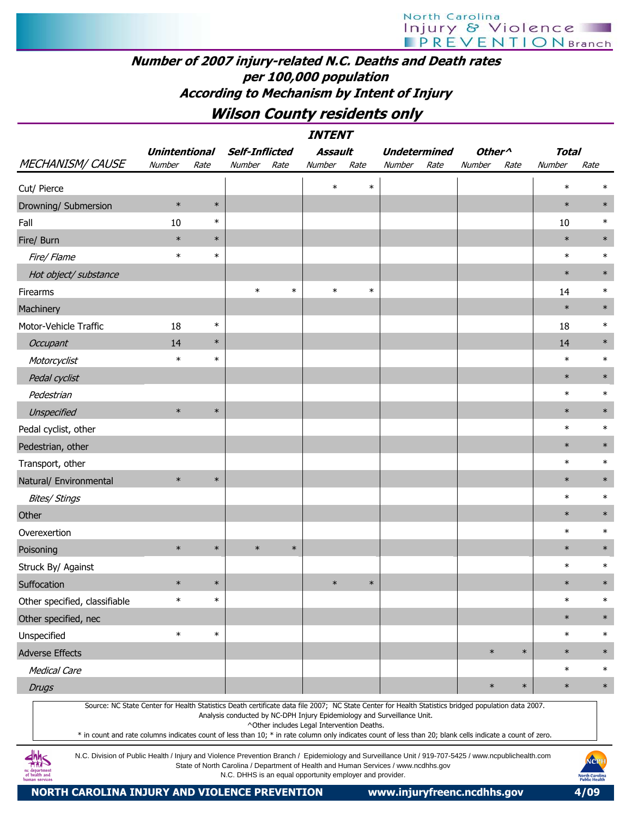### Number of 2007 injury-related N.C. Deaths and Death rates per 100,000 population According to Mechanism by Intent of Injury

### Wilson County residents only

| <i><b>INTENT</b></i>                                                                                                                                                                                                                                                                                             |                      |        |                       |        |                                                          |        |                                                                                    |      |                    |        |              |                                               |
|------------------------------------------------------------------------------------------------------------------------------------------------------------------------------------------------------------------------------------------------------------------------------------------------------------------|----------------------|--------|-----------------------|--------|----------------------------------------------------------|--------|------------------------------------------------------------------------------------|------|--------------------|--------|--------------|-----------------------------------------------|
|                                                                                                                                                                                                                                                                                                                  | <b>Unintentional</b> |        | <b>Self-Inflicted</b> |        | <b>Assault</b>                                           |        | <b>Undetermined</b>                                                                |      | Other <sup>^</sup> |        | <b>Total</b> |                                               |
| <b>MECHANISM/ CAUSE</b>                                                                                                                                                                                                                                                                                          | Number               | Rate   | Number                | Rate   | Number                                                   | Rate   | Number                                                                             | Rate | Number             | Rate   | Number       | Rate                                          |
| Cut/ Pierce                                                                                                                                                                                                                                                                                                      |                      |        |                       |        | $\ast$                                                   | $\ast$ |                                                                                    |      |                    |        | $\ast$       | $\ast$                                        |
| Drowning/ Submersion                                                                                                                                                                                                                                                                                             | $\ast$               | $\ast$ |                       |        |                                                          |        |                                                                                    |      |                    |        | $\ast$       | $\ast$                                        |
| Fall                                                                                                                                                                                                                                                                                                             | 10                   | $\ast$ |                       |        |                                                          |        |                                                                                    |      |                    |        | 10           | $\ast$                                        |
| Fire/ Burn                                                                                                                                                                                                                                                                                                       | $\ast$               | $\ast$ |                       |        |                                                          |        |                                                                                    |      |                    |        | $\ast$       | $\ast$                                        |
| Fire/ Flame                                                                                                                                                                                                                                                                                                      | $\ast$               | $\ast$ |                       |        |                                                          |        |                                                                                    |      |                    |        | $\ast$       | $\ast$                                        |
| Hot object/ substance                                                                                                                                                                                                                                                                                            |                      |        |                       |        |                                                          |        |                                                                                    |      |                    |        | $\ast$       | $\ast$                                        |
| Firearms                                                                                                                                                                                                                                                                                                         |                      |        | $\ast$                | $\ast$ | $\ast$                                                   | $\ast$ |                                                                                    |      |                    |        | 14           | $\ast$                                        |
| Machinery                                                                                                                                                                                                                                                                                                        |                      |        |                       |        |                                                          |        |                                                                                    |      |                    |        | $\ast$       | $\ast$                                        |
| Motor-Vehicle Traffic                                                                                                                                                                                                                                                                                            | 18                   | $\ast$ |                       |        |                                                          |        |                                                                                    |      |                    |        | 18           | $\ast$                                        |
| <b>Occupant</b>                                                                                                                                                                                                                                                                                                  | 14                   | $\ast$ |                       |        |                                                          |        |                                                                                    |      |                    |        | 14           | $\ast$                                        |
| Motorcyclist                                                                                                                                                                                                                                                                                                     | $\ast$               | $\ast$ |                       |        |                                                          |        |                                                                                    |      |                    |        | $\ast$       | $\ast$                                        |
| Pedal cyclist                                                                                                                                                                                                                                                                                                    |                      |        |                       |        |                                                          |        |                                                                                    |      |                    |        | $\ast$       | $\ast$                                        |
| Pedestrian                                                                                                                                                                                                                                                                                                       |                      |        |                       |        |                                                          |        |                                                                                    |      |                    |        | $\ast$       | $\ast$                                        |
| Unspecified                                                                                                                                                                                                                                                                                                      | $\ast$               | $\ast$ |                       |        |                                                          |        |                                                                                    |      |                    |        | $\ast$       | $\ast$                                        |
| Pedal cyclist, other                                                                                                                                                                                                                                                                                             |                      |        |                       |        |                                                          |        |                                                                                    |      |                    |        | $\ast$       | $\ast$                                        |
| Pedestrian, other                                                                                                                                                                                                                                                                                                |                      |        |                       |        |                                                          |        |                                                                                    |      |                    |        | $\ast$       | $\ast$                                        |
| Transport, other                                                                                                                                                                                                                                                                                                 |                      |        |                       |        |                                                          |        |                                                                                    |      |                    |        | $\ast$       | $\ast$                                        |
| Natural/ Environmental                                                                                                                                                                                                                                                                                           | $\ast$               | $\ast$ |                       |        |                                                          |        |                                                                                    |      |                    |        | $\ast$       | $\ast$                                        |
| <b>Bites/ Stings</b>                                                                                                                                                                                                                                                                                             |                      |        |                       |        |                                                          |        |                                                                                    |      |                    |        | $\ast$       | $\ast$                                        |
| Other                                                                                                                                                                                                                                                                                                            |                      |        |                       |        |                                                          |        |                                                                                    |      |                    |        | $\ast$       | $\ast$                                        |
| Overexertion                                                                                                                                                                                                                                                                                                     |                      |        |                       |        |                                                          |        |                                                                                    |      |                    |        | $\ast$       | $\ast$                                        |
| Poisoning                                                                                                                                                                                                                                                                                                        | $\ast$               | $\ast$ | $\ast$                | $\ast$ |                                                          |        |                                                                                    |      |                    |        | $\ast$       | $\ast$                                        |
| Struck By/ Against                                                                                                                                                                                                                                                                                               |                      |        |                       |        |                                                          |        |                                                                                    |      |                    |        | $\ast$       | $\ast$                                        |
| Suffocation                                                                                                                                                                                                                                                                                                      | $\ast$               | $\ast$ |                       |        | $\ast$                                                   | $\ast$ |                                                                                    |      |                    |        | $\ast$       | $\ast$                                        |
| Other specified, classifiable                                                                                                                                                                                                                                                                                    | $\ast$               | $\ast$ |                       |        |                                                          |        |                                                                                    |      |                    |        | $\ast$       | $\ast$                                        |
| Other specified, nec                                                                                                                                                                                                                                                                                             |                      |        |                       |        |                                                          |        |                                                                                    |      |                    |        | $\ast$       | $\ast$                                        |
| Unspecified                                                                                                                                                                                                                                                                                                      | $\ast$               | $\ast$ |                       |        |                                                          |        |                                                                                    |      |                    |        | $\ast$       | $\ast$                                        |
| <b>Adverse Effects</b>                                                                                                                                                                                                                                                                                           |                      |        |                       |        |                                                          |        |                                                                                    |      | $\ast$             | $\ast$ | $\ast$       | $\ast$                                        |
| <b>Medical Care</b>                                                                                                                                                                                                                                                                                              |                      |        |                       |        |                                                          |        |                                                                                    |      |                    |        | $\ast$       | $\ast$                                        |
| <b>Drugs</b>                                                                                                                                                                                                                                                                                                     |                      |        |                       |        |                                                          |        |                                                                                    |      | $\ast$             | $\ast$ | $\ast$       | $\ast$                                        |
| Source: NC State Center for Health Statistics Death certificate data file 2007; NC State Center for Health Statistics bridged population data 2007.<br>* in count and rate columns indicates count of less than 10; * in rate column only indicates count of less than 20; blank cells indicate a count of zero. |                      |        |                       |        | ^Other includes Legal Intervention Deaths.               |        | Analysis conducted by NC-DPH Injury Epidemiology and Surveillance Unit.            |      |                    |        |              |                                               |
| N.C. Division of Public Health / Injury and Violence Prevention Branch / Epidemiology and Surveillance Unit / 919-707-5425 / www.ncpublichealth.com<br>of health and<br>iman service                                                                                                                             |                      |        |                       |        | N.C. DHHS is an equal opportunity employer and provider. |        | State of North Carolina / Department of Health and Human Services / www.ncdhhs.gov |      |                    |        |              | NCP<br><b>North Carolina</b><br>Public Health |

NORTH CAROLINA INJURY AND VIOLENCE PREVENTION www.injuryfreenc.ncdhhs.gov 4/09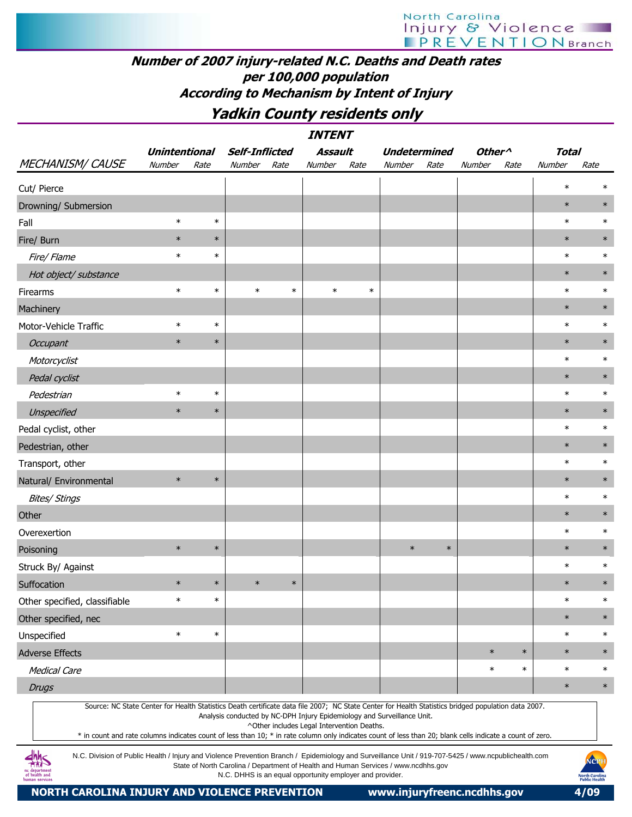# North Carolina Injury & Violence

### Number of 2007 injury-related N.C. Deaths and Death rates per 100,000 population According to Mechanism by Intent of Injury

### Yadkin County residents only

| <b>INTENT</b>                                                                                                                                                                                                                                                                                                    |                      |        |                       |        |                                                                                                                       |        |                     |        |                    |        |              |        |
|------------------------------------------------------------------------------------------------------------------------------------------------------------------------------------------------------------------------------------------------------------------------------------------------------------------|----------------------|--------|-----------------------|--------|-----------------------------------------------------------------------------------------------------------------------|--------|---------------------|--------|--------------------|--------|--------------|--------|
|                                                                                                                                                                                                                                                                                                                  | <b>Unintentional</b> |        | <b>Self-Inflicted</b> |        | <b>Assault</b>                                                                                                        |        | <b>Undetermined</b> |        | Other <sup>^</sup> |        | <b>Total</b> |        |
| <b>MECHANISM/ CAUSE</b>                                                                                                                                                                                                                                                                                          | Number               | Rate   | Number                | Rate   | <b>Number</b>                                                                                                         | Rate   | Number              | Rate   | Number             | Rate   | Number       | Rate   |
| Cut/ Pierce                                                                                                                                                                                                                                                                                                      |                      |        |                       |        |                                                                                                                       |        |                     |        |                    |        | $\ast$       | ∗      |
| Drowning/ Submersion                                                                                                                                                                                                                                                                                             |                      |        |                       |        |                                                                                                                       |        |                     |        |                    |        | $\ast$       | $\ast$ |
| Fall                                                                                                                                                                                                                                                                                                             | $\ast$               | $\ast$ |                       |        |                                                                                                                       |        |                     |        |                    |        | $\ast$       | $\ast$ |
| Fire/ Burn                                                                                                                                                                                                                                                                                                       | $\ast$               | $\ast$ |                       |        |                                                                                                                       |        |                     |        |                    |        | $\ast$       | $\ast$ |
| Fire/ Flame                                                                                                                                                                                                                                                                                                      | $\ast$               | $\ast$ |                       |        |                                                                                                                       |        |                     |        |                    |        | $\ast$       | $\ast$ |
| Hot object/ substance                                                                                                                                                                                                                                                                                            |                      |        |                       |        |                                                                                                                       |        |                     |        |                    |        | $\ast$       | $\ast$ |
| Firearms                                                                                                                                                                                                                                                                                                         | $\ast$               | $\ast$ | $\ast$                | $\ast$ | $\ast$                                                                                                                | $\ast$ |                     |        |                    |        | $\ast$       | $\ast$ |
| Machinery                                                                                                                                                                                                                                                                                                        |                      |        |                       |        |                                                                                                                       |        |                     |        |                    |        | $\ast$       | $\ast$ |
| Motor-Vehicle Traffic                                                                                                                                                                                                                                                                                            | $\ast$               | $\ast$ |                       |        |                                                                                                                       |        |                     |        |                    |        | $\ast$       | $\ast$ |
| Occupant                                                                                                                                                                                                                                                                                                         | $\ast$               | $\ast$ |                       |        |                                                                                                                       |        |                     |        |                    |        | $\ast$       | $\ast$ |
| Motorcyclist                                                                                                                                                                                                                                                                                                     |                      |        |                       |        |                                                                                                                       |        |                     |        |                    |        | $\ast$       | $\ast$ |
| Pedal cyclist                                                                                                                                                                                                                                                                                                    |                      |        |                       |        |                                                                                                                       |        |                     |        |                    |        | $\ast$       | $\ast$ |
| Pedestrian                                                                                                                                                                                                                                                                                                       | $\ast$               | $\ast$ |                       |        |                                                                                                                       |        |                     |        |                    |        | $\ast$       | $\ast$ |
| Unspecified                                                                                                                                                                                                                                                                                                      | $\ast$               | $\ast$ |                       |        |                                                                                                                       |        |                     |        |                    |        | $\ast$       | $\ast$ |
| Pedal cyclist, other                                                                                                                                                                                                                                                                                             |                      |        |                       |        |                                                                                                                       |        |                     |        |                    |        | $\ast$       | $\ast$ |
| Pedestrian, other                                                                                                                                                                                                                                                                                                |                      |        |                       |        |                                                                                                                       |        |                     |        |                    |        | $\ast$       | $\ast$ |
| Transport, other                                                                                                                                                                                                                                                                                                 |                      |        |                       |        |                                                                                                                       |        |                     |        |                    |        | $\ast$       | $\ast$ |
| Natural/ Environmental                                                                                                                                                                                                                                                                                           | $\ast$               | $\ast$ |                       |        |                                                                                                                       |        |                     |        |                    |        | $\ast$       | $\ast$ |
| <b>Bites/ Stings</b>                                                                                                                                                                                                                                                                                             |                      |        |                       |        |                                                                                                                       |        |                     |        |                    |        | $\ast$       | $\ast$ |
| Other                                                                                                                                                                                                                                                                                                            |                      |        |                       |        |                                                                                                                       |        |                     |        |                    |        | $\ast$       | $\ast$ |
| Overexertion                                                                                                                                                                                                                                                                                                     |                      |        |                       |        |                                                                                                                       |        |                     |        |                    |        | $\ast$       | $\ast$ |
| Poisoning                                                                                                                                                                                                                                                                                                        | $\ast$               | $\ast$ |                       |        |                                                                                                                       |        | $\ast$              | $\ast$ |                    |        | $\ast$       | $\ast$ |
| Struck By/ Against                                                                                                                                                                                                                                                                                               |                      |        |                       |        |                                                                                                                       |        |                     |        |                    |        | $\ast$       | $\ast$ |
| Suffocation                                                                                                                                                                                                                                                                                                      | $\ast$               | $\ast$ | $\ast$                | $\ast$ |                                                                                                                       |        |                     |        |                    |        | $\ast$       | $\ast$ |
| Other specified, classifiable                                                                                                                                                                                                                                                                                    | $\ast$               | $\ast$ |                       |        |                                                                                                                       |        |                     |        |                    |        | $\ast$       | $\ast$ |
| Other specified, nec                                                                                                                                                                                                                                                                                             |                      |        |                       |        |                                                                                                                       |        |                     |        |                    |        | $\ast$       | $\ast$ |
| Unspecified                                                                                                                                                                                                                                                                                                      | $\ast$               | $\ast$ |                       |        |                                                                                                                       |        |                     |        |                    |        | $\ast$       | $\ast$ |
| <b>Adverse Effects</b>                                                                                                                                                                                                                                                                                           |                      |        |                       |        |                                                                                                                       |        |                     |        | $\ast$             | $\ast$ | $\ast$       | $\ast$ |
| <b>Medical Care</b>                                                                                                                                                                                                                                                                                              |                      |        |                       |        |                                                                                                                       |        |                     |        | $\ast$             | $\ast$ | $\ast$       | $\ast$ |
| <b>Drugs</b>                                                                                                                                                                                                                                                                                                     |                      |        |                       |        |                                                                                                                       |        |                     |        |                    |        | $\ast$       | $\ast$ |
| Source: NC State Center for Health Statistics Death certificate data file 2007; NC State Center for Health Statistics bridged population data 2007.<br>* in count and rate columns indicates count of less than 10; * in rate column only indicates count of less than 20; blank cells indicate a count of zero. |                      |        |                       |        | Analysis conducted by NC-DPH Injury Epidemiology and Surveillance Unit.<br>^Other includes Legal Intervention Deaths. |        |                     |        |                    |        |              |        |

N.C. Division of Public Health / Injury and Violence Prevention Branch / Epidemiology and Surveillance Unit / 919-707-5425 / www.ncpublichealth.com State of North Carolina / Department of Health and Human Services / www.ncdhhs.gov N.C. DHHS is an equal opportunity employer and provider.